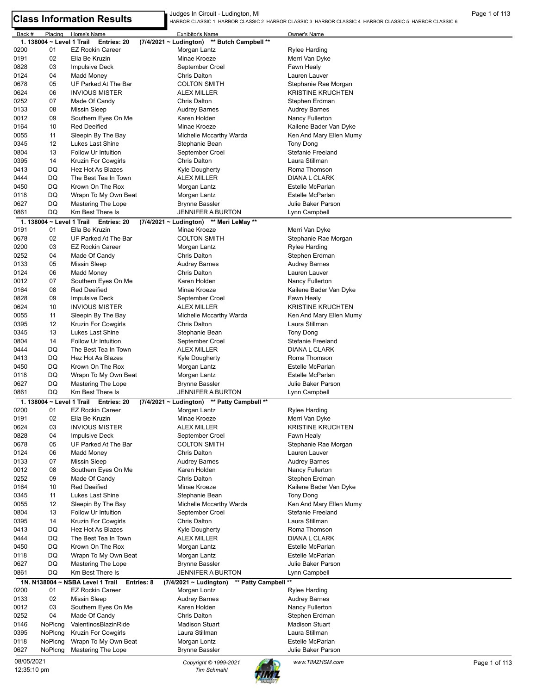Judges In Circuit - Ludington, MI Judges In Circuit - Ludington, MI Page 1 of 113<br>HARBOR CLASSIC 1 HARBOR CLASSIC 2 HARBOR CLASSIC 3 HARBOR CLASSIC 4 HARBOR CLASSIC 6 PARBOR CLASSIC 6 PARBOR CLASSIC 6

| Back #       | Placing                   | Horse's Name                               | <b>Exhibitor's Name</b>                                           | Owner's Name                           |               |
|--------------|---------------------------|--------------------------------------------|-------------------------------------------------------------------|----------------------------------------|---------------|
|              | 1. 138004 ~ Level 1 Trail | Entries: 20                                | ** Butch Campbell **<br>(7/4/2021 ~ Ludington)                    |                                        |               |
| 0200         | 01                        | <b>EZ Rockin Career</b>                    | Morgan Lantz                                                      | <b>Rylee Harding</b>                   |               |
| 0191         | 02                        | Ella Be Kruzin                             | Minae Kroeze                                                      | Merri Van Dyke                         |               |
| 0828         | 03                        | Impulsive Deck                             | September Croel                                                   | Fawn Healy                             |               |
| 0124         | 04                        | Madd Money                                 | Chris Dalton                                                      | Lauren Lauver                          |               |
| 0678         | 05                        | UF Parked At The Bar                       | <b>COLTON SMITH</b>                                               | Stephanie Rae Morgan                   |               |
| 0624         | 06                        | <b>INVIOUS MISTER</b>                      | <b>ALEX MILLER</b>                                                | <b>KRISTINE KRUCHTEN</b>               |               |
| 0252         | 07                        | Made Of Candy                              | Chris Dalton                                                      | Stephen Erdman                         |               |
| 0133         | 08                        | <b>Missin Sleep</b>                        | Audrey Barnes                                                     | <b>Audrey Barnes</b>                   |               |
| 0012         | 09                        | Southern Eyes On Me                        | Karen Holden                                                      | Nancy Fullerton                        |               |
| 0164         | 10                        | <b>Red Deeified</b>                        | Minae Kroeze                                                      | Kailene Bader Van Dyke                 |               |
| 0055         | 11                        | Sleepin By The Bay                         | Michelle Mccarthy Warda                                           | Ken And Mary Ellen Mumy                |               |
| 0345         | 12                        | Lukes Last Shine                           | Stephanie Bean                                                    | Tony Dong                              |               |
| 0804         | 13                        | <b>Follow Ur Intuition</b>                 | September Croel                                                   | Stefanie Freeland                      |               |
| 0395         | 14                        | Kruzin For Cowgirls                        | <b>Chris Dalton</b>                                               | Laura Stillman                         |               |
| 0413         | DQ                        | Hez Hot As Blazes                          | Kyle Dougherty                                                    | Roma Thomson                           |               |
| 0444         | DQ                        | The Best Tea In Town                       | ALEX MILLER                                                       | DIANA L CLARK                          |               |
| 0450         | DQ                        | Krown On The Rox                           | Morgan Lantz                                                      | Estelle McParlan                       |               |
| 0118         | DQ                        | Wrapn To My Own Beat                       | Morgan Lantz                                                      | <b>Estelle McParlan</b>                |               |
| 0627         | DQ                        | Mastering The Lope                         | Brynne Bassler                                                    | Julie Baker Parson                     |               |
| 0861         | DQ                        | Km Best There Is                           | <b>JENNIFER A BURTON</b>                                          | Lynn Campbell                          |               |
|              |                           | 1. 138004 ~ Level 1 Trail Entries: 20      | (7/4/2021 ~ Ludington) ** Meri LeMay **                           |                                        |               |
| 0191         | 01                        | Ella Be Kruzin                             | Minae Kroeze                                                      | Merri Van Dyke                         |               |
| 0678         | 02                        | UF Parked At The Bar                       | <b>COLTON SMITH</b>                                               | Stephanie Rae Morgan                   |               |
| 0200         | 03                        | <b>EZ Rockin Career</b>                    | Morgan Lantz                                                      | Rylee Harding                          |               |
| 0252         | 04                        | Made Of Candy                              | <b>Chris Dalton</b>                                               | Stephen Erdman                         |               |
| 0133         | 05                        | <b>Missin Sleep</b>                        | Audrey Barnes                                                     | Audrey Barnes                          |               |
| 0124         | 06                        | <b>Madd Money</b>                          | <b>Chris Dalton</b>                                               | Lauren Lauver                          |               |
| 0012         | 07                        | Southern Eyes On Me                        | Karen Holden                                                      | Nancy Fullerton                        |               |
| 0164         | 08                        | <b>Red Deeified</b>                        | Minae Kroeze                                                      | Kailene Bader Van Dyke                 |               |
| 0828         | 09                        | <b>Impulsive Deck</b>                      | September Croel                                                   | Fawn Healy                             |               |
| 0624         | 10                        | <b>INVIOUS MISTER</b>                      | ALEX MILLER                                                       | <b>KRISTINE KRUCHTEN</b>               |               |
| 0055         | 11                        | Sleepin By The Bay                         | Michelle Mccarthy Warda                                           | Ken And Mary Ellen Mumy                |               |
| 0395         | 12                        | Kruzin For Cowgirls                        | Chris Dalton                                                      | Laura Stillman                         |               |
| 0345         | 13                        | Lukes Last Shine                           | Stephanie Bean                                                    | Tony Dong                              |               |
| 0804         | 14                        | Follow Ur Intuition                        | September Croel                                                   | Stefanie Freeland                      |               |
| 0444         | DQ                        | The Best Tea In Town                       | ALEX MILLER                                                       | DIANA L CLARK                          |               |
| 0413         | DQ                        | Hez Hot As Blazes                          | Kyle Dougherty                                                    | Roma Thomson                           |               |
| 0450         | DQ                        | Krown On The Rox                           | Morgan Lantz                                                      | <b>Estelle McParlan</b>                |               |
| 0118         | DQ                        | Wrapn To My Own Beat                       | Morgan Lantz                                                      | Estelle McParlan                       |               |
| 0627         | DQ                        | Mastering The Lope                         | Brynne Bassler                                                    | Julie Baker Parson                     |               |
| 0861         | DQ                        | Km Best There Is                           | <b>JENNIFER A BURTON</b>                                          | Lynn Campbell                          |               |
|              |                           | 1. 138004 ~ Level 1 Trail Entries: 20      | (7/4/2021 ~ Ludington) ** Patty Campbell **                       |                                        |               |
| 0200         | 01                        | <b>EZ Rockin Career</b>                    | Morgan Lantz                                                      | Rylee Harding                          |               |
| 0191         | 02                        | Ella Be Kruzin                             | Minae Kroeze                                                      | Merri Van Dyke                         |               |
| 0624         | 03                        | <b>INVIOUS MISTER</b>                      | <b>ALEX MILLER</b>                                                | <b>KRISTINE KRUCHTEN</b>               |               |
| 0828         | 04                        | <b>Impulsive Deck</b>                      | September Croel                                                   | Fawn Healy                             |               |
| 0678         | 05                        | UF Parked At The Bar                       | <b>COLTON SMITH</b>                                               | Stephanie Rae Morgan                   |               |
| 0124         | 06                        | <b>Madd Money</b>                          | Chris Dalton                                                      | Lauren Lauver                          |               |
| 0133         | 07                        | <b>Missin Sleep</b>                        | Audrey Barnes                                                     | <b>Audrey Barnes</b>                   |               |
| 0012         | 08                        | Southern Eyes On Me                        | Karen Holden                                                      | Nancy Fullerton                        |               |
| 0252         | 09                        | Made Of Candy                              | <b>Chris Dalton</b>                                               | Stephen Erdman                         |               |
| 0164         | 10                        | <b>Red Deeified</b>                        | Minae Kroeze                                                      | Kailene Bader Van Dyke                 |               |
| 0345         | 11                        | Lukes Last Shine                           | Stephanie Bean                                                    | Tony Dong                              |               |
| 0055         | 12                        | Sleepin By The Bay                         | Michelle Mccarthy Warda                                           | Ken And Mary Ellen Mumy                |               |
| 0804         | 13                        | Follow Ur Intuition                        | September Croel                                                   | Stefanie Freeland                      |               |
| 0395         | 14                        | <b>Kruzin For Cowgirls</b>                 | Chris Dalton                                                      | Laura Stillman                         |               |
| 0413         | DQ                        | Hez Hot As Blazes                          | Kyle Dougherty                                                    | Roma Thomson                           |               |
| 0444         | DQ                        | The Best Tea In Town                       | <b>ALEX MILLER</b>                                                | DIANA L CLARK                          |               |
| 0450         | DQ                        | Krown On The Rox                           | Morgan Lantz                                                      | Estelle McParlan                       |               |
| 0118         | DQ                        | Wrapn To My Own Beat                       | Morgan Lantz                                                      | Estelle McParlan                       |               |
|              |                           |                                            |                                                                   |                                        |               |
| 0627<br>0861 | DQ<br>DQ                  | Mastering The Lope<br>Km Best There Is     | Brynne Bassler<br><b>JENNIFER A BURTON</b>                        | Julie Baker Parson<br>Lynn Campbell    |               |
|              |                           |                                            |                                                                   |                                        |               |
|              |                           | 1N. N138004 ~ NSBA Level 1 Trail           | ** Patty Campbell **<br>$(7/4/2021 \sim$ Ludington)<br>Entries: 8 |                                        |               |
| 0200         | 01                        | <b>EZ Rockin Career</b>                    | Morgan Lontz                                                      | <b>Rylee Harding</b>                   |               |
| 0133         | 02                        | <b>Missin Sleep</b>                        | <b>Audrey Barnes</b>                                              | <b>Audrey Barnes</b>                   |               |
| 0012         | 03                        | Southern Eyes On Me                        | Karen Holden                                                      | Nancy Fullerton                        |               |
| 0252         | 04                        | Made Of Candy                              | <b>Chris Dalton</b>                                               | Stephen Erdman                         |               |
| 0146         | NoPlcng                   | ValentinosBlazinRide                       | <b>Madison Stuart</b>                                             | <b>Madison Stuart</b>                  |               |
| 0395         | NoPlcng                   | Kruzin For Cowgirls                        | Laura Stillman                                                    | Laura Stillman                         |               |
| 0118<br>0627 | NoPlcng<br>NoPlcng        | Wrapn To My Own Beat<br>Mastering The Lope | Morgan Lontz<br><b>Brynne Bassler</b>                             | Estelle McParlan<br>Julie Baker Parson |               |
|              |                           |                                            |                                                                   |                                        |               |
| 08/05/2021   |                           |                                            | Copyright © 1999-2021                                             | www.TIMZHSM.com                        | Page 1 of 113 |
| 12:35:10 pm  |                           |                                            | <b>Tim Schmahl</b>                                                |                                        |               |

12:35:10 pm

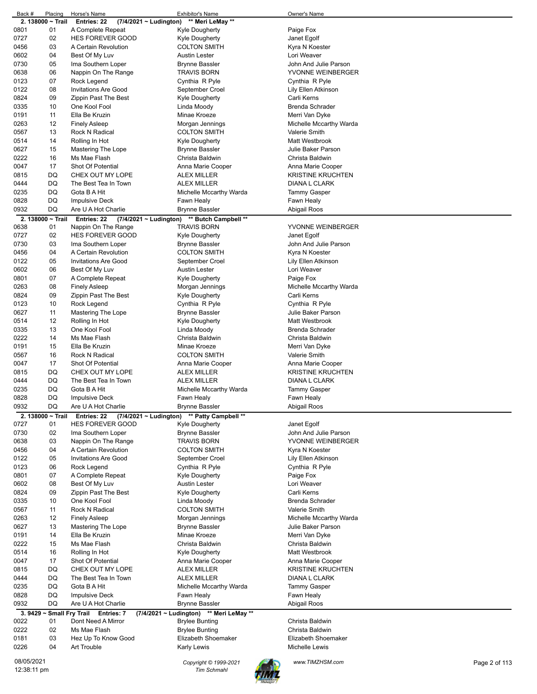| Back #      | Placing           | Horse's Name                          | Exhibitor's Name                            | Owner's Name             |               |
|-------------|-------------------|---------------------------------------|---------------------------------------------|--------------------------|---------------|
|             | 2. 138000 ~ Trail | (7/4/2021 ~ Ludington)<br>Entries: 22 | ** Meri LeMay **                            |                          |               |
| 0801        | 01                | A Complete Repeat                     | Kyle Dougherty                              | Paige Fox                |               |
|             |                   |                                       |                                             |                          |               |
| 0727        | 02                | <b>HES FOREVER GOOD</b>               | Kyle Dougherty                              | Janet Egolf              |               |
| 0456        | 03                | A Certain Revolution                  | <b>COLTON SMITH</b>                         | Kyra N Koester           |               |
|             |                   |                                       |                                             |                          |               |
| 0602        | 04                | Best Of My Luv                        | Austin Lester                               | Lori Weaver              |               |
| 0730        | 05                | Ima Southern Loper                    | <b>Brynne Bassler</b>                       | John And Julie Parson    |               |
| 0638        | 06                | Nappin On The Range                   | <b>TRAVIS BORN</b>                          | YVONNE WEINBERGER        |               |
|             |                   |                                       |                                             |                          |               |
| 0123        | 07                | Rock Legend                           | Cynthia R Pyle                              | Cynthia R Pyle           |               |
| 0122        | 08                | <b>Invitations Are Good</b>           | September Croel                             | Lily Ellen Atkinson      |               |
|             |                   |                                       |                                             |                          |               |
| 0824        | 09                | Zippin Past The Best                  | Kyle Dougherty                              | Carli Kerns              |               |
| 0335        | 10                | One Kool Fool                         | Linda Moody                                 | <b>Brenda Schrader</b>   |               |
|             |                   |                                       | Minae Kroeze                                |                          |               |
| 0191        | 11                | Ella Be Kruzin                        |                                             | Merri Van Dyke           |               |
| 0263        | 12                | <b>Finely Asleep</b>                  | Morgan Jennings                             | Michelle Mccarthy Warda  |               |
| 0567        | 13                | Rock N Radical                        | <b>COLTON SMITH</b>                         | <b>Valerie Smith</b>     |               |
|             |                   |                                       |                                             |                          |               |
| 0514        | 14                | Rolling In Hot                        | Kyle Dougherty                              | Matt Westbrook           |               |
| 0627        | 15                | Mastering The Lope                    | <b>Brynne Bassler</b>                       | Julie Baker Parson       |               |
|             |                   |                                       |                                             |                          |               |
| 0222        | 16                | Ms Mae Flash                          | Christa Baldwin                             | Christa Baldwin          |               |
| 0047        | 17                | Shot Of Potential                     | Anna Marie Cooper                           | Anna Marie Cooper        |               |
|             |                   |                                       |                                             |                          |               |
| 0815        | DQ                | CHEX OUT MY LOPE                      | <b>ALEX MILLER</b>                          | <b>KRISTINE KRUCHTEN</b> |               |
| 0444        | DQ                | The Best Tea In Town                  | <b>ALEX MILLER</b>                          | DIANA L CLARK            |               |
|             |                   |                                       |                                             |                          |               |
| 0235        | DQ                | Gota B A Hit                          | Michelle Mccarthy Warda                     | Tammy Gasper             |               |
| 0828        | DQ                | Impulsive Deck                        | Fawn Healy                                  | Fawn Healy               |               |
| 0932        | DQ                | Are U A Hot Charlie                   | <b>Brynne Bassler</b>                       | Abigail Roos             |               |
|             |                   |                                       |                                             |                          |               |
|             | 2. 138000 ~ Trail | Entries: 22                           | (7/4/2021 ~ Ludington) ** Butch Campbell ** |                          |               |
|             | 01                |                                       |                                             |                          |               |
| 0638        |                   | Nappin On The Range                   | <b>TRAVIS BORN</b>                          | YVONNE WEINBERGER        |               |
| 0727        | 02                | <b>HES FOREVER GOOD</b>               | <b>Kyle Dougherty</b>                       | Janet Egolf              |               |
| 0730        | 03                | Ima Southern Loper                    | <b>Brynne Bassler</b>                       | John And Julie Parson    |               |
|             |                   |                                       |                                             |                          |               |
| 0456        | 04                | A Certain Revolution                  | <b>COLTON SMITH</b>                         | Kyra N Koester           |               |
| 0122        | 05                | <b>Invitations Are Good</b>           | September Croel                             | Lily Ellen Atkinson      |               |
|             |                   |                                       |                                             |                          |               |
| 0602        | 06                | Best Of My Luv                        | Austin Lester                               | Lori Weaver              |               |
| 0801        | 07                | A Complete Repeat                     | Kyle Dougherty                              | Paige Fox                |               |
|             |                   |                                       |                                             |                          |               |
| 0263        | 08                | <b>Finely Asleep</b>                  | Morgan Jennings                             | Michelle Mccarthy Warda  |               |
| 0824        | 09                | Zippin Past The Best                  | Kyle Dougherty                              | Carli Kerns              |               |
|             |                   |                                       |                                             |                          |               |
| 0123        | 10                | Rock Legend                           | Cynthia R Pyle                              | Cynthia R Pyle           |               |
| 0627        | 11                | Mastering The Lope                    | Brynne Bassler                              | Julie Baker Parson       |               |
| 0514        | 12                | Rolling In Hot                        | Kyle Dougherty                              | Matt Westbrook           |               |
|             |                   |                                       |                                             |                          |               |
| 0335        | 13                | One Kool Fool                         | Linda Moody                                 | <b>Brenda Schrader</b>   |               |
| 0222        | 14                | Ms Mae Flash                          | Christa Baldwin                             | Christa Baldwin          |               |
|             |                   |                                       |                                             |                          |               |
| 0191        | 15                | Ella Be Kruzin                        | Minae Kroeze                                | Merri Van Dyke           |               |
| 0567        | 16                | Rock N Radical                        | <b>COLTON SMITH</b>                         | Valerie Smith            |               |
|             |                   |                                       |                                             |                          |               |
| 0047        | 17                | <b>Shot Of Potential</b>              | Anna Marie Cooper                           | Anna Marie Cooper        |               |
| 0815        | DQ                | CHEX OUT MY LOPE                      | <b>ALEX MILLER</b>                          | <b>KRISTINE KRUCHTEN</b> |               |
|             |                   |                                       |                                             |                          |               |
| 0444        | DQ                | The Best Tea In Town                  | ALEX MILLER                                 | DIANA L CLARK            |               |
| 0235        | DQ                | Gota B A Hit                          | Michelle Mccarthy Warda                     | Tammy Gasper             |               |
|             |                   |                                       |                                             |                          |               |
| 0828        | DQ                | Impulsive Deck                        | Fawn Healy                                  | Fawn Healy               |               |
| 0932        | DQ                | Are U A Hot Charlie                   | Brynne Bassler                              | Abigail Roos             |               |
|             |                   |                                       |                                             |                          |               |
|             | 2. 138000 ~ Trail | Entries: 22                           | (7/4/2021 ~ Ludington) ** Patty Campbell ** |                          |               |
| 0727        | 01                | <b>HES FOREVER GOOD</b>               | <b>Kyle Dougherty</b>                       | Janet Egolf              |               |
| 0730        | 02                | Ima Southern Loper                    | <b>Brynne Bassler</b>                       | John And Julie Parson    |               |
|             |                   |                                       |                                             |                          |               |
| 0638        | 03                | Nappin On The Range                   | <b>TRAVIS BORN</b>                          | YVONNE WEINBERGER        |               |
| 0456        | 04                | A Certain Revolution                  | <b>COLTON SMITH</b>                         | Kyra N Koester           |               |
|             |                   |                                       |                                             |                          |               |
| 0122        | 05                | <b>Invitations Are Good</b>           | September Croel                             | Lily Ellen Atkinson      |               |
| 0123        | 06                | Rock Legend                           | Cynthia R Pyle                              | Cynthia R Pyle           |               |
|             |                   |                                       |                                             |                          |               |
| 0801        | 07                | A Complete Repeat                     | Kyle Dougherty                              | Paige Fox                |               |
| 0602        | 08                | Best Of My Luv                        | <b>Austin Lester</b>                        | Lori Weaver              |               |
| 0824        | 09                | Zippin Past The Best                  | Kyle Dougherty                              | Carli Kerns              |               |
|             |                   |                                       |                                             |                          |               |
| 0335        | 10                | One Kool Fool                         | Linda Moody                                 | <b>Brenda Schrader</b>   |               |
| 0567        | 11                | Rock N Radical                        | <b>COLTON SMITH</b>                         | Valerie Smith            |               |
| 0263        | 12                |                                       |                                             |                          |               |
|             |                   | <b>Finely Asleep</b>                  | Morgan Jennings                             | Michelle Mccarthy Warda  |               |
| 0627        | 13                | Mastering The Lope                    | <b>Brynne Bassler</b>                       | Julie Baker Parson       |               |
| 0191        | 14                | Ella Be Kruzin                        | Minae Kroeze                                | Merri Van Dyke           |               |
|             |                   |                                       |                                             |                          |               |
| 0222        | 15                | Ms Mae Flash                          | Christa Baldwin                             | Christa Baldwin          |               |
| 0514        | 16                | Rolling In Hot                        | Kyle Dougherty                              | Matt Westbrook           |               |
|             |                   |                                       |                                             |                          |               |
| 0047        | 17                | Shot Of Potential                     | Anna Marie Cooper                           | Anna Marie Cooper        |               |
| 0815        | DQ                | CHEX OUT MY LOPE                      | <b>ALEX MILLER</b>                          | <b>KRISTINE KRUCHTEN</b> |               |
|             |                   |                                       |                                             |                          |               |
| 0444        | DQ                | The Best Tea In Town                  | <b>ALEX MILLER</b>                          | DIANA L CLARK            |               |
| 0235        | DQ                | Gota B A Hit                          | Michelle Mccarthy Warda                     | <b>Tammy Gasper</b>      |               |
| 0828        | DQ                | <b>Impulsive Deck</b>                 |                                             |                          |               |
|             |                   |                                       | Fawn Healy                                  | Fawn Healy               |               |
| 0932        | DQ                | Are U A Hot Charlie                   | <b>Brynne Bassler</b>                       | Abigail Roos             |               |
|             |                   | 3. 9429 ~ Small Fry Trail Entries: 7  | (7/4/2021 ~ Ludington) ** Meri LeMay **     |                          |               |
|             |                   |                                       |                                             |                          |               |
| 0022        | 01                | Dont Need A Mirror                    | <b>Brylee Bunting</b>                       | Christa Baldwin          |               |
| 0222        | 02                | Ms Mae Flash                          | <b>Brylee Bunting</b>                       | Christa Baldwin          |               |
|             |                   |                                       |                                             |                          |               |
| 0181        | 03                | Hez Up To Know Good                   | Elizabeth Shoemaker                         | Elizabeth Shoemaker      |               |
| 0226        | 04                | Art Trouble                           | Karly Lewis                                 | Michelle Lewis           |               |
|             |                   |                                       |                                             |                          |               |
| 08/05/2021  |                   |                                       |                                             |                          |               |
|             |                   |                                       | Copyright © 1999-2021                       | www.TIMZHSM.com          | Page 2 of 113 |
| 12:38:11 pm |                   |                                       | <b>Tim Schmahl</b>                          |                          |               |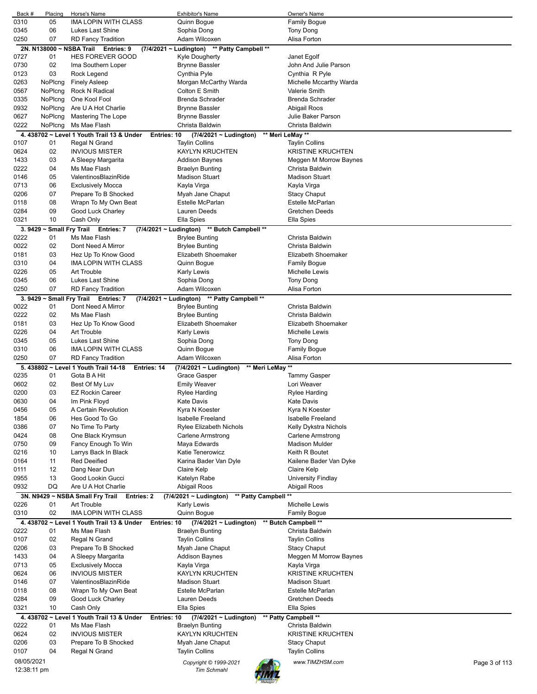| Back #      | Placing                        | Horse's Name                                              | <b>Exhibitor's Name</b>                             | Owner's Name                     |
|-------------|--------------------------------|-----------------------------------------------------------|-----------------------------------------------------|----------------------------------|
| 0310        | 05                             | <b>IMA LOPIN WITH CLASS</b>                               | Quinn Boque                                         | <b>Family Boque</b>              |
| 0345        | 06                             | Lukes Last Shine                                          | Sophia Dong                                         | Tony Dong                        |
| 0250        | 07                             | <b>RD Fancy Tradition</b>                                 | Adam Wilcoxen                                       | Alisa Forton                     |
|             | 2N. N138000~                   | Entries: 9<br><b>NSBA Trail</b>                           | (7/4/2021 ~ Ludington) ** Patty Campbell **         |                                  |
| 0727        | 01                             | <b>HES FOREVER GOOD</b>                                   | <b>Kyle Dougherty</b>                               | Janet Egolf                      |
| 0730        | 02                             | Ima Southern Loper                                        | <b>Brynne Bassler</b>                               | John And Julie Parson            |
| 0123        | 03                             | Rock Legend                                               | Cynthia Pyle                                        | Cynthia R Pyle                   |
| 0263        | NoPlcng                        | <b>Finely Asleep</b>                                      | Morgan McCarthy Warda                               | Michelle Mccarthy Warda          |
| 0567        | NoPlcng                        | <b>Rock N Radical</b>                                     | Colton E Smith                                      | Valerie Smith                    |
| 0335        | NoPlcng                        | One Kool Fool                                             | <b>Brenda Schrader</b>                              | <b>Brenda Schrader</b>           |
| 0932        | NoPlcng                        | Are U A Hot Charlie                                       | <b>Brynne Bassler</b>                               | Abigail Roos                     |
| 0627        | NoPlcng                        | Mastering The Lope                                        | <b>Brynne Bassler</b>                               | Julie Baker Parson               |
| 0222        | NoPlcng                        | Ms Mae Flash                                              | Christa Baldwin                                     | Christa Baldwin                  |
|             |                                | 4.438702 ~ Level 1 Youth Trail 13 & Under<br>Entries: 10  | $(7/4/2021 \sim$ Ludington)                         | ** Meri LeMay **                 |
| 0107        | 01                             | Regal N Grand                                             | <b>Taylin Collins</b>                               | <b>Taylin Collins</b>            |
| 0624        | 02                             | <b>INVIOUS MISTER</b>                                     | <b>KAYLYN KRUCHTEN</b>                              | <b>KRISTINE KRUCHTEN</b>         |
| 1433        | 03                             | A Sleepy Margarita                                        | <b>Addison Baynes</b>                               | Meggen M Morrow Baynes           |
| 0222        | 04                             | Ms Mae Flash                                              | <b>Braelyn Bunting</b>                              | Christa Baldwin                  |
| 0146        | 05                             | ValentinosBlazinRide                                      | <b>Madison Stuart</b>                               | <b>Madison Stuart</b>            |
| 0713        | 06                             |                                                           |                                                     |                                  |
|             |                                | <b>Exclusively Mocca</b>                                  | Kayla Virga                                         | Kayla Virga                      |
| 0206        | 07                             | Prepare To B Shocked                                      | Myah Jane Chaput                                    | <b>Stacy Chaput</b>              |
| 0118        | 08                             | Wrapn To My Own Beat                                      | Estelle McParlan                                    | <b>Estelle McParlan</b>          |
| 0284        | 09                             | Good Luck Charley                                         | Lauren Deeds                                        | Gretchen Deeds                   |
| 0321        | 10                             | Cash Only                                                 | Ella Spies                                          | Ella Spies                       |
|             | 3. 9429 $\sim$ Small Fry Trail | <b>Entries: 7</b>                                         | (7/4/2021 ~ Ludington) ** Butch Campbell **         |                                  |
| 0222        | 01                             | Ms Mae Flash                                              | <b>Brylee Bunting</b>                               | Christa Baldwin                  |
| 0022        | 02                             | Dont Need A Mirror                                        | <b>Brylee Bunting</b>                               | Christa Baldwin                  |
| 0181        | 03                             | Hez Up To Know Good                                       | Elizabeth Shoemaker                                 | Elizabeth Shoemaker              |
| 0310        | 04                             | IMA LOPIN WITH CLASS                                      | Quinn Bogue                                         | <b>Family Bogue</b>              |
| 0226        | 05                             | <b>Art Trouble</b>                                        | <b>Karly Lewis</b>                                  | <b>Michelle Lewis</b>            |
| 0345        | 06                             | Lukes Last Shine                                          | Sophia Dong                                         | Tony Dong                        |
| 0250        | 07                             | <b>RD Fancy Tradition</b>                                 | Adam Wilcoxen                                       | Alisa Forton                     |
|             |                                | 3. 9429 ~ Small Fry Trail Entries: 7                      | (7/4/2021 ~ Ludington) ** Patty Campbell **         |                                  |
| 0022        | 01                             | Dont Need A Mirror                                        | <b>Brylee Bunting</b>                               | Christa Baldwin                  |
| 0222        | 02                             | Ms Mae Flash                                              | <b>Brylee Bunting</b>                               | Christa Baldwin                  |
| 0181        | 03                             | Hez Up To Know Good                                       | Elizabeth Shoemaker                                 | Elizabeth Shoemaker              |
| 0226        | 04                             | <b>Art Trouble</b>                                        | Karly Lewis                                         | <b>Michelle Lewis</b>            |
| 0345        | 05                             | Lukes Last Shine                                          | Sophia Dong                                         | Tony Dong                        |
| 0310        | 06                             | <b>IMA LOPIN WITH CLASS</b>                               | Quinn Bogue                                         | <b>Family Bogue</b>              |
| 0250        | 07                             | <b>RD Fancy Tradition</b>                                 | Adam Wilcoxen                                       | Alisa Forton                     |
|             |                                | 5. 438802 ~ Level 1 Youth Trail 14-18<br>Entries: 14      | ** Meri LeMay **<br>(7/4/2021 ~ Ludington)          |                                  |
| 0235        | 01                             | Gota B A Hit                                              | Grace Gasper                                        | <b>Tammy Gasper</b>              |
| 0602        | 02                             | Best Of My Luv                                            | <b>Emily Weaver</b>                                 | Lori Weaver                      |
| 0200        | 03                             | <b>EZ Rockin Career</b>                                   | Rylee Harding                                       | Rylee Harding                    |
| 0630        | 04                             | Im Pink Floyd                                             | Kate Davis                                          | Kate Davis                       |
| 0456        |                                |                                                           |                                                     |                                  |
|             | 05                             | A Certain Revolution                                      | Kyra N Koester                                      | Kyra N Koester                   |
| 1854        | 06                             | Hes Good To Go                                            | Isabelle Freeland                                   | Isabelle Freeland                |
| 0386        | 07                             | No Time To Party                                          | Rylee Elizabeth Nichols                             | Kelly Dykstra Nichols            |
| 0424        | 08                             | One Black Krymsun                                         | <b>Carlene Armstrong</b>                            | Carlene Armstrong                |
| 0750        | 09                             | Fancy Enough To Win                                       | Maya Edwards                                        | <b>Madison Mulder</b>            |
| 0216        | 10                             | Larrys Back In Black                                      | Katie Tenerowicz                                    | Keith R Boutet                   |
| 0164        | 11                             | <b>Red Deeified</b>                                       | Karina Bader Van Dyle                               | Kailene Bader Van Dyke           |
| 0111        | 12                             | Dang Near Dun                                             | Claire Kelp                                         | Claire Kelp                      |
| 0955        | 13                             | Good Lookin Gucci                                         | Katelyn Rabe                                        | <b>University Findlay</b>        |
| 0932        | DQ                             | Are U A Hot Charlie                                       | Abigail Roos                                        | Abigail Roos                     |
|             |                                | 3N. N9429 ~ NSBA Small Fry Trail Entries: 2               | $(7/4/2021 \sim$ Ludington)<br>** Patty Campbell ** |                                  |
| 0226        | 01                             | Art Trouble                                               | <b>Karly Lewis</b>                                  | Michelle Lewis                   |
| 0310        | 02                             | IMA LOPIN WITH CLASS                                      | Quinn Bogue                                         | <b>Family Bogue</b>              |
|             |                                | 4. 438702 ~ Level 1 Youth Trail 13 & Under<br>Entries: 10 | $(7/4/2021 \sim$ Ludington)                         | ** Butch Campbell **             |
| 0222        | 01                             | Ms Mae Flash                                              | <b>Braelyn Bunting</b>                              | Christa Baldwin                  |
| 0107        | 02                             | Regal N Grand                                             | <b>Taylin Collins</b>                               | <b>Taylin Collins</b>            |
| 0206        | 03                             | Prepare To B Shocked                                      | Myah Jane Chaput                                    | <b>Stacy Chaput</b>              |
| 1433        | 04                             | A Sleepy Margarita                                        | <b>Addison Baynes</b>                               | Meggen M Morrow Baynes           |
| 0713        | 05                             | <b>Exclusively Mocca</b>                                  | Kayla Virga                                         | Kayla Virga                      |
| 0624        | 06                             | <b>INVIOUS MISTER</b>                                     | <b>KAYLYN KRUCHTEN</b>                              | <b>KRISTINE KRUCHTEN</b>         |
| 0146        | 07                             | ValentinosBlazinRide                                      | <b>Madison Stuart</b>                               | <b>Madison Stuart</b>            |
| 0118        | 08                             | Wrapn To My Own Beat                                      | Estelle McParlan                                    | <b>Estelle McParlan</b>          |
| 0284        | 09                             | Good Luck Charley                                         | Lauren Deeds                                        | Gretchen Deeds                   |
| 0321        | 10                             | Cash Only                                                 | Ella Spies                                          | Ella Spies                       |
|             |                                | 4. 438702 ~ Level 1 Youth Trail 13 & Under<br>Entries: 10 | $(7/4/2021 \sim$ Ludington)                         | ** Patty Campbell **             |
| 0222        | 01                             | Ms Mae Flash                                              | <b>Braelyn Bunting</b>                              | Christa Baldwin                  |
| 0624        | 02                             | <b>INVIOUS MISTER</b>                                     | <b>KAYLYN KRUCHTEN</b>                              | <b>KRISTINE KRUCHTEN</b>         |
| 0206        | 03                             | Prepare To B Shocked                                      | Myah Jane Chaput                                    | <b>Stacy Chaput</b>              |
| 0107        | 04                             | Regal N Grand                                             | <b>Taylin Collins</b>                               | <b>Taylin Collins</b>            |
|             |                                |                                                           |                                                     |                                  |
| 08/05/2021  |                                |                                                           | Copyright © 1999-2021                               | www.TIMZHSM.com<br>Page 3 of 113 |
| 12:38:11 pm |                                |                                                           | Tim Schmahl                                         |                                  |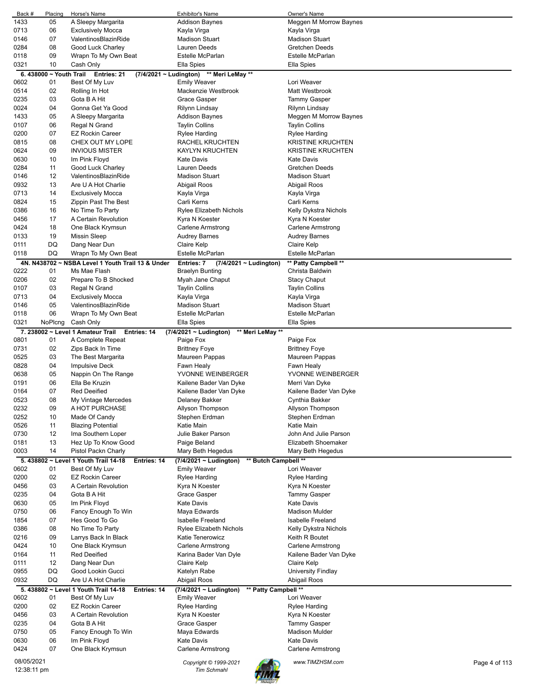| Back #      | Placing                | Horse's Name                                         | <b>Exhibitor's Name</b>                        | Owner's Name             |  |
|-------------|------------------------|------------------------------------------------------|------------------------------------------------|--------------------------|--|
| 1433        | 05                     | A Sleepy Margarita                                   | <b>Addison Baynes</b>                          | Meggen M Morrow Baynes   |  |
| 0713        | 06                     | <b>Exclusively Mocca</b>                             | Kayla Virga                                    | Kayla Virga              |  |
| 0146        | 07                     | ValentinosBlazinRide                                 | <b>Madison Stuart</b>                          | <b>Madison Stuart</b>    |  |
| 0284        | 08                     | Good Luck Charley                                    | Lauren Deeds                                   | Gretchen Deeds           |  |
| 0118        | 09                     | Wrapn To My Own Beat                                 | Estelle McParlan                               | Estelle McParlan         |  |
| 0321        | 10                     | Cash Only                                            | Ella Spies                                     | Ella Spies               |  |
|             | 6.438000 ~ Youth Trail | Entries: 21<br>(7/4/2021 ~ Ludington)                | ** Meri LeMay **                               |                          |  |
| 0602        | 01                     | Best Of My Luv                                       | <b>Emily Weaver</b>                            | Lori Weaver              |  |
| 0514        | 02                     | Rolling In Hot                                       | Mackenzie Westbrook                            | Matt Westbrook           |  |
| 0235        | 03                     | Gota B A Hit                                         | Grace Gasper                                   | Tammy Gasper             |  |
| 0024        | 04                     | Gonna Get Ya Good                                    | Rilynn Lindsay                                 | Rilynn Lindsay           |  |
| 1433        | 05                     | A Sleepy Margarita                                   | <b>Addison Baynes</b>                          | Meggen M Morrow Baynes   |  |
| 0107        | 06                     | Regal N Grand                                        | <b>Taylin Collins</b>                          | <b>Taylin Collins</b>    |  |
| 0200        | 07                     | <b>EZ Rockin Career</b>                              | Rylee Harding                                  | Rylee Harding            |  |
| 0815        | 08                     | CHEX OUT MY LOPE                                     | RACHEL KRUCHTEN                                | <b>KRISTINE KRUCHTEN</b> |  |
| 0624        | 09                     | <b>INVIOUS MISTER</b>                                | <b>KAYLYN KRUCHTEN</b>                         | <b>KRISTINE KRUCHTEN</b> |  |
| 0630        | 10                     | Im Pink Floyd                                        | <b>Kate Davis</b>                              | <b>Kate Davis</b>        |  |
| 0284        | 11                     | Good Luck Charley                                    | Lauren Deeds                                   | <b>Gretchen Deeds</b>    |  |
| 0146        | 12                     | ValentinosBlazinRide                                 | <b>Madison Stuart</b>                          | <b>Madison Stuart</b>    |  |
| 0932        | 13                     | Are U A Hot Charlie                                  | Abigail Roos                                   | Abigail Roos             |  |
| 0713        | 14                     | <b>Exclusively Mocca</b>                             | Kayla Virga                                    | Kayla Virga              |  |
| 0824        | 15                     | Zippin Past The Best                                 | Carli Kerns                                    | Carli Kerns              |  |
| 0386        | 16                     | No Time To Party                                     | <b>Rylee Elizabeth Nichols</b>                 | Kelly Dykstra Nichols    |  |
| 0456        | 17                     | A Certain Revolution                                 | Kyra N Koester                                 | Kyra N Koester           |  |
| 0424        | 18                     | One Black Krymsun                                    | Carlene Armstrong                              | Carlene Armstrong        |  |
| 0133        | 19                     | <b>Missin Sleep</b>                                  | <b>Audrey Barnes</b>                           | <b>Audrey Barnes</b>     |  |
| 0111        | DQ                     | Dang Near Dun                                        | Claire Kelp                                    | Claire Kelp              |  |
| 0118        | DQ                     | Wrapn To My Own Beat                                 | Estelle McParlan                               | <b>Estelle McParlan</b>  |  |
|             |                        | 4N. N438702 ~ NSBA Level 1 Youth Trail 13 & Under    | Entries: 7<br>$(7/4/2021 \sim$ Ludington)      | ** Patty Campbell **     |  |
| 0222        | 01                     | Ms Mae Flash                                         | <b>Braelyn Bunting</b>                         | Christa Baldwin          |  |
| 0206        | 02                     | Prepare To B Shocked                                 | Myah Jane Chaput                               | <b>Stacy Chaput</b>      |  |
| 0107        | 03                     | Regal N Grand                                        | <b>Taylin Collins</b>                          | <b>Taylin Collins</b>    |  |
| 0713        | 04                     | <b>Exclusively Mocca</b>                             | Kayla Virga                                    | Kayla Virga              |  |
| 0146        | 05                     | ValentinosBlazinRide                                 | <b>Madison Stuart</b>                          | <b>Madison Stuart</b>    |  |
|             | 06                     |                                                      |                                                |                          |  |
| 0118        |                        | Wrapn To My Own Beat                                 | Estelle McParlan                               | Estelle McParlan         |  |
| 0321        | NoPlcng                | Cash Only                                            | Ella Spies                                     | Ella Spies               |  |
|             |                        | 7. 238002 ~ Level 1 Amateur Trail Entries: 14        | ** Meri LeMay **<br>(7/4/2021 ~ Ludington)     |                          |  |
| 0801        | 01                     | A Complete Repeat                                    | Paige Fox                                      | Paige Fox                |  |
| 0731        | 02                     | Zips Back In Time                                    | <b>Brittney Foye</b>                           | <b>Brittney Foye</b>     |  |
| 0525        | 03                     | The Best Margarita                                   | Maureen Pappas                                 | Maureen Pappas           |  |
| 0828        | 04                     | <b>Impulsive Deck</b>                                | Fawn Healy                                     | Fawn Healy               |  |
| 0638        | 05                     | Nappin On The Range                                  | YVONNE WEINBERGER                              | YVONNE WEINBERGER        |  |
| 0191        | 06                     | Ella Be Kruzin                                       | Kailene Bader Van Dyke                         | Merri Van Dyke           |  |
| 0164        | 07                     | <b>Red Deeified</b>                                  | Kailene Bader Van Dyke                         | Kailene Bader Van Dyke   |  |
| 0523        | 08                     | My Vintage Mercedes                                  | Delaney Bakker                                 | Cynthia Bakker           |  |
| 0232        | 09                     | A HOT PURCHASE                                       | Allyson Thompson                               | Allyson Thompson         |  |
| 0252        | 10                     | Made Of Candy                                        | Stephen Erdman                                 | Stephen Erdman           |  |
| 0526        | 11                     | <b>Blazing Potential</b>                             | Katie Main                                     | Katie Main               |  |
| 0730        | 12                     | Ima Southern Loper                                   | Julie Baker Parson                             | John And Julie Parson    |  |
| 0181        | 13                     | Hez Up To Know Good                                  | Paige Beland                                   | Elizabeth Shoemaker      |  |
| 0003        | 14                     | Pistol Packn Charly                                  | Mary Beth Hegedus                              | Mary Beth Hegedus        |  |
|             |                        | 5. 438802 ~ Level 1 Youth Trail 14-18<br>Entries: 14 | (7/4/2021 ~ Ludington)<br>** Butch Campbell ** |                          |  |
| 0602        | 01                     | Best Of My Luv                                       | <b>Emily Weaver</b>                            | Lori Weaver              |  |
| 0200        | 02                     | <b>EZ Rockin Career</b>                              | Rylee Harding                                  | <b>Rylee Harding</b>     |  |
| 0456        | 03                     | A Certain Revolution                                 | Kyra N Koester                                 | Kyra N Koester           |  |
| 0235        | 04                     | Gota B A Hit                                         | Grace Gasper                                   | Tammy Gasper             |  |
| 0630        | 05                     | Im Pink Floyd                                        | <b>Kate Davis</b>                              | Kate Davis               |  |
| 0750        | 06                     | Fancy Enough To Win                                  | Maya Edwards                                   | <b>Madison Mulder</b>    |  |
| 1854        | 07                     | Hes Good To Go                                       | Isabelle Freeland                              | Isabelle Freeland        |  |
| 0386        | 08                     | No Time To Party                                     | Rylee Elizabeth Nichols                        | Kelly Dykstra Nichols    |  |
| 0216        | 09                     | Larrys Back In Black                                 | Katie Tenerowicz                               | Keith R Boutet           |  |
|             |                        |                                                      |                                                |                          |  |
| 0424        | 10                     | One Black Krymsun                                    | <b>Carlene Armstrong</b>                       | Carlene Armstrong        |  |
| 0164        | 11                     | <b>Red Deeified</b>                                  | Karina Bader Van Dyle                          | Kailene Bader Van Dyke   |  |
| 0111        | 12                     | Dang Near Dun                                        | Claire Kelp                                    | Claire Kelp              |  |
| 0955        | DQ                     | Good Lookin Gucci                                    | Katelyn Rabe                                   | University Findlay       |  |
| 0932        | DQ                     | Are U A Hot Charlie                                  | Abigail Roos                                   | Abigail Roos             |  |
|             |                        | 5. 438802 ~ Level 1 Youth Trail 14-18<br>Entries: 14 | ** Patty Campbell **<br>(7/4/2021 ~ Ludington) |                          |  |
| 0602        | 01                     | Best Of My Luv                                       | <b>Emily Weaver</b>                            | Lori Weaver              |  |
| 0200        | 02                     | <b>EZ Rockin Career</b>                              | <b>Rylee Harding</b>                           | Rylee Harding            |  |
| 0456        | 03                     | A Certain Revolution                                 | Kyra N Koester                                 | Kyra N Koester           |  |
| 0235        | 04                     | Gota B A Hit                                         | Grace Gasper                                   | Tammy Gasper             |  |
| 0750        | 05                     | Fancy Enough To Win                                  | Maya Edwards                                   | <b>Madison Mulder</b>    |  |
| 0630        | 06                     | Im Pink Floyd                                        | <b>Kate Davis</b>                              | Kate Davis               |  |
| 0424        | 07                     | One Black Krymsun                                    | Carlene Armstrong                              | Carlene Armstrong        |  |
| 08/05/2021  |                        |                                                      |                                                | www.TIMZHSM.com          |  |
| 12:38:11 pm |                        |                                                      | Copyright © 1999-2021<br><b>Tim Schmahl</b>    | Page 4 of 113            |  |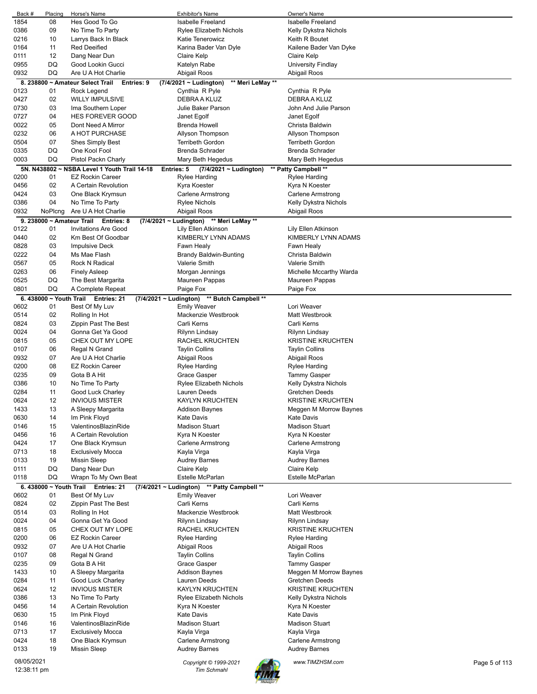| Back #      | Placing                      | Horse's Name                                   | <b>Exhibitor's Name</b>                         | Owner's Name             |               |
|-------------|------------------------------|------------------------------------------------|-------------------------------------------------|--------------------------|---------------|
| 1854        | 08                           | Hes Good To Go                                 | <b>Isabelle Freeland</b>                        | <b>Isabelle Freeland</b> |               |
| 0386        | 09                           | No Time To Party                               | Rylee Elizabeth Nichols                         | Kelly Dykstra Nichols    |               |
| 0216        | 10                           | Larrys Back In Black                           | Katie Tenerowicz                                | Keith R Boutet           |               |
| 0164        | 11                           | <b>Red Deeified</b>                            | Karina Bader Van Dyle                           | Kailene Bader Van Dyke   |               |
| 0111        | 12                           | Dang Near Dun                                  | Claire Kelp                                     | Claire Kelp              |               |
| 0955        | DQ                           | Good Lookin Gucci                              | Katelyn Rabe                                    | University Findlay       |               |
| 0932        | DQ                           | Are U A Hot Charlie                            | Abigail Roos                                    | Abigail Roos             |               |
|             |                              |                                                |                                                 |                          |               |
| 0123        | 01                           | 8. 238800 ~ Amateur Select Trail<br>Entries: 9 | $(7/4/2021 \sim$ Ludington)<br>** Meri LeMay ** |                          |               |
|             |                              | Rock Legend                                    | Cynthia R Pyle                                  | Cynthia R Pyle           |               |
| 0427        | 02                           | <b>WILLY IMPULSIVE</b>                         | DEBRA A KLUZ                                    | DEBRA A KLUZ             |               |
| 0730        | 03                           | Ima Southern Loper                             | Julie Baker Parson                              | John And Julie Parson    |               |
| 0727        | 04                           | HES FOREVER GOOD                               | Janet Egolf                                     | Janet Egolf              |               |
| 0022        | 05                           | Dont Need A Mirror                             | Brenda Howell                                   | Christa Baldwin          |               |
| 0232        | 06                           | A HOT PURCHASE                                 | Allyson Thompson                                | Allyson Thompson         |               |
| 0504        | 07                           | Shes Simply Best                               | <b>Terribeth Gordon</b>                         | <b>Terribeth Gordon</b>  |               |
| 0335        | DQ                           | One Kool Fool                                  | <b>Brenda Schrader</b>                          | <b>Brenda Schrader</b>   |               |
| 0003        | DQ                           | Pistol Packn Charly                            | Mary Beth Hegedus                               | Mary Beth Hegedus        |               |
|             |                              | 5N. N438802 ~ NSBA Level 1 Youth Trail 14-18   | $(7/4/2021 \sim$ Ludington)<br>Entries: 5       | ** Patty Campbell **     |               |
| 0200        | 01                           | <b>EZ Rockin Career</b>                        | Rylee Harding                                   | Rylee Harding            |               |
| 0456        | 02                           | A Certain Revolution                           | Kyra Koester                                    | Kyra N Koester           |               |
| 0424        | 03                           | One Black Krymsun                              | Carlene Armstrong                               | <b>Carlene Armstrong</b> |               |
| 0386        | 04                           | No Time To Party                               | Rylee Nichols                                   | Kelly Dykstra Nichols    |               |
| 0932        | NoPlcng                      | Are U A Hot Charlie                            | Abigail Roos                                    | Abigail Roos             |               |
|             |                              | 9. 238000 $\sim$ Amateur Trail Entries: 8      | (7/4/2021 ~ Ludington) ** Meri LeMay **         |                          |               |
| 0122        | 01                           | <b>Invitations Are Good</b>                    | Lily Ellen Atkinson                             | Lily Ellen Atkinson      |               |
| 0440        | 02                           | Km Best Of Goodbar                             | KIMBERLY LYNN ADAMS                             | KIMBERLY LYNN ADAMS      |               |
| 0828        | 03                           | <b>Impulsive Deck</b>                          | Fawn Healy                                      | Fawn Healy               |               |
| 0222        | 04                           | Ms Mae Flash                                   | Brandy Baldwin-Bunting                          | Christa Baldwin          |               |
| 0567        | 05                           | <b>Rock N Radical</b>                          | <b>Valerie Smith</b>                            | Valerie Smith            |               |
|             |                              |                                                |                                                 |                          |               |
| 0263        | 06                           | <b>Finely Asleep</b>                           | Morgan Jennings                                 | Michelle Mccarthy Warda  |               |
| 0525        | DQ                           | The Best Margarita                             | Maureen Pappas                                  | Maureen Pappas           |               |
| 0801        | DQ                           | A Complete Repeat                              | Paige Fox                                       | Paige Fox                |               |
|             | 6.438000 ~ Youth Trail<br>01 | Entries: 21                                    | (7/4/2021 ~ Ludington) ** Butch Campbell **     | Lori Weaver              |               |
| 0602        |                              | Best Of My Luv                                 | <b>Emily Weaver</b>                             |                          |               |
| 0514        | 02                           | Rolling In Hot                                 | Mackenzie Westbrook                             | Matt Westbrook           |               |
| 0824        | 03                           | Zippin Past The Best                           | Carli Kerns                                     | Carli Kerns              |               |
| 0024        | 04                           | Gonna Get Ya Good                              | Rilynn Lindsay                                  | Rilynn Lindsay           |               |
| 0815        | 05                           | CHEX OUT MY LOPE                               | RACHEL KRUCHTEN                                 | <b>KRISTINE KRUCHTEN</b> |               |
| 0107        | 06                           | Regal N Grand                                  | <b>Taylin Collins</b>                           | <b>Taylin Collins</b>    |               |
| 0932        | 07                           | Are U A Hot Charlie                            | Abigail Roos                                    | Abigail Roos             |               |
| 0200        | 08                           | <b>EZ Rockin Career</b>                        | Rylee Harding                                   | Rylee Harding            |               |
| 0235        | 09                           | Gota B A Hit                                   | Grace Gasper                                    | <b>Tammy Gasper</b>      |               |
| 0386        | 10                           | No Time To Party                               | <b>Rylee Elizabeth Nichols</b>                  | Kelly Dykstra Nichols    |               |
| 0284        | 11                           | Good Luck Charley                              | Lauren Deeds                                    | Gretchen Deeds           |               |
| 0624        | 12                           | <b>INVIOUS MISTER</b>                          | <b>KAYLYN KRUCHTEN</b>                          | <b>KRISTINE KRUCHTEN</b> |               |
| 1433        | 13                           | A Sleepy Margarita                             | Addison Baynes                                  | Meggen M Morrow Baynes   |               |
| 0630        | 14                           | Im Pink Floyd                                  | <b>Kate Davis</b>                               | <b>Kate Davis</b>        |               |
| 0146        | 15                           | ValentinosBlazinRide                           | <b>Madison Stuart</b>                           | <b>Madison Stuart</b>    |               |
| 0456        | 16                           | A Certain Revolution                           | Kyra N Koester                                  | Kyra N Koester           |               |
| 0424        | 17                           | One Black Krymsun                              | Carlene Armstrong                               | <b>Carlene Armstrong</b> |               |
| 0713        | 18                           | <b>Exclusively Mocca</b>                       | Kayla Virga                                     | Kayla Virga              |               |
| 0133        | 19                           | <b>Missin Sleep</b>                            | <b>Audrey Barnes</b>                            | Audrey Barnes            |               |
| 0111        | DQ                           | Dang Near Dun                                  | Claire Kelp                                     | Claire Kelp              |               |
| 0118        | DQ                           | Wrapn To My Own Beat                           | Estelle McParlan                                | Estelle McParlan         |               |
|             |                              | 6. 438000 $\sim$ Youth Trail Entries: 21       | (7/4/2021 ~ Ludington) ** Patty Campbell **     |                          |               |
| 0602        | 01                           | Best Of My Luv                                 | <b>Emily Weaver</b>                             | Lori Weaver              |               |
| 0824        | 02                           | Zippin Past The Best                           | Carli Kerns                                     | Carli Kerns              |               |
| 0514        | 03                           | Rolling In Hot                                 | Mackenzie Westbrook                             | Matt Westbrook           |               |
| 0024        | 04                           | Gonna Get Ya Good                              | Rilynn Lindsay                                  | Rilynn Lindsay           |               |
| 0815        | 05                           | CHEX OUT MY LOPE                               | RACHEL KRUCHTEN                                 | <b>KRISTINE KRUCHTEN</b> |               |
| 0200        | 06                           | <b>EZ Rockin Career</b>                        |                                                 |                          |               |
| 0932        | 07                           | Are U A Hot Charlie                            | Rylee Harding<br>Abigail Roos                   | Rylee Harding            |               |
|             |                              |                                                |                                                 | Abigail Roos             |               |
| 0107        | 08                           | Regal N Grand                                  | <b>Taylin Collins</b>                           | <b>Taylin Collins</b>    |               |
| 0235        | 09                           | Gota B A Hit                                   | Grace Gasper                                    | <b>Tammy Gasper</b>      |               |
| 1433        | 10                           | A Sleepy Margarita                             | <b>Addison Baynes</b>                           | Meggen M Morrow Baynes   |               |
| 0284        | 11                           | Good Luck Charley                              | Lauren Deeds                                    | Gretchen Deeds           |               |
| 0624        | 12                           | <b>INVIOUS MISTER</b>                          | <b>KAYLYN KRUCHTEN</b>                          | <b>KRISTINE KRUCHTEN</b> |               |
| 0386        | 13                           | No Time To Party                               | Rylee Elizabeth Nichols                         | Kelly Dykstra Nichols    |               |
| 0456        | 14                           | A Certain Revolution                           | Kyra N Koester                                  | Kyra N Koester           |               |
| 0630        | 15                           | Im Pink Floyd                                  | <b>Kate Davis</b>                               | <b>Kate Davis</b>        |               |
| 0146        | 16                           | ValentinosBlazinRide                           | <b>Madison Stuart</b>                           | <b>Madison Stuart</b>    |               |
| 0713        | 17                           | <b>Exclusively Mocca</b>                       | Kayla Virga                                     | Kayla Virga              |               |
| 0424        | 18                           | One Black Krymsun                              | Carlene Armstrong                               | Carlene Armstrong        |               |
| 0133        | 19                           | <b>Missin Sleep</b>                            | Audrey Barnes                                   | <b>Audrey Barnes</b>     |               |
| 08/05/2021  |                              |                                                |                                                 | www.TIMZHSM.com          |               |
| 12:38:11 pm |                              |                                                | Copyright © 1999-2021<br><b>Tim Schmahl</b>     |                          | Page 5 of 113 |

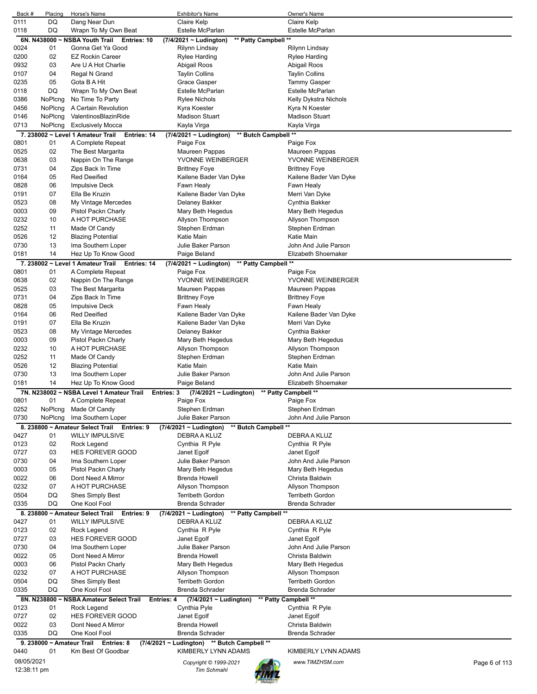| Back #       | Placing  | Horse's Name                                     | <b>Exhibitor's Name</b>                     | Owner's Name                         |               |
|--------------|----------|--------------------------------------------------|---------------------------------------------|--------------------------------------|---------------|
| 0111         | DQ       | Dang Near Dun                                    | Claire Kelp                                 | Claire Kelp                          |               |
| 0118         | DQ       | Wrapn To My Own Beat                             | Estelle McParlan                            | Estelle McParlan                     |               |
|              |          | 6N. N438000 ~ NSBA Youth Trail Entries: 10       | (7/4/2021 ~ Ludington)                      | ** Patty Campbell **                 |               |
| 0024         | 01       | Gonna Get Ya Good                                | Rilynn Lindsay                              | Rilynn Lindsay                       |               |
| 0200<br>0932 | 02<br>03 | <b>EZ Rockin Career</b><br>Are U A Hot Charlie   | <b>Rylee Harding</b><br>Abigail Roos        | <b>Rylee Harding</b><br>Abigail Roos |               |
|              |          |                                                  |                                             |                                      |               |
| 0107         | 04       | Regal N Grand                                    | <b>Taylin Collins</b>                       | <b>Taylin Collins</b>                |               |
| 0235         | 05       | Gota B A Hit                                     | Grace Gasper                                | <b>Tammy Gasper</b>                  |               |
| 0118         | DQ       | Wrapn To My Own Beat                             | Estelle McParlan                            | Estelle McParlan                     |               |
| 0386         | NoPlcng  | No Time To Party                                 | <b>Rylee Nichols</b>                        | Kelly Dykstra Nichols                |               |
| 0456         | NoPlcng  | A Certain Revolution                             | Kyra Koester                                | Kyra N Koester                       |               |
| 0146         | NoPlcng  | ValentinosBlazinRide                             | <b>Madison Stuart</b>                       | <b>Madison Stuart</b>                |               |
| 0713         | NoPlcng  | Exclusively Mocca                                | Kayla Virga                                 | Kayla Virga                          |               |
|              |          | 7. 238002 ~ Level 1 Amateur Trail<br>Entries: 14 | (7/4/2021 ~ Ludington)                      | ** Butch Campbell **                 |               |
| 0801         | 01       | A Complete Repeat                                | Paige Fox                                   | Paige Fox                            |               |
| 0525         | 02       | The Best Margarita                               | Maureen Pappas                              | Maureen Pappas                       |               |
| 0638         | 03       | Nappin On The Range                              | YVONNE WEINBERGER                           | YVONNE WEINBERGER                    |               |
| 0731         | 04       | Zips Back In Time                                | <b>Brittney Foye</b>                        | Brittney Foye                        |               |
| 0164         | 05       | <b>Red Deeified</b>                              | Kailene Bader Van Dyke                      | Kailene Bader Van Dyke               |               |
| 0828         | 06       | <b>Impulsive Deck</b>                            | Fawn Healy                                  | Fawn Healy                           |               |
| 0191         | 07       | Ella Be Kruzin                                   | Kailene Bader Van Dyke                      | Merri Van Dyke                       |               |
| 0523         | 08       | My Vintage Mercedes                              | Delaney Bakker                              | Cynthia Bakker                       |               |
| 0003         | 09       | Pistol Packn Charly                              | Mary Beth Hegedus                           | Mary Beth Hegedus                    |               |
| 0232         | 10       | A HOT PURCHASE                                   | Allyson Thompson                            | Allyson Thompson                     |               |
| 0252         | 11       | Made Of Candy                                    | Stephen Erdman                              | Stephen Erdman                       |               |
| 0526         | 12       | <b>Blazing Potential</b>                         | Katie Main                                  | Katie Main                           |               |
| 0730         | 13       | Ima Southern Loper                               | Julie Baker Parson                          | John And Julie Parson                |               |
| 0181         | 14       | Hez Up To Know Good                              | Paige Beland                                | Elizabeth Shoemaker                  |               |
|              |          | 7. 238002 ~ Level 1 Amateur Trail<br>Entries: 14 | (7/4/2021 ~ Ludington)                      | ** Patty Campbell **                 |               |
| 0801         | 01       | A Complete Repeat                                | Paige Fox                                   | Paige Fox                            |               |
| 0638         | 02       | Nappin On The Range                              | YVONNE WEINBERGER                           | YVONNE WEINBERGER                    |               |
| 0525         | 03       | The Best Margarita                               | Maureen Pappas                              | Maureen Pappas                       |               |
| 0731         | 04       | Zips Back In Time                                | <b>Brittney Foye</b>                        | Brittney Foye                        |               |
| 0828         | 05       | <b>Impulsive Deck</b>                            | Fawn Healy                                  | Fawn Healy                           |               |
| 0164         | 06       | <b>Red Deeified</b>                              | Kailene Bader Van Dyke                      | Kailene Bader Van Dyke               |               |
| 0191         | 07       | Ella Be Kruzin                                   | Kailene Bader Van Dyke                      | Merri Van Dyke                       |               |
| 0523         | 08       | My Vintage Mercedes                              | Delaney Bakker                              | Cynthia Bakker                       |               |
| 0003         | 09       | Pistol Packn Charly                              | Mary Beth Hegedus                           | Mary Beth Hegedus                    |               |
| 0232         | 10       | A HOT PURCHASE                                   | Allyson Thompson                            | Allyson Thompson                     |               |
| 0252         | 11       | Made Of Candy                                    | Stephen Erdman                              | Stephen Erdman                       |               |
| 0526         | 12       | <b>Blazing Potential</b>                         | Katie Main                                  | Katie Main                           |               |
| 0730         | 13       | Ima Southern Loper                               | Julie Baker Parson                          | John And Julie Parson                |               |
| 0181         | 14       | Hez Up To Know Good                              | Paige Beland                                | Elizabeth Shoemaker                  |               |
|              |          | 7N. N238002 ~ NSBA Level 1 Amateur Trail         | $(7/4/2021 \sim$ Ludington)<br>Entries: 3   | ** Patty Campbell **                 |               |
| 0801         | 01       | A Complete Repeat                                | Paige Fox                                   | Paige Fox                            |               |
| 0252         | NoPlcng  | Made Of Candy                                    | Stephen Erdman                              | Stephen Erdman                       |               |
| 0730         | NoPlcng  | Ima Southern Loper                               | Julie Baker Parson                          | John And Julie Parson                |               |
|              |          | 8. 238800 ~ Amateur Select Trail Entries: 9      | (7/4/2021 ~ Ludington)                      | ** Butch Campbell **                 |               |
| 0427         | 01       | <b>WILLY IMPULSIVE</b>                           | DEBRA A KLUZ                                | DEBRA A KLUZ                         |               |
| 0123         | 02       | Rock Legend                                      | Cynthia R Pyle                              | Cynthia R Pyle                       |               |
| 0727         | 03       | <b>HES FOREVER GOOD</b>                          | Janet Egolf                                 | Janet Egolf                          |               |
| 0730         | 04       | Ima Southern Loper                               | Julie Baker Parson                          | John And Julie Parson                |               |
| 0003         | 05       | Pistol Packn Charly                              | Mary Beth Hegedus                           | Mary Beth Hegedus                    |               |
| 0022         | 06       | Dont Need A Mirror                               | <b>Brenda Howell</b>                        | Christa Baldwin                      |               |
| 0232         | 07       | A HOT PURCHASE                                   | Allyson Thompson                            | Allyson Thompson                     |               |
| 0504         | DQ       | <b>Shes Simply Best</b>                          | <b>Terribeth Gordon</b>                     | <b>Terribeth Gordon</b>              |               |
| 0335         | DQ       | One Kool Fool                                    | Brenda Schrader                             | <b>Brenda Schrader</b>               |               |
|              |          | 8. 238800 ~ Amateur Select Trail<br>Entries: 9   | (7/4/2021 ~ Ludington)                      | ** Patty Campbell **                 |               |
| 0427         | 01       | <b>WILLY IMPULSIVE</b>                           | DEBRA A KLUZ                                | DEBRA A KLUZ                         |               |
| 0123         | 02       | Rock Legend                                      | Cynthia R Pyle                              | Cynthia R Pyle                       |               |
| 0727         | 03       | HES FOREVER GOOD                                 | Janet Egolf                                 | Janet Egolf                          |               |
| 0730         | 04       | Ima Southern Loper                               | Julie Baker Parson                          | John And Julie Parson                |               |
| 0022         | 05       | Dont Need A Mirror                               | <b>Brenda Howell</b>                        | Christa Baldwin                      |               |
| 0003         | 06       | Pistol Packn Charly                              | Mary Beth Hegedus                           | Mary Beth Hegedus                    |               |
| 0232         | 07       | A HOT PURCHASE                                   | Allyson Thompson                            | Allyson Thompson                     |               |
| 0504         | DQ       | <b>Shes Simply Best</b>                          | <b>Terribeth Gordon</b>                     | <b>Terribeth Gordon</b>              |               |
| 0335         | DQ       | One Kool Fool                                    | Brenda Schrader                             | Brenda Schrader                      |               |
|              |          | 8N. N238800 ~ NSBA Amateur Select Trail          | Entries: 4<br>$(7/4/2021 \sim$ Ludington)   | ** Patty Campbell **                 |               |
| 0123         | 01       | Rock Legend                                      | Cynthia Pyle                                | Cynthia R Pyle                       |               |
| 0727         | 02       | <b>HES FOREVER GOOD</b>                          | Janet Egolf                                 | Janet Egolf                          |               |
| 0022         | 03       | Dont Need A Mirror                               | Brenda Howell                               | Christa Baldwin                      |               |
| 0335         | DQ       | One Kool Fool                                    | Brenda Schrader                             | <b>Brenda Schrader</b>               |               |
|              |          | 9. 238000 ~ Amateur Trail Entries: 8             | (7/4/2021 ~ Ludington) ** Butch Campbell ** |                                      |               |
| 0440         | 01       | Km Best Of Goodbar                               | KIMBERLY LYNN ADAMS                         | KIMBERLY LYNN ADAMS                  |               |
| 08/05/2021   |          |                                                  |                                             |                                      |               |
| 12:38:11 pm  |          |                                                  | Copyright © 1999-2021<br><b>Tim Schmahl</b> | www.TIMZHSM.com                      | Page 6 of 113 |
|              |          |                                                  |                                             |                                      |               |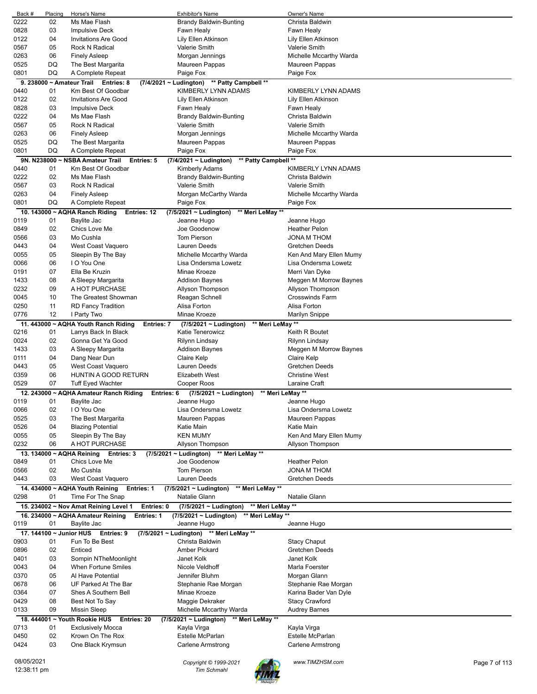| Back #      | Placing                 | Horse's Name                                           | <b>Exhibitor's Name</b>                             | Owner's Name            |               |
|-------------|-------------------------|--------------------------------------------------------|-----------------------------------------------------|-------------------------|---------------|
| 0222        | 02                      | Ms Mae Flash                                           | <b>Brandy Baldwin-Bunting</b>                       | Christa Baldwin         |               |
| 0828        | 03                      | <b>Impulsive Deck</b>                                  | Fawn Healy                                          | Fawn Healy              |               |
| 0122        | 04                      | <b>Invitations Are Good</b>                            | Lily Ellen Atkinson                                 | Lily Ellen Atkinson     |               |
| 0567        | 05                      | <b>Rock N Radical</b>                                  | Valerie Smith                                       | Valerie Smith           |               |
| 0263        | 06                      | <b>Finely Asleep</b>                                   | Morgan Jennings                                     | Michelle Mccarthy Warda |               |
| 0525        | DQ                      | The Best Margarita                                     | Maureen Pappas                                      | Maureen Pappas          |               |
| 0801        | DQ                      | A Complete Repeat                                      | Paige Fox                                           | Paige Fox               |               |
|             |                         | 9. 238000 ~ Amateur Trail Entries: 8                   | (7/4/2021 ~ Ludington) ** Patty Campbell **         |                         |               |
| 0440        | 01                      | Km Best Of Goodbar                                     | KIMBERLY LYNN ADAMS                                 | KIMBERLY LYNN ADAMS     |               |
| 0122        | 02                      | <b>Invitations Are Good</b>                            | Lily Ellen Atkinson                                 | Lily Ellen Atkinson     |               |
|             | 03                      |                                                        |                                                     |                         |               |
| 0828        |                         | Impulsive Deck                                         | Fawn Healy                                          | Fawn Healy              |               |
| 0222        | 04                      | Ms Mae Flash                                           | <b>Brandy Baldwin-Bunting</b>                       | Christa Baldwin         |               |
| 0567        | 05                      | <b>Rock N Radical</b>                                  | <b>Valerie Smith</b>                                | Valerie Smith           |               |
| 0263        | 06                      | <b>Finely Asleep</b>                                   | Morgan Jennings                                     | Michelle Mccarthy Warda |               |
| 0525        | DQ                      | The Best Margarita                                     | Maureen Pappas                                      | Maureen Pappas          |               |
| 0801        | DQ                      | A Complete Repeat                                      | Paige Fox                                           | Paige Fox               |               |
|             |                         | 9N. N238000 ~ NSBA Amateur Trail<br>Entries: 5         | ** Patty Campbell **<br>$(7/4/2021 \sim$ Ludington) |                         |               |
| 0440        | 01                      | Km Best Of Goodbar                                     | Kimberly Adams                                      | KIMBERLY LYNN ADAMS     |               |
| 0222        | 02                      | Ms Mae Flash                                           | <b>Brandy Baldwin-Bunting</b>                       | Christa Baldwin         |               |
| 0567        | 03                      | Rock N Radical                                         | <b>Valerie Smith</b>                                | Valerie Smith           |               |
| 0263        | 04                      | <b>Finely Asleep</b>                                   | Morgan McCarthy Warda                               | Michelle Mccarthy Warda |               |
| 0801        | DQ                      | A Complete Repeat                                      | Paige Fox                                           | Paige Fox               |               |
|             |                         |                                                        |                                                     |                         |               |
|             |                         | 10. 143000 ~ AQHA Ranch Riding<br>Entries: 12          | $(7/5/2021 \sim$ Ludington)<br>** Meri LeMay **     |                         |               |
| 0119        | 01                      | Baylite Jac                                            | Jeanne Hugo                                         | Jeanne Hugo             |               |
| 0849        | 02                      | Chics Love Me                                          | Joe Goodenow                                        | <b>Heather Pelon</b>    |               |
| 0566        | 03                      | Mo Cushla                                              | <b>Tom Pierson</b>                                  | <b>JONA M THOM</b>      |               |
| 0443        | 04                      | West Coast Vaquero                                     | Lauren Deeds                                        | <b>Gretchen Deeds</b>   |               |
| 0055        | 05                      | Sleepin By The Bay                                     | Michelle Mccarthy Warda                             | Ken And Mary Ellen Mumy |               |
| 0066        | 06                      | I O You One                                            | Lisa Ondersma Lowetz                                | Lisa Ondersma Lowetz    |               |
| 0191        | 07                      | Ella Be Kruzin                                         | Minae Kroeze                                        | Merri Van Dyke          |               |
| 1433        | 08                      | A Sleepy Margarita                                     | <b>Addison Baynes</b>                               | Meggen M Morrow Baynes  |               |
| 0232        | 09                      | A HOT PURCHASE                                         | Allyson Thompson                                    | Allyson Thompson        |               |
| 0045        | 10                      | The Greatest Showman                                   | Reagan Schnell                                      | <b>Crosswinds Farm</b>  |               |
| 0250        | 11                      | <b>RD Fancy Tradition</b>                              | Alisa Forton                                        | Alisa Forton            |               |
| 0776        | 12                      | I Party Two                                            | Minae Kroeze                                        | Marilyn Snippe          |               |
|             |                         |                                                        | ** Meri LeMay **                                    |                         |               |
|             |                         | 11. 443000 ~ AQHA Youth Ranch Riding<br>Entries: 7     | (7/5/2021 ~ Ludington)                              |                         |               |
| 0216        | 01                      | Larrys Back In Black                                   | Katie Tenerowicz                                    | Keith R Boutet          |               |
| 0024        | 02                      | Gonna Get Ya Good                                      | Rilynn Lindsay                                      | Rilynn Lindsay          |               |
| 1433        | 03                      | A Sleepy Margarita                                     | Addison Baynes                                      | Meggen M Morrow Baynes  |               |
| 0111        | 04                      | Dang Near Dun                                          | Claire Kelp                                         | Claire Kelp             |               |
| 0443        | 05                      | West Coast Vaquero                                     | Lauren Deeds                                        | <b>Gretchen Deeds</b>   |               |
| 0359        | 06                      | HUNTIN A GOOD RETURN                                   | Elizabeth West                                      | <b>Christine West</b>   |               |
| 0529        | 07                      | <b>Tuff Eyed Wachter</b>                               | Cooper Roos                                         | Laraine Craft           |               |
|             |                         | 12. 243000 ~ AQHA Amateur Ranch Riding<br>Entries: 6   | ** Meri LeMay **<br>$(7/5/2021 \sim$ Ludington)     |                         |               |
| 0119        | 01                      | Baylite Jac                                            | Jeanne Hugo                                         | Jeanne Hugo             |               |
| 0066        | 02                      | I O You One                                            | Lisa Ondersma Lowetz                                | Lisa Ondersma Lowetz    |               |
| 0525        | 03                      | The Best Margarita                                     | Maureen Pappas                                      | Maureen Pappas          |               |
| 0526        | 04                      | <b>Blazing Potential</b>                               | Katie Main                                          | Katie Main              |               |
| 0055        | 05                      | Sleepin By The Bay                                     | <b>KEN MUMY</b>                                     | Ken And Mary Ellen Mumy |               |
| 0232        | 06                      | A HOT PURCHASE                                         | Allyson Thompson                                    | Allyson Thompson        |               |
|             |                         |                                                        |                                                     |                         |               |
|             |                         | 13. 134000 ~ AQHA Reining Entries: 3                   | (7/5/2021 ~ Ludington) ** Meri LeMay **             |                         |               |
| 0849        | 01                      | Chics Love Me                                          | Joe Goodenow                                        | <b>Heather Pelon</b>    |               |
| 0566        | 02                      | Mo Cushla                                              | Tom Pierson                                         | <b>JONA M THOM</b>      |               |
| 0443        | 03                      | West Coast Vaquero                                     | Lauren Deeds                                        | <b>Gretchen Deeds</b>   |               |
|             |                         | 14. 434000 ~ AQHA Youth Reining<br><b>Entries: 1</b>   | $(7/5/2021 \sim$ Ludington)<br>** Meri LeMay **     |                         |               |
| 0298        | 01                      | Time For The Snap                                      | Natalie Glann                                       | Natalie Glann           |               |
|             |                         | 15. 234002 ~ Nov Amat Reining Level 1<br>Entries: 0    | ** Meri LeMay **<br>$(7/5/2021 \sim$ Ludington)     |                         |               |
|             |                         | 16. 234000 ~ AQHA Amateur Reining<br><b>Entries: 1</b> | $(7/5/2021 \sim$ Ludington)<br>** Meri LeMay **     |                         |               |
| 0119        | 01                      | Baylite Jac                                            | Jeanne Hugo                                         | Jeanne Hugo             |               |
|             | 17. 144100 ~ Junior HUS |                                                        |                                                     |                         |               |
|             |                         | Entries: 9                                             | (7/5/2021 ~ Ludington) ** Meri LeMay **             |                         |               |
| 0903        | 01                      | Fun To Be Best                                         | Christa Baldwin                                     | <b>Stacy Chaput</b>     |               |
| 0896        | 02                      | Enticed                                                | Amber Pickard                                       | Gretchen Deeds          |               |
| 0401        | 03                      | Sompin NTheMoonlight                                   | Janet Kolk                                          | Janet Kolk              |               |
| 0043        | 04                      | When Fortune Smiles                                    | Nicole Veldhoff                                     | Marla Foerster          |               |
| 0370        | 05                      | Al Have Potential                                      | Jennifer Bluhm                                      | Morgan Glann            |               |
| 0678        | 06                      | UF Parked At The Bar                                   | Stephanie Rae Morgan                                | Stephanie Rae Morgan    |               |
| 0364        | 07                      | Shes A Southern Bell                                   | Minae Kroeze                                        | Karina Bader Van Dyle   |               |
| 0429        | 08                      | Best Not To Say                                        | Maggie Dekraker                                     | <b>Stacy Crawford</b>   |               |
| 0133        | 09                      | <b>Missin Sleep</b>                                    | Michelle Mccarthy Warda                             | <b>Audrey Barnes</b>    |               |
|             |                         | 18. 444001 ~ Youth Rookie HUS<br>Entries: 20           | (7/5/2021 ~ Ludington)<br>** Meri LeMay **          |                         |               |
| 0713        | 01                      | <b>Exclusively Mocca</b>                               | Kayla Virga                                         | Kayla Virga             |               |
| 0450        | 02                      | Krown On The Rox                                       | Estelle McParlan                                    | Estelle McParlan        |               |
| 0424        | 03                      | One Black Krymsun                                      | Carlene Armstrong                                   | Carlene Armstrong       |               |
|             |                         |                                                        |                                                     |                         |               |
| 08/05/2021  |                         |                                                        |                                                     |                         |               |
| 12:38:11 pm |                         |                                                        | Copyright © 1999-2021<br><b>Tim Schmahl</b>         | www.TIMZHSM.com         | Page 7 of 113 |
|             |                         |                                                        |                                                     |                         |               |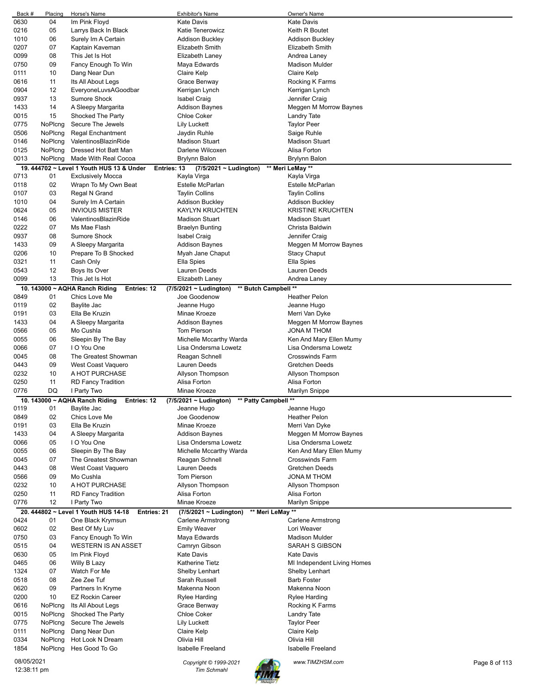| Back #                    | Placing | Horse's Name                                        | <b>Exhibitor's Name</b>                        | Owner's Name                           |               |
|---------------------------|---------|-----------------------------------------------------|------------------------------------------------|----------------------------------------|---------------|
| 0630                      | 04      | Im Pink Floyd                                       | <b>Kate Davis</b>                              | <b>Kate Davis</b>                      |               |
| 0216                      | 05      | Larrys Back In Black                                | Katie Tenerowicz                               | Keith R Boutet                         |               |
| 1010                      | 06      | Surely Im A Certain                                 | <b>Addison Buckley</b>                         | <b>Addison Buckley</b>                 |               |
| 0207                      | 07      | Kaptain Kaveman                                     | <b>Elizabeth Smith</b>                         | Elizabeth Smith                        |               |
| 0099                      | 08      | This Jet Is Hot                                     | Elizabeth Laney                                | Andrea Laney                           |               |
| 0750                      | 09      | Fancy Enough To Win                                 | Maya Edwards                                   | <b>Madison Mulder</b>                  |               |
| 0111                      | 10      | Dang Near Dun                                       | Claire Kelp                                    | Claire Kelp                            |               |
| 0616                      | 11      | Its All About Legs                                  | Grace Benway                                   | Rocking K Farms                        |               |
| 0904                      | 12      | EveryoneLuvsAGoodbar                                | Kerrigan Lynch                                 | Kerrigan Lynch                         |               |
| 0937                      | 13      | Sumore Shock                                        | <b>Isabel Craig</b>                            | Jennifer Craig                         |               |
| 1433                      | 14      | A Sleepy Margarita                                  | <b>Addison Baynes</b>                          | Meggen M Morrow Baynes                 |               |
| 0015                      | 15      | Shocked The Party                                   | <b>Chloe Coker</b>                             | Landry Tate                            |               |
| 0775                      | NoPlcng | Secure The Jewels                                   | <b>Lily Luckett</b>                            | <b>Taylor Peer</b>                     |               |
| 0506                      | NoPlcna | <b>Regal Enchantment</b>                            | Jaydin Ruhle                                   | Saige Ruhle                            |               |
| 0146                      | NoPlcng | ValentinosBlazinRide                                | <b>Madison Stuart</b>                          | Madison Stuart                         |               |
| 0125                      | NoPlcng | Dressed Hot Batt Man                                | Darlene Wilcoxen                               | Alisa Forton                           |               |
| 0013                      | NoPlcng | Made With Real Cocoa                                | <b>Brylynn Balon</b>                           | Brylynn Balon                          |               |
|                           |         | 19. 444702 ~ Level 1 Youth HUS 13 & Under           |                                                |                                        |               |
| 0713                      | 01      | Entries: 13                                         | (7/5/2021 ~ Ludington)<br>Kayla Virga          | ** Meri LeMay **                       |               |
| 0118                      | 02      | Exclusively Mocca                                   | <b>Estelle McParlan</b>                        | Kayla Virga<br><b>Estelle McParlan</b> |               |
|                           |         | Wrapn To My Own Beat                                |                                                |                                        |               |
| 0107                      | 03      | Regal N Grand                                       | <b>Taylin Collins</b>                          | <b>Taylin Collins</b>                  |               |
| 1010                      | 04      | Surely Im A Certain                                 | Addison Buckley                                | <b>Addison Buckley</b>                 |               |
| 0624                      | 05      | <b>INVIOUS MISTER</b>                               | <b>KAYLYN KRUCHTEN</b>                         | <b>KRISTINE KRUCHTEN</b>               |               |
| 0146                      | 06      | ValentinosBlazinRide                                | <b>Madison Stuart</b>                          | <b>Madison Stuart</b>                  |               |
| 0222                      | 07      | Ms Mae Flash                                        | <b>Braelyn Bunting</b>                         | Christa Baldwin                        |               |
| 0937                      | 08      | Sumore Shock                                        | <b>Isabel Craig</b>                            | Jennifer Craig                         |               |
| 1433                      | 09      | A Sleepy Margarita                                  | <b>Addison Baynes</b>                          | Meggen M Morrow Baynes                 |               |
| 0206                      | 10      | Prepare To B Shocked                                | Myah Jane Chaput                               | <b>Stacy Chaput</b>                    |               |
| 0321                      | 11      | Cash Only                                           | Ella Spies                                     | Ella Spies                             |               |
| 0543                      | 12      | Boys Its Over                                       | Lauren Deeds                                   | Lauren Deeds                           |               |
| 0099                      | 13      | This Jet Is Hot                                     | Elizabeth Laney                                | Andrea Laney                           |               |
|                           |         | 10. 143000 ~ AQHA Ranch Riding<br>Entries: 12       | ** Butch Campbell **<br>(7/5/2021 ~ Ludington) |                                        |               |
| 0849                      | 01      | Chics Love Me                                       | Joe Goodenow                                   | <b>Heather Pelon</b>                   |               |
| 0119                      | 02      | Baylite Jac                                         | Jeanne Hugo                                    | Jeanne Hugo                            |               |
| 0191                      | 03      | Ella Be Kruzin                                      | Minae Kroeze                                   | Merri Van Dyke                         |               |
| 1433                      | 04      | A Sleepy Margarita                                  | <b>Addison Baynes</b>                          | Meggen M Morrow Baynes                 |               |
| 0566                      | 05      | Mo Cushla                                           | <b>Tom Pierson</b>                             | JONA M THOM                            |               |
| 0055                      | 06      | Sleepin By The Bay                                  | Michelle Mccarthy Warda                        | Ken And Mary Ellen Mumy                |               |
| 0066                      | 07      | I O You One                                         | Lisa Ondersma Lowetz                           | Lisa Ondersma Lowetz                   |               |
| 0045                      | 08      | The Greatest Showman                                | Reagan Schnell                                 | <b>Crosswinds Farm</b>                 |               |
| 0443                      | 09      | West Coast Vaquero                                  | Lauren Deeds                                   | Gretchen Deeds                         |               |
| 0232                      | 10      | A HOT PURCHASE                                      | Allyson Thompson                               | Allyson Thompson                       |               |
| 0250                      | 11      |                                                     | Alisa Forton                                   | Alisa Forton                           |               |
| 0776                      | DQ      | <b>RD Fancy Tradition</b><br>I Party Two            | Minae Kroeze                                   | Marilyn Snippe                         |               |
|                           |         | 10. 143000 ~ AQHA Ranch Riding<br>Entries: 12       | ** Patty Campbell **                           |                                        |               |
| 0119                      | 01      | Baylite Jac                                         | (7/5/2021 ~ Ludington)<br>Jeanne Hugo          | Jeanne Hugo                            |               |
| 0849                      | 02      | Chics Love Me                                       | Joe Goodenow                                   | Heather Pelon                          |               |
|                           |         |                                                     |                                                |                                        |               |
| 0191                      | 03      | Ella Be Kruzin<br>A Sleepy Margarita                | Minae Kroeze                                   | Merri Van Dyke                         |               |
| 1433                      | 04      |                                                     |                                                |                                        |               |
| 0066                      | 05      |                                                     | <b>Addison Baynes</b>                          | Meggen M Morrow Baynes                 |               |
| 0055                      |         | I O You One                                         | Lisa Ondersma Lowetz                           | Lisa Ondersma Lowetz                   |               |
| 0045                      | 06      | Sleepin By The Bay                                  | Michelle Mccarthy Warda                        | Ken And Mary Ellen Mumy                |               |
| 0443                      | 07      | The Greatest Showman                                | Reagan Schnell                                 | <b>Crosswinds Farm</b>                 |               |
|                           | 08      | West Coast Vaquero                                  | Lauren Deeds                                   | <b>Gretchen Deeds</b>                  |               |
| 0566                      | 09      | Mo Cushla                                           | Tom Pierson                                    | JONA M THOM                            |               |
| 0232                      | 10      | A HOT PURCHASE                                      | Allyson Thompson                               | Allyson Thompson                       |               |
| 0250                      | 11      | <b>RD Fancy Tradition</b>                           | Alisa Forton                                   | Alisa Forton                           |               |
| 0776                      | 12      | I Party Two                                         | Minae Kroeze                                   | Marilyn Snippe                         |               |
|                           |         | 20. 444802 ~ Level 1 Youth HUS 14-18<br>Entries: 21 | ** Meri LeMay **<br>(7/5/2021 ~ Ludington)     |                                        |               |
| 0424                      | 01      | One Black Krymsun                                   | Carlene Armstrong                              | Carlene Armstrong                      |               |
| 0602                      | 02      | Best Of My Luv                                      | <b>Emily Weaver</b>                            | Lori Weaver                            |               |
| 0750                      | 03      | Fancy Enough To Win                                 | Maya Edwards                                   | <b>Madison Mulder</b>                  |               |
| 0515                      | 04      | <b>WESTERN IS AN ASSET</b>                          | Camryn Gibson                                  | SARAH S GIBSON                         |               |
| 0630                      | 05      | Im Pink Floyd                                       | <b>Kate Davis</b>                              | <b>Kate Davis</b>                      |               |
| 0465                      | 06      | Willy B Lazy                                        | <b>Katherine Tietz</b>                         | MI Independent Living Homes            |               |
| 1324                      | 07      | Watch For Me                                        | Shelby Lenhart                                 | Shelby Lenhart                         |               |
| 0518                      | 08      | Zee Zee Tuf                                         | Sarah Russell                                  | <b>Barb Foster</b>                     |               |
| 0620                      | 09      | Partners In Kryme                                   | Makenna Noon                                   | Makenna Noon                           |               |
| 0200                      | 10      | <b>EZ Rockin Career</b>                             | Rylee Harding                                  | Rylee Harding                          |               |
| 0616                      | NoPlcng | Its All About Legs                                  | Grace Benway                                   |                                        |               |
|                           |         |                                                     |                                                | Rocking K Farms                        |               |
| 0015                      | NoPlcng | Shocked The Party                                   | <b>Chloe Coker</b>                             | Landry Tate                            |               |
| 0775                      | NoPlcng | Secure The Jewels                                   | <b>Lily Luckett</b>                            | <b>Taylor Peer</b>                     |               |
| 0111                      | NoPlcng | Dang Near Dun                                       | Claire Kelp                                    | Claire Kelp                            |               |
| 0334                      | NoPlcng | Hot Look N Dream                                    | Olivia Hill                                    | Olivia Hill                            |               |
| 1854                      | NoPlcng | Hes Good To Go                                      | <b>Isabelle Freeland</b>                       | <b>Isabelle Freeland</b>               |               |
| 08/05/2021<br>12:38:11 pm |         |                                                     | Copyright © 1999-2021<br><b>Tim Schmahl</b>    | www.TIMZHSM.com                        | Page 8 of 113 |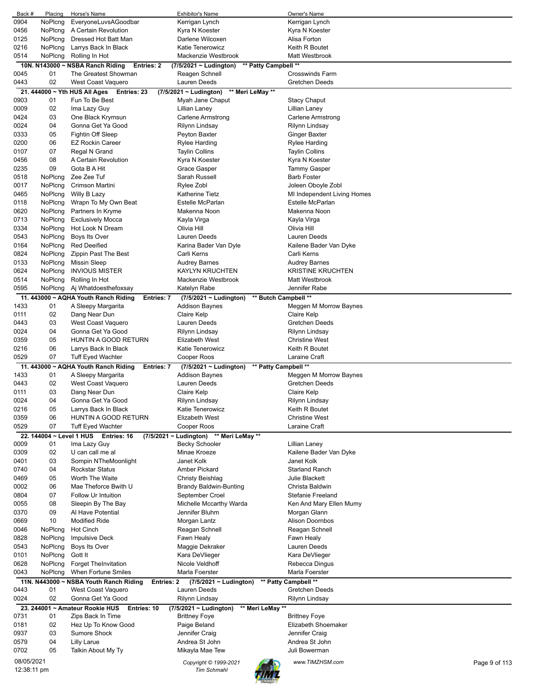| Back #      | Placing | Horse's Name                                                 | <b>Exhibitor's Name</b>                                   | Owner's Name                           |               |
|-------------|---------|--------------------------------------------------------------|-----------------------------------------------------------|----------------------------------------|---------------|
| 0904        | NoPlcng | EveryoneLuvsAGoodbar                                         | Kerrigan Lynch                                            | Kerrigan Lynch                         |               |
| 0456        | NoPlcng | A Certain Revolution                                         | Kyra N Koester                                            | Kyra N Koester                         |               |
| 0125        | NoPlcng | Dressed Hot Batt Man                                         | Darlene Wilcoxen                                          | Alisa Forton                           |               |
| 0216        | NoPlcng | Larrys Back In Black                                         | <b>Katie Tenerowicz</b>                                   | Keith R Boutet                         |               |
| 0514        | NoPlcng | Rolling In Hot                                               | Mackenzie Westbrook                                       | Matt Westbrook                         |               |
|             |         | 10N. N143000 ~ NSBA Ranch Riding<br><b>Entries: 2</b>        | (7/5/2021 ~ Ludington)                                    | ** Patty Campbell **                   |               |
| 0045        | 01      | The Greatest Showman                                         | Reagen Schnell                                            | <b>Crosswinds Farm</b>                 |               |
| 0443        | 02      | West Coast Vaquero                                           | Lauren Deeds                                              | Gretchen Deeds                         |               |
|             |         | 21. 444000 ~ Yth HUS All Ages<br>Entries: 23                 | ** Meri LeMay **<br>(7/5/2021 ~ Ludington)                |                                        |               |
| 0903        | 01      | Fun To Be Best                                               | Myah Jane Chaput                                          | <b>Stacy Chaput</b>                    |               |
| 0009        | 02      | Ima Lazy Guy                                                 | Lillian Laney                                             | Lillian Laney                          |               |
| 0424        | 03      | One Black Krymsun                                            | Carlene Armstrong                                         | <b>Carlene Armstrong</b>               |               |
| 0024        | 04      | Gonna Get Ya Good                                            | Rilynn Lindsay                                            | Rilynn Lindsay                         |               |
| 0333        | 05      | Fightin Off Sleep                                            | Peyton Baxter                                             | Ginger Baxter                          |               |
| 0200        | 06      | <b>EZ Rockin Career</b>                                      | Rylee Harding                                             | Rylee Harding                          |               |
| 0107        | 07      | Regal N Grand                                                | <b>Taylin Collins</b>                                     | <b>Taylin Collins</b>                  |               |
| 0456        | 08      | A Certain Revolution                                         | Kyra N Koester                                            | Kyra N Koester                         |               |
| 0235        | 09      | Gota B A Hit                                                 | Grace Gasper                                              | Tammy Gasper                           |               |
| 0518        | NoPlcng | Zee Zee Tuf                                                  | Sarah Russell                                             | <b>Barb Foster</b>                     |               |
| 0017        | NoPlcng | Crimson Martini                                              | Rylee Zobl                                                | Joleen Oboyle Zobl                     |               |
| 0465        | NoPlcng | Willy B Lazy                                                 | <b>Katherine Tietz</b>                                    | MI Independent Living Homes            |               |
|             |         |                                                              | <b>Estelle McParlan</b>                                   | <b>Estelle McParlan</b>                |               |
| 0118        | NoPlcng | Wrapn To My Own Beat                                         |                                                           |                                        |               |
| 0620        | NoPlcng | Partners In Kryme                                            | Makenna Noon                                              | Makenna Noon                           |               |
| 0713        | NoPlcng | <b>Exclusively Mocca</b>                                     | Kayla Virga                                               | Kayla Virga                            |               |
| 0334        | NoPlcng | Hot Look N Dream                                             | Olivia Hill                                               | Olivia Hill                            |               |
| 0543        | NoPlcng | Boys Its Over                                                | Lauren Deeds                                              | Lauren Deeds                           |               |
| 0164        | NoPlcng | <b>Red Deeified</b>                                          | Karina Bader Van Dyle                                     | Kailene Bader Van Dyke                 |               |
| 0824        | NoPlcng | <b>Zippin Past The Best</b>                                  | Carli Kerns                                               | Carli Kerns                            |               |
| 0133        | NoPlcng | <b>Missin Sleep</b>                                          | <b>Audrey Barnes</b>                                      | <b>Audrey Barnes</b>                   |               |
| 0624        | NoPlcng | <b>INVIOUS MISTER</b>                                        | <b>KAYLYN KRUCHTEN</b>                                    | <b>KRISTINE KRUCHTEN</b>               |               |
| 0514        | NoPlcng | Rolling In Hot                                               | Mackenzie Westbrook                                       | Matt Westbrook                         |               |
| 0595        | NoPlcng | Aj Whatdoesthefoxsay                                         | Katelyn Rabe                                              | Jennifer Rabe                          |               |
|             |         | 11. 443000 ~ AQHA Youth Ranch Riding<br>Entries: 7           | $(7/5/2021 \sim$ Ludington)                               | ** Butch Campbell **                   |               |
| 1433        | 01      | A Sleepy Margarita                                           | <b>Addison Baynes</b>                                     | Meggen M Morrow Baynes                 |               |
| 0111        | 02      | Dang Near Dun                                                | Claire Kelp                                               | Claire Kelp                            |               |
| 0443        | 03      | West Coast Vaquero                                           | Lauren Deeds                                              | <b>Gretchen Deeds</b>                  |               |
| 0024        | 04      | Gonna Get Ya Good                                            | Rilynn Lindsay                                            | Rilynn Lindsay                         |               |
| 0359        | 05      | HUNTIN A GOOD RETURN                                         | Elizabeth West                                            | <b>Christine West</b>                  |               |
| 0216        | 06      | Larrys Back In Black                                         | Katie Tenerowicz                                          | Keith R Boutet                         |               |
| 0529        | 07      | Tuff Eyed Wachter                                            | Cooper Roos                                               | Laraine Craft                          |               |
|             |         | 11. 443000 ~ AQHA Youth Ranch Riding<br>Entries: 7           | (7/5/2021 ~ Ludington)                                    | ** Patty Campbell **                   |               |
| 1433        |         |                                                              |                                                           |                                        |               |
|             | 01      | A Sleepy Margarita                                           | Addison Baynes                                            | Meggen M Morrow Baynes                 |               |
| 0443        | 02      | West Coast Vaquero                                           | Lauren Deeds                                              | Gretchen Deeds                         |               |
| 0111        | 03      | Dang Near Dun                                                | Claire Kelp                                               | Claire Kelp                            |               |
| 0024        | 04      | Gonna Get Ya Good                                            | Rilynn Lindsay                                            | Rilynn Lindsay                         |               |
| 0216        | 05      | Larrys Back In Black                                         | Katie Tenerowicz                                          | Keith R Boutet                         |               |
| 0359        | 06      | HUNTIN A GOOD RETURN                                         | <b>Elizabeth West</b>                                     | <b>Christine West</b>                  |               |
| 0529        | 07      | <b>Tuff Eyed Wachter</b>                                     | Cooper Roos                                               | Laraine Craft                          |               |
|             |         | 22. 144004 ~ Level 1 HUS Entries: 16                         | (7/5/2021 ~ Ludington) ** Meri LeMay **                   |                                        |               |
| 0009        | 01      | Ima Lazy Guy                                                 | <b>Becky Schooler</b>                                     | Lillian Laney                          |               |
| 0309        | 02      | U can call me al                                             | Minae Kroeze                                              | Kailene Bader Van Dyke                 |               |
| 0401        | 03      | Sompin NTheMoonlight                                         | Janet Kolk                                                | Janet Kolk                             |               |
| 0740        | 04      | <b>Rockstar Status</b>                                       | Amber Pickard                                             | <b>Starland Ranch</b>                  |               |
| 0469        | 05      | Worth The Waite                                              | <b>Christy Beishlag</b>                                   | <b>Julie Blackett</b>                  |               |
| 0002        | 06      | Mae Theforce Bwith U                                         | <b>Brandy Baldwin-Bunting</b>                             | Christa Baldwin                        |               |
| 0804        | 07      | Follow Ur Intuition                                          | September Croel                                           | Stefanie Freeland                      |               |
| 0055        | 08      | Sleepin By The Bay                                           | Michelle Mccarthy Warda                                   | Ken And Mary Ellen Mumy                |               |
| 0370        | 09      | Al Have Potential                                            | Jennifer Bluhm                                            | Morgan Glann                           |               |
| 0669        | 10      | <b>Modified Ride</b>                                         | Morgan Lantz                                              | <b>Alison Doornbos</b>                 |               |
| 0046        | NoPlcng | Hot Cinch                                                    | Reagan Schnell                                            | Reagan Schnell                         |               |
| 0828        | NoPlcng | <b>Impulsive Deck</b>                                        | Fawn Healy                                                | Fawn Healy                             |               |
| 0543        | NoPlcng | Boys Its Over                                                | Maggie Dekraker                                           | Lauren Deeds                           |               |
| 0101        | NoPlcng | Gott It                                                      | Kara DeVlieger                                            | Kara DeVlieger                         |               |
| 0628        | NoPlcng | <b>Forget TheInvitation</b>                                  | Nicole Veldhoff                                           | Rebecca Dingus                         |               |
| 0043        | NoPlcng | When Fortune Smiles                                          | Marla Foerster                                            | Marla Foerster                         |               |
|             |         |                                                              |                                                           |                                        |               |
| 0443        | 01      | 11N. N443000 ~ NSBA Youth Ranch Riding<br>West Coast Vaquero | Entries: 2<br>$(7/5/2021 \sim$ Ludington)<br>Lauren Deeds | ** Patty Campbell **<br>Gretchen Deeds |               |
|             | 02      |                                                              |                                                           |                                        |               |
| 0024        |         | Gonna Get Ya Good                                            | Rilynn Lindsay                                            | Rilynn Lindsay                         |               |
|             |         | 23. 244001 ~ Amateur Rookie HUS<br>Entries: 10               | $(7/5/2021 \sim$ Ludington)                               | ** Meri LeMay **                       |               |
| 0731        | 01      | Zips Back In Time                                            | <b>Brittney Foye</b>                                      | <b>Brittney Foye</b>                   |               |
| 0181        | 02      | Hez Up To Know Good                                          | Paige Beland                                              | Elizabeth Shoemaker                    |               |
| 0937        | 03      | Sumore Shock                                                 | Jennifer Craig                                            | Jennifer Craig                         |               |
| 0579        | 04      | Lilly Larue                                                  | Andrea St John                                            | Andrea St John                         |               |
| 0702        | 05      | Talkin About My Ty                                           | Mikayla Mae Tew                                           | Juli Bowerman                          |               |
| 08/05/2021  |         |                                                              | Copyright © 1999-2021                                     | www.TIMZHSM.com                        | Page 9 of 113 |
| 12:38:11 pm |         |                                                              | <b>Tim Schmahl</b>                                        |                                        |               |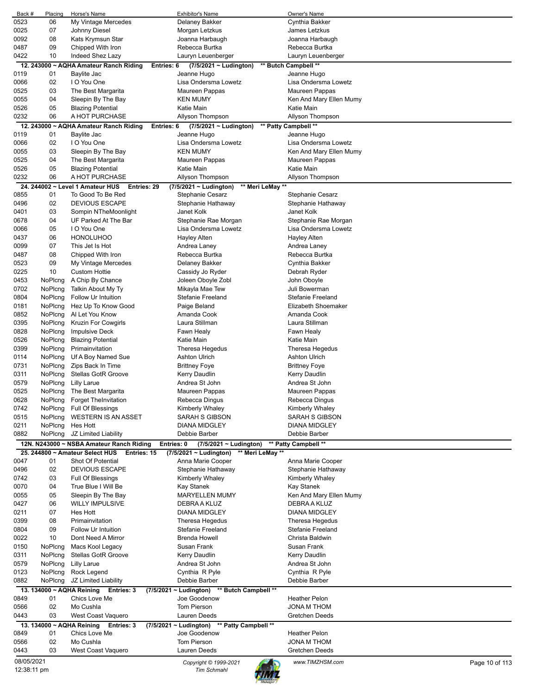| Back #      | Placing                   | Horse's Name                                    | <b>Exhibitor's Name</b>                             | Owner's Name             |                |
|-------------|---------------------------|-------------------------------------------------|-----------------------------------------------------|--------------------------|----------------|
| 0523        | 06                        | My Vintage Mercedes                             | Delaney Bakker                                      | Cynthia Bakker           |                |
| 0025        | 07                        | Johnny Diesel                                   | Morgan Letzkus                                      | James Letzkus            |                |
| 0092        | 08                        | Kats Krymsun Star                               | Joanna Harbaugh                                     | Joanna Harbaugh          |                |
| 0487        | 09                        | Chipped With Iron                               | Rebecca Burtka                                      | Rebecca Burtka           |                |
| 0422        | 10                        | Indeed Shez Lazy                                | Lauryn Leuenberger                                  | Lauryn Leuenberger       |                |
|             |                           | 12. 243000 ~ AQHA Amateur Ranch Riding          | $(7/5/2021 \sim$ Ludington)<br>Entries: 6           | ** Butch Campbell **     |                |
| 0119        | 01                        | Baylite Jac                                     | Jeanne Hugo                                         | Jeanne Hugo              |                |
| 0066        | 02                        | I O You One                                     | Lisa Ondersma Lowetz                                | Lisa Ondersma Lowetz     |                |
| 0525        | 03                        | The Best Margarita                              | Maureen Pappas                                      | Maureen Pappas           |                |
| 0055        | 04                        | Sleepin By The Bay                              | <b>KEN MUMY</b>                                     | Ken And Mary Ellen Mumy  |                |
| 0526        | 05                        | <b>Blazing Potential</b>                        | Katie Main                                          | Katie Main               |                |
| 0232        | 06                        | A HOT PURCHASE                                  | Allyson Thompson                                    | Allyson Thompson         |                |
|             |                           | 12. 243000 ~ AQHA Amateur Ranch Riding          | $(7/5/2021 \sim$ Ludington)<br>Entries: 6           | ** Patty Campbell **     |                |
| 0119        | 01                        | Baylite Jac                                     | Jeanne Hugo                                         | Jeanne Hugo              |                |
| 0066        | 02                        | I O You One                                     | Lisa Ondersma Lowetz                                | Lisa Ondersma Lowetz     |                |
| 0055        | 03                        | Sleepin By The Bay                              | <b>KEN MUMY</b>                                     | Ken And Mary Ellen Mumy  |                |
| 0525        | 04                        | The Best Margarita                              | Maureen Pappas                                      | Maureen Pappas           |                |
| 0526        | 05                        | <b>Blazing Potential</b>                        | Katie Main                                          | Katie Main               |                |
| 0232        | 06                        | A HOT PURCHASE                                  |                                                     |                          |                |
|             |                           |                                                 | Allyson Thompson                                    | Allyson Thompson         |                |
|             |                           | 24. 244002 ~ Level 1 Amateur HUS<br>Entries: 29 | $(7/5/2021 \sim$ Ludington)                         | ** Meri LeMay **         |                |
| 0855        | 01                        | To Good To Be Red                               | Stephanie Cesarz                                    | Stephanie Cesarz         |                |
| 0496        | 02                        | <b>DEVIOUS ESCAPE</b>                           | Stephanie Hathaway                                  | Stephanie Hathaway       |                |
| 0401        | 03                        | Sompin NTheMoonlight                            | Janet Kolk                                          | Janet Kolk               |                |
| 0678        | 04                        | UF Parked At The Bar                            | Stephanie Rae Morgan                                | Stephanie Rae Morgan     |                |
| 0066        | 05                        | I O You One                                     | Lisa Ondersma Lowetz                                | Lisa Ondersma Lowetz     |                |
| 0437        | 06                        | <b>HONOLUHOO</b>                                | Hayley Alten                                        | Hayley Alten             |                |
| 0099        | 07                        | This Jet Is Hot                                 | Andrea Laney                                        | Andrea Laney             |                |
| 0487        | 08                        | Chipped With Iron                               | Rebecca Burtka                                      | Rebecca Burtka           |                |
| 0523        | 09                        | My Vintage Mercedes                             | Delaney Bakker                                      | Cynthia Bakker           |                |
| 0225        | 10                        | <b>Custom Hottie</b>                            | Cassidy Jo Ryder                                    | Debrah Ryder             |                |
| 0453        | NoPlcng                   | A Chip By Chance                                | Joleen Oboyle Zobl                                  | John Oboyle              |                |
| 0702        | NoPlcng                   | Talkin About My Ty                              | Mikayla Mae Tew                                     | Juli Bowerman            |                |
| 0804        | NoPlcng                   | Follow Ur Intuition                             | Stefanie Freeland                                   | <b>Stefanie Freeland</b> |                |
| 0181        | NoPlcng                   | Hez Up To Know Good                             | Paige Beland                                        | Elizabeth Shoemaker      |                |
| 0852        | NoPlcng                   | Al Let You Know                                 | Amanda Cook                                         | Amanda Cook              |                |
| 0395        | NoPlcng                   | Kruzin For Cowgirls                             | Laura Stillman                                      | Laura Stillman           |                |
| 0828        | NoPlcng                   | <b>Impulsive Deck</b>                           | Fawn Healy                                          | Fawn Healy               |                |
| 0526        | NoPlcng                   | <b>Blazing Potential</b>                        | Katie Main                                          | Katie Main               |                |
| 0399        | NoPlcng                   | Primainvitation                                 | <b>Theresa Hegedus</b>                              | Theresa Hegedus          |                |
| 0114        | NoPlcng                   | Uf A Boy Named Sue                              | <b>Ashton Ulrich</b>                                | Ashton Ulrich            |                |
| 0731        | NoPlcng                   | Zips Back In Time                               | <b>Brittney Foye</b>                                | <b>Brittney Foye</b>     |                |
| 0311        | NoPlcng                   | Stellas GotR Groove                             | Kerry Daudlin                                       | Kerry Daudlin            |                |
| 0579        | NoPlcng                   | <b>Lilly Larue</b>                              | Andrea St John                                      | Andrea St John           |                |
| 0525        | NoPlcng                   | The Best Margarita                              | Maureen Pappas                                      | Maureen Pappas           |                |
| 0628        | NoPlcng                   | <b>Forget TheInvitation</b>                     | Rebecca Dingus                                      | Rebecca Dingus           |                |
| 0742        | NoPlcng                   | <b>Full Of Blessings</b>                        | Kimberly Whaley                                     | Kimberly Whaley          |                |
| 0515        | NoPlcng                   | <b>WESTERN IS AN ASSET</b>                      | <b>SARAH S GIBSON</b>                               | <b>SARAH S GIBSON</b>    |                |
| 0211        | NoPlcng                   | Hes Hott                                        | <b>DIANA MIDGLEY</b>                                | <b>DIANA MIDGLEY</b>     |                |
| 0882        | NoPlcng                   |                                                 | Debbie Barber                                       | Debbie Barber            |                |
|             |                           | JZ Limited Liability                            |                                                     |                          |                |
|             |                           | 12N. N243000 ~ NSBA Amateur Ranch Riding        | Entries: 0<br>$(7/5/2021 \sim$ Ludington)           | ** Patty Campbell **     |                |
| 0047        | 01                        | 25. 244800 ~ Amateur Select HUS<br>Entries: 15  | (7/5/2021 ~ Ludington)                              | ** Meri LeMay **         |                |
|             |                           | Shot Of Potential                               | Anna Marie Cooper                                   | Anna Marie Cooper        |                |
| 0496        | 02                        | <b>DEVIOUS ESCAPE</b>                           | Stephanie Hathaway                                  | Stephanie Hathaway       |                |
| 0742        | 03                        | Full Of Blessings                               | <b>Kimberly Whaley</b>                              | <b>Kimberly Whaley</b>   |                |
| 0070        | 04                        | True Blue I Will Be                             | <b>Kay Stanek</b>                                   | <b>Kay Stanek</b>        |                |
| 0055        | 05                        | Sleepin By The Bay                              | <b>MARYELLEN MUMY</b>                               | Ken And Mary Ellen Mumy  |                |
| 0427        | 06                        | <b>WILLY IMPULSIVE</b>                          | DEBRA A KLUZ                                        | DEBRA A KLUZ             |                |
| 0211        | 07                        | <b>Hes Hott</b>                                 | <b>DIANA MIDGLEY</b>                                | <b>DIANA MIDGLEY</b>     |                |
| 0399        | 08                        | Primainvitation                                 | Theresa Hegedus                                     | Theresa Hegedus          |                |
| 0804        | 09                        | Follow Ur Intuition                             | <b>Stefanie Freeland</b>                            | Stefanie Freeland        |                |
| 0022        | 10                        | Dont Need A Mirror                              | <b>Brenda Howell</b>                                | Christa Baldwin          |                |
| 0150        | NoPlcng                   | Macs Kool Legacy                                | Susan Frank                                         | Susan Frank              |                |
| 0311        | NoPlcng                   | Stellas GotR Groove                             | Kerry Daudlin                                       | <b>Kerry Daudlin</b>     |                |
| 0579        | NoPlcng                   | <b>Lilly Larue</b>                              | Andrea St John                                      | Andrea St John           |                |
| 0123        | NoPlcng                   | Rock Legend                                     | Cynthia R Pyle                                      | Cynthia R Pyle           |                |
| 0882        | NoPlcng                   | JZ Limited Liability                            | Debbie Barber                                       | Debbie Barber            |                |
|             |                           | 13. 134000 ~ AQHA Reining Entries: 3            | $(7/5/2021 \sim$ Ludington)<br>** Butch Campbell ** |                          |                |
| 0849        | 01                        | Chics Love Me                                   | Joe Goodenow                                        | <b>Heather Pelon</b>     |                |
| 0566        | 02                        | Mo Cushla                                       | <b>Tom Pierson</b>                                  | JONA M THOM              |                |
| 0443        | 03                        | West Coast Vaquero                              | Lauren Deeds                                        | Gretchen Deeds           |                |
|             | 13. 134000 ~ AQHA Reining | Entries: 3                                      | (7/5/2021 ~ Ludington)<br>** Patty Campbell **      |                          |                |
| 0849        | 01                        | Chics Love Me                                   | Joe Goodenow                                        | <b>Heather Pelon</b>     |                |
| 0566        | 02                        | Mo Cushla                                       | <b>Tom Pierson</b>                                  | JONA M THOM              |                |
| 0443        | 03                        | West Coast Vaquero                              | Lauren Deeds                                        | Gretchen Deeds           |                |
| 08/05/2021  |                           |                                                 |                                                     | www.TIMZHSM.com          |                |
| 12:38:11 pm |                           |                                                 | Copyright © 1999-2021<br><b>Tim Schmahl</b>         |                          | Page 10 of 113 |
|             |                           |                                                 |                                                     |                          |                |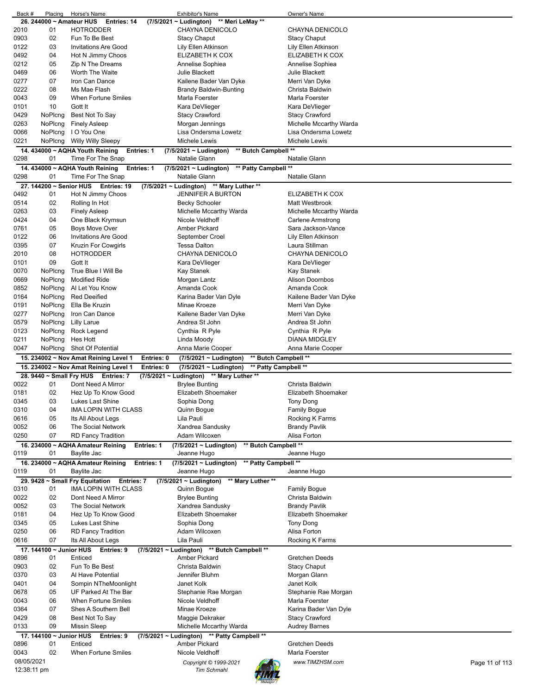| Back #     | Placing                  | Horse's Name                                         | <b>Exhibitor's Name</b>                             | Owner's Name                      |
|------------|--------------------------|------------------------------------------------------|-----------------------------------------------------|-----------------------------------|
|            | 26. 244000 ~ Amateur HUS | Entries: 14                                          | (7/5/2021 ~ Ludington) ** Meri LeMay **             |                                   |
| 2010       | 01                       | <b>HOTRODDER</b>                                     | CHAYNA DENICOLO                                     | CHAYNA DENICOLO                   |
| 0903       | 02                       | Fun To Be Best                                       | <b>Stacy Chaput</b>                                 | Stacy Chaput                      |
| 0122       | 03                       | <b>Invitations Are Good</b>                          | Lily Ellen Atkinson                                 | Lily Ellen Atkinson               |
| 0492       | 04                       | Hot N Jimmy Choos                                    | ELIZABETH K COX                                     | ELIZABETH K COX                   |
| 0212       | 05                       | Zip N The Dreams                                     | Annelise Sophiea                                    | Annelise Sophiea                  |
| 0469       | 06                       | Worth The Waite                                      | Julie Blackett                                      | Julie Blackett                    |
|            |                          |                                                      |                                                     |                                   |
| 0277       | 07                       | Iron Can Dance                                       | Kailene Bader Van Dyke                              | Merri Van Dyke                    |
| 0222       | 08                       | Ms Mae Flash                                         | Brandy Baldwin-Bunting                              | Christa Baldwin                   |
| 0043       | 09                       | When Fortune Smiles                                  | Marla Foerster                                      | Marla Foerster                    |
| 0101       | 10                       | Gott It                                              | Kara DeVlieger                                      | Kara DeVlieger                    |
| 0429       | NoPlcng                  | Best Not To Say                                      | <b>Stacy Crawford</b>                               | Stacy Crawford                    |
| 0263       | NoPlcng                  | <b>Finely Asleep</b>                                 | Morgan Jennings                                     | Michelle Mccarthy Warda           |
| 0066       | <b>NoPlcng</b>           | I O You One                                          | Lisa Ondersma Lowetz                                | Lisa Ondersma Lowetz              |
|            |                          |                                                      |                                                     |                                   |
| 0221       | NoPlcng                  | <b>Willy Willy Sleepy</b>                            | Michele Lewis                                       | Michele Lewis                     |
|            |                          | 14. 434000 ~ AQHA Youth Reining<br>Entries: 1        | ** Butch Campbell **<br>$(7/5/2021 \sim$ Ludington) |                                   |
| 0298       | 01                       | Time For The Snap                                    | Natalie Glann                                       | Natalie Glann                     |
|            |                          | 14. 434000 ~ AQHA Youth Reining<br><b>Entries: 1</b> | ** Patty Campbell **<br>(7/5/2021 ~ Ludington)      |                                   |
| 0298       | 01                       | Time For The Snap                                    | Natalie Glann                                       | Natalie Glann                     |
|            |                          | 27. 144200 ~ Senior HUS Entries: 19                  | (7/5/2021 ~ Ludington) ** Mary Luther **            |                                   |
|            |                          |                                                      |                                                     |                                   |
| 0492       | 01                       | Hot N Jimmy Choos                                    | <b>JENNIFER A BURTON</b>                            | ELIZABETH K COX                   |
| 0514       | 02                       | Rolling In Hot                                       | <b>Becky Schooler</b>                               | Matt Westbrook                    |
| 0263       | 03                       | <b>Finely Asleep</b>                                 | Michelle Mccarthy Warda                             | Michelle Mccarthy Warda           |
| 0424       | 04                       | One Black Krymsun                                    | Nicole Veldhoff                                     | <b>Carlene Armstrong</b>          |
| 0761       | 05                       | <b>Boys Move Over</b>                                | <b>Amber Pickard</b>                                | Sara Jackson-Vance                |
| 0122       | 06                       | <b>Invitations Are Good</b>                          | September Croel                                     | Lily Ellen Atkinson               |
| 0395       | 07                       | Kruzin For Cowgirls                                  | <b>Tessa Dalton</b>                                 | Laura Stillman                    |
|            |                          |                                                      |                                                     |                                   |
| 2010       | 08                       | <b>HOTRODDER</b>                                     | CHAYNA DENICOLO                                     | CHAYNA DENICOLO                   |
| 0101       | 09                       | Gott It                                              | Kara DeVlieger                                      | Kara DeVlieger                    |
| 0070       | NoPlcng                  | True Blue I Will Be                                  | Kay Stanek                                          | Kay Stanek                        |
| 0669       | NoPlcng                  | <b>Modified Ride</b>                                 | Morgan Lantz                                        | <b>Alison Doornbos</b>            |
| 0852       | NoPlcng                  | Al Let You Know                                      | Amanda Cook                                         | Amanda Cook                       |
| 0164       | NoPlcng                  | <b>Red Deeified</b>                                  | Karina Bader Van Dyle                               | Kailene Bader Van Dyke            |
| 0191       | NoPlcng                  | Ella Be Kruzin                                       | Minae Kroeze                                        | Merri Van Dyke                    |
| 0277       | NoPlcng                  | Iron Can Dance                                       |                                                     |                                   |
|            |                          |                                                      | Kailene Bader Van Dyke                              | Merri Van Dyke                    |
| 0579       | NoPlcng                  | <b>Lilly Larue</b>                                   | Andrea St John                                      | Andrea St John                    |
| 0123       | NoPlcng                  | Rock Legend                                          | Cynthia R Pyle                                      | Cynthia R Pyle                    |
| 0211       | NoPlcng                  | Hes Hott                                             | Linda Moody                                         | DIANA MIDGLEY                     |
|            |                          | Shot Of Potential                                    |                                                     |                                   |
| 0047       | NoPlcng                  |                                                      | Anna Marie Cooper                                   | Anna Marie Cooper                 |
|            |                          |                                                      |                                                     |                                   |
|            |                          | 15. 234002 ~ Nov Amat Reining Level 1<br>Entries: 0  | ** Butch Campbell **<br>(7/5/2021 ~ Ludington)      |                                   |
|            |                          | 15. 234002 ~ Nov Amat Reining Level 1<br>Entries: 0  | ** Patty Campbell **<br>(7/5/2021 ~ Ludington)      |                                   |
|            |                          | 28. 9440 ~ Small Fry HUS Entries: 7                  | (7/5/2021 ~ Ludington) ** Mary Luther **            |                                   |
| 0022       | 01                       | Dont Need A Mirror                                   | <b>Brylee Bunting</b>                               | Christa Baldwin                   |
| 0181       | 02                       | Hez Up To Know Good                                  | Elizabeth Shoemaker                                 | Elizabeth Shoemaker               |
| 0345       | 03                       | Lukes Last Shine                                     | Sophia Dong                                         | Tony Dong                         |
| 0310       | 04                       | IMA LOPIN WITH CLASS                                 |                                                     | Family Bogue                      |
|            |                          |                                                      | Quinn Bogue                                         |                                   |
| 0616       | 05                       | Its All About Legs                                   | Lila Pauli                                          | Rocking K Farms                   |
| 0052       | 06                       | The Social Network                                   | Xandrea Sandusky                                    | <b>Brandy Pavlik</b>              |
| 0250       | 07                       | <b>RD Fancy Tradition</b>                            | Adam Wilcoxen                                       | Alisa Forton                      |
|            |                          | 16. 234000 ~ AQHA Amateur Reining<br>Entries: 1      | ** Butch Campbell **<br>(7/5/2021 ~ Ludington)      |                                   |
| 0119       | 01                       | Baylite Jac                                          | Jeanne Hugo                                         | Jeanne Hugo                       |
|            |                          | 16. 234000 ~ AQHA Amateur Reining<br>Entries: 1      | ** Patty Campbell **<br>$(7/5/2021 \sim$ Ludington) |                                   |
| 0119       | 01                       | Baylite Jac                                          | Jeanne Hugo                                         | Jeanne Hugo                       |
|            |                          |                                                      |                                                     |                                   |
|            |                          | 29. 9428 ~ Small Fry Equitation<br>Entries: 7        | (7/5/2021 ~ Ludington) ** Mary Luther **            |                                   |
| 0310       | 01                       | IMA LOPIN WITH CLASS                                 | Quinn Bogue                                         | <b>Family Bogue</b>               |
| 0022       | 02                       | Dont Need A Mirror                                   | <b>Brylee Bunting</b>                               | Christa Baldwin                   |
| 0052       | 03                       | The Social Network                                   | Xandrea Sandusky                                    | <b>Brandy Pavlik</b>              |
| 0181       | 04                       | Hez Up To Know Good                                  | Elizabeth Shoemaker                                 | Elizabeth Shoemaker               |
| 0345       | 05                       | Lukes Last Shine                                     | Sophia Dong                                         | <b>Tony Dong</b>                  |
| 0250       | 06                       | <b>RD Fancy Tradition</b>                            | Adam Wilcoxen                                       | Alisa Forton                      |
| 0616       | 07                       | Its All About Legs                                   | Lila Pauli                                          | Rocking K Farms                   |
|            |                          |                                                      |                                                     |                                   |
|            | 17. 144100 ~ Junior HUS  | Entries: 9<br>$(7/5/2021 \sim$ Ludington)            | ** Butch Campbell **                                |                                   |
| 0896       | 01                       | Enticed                                              | Amber Pickard                                       | Gretchen Deeds                    |
| 0903       | 02                       | Fun To Be Best                                       | Christa Baldwin                                     | <b>Stacy Chaput</b>               |
| 0370       | 03                       | Al Have Potential                                    | Jennifer Bluhm                                      | Morgan Glann                      |
| 0401       | 04                       | Sompin NTheMoonlight                                 | Janet Kolk                                          | Janet Kolk                        |
| 0678       | 05                       | UF Parked At The Bar                                 | Stephanie Rae Morgan                                | Stephanie Rae Morgan              |
| 0043       | 06                       | When Fortune Smiles                                  | Nicole Veldhoff                                     | Marla Foerster                    |
|            |                          |                                                      |                                                     |                                   |
| 0364       | 07                       | Shes A Southern Bell                                 | Minae Kroeze                                        | Karina Bader Van Dyle             |
| 0429       | 08                       | Best Not To Say                                      | Maggie Dekraker                                     | Stacy Crawford                    |
| 0133       | 09                       | <b>Missin Sleep</b>                                  | Michelle Mccarthy Warda                             | <b>Audrey Barnes</b>              |
|            | 17. 144100 ~ Junior HUS  | Entries: 9                                           | (7/5/2021 ~ Ludington) ** Patty Campbell **         |                                   |
| 0896       | 01                       | Enticed                                              | <b>Amber Pickard</b>                                | Gretchen Deeds                    |
| 0043       | 02                       | When Fortune Smiles                                  | Nicole Veldhoff                                     | Marla Foerster                    |
| 08/05/2021 |                          |                                                      |                                                     |                                   |
|            |                          |                                                      | Copyright © 1999-2021                               | www.TIMZHSM.com<br>Page 11 of 113 |
|            | 12:38:11 pm              |                                                      | <b>Tim Schmahl</b>                                  |                                   |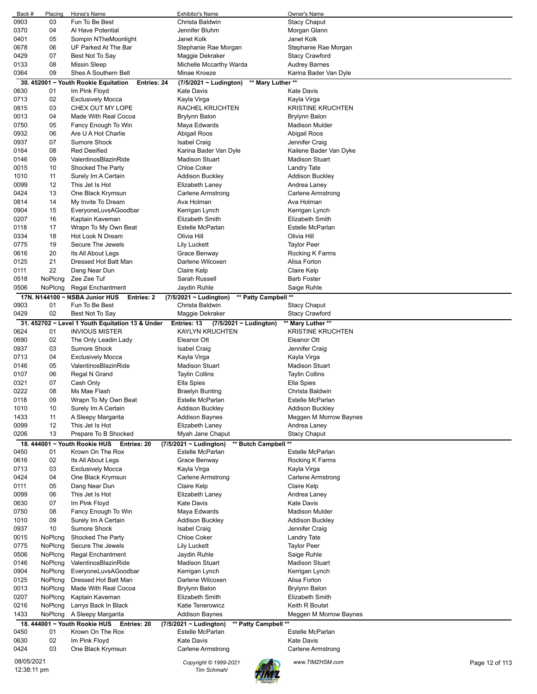| Back #     | Placing | Horse's Name                                               | Exhibitor's Name                                 | Owner's Name                      |  |
|------------|---------|------------------------------------------------------------|--------------------------------------------------|-----------------------------------|--|
| 0903       | 03      | Fun To Be Best                                             | Christa Baldwin                                  | <b>Stacy Chaput</b>               |  |
| 0370       | 04      | Al Have Potential                                          | Jennifer Bluhm                                   | Morgan Glann                      |  |
| 0401       | 05      | Sompin NTheMoonlight                                       | Janet Kolk                                       | Janet Kolk                        |  |
|            |         |                                                            |                                                  |                                   |  |
| 0678       | 06      | UF Parked At The Bar                                       | Stephanie Rae Morgan                             | Stephanie Rae Morgan              |  |
| 0429       | 07      | Best Not To Say                                            | Maggie Dekraker                                  | <b>Stacy Crawford</b>             |  |
| 0133       | 08      | <b>Missin Sleep</b>                                        | Michelle Mccarthy Warda                          | <b>Audrey Barnes</b>              |  |
| 0364       | 09      | Shes A Southern Bell                                       | Minae Kroeze                                     | Karina Bader Van Dyle             |  |
|            |         | 30. 452001 ~ Youth Rookie Equitation<br><b>Entries: 24</b> | $(7/5/2021 \sim$ Ludington)<br>** Mary Luther ** |                                   |  |
|            |         |                                                            |                                                  |                                   |  |
| 0630       | 01      | Im Pink Floyd                                              | Kate Davis                                       | Kate Davis                        |  |
| 0713       | 02      | <b>Exclusively Mocca</b>                                   | Kayla Virga                                      | Kayla Virga                       |  |
| 0815       | 03      | CHEX OUT MY LOPE                                           | RACHEL KRUCHTEN                                  | <b>KRISTINE KRUCHTEN</b>          |  |
| 0013       | 04      | Made With Real Cocoa                                       | Brylynn Balon                                    | <b>Brylynn Balon</b>              |  |
| 0750       | 05      | Fancy Enough To Win                                        | Maya Edwards                                     | <b>Madison Mulder</b>             |  |
|            | 06      |                                                            |                                                  |                                   |  |
| 0932       |         | Are U A Hot Charlie                                        | Abigail Roos                                     | Abigail Roos                      |  |
| 0937       | 07      | Sumore Shock                                               | <b>Isabel Craig</b>                              | Jennifer Craig                    |  |
| 0164       | 08      | <b>Red Deeified</b>                                        | Karina Bader Van Dyle                            | Kailene Bader Van Dyke            |  |
| 0146       | 09      | ValentinosBlazinRide                                       | <b>Madison Stuart</b>                            | <b>Madison Stuart</b>             |  |
| 0015       | 10      | Shocked The Party                                          | <b>Chloe Coker</b>                               | Landry Tate                       |  |
|            |         |                                                            |                                                  |                                   |  |
| 1010       | 11      | Surely Im A Certain                                        | <b>Addison Buckley</b>                           | Addison Buckley                   |  |
| 0099       | 12      | This Jet Is Hot                                            | Elizabeth Laney                                  | Andrea Laney                      |  |
| 0424       | 13      | One Black Krymsun                                          | <b>Carlene Armstrong</b>                         | Carlene Armstrong                 |  |
| 0814       | 14      | My Invite To Dream                                         | Ava Holman                                       | Ava Holman                        |  |
| 0904       | 15      | EveryoneLuvsAGoodbar                                       | Kerrigan Lynch                                   | Kerrigan Lynch                    |  |
|            |         |                                                            | <b>Elizabeth Smith</b>                           | Elizabeth Smith                   |  |
| 0207       | 16      | Kaptain Kaveman                                            |                                                  |                                   |  |
| 0118       | 17      | Wrapn To My Own Beat                                       | Estelle McParlan                                 | <b>Estelle McParlan</b>           |  |
| 0334       | 18      | Hot Look N Dream                                           | Olivia Hill                                      | Olivia Hill                       |  |
| 0775       | 19      | Secure The Jewels                                          | <b>Lily Luckett</b>                              | <b>Taylor Peer</b>                |  |
| 0616       | 20      | Its All About Legs                                         | Grace Benway                                     | Rocking K Farms                   |  |
|            |         | Dressed Hot Batt Man                                       | Darlene Wilcoxen                                 |                                   |  |
| 0125       | 21      |                                                            |                                                  | Alisa Forton                      |  |
| 0111       | 22      | Dang Near Dun                                              | Claire Kelp                                      | Claire Kelp                       |  |
| 0518       | NoPlcng | Zee Zee Tuf                                                | Sarah Russell                                    | <b>Barb Foster</b>                |  |
| 0506       | NoPlcng | <b>Regal Enchantment</b>                                   | Jaydin Ruhle                                     | Saige Ruhle                       |  |
|            |         | 17N. N144100 ~ NSBA Junior HUS<br>Entries: 2               | ** Patty Campbell **<br>(7/5/2021 ~ Ludington)   |                                   |  |
|            |         |                                                            |                                                  |                                   |  |
| 0903       | 01      | Fun To Be Best                                             | Christa Baldwin                                  | <b>Stacy Chaput</b>               |  |
| 0429       | 02      | Best Not To Say                                            | Maggie Dekraker                                  | <b>Stacy Crawford</b>             |  |
|            |         | 31. 452702 ~ Level 1 Youth Equitation 13 & Under           | Entries: 13<br>(7/5/2021 ~ Ludington)            | ** Mary Luther **                 |  |
| 0624       | 01      | <b>INVIOUS MISTER</b>                                      | <b>KAYLYN KRUCHTEN</b>                           | <b>KRISTINE KRUCHTEN</b>          |  |
| 0690       | 02      | The Only Leadin Lady                                       | Eleanor Ott                                      | Eleanor Ott                       |  |
|            | 03      | Sumore Shock                                               |                                                  |                                   |  |
| 0937       |         |                                                            | <b>Isabel Craig</b>                              | Jennifer Craig                    |  |
| 0713       | 04      | <b>Exclusively Mocca</b>                                   | Kayla Virga                                      | Kayla Virga                       |  |
| 0146       | 05      | ValentinosBlazinRide                                       | <b>Madison Stuart</b>                            | <b>Madison Stuart</b>             |  |
| 0107       | 06      | Regal N Grand                                              | <b>Taylin Collins</b>                            | <b>Taylin Collins</b>             |  |
| 0321       | 07      | Cash Only                                                  | Ella Spies                                       | Ella Spies                        |  |
| 0222       | 08      | Ms Mae Flash                                               | <b>Braelyn Bunting</b>                           | Christa Baldwin                   |  |
|            |         |                                                            |                                                  |                                   |  |
| 0118       | 09      | Wrapn To My Own Beat                                       | Estelle McParlan                                 | <b>Estelle McParlan</b>           |  |
| 1010       | 10      | Surely Im A Certain                                        | <b>Addison Buckley</b>                           | <b>Addison Buckley</b>            |  |
| 1433       | 11      | A Sleepy Margarita                                         | <b>Addison Baynes</b>                            | Meggen M Morrow Baynes            |  |
| 0099       | 12      | This Jet Is Hot                                            | Elizabeth Laney                                  | Andrea Laney                      |  |
| 0206       | 13      | Prepare To B Shocked                                       | Myah Jane Chaput                                 | <b>Stacy Chaput</b>               |  |
|            |         |                                                            |                                                  |                                   |  |
|            |         | 18. 444001 ~ Youth Rookie HUS<br>Entries: 20               | ** Butch Campbell **<br>(7/5/2021 ~ Ludington)   |                                   |  |
| 0450       | 01      | Krown On The Rox                                           | Estelle McParlan                                 | Estelle McParlan                  |  |
| 0616       | 02      | Its All About Legs                                         | Grace Benway                                     | Rocking K Farms                   |  |
| 0713       | 03      | <b>Exclusively Mocca</b>                                   | Kayla Virga                                      | Kayla Virga                       |  |
| 0424       | 04      | One Black Krymsun                                          | Carlene Armstrong                                | Carlene Armstrong                 |  |
|            |         |                                                            |                                                  |                                   |  |
| 0111       | 05      | Dang Near Dun                                              | Claire Kelp                                      | Claire Kelp                       |  |
| 0099       |         |                                                            |                                                  |                                   |  |
| 0630       | 06      | This Jet Is Hot                                            | Elizabeth Laney                                  | Andrea Laney                      |  |
|            | 07      | Im Pink Floyd                                              | <b>Kate Davis</b>                                | <b>Kate Davis</b>                 |  |
| 0750       | 08      |                                                            |                                                  | <b>Madison Mulder</b>             |  |
|            |         | Fancy Enough To Win                                        | Maya Edwards                                     |                                   |  |
| 1010       | 09      | Surely Im A Certain                                        | <b>Addison Buckley</b>                           | <b>Addison Buckley</b>            |  |
| 0937       | 10      | <b>Sumore Shock</b>                                        | <b>Isabel Craig</b>                              | Jennifer Craig                    |  |
| 0015       | NoPlcng | Shocked The Party                                          | <b>Chloe Coker</b>                               | <b>Landry Tate</b>                |  |
| 0775       | NoPlcng | Secure The Jewels                                          | Lily Luckett                                     | <b>Taylor Peer</b>                |  |
| 0506       | NoPlcng | <b>Regal Enchantment</b>                                   | Jaydin Ruhle                                     | Saige Ruhle                       |  |
| 0146       | NoPlcng | ValentinosBlazinRide                                       | <b>Madison Stuart</b>                            | Madison Stuart                    |  |
|            |         |                                                            |                                                  |                                   |  |
| 0904       | NoPlcng | EveryoneLuvsAGoodbar                                       | Kerrigan Lynch                                   | Kerrigan Lynch                    |  |
| 0125       | NoPlcng | Dressed Hot Batt Man                                       | Darlene Wilcoxen                                 | Alisa Forton                      |  |
| 0013       | NoPlcng | Made With Real Cocoa                                       | <b>Brylynn Balon</b>                             | <b>Brylynn Balon</b>              |  |
| 0207       | NoPlcng | Kaptain Kaveman                                            | <b>Elizabeth Smith</b>                           | Elizabeth Smith                   |  |
|            |         |                                                            | Katie Tenerowicz                                 |                                   |  |
| 0216       | NoPlcng | Larrys Back In Black                                       |                                                  | Keith R Boutet                    |  |
| 1433       | NoPlcng | A Sleepy Margarita                                         | Addison Baynes                                   | Meggen M Morrow Baynes            |  |
|            |         | 18. 444001 ~ Youth Rookie HUS<br>Entries: 20               | ** Patty Campbell **<br>(7/5/2021 ~ Ludington)   |                                   |  |
| 0450       | 01      | Krown On The Rox                                           | Estelle McParlan                                 | Estelle McParlan                  |  |
| 0630       | 02      | Im Pink Floyd                                              | <b>Kate Davis</b>                                | <b>Kate Davis</b>                 |  |
| 0424       | 03      |                                                            |                                                  |                                   |  |
|            |         | One Black Krymsun                                          | Carlene Armstrong                                | Carlene Armstrong                 |  |
| 08/05/2021 |         |                                                            | Copyright © 1999-2021                            | www.TIMZHSM.com<br>Page 12 of 113 |  |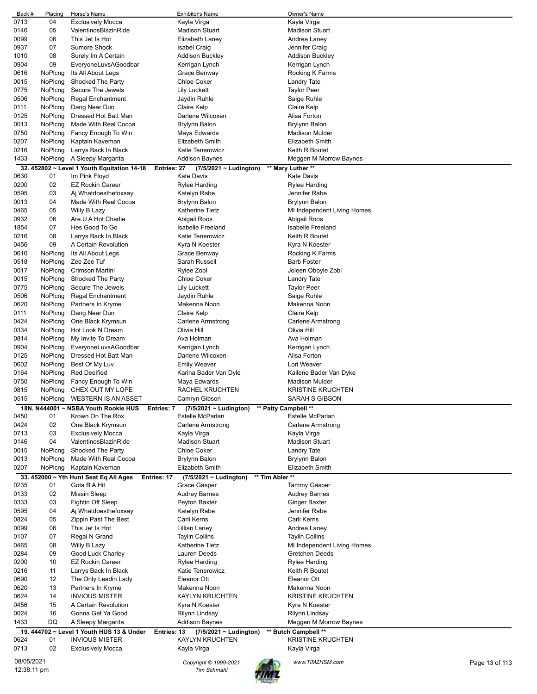| Back #      | Placing | Horse's Name                                               | <b>Exhibitor's Name</b>                             | Owner's Name                |                |
|-------------|---------|------------------------------------------------------------|-----------------------------------------------------|-----------------------------|----------------|
| 0713        | 04      | <b>Exclusively Mocca</b>                                   | Kayla Virga                                         | Kayla Virga                 |                |
| 0146        | 05      | ValentinosBlazinRide                                       | Madison Stuart                                      | <b>Madison Stuart</b>       |                |
| 0099        | 06      | This Jet Is Hot                                            | Elizabeth Laney                                     | Andrea Laney                |                |
| 0937        | 07      | Sumore Shock                                               | Isabel Craig                                        | Jennifer Craig              |                |
| 1010        | 08      | Surely Im A Certain                                        | Addison Buckley                                     | <b>Addison Buckley</b>      |                |
| 0904        | 09      | EveryoneLuvsAGoodbar                                       |                                                     |                             |                |
|             |         |                                                            | Kerrigan Lynch                                      | Kerrigan Lynch              |                |
| 0616        | NoPlcng | Its All About Legs                                         | Grace Benway                                        | Rocking K Farms             |                |
| 0015        | NoPlcng | Shocked The Party                                          | <b>Chloe Coker</b>                                  | Landry Tate                 |                |
| 0775        | NoPlcng | Secure The Jewels                                          | Lily Luckett                                        | <b>Taylor Peer</b>          |                |
| 0506        | NoPlcng | <b>Regal Enchantment</b>                                   | Jaydin Ruhle                                        | Saige Ruhle                 |                |
| 0111        | NoPlcng | Dang Near Dun                                              | Claire Kelp                                         | Claire Kelp                 |                |
| 0125        | NoPlcng | Dressed Hot Batt Man                                       | Darlene Wilcoxen                                    | Alisa Forton                |                |
| 0013        | NoPlcng | Made With Real Cocoa                                       | Brylynn Balon                                       | Brylynn Balon               |                |
| 0750        | NoPlcng | Fancy Enough To Win                                        |                                                     | <b>Madison Mulder</b>       |                |
|             |         |                                                            | Maya Edwards                                        |                             |                |
| 0207        | NoPlcng | Kaptain Kaveman                                            | Elizabeth Smith                                     | Elizabeth Smith             |                |
| 0216        | NoPlcng | Larrys Back In Black                                       | Katie Tenerowicz                                    | Keith R Boutet              |                |
| 1433        | NoPlcng | A Sleepy Margarita                                         | Addison Baynes                                      | Meggen M Morrow Baynes      |                |
|             |         | 32. 452802 ~ Level 1 Youth Equitation 14-18<br>Entries: 27 | $(7/5/2021 \sim$ Ludington)                         | ** Mary Luther **           |                |
| 0630        | 01      | Im Pink Floyd                                              | <b>Kate Davis</b>                                   | <b>Kate Davis</b>           |                |
| 0200        | 02      | <b>EZ Rockin Career</b>                                    | Rylee Harding                                       | Rylee Harding               |                |
| 0595        | 03      | Ai Whatdoesthefoxsay                                       | Katelyn Rabe                                        | Jennifer Rabe               |                |
|             |         |                                                            |                                                     |                             |                |
| 0013        | 04      | Made With Real Cocoa                                       | Brylynn Balon                                       | Brylynn Balon               |                |
| 0465        | 05      | Willy B Lazy                                               | Katherine Tietz                                     | MI Independent Living Homes |                |
| 0932        | 06      | Are U A Hot Charlie                                        | Abigail Roos                                        | Abigail Roos                |                |
| 1854        | 07      | Hes Good To Go                                             | Isabelle Freeland                                   | Isabelle Freeland           |                |
| 0216        | 08      | Larrys Back In Black                                       | Katie Tenerowicz                                    | Keith R Boutet              |                |
| 0456        | 09      | A Certain Revolution                                       | Kyra N Koester                                      | Kyra N Koester              |                |
| 0616        | NoPlcng | Its All About Legs                                         | Grace Benway                                        | Rocking K Farms             |                |
|             |         |                                                            |                                                     |                             |                |
| 0518        | NoPlcng | Zee Zee Tuf                                                | Sarah Russell                                       | Barb Foster                 |                |
| 0017        | NoPlcng | Crimson Martini                                            | Rylee Zobl                                          | Joleen Oboyle Zobl          |                |
| 0015        | NoPlcng | Shocked The Party                                          | Chloe Coker                                         | Landry Tate                 |                |
| 0775        | NoPlcng | Secure The Jewels                                          | Lily Luckett                                        | <b>Taylor Peer</b>          |                |
| 0506        | NoPlcng | <b>Regal Enchantment</b>                                   | Jaydin Ruhle                                        | Saige Ruhle                 |                |
| 0620        | NoPlcng | Partners In Kryme                                          | Makenna Noon                                        | Makenna Noon                |                |
| 0111        | NoPlcng | Dang Near Dun                                              | Claire Kelp                                         | Claire Kelp                 |                |
| 0424        | NoPlcng | One Black Krymsun                                          | Carlene Armstrong                                   | Carlene Armstrong           |                |
|             |         |                                                            | Olivia Hill                                         | Olivia Hill                 |                |
| 0334        | NoPlcng | Hot Look N Dream                                           |                                                     |                             |                |
| 0814        | NoPlcng | My Invite To Dream                                         | Ava Holman                                          | Ava Holman                  |                |
| 0904        | NoPlcng | EveryoneLuvsAGoodbar                                       | Kerrigan Lynch                                      | Kerrigan Lynch              |                |
| 0125        | NoPlcng | Dressed Hot Batt Man                                       | Darlene Wilcoxen                                    | Alisa Forton                |                |
| 0602        | NoPlcng | Best Of My Luv                                             | Emily Weaver                                        | Lori Weaver                 |                |
| 0164        | NoPlcng | <b>Red Deeified</b>                                        | Karina Bader Van Dyle                               | Kailene Bader Van Dyke      |                |
| 0750        | NoPlcng | Fancy Enough To Win                                        | Maya Edwards                                        | <b>Madison Mulder</b>       |                |
| 0815        | NoPlcng | CHEX OUT MY LOPE                                           | RACHEL KRUCHTEN                                     | <b>KRISTINE KRUCHTEN</b>    |                |
|             |         | <b>WESTERN IS AN ASSET</b>                                 |                                                     |                             |                |
| 0515        | NoPlcng |                                                            | Camryn Gibson                                       | SARAH S GIBSON              |                |
|             |         | 18N. N444001 ~ NSBA Youth Rookie HUS<br>Entries: 7         | ** Patty Campbell **<br>$(7/5/2021 \sim$ Ludington) |                             |                |
| 0450        | 01      | Krown On The Rox                                           | Estelle McParlan                                    | Estelle McParlan            |                |
| 0424        | 02      | One Black Krymsun                                          | <b>Carlene Armstrong</b>                            | <b>Carlene Armstrong</b>    |                |
| 0713        | 03      | <b>Exclusively Mocca</b>                                   | Kayla Virga                                         | Kayla Virga                 |                |
| 0146        | 04      | ValentinosBlazinRide                                       | <b>Madison Stuart</b>                               | <b>Madison Stuart</b>       |                |
| 0015        | NoPlcng | Shocked The Party                                          | <b>Chloe Coker</b>                                  | Landry Tate                 |                |
| 0013        | NoPlcng | Made With Real Cocoa                                       | Brylynn Balon                                       | Brylynn Balon               |                |
|             |         |                                                            |                                                     |                             |                |
| 0207        | NoPlcng | Kaptain Kaveman                                            | Elizabeth Smith                                     | Elizabeth Smith             |                |
|             |         | 33. 452000 ~ Yth Hunt Seat Eq All Ages<br>Entries: 17      | ** Tim Abler **<br>$(7/5/2021 \sim$ Ludington)      |                             |                |
| 0235        | 01      | Gota B A Hit                                               | Grace Gasper                                        | <b>Tammy Gasper</b>         |                |
| 0133        | 02      | <b>Missin Sleep</b>                                        | <b>Audrey Barnes</b>                                | <b>Audrey Barnes</b>        |                |
| 0333        | 03      | Fightin Off Sleep                                          | Peyton Baxter                                       | Ginger Baxter               |                |
| 0595        | 04      | Ai Whatdoesthefoxsay                                       | Katelyn Rabe                                        | Jennifer Rabe               |                |
| 0824        | 05      | Zippin Past The Best                                       | Carli Kerns                                         | Carli Kerns                 |                |
| 0099        | 06      | This Jet Is Hot                                            | Lillian Laney                                       | Andrea Laney                |                |
| 0107        | 07      | Regal N Grand                                              | <b>Taylin Collins</b>                               | <b>Taylin Collins</b>       |                |
|             |         |                                                            |                                                     |                             |                |
| 0465        | 08      | Willy B Lazy                                               | Katherine Tietz                                     | MI Independent Living Homes |                |
| 0284        | 09      | Good Luck Charley                                          | Lauren Deeds                                        | Gretchen Deeds              |                |
| 0200        | 10      | <b>EZ Rockin Career</b>                                    | Rylee Harding                                       | Rylee Harding               |                |
| 0216        | 11      | Larrys Back In Black                                       | Katie Tenerowicz                                    | Keith R Boutet              |                |
| 0690        | 12      | The Only Leadin Lady                                       | Eleanor Ott                                         | Eleanor Ott                 |                |
| 0620        | 13      | Partners In Kryme                                          | Makenna Noon                                        | Makenna Noon                |                |
| 0624        | 14      | <b>INVIOUS MISTER</b>                                      | KAYLYN KRUCHTEN                                     | <b>KRISTINE KRUCHTEN</b>    |                |
| 0456        | 15      | A Certain Revolution                                       | Kyra N Koester                                      | Kyra N Koester              |                |
| 0024        | 16      | Gonna Get Ya Good                                          | Rilynn Lindsay                                      |                             |                |
|             |         |                                                            |                                                     | Rilynn Lindsay              |                |
| 1433        | DQ      | A Sleepy Margarita                                         | <b>Addison Baynes</b>                               | Meggen M Morrow Baynes      |                |
|             |         | 19. 444702 ~ Level 1 Youth HUS 13 & Under<br>Entries: 13   | $(7/5/2021 \sim$ Ludington)                         | ** Butch Campbell **        |                |
| 0624        | 01      | <b>INVIOUS MISTER</b>                                      | KAYLYN KRUCHTEN                                     | <b>KRISTINE KRUCHTEN</b>    |                |
| 0713        | 02      | <b>Exclusively Mocca</b>                                   | Kayla Virga                                         | Kayla Virga                 |                |
| 08/05/2021  |         |                                                            |                                                     |                             |                |
| 12:38:11 pm |         |                                                            | Copyright © 1999-2021                               | www.TIMZHSM.com             | Page 13 of 113 |
|             |         |                                                            | Tim Schmahl                                         |                             |                |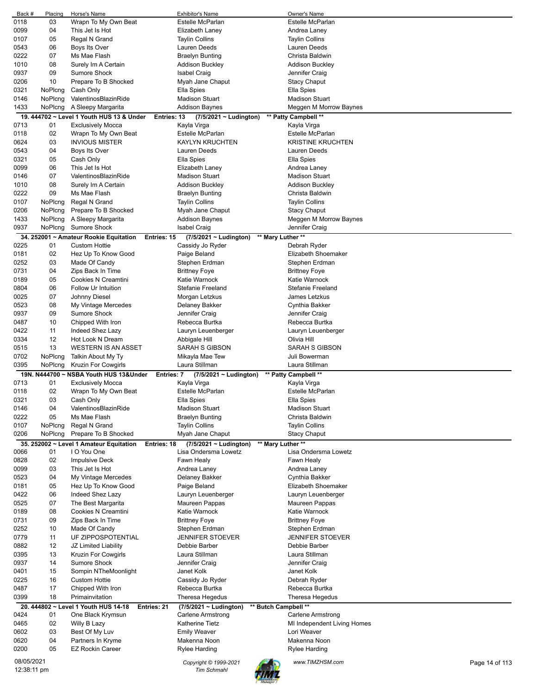| Back #      | Placing | Horse's Name                                               | Exhibitor's Name            | Owner's Name                |                |
|-------------|---------|------------------------------------------------------------|-----------------------------|-----------------------------|----------------|
| 0118        | 03      | Wrapn To My Own Beat                                       | Estelle McParlan            | Estelle McParlan            |                |
| 0099        | 04      | This Jet Is Hot                                            | Elizabeth Laney             | Andrea Laney                |                |
| 0107        | 05      | Regal N Grand                                              | <b>Taylin Collins</b>       | <b>Taylin Collins</b>       |                |
| 0543        | 06      | Boys Its Over                                              | Lauren Deeds                | Lauren Deeds                |                |
| 0222        | 07      | Ms Mae Flash                                               | <b>Braelyn Bunting</b>      | Christa Baldwin             |                |
| 1010        | 08      | Surely Im A Certain                                        | <b>Addison Buckley</b>      | Addison Buckley             |                |
| 0937        | 09      | <b>Sumore Shock</b>                                        | <b>Isabel Craig</b>         | Jennifer Craig              |                |
| 0206        | 10      | Prepare To B Shocked                                       | Myah Jane Chaput            | <b>Stacy Chaput</b>         |                |
| 0321        | NoPlcng | Cash Only                                                  | Ella Spies                  | Ella Spies                  |                |
| 0146        | NoPlcng | ValentinosBlazinRide                                       | <b>Madison Stuart</b>       | <b>Madison Stuart</b>       |                |
| 1433        | NoPlcng | A Sleepy Margarita                                         | <b>Addison Baynes</b>       | Meggen M Morrow Baynes      |                |
|             |         |                                                            |                             |                             |                |
|             |         | 19. 444702 ~ Level 1 Youth HUS 13 & Under<br>Entries: 13   | (7/5/2021 ~ Ludington)      | ** Patty Campbell **        |                |
| 0713        | 01      | <b>Exclusively Mocca</b>                                   | Kayla Virga                 | Kayla Virga                 |                |
| 0118        | 02      | Wrapn To My Own Beat                                       | <b>Estelle McParlan</b>     | <b>Estelle McParlan</b>     |                |
| 0624        | 03      | <b>INVIOUS MISTER</b>                                      | <b>KAYLYN KRUCHTEN</b>      | <b>KRISTINE KRUCHTEN</b>    |                |
| 0543        | 04      | Boys Its Over                                              | Lauren Deeds                | Lauren Deeds                |                |
| 0321        | 05      | Cash Only                                                  | Ella Spies                  | Ella Spies                  |                |
| 0099        | 06      | This Jet Is Hot                                            | Elizabeth Laney             | Andrea Laney                |                |
| 0146        | 07      | ValentinosBlazinRide                                       | <b>Madison Stuart</b>       | <b>Madison Stuart</b>       |                |
| 1010        | 08      | Surely Im A Certain                                        | <b>Addison Buckley</b>      | <b>Addison Buckley</b>      |                |
| 0222        | 09      | Ms Mae Flash                                               | <b>Braelyn Bunting</b>      | Christa Baldwin             |                |
| 0107        | NoPlcng | Regal N Grand                                              | <b>Taylin Collins</b>       | <b>Taylin Collins</b>       |                |
| 0206        | NoPlcng | Prepare To B Shocked                                       | Myah Jane Chaput            | <b>Stacy Chaput</b>         |                |
| 1433        | NoPlcng | A Sleepy Margarita                                         | Addison Baynes              | Meggen M Morrow Baynes      |                |
| 0937        | NoPlcng | Sumore Shock                                               | <b>Isabel Craig</b>         | Jennifer Craig              |                |
|             |         |                                                            |                             |                             |                |
|             |         | 34. 252001 ~ Amateur Rookie Equitation<br>Entries: 15      | $(7/5/2021 \sim$ Ludington) | ** Mary Luther **           |                |
| 0225        | 01      | <b>Custom Hottie</b>                                       | Cassidy Jo Ryder            | Debrah Ryder                |                |
| 0181        | 02      | Hez Up To Know Good                                        | Paige Beland                | Elizabeth Shoemaker         |                |
| 0252        | 03      | Made Of Candy                                              | Stephen Erdman              | Stephen Erdman              |                |
| 0731        | 04      | Zips Back In Time                                          | <b>Brittney Foye</b>        | <b>Brittney Foye</b>        |                |
| 0189        | 05      | Cookies N Creamtini                                        | Katie Warnock               | Katie Warnock               |                |
| 0804        | 06      | Follow Ur Intuition                                        | Stefanie Freeland           | Stefanie Freeland           |                |
| 0025        | 07      | Johnny Diesel                                              | Morgan Letzkus              | James Letzkus               |                |
| 0523        | 08      | My Vintage Mercedes                                        | Delaney Bakker              | Cynthia Bakker              |                |
| 0937        | 09      | Sumore Shock                                               | Jennifer Craig              | Jennifer Craig              |                |
| 0487        | 10      | Chipped With Iron                                          | Rebecca Burtka              | Rebecca Burtka              |                |
| 0422        | 11      | Indeed Shez Lazy                                           | Lauryn Leuenberger          | Lauryn Leuenberger          |                |
| 0334        | 12      | Hot Look N Dream                                           | Abbigale Hill               | Olivia Hill                 |                |
|             | 13      | <b>WESTERN IS AN ASSET</b>                                 | SARAH S GIBSON              | SARAH S GIBSON              |                |
| 0515        |         |                                                            |                             |                             |                |
| 0702        | NoPlcng | Talkin About My Ty                                         | Mikayla Mae Tew             | Juli Bowerman               |                |
| 0395        | NoPlcng | Kruzin For Cowgirls                                        | Laura Stillman              | Laura Stillman              |                |
|             |         | 19N. N444700 ~ NSBA Youth HUS 13& Under<br>Entries: 7      | (7/5/2021 ~ Ludington)      | ** Patty Campbell **        |                |
| 0713        | 01      | <b>Exclusively Mocca</b>                                   | Kayla Virga                 | Kayla Virga                 |                |
| 0118        | 02      | Wrapn To My Own Beat                                       | Estelle McParlan            | Estelle McParlan            |                |
| 0321        | 03      | Cash Only                                                  | Ella Spies                  | Ella Spies                  |                |
| 0146        | 04      | ValentinosBlazinRide                                       | <b>Madison Stuart</b>       | <b>Madison Stuart</b>       |                |
| 0222        | 05      | Ms Mae Flash                                               | <b>Braelyn Bunting</b>      | Christa Baldwin             |                |
| 0107        | NoPlcng | Regal N Grand                                              | <b>Taylin Collins</b>       | <b>Taylin Collins</b>       |                |
| 0206        | NoPlcng | Prepare To B Shocked                                       | Myah Jane Chaput            | <b>Stacy Chaput</b>         |                |
|             |         | 35. 252002 ~ Level 1 Amateur Equitation<br>Entries: 18     | (7/5/2021 ~ Ludington)      | ** Mary Luther **           |                |
| 0066        | 01      | I O You One                                                | Lisa Ondersma Lowetz        | Lisa Ondersma Lowetz        |                |
| 0828        | 02      |                                                            |                             |                             |                |
|             |         | <b>Impulsive Deck</b>                                      | Fawn Healy                  | Fawn Healy                  |                |
| 0099        | 03      | This Jet Is Hot                                            | Andrea Laney                | Andrea Laney                |                |
| 0523        | 04      | My Vintage Mercedes                                        | Delaney Bakker              | Cynthia Bakker              |                |
| 0181        | 05      | Hez Up To Know Good                                        | Paige Beland                | Elizabeth Shoemaker         |                |
| 0422        | 06      | Indeed Shez Lazy                                           | Lauryn Leuenberger          | Lauryn Leuenberger          |                |
| 0525        | 07      | The Best Margarita                                         | Maureen Pappas              | Maureen Pappas              |                |
| 0189        | 08      | Cookies N Creamtini                                        | Katie Warnock               | Katie Warnock               |                |
| 0731        | 09      | Zips Back In Time                                          | <b>Brittney Foye</b>        | <b>Brittney Foye</b>        |                |
| 0252        | 10      | Made Of Candy                                              | Stephen Erdman              | Stephen Erdman              |                |
| 0779        | 11      | UF ZIPPOSPOTENTIAL                                         | JENNIFER STOEVER            | JENNIFER STOEVER            |                |
| 0882        | 12      | JZ Limited Liability                                       | Debbie Barber               | Debbie Barber               |                |
| 0395        | 13      | Kruzin For Cowgirls                                        | Laura Stillman              | Laura Stillman              |                |
| 0937        | 14      | Sumore Shock                                               | Jennifer Craig              | Jennifer Craig              |                |
| 0401        | 15      | Sompin NTheMoonlight                                       | Janet Kolk                  | Janet Kolk                  |                |
| 0225        | 16      | <b>Custom Hottie</b>                                       | Cassidy Jo Ryder            | Debrah Ryder                |                |
| 0487        | 17      | Chipped With Iron                                          | Rebecca Burtka              | Rebecca Burtka              |                |
| 0399        | 18      | Primainvitation                                            | Theresa Hegedus             | Theresa Hegedus             |                |
|             |         |                                                            |                             |                             |                |
|             |         | 20. 444802 ~ Level 1 Youth HUS 14-18<br><b>Entries: 21</b> | (7/5/2021 ~ Ludington)      | ** Butch Campbell **        |                |
| 0424        | 01      | One Black Krymsun                                          | <b>Carlene Armstrong</b>    | <b>Carlene Armstrong</b>    |                |
| 0465        | 02      | Willy B Lazy                                               | <b>Katherine Tietz</b>      | MI Independent Living Homes |                |
| 0602        | 03      | Best Of My Luv                                             | <b>Emily Weaver</b>         | Lori Weaver                 |                |
| 0620        | 04      | Partners In Kryme                                          | Makenna Noon                | Makenna Noon                |                |
| 0200        | 05      | <b>EZ Rockin Career</b>                                    | Rylee Harding               | Rylee Harding               |                |
| 08/05/2021  |         |                                                            | Copyright © 1999-2021       | www.TIMZHSM.com             | Page 14 of 113 |
| 12:38:11 pm |         |                                                            | <b>Tim Schmahl</b>          |                             |                |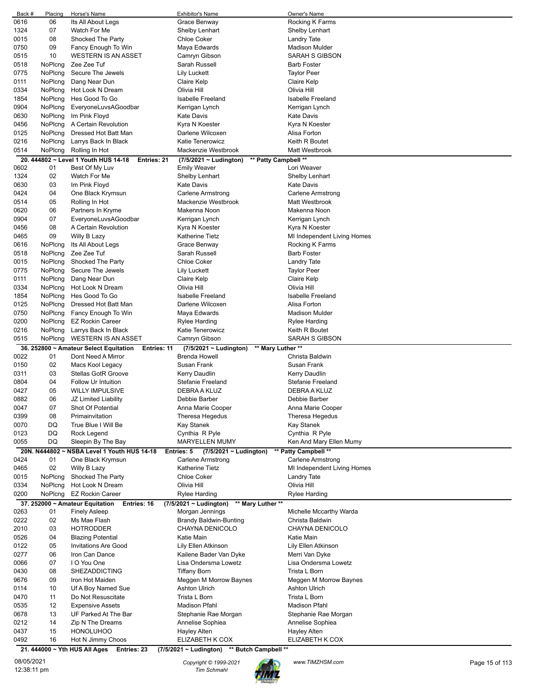| Back # | Placing | Horse's Name                                                      | <b>Exhibitor's Name</b>                                           | Owner's Name                |
|--------|---------|-------------------------------------------------------------------|-------------------------------------------------------------------|-----------------------------|
| 0616   | 06      | Its All About Legs                                                | Grace Benway                                                      | Rocking K Farms             |
| 1324   | 07      | Watch For Me                                                      | <b>Shelby Lenhart</b>                                             | Shelby Lenhart              |
| 0015   | 08      | Shocked The Party                                                 | <b>Chloe Coker</b>                                                | <b>Landry Tate</b>          |
|        |         |                                                                   |                                                                   |                             |
| 0750   | 09      | Fancy Enough To Win                                               | Maya Edwards                                                      | <b>Madison Mulder</b>       |
| 0515   | 10      | <b>WESTERN IS AN ASSET</b>                                        | Camryn Gibson                                                     | SARAH S GIBSON              |
| 0518   | NoPlcng | Zee Zee Tuf                                                       | Sarah Russell                                                     | <b>Barb Foster</b>          |
| 0775   | NoPlcng | Secure The Jewels                                                 | Lily Luckett                                                      | <b>Taylor Peer</b>          |
| 0111   | NoPlcng | Dang Near Dun                                                     | Claire Kelp                                                       | Claire Kelp                 |
| 0334   | NoPlcng | Hot Look N Dream                                                  | Olivia Hill                                                       | Olivia Hill                 |
|        |         |                                                                   |                                                                   |                             |
| 1854   | NoPlcng | Hes Good To Go                                                    | <b>Isabelle Freeland</b>                                          | <b>Isabelle Freeland</b>    |
| 0904   | NoPlcng | EveryoneLuvsAGoodbar                                              | Kerrigan Lynch                                                    | Kerrigan Lynch              |
| 0630   | NoPlcng | Im Pink Floyd                                                     | <b>Kate Davis</b>                                                 | <b>Kate Davis</b>           |
| 0456   | NoPlcng | A Certain Revolution                                              | Kyra N Koester                                                    | Kyra N Koester              |
| 0125   | NoPlcng | Dressed Hot Batt Man                                              | Darlene Wilcoxen                                                  | Alisa Forton                |
| 0216   | NoPlcng | Larrys Back In Black                                              | Katie Tenerowicz                                                  | Keith R Boutet              |
|        |         |                                                                   |                                                                   |                             |
| 0514   | NoPlcng | Rolling In Hot                                                    | Mackenzie Westbrook                                               | Matt Westbrook              |
|        |         | 20. 444802 ~ Level 1 Youth HUS 14-18<br><b>Entries: 21</b>        | ** Patty Campbell **<br>$(7/5/2021 \sim$ Ludington)               |                             |
| 0602   | 01      | Best Of My Luv                                                    | Emily Weaver                                                      | Lori Weaver                 |
| 1324   | 02      | Watch For Me                                                      | Shelby Lenhart                                                    | Shelby Lenhart              |
| 0630   | 03      | Im Pink Floyd                                                     | Kate Davis                                                        | <b>Kate Davis</b>           |
| 0424   | 04      | One Black Krymsun                                                 | Carlene Armstrong                                                 | Carlene Armstrong           |
|        |         |                                                                   |                                                                   |                             |
| 0514   | 05      | Rolling In Hot                                                    | Mackenzie Westbrook                                               | Matt Westbrook              |
| 0620   | 06      | Partners In Kryme                                                 | Makenna Noon                                                      | Makenna Noon                |
| 0904   | 07      | EveryoneLuvsAGoodbar                                              | Kerrigan Lynch                                                    | Kerrigan Lynch              |
| 0456   | 08      | A Certain Revolution                                              | Kyra N Koester                                                    | Kyra N Koester              |
| 0465   | 09      | Willy B Lazy                                                      | Katherine Tietz                                                   | MI Independent Living Homes |
| 0616   | NoPlcng | Its All About Legs                                                | Grace Benway                                                      | Rocking K Farms             |
|        |         | Zee Zee Tuf                                                       | Sarah Russell                                                     |                             |
| 0518   | NoPlcng |                                                                   |                                                                   | <b>Barb Foster</b>          |
| 0015   | NoPlcng | Shocked The Party                                                 | <b>Chloe Coker</b>                                                | Landry Tate                 |
| 0775   | NoPlcng | Secure The Jewels                                                 | Lily Luckett                                                      | <b>Taylor Peer</b>          |
| 0111   | NoPlcng | Dang Near Dun                                                     | Claire Kelp                                                       | Claire Kelp                 |
| 0334   | NoPlcng | Hot Look N Dream                                                  | Olivia Hill                                                       | Olivia Hill                 |
| 1854   | NoPlcng | Hes Good To Go                                                    | <b>Isabelle Freeland</b>                                          | <b>Isabelle Freeland</b>    |
|        |         |                                                                   |                                                                   |                             |
| 0125   | NoPlcng | Dressed Hot Batt Man                                              | Darlene Wilcoxen                                                  | Alisa Forton                |
| 0750   | NoPlcng | Fancy Enough To Win                                               | Maya Edwards                                                      | <b>Madison Mulder</b>       |
| 0200   | NoPlcng | <b>EZ Rockin Career</b>                                           | Rylee Harding                                                     | Rylee Harding               |
| 0216   | NoPlcng | Larrys Back In Black                                              | Katie Tenerowicz                                                  | Keith R Boutet              |
|        |         |                                                                   |                                                                   |                             |
|        |         |                                                                   |                                                                   | SARAH S GIBSON              |
| 0515   | NoPlcng | <b>WESTERN IS AN ASSET</b>                                        | Camryn Gibson                                                     |                             |
|        |         | 36. 252800 ~ Amateur Select Equitation<br><b>Entries: 11</b>      | $(7/5/2021 \sim$ Ludington)<br>** Mary Luther **                  |                             |
| 0022   | 01      | Dont Need A Mirror                                                | <b>Brenda Howell</b>                                              | Christa Baldwin             |
| 0150   | 02      | Macs Kool Legacy                                                  | Susan Frank                                                       | Susan Frank                 |
| 0311   | 03      | <b>Stellas GotR Groove</b>                                        | Kerry Daudlin                                                     | Kerry Daudlin               |
| 0804   | 04      | Follow Ur Intuition                                               | Stefanie Freeland                                                 | Stefanie Freeland           |
|        |         |                                                                   |                                                                   |                             |
| 0427   | 05      | <b>WILLY IMPULSIVE</b>                                            | DEBRA A KLUZ                                                      | DEBRA A KLUZ                |
| 0882   | 06      | JZ Limited Liability                                              | Debbie Barber                                                     | Debbie Barber               |
| 0047   | 07      | Shot Of Potential                                                 | Anna Marie Cooper                                                 | Anna Marie Cooper           |
| 0399   | 08      | Primainvitation                                                   | Theresa Hegedus                                                   | Theresa Hegedus             |
| 0070   | DQ      | True Blue I Will Be                                               | Kay Stanek                                                        | Kay Stanek                  |
| 0123   | DQ      | Rock Legend                                                       | Cynthia R Pyle                                                    | Cynthia R Pyle              |
| 0055   | DQ      |                                                                   | <b>MARYELLEN MUMY</b>                                             |                             |
|        |         | Sleepin By The Bay                                                |                                                                   | Ken And Mary Ellen Mumy     |
|        |         | 20N. N444802 ~ NSBA Level 1 Youth HUS 14-18                       | Entries: 5<br>(7/5/2021 ~ Ludington)                              | ** Patty Campbell **        |
| 0424   | 01      | One Black Krymsun                                                 | <b>Carlene Armstrong</b>                                          | <b>Carlene Armstrong</b>    |
| 0465   | 02      | Willy B Lazy                                                      | Katherine Tietz                                                   | MI Independent Living Homes |
| 0015   | NoPlcng | Shocked The Party                                                 | <b>Chloe Coker</b>                                                | <b>Landry Tate</b>          |
| 0334   | NoPlcng | Hot Look N Dream                                                  | Olivia Hill                                                       | Olivia Hill                 |
| 0200   | NoPlcng | <b>EZ Rockin Career</b>                                           | Rylee Harding                                                     | Rylee Harding               |
|        |         |                                                                   | (7/5/2021 ~ Ludington)<br>** Mary Luther **                       |                             |
|        |         | 37. 252000 ~ Amateur Equitation<br>Entries: 16                    |                                                                   |                             |
| 0263   | 01      | <b>Finely Asleep</b>                                              | Morgan Jennings                                                   | Michelle Mccarthy Warda     |
| 0222   | 02      | Ms Mae Flash                                                      | <b>Brandy Baldwin-Bunting</b>                                     | Christa Baldwin             |
| 2010   | 03      | <b>HOTRODDER</b>                                                  | CHAYNA DENICOLO                                                   | CHAYNA DENICOLO             |
| 0526   | 04      | <b>Blazing Potential</b>                                          | Katie Main                                                        | Katie Main                  |
| 0122   | 05      | <b>Invitations Are Good</b>                                       | Lily Ellen Atkinson                                               | Lily Ellen Atkinson         |
| 0277   | 06      | Iron Can Dance                                                    | Kailene Bader Van Dyke                                            | Merri Van Dyke              |
|        | 07      |                                                                   | Lisa Ondersma Lowetz                                              | Lisa Ondersma Lowetz        |
| 0066   |         | I O You One                                                       |                                                                   |                             |
| 0430   | 08      | <b>SHEZADDICTING</b>                                              | <b>Tiffany Born</b>                                               | Trista L Born               |
| 9676   | 09      | Iron Hot Maiden                                                   | Meggen M Morrow Baynes                                            | Meggen M Morrow Baynes      |
| 0114   | 10      | Uf A Boy Named Sue                                                | Ashton Ulrich                                                     | <b>Ashton Ulrich</b>        |
| 0470   | 11      | Do Not Resuscitate                                                | Trista L Born                                                     | Trista L Born               |
| 0535   | 12      | <b>Expensive Assets</b>                                           | Madison Pfahl                                                     | Madison Pfahl               |
| 0678   | 13      | UF Parked At The Bar                                              | Stephanie Rae Morgan                                              | Stephanie Rae Morgan        |
|        |         |                                                                   |                                                                   |                             |
| 0212   | 14      | Zip N The Dreams                                                  | Annelise Sophiea                                                  | Annelise Sophiea            |
| 0437   | 15      | <b>HONOLUHOO</b>                                                  | Hayley Alten                                                      | Hayley Alten                |
| 0492   | 16      | Hot N Jimmy Choos<br>21. 444000 ~ Yth HUS All Ages<br>Entries: 23 | ELIZABETH K COX<br>(7/5/2021 ~ Ludington)<br>** Butch Campbell ** | ELIZABETH K COX             |

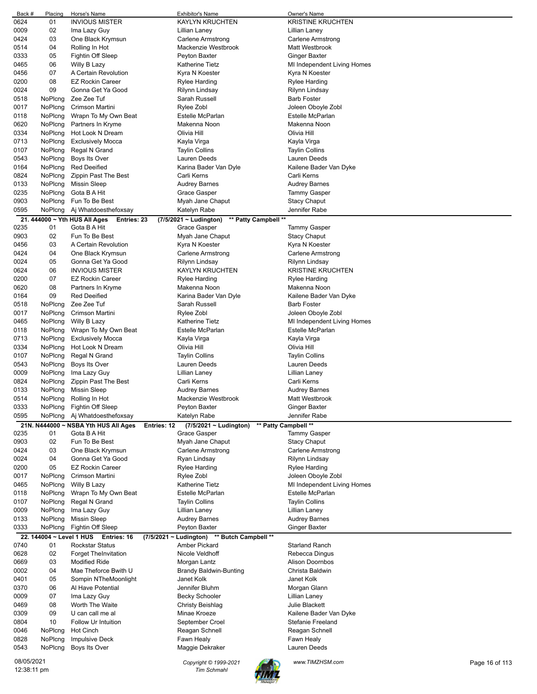| Back #       | Placing | Horse's Name                                        | <b>Exhibitor's Name</b>                             | Owner's Name                                    |                |
|--------------|---------|-----------------------------------------------------|-----------------------------------------------------|-------------------------------------------------|----------------|
| 0624         | 01      | <b>INVIOUS MISTER</b>                               | <b>KAYLYN KRUCHTEN</b>                              | <b>KRISTINE KRUCHTEN</b>                        |                |
| 0009         | 02      | Ima Lazy Guy                                        | Lillian Laney                                       | Lillian Laney                                   |                |
| 0424         | 03      | One Black Krymsun                                   | Carlene Armstrong                                   | Carlene Armstrong                               |                |
| 0514         | 04      | Rolling In Hot                                      | Mackenzie Westbrook                                 | Matt Westbrook                                  |                |
| 0333         | 05      | Fightin Off Sleep                                   | Peyton Baxter                                       | Ginger Baxter                                   |                |
| 0465         | 06      | Willy B Lazy                                        | <b>Katherine Tietz</b>                              | MI Independent Living Homes                     |                |
| 0456         | 07      | A Certain Revolution                                | Kyra N Koester                                      | Kyra N Koester                                  |                |
| 0200         | 08      | <b>EZ Rockin Career</b>                             | Rylee Harding                                       | Rylee Harding                                   |                |
| 0024         | 09      | Gonna Get Ya Good                                   | Rilynn Lindsay                                      | Rilynn Lindsay                                  |                |
| 0518         | NoPlcng | Zee Zee Tuf                                         | Sarah Russell                                       | <b>Barb Foster</b>                              |                |
| 0017         | NoPlcng | Crimson Martini                                     | Rylee Zobl                                          | Joleen Oboyle Zobl                              |                |
| 0118         | NoPlcng | Wrapn To My Own Beat                                | Estelle McParlan                                    | <b>Estelle McParlan</b>                         |                |
| 0620         | NoPlcng | Partners In Kryme                                   | Makenna Noon                                        | Makenna Noon                                    |                |
| 0334         | NoPlcng | Hot Look N Dream                                    | Olivia Hill                                         | Olivia Hill                                     |                |
| 0713         | NoPlcng | <b>Exclusively Mocca</b>                            | Kayla Virga                                         | Kayla Virga                                     |                |
| 0107         | NoPlcng | Regal N Grand                                       | <b>Taylin Collins</b>                               | <b>Taylin Collins</b>                           |                |
| 0543         | NoPlcng | Boys Its Over                                       | Lauren Deeds                                        | Lauren Deeds                                    |                |
| 0164         | NoPlcng | <b>Red Deeified</b>                                 | Karina Bader Van Dyle                               | Kailene Bader Van Dyke                          |                |
| 0824         | NoPlcng | Zippin Past The Best                                | Carli Kerns                                         | Carli Kerns                                     |                |
| 0133         | NoPlcng | <b>Missin Sleep</b>                                 | <b>Audrey Barnes</b>                                | <b>Audrey Barnes</b>                            |                |
| 0235         | NoPlcng | Gota B A Hit                                        | Grace Gasper                                        | Tammy Gasper                                    |                |
| 0903         | NoPlcng | Fun To Be Best                                      | Myah Jane Chaput                                    | <b>Stacy Chaput</b>                             |                |
| 0595         | NoPlcng | Aj Whatdoesthefoxsay                                | Katelyn Rabe                                        | Jennifer Rabe                                   |                |
|              |         | 21. 444000 ~ Yth HUS All Ages<br>Entries: 23        | ** Patty Campbell **<br>$(7/5/2021 \sim$ Ludington) |                                                 |                |
| 0235         | 01      | Gota B A Hit                                        | Grace Gasper                                        | <b>Tammy Gasper</b>                             |                |
| 0903         | 02      | Fun To Be Best                                      | Myah Jane Chaput                                    | <b>Stacy Chaput</b>                             |                |
| 0456         | 03      | A Certain Revolution                                | Kyra N Koester                                      | Kyra N Koester                                  |                |
| 0424         | 04      | One Black Krymsun                                   | Carlene Armstrong                                   | Carlene Armstrong                               |                |
| 0024         | 05      | Gonna Get Ya Good                                   | Rilynn Lindsay                                      | Rilynn Lindsay                                  |                |
| 0624         | 06      | <b>INVIOUS MISTER</b>                               | <b>KAYLYN KRUCHTEN</b>                              | <b>KRISTINE KRUCHTEN</b>                        |                |
| 0200         | 07      | <b>EZ Rockin Career</b>                             | Rylee Harding                                       | Rylee Harding                                   |                |
| 0620         | 08      | Partners In Kryme                                   | Makenna Noon                                        | Makenna Noon                                    |                |
| 0164         | 09      | <b>Red Deeified</b>                                 | Karina Bader Van Dyle                               | Kailene Bader Van Dyke                          |                |
| 0518         | NoPlcng | Zee Zee Tuf                                         | Sarah Russell                                       | <b>Barb Foster</b>                              |                |
| 0017         | NoPlcng | Crimson Martini                                     | Rylee Zobl                                          | Joleen Oboyle Zobl                              |                |
| 0465         | NoPlcng | Willy B Lazy                                        | <b>Katherine Tietz</b>                              | MI Independent Living Homes                     |                |
| 0118         | NoPlcng | Wrapn To My Own Beat                                | Estelle McParlan                                    | Estelle McParlan                                |                |
| 0713         | NoPlcng | <b>Exclusively Mocca</b>                            | Kayla Virga                                         | Kayla Virga                                     |                |
| 0334         | NoPlcng | Hot Look N Dream                                    | Olivia Hill                                         | Olivia Hill                                     |                |
| 0107         | NoPlcng | Regal N Grand                                       | <b>Taylin Collins</b>                               | <b>Taylin Collins</b>                           |                |
| 0543         | NoPlcng | Boys Its Over                                       | Lauren Deeds                                        | Lauren Deeds                                    |                |
| 0009         | NoPlcng | Ima Lazy Guy                                        | Lillian Laney                                       | Lillian Laney                                   |                |
| 0824         | NoPlcng | Zippin Past The Best                                | Carli Kerns                                         | Carli Kerns                                     |                |
| 0133         | NoPlcng | <b>Missin Sleep</b>                                 | <b>Audrey Barnes</b>                                | Audrey Barnes                                   |                |
| 0514         | NoPlcng | Rolling In Hot                                      | Mackenzie Westbrook                                 | Matt Westbrook                                  |                |
| 0333         | NoPlcng | Fightin Off Sleep                                   | Peyton Baxter                                       | <b>Ginger Baxter</b>                            |                |
| 0595         | NoPlcng | Aj Whatdoesthefoxsay                                | Katelyn Rabe                                        | Jennifer Rabe                                   |                |
|              |         | 21N. N444000 ~ NSBA Yth HUS All Ages<br>Entries: 12 | (7/5/2021 ~ Ludington)<br>** Patty Campbell **      |                                                 |                |
| 0235         | 01      | Gota B A Hit                                        | <b>Grace Gasper</b>                                 | <b>Tammy Gasper</b>                             |                |
| 0903         | 02      | Fun To Be Best                                      | Myah Jane Chaput                                    |                                                 |                |
| 0424         | 03      | One Black Krymsun                                   | <b>Carlene Armstrong</b>                            | <b>Stacy Chaput</b><br><b>Carlene Armstrong</b> |                |
|              | 04      | Gonna Get Ya Good                                   |                                                     |                                                 |                |
| 0024<br>0200 | 05      | <b>EZ Rockin Career</b>                             | Ryan Lindsay                                        | Rilynn Lindsay                                  |                |
| 0017         | NoPlcng | Crimson Martini                                     | Rylee Harding<br>Rylee Zobl                         | Rylee Harding<br>Joleen Oboyle Zobl             |                |
| 0465         | NoPlcng |                                                     | <b>Katherine Tietz</b>                              |                                                 |                |
|              | NoPlcng | Willy B Lazy                                        | <b>Estelle McParlan</b>                             | MI Independent Living Homes<br>Estelle McParlan |                |
| 0118         | NoPlcng | Wrapn To My Own Beat                                |                                                     |                                                 |                |
| 0107<br>0009 | NoPlcng | Regal N Grand                                       | <b>Taylin Collins</b>                               | <b>Taylin Collins</b>                           |                |
|              |         | Ima Lazy Guy                                        | Lillian Laney                                       | Lillian Laney                                   |                |
| 0133         | NoPlcng | <b>Missin Sleep</b>                                 | <b>Audrey Barnes</b>                                | <b>Audrey Barnes</b>                            |                |
| 0333         | NoPlcng | Fightin Off Sleep                                   | Peyton Baxter                                       | <b>Ginger Baxter</b>                            |                |
|              |         | 22. 144004 ~ Level 1 HUS Entries: 16                | (7/5/2021 ~ Ludington)<br>** Butch Campbell **      |                                                 |                |
| 0740         | 01      | <b>Rockstar Status</b>                              | Amber Pickard                                       | <b>Starland Ranch</b>                           |                |
| 0628         | 02      | <b>Forget TheInvitation</b>                         | Nicole Veldhoff                                     | Rebecca Dingus                                  |                |
| 0669         | 03      | <b>Modified Ride</b>                                | Morgan Lantz                                        | <b>Alison Doornbos</b>                          |                |
| 0002         | 04      | Mae Theforce Bwith U                                | <b>Brandy Baldwin-Bunting</b>                       | Christa Baldwin                                 |                |
| 0401         | 05      | Sompin NTheMoonlight                                | Janet Kolk                                          | Janet Kolk                                      |                |
| 0370         | 06      | Al Have Potential                                   | Jennifer Bluhm                                      | Morgan Glann                                    |                |
| 0009         | 07      | Ima Lazy Guy                                        | <b>Becky Schooler</b>                               | Lillian Laney                                   |                |
| 0469         | 08      | Worth The Waite                                     | <b>Christy Beishlag</b>                             | Julie Blackett                                  |                |
| 0309         | 09      | U can call me al                                    | Minae Kroeze                                        | Kailene Bader Van Dyke                          |                |
| 0804         | 10      | Follow Ur Intuition                                 | September Croel                                     | Stefanie Freeland                               |                |
| 0046         | NoPlcng | <b>Hot Cinch</b>                                    | Reagan Schnell                                      | Reagan Schnell                                  |                |
| 0828         | NoPlcng | <b>Impulsive Deck</b>                               | Fawn Healy                                          | Fawn Healy                                      |                |
| 0543         | NoPlcng | Boys Its Over                                       | Maggie Dekraker                                     | Lauren Deeds                                    |                |
| 08/05/2021   |         |                                                     | Copyright © 1999-2021                               | www.TIMZHSM.com                                 | Page 16 of 113 |
| 12:38:11 pm  |         |                                                     | Tim Schmahl                                         |                                                 |                |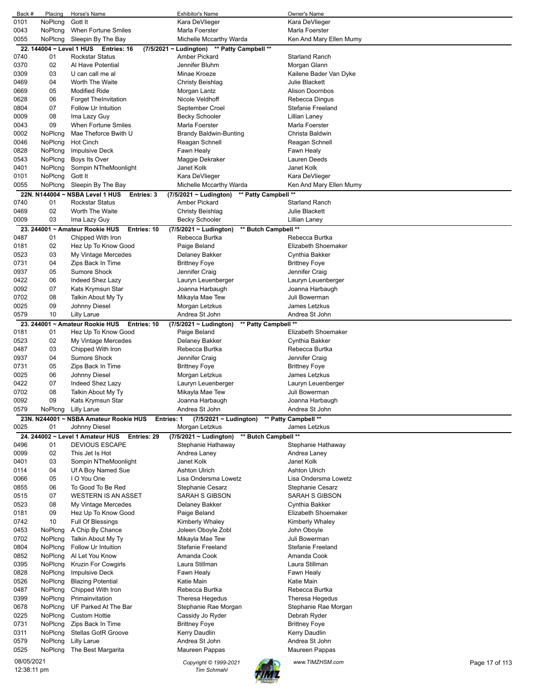| Back #     | Placing | Horse's Name                                         | <b>Exhibitor's Name</b>                             | Owner's Name            |                |
|------------|---------|------------------------------------------------------|-----------------------------------------------------|-------------------------|----------------|
| 0101       | NoPlcng | Gott It                                              | Kara DeVlieger                                      | Kara DeVlieger          |                |
| 0043       | NoPlcng | When Fortune Smiles                                  | Marla Foerster                                      | Marla Foerster          |                |
| 0055       | NoPlcng | Sleepin By The Bay                                   | Michelle Mccarthy Warda                             | Ken And Mary Ellen Mumy |                |
|            |         | 22. 144004 ~ Level 1 HUS Entries: 16                 | (7/5/2021 ~ Ludington) ** Patty Campbell **         |                         |                |
| 0740       | 01      | <b>Rockstar Status</b>                               | <b>Amber Pickard</b>                                | <b>Starland Ranch</b>   |                |
|            |         |                                                      |                                                     |                         |                |
| 0370       | 02      | Al Have Potential                                    | Jennifer Bluhm                                      | Morgan Glann            |                |
| 0309       | 03      | U can call me al                                     | Minae Kroeze                                        | Kailene Bader Van Dyke  |                |
| 0469       | 04      | Worth The Waite                                      | <b>Christy Beishlag</b>                             | Julie Blackett          |                |
| 0669       | 05      | <b>Modified Ride</b>                                 | Morgan Lantz                                        | <b>Alison Doornbos</b>  |                |
| 0628       | 06      | <b>Forget TheInvitation</b>                          | Nicole Veldhoff                                     | Rebecca Dingus          |                |
| 0804       | 07      | Follow Ur Intuition                                  | September Croel                                     | Stefanie Freeland       |                |
| 0009       | 08      | Ima Lazy Guy                                         | <b>Becky Schooler</b>                               | Lillian Laney           |                |
|            |         |                                                      |                                                     |                         |                |
| 0043       | 09      | <b>When Fortune Smiles</b>                           | Marla Foerster                                      | Marla Foerster          |                |
| 0002       | NoPlcng | Mae Theforce Bwith U                                 | Brandy Baldwin-Bunting                              | Christa Baldwin         |                |
| 0046       | NoPlcng | Hot Cinch                                            | Reagan Schnell                                      | Reagan Schnell          |                |
| 0828       | NoPlcng | <b>Impulsive Deck</b>                                | Fawn Healy                                          | Fawn Healy              |                |
| 0543       | NoPlcng | Boys Its Over                                        | Maggie Dekraker                                     | Lauren Deeds            |                |
| 0401       | NoPlcng | Sompin NTheMoonlight                                 | Janet Kolk                                          | Janet Kolk              |                |
| 0101       | NoPlcng | Gott It                                              |                                                     |                         |                |
|            |         |                                                      | Kara DeVlieger                                      | Kara DeVlieger          |                |
| 0055       | NoPlcng | Sleepin By The Bay                                   | Michelle Mccarthy Warda                             | Ken And Mary Ellen Mumy |                |
|            |         | 22N. N144004 ~ NSBA Level 1 HUS<br><b>Entries: 3</b> | ** Patty Campbell **<br>$(7/5/2021 \sim$ Ludington) |                         |                |
| 0740       | 01      | <b>Rockstar Status</b>                               | Amber Pickard                                       | <b>Starland Ranch</b>   |                |
| 0469       | 02      | Worth The Waite                                      | Christy Beishlag                                    | Julie Blackett          |                |
| 0009       | 03      | Ima Lazy Guy                                         | Becky Schooler                                      | Lillian Laney           |                |
|            |         |                                                      |                                                     |                         |                |
|            |         | 23. 244001 ~ Amateur Rookie HUS<br>Entries: 10       | ** Butch Campbell **<br>$(7/5/2021 \sim$ Ludington) |                         |                |
| 0487       | 01      | Chipped With Iron                                    | Rebecca Burtka                                      | Rebecca Burtka          |                |
| 0181       | 02      | Hez Up To Know Good                                  | Paige Beland                                        | Elizabeth Shoemaker     |                |
| 0523       | 03      | My Vintage Mercedes                                  | Delaney Bakker                                      | Cynthia Bakker          |                |
| 0731       | 04      | Zips Back In Time                                    | Brittney Foye                                       | <b>Brittney Foye</b>    |                |
| 0937       | 05      | <b>Sumore Shock</b>                                  | Jennifer Craig                                      | Jennifer Craig          |                |
| 0422       | 06      | Indeed Shez Lazy                                     | Lauryn Leuenberger                                  | Lauryn Leuenberger      |                |
|            | 07      |                                                      |                                                     |                         |                |
| 0092       |         | Kats Krymsun Star                                    | Joanna Harbaugh                                     | Joanna Harbaugh         |                |
| 0702       | 08      | Talkin About My Ty                                   | Mikayla Mae Tew                                     | Juli Bowerman           |                |
| 0025       | 09      | Johnny Diesel                                        | Morgan Letzkus                                      | James Letzkus           |                |
| 0579       | 10      | Lilly Larue                                          | Andrea St John                                      | Andrea St John          |                |
|            |         | 23. 244001 ~ Amateur Rookie HUS<br>Entries: 10       | ** Patty Campbell **<br>(7/5/2021 ~ Ludington)      |                         |                |
| 0181       | 01      | Hez Up To Know Good                                  | Paige Beland                                        | Elizabeth Shoemaker     |                |
| 0523       | 02      | My Vintage Mercedes                                  | Delaney Bakker                                      | Cynthia Bakker          |                |
|            |         |                                                      |                                                     |                         |                |
| 0487       | 03      | Chipped With Iron                                    | Rebecca Burtka                                      | Rebecca Burtka          |                |
| 0937       | 04      | Sumore Shock                                         | Jennifer Craig                                      | Jennifer Craig          |                |
| 0731       | 05      | Zips Back In Time                                    | <b>Brittney Foye</b>                                | <b>Brittney Foye</b>    |                |
| 0025       | 06      | Johnny Diesel                                        | Morgan Letzkus                                      | James Letzkus           |                |
| 0422       | 07      | Indeed Shez Lazy                                     | Lauryn Leuenberger                                  | Lauryn Leuenberger      |                |
| 0702       | 08      | Talkin About My Ty                                   | Mikayla Mae Tew                                     | Juli Bowerman           |                |
| 0092       | 09      | Kats Krymsun Star                                    | Joanna Harbaugh                                     | Joanna Harbaugh         |                |
|            |         |                                                      |                                                     |                         |                |
| 0579       |         | NoPlcng Lilly Larue                                  | Andrea St John                                      | Andrea St John          |                |
|            |         | 23N. N244001 ~ NSBA Amateur Rookie HUS<br>Entries: 1 | $(7/5/2021 \sim$ Ludington)                         | ** Patty Campbell **    |                |
| 0025       | 01      | Johnny Diesel                                        | Morgan Letzkus                                      | James Letzkus           |                |
|            |         | 24. 244002 ~ Level 1 Amateur HUS Entries: 29         | ** Butch Campbell **<br>$(7/5/2021 \sim$ Ludington) |                         |                |
| 0496       | 01      | <b>DEVIOUS ESCAPE</b>                                | Stephanie Hathaway                                  | Stephanie Hathaway      |                |
| 0099       | 02      | This Jet Is Hot                                      | Andrea Laney                                        | Andrea Laney            |                |
| 0401       | 03      | Sompin NTheMoonlight                                 | Janet Kolk                                          | Janet Kolk              |                |
|            |         |                                                      |                                                     | <b>Ashton Ulrich</b>    |                |
| 0114       | 04      | Uf A Boy Named Sue                                   | <b>Ashton Ulrich</b>                                |                         |                |
| 0066       | 05      | I O You One                                          | Lisa Ondersma Lowetz                                | Lisa Ondersma Lowetz    |                |
| 0855       | 06      | To Good To Be Red                                    | Stephanie Cesarz                                    | Stephanie Cesarz        |                |
| 0515       | 07      | <b>WESTERN IS AN ASSET</b>                           | SARAH S GIBSON                                      | <b>SARAH S GIBSON</b>   |                |
| 0523       | 08      | My Vintage Mercedes                                  | Delaney Bakker                                      | Cynthia Bakker          |                |
| 0181       | 09      | Hez Up To Know Good                                  | Paige Beland                                        | Elizabeth Shoemaker     |                |
| 0742       | 10      | Full Of Blessings                                    | Kimberly Whaley                                     | Kimberly Whaley         |                |
|            |         |                                                      |                                                     |                         |                |
| 0453       | NoPicng | A Chip By Chance                                     | Joleen Oboyle Zobl                                  | John Oboyle             |                |
| 0702       | NoPicng | Talkin About My Ty                                   | Mikayla Mae Tew                                     | Juli Bowerman           |                |
| 0804       | NoPlcng | Follow Ur Intuition                                  | Stefanie Freeland                                   | Stefanie Freeland       |                |
| 0852       | NoPlcng | Al Let You Know                                      | Amanda Cook                                         | Amanda Cook             |                |
| 0395       | NoPlcng | Kruzin For Cowgirls                                  | Laura Stillman                                      | Laura Stillman          |                |
| 0828       | NoPlcng | <b>Impulsive Deck</b>                                | Fawn Healy                                          | Fawn Healy              |                |
| 0526       | NoPlcng | <b>Blazing Potential</b>                             | Katie Main                                          | Katie Main              |                |
| 0487       | NoPlcng |                                                      | Rebecca Burtka                                      | Rebecca Burtka          |                |
|            |         | Chipped With Iron                                    |                                                     |                         |                |
| 0399       | NoPlcng | Primainvitation                                      | Theresa Hegedus                                     | Theresa Hegedus         |                |
| 0678       | NoPlcng | UF Parked At The Bar                                 | Stephanie Rae Morgan                                | Stephanie Rae Morgan    |                |
| 0225       | NoPlcng | <b>Custom Hottie</b>                                 | Cassidy Jo Ryder                                    | Debrah Ryder            |                |
| 0731       | NoPlcng | Zips Back In Time                                    | <b>Brittney Foye</b>                                | <b>Brittney Foye</b>    |                |
| 0311       | NoPlcng | Stellas GotR Groove                                  | Kerry Daudlin                                       | Kerry Daudlin           |                |
| 0579       |         | <b>Lilly Larue</b>                                   | Andrea St John                                      | Andrea St John          |                |
|            |         |                                                      |                                                     |                         |                |
|            | NoPlcng |                                                      |                                                     |                         |                |
| 0525       | NoPlcng | The Best Margarita                                   | Maureen Pappas                                      | Maureen Pappas          |                |
| 08/05/2021 |         |                                                      | Copyright © 1999-2021                               | www.TIMZHSM.com         | Page 17 of 113 |

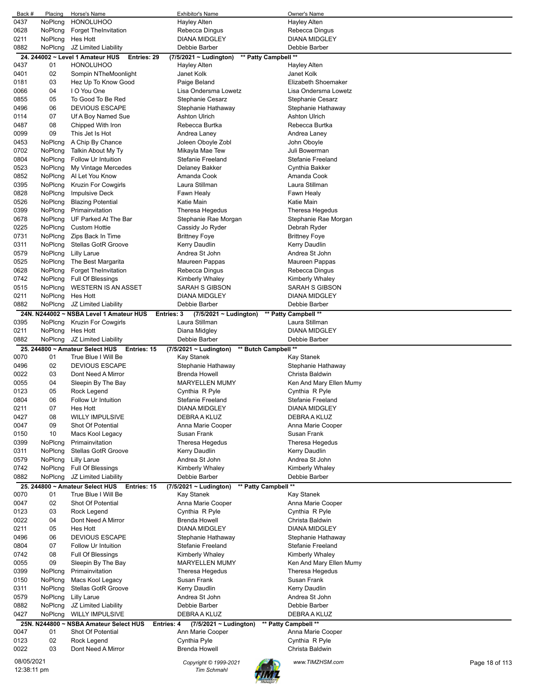| Back #       | Placing            | Horse's Name                                                   | <b>Exhibitor's Name</b>                                            | Owner's Name                             |                |
|--------------|--------------------|----------------------------------------------------------------|--------------------------------------------------------------------|------------------------------------------|----------------|
| 0437         | NoPlcng            | <b>HONOLUHOO</b>                                               | <b>Hayley Alten</b>                                                | <b>Hayley Alten</b>                      |                |
| 0628         | NoPlcng            | <b>Forget TheInvitation</b>                                    | Rebecca Dingus                                                     | Rebecca Dingus                           |                |
| 0211         | NoPlcng            | Hes Hott                                                       | <b>DIANA MIDGLEY</b>                                               | <b>DIANA MIDGLEY</b>                     |                |
| 0882         | NoPlcng            | JZ Limited Liability                                           | Debbie Barber                                                      | Debbie Barber                            |                |
|              |                    | 24. 244002 ~ Level 1 Amateur HUS<br>Entries: 29                | ** Patty Campbell **<br>(7/5/2021 ~ Ludington)                     |                                          |                |
| 0437         | 01                 | <b>HONOLUHOO</b>                                               | Hayley Alten                                                       | <b>Hayley Alten</b>                      |                |
| 0401         | 02                 | Sompin NTheMoonlight                                           | Janet Kolk                                                         | Janet Kolk                               |                |
| 0181         | 03                 | Hez Up To Know Good                                            | Paige Beland                                                       | Elizabeth Shoemaker                      |                |
| 0066         | 04                 | I O You One                                                    | Lisa Ondersma Lowetz                                               | Lisa Ondersma Lowetz                     |                |
| 0855         | 05                 | To Good To Be Red                                              | Stephanie Cesarz                                                   | Stephanie Cesarz                         |                |
| 0496         | 06                 | <b>DEVIOUS ESCAPE</b>                                          | Stephanie Hathaway                                                 | Stephanie Hathaway                       |                |
| 0114         | 07                 | Uf A Boy Named Sue                                             | <b>Ashton Ulrich</b>                                               | <b>Ashton Ulrich</b>                     |                |
| 0487         | 08                 | Chipped With Iron                                              | Rebecca Burtka                                                     | Rebecca Burtka                           |                |
| 0099         | 09                 | This Jet Is Hot                                                | Andrea Laney                                                       | Andrea Laney                             |                |
| 0453         | NoPlcng            | A Chip By Chance                                               | Joleen Oboyle Zobl                                                 | John Oboyle                              |                |
| 0702         | NoPlcng            | Talkin About My Ty                                             | Mikayla Mae Tew                                                    | Juli Bowerman                            |                |
| 0804         | NoPlcng            | Follow Ur Intuition                                            | <b>Stefanie Freeland</b>                                           | <b>Stefanie Freeland</b>                 |                |
| 0523         | NoPlcng            | My Vintage Mercedes                                            | Delaney Bakker                                                     | Cynthia Bakker                           |                |
| 0852         | NoPlcng            | Al Let You Know<br><b>Kruzin For Cowgirls</b>                  | Amanda Cook<br>Laura Stillman                                      | Amanda Cook                              |                |
| 0395<br>0828 | NoPlcng<br>NoPlcng | <b>Impulsive Deck</b>                                          | Fawn Healy                                                         | Laura Stillman<br>Fawn Healy             |                |
| 0526         | NoPlcng            |                                                                | Katie Main                                                         | Katie Main                               |                |
| 0399         | NoPlcng            | <b>Blazing Potential</b><br>Primainvitation                    | Theresa Hegedus                                                    |                                          |                |
| 0678         | NoPlcng            | UF Parked At The Bar                                           | Stephanie Rae Morgan                                               | Theresa Hegedus<br>Stephanie Rae Morgan  |                |
| 0225         | NoPlcng            | <b>Custom Hottie</b>                                           | Cassidy Jo Ryder                                                   |                                          |                |
|              | NoPlcng            | Zips Back In Time                                              | <b>Brittney Foye</b>                                               | Debrah Ryder                             |                |
| 0731         |                    |                                                                |                                                                    | Brittney Foye                            |                |
| 0311         | NoPlcng            | Stellas GotR Groove                                            | Kerry Daudlin                                                      | Kerry Daudlin                            |                |
| 0579         | NoPlcng            | <b>Lilly Larue</b>                                             | Andrea St John                                                     | Andrea St John<br>Maureen Pappas         |                |
| 0525<br>0628 | NoPlcng            | The Best Margarita                                             | Maureen Pappas                                                     |                                          |                |
|              | NoPlcng            | <b>Forget TheInvitation</b>                                    | Rebecca Dingus                                                     | Rebecca Dingus                           |                |
| 0742         | NoPlcng<br>NoPlcng | Full Of Blessings<br><b>WESTERN IS AN ASSET</b>                | Kimberly Whaley<br>SARAH S GIBSON                                  | Kimberly Whaley<br><b>SARAH S GIBSON</b> |                |
| 0515<br>0211 | NoPlcng            | Hes Hott                                                       | <b>DIANA MIDGLEY</b>                                               | <b>DIANA MIDGLEY</b>                     |                |
| 0882         | NoPlcng            | JZ Limited Liability                                           | Debbie Barber                                                      | Debbie Barber                            |                |
|              |                    |                                                                |                                                                    |                                          |                |
| 0395         | NoPlcng            | 24N. N244002 ~ NSBA Level 1 Amateur HUS<br>Kruzin For Cowgirls | $(7/5/2021 \sim$ Ludington)<br><b>Entries: 3</b><br>Laura Stillman | ** Patty Campbell **<br>Laura Stillman   |                |
| 0211         | NoPlcng            | Hes Hott                                                       | Diana Midgley                                                      | <b>DIANA MIDGLEY</b>                     |                |
| 0882         | NoPlcng            | JZ Limited Liability                                           | Debbie Barber                                                      | Debbie Barber                            |                |
|              |                    | 25. 244800 ~ Amateur Select HUS<br>Entries: 15                 | ** Butch Campbell **<br>$(7/5/2021 \sim$ Ludington)                |                                          |                |
| 0070         | 01                 | True Blue I Will Be                                            | Kay Stanek                                                         | Kay Stanek                               |                |
| 0496         | 02                 | <b>DEVIOUS ESCAPE</b>                                          | Stephanie Hathaway                                                 | Stephanie Hathaway                       |                |
| 0022         | 03                 | Dont Need A Mirror                                             | Brenda Howell                                                      | Christa Baldwin                          |                |
| 0055         | 04                 | Sleepin By The Bay                                             | <b>MARYELLEN MUMY</b>                                              | Ken And Mary Ellen Mumy                  |                |
| 0123         | 05                 | Rock Legend                                                    | Cynthia R Pyle                                                     | Cynthia R Pyle                           |                |
| 0804         | 06                 | Follow Ur Intuition                                            | Stefanie Freeland                                                  | Stefanie Freeland                        |                |
| 0211         | 07                 | Hes Hott                                                       | DIANA MIDGLEY                                                      | <b>DIANA MIDGLEY</b>                     |                |
| 0427         | 08                 | <b>WILLY IMPULSIVE</b>                                         | DEBRA A KLUZ                                                       | DEBRA A KLUZ                             |                |
| 0047         | 09                 | Shot Of Potential                                              | Anna Marie Cooper                                                  | Anna Marie Cooper                        |                |
| 0150         | 10                 | Macs Kool Legacy                                               |                                                                    |                                          |                |
| 0399         | NoPlcng            |                                                                |                                                                    |                                          |                |
| 0311         |                    |                                                                | Susan Frank                                                        | Susan Frank                              |                |
| 0579         |                    | Primainvitation                                                | Theresa Hegedus                                                    | Theresa Hegedus                          |                |
|              | NoPlcng            | Stellas GotR Groove                                            | Kerry Daudlin                                                      | Kerry Daudlin                            |                |
|              | NoPlcng            | <b>Lilly Larue</b>                                             | Andrea St John                                                     | Andrea St John                           |                |
| 0742         | NoPlcng            | Full Of Blessings                                              | Kimberly Whaley                                                    | Kimberly Whaley                          |                |
| 0882         | NoPlcng            | JZ Limited Liability                                           | Debbie Barber                                                      | Debbie Barber                            |                |
|              |                    | 25. 244800 ~ Amateur Select HUS<br>Entries: 15                 | ** Patty Campbell **<br>(7/5/2021 ~ Ludington)                     |                                          |                |
| 0070         | 01                 | True Blue I Will Be                                            | Kay Stanek                                                         | Kay Stanek                               |                |
| 0047         | 02                 | Shot Of Potential                                              | Anna Marie Cooper                                                  | Anna Marie Cooper                        |                |
| 0123         | 03                 | Rock Legend                                                    | Cynthia R Pyle                                                     | Cynthia R Pyle                           |                |
| 0022         | 04                 | Dont Need A Mirror                                             | Brenda Howell                                                      | Christa Baldwin                          |                |
| 0211         | 05                 | Hes Hott                                                       | DIANA MIDGLEY                                                      | <b>DIANA MIDGLEY</b>                     |                |
| 0496         | 06                 | <b>DEVIOUS ESCAPE</b>                                          | Stephanie Hathaway                                                 | Stephanie Hathaway                       |                |
| 0804         | 07                 | Follow Ur Intuition                                            | Stefanie Freeland                                                  | Stefanie Freeland                        |                |
| 0742         | 08                 | Full Of Blessings                                              | Kimberly Whaley                                                    | Kimberly Whaley                          |                |
| 0055         | 09                 | Sleepin By The Bay                                             | <b>MARYELLEN MUMY</b>                                              | Ken And Mary Ellen Mumy                  |                |
| 0399<br>0150 | NoPlcng<br>NoPlcng | Primainvitation                                                | Theresa Hegedus<br>Susan Frank                                     | Theresa Hegedus<br>Susan Frank           |                |
|              |                    | Macs Kool Legacy                                               |                                                                    |                                          |                |
| 0311         | NoPlcng            | Stellas GotR Groove                                            | Kerry Daudlin                                                      | Kerry Daudlin                            |                |
| 0579<br>0882 | NoPlcng<br>NoPlcng | Lilly Larue                                                    | Andrea St John<br>Debbie Barber                                    | Andrea St John<br>Debbie Barber          |                |
| 0427         | NoPlcng            | JZ Limited Liability<br><b>WILLY IMPULSIVE</b>                 | DEBRA A KLUZ                                                       | DEBRA A KLUZ                             |                |
|              |                    |                                                                |                                                                    |                                          |                |
|              | 01                 | 25N. N244800 ~ NSBA Amateur Select HUS                         | (7/5/2021 ~ Ludington)<br>Entries: 4                               | ** Patty Campbell **                     |                |
| 0047<br>0123 | 02                 | Shot Of Potential                                              | Ann Marie Cooper<br>Cynthia Pyle                                   | Anna Marie Cooper<br>Cynthia R Pyle      |                |
| 0022         | 03                 | Rock Legend<br>Dont Need A Mirror                              | Brenda Howell                                                      | Christa Baldwin                          |                |
| 08/05/2021   |                    |                                                                | Copyright © 1999-2021                                              | www.TIMZHSM.com                          | Page 18 of 113 |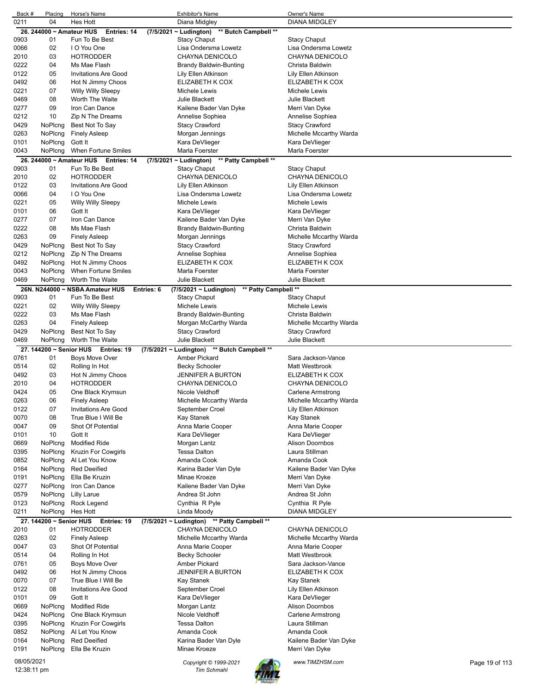| Back #     | Placing                  | Horse's Name                                  | <b>Exhibitor's Name</b>                        | Owner's Name            |                |
|------------|--------------------------|-----------------------------------------------|------------------------------------------------|-------------------------|----------------|
| 0211       | 04                       | Hes Hott                                      | Diana Midgley                                  | <b>DIANA MIDGLEY</b>    |                |
|            | 26. 244000 ~ Amateur HUS | Entries: 14                                   | ** Butch Campbell **<br>(7/5/2021 ~ Ludington) |                         |                |
| 0903       | 01                       | Fun To Be Best                                | <b>Stacy Chaput</b>                            | <b>Stacy Chaput</b>     |                |
| 0066       | 02                       | I O You One                                   | Lisa Ondersma Lowetz                           | Lisa Ondersma Lowetz    |                |
| 2010       | 03                       | <b>HOTRODDER</b>                              | CHAYNA DENICOLO                                | CHAYNA DENICOLO         |                |
| 0222       | 04                       | Ms Mae Flash                                  | <b>Brandy Baldwin-Bunting</b>                  | Christa Baldwin         |                |
| 0122       | 05                       | <b>Invitations Are Good</b>                   | Lily Ellen Atkinson                            | Lily Ellen Atkinson     |                |
| 0492       | 06                       | Hot N Jimmy Choos                             | ELIZABETH K COX                                | ELIZABETH K COX         |                |
| 0221       | 07                       | <b>Willy Willy Sleepy</b>                     | Michele Lewis                                  | Michele Lewis           |                |
| 0469       | 08                       | <b>Worth The Waite</b>                        | Julie Blackett                                 | Julie Blackett          |                |
| 0277       | 09                       | Iron Can Dance                                | Kailene Bader Van Dyke                         | Merri Van Dyke          |                |
| 0212       | 10                       | Zip N The Dreams                              | Annelise Sophiea                               | Annelise Sophiea        |                |
| 0429       | NoPlcng                  | Best Not To Say                               | <b>Stacy Crawford</b>                          | <b>Stacy Crawford</b>   |                |
| 0263       | NoPlcng                  | <b>Finely Asleep</b>                          | Morgan Jennings                                | Michelle Mccarthy Warda |                |
| 0101       | NoPlcng                  | Gott It                                       | Kara DeVlieger                                 | Kara DeVlieger          |                |
| 0043       | NoPlcng                  | When Fortune Smiles                           | Marla Foerster                                 | Marla Foerster          |                |
|            |                          | 26. 244000 ~ Amateur HUS Entries: 14          | (7/5/2021 ~ Ludington)<br>** Patty Campbell ** |                         |                |
| 0903       | 01                       | Fun To Be Best                                | <b>Stacy Chaput</b>                            | <b>Stacy Chaput</b>     |                |
| 2010       | 02                       | <b>HOTRODDER</b>                              | CHAYNA DENICOLO                                | CHAYNA DENICOLO         |                |
| 0122       | 03                       | <b>Invitations Are Good</b>                   | Lily Ellen Atkinson                            | Lily Ellen Atkinson     |                |
| 0066       | 04                       | I O You One                                   | Lisa Ondersma Lowetz                           | Lisa Ondersma Lowetz    |                |
| 0221       | 05                       | <b>Willy Willy Sleepy</b>                     | Michele Lewis                                  | Michele Lewis           |                |
| 0101       | 06                       | Gott It                                       | Kara DeVlieger                                 | Kara DeVlieger          |                |
| 0277       | 07                       | Iron Can Dance                                | Kailene Bader Van Dyke                         | Merri Van Dyke          |                |
| 0222       | 08                       | Ms Mae Flash                                  | Brandy Baldwin-Bunting                         | Christa Baldwin         |                |
| 0263       | 09                       | <b>Finely Asleep</b>                          | Morgan Jennings                                | Michelle Mccarthy Warda |                |
| 0429       | NoPlcng                  | Best Not To Say                               | <b>Stacy Crawford</b>                          | <b>Stacy Crawford</b>   |                |
| 0212       | NoPlcng                  | Zip N The Dreams                              | Annelise Sophiea                               | Annelise Sophiea        |                |
| 0492       | NoPlcng                  | Hot N Jimmy Choos                             | ELIZABETH K COX                                | ELIZABETH K COX         |                |
| 0043       | NoPlcng                  | When Fortune Smiles                           | Marla Foerster                                 | Marla Foerster          |                |
| 0469       | NoPlcng                  | Worth The Waite                               | Julie Blackett                                 | Julie Blackett          |                |
|            |                          | 26N. N244000 ~ NSBA Amateur HUS<br>Entries: 6 | ** Patty Campbell **<br>(7/5/2021 ~ Ludington) |                         |                |
| 0903       | 01                       | Fun To Be Best                                | <b>Stacy Chaput</b>                            | <b>Stacy Chaput</b>     |                |
| 0221       | 02                       | <b>Willy Willy Sleepy</b>                     | Michele Lewis                                  | Michele Lewis           |                |
| 0222       | 03                       | Ms Mae Flash                                  | Brandy Baldwin-Bunting                         | Christa Baldwin         |                |
| 0263       | 04                       | <b>Finely Asleep</b>                          | Morgan McCarthy Warda                          | Michelle Mccarthy Warda |                |
| 0429       | NoPlcng                  | Best Not To Say                               | <b>Stacy Crawford</b>                          | Stacy Crawford          |                |
| 0469       | NoPlcng                  | Worth The Waite                               | Julie Blackett                                 | Julie Blackett          |                |
|            |                          | 27. 144200 ~ Senior HUS Entries: 19           | (7/5/2021 ~ Ludington) ** Butch Campbell **    |                         |                |
| 0761       | 01                       | <b>Boys Move Over</b>                         | Amber Pickard                                  | Sara Jackson-Vance      |                |
| 0514       | 02                       | Rolling In Hot                                | <b>Becky Schooler</b>                          | Matt Westbrook          |                |
| 0492       | 03                       |                                               |                                                |                         |                |
| 2010       |                          |                                               |                                                |                         |                |
|            |                          | Hot N Jimmy Choos                             | <b>JENNIFER A BURTON</b>                       | ELIZABETH K COX         |                |
|            | 04                       | <b>HOTRODDER</b>                              | CHAYNA DENICOLO                                | CHAYNA DENICOLO         |                |
| 0424       | 05                       | One Black Krymsun                             | Nicole Veldhoff                                | Carlene Armstrong       |                |
| 0263       | 06                       | Finely Asleep                                 | Michelle Mccarthy Warda                        | Michelle Mccarthy Warda |                |
| 0122       | 07                       | <b>Invitations Are Good</b>                   | September Croel                                | Lily Ellen Atkinson     |                |
| 0070       | 08                       | True Blue I Will Be                           | Kay Stanek                                     | Kay Stanek              |                |
| 0047       | 09                       | Shot Of Potential                             | Anna Marie Cooper                              | Anna Marie Cooper       |                |
| 0101       | 10                       | Gott It                                       | Kara DeVlieger                                 | Kara DeVlieger          |                |
| 0669       | NoPlcng                  | <b>Modified Ride</b>                          | Morgan Lantz                                   | Alison Doornbos         |                |
| 0395       | NoPlcng                  | Kruzin For Cowgirls                           | <b>Tessa Dalton</b>                            | Laura Stillman          |                |
| 0852       | NoPlcng                  | Al Let You Know                               | Amanda Cook                                    | Amanda Cook             |                |
| 0164       | NoPlcng                  | <b>Red Deeified</b>                           | Karina Bader Van Dyle                          | Kailene Bader Van Dyke  |                |
| 0191       | NoPlcng                  | Ella Be Kruzin                                | Minae Kroeze                                   | Merri Van Dyke          |                |
| 0277       | NoPlcng                  | Iron Can Dance                                | Kailene Bader Van Dyke                         | Merri Van Dyke          |                |
| 0579       | NoPlcng                  | <b>Lilly Larue</b>                            | Andrea St John                                 | Andrea St John          |                |
| 0123       | NoPlcng                  | Rock Legend                                   | Cynthia R Pyle                                 | Cynthia R Pyle          |                |
| 0211       | NoPlcng                  | <b>Hes Hott</b>                               | Linda Moody                                    | DIANA MIDGLEY           |                |
|            | 27. 144200 ~ Senior HUS  | Entries: 19                                   | (7/5/2021 ~ Ludington) ** Patty Campbell **    |                         |                |
| 2010       | 01                       | <b>HOTRODDER</b>                              | CHAYNA DENICOLO                                | CHAYNA DENICOLO         |                |
| 0263       | 02                       | <b>Finely Asleep</b>                          | Michelle Mccarthy Warda                        | Michelle Mccarthy Warda |                |
| 0047       | 03                       | Shot Of Potential                             | Anna Marie Cooper                              | Anna Marie Cooper       |                |
| 0514       | 04                       | Rolling In Hot                                | <b>Becky Schooler</b>                          | Matt Westbrook          |                |
| 0761       | 05                       | Boys Move Over                                | Amber Pickard                                  | Sara Jackson-Vance      |                |
| 0492       | 06                       | Hot N Jimmy Choos                             | JENNIFER A BURTON                              | ELIZABETH K COX         |                |
| 0070       | 07                       | True Blue I Will Be                           | Kay Stanek                                     | Kay Stanek              |                |
| 0122       | 08                       | <b>Invitations Are Good</b>                   | September Croel                                | Lily Ellen Atkinson     |                |
| 0101       | 09                       | Gott It                                       | Kara DeVlieger                                 | Kara DeVlieger          |                |
| 0669       | NoPlcng                  | <b>Modified Ride</b>                          | Morgan Lantz                                   | Alison Doornbos         |                |
| 0424       | NoPlcng                  | One Black Krymsun                             | Nicole Veldhoff                                | Carlene Armstrong       |                |
| 0395       | NoPlcng                  | <b>Kruzin For Cowgirls</b>                    | <b>Tessa Dalton</b>                            | Laura Stillman          |                |
| 0852       | NoPlcng                  | Al Let You Know                               | Amanda Cook                                    | Amanda Cook             |                |
| 0164       | NoPlcng                  | <b>Red Deeified</b>                           | Karina Bader Van Dyle                          | Kailene Bader Van Dyke  |                |
| 0191       | NoPlcng                  | Ella Be Kruzin                                | Minae Kroeze                                   | Merri Van Dyke          |                |
| 08/05/2021 |                          |                                               | Copyright © 1999-2021                          | www.TIMZHSM.com         | Page 19 of 113 |

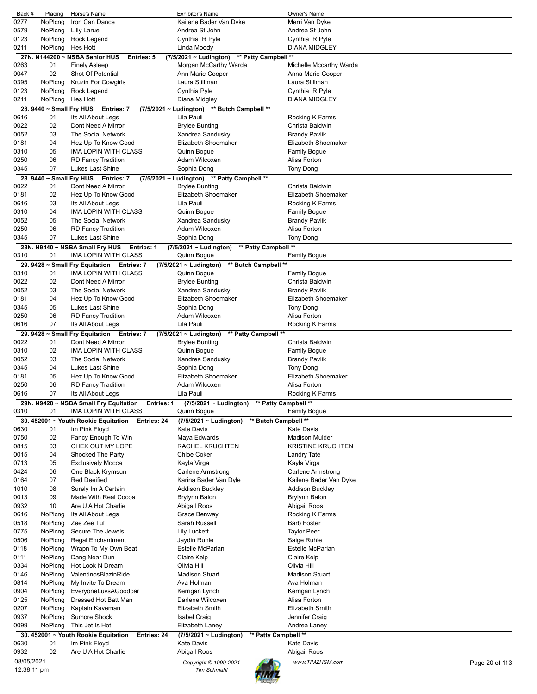| Back #       | Placing                  | Horse's Name                                                           | <b>Exhibitor's Name</b>                             | Owner's Name                      |
|--------------|--------------------------|------------------------------------------------------------------------|-----------------------------------------------------|-----------------------------------|
| 0277         | NoPlcng                  | Iron Can Dance                                                         | Kailene Bader Van Dyke                              | Merri Van Dyke                    |
| 0579         | NoPlcng                  | <b>Lilly Larue</b>                                                     | Andrea St John                                      | Andrea St John                    |
| 0123         | NoPlcng                  | <b>Rock Legend</b>                                                     | Cynthia R Pyle                                      | Cynthia R Pyle                    |
| 0211         | NoPlcng                  | Hes Hott                                                               | Linda Moody                                         | <b>DIANA MIDGLEY</b>              |
|              |                          | 27N. N144200 ~ NSBA Senior HUS<br><b>Entries: 5</b>                    | ** Patty Campbell **<br>$(7/5/2021 \sim$ Ludington) |                                   |
| 0263         | 01                       | <b>Finely Asleep</b>                                                   | Morgan McCarthy Warda                               | Michelle Mccarthy Warda           |
| 0047         | 02                       | Shot Of Potential                                                      | Ann Marie Cooper                                    | Anna Marie Cooper                 |
| 0395         | NoPlcng                  | <b>Kruzin For Cowgirls</b>                                             | Laura Stillman                                      | Laura Stillman                    |
| 0123         | NoPlcng                  | Rock Legend                                                            | Cynthia Pyle                                        | Cynthia R Pyle                    |
| 0211         | NoPlcng                  | Hes Hott                                                               | Diana Midgley                                       | <b>DIANA MIDGLEY</b>              |
|              | 28. 9440 ~ Small Fry HUS | Entries: 7<br>$(7/5/2021 \sim$ Ludington)                              | ** Butch Campbell **                                |                                   |
| 0616         | 01                       | Its All About Legs                                                     | Lila Pauli                                          | Rocking K Farms                   |
| 0022         | 02                       | Dont Need A Mirror                                                     | <b>Brylee Bunting</b>                               | Christa Baldwin                   |
| 0052         | 03                       | The Social Network                                                     | Xandrea Sandusky                                    | <b>Brandy Pavlik</b>              |
| 0181         | 04                       | Hez Up To Know Good                                                    | Elizabeth Shoemaker                                 | Elizabeth Shoemaker               |
| 0310         | 05                       | IMA LOPIN WITH CLASS                                                   | Quinn Bogue                                         | <b>Family Bogue</b>               |
| 0250         | 06                       | <b>RD Fancy Tradition</b>                                              | Adam Wilcoxen                                       | Alisa Forton                      |
| 0345         | 07                       | Lukes Last Shine                                                       | Sophia Dong                                         | <b>Tony Dong</b>                  |
|              |                          | 28. 9440 ~ Small Fry HUS Entries: 7                                    | (7/5/2021 ~ Ludington) ** Patty Campbell **         |                                   |
| 0022         | 01                       | Dont Need A Mirror                                                     | <b>Brylee Bunting</b>                               | Christa Baldwin                   |
| 0181         | 02                       | Hez Up To Know Good                                                    | Elizabeth Shoemaker                                 | Elizabeth Shoemaker               |
| 0616         | 03                       | Its All About Legs                                                     | Lila Pauli                                          | Rocking K Farms                   |
| 0310         | 04                       | <b>IMA LOPIN WITH CLASS</b>                                            | Quinn Bogue                                         | <b>Family Bogue</b>               |
| 0052         | 05                       | The Social Network                                                     | Xandrea Sandusky                                    | Brandy Pavlik                     |
| 0250         | 06                       | <b>RD Fancy Tradition</b>                                              | Adam Wilcoxen                                       | Alisa Forton                      |
| 0345         | 07                       | Lukes Last Shine                                                       | Sophia Dong                                         | <b>Tony Dong</b>                  |
|              |                          | 28N. N9440 ~ NSBA Small Fry HUS<br><b>Entries: 1</b>                   | ** Patty Campbell **<br>$(7/5/2021 \sim$ Ludington) |                                   |
| 0310         | 01                       | <b>IMA LOPIN WITH CLASS</b>                                            | Quinn Bogue                                         | <b>Family Bogue</b>               |
|              |                          | 29. 9428 ~ Small Fry Equitation Entries: 7                             | (7/5/2021 ~ Ludington)<br>** Butch Campbell **      |                                   |
| 0310         | 01                       | <b>IMA LOPIN WITH CLASS</b>                                            | Quinn Bogue                                         | <b>Family Bogue</b>               |
| 0022         | 02                       | Dont Need A Mirror                                                     | <b>Brylee Bunting</b>                               | Christa Baldwin                   |
| 0052         | 03                       | The Social Network                                                     | Xandrea Sandusky                                    | <b>Brandy Pavlik</b>              |
| 0181         | 04                       | Hez Up To Know Good                                                    | Elizabeth Shoemaker                                 | Elizabeth Shoemaker               |
| 0345         | 05                       | Lukes Last Shine                                                       | Sophia Dong                                         | Tony Dong                         |
| 0250         | 06                       | <b>RD Fancy Tradition</b>                                              | Adam Wilcoxen                                       | Alisa Forton                      |
| 0616         | 07                       | Its All About Legs                                                     | Lila Pauli                                          | Rocking K Farms                   |
|              |                          | 29. 9428 ~ Small Fry Equitation Entries: 7                             | $(7/5/2021 \sim$ Ludington)<br>** Patty Campbell ** |                                   |
| 0022         | 01                       | Dont Need A Mirror                                                     | <b>Brylee Bunting</b>                               | Christa Baldwin                   |
| 0310         | 02                       | <b>IMA LOPIN WITH CLASS</b>                                            | Quinn Bogue                                         | <b>Family Boque</b>               |
| 0052         | 03                       | The Social Network                                                     | Xandrea Sandusky                                    | <b>Brandy Pavlik</b>              |
| 0345         | 04                       | Lukes Last Shine                                                       | Sophia Dong                                         | <b>Tony Dong</b>                  |
| 0181         | 05                       | Hez Up To Know Good                                                    | Elizabeth Shoemaker                                 | Elizabeth Shoemaker               |
| 0250         | 06                       | <b>RD Fancy Tradition</b>                                              | Adam Wilcoxen                                       | Alisa Forton                      |
| 0616         | 07                       | Its All About Legs                                                     | Lila Pauli                                          | Rocking K Farms                   |
|              | 29N. N9428~<br>01        | <b>NSBA Small Fry Equitation</b><br>Entries: 1<br>IMA LOPIN WITH CLASS | (7/5/2021 ~ Ludington)<br>** Patty Campbell **      | <b>Family Bogue</b>               |
| 0310         |                          |                                                                        | Quinn Bogue                                         |                                   |
|              |                          | 30. 452001 ~ Youth Rookie Equitation<br>Entries: 24<br>Im Pink Floyd   | (7/5/2021 ~ Ludington) ** Butch Campbell **         | <b>Kate Davis</b>                 |
| 0630<br>0750 | 01<br>02                 |                                                                        | <b>Kate Davis</b><br>Maya Edwards                   | <b>Madison Mulder</b>             |
| 0815         | 03                       | Fancy Enough To Win<br>CHEX OUT MY LOPE                                | RACHEL KRUCHTEN                                     | <b>KRISTINE KRUCHTEN</b>          |
| 0015         | 04                       | Shocked The Party                                                      | Chloe Coker                                         | Landry Tate                       |
| 0713         | 05                       | <b>Exclusively Mocca</b>                                               | Kayla Virga                                         | Kayla Virga                       |
| 0424         | 06                       | One Black Krymsun                                                      | Carlene Armstrong                                   | Carlene Armstrong                 |
| 0164         | 07                       | <b>Red Deeified</b>                                                    | Karina Bader Van Dyle                               | Kailene Bader Van Dyke            |
| 1010         | 08                       | Surely Im A Certain                                                    | Addison Buckley                                     | Addison Buckley                   |
| 0013         | 09                       | Made With Real Cocoa                                                   | Brylynn Balon                                       | Brylynn Balon                     |
| 0932         | 10                       | Are U A Hot Charlie                                                    | Abigail Roos                                        | Abigail Roos                      |
| 0616         | NoPlcng                  | Its All About Legs                                                     | Grace Benway                                        | Rocking K Farms                   |
| 0518         | NoPicng                  | Zee Zee Tuf                                                            | Sarah Russell                                       | <b>Barb Foster</b>                |
| 0775         | NoPlcng                  | Secure The Jewels                                                      | <b>Lily Luckett</b>                                 | <b>Taylor Peer</b>                |
| 0506         | NoPlcng                  | <b>Regal Enchantment</b>                                               | Jaydin Ruhle                                        | Saige Ruhle                       |
| 0118         | NoPlcng                  | Wrapn To My Own Beat                                                   | Estelle McParlan                                    | Estelle McParlan                  |
| 0111         | NoPlcng                  | Dang Near Dun                                                          | Claire Kelp                                         | Claire Kelp                       |
| 0334         | NoPlcng                  | Hot Look N Dream                                                       | Olivia Hill                                         | Olivia Hill                       |
| 0146         | NoPlcng                  | ValentinosBlazinRide                                                   | <b>Madison Stuart</b>                               | <b>Madison Stuart</b>             |
| 0814         | NoPlcng                  | My Invite To Dream                                                     | Ava Holman                                          | Ava Holman                        |
| 0904         | NoPlcng                  | EveryoneLuvsAGoodbar                                                   | Kerrigan Lynch                                      | Kerrigan Lynch                    |
| 0125         | NoPlcng                  | Dressed Hot Batt Man                                                   | Darlene Wilcoxen                                    | Alisa Forton                      |
| 0207         | NoPlcng                  | Kaptain Kaveman                                                        | <b>Elizabeth Smith</b>                              | Elizabeth Smith                   |
| 0937         | NoPlcng                  | Sumore Shock                                                           | <b>Isabel Craig</b>                                 | Jennifer Craig                    |
| 0099         | NoPlcng                  | This Jet Is Hot                                                        | Elizabeth Laney                                     | Andrea Laney                      |
|              |                          | 30. 452001 ~ Youth Rookie Equitation<br><b>Entries: 24</b>             | ** Patty Campbell **<br>$(7/5/2021 \sim$ Ludington) |                                   |
| 0630         | 01                       | Im Pink Floyd                                                          | <b>Kate Davis</b>                                   | <b>Kate Davis</b>                 |
| 0932         | 02                       | Are U A Hot Charlie                                                    | Abigail Roos                                        | Abigail Roos                      |
| 08/05/2021   |                          |                                                                        | Copyright © 1999-2021                               | www.TIMZHSM.com<br>Page 20 of 113 |
| 12:38:11 pm  |                          |                                                                        | <b>Tim Schmahl</b>                                  |                                   |
|              |                          |                                                                        |                                                     |                                   |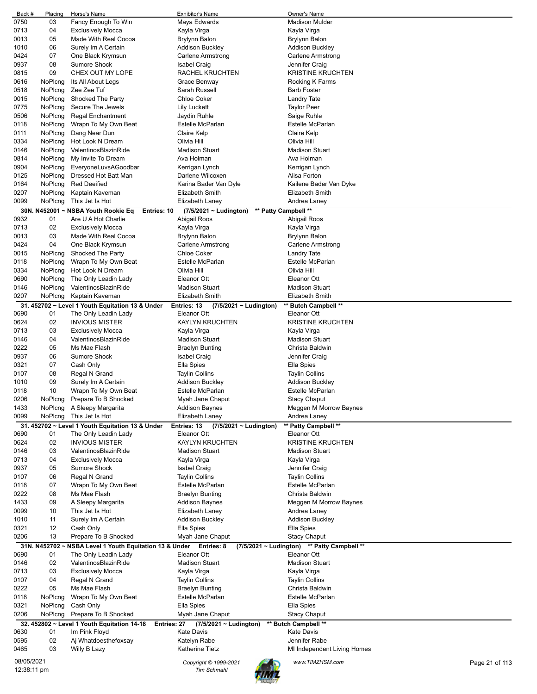| Back #      | Placing | Horse's Name                                                       | Exhibitor's Name                                    | Owner's Name                                |                |
|-------------|---------|--------------------------------------------------------------------|-----------------------------------------------------|---------------------------------------------|----------------|
| 0750        | 03      | Fancy Enough To Win                                                | Maya Edwards                                        | <b>Madison Mulder</b>                       |                |
| 0713        | 04      | <b>Exclusively Mocca</b>                                           | Kayla Virga                                         | Kayla Virga                                 |                |
| 0013        | 05      | Made With Real Cocoa                                               | <b>Brylynn Balon</b>                                | Brylynn Balon                               |                |
| 1010        | 06      | Surely Im A Certain                                                | Addison Buckley                                     | <b>Addison Buckley</b>                      |                |
| 0424        | 07      | One Black Krymsun                                                  | Carlene Armstrong                                   | Carlene Armstrong                           |                |
| 0937        | 08      | <b>Sumore Shock</b>                                                | <b>Isabel Craig</b>                                 | Jennifer Craig                              |                |
| 0815        | 09      | CHEX OUT MY LOPE                                                   | RACHEL KRUCHTEN                                     | <b>KRISTINE KRUCHTEN</b>                    |                |
|             |         |                                                                    |                                                     |                                             |                |
| 0616        | NoPlcng | Its All About Legs                                                 | Grace Benway                                        | Rocking K Farms                             |                |
| 0518        | NoPlcng | Zee Zee Tuf                                                        | Sarah Russell                                       | <b>Barb Foster</b>                          |                |
| 0015        | NoPlcng | Shocked The Party                                                  | <b>Chloe Coker</b>                                  | Landry Tate                                 |                |
| 0775        | NoPlcng | Secure The Jewels                                                  | Lily Luckett                                        | <b>Taylor Peer</b>                          |                |
| 0506        | NoPlcng | <b>Regal Enchantment</b>                                           | Jaydin Ruhle                                        | Saige Ruhle                                 |                |
| 0118        | NoPlcng | Wrapn To My Own Beat                                               | Estelle McParlan                                    | Estelle McParlan                            |                |
| 0111        | NoPlcng | Dang Near Dun                                                      | Claire Kelp                                         | Claire Kelp                                 |                |
|             |         |                                                                    | Olivia Hill                                         |                                             |                |
| 0334        | NoPlcng | Hot Look N Dream                                                   |                                                     | Olivia Hill                                 |                |
| 0146        | NoPlcng | ValentinosBlazinRide                                               | <b>Madison Stuart</b>                               | <b>Madison Stuart</b>                       |                |
| 0814        | NoPlcng | My Invite To Dream                                                 | Ava Holman                                          | Ava Holman                                  |                |
| 0904        | NoPlcng | EveryoneLuvsAGoodbar                                               | Kerrigan Lynch                                      | Kerrigan Lynch                              |                |
| 0125        | NoPlcng | Dressed Hot Batt Man                                               | Darlene Wilcoxen                                    | Alisa Forton                                |                |
| 0164        | NoPlcng | <b>Red Deeified</b>                                                | Karina Bader Van Dyle                               | Kailene Bader Van Dyke                      |                |
| 0207        | NoPlcng | Kaptain Kaveman                                                    | <b>Elizabeth Smith</b>                              | Elizabeth Smith                             |                |
| 0099        | NoPlcng | This Jet Is Hot                                                    | Elizabeth Laney                                     | Andrea Laney                                |                |
|             |         |                                                                    |                                                     |                                             |                |
|             |         | 30N. N452001 ~ NSBA Youth Rookie Eq<br>Entries: 10                 | ** Patty Campbell **<br>$(7/5/2021 \sim$ Ludington) |                                             |                |
| 0932        | 01      | Are U A Hot Charlie                                                | Abigail Roos                                        | Abigail Roos                                |                |
| 0713        | 02      | <b>Exclusively Mocca</b>                                           | Kayla Virga                                         | Kayla Virga                                 |                |
| 0013        | 03      | Made With Real Cocoa                                               | Brylynn Balon                                       | Brylynn Balon                               |                |
| 0424        | 04      | One Black Krymsun                                                  | <b>Carlene Armstrong</b>                            | Carlene Armstrong                           |                |
| 0015        | NoPlcng | Shocked The Party                                                  | <b>Chloe Coker</b>                                  | Landry Tate                                 |                |
| 0118        | NoPlcng | Wrapn To My Own Beat                                               | <b>Estelle McParlan</b>                             | Estelle McParlan                            |                |
|             |         |                                                                    |                                                     |                                             |                |
| 0334        | NoPlcng | Hot Look N Dream                                                   | Olivia Hill                                         | Olivia Hill                                 |                |
| 0690        | NoPlcng | The Only Leadin Lady                                               | Eleanor Ott                                         | Eleanor Ott                                 |                |
| 0146        | NoPlcng | ValentinosBlazinRide                                               | <b>Madison Stuart</b>                               | <b>Madison Stuart</b>                       |                |
| 0207        | NoPlcng | Kaptain Kaveman                                                    | <b>Elizabeth Smith</b>                              | Elizabeth Smith                             |                |
|             |         | 31. 452702 ~ Level 1 Youth Equitation 13 & Under                   | Entries: 13<br>$(7/5/2021 \sim$ Ludington)          | ** Butch Campbell **                        |                |
| 0690        | 01      | The Only Leadin Lady                                               | Eleanor Ott                                         | Eleanor Ott                                 |                |
| 0624        | 02      | <b>INVIOUS MISTER</b>                                              | <b>KAYLYN KRUCHTEN</b>                              | <b>KRISTINE KRUCHTEN</b>                    |                |
|             |         |                                                                    |                                                     |                                             |                |
| 0713        | 03      | <b>Exclusively Mocca</b>                                           | Kayla Virga                                         | Kayla Virga                                 |                |
| 0146        | 04      | ValentinosBlazinRide                                               | <b>Madison Stuart</b>                               | <b>Madison Stuart</b>                       |                |
| 0222        | 05      | Ms Mae Flash                                                       | <b>Braelyn Bunting</b>                              | Christa Baldwin                             |                |
| 0937        | 06      | <b>Sumore Shock</b>                                                | <b>Isabel Craig</b>                                 | Jennifer Craig                              |                |
| 0321        | 07      | Cash Only                                                          | Ella Spies                                          | Ella Spies                                  |                |
| 0107        | 08      | Regal N Grand                                                      | <b>Taylin Collins</b>                               | <b>Taylin Collins</b>                       |                |
| 1010        | 09      | Surely Im A Certain                                                | <b>Addison Buckley</b>                              | <b>Addison Buckley</b>                      |                |
|             |         |                                                                    |                                                     | <b>Estelle McParlan</b>                     |                |
| 0118        | 10      | Wrapn To My Own Beat                                               | Estelle McParlan                                    |                                             |                |
| 0206        | NoPlcng | Prepare To B Shocked                                               | Myah Jane Chaput                                    | <b>Stacy Chaput</b>                         |                |
| 1433        | NoPlcng | A Sleepy Margarita                                                 | <b>Addison Baynes</b>                               | Meggen M Morrow Baynes                      |                |
| 0099        | NoPlcng | This Jet Is Hot                                                    | Elizabeth Laney                                     | Andrea Laney                                |                |
|             |         | 31. 452702 ~ Level 1 Youth Equitation 13 & Under                   | Entries: 13<br>(7/5/2021 ~ Ludington)               | ** Patty Campbell **                        |                |
| 0690        | 01      | The Only Leadin Lady                                               | Eleanor Ott                                         | Eleanor Ott                                 |                |
| 0624        | 02      | <b>INVIOUS MISTER</b>                                              | <b>KAYLYN KRUCHTEN</b>                              | <b>KRISTINE KRUCHTEN</b>                    |                |
| 0146        | 03      | ValentinosBlazinRide                                               | <b>Madison Stuart</b>                               | Madison Stuart                              |                |
|             |         |                                                                    |                                                     |                                             |                |
| 0713        | 04      | <b>Exclusively Mocca</b>                                           | Kayla Virga                                         | Kayla Virga                                 |                |
| 0937        | 05      | Sumore Shock                                                       | <b>Isabel Craig</b>                                 | Jennifer Craig                              |                |
| 0107        | 06      | Regal N Grand                                                      | <b>Taylin Collins</b>                               | <b>Taylin Collins</b>                       |                |
| 0118        | 07      | Wrapn To My Own Beat                                               | Estelle McParlan                                    | Estelle McParlan                            |                |
| 0222        | 08      | Ms Mae Flash                                                       | <b>Braelyn Bunting</b>                              | Christa Baldwin                             |                |
| 1433        | 09      | A Sleepy Margarita                                                 | <b>Addison Baynes</b>                               | Meggen M Morrow Baynes                      |                |
| 0099        | 10      | This Jet Is Hot                                                    | Elizabeth Laney                                     | Andrea Laney                                |                |
| 1010        | 11      | Surely Im A Certain                                                | <b>Addison Buckley</b>                              | <b>Addison Buckley</b>                      |                |
|             |         |                                                                    |                                                     |                                             |                |
| 0321        | 12      | Cash Only                                                          | Ella Spies                                          | Ella Spies                                  |                |
| 0206        | 13      | Prepare To B Shocked                                               | Myah Jane Chaput                                    | Stacy Chaput                                |                |
|             |         | 31N. N452702 ~ NSBA Level 1 Youth Equitation 13 & Under Entries: 8 |                                                     | (7/5/2021 ~ Ludington) ** Patty Campbell ** |                |
| 0690        | 01      | The Only Leadin Lady                                               | Eleanor Ott                                         | Eleanor Ott                                 |                |
| 0146        | 02      | ValentinosBlazinRide                                               | <b>Madison Stuart</b>                               | <b>Madison Stuart</b>                       |                |
| 0713        | 03      | <b>Exclusively Mocca</b>                                           | Kayla Virga                                         | Kayla Virga                                 |                |
| 0107        | 04      | Regal N Grand                                                      | <b>Taylin Collins</b>                               | <b>Taylin Collins</b>                       |                |
| 0222        | 05      | Ms Mae Flash                                                       | <b>Braelyn Bunting</b>                              | Christa Baldwin                             |                |
|             |         |                                                                    |                                                     |                                             |                |
| 0118        | NoPlcng | Wrapn To My Own Beat                                               | Estelle McParlan                                    | Estelle McParlan                            |                |
| 0321        | NoPlcng | Cash Only                                                          | Ella Spies                                          | Ella Spies                                  |                |
| 0206        | NoPlcng | Prepare To B Shocked                                               | Myah Jane Chaput                                    | <b>Stacy Chaput</b>                         |                |
|             |         | 32. 452802 ~ Level 1 Youth Equitation 14-18<br>Entries: 27         | $(7/5/2021 \sim$ Ludington)                         | ** Butch Campbell **                        |                |
| 0630        | 01      | Im Pink Floyd                                                      | <b>Kate Davis</b>                                   | <b>Kate Davis</b>                           |                |
| 0595        | 02      | Aj Whatdoesthefoxsay                                               | Katelyn Rabe                                        | Jennifer Rabe                               |                |
| 0465        | 03      | Willy B Lazy                                                       | <b>Katherine Tietz</b>                              | MI Independent Living Homes                 |                |
|             |         |                                                                    |                                                     |                                             |                |
| 08/05/2021  |         |                                                                    | Copyright © 1999-2021                               | www.TIMZHSM.com                             | Page 21 of 113 |
| 12:38:11 pm |         |                                                                    | <b>Tim Schmahl</b>                                  |                                             |                |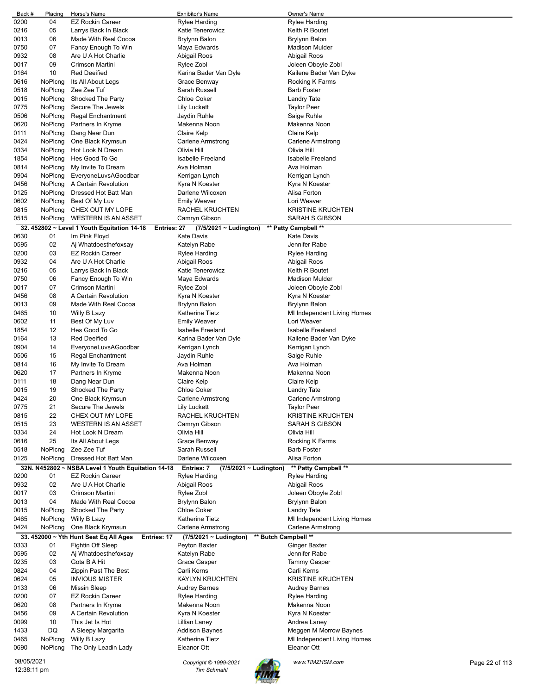| Back #      | Placing | Horse's Name                                               | Exhibitor's Name                                    | Owner's Name                |                |
|-------------|---------|------------------------------------------------------------|-----------------------------------------------------|-----------------------------|----------------|
| 0200        | 04      | <b>EZ Rockin Career</b>                                    | <b>Rylee Harding</b>                                | <b>Rylee Harding</b>        |                |
| 0216        | 05      | Larrys Back In Black                                       | Katie Tenerowicz                                    | Keith R Boutet              |                |
| 0013        | 06      | Made With Real Cocoa                                       | <b>Brylynn Balon</b>                                | <b>Brylynn Balon</b>        |                |
| 0750        | 07      | Fancy Enough To Win                                        | Maya Edwards                                        | Madison Mulder              |                |
| 0932        | 08      | Are U A Hot Charlie                                        | Abigail Roos                                        | Abigail Roos                |                |
| 0017        | 09      | Crimson Martini                                            | Rylee Zobl                                          | Joleen Oboyle Zobl          |                |
| 0164        | 10      | <b>Red Deeified</b>                                        | Karina Bader Van Dyle                               | Kailene Bader Van Dyke      |                |
| 0616        | NoPlcng | Its All About Legs                                         | Grace Benway                                        | Rocking K Farms             |                |
| 0518        | NoPlcng | Zee Zee Tuf                                                | Sarah Russell                                       | <b>Barb Foster</b>          |                |
| 0015        | NoPlcng | Shocked The Party                                          | <b>Chloe Coker</b>                                  | Landry Tate                 |                |
| 0775        | NoPlcng | Secure The Jewels                                          | <b>Lily Luckett</b>                                 | <b>Taylor Peer</b>          |                |
| 0506        | NoPlcng | Regal Enchantment                                          | Jaydin Ruhle                                        | Saige Ruhle                 |                |
| 0620        | NoPlcng | Partners In Kryme                                          | Makenna Noon                                        | Makenna Noon                |                |
| 0111        | NoPlcng | Dang Near Dun                                              | Claire Kelp                                         | Claire Kelp                 |                |
| 0424        | NoPlcng | One Black Krymsun                                          | Carlene Armstrong                                   | Carlene Armstrong           |                |
| 0334        | NoPlcng | Hot Look N Dream                                           | Olivia Hill                                         | Olivia Hill                 |                |
| 1854        | NoPlcng | Hes Good To Go                                             | <b>Isabelle Freeland</b>                            | <b>Isabelle Freeland</b>    |                |
| 0814        | NoPlcng | My Invite To Dream                                         | Ava Holman                                          | Ava Holman                  |                |
| 0904        | NoPlcng | EveryoneLuvsAGoodbar                                       | Kerrigan Lynch                                      | Kerrigan Lynch              |                |
| 0456        | NoPlcng | A Certain Revolution                                       | Kyra N Koester                                      | Kyra N Koester              |                |
| 0125        | NoPlcng | Dressed Hot Batt Man                                       | Darlene Wilcoxen                                    | Alisa Forton                |                |
| 0602        | NoPlcng | Best Of My Luv                                             | <b>Emily Weaver</b>                                 | Lori Weaver                 |                |
| 0815        | NoPlcng | CHEX OUT MY LOPE                                           | RACHEL KRUCHTEN                                     | <b>KRISTINE KRUCHTEN</b>    |                |
| 0515        | NoPlcng | <b>WESTERN IS AN ASSET</b>                                 | Camryn Gibson                                       | SARAH S GIBSON              |                |
|             |         | 32. 452802 ~ Level 1 Youth Equitation 14-18<br>Entries: 27 | $(7/5/2021 -$ Ludington)                            | ** Patty Campbell **        |                |
| 0630        | 01      | Im Pink Floyd                                              | <b>Kate Davis</b>                                   | <b>Kate Davis</b>           |                |
| 0595        | 02      | Aj Whatdoesthefoxsay                                       | Katelyn Rabe                                        | Jennifer Rabe               |                |
| 0200        | 03      | <b>EZ Rockin Career</b>                                    | <b>Rylee Harding</b>                                | Rylee Harding               |                |
| 0932        | 04      | Are U A Hot Charlie                                        | Abigail Roos                                        | Abigail Roos                |                |
| 0216        | 05      | Larrys Back In Black                                       | Katie Tenerowicz                                    | Keith R Boutet              |                |
| 0750        | 06      | Fancy Enough To Win                                        | Maya Edwards                                        | Madison Mulder              |                |
| 0017        | 07      | Crimson Martini                                            | Rylee Zobl                                          | Joleen Oboyle Zobl          |                |
| 0456        | 08      | A Certain Revolution                                       | Kyra N Koester                                      | Kyra N Koester              |                |
| 0013        | 09      | Made With Real Cocoa                                       | Brylynn Balon                                       | Brylynn Balon               |                |
| 0465        | 10      | Willy B Lazy                                               | Katherine Tietz                                     | MI Independent Living Homes |                |
| 0602        | 11      | Best Of My Luv                                             | <b>Emily Weaver</b>                                 | Lori Weaver                 |                |
| 1854        | 12      | Hes Good To Go                                             | <b>Isabelle Freeland</b>                            | <b>Isabelle Freeland</b>    |                |
| 0164        | 13      | <b>Red Deeified</b>                                        | Karina Bader Van Dyle                               | Kailene Bader Van Dyke      |                |
| 0904        | 14      | EveryoneLuvsAGoodbar                                       |                                                     |                             |                |
|             | 15      | <b>Regal Enchantment</b>                                   | Kerrigan Lynch                                      | Kerrigan Lynch              |                |
| 0506        |         |                                                            | Jaydin Ruhle<br>Ava Holman                          | Saige Ruhle<br>Ava Holman   |                |
| 0814        | 16      | My Invite To Dream                                         |                                                     |                             |                |
| 0620        | 17      | Partners In Kryme                                          | Makenna Noon                                        | Makenna Noon                |                |
| 0111        | 18      | Dang Near Dun                                              | Claire Kelp                                         | Claire Kelp                 |                |
| 0015        | 19      | Shocked The Party                                          | <b>Chloe Coker</b>                                  | Landry Tate                 |                |
| 0424        | 20      | One Black Krymsun                                          | Carlene Armstrong                                   | Carlene Armstrong           |                |
| 0775        | 21      | Secure The Jewels                                          | <b>Lily Luckett</b>                                 | <b>Taylor Peer</b>          |                |
| 0815        | 22      | CHEX OUT MY LOPE                                           | RACHEL KRUCHTEN                                     | <b>KRISTINE KRUCHTEN</b>    |                |
| 0515        | 23      | <b>WESTERN IS AN ASSET</b>                                 | Camryn Gibson                                       | <b>SARAH S GIBSON</b>       |                |
| 0334        | 24      | Hot Look N Dream                                           | Olivia Hill                                         | Olivia Hill                 |                |
| 0616        | 25      | Its All About Legs                                         | Grace Benway                                        | Rocking K Farms             |                |
| 0518        | NoPlcng | Zee Zee Tuf                                                | Sarah Russell                                       | <b>Barb Foster</b>          |                |
| 0125        | NoPlcng | Dressed Hot Batt Man                                       | Darlene Wilcoxen                                    | Alisa Forton                |                |
|             |         | 32N. N452802 ~ NSBA Level 1 Youth Equitation 14-18         | Entries: 7<br>$(7/5/2021 \sim$ Ludington)           | ** Patty Campbell **        |                |
| 0200        | 01      | EZ Rockin Career                                           | <b>Rylee Harding</b>                                | <b>Rylee Harding</b>        |                |
| 0932        | 02      | Are U A Hot Charlie                                        | Abigail Roos                                        | Abigail Roos                |                |
| 0017        | 03      | Crimson Martini                                            | Rylee Zobl                                          | Joleen Oboyle Zobl          |                |
| 0013        | 04      | Made With Real Cocoa                                       | <b>Brylynn Balon</b>                                | <b>Brylynn Balon</b>        |                |
| 0015        | NoPlcng | Shocked The Party                                          | <b>Chloe Coker</b>                                  | <b>Landry Tate</b>          |                |
| 0465        | NoPlcng | Willy B Lazy                                               | <b>Katherine Tietz</b>                              | MI Independent Living Homes |                |
| 0424        | NoPlcng | One Black Krymsun                                          | <b>Carlene Armstrong</b>                            | Carlene Armstrong           |                |
|             |         | 33. 452000 ~ Yth Hunt Seat Eq All Ages<br>Entries: 17      | ** Butch Campbell **<br>$(7/5/2021 \sim$ Ludington) |                             |                |
| 0333        | 01      | Fightin Off Sleep                                          | Peyton Baxter                                       | <b>Ginger Baxter</b>        |                |
| 0595        | 02      | Aj Whatdoesthefoxsay                                       | Katelyn Rabe                                        | Jennifer Rabe               |                |
| 0235        | 03      | Gota B A Hit                                               | Grace Gasper                                        | <b>Tammy Gasper</b>         |                |
| 0824        | 04      | Zippin Past The Best                                       | Carli Kerns                                         | Carli Kerns                 |                |
| 0624        | 05      | <b>INVIOUS MISTER</b>                                      | <b>KAYLYN KRUCHTEN</b>                              | <b>KRISTINE KRUCHTEN</b>    |                |
| 0133        | 06      | <b>Missin Sleep</b>                                        | <b>Audrey Barnes</b>                                | <b>Audrey Barnes</b>        |                |
| 0200        | 07      | <b>EZ Rockin Career</b>                                    | <b>Rylee Harding</b>                                | Rylee Harding               |                |
| 0620        | 08      | Partners In Kryme                                          | Makenna Noon                                        | Makenna Noon                |                |
| 0456        | 09      | A Certain Revolution                                       | Kyra N Koester                                      | Kyra N Koester              |                |
| 0099        | 10      | This Jet Is Hot                                            | Lillian Laney                                       | Andrea Laney                |                |
| 1433        | DQ      | A Sleepy Margarita                                         | <b>Addison Baynes</b>                               | Meggen M Morrow Baynes      |                |
| 0465        | NoPlcng | Willy B Lazy                                               | Katherine Tietz                                     | MI Independent Living Homes |                |
| 0690        | NoPlcng | The Only Leadin Lady                                       | Eleanor Ott                                         | Eleanor Ott                 |                |
|             |         |                                                            |                                                     |                             |                |
| 08/05/2021  |         |                                                            | Copyright © 1999-2021                               | www.TIMZHSM.com             | Page 22 of 113 |
| 12:38:11 pm |         |                                                            | <b>Tim Schmahl</b>                                  |                             |                |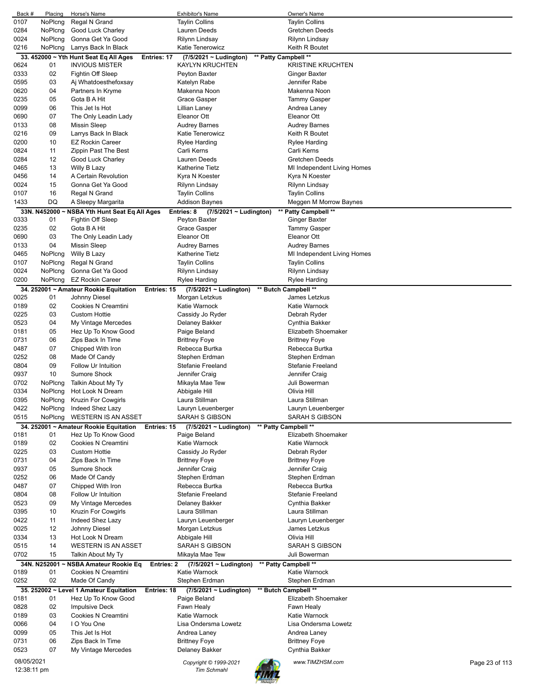| Back #     | Placing      | Horse's Name                                   | <b>Exhibitor's Name</b>                    | Owner's Name                                |                |
|------------|--------------|------------------------------------------------|--------------------------------------------|---------------------------------------------|----------------|
| 0107       | NoPlcng      | Regal N Grand                                  | <b>Taylin Collins</b>                      | <b>Taylin Collins</b>                       |                |
| 0284       | NoPlcng      | Good Luck Charley                              | Lauren Deeds                               | <b>Gretchen Deeds</b>                       |                |
| 0024       | NoPlcng      | Gonna Get Ya Good                              | <b>Rilynn Lindsay</b>                      | Rilynn Lindsay                              |                |
| 0216       | NoPlcng      | Larrys Back In Black                           | Katie Tenerowicz                           | Keith R Boutet                              |                |
|            |              | 33. 452000 ~ Yth Hunt Seat Eq All Ages         | Entries: 17<br>$(7/5/2021 \sim$ Ludington) | ** Patty Campbell **                        |                |
| 0624       | 01           | <b>INVIOUS MISTER</b>                          | <b>KAYLYN KRUCHTEN</b>                     | <b>KRISTINE KRUCHTEN</b>                    |                |
| 0333       | 02           | Fightin Off Sleep                              | Peyton Baxter                              | Ginger Baxter                               |                |
| 0595       | 03           | Aj Whatdoesthefoxsay                           | Katelyn Rabe                               | Jennifer Rabe                               |                |
| 0620       | 04           | Partners In Kryme                              | Makenna Noon                               | Makenna Noon                                |                |
| 0235       | 05           | Gota B A Hit                                   | <b>Grace Gasper</b>                        | Tammy Gasper                                |                |
| 0099       | 06           | This Jet Is Hot                                | Lillian Laney                              | Andrea Laney                                |                |
| 0690       | 07           | The Only Leadin Lady                           | Eleanor Ott                                | Eleanor Ott                                 |                |
| 0133       | 08           | <b>Missin Sleep</b>                            | <b>Audrey Barnes</b>                       | Audrey Barnes                               |                |
| 0216       | 09           | Larrys Back In Black                           | Katie Tenerowicz                           | Keith R Boutet                              |                |
| 0200       | 10           | <b>EZ Rockin Career</b>                        | Rylee Harding                              | <b>Rylee Harding</b>                        |                |
| 0824       | 11           | Zippin Past The Best                           | Carli Kerns                                | Carli Kerns                                 |                |
| 0284       | 12           | Good Luck Charley                              | Lauren Deeds                               | <b>Gretchen Deeds</b>                       |                |
| 0465       | 13           | Willy B Lazy                                   | Katherine Tietz                            | MI Independent Living Homes                 |                |
| 0456       | 14           | A Certain Revolution                           | Kyra N Koester                             | Kyra N Koester                              |                |
| 0024       | 15           | Gonna Get Ya Good                              |                                            |                                             |                |
|            |              |                                                | Rilynn Lindsay                             | Rilynn Lindsay                              |                |
| 0107       | 16           | Regal N Grand                                  | <b>Taylin Collins</b>                      | <b>Taylin Collins</b>                       |                |
| 1433       | DQ           | A Sleepy Margarita                             | Addison Baynes                             | Meggen M Morrow Baynes                      |                |
|            | 33N. N452000 | <b>NSBA Yth Hunt Seat Eq All Ages</b>          | Entries: 8<br>$(7/5/2021 \sim$ Ludington)  | ** Patty Campbell **                        |                |
| 0333       | 01           | Fightin Off Sleep                              | Peyton Baxter                              | Ginger Baxter                               |                |
| 0235       | 02           | Gota B A Hit                                   | Grace Gasper                               | <b>Tammy Gasper</b>                         |                |
| 0690       | 03           | The Only Leadin Lady                           | Eleanor Ott                                | Eleanor Ott                                 |                |
| 0133       | 04           | <b>Missin Sleep</b>                            | <b>Audrey Barnes</b>                       | <b>Audrey Barnes</b>                        |                |
| 0465       | NoPlcng      | Willy B Lazy                                   | Katherine Tietz                            | MI Independent Living Homes                 |                |
| 0107       | NoPlcng      | Regal N Grand                                  | <b>Taylin Collins</b>                      | <b>Taylin Collins</b>                       |                |
| 0024       | NoPlcng      | Gonna Get Ya Good                              | Rilynn Lindsay                             | Rilynn Lindsay                              |                |
| 0200       | NoPlcng      | <b>EZ Rockin Career</b>                        | Rylee Harding                              | Rylee Harding                               |                |
|            |              | 34. 252001 ~ Amateur Rookie Equitation         | $(7/5/2021 \sim$ Ludington)<br>Entries: 15 | ** Butch Campbell **                        |                |
| 0025       | 01           | Johnny Diesel                                  | Morgan Letzkus                             | James Letzkus                               |                |
| 0189       | 02           | Cookies N Creamtini                            | Katie Warnock                              | Katie Warnock                               |                |
| 0225       | 03           | <b>Custom Hottie</b>                           | Cassidy Jo Ryder                           | Debrah Ryder                                |                |
| 0523       | 04           | My Vintage Mercedes                            | Delaney Bakker                             | Cynthia Bakker                              |                |
| 0181       | 05           | Hez Up To Know Good                            | Paige Beland                               | Elizabeth Shoemaker                         |                |
| 0731       | 06           | Zips Back In Time                              | <b>Brittney Foye</b>                       | <b>Brittney Foye</b>                        |                |
| 0487       | 07           | Chipped With Iron                              | Rebecca Burtka                             | Rebecca Burtka                              |                |
| 0252       | 08           | Made Of Candy                                  | Stephen Erdman                             | Stephen Erdman                              |                |
| 0804       | 09           | Follow Ur Intuition                            | Stefanie Freeland                          | Stefanie Freeland                           |                |
| 0937       | 10           | Sumore Shock                                   | Jennifer Craig                             | Jennifer Craig                              |                |
| 0702       | NoPlcng      | Talkin About My Ty                             | Mikayla Mae Tew                            | Juli Bowerman                               |                |
| 0334       | NoPlcng      | Hot Look N Dream                               | Abbigale Hill                              | Olivia Hill                                 |                |
| 0395       | NoPlcng      | Kruzin For Cowgirls                            | Laura Stillman                             | Laura Stillman                              |                |
| 0422       | NoPlcng      |                                                | Lauryn Leuenberger                         |                                             |                |
| 0515       | NoPlcng      | Indeed Shez Lazy<br><b>WESTERN IS AN ASSET</b> | <b>SARAH S GIBSON</b>                      | Lauryn Leuenberger<br><b>SARAH S GIBSON</b> |                |
|            |              | 34. 252001 ~ Amateur Rookie Equitation         | Entries: 15<br>(7/5/2021 ~ Ludington)      | ** Patty Campbell **                        |                |
| 0181       | 01           |                                                |                                            |                                             |                |
| 0189       |              |                                                |                                            |                                             |                |
| 0225       |              | Hez Up To Know Good                            | Paige Beland                               | Elizabeth Shoemaker                         |                |
|            | 02           | <b>Cookies N Creamtini</b>                     | Katie Warnock                              | Katie Warnock                               |                |
| 0731       | 03           | <b>Custom Hottie</b>                           | Cassidy Jo Ryder                           | Debrah Ryder                                |                |
| 0937       | 04           | Zips Back In Time                              | <b>Brittney Foye</b>                       | <b>Brittney Foye</b>                        |                |
|            | 05           | <b>Sumore Shock</b>                            | Jennifer Craig                             | Jennifer Craig                              |                |
| 0252       | 06           | Made Of Candy                                  | Stephen Erdman                             | Stephen Erdman                              |                |
| 0487       | 07           | Chipped With Iron                              | Rebecca Burtka                             | Rebecca Burtka                              |                |
| 0804       | 08           | Follow Ur Intuition                            | <b>Stefanie Freeland</b>                   | Stefanie Freeland                           |                |
| 0523       | 09           | My Vintage Mercedes                            | Delaney Bakker                             | Cynthia Bakker                              |                |
| 0395       | 10           | Kruzin For Cowgirls                            | Laura Stillman                             | Laura Stillman                              |                |
| 0422       | 11           | Indeed Shez Lazy                               | Lauryn Leuenberger                         | Lauryn Leuenberger                          |                |
| 0025       | 12           | Johnny Diesel                                  | Morgan Letzkus                             | James Letzkus                               |                |
| 0334       | 13           | Hot Look N Dream                               | Abbigale Hill                              | Olivia Hill                                 |                |
| 0515       | 14           | <b>WESTERN IS AN ASSET</b>                     | SARAH S GIBSON                             | SARAH S GIBSON                              |                |
| 0702       | 15           | Talkin About My Ty                             | Mikayla Mae Tew                            | Juli Bowerman                               |                |
|            | 34N. N252001 | <b>NSBA Amateur Rookie Eq</b>                  | Entries: 2<br>$(7/5/2021 \sim$ Ludington)  | ** Patty Campbell **                        |                |
| 0189       | 01           | Cookies N Creamtini                            | Katie Warnock                              | Katie Warnock                               |                |
| 0252       | 02           | Made Of Candy                                  | Stephen Erdman                             | Stephen Erdman                              |                |
|            |              | 35. 252002 ~ Level 1 Amateur Equitation        | Entries: 18<br>$(7/5/2021 \sim$ Ludington) | ** Butch Campbell **                        |                |
| 0181       | 01           | Hez Up To Know Good                            | Paige Beland                               | Elizabeth Shoemaker                         |                |
| 0828       | 02           | <b>Impulsive Deck</b>                          | Fawn Healy                                 | Fawn Healy                                  |                |
| 0189       | 03           | Cookies N Creamtini                            | Katie Warnock                              | Katie Warnock                               |                |
| 0066       | 04           | I O You One                                    | Lisa Ondersma Lowetz                       | Lisa Ondersma Lowetz                        |                |
| 0099       | 05           | This Jet Is Hot                                | Andrea Laney                               | Andrea Laney                                |                |
| 0731       | 06           | Zips Back In Time                              | <b>Brittney Foye</b>                       | <b>Brittney Foye</b>                        |                |
| 0523       | 07           | My Vintage Mercedes                            | Delaney Bakker                             | Cynthia Bakker                              |                |
| 08/05/2021 |              |                                                | Copyright © 1999-2021                      | www.TIMZHSM.com                             | Page 23 of 113 |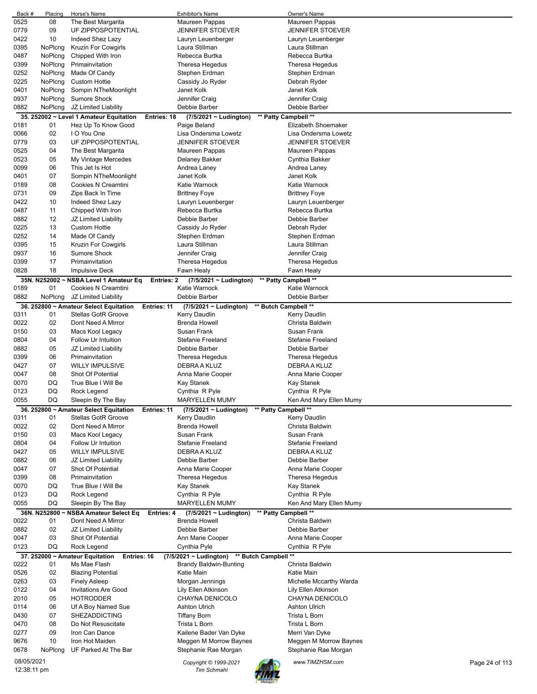| Back #      | Placing      | Horse's Name                                                | <b>Exhibitor's Name</b>                             | Owner's Name             |                |
|-------------|--------------|-------------------------------------------------------------|-----------------------------------------------------|--------------------------|----------------|
| 0525        | 08           | The Best Margarita                                          | Maureen Pappas                                      | Maureen Pappas           |                |
| 0779        | 09           | UF ZIPPOSPOTENTIAL                                          | <b>JENNIFER STOEVER</b>                             | <b>JENNIFER STOEVER</b>  |                |
| 0422        | 10           | Indeed Shez Lazy                                            | Lauryn Leuenberger                                  | Lauryn Leuenberger       |                |
| 0395        | NoPlcng      | Kruzin For Cowgirls                                         | Laura Stillman                                      | Laura Stillman           |                |
| 0487        | NoPlcng      | Chipped With Iron                                           | Rebecca Burtka                                      | Rebecca Burtka           |                |
| 0399        | NoPlcng      | Primainvitation                                             | Theresa Hegedus                                     | Theresa Hegedus          |                |
| 0252        | NoPlcng      | Made Of Candy                                               | Stephen Erdman                                      | Stephen Erdman           |                |
| 0225        | NoPlcng      | <b>Custom Hottie</b>                                        | Cassidy Jo Ryder                                    | Debrah Ryder             |                |
| 0401        | NoPlcng      | Sompin NTheMoonlight                                        | Janet Kolk                                          | Janet Kolk               |                |
| 0937        | NoPlcng      | Sumore Shock                                                | Jennifer Craig                                      | Jennifer Craig           |                |
| 0882        | NoPlcng      | JZ Limited Liability                                        | Debbie Barber                                       | Debbie Barber            |                |
|             |              | 35. 252002 ~ Level 1 Amateur Equitation<br>Entries: 18      | $(7/5/2021 \sim$ Ludington)                         | ** Patty Campbell **     |                |
| 0181        | 01           | Hez Up To Know Good                                         | Paige Beland                                        | Elizabeth Shoemaker      |                |
| 0066        | 02           | I O You One                                                 | Lisa Ondersma Lowetz                                | Lisa Ondersma Lowetz     |                |
| 0779        | 03           | UF ZIPPOSPOTENTIAL                                          | <b>JENNIFER STOEVER</b>                             | <b>JENNIFER STOEVER</b>  |                |
| 0525        | 04           | The Best Margarita                                          | Maureen Pappas                                      | Maureen Pappas           |                |
| 0523        | 05           | My Vintage Mercedes                                         | Delaney Bakker                                      | Cynthia Bakker           |                |
| 0099        | 06           | This Jet Is Hot                                             | Andrea Laney                                        | Andrea Laney             |                |
| 0401        | 07           | Sompin NTheMoonlight                                        | Janet Kolk                                          | Janet Kolk               |                |
| 0189        | 08           | Cookies N Creamtini                                         | Katie Warnock                                       | Katie Warnock            |                |
| 0731        | 09           | Zips Back In Time                                           | <b>Brittney Foye</b>                                | <b>Brittney Foye</b>     |                |
| 0422        | 10           | Indeed Shez Lazy                                            | Lauryn Leuenberger                                  | Lauryn Leuenberger       |                |
| 0487        | 11           | Chipped With Iron                                           | Rebecca Burtka                                      | Rebecca Burtka           |                |
| 0882        | 12           | JZ Limited Liability                                        | Debbie Barber                                       | Debbie Barber            |                |
| 0225        | 13           | <b>Custom Hottie</b>                                        | Cassidy Jo Ryder                                    | Debrah Ryder             |                |
| 0252        | 14           | Made Of Candy                                               | Stephen Erdman                                      | Stephen Erdman           |                |
| 0395        | 15           | <b>Kruzin For Cowgirls</b>                                  | Laura Stillman                                      | Laura Stillman           |                |
| 0937        | 16           | <b>Sumore Shock</b>                                         | Jennifer Craig                                      | Jennifer Craig           |                |
| 0399        | 17           | Primainvitation                                             | Theresa Hegedus                                     | Theresa Hegedus          |                |
| 0828        | 18           | Impulsive Deck                                              | Fawn Healy                                          | Fawn Healy               |                |
|             |              | 35N. N252002 ~ NSBA Level 1 Amateur Eq<br><b>Entries: 2</b> | $(7/5/2021 \sim$ Ludington)                         | ** Patty Campbell **     |                |
| 0189        | 01           | Cookies N Creamtini                                         | Katie Warnock                                       | Katie Warnock            |                |
| 0882        | NoPlcng      | JZ Limited Liability                                        | Debbie Barber                                       | Debbie Barber            |                |
|             |              | 36. 252800 ~ Amateur Select Equitation<br>Entries: 11       | (7/5/2021 ~ Ludington)                              | ** Butch Campbell **     |                |
| 0311        | 01           | <b>Stellas GotR Groove</b>                                  | Kerry Daudlin                                       | Kerry Daudlin            |                |
| 0022        | 02           | Dont Need A Mirror                                          | <b>Brenda Howell</b>                                | Christa Baldwin          |                |
| 0150        | 03           | Macs Kool Legacy                                            | Susan Frank                                         | Susan Frank              |                |
| 0804        | 04           | Follow Ur Intuition                                         | Stefanie Freeland                                   | <b>Stefanie Freeland</b> |                |
| 0882        | 05           | JZ Limited Liability                                        | Debbie Barber                                       | Debbie Barber            |                |
| 0399        | 06           | Primainvitation                                             | Theresa Hegedus                                     | Theresa Hegedus          |                |
| 0427        | 07           | <b>WILLY IMPULSIVE</b>                                      | DEBRA A KLUZ                                        | DEBRA A KLUZ             |                |
| 0047        | 08           | Shot Of Potential                                           | Anna Marie Cooper                                   | Anna Marie Cooper        |                |
| 0070        | DQ           | True Blue I Will Be                                         | Kay Stanek                                          | Kay Stanek               |                |
| 0123        | DQ           | Rock Legend                                                 | Cynthia R Pyle                                      | Cynthia R Pyle           |                |
| 0055        | DQ           | Sleepin By The Bay                                          | <b>MARYELLEN MUMY</b>                               | Ken And Mary Ellen Mumy  |                |
|             |              | 36. 252800 ~ Amateur Select Equitation<br>Entries: 11       | ** Patty Campbell **<br>$(7/5/2021 \sim$ Ludington) |                          |                |
| 0311        | 01           | Stellas GotR Groove                                         | Kerry Daudlin                                       | <b>Kerry Daudlin</b>     |                |
| 0022        | 02           | Dont Need A Mirror                                          | <b>Brenda Howell</b>                                | Christa Baldwin          |                |
| 0150        | 03           | Macs Kool Legacy                                            | Susan Frank                                         | Susan Frank              |                |
| 0804        | 04           | Follow Ur Intuition                                         | Stefanie Freeland                                   | Stefanie Freeland        |                |
| 0427        | 05           | <b>WILLY IMPULSIVE</b>                                      | DEBRA A KLUZ                                        | DEBRA A KLUZ             |                |
| 0882        | 06           | JZ Limited Liability                                        | Debbie Barber                                       | Debbie Barber            |                |
| 0047        | 07           | Shot Of Potential                                           | Anna Marie Cooper                                   | Anna Marie Cooper        |                |
| 0399        | 08           | Primainvitation                                             | Theresa Hegedus                                     | Theresa Hegedus          |                |
| 0070        | DQ           | True Blue I Will Be                                         | Kay Stanek                                          | Kay Stanek               |                |
| 0123        | DQ           | Rock Legend                                                 | Cynthia R Pyle                                      | Cynthia R Pyle           |                |
| 0055        | DQ           | Sleepin By The Bay                                          | <b>MARYELLEN MUMY</b>                               | Ken And Mary Ellen Mumy  |                |
|             |              |                                                             |                                                     |                          |                |
|             | 36N. N252800 | <b>NSBA Amateur Select Eq</b><br>Entries: 4                 | $(7/5/2021 \sim$ Ludington)                         | ** Patty Campbell **     |                |
| 0022        | 01           | Dont Need A Mirror                                          | Brenda Howell                                       | Christa Baldwin          |                |
| 0882        | 02           | JZ Limited Liability                                        | Debbie Barber                                       | Debbie Barber            |                |
| 0047        | 03           | Shot Of Potential                                           | Ann Marie Cooper                                    | Anna Marie Cooper        |                |
| 0123        | DQ           | Rock Legend                                                 | Cynthia Pyle                                        | Cynthia R Pyle           |                |
|             |              | 37. 252000 ~ Amateur Equitation<br>Entries: 16              | ** Butch Campbell **<br>$(7/5/2021 \sim$ Ludington) |                          |                |
| 0222        | 01           | Ms Mae Flash                                                | Brandy Baldwin-Bunting                              | Christa Baldwin          |                |
| 0526        | 02           | <b>Blazing Potential</b>                                    | Katie Main                                          | Katie Main               |                |
| 0263        | 03           | <b>Finely Asleep</b>                                        | Morgan Jennings                                     | Michelle Mccarthy Warda  |                |
| 0122        | 04           | <b>Invitations Are Good</b>                                 | Lily Ellen Atkinson                                 | Lily Ellen Atkinson      |                |
| 2010        | 05           | <b>HOTRODDER</b>                                            | CHAYNA DENICOLO                                     | CHAYNA DENICOLO          |                |
| 0114        | 06           | Uf A Boy Named Sue                                          | Ashton Ulrich                                       | Ashton Ulrich            |                |
| 0430        | 07           | <b>SHEZADDICTING</b>                                        | Tiffany Born                                        | Trista L Born            |                |
| 0470        | 08           | Do Not Resuscitate                                          | Trista L Born                                       | Trista L Born            |                |
| 0277        | 09           | Iron Can Dance                                              | Kailene Bader Van Dyke                              | Merri Van Dyke           |                |
| 9676        | 10           | Iron Hot Maiden                                             | Meggen M Morrow Baynes                              | Meggen M Morrow Baynes   |                |
| 0678        | NoPlcng      | UF Parked At The Bar                                        | Stephanie Rae Morgan                                | Stephanie Rae Morgan     |                |
| 08/05/2021  |              |                                                             | Copyright © 1999-2021                               | www.TIMZHSM.com          | Page 24 of 113 |
| 12:38:11 pm |              |                                                             | <b>Tim Schmahl</b>                                  |                          |                |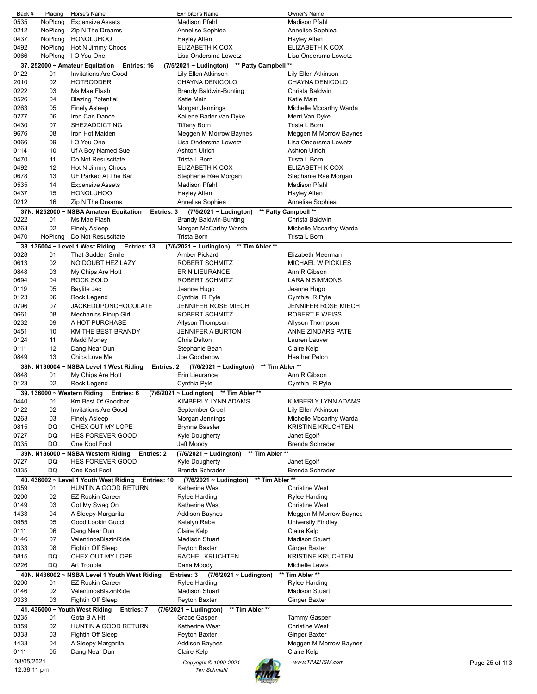| Back #      | Placing      | Horse's Name                                          | <b>Exhibitor's Name</b>                        | Owner's Name                      |
|-------------|--------------|-------------------------------------------------------|------------------------------------------------|-----------------------------------|
| 0535        | NoPlcng      | <b>Expensive Assets</b>                               | <b>Madison Pfahl</b>                           | <b>Madison Pfahl</b>              |
| 0212        | NoPlcng      | Zip N The Dreams                                      | Annelise Sophiea                               | Annelise Sophiea                  |
| 0437        | NoPlcng      | <b>HONOLUHOO</b>                                      | Hayley Alten                                   | Hayley Alten                      |
| 0492        | NoPlcng      | Hot N Jimmy Choos                                     | ELIZABETH K COX                                | ELIZABETH K COX                   |
| 0066        | NoPlcng      | I O You One                                           | Lisa Ondersma Lowetz                           | Lisa Ondersma Lowetz              |
|             |              | 37. 252000 ~ Amateur Equitation<br>Entries: 16        | (7/5/2021 ~ Ludington)<br>** Patty Campbell    | $^{\star\star}$                   |
| 0122        | 01           | <b>Invitations Are Good</b>                           | Lily Ellen Atkinson                            | Lily Ellen Atkinson               |
|             |              |                                                       |                                                |                                   |
| 2010        | 02           | <b>HOTRODDER</b>                                      | CHAYNA DENICOLO                                | CHAYNA DENICOLO                   |
| 0222        | 03           | Ms Mae Flash                                          | Brandy Baldwin-Bunting                         | Christa Baldwin                   |
| 0526        | 04           | <b>Blazing Potential</b>                              | Katie Main                                     | Katie Main                        |
| 0263        | 05           | <b>Finely Asleep</b>                                  | Morgan Jennings                                | Michelle Mccarthy Warda           |
| 0277        | 06           | Iron Can Dance                                        | Kailene Bader Van Dyke                         | Merri Van Dyke                    |
| 0430        | 07           | <b>SHEZADDICTING</b>                                  | Tiffany Born                                   | Trista L Born                     |
| 9676        | 08           | Iron Hot Maiden                                       | Meggen M Morrow Baynes                         | Meggen M Morrow Baynes            |
| 0066        | 09           | I O You One                                           | Lisa Ondersma Lowetz                           | Lisa Ondersma Lowetz              |
| 0114        | 10           | Uf A Boy Named Sue                                    | <b>Ashton Ulrich</b>                           | <b>Ashton Ulrich</b>              |
|             |              |                                                       |                                                |                                   |
| 0470        | 11           | Do Not Resuscitate                                    | Trista L Born                                  | Trista L Born                     |
| 0492        | 12           | Hot N Jimmy Choos                                     | ELIZABETH K COX                                | ELIZABETH K COX                   |
| 0678        | 13           | UF Parked At The Bar                                  | Stephanie Rae Morgan                           | Stephanie Rae Morgan              |
| 0535        | 14           | <b>Expensive Assets</b>                               | Madison Pfahl                                  | Madison Pfahl                     |
| 0437        | 15           | <b>HONOLUHOO</b>                                      | Hayley Alten                                   | Hayley Alten                      |
| 0212        | 16           | Zip N The Dreams                                      | Annelise Sophiea                               | Annelise Sophiea                  |
|             | 37N. N252000 | ~ NSBA Amateur Equitation<br>Entries: 3               | $(7/5/2021 \sim$ Ludington)                    | ** Patty Campbell **              |
| 0222        | 01           | Ms Mae Flash                                          | Brandy Baldwin-Bunting                         | Christa Baldwin                   |
|             | 02           |                                                       |                                                |                                   |
| 0263        |              | <b>Finely Asleep</b>                                  | Morgan McCarthy Warda                          | Michelle Mccarthy Warda           |
| 0470        | NoPlcng      | Do Not Resuscitate                                    | <b>Trista Born</b>                             | Trista L Born                     |
|             |              | 38. 136004 ~ Level 1 West Riding<br>Entries: 13       | (7/6/2021 ~ Ludington) ** Tim Abler **         |                                   |
| 0328        | 01           | <b>That Sudden Smile</b>                              | <b>Amber Pickard</b>                           | Elizabeth Meerman                 |
| 0613        | 02           | NO DOUBT HEZ LAZY                                     | ROBERT SCHMITZ                                 | <b>MICHAEL W PICKLES</b>          |
| 0848        | 03           | My Chips Are Hott                                     | <b>ERIN LIEURANCE</b>                          | Ann R Gibson                      |
| 0694        | 04           | ROCK SOLO                                             | ROBERT SCHMITZ                                 | <b>LARA N SIMMONS</b>             |
| 0119        | 05           | Baylite Jac                                           | Jeanne Hugo                                    | Jeanne Hugo                       |
| 0123        | 06           | Rock Legend                                           | Cynthia R Pyle                                 | Cynthia R Pyle                    |
|             |              |                                                       |                                                |                                   |
| 0796        | 07           | <b>JACKEDUPONCHOCOLATE</b>                            | JENNIFER ROSE MIECH                            | <b>JENNIFER ROSE MIECH</b>        |
| 0661        | 08           | Mechanics Pinup Girl                                  | ROBERT SCHMITZ                                 | ROBERT E WEISS                    |
| 0232        | 09           | A HOT PURCHASE                                        | Allyson Thompson                               | Allyson Thompson                  |
| 0451        | 10           | KM THE BEST BRANDY                                    | <b>JENNIFER A BURTON</b>                       | ANNE ZINDARS PATE                 |
| 0124        | 11           | Madd Money                                            | <b>Chris Dalton</b>                            | Lauren Lauver                     |
| 0111        | 12           | Dang Near Dun                                         | Stephanie Bean                                 | <b>Claire Kelp</b>                |
| 0849        | 13           | Chics Love Me                                         | Joe Goodenow                                   | <b>Heather Pelon</b>              |
|             | 38N. N136004 | ~ NSBA Level 1 West Riding<br>Entries: 2              | ** Tim Abler **<br>(7/6/2021 ~ Ludington)      |                                   |
| 0848        | 01           | My Chips Are Hott                                     | Erin Lieurance                                 | Ann R Gibson                      |
| 0123        | 02           |                                                       | Cynthia Pyle                                   |                                   |
|             |              | Rock Legend                                           |                                                | Cynthia R Pyle                    |
|             |              | 39. 136000 ~ Western Riding<br>Entries: 6             | $(7/6/2021 \sim$ Ludington)<br>** Tim Abler ** |                                   |
| 0440        | 01           | Km Best Of Goodbar                                    | KIMBERLY LYNN ADAMS                            | KIMBERLY LYNN ADAMS               |
| 0122        | 02           | <b>Invitations Are Good</b>                           | September Croel                                | Lily Ellen Atkinson               |
| 0263        | 03           | <b>Finely Asleep</b>                                  | Morgan Jennings                                | Michelle Mccarthy Warda           |
| 0815        | DQ           | CHEX OUT MY LOPE                                      | <b>Brynne Bassler</b>                          | <b>KRISTINE KRUCHTEN</b>          |
| 0727        | DQ           | <b>HES FOREVER GOOD</b>                               | Kyle Dougherty                                 | Janet Egolf                       |
| 0335        | DQ           | One Kool Fool                                         | Jeff Moody                                     | <b>Brenda Schrader</b>            |
|             | 39N. N136000 | <b>NSBA Western Riding</b><br><b>Entries: 2</b>       | (7/6/2021 ~ Ludington)<br>** Tim Abler **      |                                   |
| 0727        | DQ           | <b>HES FOREVER GOOD</b>                               | Kyle Dougherty                                 | Janet Egolf                       |
| 0335        | DQ           | One Kool Fool                                         | <b>Brenda Schrader</b>                         | <b>Brenda Schrader</b>            |
|             |              |                                                       |                                                |                                   |
|             |              | 40. 436002 ~ Level 1 Youth West Riding<br>Entries: 10 | ** Tim Abler **<br>$(7/6/2021 \sim$ Ludington) |                                   |
| 0359        | 01           | HUNTIN A GOOD RETURN                                  | Katherine West                                 | <b>Christine West</b>             |
| 0200        | 02           | <b>EZ Rockin Career</b>                               | Rylee Harding                                  | <b>Rylee Harding</b>              |
| 0149        | 03           | Got My Swag On                                        | Katherine West                                 | <b>Christine West</b>             |
| 1433        | 04           | A Sleepy Margarita                                    | <b>Addison Baynes</b>                          | Meggen M Morrow Baynes            |
| 0955        | 05           | Good Lookin Gucci                                     | Katelyn Rabe                                   | <b>University Findlay</b>         |
| 0111        | 06           | Dang Near Dun                                         | Claire Kelp                                    | Claire Kelp                       |
| 0146        | 07           | ValentinosBlazinRide                                  | <b>Madison Stuart</b>                          | <b>Madison Stuart</b>             |
| 0333        | 08           | Fightin Off Sleep                                     | Peyton Baxter                                  | Ginger Baxter                     |
|             |              |                                                       |                                                |                                   |
| 0815        | DQ           | CHEX OUT MY LOPE                                      | RACHEL KRUCHTEN                                | <b>KRISTINE KRUCHTEN</b>          |
| 0226        | DQ           | Art Trouble                                           | Dana Moody                                     | Michelle Lewis                    |
|             | 40N. N436002 | <b>NSBA Level 1 Youth West Riding</b>                 | Entries: 3<br>$(7/6/2021 \sim$ Ludington)      | Tim Abler**                       |
| 0200        | 01           | <b>EZ Rockin Career</b>                               | <b>Rylee Harding</b>                           | Rylee Harding                     |
| 0146        | 02           | ValentinosBlazinRide                                  | <b>Madison Stuart</b>                          | <b>Madison Stuart</b>             |
| 0333        | 03           | Fightin Off Sleep                                     | Peyton Baxter                                  | Ginger Baxter                     |
|             |              | 41. 436000 ~ Youth West Riding<br>Entries: 7          | ** Tim Abler **<br>$(7/6/2021 \sim$ Ludington) |                                   |
| 0235        | 01           | Gota B A Hit                                          | Grace Gasper                                   | <b>Tammy Gasper</b>               |
| 0359        | 02           | HUNTIN A GOOD RETURN                                  | Katherine West                                 | <b>Christine West</b>             |
|             |              |                                                       |                                                |                                   |
| 0333        | 03           | Fightin Off Sleep                                     | Peyton Baxter                                  | <b>Ginger Baxter</b>              |
| 1433        | 04           | A Sleepy Margarita                                    | Addison Baynes                                 | Meggen M Morrow Baynes            |
| 0111        | 05           | Dang Near Dun                                         | Claire Kelp                                    | Claire Kelp                       |
| 08/05/2021  |              |                                                       | Copyright © 1999-2021                          | www.TIMZHSM.com<br>Page 25 of 113 |
| 12:38:11 pm |              |                                                       | <b>Tim Schmahl</b>                             |                                   |
|             |              |                                                       |                                                |                                   |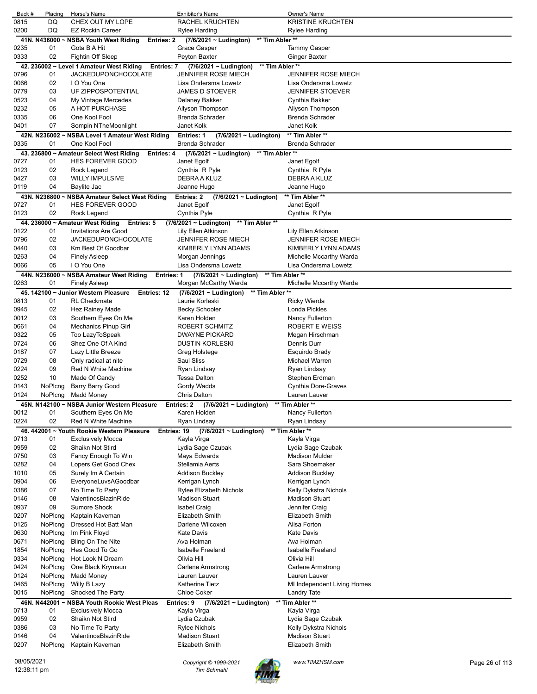| Back #      | Placing            | Horse's Name                                              | <b>Exhibitor's Name</b>                        | <b>Owner's Name</b>                            |                |
|-------------|--------------------|-----------------------------------------------------------|------------------------------------------------|------------------------------------------------|----------------|
| 0815        | DQ                 | CHEX OUT MY LOPE                                          | RACHEL KRUCHTEN                                | KRISTINE KRUCHTEN                              |                |
| 0200        | DQ                 | <b>EZ Rockin Career</b>                                   | <b>Rylee Harding</b>                           | Rylee Harding                                  |                |
|             | 41N. N436000       | ~ NSBA Youth West Riding<br>Entries: 2                    | ** Tim Abler **<br>$(7/6/2021 \sim$ Ludington) |                                                |                |
| 0235        | 01                 | Gota B A Hit                                              | Grace Gasper                                   | Tammy Gasper                                   |                |
| 0333        | 02                 | Fightin Off Sleep                                         | Peyton Baxter                                  | <b>Ginger Baxter</b>                           |                |
|             |                    | 42. 236002 ~ Level 1 Amateur West Riding<br>Entries: 7    | ** Tim Abler **<br>$(7/6/2021 \sim$ Ludington) |                                                |                |
| 0796        | 01                 | <b>JACKEDUPONCHOCOLATE</b>                                | <b>JENNIFER ROSE MIECH</b>                     | <b>JENNIFER ROSE MIECH</b>                     |                |
| 0066        | 02                 | I O You One                                               | Lisa Ondersma Lowetz                           | Lisa Ondersma Lowetz                           |                |
| 0779        | 03                 | UF ZIPPOSPOTENTIAL                                        | <b>JAMES D STOEVER</b>                         | JENNIFER STOEVER                               |                |
| 0523        | 04                 | My Vintage Mercedes                                       | Delaney Bakker                                 | Cynthia Bakker                                 |                |
| 0232        | 05                 | A HOT PURCHASE                                            | Allyson Thompson                               | Allyson Thompson                               |                |
| 0335        | 06                 | One Kool Fool                                             | <b>Brenda Schrader</b>                         | <b>Brenda Schrader</b>                         |                |
| 0401        | 07                 | Sompin NTheMoonlight                                      | Janet Kolk                                     | Janet Kolk                                     |                |
|             |                    | 42N. N236002 ~ NSBA Level 1 Amateur West Riding           | Entries: 1<br>$(7/6/2021 \sim$ Ludington)      | ** Tim Abler **                                |                |
| 0335        | 01                 | One Kool Fool                                             | <b>Brenda Schrader</b>                         | Brenda Schrader                                |                |
|             |                    | 43. 236800 ~ Amateur Select West Riding<br>Entries: 4     | ** Tim Abler **<br>$(7/6/2021 \sim$ Ludington) |                                                |                |
| 0727        | 01                 | <b>HES FOREVER GOOD</b>                                   | Janet Egolf                                    | Janet Egolf                                    |                |
| 0123        | 02                 | Rock Legend                                               | Cynthia R Pyle                                 | Cynthia R Pyle                                 |                |
| 0427        | 03                 | <b>WILLY IMPULSIVE</b>                                    | DEBRA A KLUZ                                   | DEBRA A KLUZ                                   |                |
| 0119        | 04                 | Baylite Jac                                               | Jeanne Hugo                                    | Jeanne Hugo                                    |                |
|             |                    | 43N. N236800 ~ NSBA Amateur Select West Riding            | Entries: 2<br>$(7/6/2021 \sim$ Ludington)      | ** Tim Abler **                                |                |
| 0727        | 01                 | <b>HES FOREVER GOOD</b>                                   | Janet Egolf                                    | Janet Egolf                                    |                |
| 0123        | 02                 | Rock Legend                                               | Cynthia Pyle                                   | Cynthia R Pyle                                 |                |
|             |                    | 44. 236000 ~ Amateur West Riding<br><b>Entries: 5</b>     | ** Tim Abler **<br>$(7/6/2021 \sim$ Ludington) |                                                |                |
| 0122        | 01                 | <b>Invitations Are Good</b>                               | Lily Ellen Atkinson                            | Lily Ellen Atkinson                            |                |
| 0796        | 02                 | <b>JACKEDUPONCHOCOLATE</b>                                | <b>JENNIFER ROSE MIECH</b>                     | JENNIFER ROSE MIECH                            |                |
| 0440        | 03                 | Km Best Of Goodbar                                        | KIMBERLY LYNN ADAMS                            | KIMBERLY LYNN ADAMS                            |                |
| 0263        | 04                 | <b>Finely Asleep</b>                                      | Morgan Jennings                                | Michelle Mccarthy Warda                        |                |
| 0066        | 05                 | I O You One                                               | Lisa Ondersma Lowetz                           | Lisa Ondersma Lowetz                           |                |
|             |                    |                                                           |                                                |                                                |                |
| 0263        | 44N. N236000<br>01 | ~ NSBA Amateur West Riding<br>Entries: 1                  | (7/6/2021 ~ Ludington)<br>** Tim Abler **      | Michelle Mccarthy Warda                        |                |
|             |                    | <b>Finely Asleep</b>                                      | Morgan McCarthy Warda                          |                                                |                |
|             |                    | 45. 142100 ~ Junior Western Pleasure<br>Entries: 12       | $(7/6/2021 \sim$ Ludington)<br>** Tim Abler ** |                                                |                |
| 0813        | 01                 | <b>RL Checkmate</b>                                       | Laurie Korleski                                | Ricky Wierda                                   |                |
| 0945        | 02                 | Hez Rainey Made                                           | <b>Becky Schooler</b>                          | Londa Pickles                                  |                |
| 0012        | 03                 | Southern Eyes On Me                                       | Karen Holden                                   | Nancy Fullerton                                |                |
| 0661        | 04                 | <b>Mechanics Pinup Girl</b>                               | <b>ROBERT SCHMITZ</b>                          | ROBERT E WEISS                                 |                |
| 0322        | 05                 | Too LazyToSpeak                                           | <b>DWAYNE PICKARD</b>                          | Megan Hirschman                                |                |
| 0724        | 06                 | Shez One Of A Kind                                        | <b>DUSTIN KORLESKI</b>                         | Dennis Durr                                    |                |
| 0187        | 07                 | Lazy Little Breeze                                        | Greg Holstege                                  | Esquirdo Brady                                 |                |
| 0729        | 08                 | Only radical at nite                                      | Saul Sliss                                     | Michael Warren                                 |                |
| 0224        | 09                 | Red N White Machine                                       | Ryan Lindsay                                   | Ryan Lindsay                                   |                |
| 0252        | 10                 | Made Of Candy                                             | <b>Tessa Dalton</b>                            | Stephen Erdman                                 |                |
| 0143        | NoPlcng            | Barry Barry Good                                          | Gordy Wadds                                    | Cynthia Dore-Graves                            |                |
| 0124        | NoPlcng            | <b>Madd Money</b>                                         | Chris Dalton                                   | Lauren Lauver                                  |                |
|             | 45N. N142100       | ~ NSBA Junior Western Pleasure                            | Entries: 2<br>(7/6/2021 ~ Ludington)           | ** Tim Abler **                                |                |
| 0012        | 01                 | Southern Eyes On Me                                       | Karen Holden                                   | Nancy Fullerton                                |                |
| 0224        | 02                 | Red N White Machine                                       | Ryan Lindsay                                   | Ryan Lindsay                                   |                |
|             |                    | 46. 442001 ~ Youth Rookie Western Pleasure<br>Entries: 19 | $(7/6/2021 \sim$ Ludington)                    | ** Tim Abler **                                |                |
| 0713        | 01                 | <b>Exclusively Mocca</b>                                  | Kayla Virga                                    | Kayla Virga                                    |                |
| 0959        | 02                 | Shaikn Not Stird                                          | Lydia Sage Czubak                              | Lydia Sage Czubak                              |                |
| 0750        | 03                 | Fancy Enough To Win                                       | Maya Edwards                                   | Madison Mulder                                 |                |
| 0282        | 04                 | Lopers Get Good Chex                                      | Stellamia Aerts                                | Sara Shoemaker                                 |                |
| 1010        | 05                 | Surely Im A Certain                                       | <b>Addison Buckley</b>                         | Addison Buckley                                |                |
| 0904        | 06                 | EveryoneLuvsAGoodbar                                      | Kerrigan Lynch                                 | Kerrigan Lynch                                 |                |
| 0386        | 07                 | No Time To Party                                          | <b>Rylee Elizabeth Nichols</b>                 |                                                |                |
|             |                    |                                                           |                                                | Kelly Dykstra Nichols<br><b>Madison Stuart</b> |                |
| 0146        | 08                 | ValentinosBlazinRide                                      | <b>Madison Stuart</b>                          |                                                |                |
| 0937        | 09                 | Sumore Shock                                              | <b>Isabel Craig</b>                            | Jennifer Craig                                 |                |
| 0207        | NoPlcng            | Kaptain Kaveman                                           | Elizabeth Smith                                | Elizabeth Smith                                |                |
| 0125        | NoPlcng            | Dressed Hot Batt Man                                      | Darlene Wilcoxen                               | Alisa Forton                                   |                |
| 0630        | NoPlcng            | Im Pink Floyd                                             | <b>Kate Davis</b>                              | Kate Davis                                     |                |
| 0671        | NoPlcng            | Bling On The Nite                                         | Ava Holman                                     | Ava Holman                                     |                |
| 1854        | NoPlcng            | Hes Good To Go                                            | <b>Isabelle Freeland</b>                       | <b>Isabelle Freeland</b>                       |                |
| 0334        | NoPlcng            | Hot Look N Dream                                          | Olivia Hill                                    | Olivia Hill                                    |                |
| 0424        | NoPlcng            | One Black Krymsun                                         | Carlene Armstrong                              | Carlene Armstrong                              |                |
| 0124        | NoPlcng            | <b>Madd Money</b>                                         | Lauren Lauver                                  | Lauren Lauver                                  |                |
| 0465        | NoPlcng            | Willy B Lazy                                              | <b>Katherine Tietz</b>                         | MI Independent Living Homes                    |                |
| 0015        | NoPlcng            | Shocked The Party                                         | <b>Chloe Coker</b>                             | Landry Tate                                    |                |
| 46N.        |                    | N442001 ~ NSBA Youth Rookie West Pleas                    | Entries: 9<br>$(7/6/2021 \sim$ Ludington)      | ** Tim Abler **                                |                |
| 0713        | 01                 | <b>Exclusively Mocca</b>                                  | Kayla Virga                                    | Kayla Virga                                    |                |
| 0959        | 02                 | Shaikn Not Stird                                          | Lydia Czubak                                   | Lydia Sage Czubak                              |                |
| 0386        | 03                 | No Time To Party                                          | Rylee Nichols                                  | Kelly Dykstra Nichols                          |                |
| 0146        | 04                 | ValentinosBlazinRide                                      | <b>Madison Stuart</b>                          | Madison Stuart                                 |                |
| 0207        | NoPlcng            | Kaptain Kaveman                                           | Elizabeth Smith                                | Elizabeth Smith                                |                |
|             |                    |                                                           |                                                |                                                |                |
| 08/05/2021  |                    |                                                           | Copyright © 1999-2021                          | www.TIMZHSM.com                                | Page 26 of 113 |
| 12:38:11 pm |                    |                                                           | <b>Tim Schmahl</b>                             |                                                |                |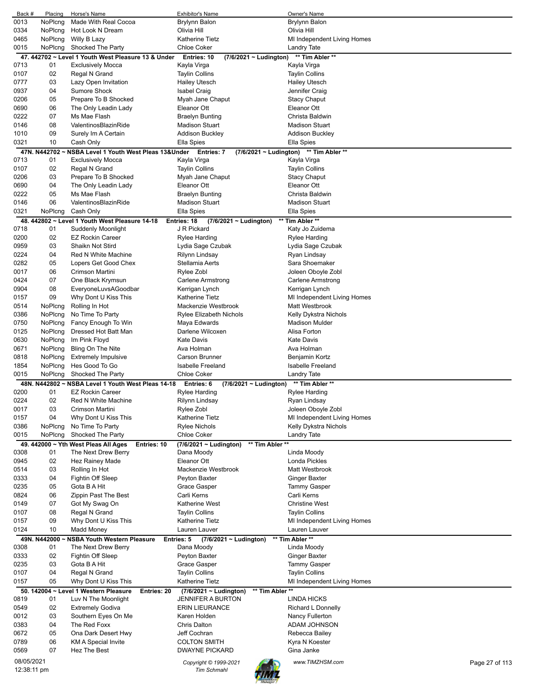| Back #       | Placing      | Horse's Name                                                                | Exhibitor's Name                                                           | Owner's Name                                         |                |
|--------------|--------------|-----------------------------------------------------------------------------|----------------------------------------------------------------------------|------------------------------------------------------|----------------|
| 0013         | NoPlcng      | Made With Real Cocoa                                                        | Brylynn Balon                                                              | Brylynn Balon                                        |                |
| 0334         | NoPlcng      | Hot Look N Dream                                                            | Olivia Hill                                                                | Olivia Hill                                          |                |
| 0465         | NoPlcng      | Willy B Lazy                                                                | Katherine Tietz                                                            | MI Independent Living Homes                          |                |
| 0015         | NoPlcng      | Shocked The Party                                                           | <b>Chloe Coker</b>                                                         | Landry Tate                                          |                |
|              |              | 47. 442702 ~ Level 1 Youth West Pleasure 13 & Under                         | Entries: 10<br>$(7/6/2021 \sim$ Ludington)                                 | ** Tim Abler **                                      |                |
| 0713         | 01           | <b>Exclusively Mocca</b>                                                    | Kayla Virga                                                                | Kayla Virga                                          |                |
| 0107         | 02           | Regal N Grand                                                               | <b>Taylin Collins</b>                                                      | <b>Taylin Collins</b>                                |                |
| 0777         | 03<br>04     | Lazy Open Invitation                                                        | <b>Hailey Utesch</b>                                                       | <b>Hailey Utesch</b>                                 |                |
| 0937<br>0206 | 05           | Sumore Shock<br>Prepare To B Shocked                                        | <b>Isabel Craig</b>                                                        | Jennifer Craig                                       |                |
| 0690         | 06           | The Only Leadin Lady                                                        | Myah Jane Chaput<br>Eleanor Ott                                            | <b>Stacy Chaput</b><br>Eleanor Ott                   |                |
| 0222         | 07           | Ms Mae Flash                                                                | Braelyn Bunting                                                            | Christa Baldwin                                      |                |
| 0146         | 08           | ValentinosBlazinRide                                                        | <b>Madison Stuart</b>                                                      | <b>Madison Stuart</b>                                |                |
| 1010         | 09           | Surely Im A Certain                                                         | <b>Addison Buckley</b>                                                     | <b>Addison Buckley</b>                               |                |
| 0321         | 10           | Cash Only                                                                   | Ella Spies                                                                 | Ella Spies                                           |                |
|              |              | 47N. N442702 ~ NSBA Level 1 Youth West Pleas 13&Under                       | Entries: 7<br>$(7/6/2021 \sim$ Ludington)                                  | ** Tim Abler **                                      |                |
| 0713         | 01           | <b>Exclusively Mocca</b>                                                    | Kayla Virga                                                                | Kayla Virga                                          |                |
| 0107         | 02           | Regal N Grand                                                               | <b>Taylin Collins</b>                                                      | <b>Taylin Collins</b>                                |                |
| 0206         | 03           | Prepare To B Shocked                                                        | Myah Jane Chaput                                                           | <b>Stacy Chaput</b>                                  |                |
| 0690         | 04           | The Only Leadin Lady                                                        | Eleanor Ott                                                                | Eleanor Ott                                          |                |
| 0222         | 05           | Ms Mae Flash                                                                | Braelyn Bunting                                                            | Christa Baldwin                                      |                |
| 0146         | 06           | ValentinosBlazinRide                                                        | <b>Madison Stuart</b>                                                      | <b>Madison Stuart</b>                                |                |
| 0321         | NoPlcng      | Cash Only                                                                   | Ella Spies                                                                 | Ella Spies                                           |                |
|              |              | 48. 442802 ~ Level 1 Youth West Pleasure 14-18                              | Entries: 18<br>$(7/6/2021 \sim$ Ludington)                                 | ** Tim Abler **                                      |                |
| 0718         | 01           | Suddenly Moonlight                                                          | J R Pickard                                                                | Katy Jo Zuidema                                      |                |
| 0200         | 02           | <b>EZ Rockin Career</b>                                                     | Rylee Harding                                                              | Rylee Harding                                        |                |
| 0959         | 03           | Shaikn Not Stird                                                            | Lydia Sage Czubak                                                          | Lydia Sage Czubak                                    |                |
| 0224         | 04           | Red N White Machine                                                         | Rilynn Lindsay                                                             | Ryan Lindsay                                         |                |
| 0282         | 05           | Lopers Get Good Chex                                                        | Stellamia Aerts                                                            | Sara Shoemaker                                       |                |
| 0017         | 06           | Crimson Martini                                                             | Rylee Zobl                                                                 | Joleen Oboyle Zobl                                   |                |
| 0424         | 07           | One Black Krymsun                                                           | Carlene Armstrong                                                          | Carlene Armstrong                                    |                |
| 0904         | 08           | EveryoneLuvsAGoodbar                                                        | Kerrigan Lynch                                                             | Kerrigan Lynch                                       |                |
| 0157         | 09           | Why Dont U Kiss This                                                        | <b>Katherine Tietz</b>                                                     | MI Independent Living Homes                          |                |
| 0514         | NoPlcng      | Rolling In Hot                                                              | Mackenzie Westbrook                                                        | Matt Westbrook                                       |                |
| 0386         | NoPlcng      | No Time To Party                                                            | Rylee Elizabeth Nichols                                                    | Kelly Dykstra Nichols                                |                |
| 0750         | NoPlcng      | Fancy Enough To Win                                                         | Maya Edwards                                                               | <b>Madison Mulder</b>                                |                |
| 0125         | NoPlcng      | Dressed Hot Batt Man                                                        | Darlene Wilcoxen                                                           | Alisa Forton                                         |                |
| 0630         | NoPlcng      | Im Pink Floyd                                                               | <b>Kate Davis</b>                                                          | <b>Kate Davis</b>                                    |                |
| 0671         | NoPlcng      | Bling On The Nite                                                           | Ava Holman                                                                 | Ava Holman                                           |                |
| 0818         | NoPlcng      | <b>Extremely Impulsive</b>                                                  | <b>Carson Brunner</b>                                                      | Benjamin Kortz                                       |                |
| 1854         | NoPlcng      | Hes Good To Go                                                              | <b>Isabelle Freeland</b>                                                   | <b>Isabelle Freeland</b>                             |                |
| 0015         | NoPlcng      | Shocked The Party                                                           | <b>Chloe Coker</b>                                                         | Landry Tate                                          |                |
|              |              | 48N. N442802 ~ NSBA Level 1 Youth West Pleas 14-18                          | Entries: 6<br>(7/6/2021 ~ Ludington)                                       | ** Tim Abler **                                      |                |
| 0200         | 01           | <b>EZ Rockin Career</b>                                                     | Rylee Harding                                                              | Rylee Harding                                        |                |
| 0224         | 02           | Red N White Machine                                                         | Rilynn Lindsay                                                             | Ryan Lindsay                                         |                |
| 0017         | 03           | Crimson Martini                                                             | Rylee Zobl                                                                 | Joleen Oboyle Zobl                                   |                |
| 0157         | 04           | Why Dont U Kiss This                                                        | Katherine Tietz                                                            | MI Independent Living Homes                          |                |
| 0386         | NoPlcng      | No Time To Party                                                            | <b>Rylee Nichols</b>                                                       | Kelly Dykstra Nichols                                |                |
| 0015         | NoPlcng      | Shocked The Party                                                           | Chloe Coker                                                                | Landry Tate                                          |                |
|              |              | 49. 442000 ~ Yth West Pleas All Ages<br><b>Entries: 10</b>                  | (7/6/2021 ~ Ludington)<br>** Tim Abler **                                  |                                                      |                |
| 0308         | 01           | The Next Drew Berry                                                         | Dana Moody                                                                 | Linda Moody                                          |                |
| 0945         | 02           | Hez Rainey Made                                                             | Eleanor Ott                                                                | Londa Pickles                                        |                |
| 0514         | 03           | Rolling In Hot                                                              | Mackenzie Westbrook                                                        | Matt Westbrook                                       |                |
| 0333         | 04           | Fightin Off Sleep                                                           | Peyton Baxter                                                              | Ginger Baxter                                        |                |
| 0235         | 05           | Gota B A Hit                                                                | Grace Gasper                                                               | <b>Tammy Gasper</b>                                  |                |
| 0824         | 06           | Zippin Past The Best                                                        | Carli Kerns                                                                | Carli Kerns                                          |                |
| 0149         | 07           | Got My Swag On                                                              | Katherine West                                                             | <b>Christine West</b>                                |                |
| 0107         | 08           | Regal N Grand                                                               | <b>Taylin Collins</b>                                                      | <b>Taylin Collins</b>                                |                |
| 0157         | 09           | Why Dont U Kiss This                                                        | <b>Katherine Tietz</b>                                                     | MI Independent Living Homes                          |                |
| 0124         | 10           | <b>Madd Money</b>                                                           | Lauren Lauver                                                              | Lauren Lauver                                        |                |
|              | 49N. N442000 | <b>NSBA Youth Western Pleasure</b>                                          | (7/6/2021 ~ Ludington)<br>Entries: 5                                       | ** Tim Abler **                                      |                |
| 0308         | 01           | The Next Drew Berry                                                         | Dana Moody                                                                 | Linda Moody                                          |                |
| 0333         | 02           | Fightin Off Sleep                                                           | Peyton Baxter                                                              | Ginger Baxter                                        |                |
| 0235         | 03<br>04     | Gota B A Hit                                                                | Grace Gasper                                                               | <b>Tammy Gasper</b>                                  |                |
| 0107<br>0157 | 05           | Regal N Grand<br>Why Dont U Kiss This                                       | <b>Taylin Collins</b><br><b>Katherine Tietz</b>                            | <b>Taylin Collins</b><br>MI Independent Living Homes |                |
|              |              |                                                                             |                                                                            |                                                      |                |
| 0819         | 01           | 50. 142004 ~ Level 1 Western Pleasure<br>Entries: 20<br>Luv N The Moonlight | ** Tim Abler **<br>$(7/6/2021 \sim$ Ludington)<br><b>JENNIFER A BURTON</b> | LINDA HICKS                                          |                |
| 0549         | 02           | <b>Extremely Godiva</b>                                                     | <b>ERIN LIEURANCE</b>                                                      | Richard L Donnelly                                   |                |
| 0012         | 03           | Southern Eyes On Me                                                         | Karen Holden                                                               | Nancy Fullerton                                      |                |
| 0383         | 04           | The Red Foxx                                                                | <b>Chris Dalton</b>                                                        | ADAM JOHNSON                                         |                |
| 0672         | 05           | Ona Dark Desert Hwy                                                         | Jeff Cochran                                                               | Rebecca Bailey                                       |                |
| 0789         | 06           | <b>KM A Special Invite</b>                                                  | <b>COLTON SMITH</b>                                                        | Kyra N Koester                                       |                |
| 0569         | 07           | Hez The Best                                                                | <b>DWAYNE PICKARD</b>                                                      | Gina Janke                                           |                |
| 08/05/2021   |              |                                                                             |                                                                            |                                                      |                |
| 12:38:11 pm  |              |                                                                             | Copyright © 1999-2021<br><b>Tim Schmahl</b>                                | www.TIMZHSM.com                                      | Page 27 of 113 |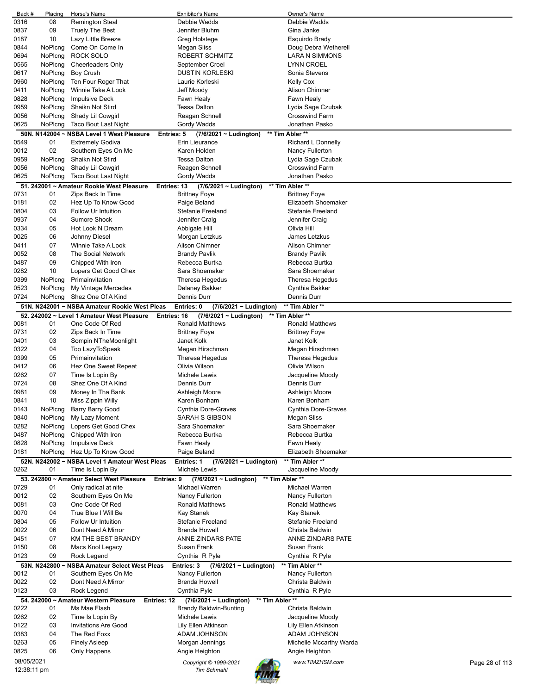| Back #       | Placing      | Horse's Name                                                | <b>Exhibitor's Name</b>                                      | Owner's Name                      |  |
|--------------|--------------|-------------------------------------------------------------|--------------------------------------------------------------|-----------------------------------|--|
| 0316         | 08           | <b>Remington Steal</b>                                      | Debbie Wadds                                                 | Debbie Wadds                      |  |
| 0837         | 09           | <b>Truely The Best</b>                                      | Jennifer Bluhm                                               | Gina Janke                        |  |
| 0187         | 10           | Lazy Little Breeze                                          | Greg Holstege                                                | Esquirdo Brady                    |  |
| 0844         | NoPlcng      | Come On Come In                                             | Megan Sliss                                                  | Doug Debra Wetherell              |  |
| 0694         | NoPlcng      | <b>ROCK SOLO</b>                                            | ROBERT SCHMITZ                                               | <b>LARA N SIMMONS</b>             |  |
| 0565         | NoPlcng      | <b>Cheerleaders Only</b>                                    | September Croel                                              | LYNN CROEL                        |  |
| 0617         | NoPlcng      | <b>Boy Crush</b>                                            | <b>DUSTIN KORLESKI</b>                                       | Sonia Stevens                     |  |
| 0960         | NoPlcng      | Ten Four Roger That                                         | Laurie Korleski                                              | Kelly Cox                         |  |
| 0411         | NoPlcng      | Winnie Take A Look                                          | Jeff Moody                                                   | Alison Chimner                    |  |
| 0828         | NoPlcng      | <b>Impulsive Deck</b>                                       | Fawn Healy                                                   | Fawn Healy                        |  |
| 0959         | NoPlcng      | Shaikn Not Stird                                            | <b>Tessa Dalton</b>                                          | Lydia Sage Czubak                 |  |
| 0056         | NoPlcng      | Shady Lil Cowgirl                                           | Reagan Schnell                                               | <b>Crosswind Farm</b>             |  |
| 0625         |              | <b>Taco Bout Last Night</b>                                 |                                                              | Jonathan Pasko                    |  |
|              | NoPlcng      |                                                             | Gordy Wadds                                                  |                                   |  |
|              |              | 50N. N142004 ~ NSBA Level 1 West Pleasure                   | $(7/6/2021 \sim$ Ludington)<br><b>Entries: 5</b>             | ** Tim Abler **                   |  |
| 0549         | 01           | <b>Extremely Godiva</b>                                     | Erin Lieurance                                               | Richard L Donnelly                |  |
| 0012         | 02           | Southern Eyes On Me                                         | Karen Holden                                                 | Nancy Fullerton                   |  |
| 0959         | NoPlcng      | Shaikn Not Stird                                            | <b>Tessa Dalton</b>                                          | Lydia Sage Czubak                 |  |
| 0056         | NoPlcng      | Shady Lil Cowgirl                                           | Reagen Schnell                                               | <b>Crosswind Farm</b>             |  |
| 0625         | NoPlcng      | Taco Bout Last Night                                        | Gordy Wadds                                                  | Jonathan Pasko                    |  |
|              |              | 51. 242001 ~ Amateur Rookie West Pleasure                   | Entries: 13<br>$(7/6/2021 \sim$ Ludington)                   | ** Tim Abler **                   |  |
| 0731         | 01           | Zips Back In Time                                           | <b>Brittney Foye</b>                                         | <b>Brittney Foye</b>              |  |
| 0181         | 02           | Hez Up To Know Good                                         | Paige Beland                                                 | Elizabeth Shoemaker               |  |
| 0804         | 03           | <b>Follow Ur Intuition</b>                                  | <b>Stefanie Freeland</b>                                     | <b>Stefanie Freeland</b>          |  |
| 0937         | 04           | <b>Sumore Shock</b>                                         | Jennifer Craig                                               | Jennifer Craig                    |  |
|              |              |                                                             |                                                              |                                   |  |
| 0334         | 05           | Hot Look N Dream                                            | Abbigale Hill                                                | Olivia Hill                       |  |
| 0025         | 06           | Johnny Diesel                                               | Morgan Letzkus                                               | James Letzkus                     |  |
| 0411         | 07           | Winnie Take A Look                                          | <b>Alison Chimner</b>                                        | Alison Chimner                    |  |
| 0052         | 08           | The Social Network                                          | <b>Brandy Pavlik</b>                                         | <b>Brandy Pavlik</b>              |  |
| 0487         | 09           | Chipped With Iron                                           | Rebecca Burtka                                               | Rebecca Burtka                    |  |
| 0282         | 10           | Lopers Get Good Chex                                        | Sara Shoemaker                                               | Sara Shoemaker                    |  |
| 0399         | NoPlcng      | Primainvitation                                             | Theresa Hegedus                                              | Theresa Hegedus                   |  |
| 0523         | NoPlcng      | My Vintage Mercedes                                         | Delaney Bakker                                               | Cynthia Bakker                    |  |
| 0724         | NoPlcng      | Shez One Of A Kind                                          | Dennis Durr                                                  | Dennis Durr                       |  |
|              |              | 51N. N242001 ~ NSBA Amateur Rookie West Pleas               | Entries: 0<br>(7/6/2021 ~ Ludington)                         | ** Tim Abler **                   |  |
|              |              | 52. 242002 ~ Level 1 Amateur West Pleasure                  | $(7/6/2021 \sim$ Ludington)<br>Entries: 16                   | ** Tim Abler **                   |  |
| 0081         | 01           | One Code Of Red                                             | <b>Ronald Matthews</b>                                       | <b>Ronald Matthews</b>            |  |
| 0731         | 02           | Zips Back In Time                                           |                                                              |                                   |  |
| 0401         | 03           |                                                             | <b>Brittney Foye</b>                                         | <b>Brittney Foye</b>              |  |
|              |              | Sompin NTheMoonlight                                        | Janet Kolk                                                   | Janet Kolk                        |  |
| 0322         | 04           | Too LazyToSpeak                                             | Megan Hirschman                                              | Megan Hirschman                   |  |
| 0399         | 05           | Primainvitation                                             | Theresa Hegedus                                              | Theresa Hegedus                   |  |
| 0412         | 06           | Hez One Sweet Repeat                                        | Olivia Wilson                                                | Olivia Wilson                     |  |
| 0262         | 07           | Time Is Lopin By                                            | Michele Lewis                                                | Jacqueline Moody                  |  |
| 0724         | 08           | Shez One Of A Kind                                          | Dennis Durr                                                  | Dennis Durr                       |  |
| 0981         | 09           | Money In Tha Bank                                           | Ashleigh Moore                                               | Ashleigh Moore                    |  |
| 0841         | 10           | Miss Zippin Willy                                           | Karen Bonham                                                 | Karen Bonham                      |  |
| 0143         | NoPlcng      |                                                             |                                                              |                                   |  |
| 0840         |              | Barry Barry Good                                            | <b>Cynthia Dore-Graves</b>                                   | Cynthia Dore-Graves               |  |
| 0282         | NoPlcng      | My Lazy Moment                                              | SARAH S GIBSON                                               | Megan Sliss                       |  |
| 0487         |              | Lopers Get Good Chex                                        | Sara Shoemaker                                               | Sara Shoemaker                    |  |
|              | NoPlcng      |                                                             |                                                              |                                   |  |
|              | NoPlcng      | Chipped With Iron                                           | Rebecca Burtka                                               | Rebecca Burtka                    |  |
| 0828         | NoPlcng      | <b>Impulsive Deck</b>                                       | Fawn Healy                                                   | Fawn Healy                        |  |
| 0181         | NoPlcng      | Hez Up To Know Good                                         | Paige Beland                                                 | Elizabeth Shoemaker               |  |
|              |              | 52N. N242002 ~ NSBA Level 1 Amateur West Pleas              | <b>Entries: 1</b><br>$(7/6/2021 \sim$ Ludington)             | ** Tim Abler **                   |  |
| 0262         | 01           | Time Is Lopin By                                            | Michele Lewis                                                | Jacqueline Moody                  |  |
|              |              | 53. 242800 ~ Amateur Select West Pleasure                   | ** Tim Abler **<br>$(7/6/2021 \sim$ Ludington)<br>Entries: 9 |                                   |  |
| 0729         | 01           | Only radical at nite                                        | Michael Warren                                               | Michael Warren                    |  |
| 0012         | 02           | Southern Eyes On Me                                         | Nancy Fullerton                                              | Nancy Fullerton                   |  |
| 0081         | 03           | One Code Of Red                                             | <b>Ronald Matthews</b>                                       | <b>Ronald Matthews</b>            |  |
| 0070         | 04           | True Blue I Will Be                                         | Kay Stanek                                                   | Kay Stanek                        |  |
| 0804         | 05           | Follow Ur Intuition                                         | Stefanie Freeland                                            | <b>Stefanie Freeland</b>          |  |
| 0022         | 06           | Dont Need A Mirror                                          | <b>Brenda Howell</b>                                         | Christa Baldwin                   |  |
|              | 07           |                                                             |                                                              |                                   |  |
| 0451<br>0150 | 08           | KM THE BEST BRANDY                                          | ANNE ZINDARS PATE<br>Susan Frank                             | ANNE ZINDARS PATE<br>Susan Frank  |  |
| 0123         | 09           | Macs Kool Legacy                                            |                                                              |                                   |  |
|              |              | Rock Legend                                                 | Cynthia R Pyle                                               | Cynthia R Pyle                    |  |
|              | 53N. N242800 | ~ NSBA Amateur Select West Pleas                            | Entries: 3<br>$(7/6/2021 \sim$ Ludington)                    | ** Tim Abler **                   |  |
| 0012         | 01           | Southern Eyes On Me                                         | Nancy Fullerton                                              | Nancy Fullerton                   |  |
| 0022         | 02           | Dont Need A Mirror                                          | Brenda Howell                                                | Christa Baldwin                   |  |
| 0123         | 03           | Rock Legend                                                 | Cynthia Pyle                                                 | Cynthia R Pyle                    |  |
|              |              | 54. 242000 ~ Amateur Western Pleasure<br><b>Entries: 12</b> | (7/6/2021 ~ Ludington)<br>** Tim Abler **                    |                                   |  |
| 0222         | 01           | Ms Mae Flash                                                | <b>Brandy Baldwin-Bunting</b>                                | Christa Baldwin                   |  |
| 0262         | 02           | Time Is Lopin By                                            | Michele Lewis                                                | Jacqueline Moody                  |  |
| 0122         | 03           | <b>Invitations Are Good</b>                                 | Lily Ellen Atkinson                                          | Lily Ellen Atkinson               |  |
| 0383         | 04           | The Red Foxx                                                | ADAM JOHNSON                                                 | ADAM JOHNSON                      |  |
| 0263         | 05           | <b>Finely Asleep</b>                                        | Morgan Jennings                                              | Michelle Mccarthy Warda           |  |
| 0825         | 06           | Only Happens                                                | Angie Heighton                                               | Angie Heighton                    |  |
| 08/05/2021   |              |                                                             | Copyright © 1999-2021                                        | www.TIMZHSM.com<br>Page 28 of 113 |  |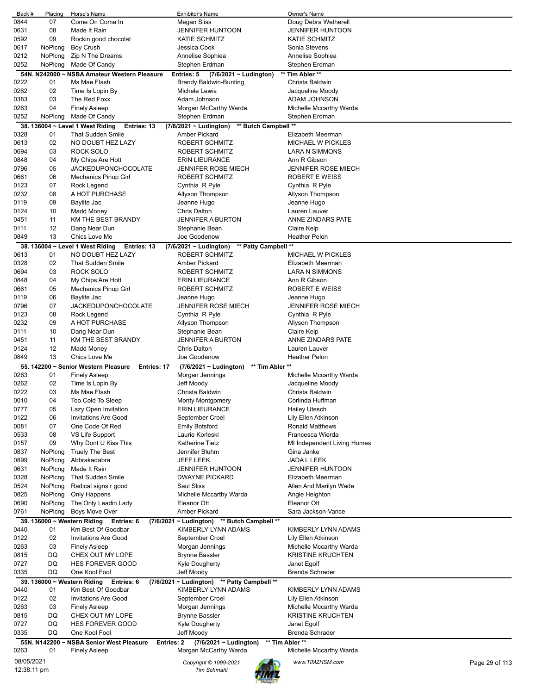| Back #      | Placing | Horse's Name                                        | <b>Exhibitor's Name</b>                        | Owner's Name                |                |
|-------------|---------|-----------------------------------------------------|------------------------------------------------|-----------------------------|----------------|
| 0844        | 07      | Come On Come In                                     | Megan Sliss                                    | Doug Debra Wetherell        |                |
| 0631        | 08      | Made It Rain                                        | <b>JENNIFER HUNTOON</b>                        | <b>JENNIFER HUNTOON</b>     |                |
| 0592        | 09      | Rockin good chocolat                                | <b>KATIE SCHMITZ</b>                           | <b>KATIE SCHMITZ</b>        |                |
| 0617        | NoPlcng | <b>Boy Crush</b>                                    | Jessica Cook                                   | Sonia Stevens               |                |
| 0212        | NoPlcng | Zip N The Dreams                                    | Annelise Sophiea                               | Annelise Sophiea            |                |
| 0252        | NoPlcng | Made Of Candy                                       | Stephen Erdman                                 | Stephen Erdman              |                |
|             |         | 54N. N242000 ~ NSBA Amateur Western Pleasure        | Entries: 5<br>(7/6/2021 ~ Ludington)           | ** Tim Abler **             |                |
| 0222        | 01      | Ms Mae Flash                                        | <b>Brandy Baldwin-Bunting</b>                  | Christa Baldwin             |                |
| 0262        | 02      | Time Is Lopin By                                    | Michele Lewis                                  | Jacqueline Moody            |                |
| 0383        | 03      | The Red Foxx                                        | Adam Johnson                                   | ADAM JOHNSON                |                |
| 0263        | 04      | <b>Finely Asleep</b>                                | Morgan McCarthy Warda                          | Michelle Mccarthy Warda     |                |
| 0252        | NoPlcng | Made Of Candy                                       | Stephen Erdman                                 | Stephen Erdman              |                |
|             |         | 38. 136004 ~ Level 1 West Riding<br>Entries: 13     | ** Butch Campbell **<br>(7/6/2021 ~ Ludington) |                             |                |
| 0328        | 01      | <b>That Sudden Smile</b>                            | Amber Pickard                                  | Elizabeth Meerman           |                |
| 0613        | 02      | NO DOUBT HEZ LAZY                                   | ROBERT SCHMITZ                                 | <b>MICHAEL W PICKLES</b>    |                |
|             |         |                                                     |                                                |                             |                |
| 0694        | 03      | <b>ROCK SOLO</b>                                    | ROBERT SCHMITZ                                 | <b>LARA N SIMMONS</b>       |                |
| 0848        | 04      | My Chips Are Hott                                   | <b>ERIN LIEURANCE</b>                          | Ann R Gibson                |                |
| 0796        | 05      | <b>JACKEDUPONCHOCOLATE</b>                          | <b>JENNIFER ROSE MIECH</b>                     | <b>JENNIFER ROSE MIECH</b>  |                |
| 0661        | 06      | <b>Mechanics Pinup Girl</b>                         | ROBERT SCHMITZ                                 | ROBERT E WEISS              |                |
| 0123        | 07      | Rock Legend                                         | Cynthia R Pyle                                 | Cynthia R Pyle              |                |
| 0232        | 08      | A HOT PURCHASE                                      | Allyson Thompson                               | Allyson Thompson            |                |
| 0119        | 09      | Baylite Jac                                         | Jeanne Hugo                                    | Jeanne Hugo                 |                |
| 0124        | 10      | <b>Madd Money</b>                                   | <b>Chris Dalton</b>                            | Lauren Lauver               |                |
| 0451        | 11      | KM THE BEST BRANDY                                  | <b>JENNIFER A BURTON</b>                       | ANNE ZINDARS PATE           |                |
| 0111        | 12      | Dang Near Dun                                       | Stephanie Bean                                 | Claire Kelp                 |                |
| 0849        | 13      | Chics Love Me                                       | Joe Goodenow                                   | Heather Pelon               |                |
|             |         | 38. 136004 ~ Level 1 West Riding<br>Entries: 13     | ** Patty Campbell **<br>(7/6/2021 ~ Ludington) |                             |                |
| 0613        | 01      | NO DOUBT HEZ LAZY                                   | ROBERT SCHMITZ                                 | <b>MICHAEL W PICKLES</b>    |                |
| 0328        | 02      | <b>That Sudden Smile</b>                            | Amber Pickard                                  | Elizabeth Meerman           |                |
| 0694        | 03      | ROCK SOLO                                           | ROBERT SCHMITZ                                 | LARA N SIMMONS              |                |
| 0848        | 04      | My Chips Are Hott                                   | <b>ERIN LIEURANCE</b>                          | Ann R Gibson                |                |
| 0661        | 05      | <b>Mechanics Pinup Girl</b>                         | ROBERT SCHMITZ                                 | <b>ROBERT E WEISS</b>       |                |
| 0119        | 06      | Baylite Jac                                         | Jeanne Hugo                                    | Jeanne Hugo                 |                |
| 0796        | 07      | <b>JACKEDUPONCHOCOLATE</b>                          | <b>JENNIFER ROSE MIECH</b>                     | <b>JENNIFER ROSE MIECH</b>  |                |
| 0123        | 08      | Rock Legend                                         | Cynthia R Pyle                                 | Cynthia R Pyle              |                |
| 0232        | 09      | A HOT PURCHASE                                      | Allyson Thompson                               | Allyson Thompson            |                |
| 0111        | 10      | Dang Near Dun                                       | Stephanie Bean                                 | Claire Kelp                 |                |
| 0451        | 11      | KM THE BEST BRANDY                                  | <b>JENNIFER A BURTON</b>                       | ANNE ZINDARS PATE           |                |
| 0124        | 12      | <b>Madd Money</b>                                   | <b>Chris Dalton</b>                            | Lauren Lauver               |                |
| 0849        | 13      | Chics Love Me                                       | Joe Goodenow                                   | <b>Heather Pelon</b>        |                |
|             |         |                                                     |                                                |                             |                |
|             |         | 55. 142200 ~ Senior Western Pleasure<br>Entries: 17 | ** Tim Abler **<br>(7/6/2021 ~ Ludington)      |                             |                |
| 0263        | 01      | <b>Finely Asleep</b>                                | Morgan Jennings                                | Michelle Mccarthy Warda     |                |
| 0262        | 02      | Time Is Lopin By                                    | Jeff Moody                                     | Jacqueline Moody            |                |
| 0222        | 03      | Ms Mae Flash                                        | Christa Baldwin                                | Christa Baldwin             |                |
| 0010        | 04      | Too Cold To Sleep                                   | Monty Montgomery                               | Corlinda Huffman            |                |
| 0777        | 05      | Lazy Open Invitation                                | <b>ERIN LIEURANCE</b>                          | <b>Hailey Utesch</b>        |                |
| 0122        | 06      | <b>Invitations Are Good</b>                         | September Croel                                | Lily Ellen Atkinson         |                |
| 0081        | 07      | One Code Of Red                                     | Emily Botsford                                 | <b>Ronald Matthews</b>      |                |
| 0533        | 08      | VS Life Support                                     | Laurie Korleski                                | Francesca Wierda            |                |
| 0157        | 09      | Why Dont U Kiss This                                | <b>Katherine Tietz</b>                         | MI Independent Living Homes |                |
| 0837        | NoPlcng | <b>Truely The Best</b>                              | Jennifer Bluhm                                 | Gina Janke                  |                |
| 0899        | NoPlcng | Abbrakadabra                                        | JEFF LEEK                                      | JADA L LEEK                 |                |
| 0631        | NoPlcng | Made It Rain                                        | <b>JENNIFER HUNTOON</b>                        | <b>JENNIFER HUNTOON</b>     |                |
| 0328        | NoPlcng | <b>That Sudden Smile</b>                            | <b>DWAYNE PICKARD</b>                          | Elizabeth Meerman           |                |
| 0524        | NoPlcng | Radical signs r good                                | Saul Sliss                                     | Allen And Marilyn Wade      |                |
| 0825        | NoPlcng | Only Happens                                        | Michelle Mccarthy Warda                        | Angie Heighton              |                |
| 0690        | NoPlcng | The Only Leadin Lady                                | Eleanor Ott                                    | Eleanor Ott                 |                |
| 0761        | NoPlcng | Boys Move Over                                      | <b>Amber Pickard</b>                           | Sara Jackson-Vance          |                |
|             |         | 39. 136000 ~ Western Riding<br>Entries: 6           | (7/6/2021 ~ Ludington) ** Butch Campbell **    |                             |                |
| 0440        | 01      | Km Best Of Goodbar                                  | KIMBERLY LYNN ADAMS                            | KIMBERLY LYNN ADAMS         |                |
| 0122        | 02      | <b>Invitations Are Good</b>                         | September Croel                                | Lily Ellen Atkinson         |                |
| 0263        | 03      | <b>Finely Asleep</b>                                | Morgan Jennings                                | Michelle Mccarthy Warda     |                |
| 0815        | DQ      | CHEX OUT MY LOPE                                    | Brynne Bassler                                 | <b>KRISTINE KRUCHTEN</b>    |                |
| 0727        | DQ      | <b>HES FOREVER GOOD</b>                             | Kyle Dougherty                                 | Janet Egolf                 |                |
| 0335        | DQ      | One Kool Fool                                       | Jeff Moody                                     | Brenda Schrader             |                |
|             |         | 39. 136000 ~ Western Riding<br>Entries: 6           | (7/6/2021 ~ Ludington) ** Patty Campbell **    |                             |                |
| 0440        | 01      | Km Best Of Goodbar                                  | KIMBERLY LYNN ADAMS                            | KIMBERLY LYNN ADAMS         |                |
| 0122        | 02      | <b>Invitations Are Good</b>                         | September Croel                                | Lily Ellen Atkinson         |                |
| 0263        | 03      | <b>Finely Asleep</b>                                | Morgan Jennings                                | Michelle Mccarthy Warda     |                |
| 0815        | DQ      | CHEX OUT MY LOPE                                    | <b>Brynne Bassler</b>                          | <b>KRISTINE KRUCHTEN</b>    |                |
| 0727        | DQ      | HES FOREVER GOOD                                    | <b>Kyle Dougherty</b>                          | Janet Egolf                 |                |
| 0335        | DQ      | One Kool Fool                                       | Jeff Moody                                     | <b>Brenda Schrader</b>      |                |
|             |         |                                                     |                                                |                             |                |
|             |         | 55N. N142200 ~ NSBA Senior West Pleasure            | Entries: 2<br>$(7/6/2021 \sim$ Ludington)      | ** Tim Abler **             |                |
| 0263        | 01      | <b>Finely Asleep</b>                                | Morgan McCarthy Warda                          | Michelle Mccarthy Warda     |                |
|             |         |                                                     |                                                |                             |                |
| 08/05/2021  |         |                                                     | Copyright © 1999-2021                          | www.TIMZHSM.com             | Page 29 of 113 |
| 12:38:11 pm |         |                                                     | <b>Tim Schmahl</b>                             |                             |                |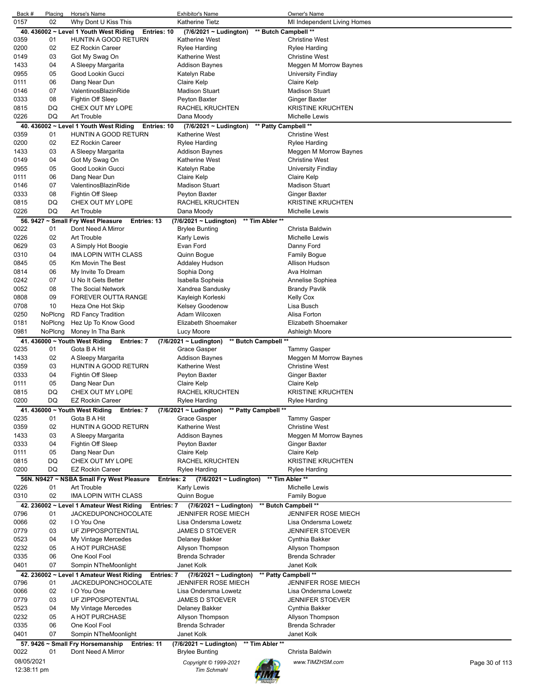| Back #     | Placing     | Horse's Name                                             | Exhibitor's Name            |                      | Owner's Name                |                |
|------------|-------------|----------------------------------------------------------|-----------------------------|----------------------|-----------------------------|----------------|
| 0157       | 02          | Why Dont U Kiss This                                     | Katherine Tietz             |                      | MI Independent Living Homes |                |
|            |             |                                                          |                             |                      |                             |                |
|            |             | 40. 436002 ~ Level 1 Youth West Riding<br>Entries: 10    | (7/6/2021 ~ Ludington)      | ** Butch Campbell ** |                             |                |
| 0359       | 01          | <b>HUNTIN A GOOD RETURN</b>                              | Katherine West              |                      | <b>Christine West</b>       |                |
| 0200       | 02          | <b>EZ Rockin Career</b>                                  | Rylee Harding               |                      | Rylee Harding               |                |
| 0149       | 03          | Got My Swag On                                           | <b>Katherine West</b>       |                      | <b>Christine West</b>       |                |
|            |             |                                                          |                             |                      |                             |                |
| 1433       | 04          | A Sleepy Margarita                                       | <b>Addison Baynes</b>       |                      | Meggen M Morrow Baynes      |                |
| 0955       | 05          | Good Lookin Gucci                                        | Katelyn Rabe                |                      | University Findlay          |                |
| 0111       | 06          | Dang Near Dun                                            | Claire Kelp                 |                      | Claire Kelp                 |                |
| 0146       | 07          | ValentinosBlazinRide                                     | <b>Madison Stuart</b>       |                      | <b>Madison Stuart</b>       |                |
|            |             |                                                          |                             |                      |                             |                |
| 0333       | 08          | Fightin Off Sleep                                        | Peyton Baxter               |                      | <b>Ginger Baxter</b>        |                |
| 0815       | DQ          | CHEX OUT MY LOPE                                         | RACHEL KRUCHTEN             |                      | <b>KRISTINE KRUCHTEN</b>    |                |
| 0226       | DQ          | Art Trouble                                              | Dana Moody                  |                      | Michelle Lewis              |                |
|            |             |                                                          |                             |                      |                             |                |
|            |             | 40. 436002 ~ Level 1 Youth West Riding<br>Entries: 10    | $(7/6/2021 \sim$ Ludington) | ** Patty Campbell ** |                             |                |
| 0359       | 01          | HUNTIN A GOOD RETURN                                     | <b>Katherine West</b>       |                      | <b>Christine West</b>       |                |
| 0200       | 02          | <b>EZ Rockin Career</b>                                  | <b>Rylee Harding</b>        |                      | <b>Rylee Harding</b>        |                |
|            |             |                                                          |                             |                      |                             |                |
| 1433       | 03          | A Sleepy Margarita                                       | <b>Addison Baynes</b>       |                      | Meggen M Morrow Baynes      |                |
| 0149       | 04          | Got My Swag On                                           | <b>Katherine West</b>       |                      | <b>Christine West</b>       |                |
| 0955       | 05          | Good Lookin Gucci                                        | Katelyn Rabe                |                      | <b>University Findlay</b>   |                |
|            |             |                                                          |                             |                      |                             |                |
| 0111       | 06          | Dang Near Dun                                            | Claire Kelp                 |                      | Claire Kelp                 |                |
| 0146       | 07          | ValentinosBlazinRide                                     | <b>Madison Stuart</b>       |                      | <b>Madison Stuart</b>       |                |
| 0333       | 08          | Fightin Off Sleep                                        | Peyton Baxter               |                      | <b>Ginger Baxter</b>        |                |
|            |             |                                                          |                             |                      |                             |                |
| 0815       | DQ          | CHEX OUT MY LOPE                                         | RACHEL KRUCHTEN             |                      | <b>KRISTINE KRUCHTEN</b>    |                |
| 0226       | DQ          | Art Trouble                                              | Dana Moody                  |                      | Michelle Lewis              |                |
|            |             | 56. 9427 ~ Small Fry West Pleasure<br>Entries: 13        | $(7/6/2021 -$ Ludington)    | ** Tim Abler **      |                             |                |
|            |             |                                                          |                             |                      |                             |                |
| 0022       | 01          | Dont Need A Mirror                                       | <b>Brylee Bunting</b>       |                      | Christa Baldwin             |                |
| 0226       | 02          | Art Trouble                                              | <b>Karly Lewis</b>          |                      | Michelle Lewis              |                |
| 0629       | 03          | A Simply Hot Boogie                                      | Evan Ford                   |                      | Danny Ford                  |                |
|            |             |                                                          |                             |                      |                             |                |
| 0310       | 04          | <b>IMA LOPIN WITH CLASS</b>                              | Quinn Bogue                 |                      | <b>Family Bogue</b>         |                |
| 0845       | 05          | Km Movin The Best                                        | Addaley Hudson              |                      | Allison Hudson              |                |
| 0814       | 06          | My Invite To Dream                                       | Sophia Dong                 |                      | Ava Holman                  |                |
|            | 07          |                                                          |                             |                      |                             |                |
| 0242       |             | U No It Gets Better                                      | Isabella Sopheia            |                      | Annelise Sophiea            |                |
| 0052       | 08          | The Social Network                                       | Xandrea Sandusky            |                      | <b>Brandy Pavlik</b>        |                |
| 0808       | 09          | <b>FOREVER OUTTA RANGE</b>                               | Kayleigh Korleski           |                      | <b>Kelly Cox</b>            |                |
| 0708       | 10          | Heza One Hot Skip                                        | Kelsey Goodenow             |                      | Lisa Busch                  |                |
|            |             |                                                          |                             |                      |                             |                |
| 0250       | NoPlcng     | <b>RD Fancy Tradition</b>                                | Adam Wilcoxen               |                      | Alisa Forton                |                |
| 0181       | NoPlcng     | Hez Up To Know Good                                      | Elizabeth Shoemaker         |                      | Elizabeth Shoemaker         |                |
| 0981       | NoPlcng     | Money In Tha Bank                                        | Lucy Moore                  |                      | Ashleigh Moore              |                |
|            |             |                                                          |                             |                      |                             |                |
|            |             | 41. 436000 $\sim$ Youth West Riding<br><b>Entries: 7</b> | (7/6/2021 ~ Ludington)      | ** Butch Campbell ** |                             |                |
| 0235       | 01          | Gota B A Hit                                             | Grace Gasper                |                      | <b>Tammy Gasper</b>         |                |
| 1433       | 02          | A Sleepy Margarita                                       | <b>Addison Baynes</b>       |                      | Meggen M Morrow Baynes      |                |
|            |             |                                                          |                             |                      |                             |                |
| 0359       | 03          | HUNTIN A GOOD RETURN                                     | <b>Katherine West</b>       |                      | <b>Christine West</b>       |                |
| 0333       | 04          | Fightin Off Sleep                                        | Peyton Baxter               |                      | <b>Ginger Baxter</b>        |                |
| 0111       | 05          | Dang Near Dun                                            | Claire Kelp                 |                      | Claire Kelp                 |                |
|            |             |                                                          |                             |                      |                             |                |
| 0815       | DQ          | CHEX OUT MY LOPE                                         | <b>RACHEL KRUCHTEN</b>      |                      | <b>KRISTINE KRUCHTEN</b>    |                |
| 0200       | DQ          | <b>EZ Rockin Career</b>                                  | Rylee Harding               |                      | Rylee Harding               |                |
|            |             | 41. 436000 ~ Youth West Riding<br>Entries: 7             | (7/6/2021 ~ Ludington)      | ** Patty Campbell ** |                             |                |
| 0235       | 01          | Gota B A Hit                                             | Grace Gasper                |                      | <b>Tammy Gasper</b>         |                |
|            |             |                                                          |                             |                      |                             |                |
| 0359       | 02          | HUNTIN A GOOD RETURN                                     | <b>Katherine West</b>       |                      | <b>Christine West</b>       |                |
| 1433       | 03          | A Sleepy Margarita                                       | <b>Addison Baynes</b>       |                      | Meggen M Morrow Baynes      |                |
| 0333       | 04          | Fightin Off Sleep                                        | Peyton Baxter               |                      | Ginger Baxter               |                |
|            |             |                                                          |                             |                      |                             |                |
| 0111       | 05          | Dang Near Dun                                            | Claire Kelp                 |                      | Claire Kelp                 |                |
| 0815       | DQ          | CHEX OUT MY LOPE                                         | RACHEL KRUCHTEN             |                      | <b>KRISTINE KRUCHTEN</b>    |                |
| 0200       | DQ          | <b>EZ Rockin Career</b>                                  | Rylee Harding               |                      | <b>Rylee Harding</b>        |                |
|            |             |                                                          |                             |                      |                             |                |
|            |             | 56N. N9427 ~ NSBA Small Fry West Pleasure<br>Entries: 2  | $(7/6/2021 \sim$ Ludington) |                      | ** Tim Abler **             |                |
| 0226       | 01          | Art Trouble                                              | <b>Karly Lewis</b>          |                      | Michelle Lewis              |                |
| 0310       | 02          | IMA LOPIN WITH CLASS                                     | Quinn Bogue                 |                      | <b>Family Bogue</b>         |                |
|            |             |                                                          |                             |                      |                             |                |
|            |             | 42. 236002 ~ Level 1 Amateur West Riding<br>Entries: 7   | (7/6/2021 ~ Ludington)      |                      | ** Butch Campbell **        |                |
| 0796       | 01          | <b>JACKEDUPONCHOCOLATE</b>                               | <b>JENNIFER ROSE MIECH</b>  |                      | <b>JENNIFER ROSE MIECH</b>  |                |
| 0066       | 02          | I O You One                                              | Lisa Ondersma Lowetz        |                      | Lisa Ondersma Lowetz        |                |
| 0779       | 03          | UF ZIPPOSPOTENTIAL                                       | <b>JAMES D STOEVER</b>      |                      | <b>JENNIFER STOEVER</b>     |                |
|            |             |                                                          |                             |                      |                             |                |
| 0523       | 04          | My Vintage Mercedes                                      | Delaney Bakker              |                      | Cynthia Bakker              |                |
| 0232       | 05          | A HOT PURCHASE                                           | Allyson Thompson            |                      | Allyson Thompson            |                |
| 0335       | 06          | One Kool Fool                                            | <b>Brenda Schrader</b>      |                      | Brenda Schrader             |                |
|            |             |                                                          |                             |                      |                             |                |
| 0401       | 07          | Sompin NTheMoonlight                                     | Janet Kolk                  |                      | Janet Kolk                  |                |
|            |             | 42. 236002 ~ Level 1 Amateur West Riding<br>Entries: 7   | (7/6/2021 ~ Ludington)      |                      | ** Patty Campbell **        |                |
| 0796       | 01          | <b>JACKEDUPONCHOCOLATE</b>                               | <b>JENNIFER ROSE MIECH</b>  |                      | <b>JENNIFER ROSE MIECH</b>  |                |
|            |             | I O You One                                              | Lisa Ondersma Lowetz        |                      |                             |                |
| 0066       | 02          |                                                          |                             |                      | Lisa Ondersma Lowetz        |                |
| 0779       | 03          | UF ZIPPOSPOTENTIAL                                       | <b>JAMES D STOEVER</b>      |                      | <b>JENNIFER STOEVER</b>     |                |
| 0523       | 04          | My Vintage Mercedes                                      | Delaney Bakker              |                      | Cynthia Bakker              |                |
| 0232       | 05          | A HOT PURCHASE                                           |                             |                      |                             |                |
|            |             |                                                          | Allyson Thompson            |                      | Allyson Thompson            |                |
| 0335       | 06          | One Kool Fool                                            | <b>Brenda Schrader</b>      |                      | <b>Brenda Schrader</b>      |                |
| 0401       | 07          | Sompin NTheMoonlight                                     | Janet Kolk                  |                      | Janet Kolk                  |                |
|            |             |                                                          |                             | ** Tim Abler **      |                             |                |
|            |             | 57. 9426 ~ Small Fry Horsemanship<br>Entries: 11         | (7/6/2021 ~ Ludington)      |                      |                             |                |
| 0022       | 01          | Dont Need A Mirror                                       | <b>Brylee Bunting</b>       |                      | Christa Baldwin             |                |
| 08/05/2021 |             |                                                          | Copyright © 1999-2021       |                      | www.TIMZHSM.com             | Page 30 of 113 |
|            | 12:38:11 pm |                                                          | <b>Tim Schmahl</b>          |                      |                             |                |
|            |             |                                                          |                             |                      |                             |                |
|            |             |                                                          |                             |                      |                             |                |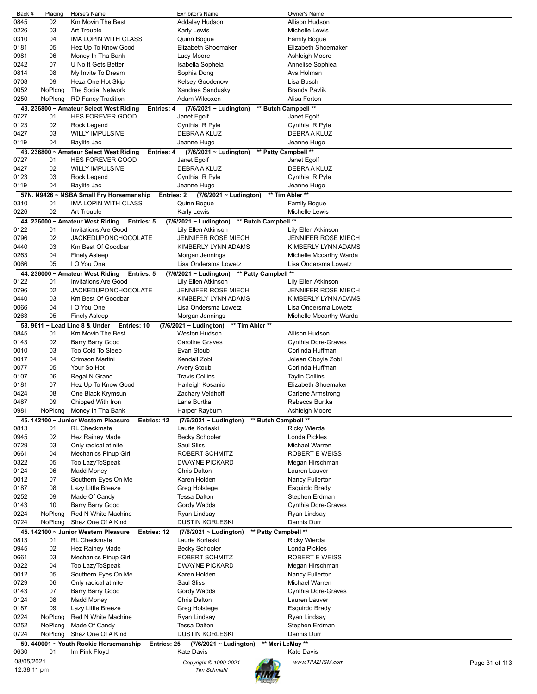| Back #      | Placing | Horse's Name                                   |             | <b>Exhibitor's Name</b>                        |                      | Owner's Name               |                |
|-------------|---------|------------------------------------------------|-------------|------------------------------------------------|----------------------|----------------------------|----------------|
| 0845        | 02      | Km Movin The Best                              |             | Addaley Hudson                                 |                      | Allison Hudson             |                |
| 0226        | 03      | Art Trouble                                    |             | Karly Lewis                                    |                      | Michelle Lewis             |                |
|             |         |                                                |             |                                                |                      |                            |                |
| 0310        | 04      | IMA LOPIN WITH CLASS                           |             | Quinn Bogue                                    |                      | Family Bogue               |                |
| 0181        | 05      | Hez Up To Know Good                            |             | Elizabeth Shoemaker                            |                      | Elizabeth Shoemaker        |                |
| 0981        | 06      | Money In Tha Bank                              |             | Lucy Moore                                     |                      | Ashleigh Moore             |                |
| 0242        | 07      | U No It Gets Better                            |             | Isabella Sopheia                               |                      | Annelise Sophiea           |                |
|             |         |                                                |             |                                                |                      |                            |                |
| 0814        | 08      | My Invite To Dream                             |             | Sophia Dong                                    |                      | Ava Holman                 |                |
| 0708        | 09      | Heza One Hot Skip                              |             | Kelsey Goodenow                                |                      | Lisa Busch                 |                |
| 0052        | NoPlcng | The Social Network                             |             | Xandrea Sandusky                               |                      | Brandy Pavlik              |                |
| 0250        | NoPlcng | <b>RD Fancy Tradition</b>                      |             | Adam Wilcoxen                                  |                      | Alisa Forton               |                |
|             |         |                                                |             |                                                |                      |                            |                |
|             |         | 43. 236800 ~ Amateur Select West Riding        | Entries: 4  | $(7/6/2021 \sim$ Ludington)                    |                      | ** Butch Campbell **       |                |
| 0727        | 01      | <b>HES FOREVER GOOD</b>                        |             | Janet Egolf                                    |                      | Janet Egolf                |                |
| 0123        | 02      | Rock Legend                                    |             | Cynthia R Pyle                                 |                      | Cynthia R Pyle             |                |
| 0427        | 03      | <b>WILLY IMPULSIVE</b>                         |             | DEBRA A KLUZ                                   |                      | DEBRA A KLUZ               |                |
|             |         |                                                |             |                                                |                      |                            |                |
| 0119        | 04      | Baylite Jac                                    |             | Jeanne Hugo                                    |                      | Jeanne Hugo                |                |
|             |         | 43. 236800 ~ Amateur Select West Riding        | Entries: 4  | $(7/6/2021 \sim$ Ludington)                    |                      | ** Patty Campbell **       |                |
| 0727        | 01      | <b>HES FOREVER GOOD</b>                        |             | Janet Egolf                                    |                      | Janet Egolf                |                |
|             |         |                                                |             |                                                |                      |                            |                |
| 0427        | 02      | <b>WILLY IMPULSIVE</b>                         |             | DEBRA A KLUZ                                   |                      | DEBRA A KLUZ               |                |
| 0123        | 03      | Rock Legend                                    |             | Cynthia R Pyle                                 |                      | Cynthia R Pyle             |                |
| 0119        | 04      | Baylite Jac                                    |             | Jeanne Hugo                                    |                      | Jeanne Hugo                |                |
|             |         |                                                |             | $(7/6/2021 \sim$ Ludington)                    |                      | ** Tim Abler **            |                |
|             |         | 57N. N9426 ~ NSBA Small Fry Horsemanship       | Entries: 2  |                                                |                      |                            |                |
| 0310        | 01      | <b>IMA LOPIN WITH CLASS</b>                    |             | Quinn Bogue                                    |                      | <b>Family Bogue</b>        |                |
| 0226        | 02      | Art Trouble                                    |             | Karly Lewis                                    |                      | Michelle Lewis             |                |
|             |         | 44. 236000 ~ Amateur West Riding<br>Entries: 5 |             | $(7/6/2021 \sim$ Ludington)                    | ** Butch Campbell ** |                            |                |
| 0122        | 01      |                                                |             | Lily Ellen Atkinson                            |                      |                            |                |
|             |         | Invitations Are Good                           |             |                                                |                      | Lily Ellen Atkinson        |                |
| 0796        | 02      | <b>JACKEDUPONCHOCOLATE</b>                     |             | <b>JENNIFER ROSE MIECH</b>                     |                      | <b>JENNIFER ROSE MIECH</b> |                |
| 0440        | 03      | Km Best Of Goodbar                             |             | KIMBERLY LYNN ADAMS                            |                      | KIMBERLY LYNN ADAMS        |                |
| 0263        | 04      | <b>Finely Asleep</b>                           |             | Morgan Jennings                                |                      | Michelle Mccarthy Warda    |                |
|             |         |                                                |             |                                                |                      |                            |                |
| 0066        | 05      | I O You One                                    |             | Lisa Ondersma Lowetz                           |                      | Lisa Ondersma Lowetz       |                |
|             |         | 44. 236000 ~ Amateur West Riding<br>Entries: 5 |             | $(7/6/2021 \sim$ Ludington)                    | ** Patty Campbell ** |                            |                |
| 0122        | 01      | <b>Invitations Are Good</b>                    |             | Lily Ellen Atkinson                            |                      | Lily Ellen Atkinson        |                |
| 0796        | 02      | <b>JACKEDUPONCHOCOLATE</b>                     |             | <b>JENNIFER ROSE MIECH</b>                     |                      | <b>JENNIFER ROSE MIECH</b> |                |
|             |         |                                                |             |                                                |                      |                            |                |
| 0440        | 03      | Km Best Of Goodbar                             |             | KIMBERLY LYNN ADAMS                            |                      | KIMBERLY LYNN ADAMS        |                |
| 0066        | 04      | I O You One                                    |             | Lisa Ondersma Lowetz                           |                      | Lisa Ondersma Lowetz       |                |
| 0263        | 05      | <b>Finely Asleep</b>                           |             | Morgan Jennings                                |                      | Michelle Mccarthy Warda    |                |
|             |         |                                                |             |                                                |                      |                            |                |
|             |         | 58. 9611 ~ Lead Line 8 & Under<br>Entries: 10  |             | $(7/6/2021 \sim$ Ludington)<br>** Tim Abler ** |                      |                            |                |
| 0845        | 01      | Km Movin The Best                              |             | <b>Weston Hudson</b>                           |                      | Allison Hudson             |                |
| 0143        | 02      | Barry Barry Good                               |             | <b>Caroline Graves</b>                         |                      | Cynthia Dore-Graves        |                |
| 0010        | 03      | Too Cold To Sleep                              |             | Evan Stoub                                     |                      | Corlinda Huffman           |                |
|             |         |                                                |             |                                                |                      |                            |                |
| 0017        | 04      | Crimson Martini                                |             | Kendall Zobl                                   |                      | Joleen Oboyle Zobl         |                |
| 0077        | 05      | Your So Hot                                    |             | Avery Stoub                                    |                      | Corlinda Huffman           |                |
| 0107        | 06      | Regal N Grand                                  |             | <b>Travis Collins</b>                          |                      | <b>Taylin Collins</b>      |                |
| 0181        | 07      | Hez Up To Know Good                            |             | Harleigh Kosanic                               |                      | Elizabeth Shoemaker        |                |
|             |         |                                                |             |                                                |                      |                            |                |
| 0424        | 08      | One Black Krymsun                              |             | Zachary Veldhoff                               |                      | Carlene Armstrong          |                |
| 0487        | 09      | Chipped With Iron                              |             | Lane Burtka                                    |                      | Rebecca Burtka             |                |
| 0981        | NoPlcng | Money In Tha Bank                              |             | Harper Rayburn                                 |                      | Ashleigh Moore             |                |
|             |         | 45. 142100 ~ Junior Western Pleasure           |             |                                                | ** Butch Campbell ** |                            |                |
|             |         |                                                | Entries: 12 | $(7/6/2021 \sim$ Ludington)                    |                      |                            |                |
| 0813        | 01      | <b>RL Checkmate</b>                            |             | Laurie Korleski                                |                      | <b>Ricky Wierda</b>        |                |
| 0945        | 02      | Hez Rainey Made                                |             | <b>Becky Schooler</b>                          |                      | Londa Pickles              |                |
| 0729        | 03      | Only radical at nite                           |             | Saul Sliss                                     |                      | Michael Warren             |                |
| 0661        | 04      |                                                |             | ROBERT SCHMITZ                                 |                      | <b>ROBERT E WEISS</b>      |                |
|             |         | Mechanics Pinup Girl                           |             |                                                |                      |                            |                |
| 0322        | 05      | Too LazyToSpeak                                |             | <b>DWAYNE PICKARD</b>                          |                      | Megan Hirschman            |                |
| 0124        | 06      | <b>Madd Money</b>                              |             | Chris Dalton                                   |                      | Lauren Lauver              |                |
| 0012        | 07      | Southern Eyes On Me                            |             | Karen Holden                                   |                      | Nancy Fullerton            |                |
| 0187        | 08      | Lazy Little Breeze                             |             | Greg Holstege                                  |                      | Esquirdo Brady             |                |
|             |         |                                                |             |                                                |                      |                            |                |
| 0252        | 09      | Made Of Candy                                  |             | <b>Tessa Dalton</b>                            |                      | Stephen Erdman             |                |
| 0143        | 10      | Barry Barry Good                               |             | Gordy Wadds                                    |                      | Cynthia Dore-Graves        |                |
| 0224        | NoPlcng | Red N White Machine                            |             | Ryan Lindsay                                   |                      | Ryan Lindsay               |                |
| 0724        | NoPlcng | Shez One Of A Kind                             |             | <b>DUSTIN KORLESKI</b>                         |                      | Dennis Durr                |                |
|             |         |                                                |             |                                                |                      |                            |                |
|             |         | 45. 142100 ~ Junior Western Pleasure           | Entries: 12 | (7/6/2021 ~ Ludington)                         | ** Patty Campbell ** |                            |                |
| 0813        | 01      | <b>RL Checkmate</b>                            |             | Laurie Korleski                                |                      | Ricky Wierda               |                |
| 0945        | 02      | Hez Rainey Made                                |             | Becky Schooler                                 |                      | Londa Pickles              |                |
| 0661        | 03      | Mechanics Pinup Girl                           |             | ROBERT SCHMITZ                                 |                      | ROBERT E WEISS             |                |
|             |         |                                                |             |                                                |                      |                            |                |
| 0322        | 04      | Too LazyToSpeak                                |             | <b>DWAYNE PICKARD</b>                          |                      | Megan Hirschman            |                |
| 0012        | 05      | Southern Eyes On Me                            |             | Karen Holden                                   |                      | Nancy Fullerton            |                |
| 0729        | 06      | Only radical at nite                           |             | Saul Sliss                                     |                      | Michael Warren             |                |
| 0143        | 07      | Barry Barry Good                               |             | Gordy Wadds                                    |                      | Cynthia Dore-Graves        |                |
|             |         |                                                |             |                                                |                      |                            |                |
| 0124        | 08      | Madd Money                                     |             | Chris Dalton                                   |                      | Lauren Lauver              |                |
| 0187        | 09      | Lazy Little Breeze                             |             | Greg Holstege                                  |                      | Esquirdo Brady             |                |
| 0224        | NoPlcng | Red N White Machine                            |             | Ryan Lindsay                                   |                      | Ryan Lindsay               |                |
| 0252        | NoPlcng | Made Of Candy                                  |             | <b>Tessa Dalton</b>                            |                      | Stephen Erdman             |                |
|             |         |                                                |             |                                                |                      |                            |                |
| 0724        | NoPlcng | Shez One Of A Kind                             |             | <b>DUSTIN KORLESKI</b>                         |                      | Dennis Durr                |                |
|             |         | 59. 440001 ~ Youth Rookie Horsemanship         | Entries: 25 | (7/6/2021 ~ Ludington)                         | ** Meri LeMay **     |                            |                |
| 0630        | 01      | Im Pink Floyd                                  |             | <b>Kate Davis</b>                              |                      | Kate Davis                 |                |
|             |         |                                                |             |                                                |                      |                            |                |
| 08/05/2021  |         |                                                |             | Copyright © 1999-2021                          |                      | www.TIMZHSM.com            | Page 31 of 113 |
| 12:38:11 pm |         |                                                |             | <b>Tim Schmahl</b>                             |                      |                            |                |
|             |         |                                                |             |                                                |                      |                            |                |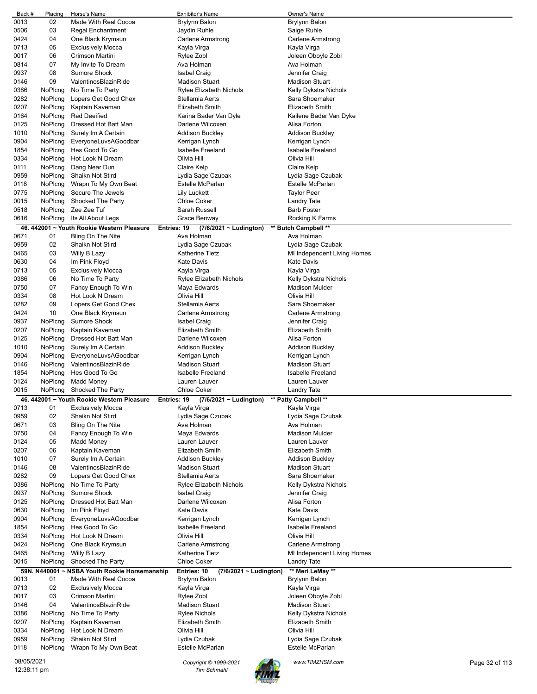| Back #                    | Placing | Horse's Name                                              | <b>Exhibitor's Name</b>                     | Owner's Name                |                |
|---------------------------|---------|-----------------------------------------------------------|---------------------------------------------|-----------------------------|----------------|
| 0013                      | 02      | Made With Real Cocoa                                      | Brylynn Balon                               | <b>Brylynn Balon</b>        |                |
| 0506                      | 03      | <b>Regal Enchantment</b>                                  | Jaydin Ruhle                                | Saige Ruhle                 |                |
| 0424                      | 04      | One Black Krymsun                                         | Carlene Armstrong                           | Carlene Armstrong           |                |
| 0713                      | 05      | <b>Exclusively Mocca</b>                                  | Kayla Virga                                 | Kayla Virga                 |                |
| 0017                      | 06      | Crimson Martini                                           | Rylee Zobl                                  | Joleen Oboyle Zobl          |                |
| 0814                      | 07      | My Invite To Dream                                        | Ava Holman                                  | Ava Holman                  |                |
| 0937                      | 08      | <b>Sumore Shock</b>                                       | Isabel Craig                                | Jennifer Craig              |                |
|                           |         |                                                           |                                             |                             |                |
| 0146                      | 09      | ValentinosBlazinRide                                      | <b>Madison Stuart</b>                       | <b>Madison Stuart</b>       |                |
| 0386                      | NoPlcng | No Time To Party                                          | Rylee Elizabeth Nichols                     | Kelly Dykstra Nichols       |                |
| 0282                      | NoPlcng | Lopers Get Good Chex                                      | Stellamia Aerts                             | Sara Shoemaker              |                |
| 0207                      | NoPlcng | Kaptain Kaveman                                           | <b>Elizabeth Smith</b>                      | Elizabeth Smith             |                |
| 0164                      | NoPlcng | <b>Red Deeified</b>                                       | Karina Bader Van Dyle                       | Kailene Bader Van Dyke      |                |
| 0125                      | NoPlcng | Dressed Hot Batt Man                                      | Darlene Wilcoxen                            | Alisa Forton                |                |
| 1010                      | NoPlcng | Surely Im A Certain                                       | <b>Addison Buckley</b>                      | <b>Addison Buckley</b>      |                |
| 0904                      | NoPlcng | EveryoneLuvsAGoodbar                                      | Kerrigan Lynch                              | Kerrigan Lynch              |                |
| 1854                      | NoPlcng | Hes Good To Go                                            | <b>Isabelle Freeland</b>                    | Isabelle Freeland           |                |
| 0334                      | NoPlcng | Hot Look N Dream                                          | Olivia Hill                                 | Olivia Hill                 |                |
| 0111                      | NoPlcng | Dang Near Dun                                             | Claire Kelp                                 | Claire Kelp                 |                |
| 0959                      | NoPlcng | Shaikn Not Stird                                          | Lydia Sage Czubak                           | Lydia Sage Czubak           |                |
| 0118                      | NoPlcng | Wrapn To My Own Beat                                      | Estelle McParlan                            | Estelle McParlan            |                |
|                           |         |                                                           |                                             | <b>Taylor Peer</b>          |                |
| 0775                      | NoPlcng | Secure The Jewels                                         | <b>Lily Luckett</b>                         |                             |                |
| 0015                      | NoPlcng | Shocked The Party                                         | <b>Chloe Coker</b>                          | <b>Landry Tate</b>          |                |
| 0518                      | NoPlcng | Zee Zee Tuf                                               | Sarah Russell                               | <b>Barb Foster</b>          |                |
| 0616                      | NoPlcng | Its All About Legs                                        | Grace Benway                                | Rocking K Farms             |                |
|                           |         | 46. 442001 ~ Youth Rookie Western Pleasure<br>Entries: 19 | (7/6/2021 ~ Ludington)                      | ** Butch Campbell **        |                |
| 0671                      | 01      | Bling On The Nite                                         | Ava Holman                                  | Ava Holman                  |                |
| 0959                      | 02      | Shaikn Not Stird                                          | Lydia Sage Czubak                           | Lydia Sage Czubak           |                |
| 0465                      | 03      | Willy B Lazy                                              | Katherine Tietz                             | MI Independent Living Homes |                |
| 0630                      | 04      | Im Pink Floyd                                             | <b>Kate Davis</b>                           | Kate Davis                  |                |
| 0713                      | 05      | <b>Exclusively Mocca</b>                                  | Kayla Virga                                 | Kayla Virga                 |                |
| 0386                      | 06      | No Time To Party                                          | Rylee Elizabeth Nichols                     | Kelly Dykstra Nichols       |                |
| 0750                      | 07      | Fancy Enough To Win                                       | Maya Edwards                                | <b>Madison Mulder</b>       |                |
|                           |         |                                                           |                                             |                             |                |
| 0334                      | 08      | Hot Look N Dream                                          | Olivia Hill                                 | Olivia Hill                 |                |
| 0282                      | 09      | Lopers Get Good Chex                                      | Stellamia Aerts                             | Sara Shoemaker              |                |
| 0424                      | 10      | One Black Krymsun                                         | Carlene Armstrong                           | Carlene Armstrong           |                |
| 0937                      | NoPlcng | <b>Sumore Shock</b>                                       | Isabel Craig                                | Jennifer Craig              |                |
| 0207                      | NoPlcng | Kaptain Kaveman                                           | <b>Elizabeth Smith</b>                      | Elizabeth Smith             |                |
| 0125                      | NoPlcng | Dressed Hot Batt Man                                      | Darlene Wilcoxen                            | Alisa Forton                |                |
| 1010                      | NoPlcng | Surely Im A Certain                                       | <b>Addison Buckley</b>                      | Addison Buckley             |                |
| 0904                      | NoPlcng | EveryoneLuvsAGoodbar                                      | Kerrigan Lynch                              | Kerrigan Lynch              |                |
| 0146                      | NoPlcng | ValentinosBlazinRide                                      | <b>Madison Stuart</b>                       | <b>Madison Stuart</b>       |                |
| 1854                      | NoPlcng | Hes Good To Go                                            | <b>Isabelle Freeland</b>                    | <b>Isabelle Freeland</b>    |                |
| 0124                      | NoPlcng | Madd Money                                                | Lauren Lauver                               | Lauren Lauver               |                |
| 0015                      | NoPlcng | Shocked The Party                                         | <b>Chloe Coker</b>                          | <b>Landry Tate</b>          |                |
|                           |         |                                                           |                                             |                             |                |
|                           |         | 46. 442001 ~ Youth Rookie Western Pleasure<br>Entries: 19 | (7/6/2021 ~ Ludington)                      | ** Patty Campbell **        |                |
| 0713                      | 01      | <b>Exclusively Mocca</b>                                  | Kayla Virga                                 | Kayla Virga                 |                |
| 0959                      | 02      | Shaikn Not Stird                                          | Lydia Sage Czubak                           | Lydia Sage Czubak           |                |
| 0671                      | 03      | Bling On The Nite                                         | Ava Holman                                  | Ava Holman                  |                |
| 0750                      | 04      | Fancy Enough To Win                                       | Maya Edwards                                | <b>Madison Mulder</b>       |                |
| 0124                      | 05      | Madd Money                                                | Lauren Lauver                               | Lauren Lauver               |                |
| 0207                      | 06      | Kaptain Kaveman                                           | <b>Elizabeth Smith</b>                      | <b>Elizabeth Smith</b>      |                |
| 1010                      | 07      | Surely Im A Certain                                       | <b>Addison Buckley</b>                      | Addison Buckley             |                |
| 0146                      | 08      | ValentinosBlazinRide                                      | <b>Madison Stuart</b>                       | <b>Madison Stuart</b>       |                |
| 0282                      | 09      | Lopers Get Good Chex                                      | Stellamia Aerts                             | Sara Shoemaker              |                |
| 0386                      | NoPlcng | No Time To Party                                          | Rylee Elizabeth Nichols                     | Kelly Dykstra Nichols       |                |
| 0937                      | NoPlcng | Sumore Shock                                              | <b>Isabel Craig</b>                         | Jennifer Craig              |                |
| 0125                      | NoPlcng | Dressed Hot Batt Man                                      | Darlene Wilcoxen                            | Alisa Forton                |                |
|                           |         |                                                           | <b>Kate Davis</b>                           | <b>Kate Davis</b>           |                |
| 0630                      | NoPlcng | Im Pink Floyd                                             |                                             |                             |                |
| 0904                      | NoPlcng | EveryoneLuvsAGoodbar                                      | Kerrigan Lynch                              | Kerrigan Lynch              |                |
| 1854                      | NoPlcng | Hes Good To Go                                            | <b>Isabelle Freeland</b>                    | <b>Isabelle Freeland</b>    |                |
| 0334                      | NoPlcng | Hot Look N Dream                                          | Olivia Hill                                 | Olivia Hill                 |                |
| 0424                      | NoPlcng | One Black Krymsun                                         | Carlene Armstrong                           | Carlene Armstrong           |                |
| 0465                      | NoPlcng | Willy B Lazy                                              | Katherine Tietz                             | MI Independent Living Homes |                |
| 0015                      | NoPlcng | Shocked The Party                                         | <b>Chloe Coker</b>                          | Landry Tate                 |                |
|                           |         | 59N. N440001 ~ NSBA Youth Rookie Horsemanship             | Entries: 10<br>$(7/6/2021 \sim$ Ludington)  | ** Meri LeMay **            |                |
| 0013                      | 01      | Made With Real Cocoa                                      | Brylynn Balon                               | Brylynn Balon               |                |
| 0713                      | 02      | <b>Exclusively Mocca</b>                                  | Kayla Virga                                 | Kayla Virga                 |                |
| 0017                      | 03      | Crimson Martini                                           | Rylee Zobl                                  | Joleen Oboyle Zobl          |                |
| 0146                      | 04      | ValentinosBlazinRide                                      | <b>Madison Stuart</b>                       | <b>Madison Stuart</b>       |                |
|                           |         |                                                           |                                             |                             |                |
| 0386                      | NoPlcng | No Time To Party                                          | Rylee Nichols                               | Kelly Dykstra Nichols       |                |
| 0207                      | NoPlcng | Kaptain Kaveman                                           | Elizabeth Smith                             | Elizabeth Smith             |                |
| 0334                      | NoPlcng | Hot Look N Dream                                          | Olivia Hill                                 | Olivia Hill                 |                |
| 0959                      | NoPlcng | Shaikn Not Stird                                          | Lydia Czubak                                | Lydia Sage Czubak           |                |
| 0118                      | NoPlcng | Wrapn To My Own Beat                                      | Estelle McParlan                            | Estelle McParlan            |                |
|                           |         |                                                           |                                             |                             |                |
| 08/05/2021<br>12:38:11 pm |         |                                                           | Copyright © 1999-2021<br><b>Tim Schmahl</b> | www.TIMZHSM.com             | Page 32 of 113 |
|                           |         |                                                           |                                             |                             |                |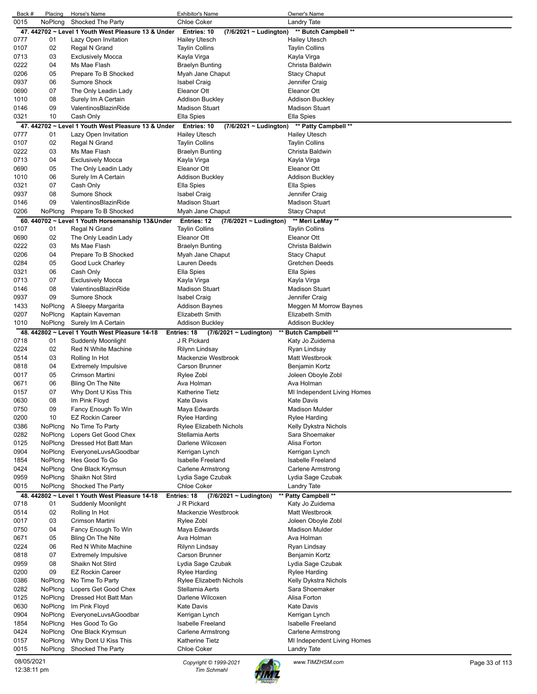| Back #       | Placing  | Horse's Name                                        | Exhibitor's Name                           | Owner's Name                                |                |
|--------------|----------|-----------------------------------------------------|--------------------------------------------|---------------------------------------------|----------------|
| 0015         | NoPlcng  | Shocked The Party                                   | <b>Chloe Coker</b>                         | <b>Landry Tate</b>                          |                |
|              |          | 47. 442702 ~ Level 1 Youth West Pleasure 13 & Under | Entries: 10<br>(7/6/2021 ~ Ludington)      | ** Butch Campbell **                        |                |
| 0777         | 01       | Lazy Open Invitation                                | <b>Hailey Utesch</b>                       | <b>Hailey Utesch</b>                        |                |
| 0107         | 02       | Regal N Grand                                       | <b>Taylin Collins</b>                      | <b>Taylin Collins</b>                       |                |
| 0713         | 03       | <b>Exclusively Mocca</b>                            | Kayla Virga                                | Kayla Virga                                 |                |
| 0222         | 04       | Ms Mae Flash                                        | <b>Braelyn Bunting</b>                     | Christa Baldwin                             |                |
| 0206         | 05       | Prepare To B Shocked                                | Myah Jane Chaput                           | <b>Stacy Chaput</b>                         |                |
| 0937         | 06       | <b>Sumore Shock</b>                                 | <b>Isabel Craig</b>                        | Jennifer Craig                              |                |
| 0690         | 07       | The Only Leadin Lady                                | Eleanor Ott                                | Eleanor Ott                                 |                |
| 1010         | 08       | Surely Im A Certain                                 | <b>Addison Buckley</b>                     | <b>Addison Buckley</b>                      |                |
| 0146         | 09       | ValentinosBlazinRide                                | <b>Madison Stuart</b>                      | <b>Madison Stuart</b>                       |                |
| 0321         | 10       | Cash Only                                           | Ella Spies                                 | Ella Spies                                  |                |
|              |          | 47. 442702 ~ Level 1 Youth West Pleasure 13 & Under | Entries: 10<br>$(7/6/2021 \sim$ Ludington) | ** Patty Campbell **                        |                |
| 0777         | 01       | Lazy Open Invitation                                | <b>Hailey Utesch</b>                       | <b>Hailey Utesch</b>                        |                |
| 0107         | 02       | Regal N Grand                                       | <b>Taylin Collins</b>                      | <b>Taylin Collins</b>                       |                |
| 0222         | 03       | Ms Mae Flash                                        | <b>Braelyn Bunting</b>                     | Christa Baldwin                             |                |
| 0713         | 04       | <b>Exclusively Mocca</b>                            | Kayla Virga                                | Kayla Virga                                 |                |
| 0690         | 05       | The Only Leadin Lady                                | Eleanor Ott                                | Eleanor Ott                                 |                |
| 1010         | 06       | Surely Im A Certain                                 | <b>Addison Buckley</b>                     | <b>Addison Buckley</b>                      |                |
| 0321         | 07       | Cash Only                                           | Ella Spies                                 | Ella Spies                                  |                |
| 0937         | 08       | <b>Sumore Shock</b>                                 | <b>Isabel Craig</b>                        | Jennifer Craig                              |                |
| 0146         | 09       | ValentinosBlazinRide                                | <b>Madison Stuart</b>                      | <b>Madison Stuart</b>                       |                |
| 0206         | NoPlcng  | Prepare To B Shocked                                | Myah Jane Chaput                           | <b>Stacy Chaput</b>                         |                |
|              |          | 60. 440702 ~ Level 1 Youth Horsemanship 13&Under    | Entries: 12<br>$(7/6/2021 \sim$ Ludington) | ** Meri LeMay **                            |                |
| 0107         | 01       | Regal N Grand                                       | <b>Taylin Collins</b>                      | <b>Taylin Collins</b>                       |                |
| 0690         | 02       | The Only Leadin Lady                                | Eleanor Ott                                | Eleanor Ott                                 |                |
| 0222         | 03       | Ms Mae Flash                                        | <b>Braelyn Bunting</b>                     | Christa Baldwin                             |                |
| 0206         | 04       | Prepare To B Shocked                                | Myah Jane Chaput                           | <b>Stacy Chaput</b>                         |                |
| 0284         | 05       | Good Luck Charley                                   | Lauren Deeds                               | Gretchen Deeds                              |                |
| 0321         | 06       | Cash Only                                           | Ella Spies                                 | Ella Spies                                  |                |
| 0713         | 07       | <b>Exclusively Mocca</b>                            | Kayla Virga                                | Kayla Virga                                 |                |
| 0146         | 08       | ValentinosBlazinRide                                | <b>Madison Stuart</b>                      | <b>Madison Stuart</b>                       |                |
| 0937         | 09       | <b>Sumore Shock</b>                                 | <b>Isabel Craig</b>                        | Jennifer Craig                              |                |
| 1433         | NoPlcng  | A Sleepy Margarita                                  | <b>Addison Baynes</b>                      | Meggen M Morrow Baynes                      |                |
| 0207         | NoPlcng  | Kaptain Kaveman                                     | <b>Elizabeth Smith</b>                     | Elizabeth Smith                             |                |
| 1010         | NoPlcng  | Surely Im A Certain                                 | <b>Addison Buckley</b>                     | Addison Buckley                             |                |
|              |          | 48. 442802 ~ Level 1 Youth West Pleasure 14-18      | Entries: 18<br>$(7/6/2021 \sim$ Ludington) | ** Butch Campbell **                        |                |
| 0718         | 01       | <b>Suddenly Moonlight</b>                           | J R Pickard                                | Katy Jo Zuidema                             |                |
| 0224         | 02       | Red N White Machine                                 | Rilynn Lindsay                             | Ryan Lindsay                                |                |
| 0514         | 03       | Rolling In Hot                                      | Mackenzie Westbrook                        | Matt Westbrook                              |                |
| 0818         | 04       | <b>Extremely Impulsive</b>                          | <b>Carson Brunner</b>                      | Benjamin Kortz                              |                |
| 0017         | 05       | Crimson Martini                                     | Rylee Zobl                                 | Joleen Oboyle Zobl                          |                |
| 0671         | 06       | Bling On The Nite                                   | Ava Holman                                 | Ava Holman                                  |                |
| 0157         | 07       | Why Dont U Kiss This                                | <b>Katherine Tietz</b>                     | MI Independent Living Homes                 |                |
| 0630         | 08       | Im Pink Floyd                                       | Kate Davis                                 | Kate Davis                                  |                |
| 0750         | 09       | Fancy Enough To Win                                 | Maya Edwards                               | <b>Madison Mulder</b>                       |                |
| 0200         | 10       | <b>EZ Rockin Career</b>                             | <b>Rylee Harding</b>                       | <b>Rylee Harding</b>                        |                |
| 0386         | NoPlcng  | No Time To Party                                    | Rylee Elizabeth Nichols                    | Kelly Dykstra Nichols                       |                |
| 0282         | NoPlcng  | Lopers Get Good Chex                                | Stellamia Aerts                            | Sara Shoemaker                              |                |
| 0125         | NoPlcng  | Dressed Hot Batt Man                                | Darlene Wilcoxen                           | Alisa Forton                                |                |
| 0904         | NoPlcng  | EveryoneLuvsAGoodbar                                | Kerrigan Lynch                             | Kerrigan Lynch                              |                |
| 1854         | NoPlcng  | Hes Good To Go                                      | <b>Isabelle Freeland</b>                   | Isabelle Freeland                           |                |
| 0424         | NoPlcng  | One Black Krymsun                                   | Carlene Armstrong                          | Carlene Armstrong                           |                |
| 0959         | NoPlcng  | Shaikn Not Stird                                    | Lydia Sage Czubak                          | Lydia Sage Czubak                           |                |
| 0015         | NoPlcng  | Shocked The Party                                   | <b>Chloe Coker</b>                         | <b>Landry Tate</b>                          |                |
|              |          |                                                     |                                            |                                             |                |
|              |          | 48. 442802 ~ Level 1 Youth West Pleasure 14-18      | Entries: 18<br>$(7/6/2021 \sim$ Ludington) | ** Patty Campbell **                        |                |
| 0718<br>0514 | 01<br>02 | <b>Suddenly Moonlight</b>                           | J R Pickard<br>Mackenzie Westbrook         | Katy Jo Zuidema<br><b>Matt Westbrook</b>    |                |
|              |          | Rolling In Hot                                      |                                            |                                             |                |
| 0017         | 03<br>04 | Crimson Martini                                     | Rylee Zobl<br>Maya Edwards                 | Joleen Oboyle Zobl<br><b>Madison Mulder</b> |                |
| 0750         |          | Fancy Enough To Win                                 |                                            |                                             |                |
| 0671         | 05       | Bling On The Nite                                   | Ava Holman                                 | Ava Holman                                  |                |
| 0224         | 06       | Red N White Machine                                 | Rilynn Lindsay                             | Ryan Lindsay                                |                |
| 0818         | 07       | <b>Extremely Impulsive</b>                          | Carson Brunner                             | Benjamin Kortz                              |                |
| 0959         | 08       | Shaikn Not Stird                                    | Lydia Sage Czubak                          | Lydia Sage Czubak                           |                |
| 0200         | 09       | <b>EZ Rockin Career</b>                             | <b>Rylee Harding</b>                       | <b>Rylee Harding</b>                        |                |
| 0386         | NoPlcng  | No Time To Party                                    | Rylee Elizabeth Nichols                    | Kelly Dykstra Nichols                       |                |
| 0282         | NoPlcng  | Lopers Get Good Chex                                | Stellamia Aerts                            | Sara Shoemaker                              |                |
| 0125         | NoPlcng  | Dressed Hot Batt Man                                | Darlene Wilcoxen                           | Alisa Forton                                |                |
| 0630         | NoPlcng  | Im Pink Floyd                                       | <b>Kate Davis</b>                          | <b>Kate Davis</b>                           |                |
| 0904         | NoPlcng  | EveryoneLuvsAGoodbar                                | Kerrigan Lynch                             | Kerrigan Lynch                              |                |
| 1854         | NoPlcng  | Hes Good To Go                                      | Isabelle Freeland                          | Isabelle Freeland                           |                |
| 0424         | NoPlcng  | One Black Krymsun                                   | Carlene Armstrong                          | Carlene Armstrong                           |                |
| 0157         | NoPlcng  | Why Dont U Kiss This                                | Katherine Tietz                            | MI Independent Living Homes                 |                |
| 0015         | NoPlcng  | Shocked The Party                                   | <b>Chloe Coker</b>                         | <b>Landry Tate</b>                          |                |
| 08/05/2021   |          |                                                     | Copyright © 1999-2021                      | www.TIMZHSM.com                             | Page 33 of 113 |
| 12:38:11 pm  |          |                                                     | <b>Tim Schmahl</b>                         |                                             |                |

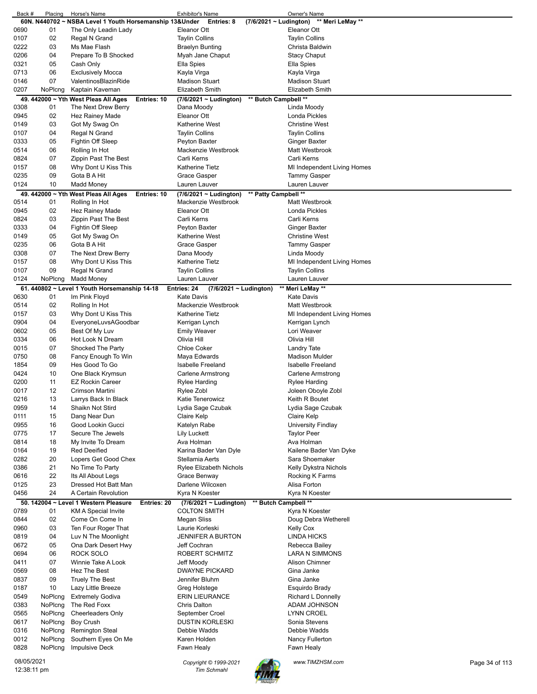| Back #     | Placing     | Horse's Name                                            | <b>Exhibitor's Name</b>                             | Owner's Name                |                |
|------------|-------------|---------------------------------------------------------|-----------------------------------------------------|-----------------------------|----------------|
|            |             | 60N. N440702 ~ NSBA Level 1 Youth Horsemanship 13&Under | Entries: 8<br>$(7/6/2021 \sim$ Ludington)           | ** Meri LeMay **            |                |
| 0690       | 01          | The Only Leadin Lady                                    | Eleanor Ott                                         | Eleanor Ott                 |                |
| 0107       | 02          | Regal N Grand                                           | <b>Taylin Collins</b>                               | <b>Taylin Collins</b>       |                |
| 0222       | 03          | Ms Mae Flash                                            | <b>Braelyn Bunting</b>                              | Christa Baldwin             |                |
| 0206       | 04          | Prepare To B Shocked                                    | Myah Jane Chaput                                    | <b>Stacy Chaput</b>         |                |
| 0321       | 05          | Cash Only                                               | Ella Spies                                          | Ella Spies                  |                |
| 0713       | 06          | <b>Exclusively Mocca</b>                                | Kayla Virga                                         |                             |                |
|            |             |                                                         |                                                     | Kayla Virga                 |                |
| 0146       | 07          | ValentinosBlazinRide                                    | <b>Madison Stuart</b>                               | <b>Madison Stuart</b>       |                |
| 0207       | NoPlcng     | Kaptain Kaveman                                         | <b>Elizabeth Smith</b>                              | Elizabeth Smith             |                |
|            |             | 49. 442000 ~ Yth West Pleas All Ages<br>Entries: 10     | ** Butch Campbell **<br>(7/6/2021 ~ Ludington)      |                             |                |
| 0308       | 01          | The Next Drew Berry                                     | Dana Moody                                          | Linda Moody                 |                |
| 0945       | 02          | Hez Rainey Made                                         | Eleanor Ott                                         | <b>Londa Pickles</b>        |                |
| 0149       | 03          | Got My Swag On                                          | Katherine West                                      | <b>Christine West</b>       |                |
| 0107       | 04          | Regal N Grand                                           | <b>Taylin Collins</b>                               | <b>Taylin Collins</b>       |                |
|            |             |                                                         |                                                     |                             |                |
| 0333       | 05          | Fightin Off Sleep                                       | Peyton Baxter                                       | Ginger Baxter               |                |
| 0514       | 06          | Rolling In Hot                                          | Mackenzie Westbrook                                 | <b>Matt Westbrook</b>       |                |
| 0824       | 07          | Zippin Past The Best                                    | Carli Kerns                                         | Carli Kerns                 |                |
| 0157       | 08          | Why Dont U Kiss This                                    | Katherine Tietz                                     | MI Independent Living Homes |                |
| 0235       | 09          | Gota B A Hit                                            | Grace Gasper                                        | Tammy Gasper                |                |
| 0124       | 10          | Madd Money                                              | Lauren Lauver                                       | Lauren Lauver               |                |
|            |             | 49. 442000 ~ Yth West Pleas All Ages<br>Entries: 10     | ** Patty Campbell **<br>$(7/6/2021 \sim$ Ludington) |                             |                |
| 0514       | 01          | Rolling In Hot                                          | Mackenzie Westbrook                                 | Matt Westbrook              |                |
|            |             |                                                         |                                                     |                             |                |
| 0945       | 02          | Hez Rainey Made                                         | Eleanor Ott                                         | Londa Pickles               |                |
| 0824       | 03          | Zippin Past The Best                                    | Carli Kerns                                         | Carli Kerns                 |                |
| 0333       | 04          | Fightin Off Sleep                                       | Peyton Baxter                                       | <b>Ginger Baxter</b>        |                |
| 0149       | 05          | Got My Swag On                                          | Katherine West                                      | <b>Christine West</b>       |                |
| 0235       | 06          | Gota B A Hit                                            | Grace Gasper                                        | Tammy Gasper                |                |
| 0308       | 07          | The Next Drew Berry                                     | Dana Moody                                          | Linda Moody                 |                |
| 0157       | 08          | Why Dont U Kiss This                                    | Katherine Tietz                                     | MI Independent Living Homes |                |
| 0107       | 09          | Regal N Grand                                           | <b>Taylin Collins</b>                               | <b>Taylin Collins</b>       |                |
| 0124       | NoPlcng     | <b>Madd Money</b>                                       | Lauren Lauver                                       | Lauren Lauver               |                |
|            |             |                                                         |                                                     |                             |                |
|            |             | 61. 440802 ~ Level 1 Youth Horsemanship 14-18           | Entries: 24<br>(7/6/2021 ~ Ludington)               | ** Meri LeMay **            |                |
| 0630       | 01          | Im Pink Floyd                                           | <b>Kate Davis</b>                                   | <b>Kate Davis</b>           |                |
| 0514       | 02          | Rolling In Hot                                          | Mackenzie Westbrook                                 | <b>Matt Westbrook</b>       |                |
| 0157       | 03          | Why Dont U Kiss This                                    | Katherine Tietz                                     | MI Independent Living Homes |                |
| 0904       | 04          | EveryoneLuvsAGoodbar                                    | Kerrigan Lynch                                      | Kerrigan Lynch              |                |
| 0602       | 05          | Best Of My Luv                                          | <b>Emily Weaver</b>                                 | Lori Weaver                 |                |
| 0334       | 06          | Hot Look N Dream                                        | Olivia Hill                                         | Olivia Hill                 |                |
| 0015       | 07          | Shocked The Party                                       | <b>Chloe Coker</b>                                  | Landry Tate                 |                |
| 0750       | 08          | Fancy Enough To Win                                     |                                                     | <b>Madison Mulder</b>       |                |
|            |             |                                                         | Maya Edwards                                        |                             |                |
| 1854       | 09          | Hes Good To Go                                          | <b>Isabelle Freeland</b>                            | <b>Isabelle Freeland</b>    |                |
| 0424       | 10          | One Black Krymsun                                       | Carlene Armstrong                                   | Carlene Armstrong           |                |
| 0200       | 11          | <b>EZ Rockin Career</b>                                 | Rylee Harding                                       | Rylee Harding               |                |
| 0017       | 12          | Crimson Martini                                         | Rylee Zobl                                          | Joleen Oboyle Zobl          |                |
| 0216       | 13          | Larrys Back In Black                                    | Katie Tenerowicz                                    | Keith R Boutet              |                |
| 0959       | 14          | Shaikn Not Stird                                        | Lydia Sage Czubak                                   | Lydia Sage Czubak           |                |
| 0111       | 15          | Dang Near Dun                                           | Claire Kelp                                         | Claire Kelp                 |                |
| 0955       | 16          | Good Lookin Gucci                                       | Katelyn Rabe                                        | <b>University Findlay</b>   |                |
| 0775       | 17          | Secure The Jewels                                       | <b>Lily Luckett</b>                                 | <b>Taylor Peer</b>          |                |
|            |             |                                                         |                                                     |                             |                |
| 0814       | 18          | My Invite To Dream                                      | Ava Holman                                          | Ava Holman                  |                |
| 0164       | 19          | <b>Red Deeified</b>                                     | Karina Bader Van Dyle                               | Kailene Bader Van Dyke      |                |
| 0282       | 20          | Lopers Get Good Chex                                    | Stellamia Aerts                                     | Sara Shoemaker              |                |
| 0386       | 21          | No Time To Party                                        | Rylee Elizabeth Nichols                             | Kelly Dykstra Nichols       |                |
| 0616       | 22          | Its All About Legs                                      | Grace Benway                                        | Rocking K Farms             |                |
| 0125       | 23          | Dressed Hot Batt Man                                    | Darlene Wilcoxen                                    | Alisa Forton                |                |
| 0456       | 24          | A Certain Revolution                                    | Kyra N Koester                                      | Kyra N Koester              |                |
|            |             | 50. 142004 ~ Level 1 Western Pleasure<br>Entries: 20    | ** Butch Campbell **<br>(7/6/2021 ~ Ludington)      |                             |                |
| 0789       | 01          | KM A Special Invite                                     | <b>COLTON SMITH</b>                                 | Kyra N Koester              |                |
| 0844       | 02          | Come On Come In                                         | Megan Sliss                                         | Doug Debra Wetherell        |                |
|            |             |                                                         |                                                     |                             |                |
| 0960       | 03          | Ten Four Roger That                                     | Laurie Korleski                                     | <b>Kelly Cox</b>            |                |
| 0819       | 04          | Luv N The Moonlight                                     | <b>JENNIFER A BURTON</b>                            | <b>LINDA HICKS</b>          |                |
| 0672       | 05          | Ona Dark Desert Hwy                                     | Jeff Cochran                                        | Rebecca Bailey              |                |
| 0694       | 06          | ROCK SOLO                                               | ROBERT SCHMITZ                                      | <b>LARA N SIMMONS</b>       |                |
| 0411       | 07          | Winnie Take A Look                                      | Jeff Moody                                          | Alison Chimner              |                |
| 0569       | 08          | Hez The Best                                            | <b>DWAYNE PICKARD</b>                               | Gina Janke                  |                |
| 0837       | 09          | <b>Truely The Best</b>                                  | Jennifer Bluhm                                      | Gina Janke                  |                |
| 0187       | 10          | Lazy Little Breeze                                      | Greg Holstege                                       | Esquirdo Brady              |                |
| 0549       | NoPlcng     | <b>Extremely Godiva</b>                                 | <b>ERIN LIEURANCE</b>                               | Richard L Donnelly          |                |
|            |             |                                                         | <b>Chris Dalton</b>                                 |                             |                |
| 0383       | NoPlcng     | The Red Foxx                                            |                                                     | ADAM JOHNSON                |                |
| 0565       | NoPlcng     | <b>Cheerleaders Only</b>                                | September Croel                                     | <b>LYNN CROEL</b>           |                |
| 0617       | NoPlcng     | Boy Crush                                               | <b>DUSTIN KORLESKI</b>                              | Sonia Stevens               |                |
| 0316       | NoPlcng     | <b>Remington Steal</b>                                  | Debbie Wadds                                        | Debbie Wadds                |                |
| 0012       | NoPlcng     | Southern Eyes On Me                                     | Karen Holden                                        | Nancy Fullerton             |                |
| 0828       | NoPlcng     | <b>Impulsive Deck</b>                                   | Fawn Healy                                          | Fawn Healy                  |                |
|            |             |                                                         |                                                     |                             |                |
| 08/05/2021 |             |                                                         | Copyright © 1999-2021                               | www.TIMZHSM.com             | Page 34 of 113 |
|            | 12:38:11 pm |                                                         | <b>Tim Schmahl</b>                                  |                             |                |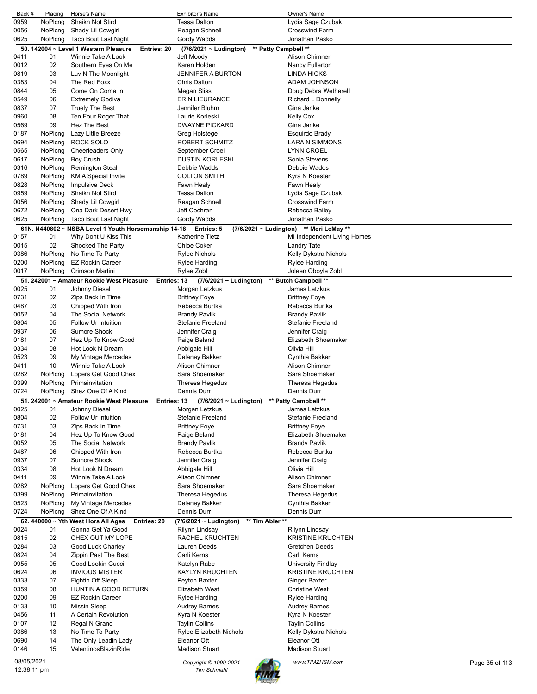| Back #       | Placing            | Horse's Name                                                                | <b>Exhibitor's Name</b>                             | Owner's Name                                |  |
|--------------|--------------------|-----------------------------------------------------------------------------|-----------------------------------------------------|---------------------------------------------|--|
| 0959         | NoPlcng            | Shaikn Not Stird                                                            | <b>Tessa Dalton</b>                                 | Lydia Sage Czubak                           |  |
| 0056<br>0625 | NoPlcng<br>NoPlcng | Shady Lil Cowgirl<br><b>Taco Bout Last Night</b>                            | Reagan Schnell<br>Gordy Wadds                       | <b>Crosswind Farm</b><br>Jonathan Pasko     |  |
|              |                    | 50. 142004 ~ Level 1 Western Pleasure<br>Entries: 20                        | ** Patty Campbell **<br>$(7/6/2021 \sim$ Ludington) |                                             |  |
| 0411         | 01                 | Winnie Take A Look                                                          | Jeff Moody                                          | <b>Alison Chimner</b>                       |  |
| 0012         | 02                 | Southern Eyes On Me                                                         | Karen Holden                                        | Nancy Fullerton                             |  |
| 0819         | 03                 | Luv N The Moonlight                                                         | <b>JENNIFER A BURTON</b>                            | <b>LINDA HICKS</b>                          |  |
| 0383         | 04                 | The Red Foxx                                                                | Chris Dalton                                        | ADAM JOHNSON                                |  |
| 0844         | 05                 | Come On Come In                                                             | Megan Sliss                                         | Doug Debra Wetherell                        |  |
| 0549<br>0837 | 06<br>07           | <b>Extremely Godiva</b><br><b>Truely The Best</b>                           | <b>ERIN LIEURANCE</b><br>Jennifer Bluhm             | Richard L Donnelly<br>Gina Janke            |  |
| 0960         | 08                 | Ten Four Roger That                                                         | Laurie Korleski                                     | <b>Kelly Cox</b>                            |  |
| 0569         | 09                 | Hez The Best                                                                | <b>DWAYNE PICKARD</b>                               | Gina Janke                                  |  |
| 0187         | NoPlcng            | Lazy Little Breeze                                                          | Greg Holstege                                       | Esquirdo Brady                              |  |
| 0694         | NoPlcng            | ROCK SOLO                                                                   | ROBERT SCHMITZ                                      | LARA N SIMMONS                              |  |
| 0565         | NoPlcng            | <b>Cheerleaders Only</b>                                                    | September Croel                                     | LYNN CROEL                                  |  |
| 0617         | NoPlcng            | <b>Boy Crush</b>                                                            | <b>DUSTIN KORLESKI</b>                              | Sonia Stevens                               |  |
| 0316         | NoPlcng            | <b>Remington Steal</b>                                                      | Debbie Wadds                                        | Debbie Wadds                                |  |
| 0789         | NoPlcng<br>NoPlcng | <b>KM A Special Invite</b>                                                  | <b>COLTON SMITH</b>                                 | Kyra N Koester                              |  |
| 0828<br>0959 | NoPlcng            | <b>Impulsive Deck</b><br>Shaikn Not Stird                                   | Fawn Healy<br><b>Tessa Dalton</b>                   | Fawn Healy<br>Lydia Sage Czubak             |  |
| 0056         | NoPlcng            | Shady Lil Cowgirl                                                           | Reagan Schnell                                      | <b>Crosswind Farm</b>                       |  |
| 0672         | NoPlcng            | Ona Dark Desert Hwy                                                         | Jeff Cochran                                        | Rebecca Bailey                              |  |
| 0625         | NoPlcng            | Taco Bout Last Night                                                        | Gordy Wadds                                         | Jonathan Pasko                              |  |
|              |                    | 61N. N440802 ~ NSBA Level 1 Youth Horsemanship 14-18                        | Entries: 5                                          | (7/6/2021 ~ Ludington) ** Meri LeMay **     |  |
| 0157         | 01                 | Why Dont U Kiss This                                                        | <b>Katherine Tietz</b>                              | MI Independent Living Homes                 |  |
| 0015         | 02                 | Shocked The Party                                                           | <b>Chloe Coker</b>                                  | Landry Tate                                 |  |
| 0386         | NoPlcng            | No Time To Party                                                            | <b>Rylee Nichols</b>                                | Kelly Dykstra Nichols                       |  |
| 0200         | NoPlcng            | <b>EZ Rockin Career</b>                                                     | Rylee Harding                                       | Rylee Harding                               |  |
| 0017         | NoPlcng            | Crimson Martini<br>51. 242001 ~ Amateur Rookie West Pleasure<br>Entries: 13 | Rylee Zobl<br>(7/6/2021 ~ Ludington)                | Joleen Oboyle Zobl<br>** Butch Campbell **  |  |
| 0025         | 01                 | Johnny Diesel                                                               | Morgan Letzkus                                      | James Letzkus                               |  |
| 0731         | 02                 | Zips Back In Time                                                           | <b>Brittney Foye</b>                                | <b>Brittney Foye</b>                        |  |
| 0487         | 03                 | Chipped With Iron                                                           | Rebecca Burtka                                      | Rebecca Burtka                              |  |
| 0052         | 04                 | The Social Network                                                          | <b>Brandy Pavlik</b>                                | <b>Brandy Pavlik</b>                        |  |
| 0804         | 05                 | Follow Ur Intuition                                                         | <b>Stefanie Freeland</b>                            | Stefanie Freeland                           |  |
| 0937         | 06                 | Sumore Shock                                                                | Jennifer Craig                                      | Jennifer Craig                              |  |
| 0181         | 07                 | Hez Up To Know Good                                                         | Paige Beland                                        | Elizabeth Shoemaker                         |  |
| 0334<br>0523 | 08<br>09           | Hot Look N Dream<br>My Vintage Mercedes                                     | Abbigale Hill<br>Delaney Bakker                     | Olivia Hill<br>Cynthia Bakker               |  |
| 0411         | 10                 | Winnie Take A Look                                                          | <b>Alison Chimner</b>                               | <b>Alison Chimner</b>                       |  |
| 0282         | NoPlcng            | Lopers Get Good Chex                                                        | Sara Shoemaker                                      | Sara Shoemaker                              |  |
| 0399         | NoPlcng            | Primainvitation                                                             | Theresa Hegedus                                     | Theresa Hegedus                             |  |
| 0724         | NoPlcng            | Shez One Of A Kind                                                          | Dennis Durr                                         | Dennis Durr                                 |  |
|              |                    | 51. 242001 ~ Amateur Rookie West Pleasure<br>Entries: 13                    | (7/6/2021 ~ Ludington)                              | ** Patty Campbell **                        |  |
| 0025         | 01                 | Johnny Diesel                                                               | Morgan Letzkus                                      | James Letzkus                               |  |
| 0804         | 02<br>03           | Follow Ur Intuition                                                         | Stefanie Freeland                                   | Stefanie Freeland                           |  |
| 0731<br>0181 | 04                 | Zips Back In Time<br>Hez Up To Know Good                                    | <b>Brittney Foye</b><br>Paige Beland                | <b>Brittney Foye</b><br>Elizabeth Shoemaker |  |
| 0052         | 05                 | The Social Network                                                          | <b>Brandy Pavlik</b>                                | <b>Brandy Pavlik</b>                        |  |
| 0487         | 06                 | Chipped With Iron                                                           | Rebecca Burtka                                      | Rebecca Burtka                              |  |
| 0937         | 07                 | Sumore Shock                                                                | Jennifer Craig                                      | Jennifer Craig                              |  |
| 0334         | 08                 | Hot Look N Dream                                                            | Abbigale Hill                                       | Olivia Hill                                 |  |
| 0411         | 09                 | Winnie Take A Look                                                          | Alison Chimner                                      | <b>Alison Chimner</b>                       |  |
| 0282         | NoPlcng            | Lopers Get Good Chex                                                        | Sara Shoemaker                                      | Sara Shoemaker                              |  |
| 0399         | NoPlcng            | Primainvitation                                                             | Theresa Hegedus                                     | Theresa Hegedus                             |  |
| 0523<br>0724 | NoPlcng<br>NoPlcng | My Vintage Mercedes<br>Shez One Of A Kind                                   | Delaney Bakker<br>Dennis Durr                       | Cynthia Bakker<br>Dennis Durr               |  |
|              |                    | 62. 440000 $\sim$ Yth West Hors All Ages<br>Entries: 20                     | ** Tim Abler **<br>(7/6/2021 ~ Ludington)           |                                             |  |
| 0024         | 01                 |                                                                             |                                                     |                                             |  |
| 0815         |                    | Gonna Get Ya Good                                                           | Rilynn Lindsay                                      | Rilynn Lindsay                              |  |
| 0284         | 02                 | CHEX OUT MY LOPE                                                            | RACHEL KRUCHTEN                                     | <b>KRISTINE KRUCHTEN</b>                    |  |
| 0824         | 03                 | Good Luck Charley                                                           | Lauren Deeds                                        | Gretchen Deeds                              |  |
| 0955         | 04                 | Zippin Past The Best                                                        | Carli Kerns                                         | Carli Kerns                                 |  |
|              | 05                 | Good Lookin Gucci                                                           | Katelyn Rabe                                        | University Findlay                          |  |
| 0624         | 06                 | <b>INVIOUS MISTER</b>                                                       | <b>KAYLYN KRUCHTEN</b>                              | <b>KRISTINE KRUCHTEN</b>                    |  |
| 0333         | 07                 | Fightin Off Sleep                                                           | Peyton Baxter                                       | Ginger Baxter                               |  |
| 0359         | 08                 | HUNTIN A GOOD RETURN                                                        | <b>Elizabeth West</b>                               | <b>Christine West</b>                       |  |
| 0200<br>0133 | 09<br>10           | EZ Rockin Career<br><b>Missin Sleep</b>                                     | Rylee Harding<br><b>Audrey Barnes</b>               | Rylee Harding<br><b>Audrey Barnes</b>       |  |
| 0456         | 11                 | A Certain Revolution                                                        | Kyra N Koester                                      | Kyra N Koester                              |  |
| 0107         | 12                 | Regal N Grand                                                               | <b>Taylin Collins</b>                               | <b>Taylin Collins</b>                       |  |
| 0386         | 13                 | No Time To Party                                                            | <b>Rylee Elizabeth Nichols</b>                      | Kelly Dykstra Nichols                       |  |
| 0690         | 14                 | The Only Leadin Lady                                                        | Eleanor Ott                                         | Eleanor Ott                                 |  |
| 0146         | 15                 | ValentinosBlazinRide                                                        | <b>Madison Stuart</b>                               | <b>Madison Stuart</b>                       |  |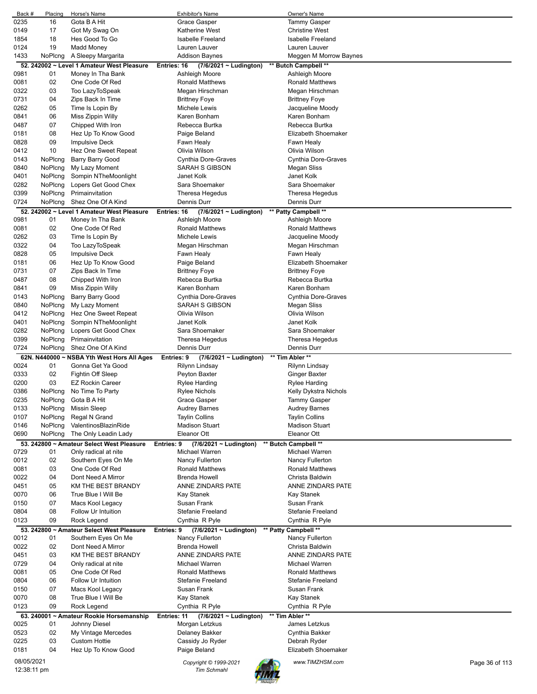| Back #     | Placing  | Horse's Name                               | <b>Exhibitor's Name</b>                                     | Owner's Name                              |                |
|------------|----------|--------------------------------------------|-------------------------------------------------------------|-------------------------------------------|----------------|
| 0235       | 16       | Gota B A Hit                               | Grace Gasper                                                | <b>Tammy Gasper</b>                       |                |
| 0149       | 17       | Got My Swag On                             | <b>Katherine West</b>                                       | <b>Christine West</b>                     |                |
| 1854       | 18       | Hes Good To Go                             | <b>Isabelle Freeland</b>                                    | <b>Isabelle Freeland</b>                  |                |
| 0124       | 19       | Madd Money                                 | Lauren Lauver                                               | Lauren Lauver                             |                |
| 1433       | NoPlcng  | A Sleepy Margarita                         | Addison Baynes                                              | Meggen M Morrow Baynes                    |                |
|            |          | 52. 242002 ~ Level 1 Amateur West Pleasure | Entries: 16<br>(7/6/2021 ~ Ludington)                       | ** Butch Campbell **                      |                |
| 0981       | 01       | Money In Tha Bank                          | Ashleigh Moore                                              | Ashleigh Moore                            |                |
| 0081       | 02       | One Code Of Red                            | <b>Ronald Matthews</b>                                      | Ronald Matthews                           |                |
| 0322       | 03       | Too LazyToSpeak                            | Megan Hirschman                                             | Megan Hirschman                           |                |
| 0731       | 04       | Zips Back In Time                          | <b>Brittney Foye</b>                                        | <b>Brittney Foye</b>                      |                |
| 0262       | 05       | Time Is Lopin By                           | Michele Lewis                                               | Jacqueline Moody                          |                |
| 0841       | 06       | Miss Zippin Willy                          | Karen Bonham                                                | Karen Bonham                              |                |
| 0487       | 07       |                                            | Rebecca Burtka                                              | Rebecca Burtka                            |                |
|            |          | Chipped With Iron                          |                                                             |                                           |                |
| 0181       | 08       | Hez Up To Know Good                        | Paige Beland                                                | Elizabeth Shoemaker                       |                |
| 0828       | 09       | <b>Impulsive Deck</b>                      | Fawn Healy                                                  | Fawn Healy                                |                |
| 0412       | 10       | Hez One Sweet Repeat                       | Olivia Wilson                                               | Olivia Wilson                             |                |
| 0143       | NoPlcng  | Barry Barry Good                           | Cynthia Dore-Graves                                         | Cynthia Dore-Graves                       |                |
| 0840       | NoPlcng  | My Lazy Moment                             | <b>SARAH S GIBSON</b>                                       | Megan Sliss                               |                |
| 0401       | NoPlcng  | Sompin NTheMoonlight                       | Janet Kolk                                                  | Janet Kolk                                |                |
| 0282       | NoPlcng  | Lopers Get Good Chex                       | Sara Shoemaker                                              | Sara Shoemaker                            |                |
| 0399       | NoPlcng  | Primainvitation                            | Theresa Hegedus                                             | Theresa Hegedus                           |                |
| 0724       | NoPlcng  | Shez One Of A Kind                         | Dennis Durr                                                 | Dennis Durr                               |                |
|            |          | 52. 242002 ~ Level 1 Amateur West Pleasure | Entries: 16<br>(7/6/2021 ~ Ludington)                       | ** Patty Campbell **                      |                |
| 0981       | 01       | Money In Tha Bank                          | Ashleigh Moore                                              | Ashleigh Moore                            |                |
| 0081       | 02       | One Code Of Red                            | <b>Ronald Matthews</b>                                      | <b>Ronald Matthews</b>                    |                |
| 0262       | 03       | Time Is Lopin By                           | Michele Lewis                                               | Jacqueline Moody                          |                |
| 0322       | 04       | Too LazyToSpeak                            | Megan Hirschman                                             | Megan Hirschman                           |                |
| 0828       | 05       | <b>Impulsive Deck</b>                      | Fawn Healy                                                  | Fawn Healy                                |                |
| 0181       | 06       | Hez Up To Know Good                        | Paige Beland                                                | Elizabeth Shoemaker                       |                |
| 0731       | 07       | Zips Back In Time                          | <b>Brittney Foye</b>                                        | <b>Brittney Foye</b>                      |                |
| 0487       | 08       |                                            | Rebecca Burtka                                              | Rebecca Burtka                            |                |
|            | 09       | Chipped With Iron                          | Karen Bonham                                                | Karen Bonham                              |                |
| 0841       |          | Miss Zippin Willy                          |                                                             |                                           |                |
| 0143       | NoPlcng  | Barry Barry Good                           | Cynthia Dore-Graves                                         | Cynthia Dore-Graves                       |                |
| 0840       | NoPlcng  | My Lazy Moment                             | SARAH S GIBSON                                              | <b>Megan Sliss</b>                        |                |
| 0412       | NoPlcng  | Hez One Sweet Repeat                       | Olivia Wilson                                               | Olivia Wilson                             |                |
| 0401       | NoPlcng  | Sompin NTheMoonlight                       | Janet Kolk                                                  | Janet Kolk                                |                |
| 0282       | NoPlcng  | Lopers Get Good Chex                       | Sara Shoemaker                                              | Sara Shoemaker                            |                |
|            |          |                                            |                                                             |                                           |                |
| 0399       | NoPlcng  | Primainvitation                            | Theresa Hegedus                                             | Theresa Hegedus                           |                |
| 0724       | NoPlcng  | Shez One Of A Kind                         | Dennis Durr                                                 | Dennis Durr                               |                |
|            |          | 62N. N440000 ~ NSBA Yth West Hors All Ages | Entries: 9<br>$(7/6/2021 \sim$ Ludington)                   | ** Tim Abler **                           |                |
| 0024       | 01       | Gonna Get Ya Good                          | Rilynn Lindsay                                              | Rilynn Lindsay                            |                |
| 0333       | 02       | Fightin Off Sleep                          | Peyton Baxter                                               | Ginger Baxter                             |                |
| 0200       | 03       | <b>EZ Rockin Career</b>                    | Rylee Harding                                               | Rylee Harding                             |                |
| 0386       | NoPlcng  | No Time To Party                           | <b>Rylee Nichols</b>                                        | Kelly Dykstra Nichols                     |                |
| 0235       | NoPlcng  | Gota B A Hit                               | Grace Gasper                                                | Tammy Gasper                              |                |
| 0133       | NoPlcng  | <b>Missin Sleep</b>                        | <b>Audrey Barnes</b>                                        | <b>Audrey Barnes</b>                      |                |
| 0107       | NoPlcng  | Regal N Grand                              | <b>Taylin Collins</b>                                       | <b>Taylin Collins</b>                     |                |
| 0146       | NoPlcng  | ValentinosBlazinRide                       | <b>Madison Stuart</b>                                       | <b>Madison Stuart</b>                     |                |
| 0690       | NoPlcng  |                                            | <b>Eleanor Ott</b>                                          | Eleanor Ott                               |                |
|            |          | The Only Leadin Lady                       |                                                             |                                           |                |
|            | 01       | 53. 242800 ~ Amateur Select West Pleasure  | $(7/6/2021 \sim$ Ludington)<br>Entries: 9<br>Michael Warren | ** Butch Campbell **                      |                |
| 0729       |          | Only radical at nite                       |                                                             | Michael Warren                            |                |
| 0012       | 02<br>03 | Southern Eyes On Me                        | Nancy Fullerton<br><b>Ronald Matthews</b>                   | Nancy Fullerton<br><b>Ronald Matthews</b> |                |
| 0081       |          | One Code Of Red                            |                                                             |                                           |                |
| 0022       | 04       | Dont Need A Mirror                         | <b>Brenda Howell</b>                                        | Christa Baldwin                           |                |
| 0451       | 05       | KM THE BEST BRANDY                         | <b>ANNE ZINDARS PATE</b>                                    | ANNE ZINDARS PATE                         |                |
| 0070       | 06       | True Blue I Will Be                        | Kay Stanek                                                  | Kay Stanek                                |                |
| 0150       | 07       | Macs Kool Legacy                           | Susan Frank                                                 | Susan Frank                               |                |
| 0804       | 08       | Follow Ur Intuition                        | <b>Stefanie Freeland</b>                                    | Stefanie Freeland                         |                |
| 0123       | 09       | Rock Legend                                | Cynthia R Pyle                                              | Cynthia R Pyle                            |                |
|            |          | 53. 242800 ~ Amateur Select West Pleasure  | $(7/6/2021 \sim$ Ludington)<br>Entries: 9                   | ** Patty Campbell **                      |                |
| 0012       | 01       | Southern Eyes On Me                        | Nancy Fullerton                                             | Nancy Fullerton                           |                |
| 0022       | 02       | Dont Need A Mirror                         | Brenda Howell                                               | Christa Baldwin                           |                |
| 0451       | 03       | KM THE BEST BRANDY                         | ANNE ZINDARS PATE                                           | ANNE ZINDARS PATE                         |                |
| 0729       | 04       | Only radical at nite                       | Michael Warren                                              | Michael Warren                            |                |
| 0081       | 05       | One Code Of Red                            | <b>Ronald Matthews</b>                                      | <b>Ronald Matthews</b>                    |                |
| 0804       | 06       | Follow Ur Intuition                        | <b>Stefanie Freeland</b>                                    | <b>Stefanie Freeland</b>                  |                |
| 0150       | 07       | Macs Kool Legacy                           | Susan Frank                                                 | Susan Frank                               |                |
| 0070       | 08       | True Blue I Will Be                        | Kay Stanek                                                  | Kay Stanek                                |                |
| 0123       | 09       | Rock Legend                                | Cynthia R Pyle                                              | Cynthia R Pyle                            |                |
|            |          | 63. 240001 ~ Amateur Rookie Horsemanship   | (7/6/2021 ~ Ludington)<br><b>Entries: 11</b>                | ** Tim Abler **                           |                |
| 0025       | 01       | Johnny Diesel                              | Morgan Letzkus                                              | James Letzkus                             |                |
| 0523       | 02       | My Vintage Mercedes                        | Delaney Bakker                                              | Cynthia Bakker                            |                |
| 0225       | 03       | <b>Custom Hottie</b>                       | Cassidy Jo Ryder                                            | Debrah Ryder                              |                |
| 0181       | 04       | Hez Up To Know Good                        | Paige Beland                                                | Elizabeth Shoemaker                       |                |
| 08/05/2021 |          |                                            | Copyright © 1999-2021                                       | www.TIMZHSM.com                           | Page 36 of 113 |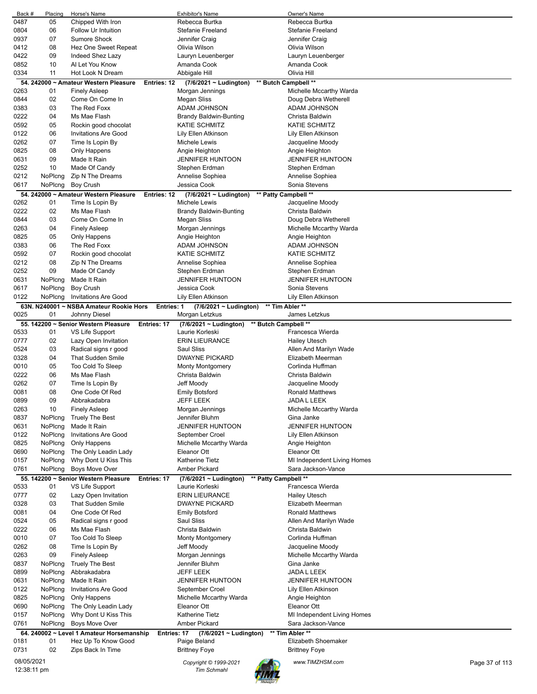| Back #      | Placing | Horse's Name                                             | <b>Exhibitor's Name</b>       | Owner's Name                |                |
|-------------|---------|----------------------------------------------------------|-------------------------------|-----------------------------|----------------|
| 0487        | 05      | Chipped With Iron                                        | Rebecca Burtka                | Rebecca Burtka              |                |
| 0804        | 06      | Follow Ur Intuition                                      | <b>Stefanie Freeland</b>      | Stefanie Freeland           |                |
| 0937        | 07      | <b>Sumore Shock</b>                                      | Jennifer Craig                | Jennifer Craig              |                |
| 0412        | 08      | Hez One Sweet Repeat                                     | Olivia Wilson                 | Olivia Wilson               |                |
| 0422        | 09      | Indeed Shez Lazy                                         | Lauryn Leuenberger            | Lauryn Leuenberger          |                |
| 0852        | 10      | Al Let You Know                                          | Amanda Cook                   | Amanda Cook                 |                |
| 0334        | 11      | Hot Look N Dream                                         | Abbigale Hill                 | Olivia Hill                 |                |
|             |         |                                                          |                               |                             |                |
|             |         | 54. 242000 ~ Amateur Western Pleasure<br>Entries: 12     | (7/6/2021 ~ Ludington)        | ** Butch Campbell **        |                |
| 0263        | 01      | <b>Finely Asleep</b>                                     | Morgan Jennings               | Michelle Mccarthy Warda     |                |
| 0844        | 02      | Come On Come In                                          | Megan Sliss                   | Doug Debra Wetherell        |                |
| 0383        | 03      | The Red Foxx                                             | ADAM JOHNSON                  | ADAM JOHNSON                |                |
| 0222        | 04      | Ms Mae Flash                                             | Brandy Baldwin-Bunting        | Christa Baldwin             |                |
| 0592        | 05      | Rockin good chocolat                                     | <b>KATIE SCHMITZ</b>          | <b>KATIE SCHMITZ</b>        |                |
| 0122        | 06      | <b>Invitations Are Good</b>                              | Lily Ellen Atkinson           | Lily Ellen Atkinson         |                |
| 0262        | 07      | Time Is Lopin By                                         | Michele Lewis                 | Jacqueline Moody            |                |
| 0825        | 08      | Only Happens                                             | Angie Heighton                | Angie Heighton              |                |
|             |         |                                                          |                               |                             |                |
| 0631        | 09      | Made It Rain                                             | <b>JENNIFER HUNTOON</b>       | <b>JENNIFER HUNTOON</b>     |                |
| 0252        | 10      | Made Of Candy                                            | Stephen Erdman                | Stephen Erdman              |                |
| 0212        | NoPlcng | Zip N The Dreams                                         | Annelise Sophiea              | Annelise Sophiea            |                |
| 0617        | NoPlcng | <b>Boy Crush</b>                                         | Jessica Cook                  | Sonia Stevens               |                |
|             |         | 54. 242000 ~ Amateur Western Pleasure<br>Entries: 12     | $(7/6/2021 \sim$ Ludington)   | ** Patty Campbell **        |                |
| 0262        | 01      | Time Is Lopin By                                         | Michele Lewis                 | Jacqueline Moody            |                |
| 0222        | 02      | Ms Mae Flash                                             | <b>Brandy Baldwin-Bunting</b> | Christa Baldwin             |                |
|             | 03      |                                                          |                               |                             |                |
| 0844        |         | Come On Come In                                          | Megan Sliss                   | Doug Debra Wetherell        |                |
| 0263        | 04      | <b>Finely Asleep</b>                                     | Morgan Jennings               | Michelle Mccarthy Warda     |                |
| 0825        | 05      | Only Happens                                             | Angie Heighton                | Angie Heighton              |                |
| 0383        | 06      | The Red Foxx                                             | ADAM JOHNSON                  | ADAM JOHNSON                |                |
| 0592        | 07      | Rockin good chocolat                                     | <b>KATIE SCHMITZ</b>          | <b>KATIE SCHMITZ</b>        |                |
| 0212        | 08      | Zip N The Dreams                                         | Annelise Sophiea              | Annelise Sophiea            |                |
| 0252        | 09      | Made Of Candy                                            | Stephen Erdman                | Stephen Erdman              |                |
| 0631        | NoPlcng | Made It Rain                                             | <b>JENNIFER HUNTOON</b>       | <b>JENNIFER HUNTOON</b>     |                |
|             |         |                                                          |                               | Sonia Stevens               |                |
| 0617        | NoPlcng | <b>Boy Crush</b>                                         | Jessica Cook                  |                             |                |
| 0122        | NoPlcng | <b>Invitations Are Good</b>                              | Lily Ellen Atkinson           | Lily Ellen Atkinson         |                |
|             |         | 63N. N240001 ~ NSBA Amateur Rookie Hors<br>Entries: 1    | $(7/6/2021 \sim$ Ludington)   | ** Tim Abler **             |                |
| 0025        | 01      | Johnny Diesel                                            | Morgan Letzkus                | James Letzkus               |                |
|             |         | 55. 142200 ~ Senior Western Pleasure<br>Entries: 17      | $(7/6/2021 \sim$ Ludington)   | ** Butch Campbell **        |                |
| 0533        | 01      | VS Life Support                                          | Laurie Korleski               | Francesca Wierda            |                |
| 0777        | 02      | Lazy Open Invitation                                     | <b>ERIN LIEURANCE</b>         | <b>Hailey Utesch</b>        |                |
| 0524        | 03      | Radical signs r good                                     | Saul Sliss                    | Allen And Marilyn Wade      |                |
|             |         |                                                          |                               |                             |                |
| 0328        | 04      | <b>That Sudden Smile</b>                                 | <b>DWAYNE PICKARD</b>         | Elizabeth Meerman           |                |
| 0010        | 05      | Too Cold To Sleep                                        | <b>Monty Montgomery</b>       | Corlinda Huffman            |                |
| 0222        | 06      | Ms Mae Flash                                             | Christa Baldwin               | Christa Baldwin             |                |
| 0262        | 07      | Time Is Lopin By                                         | Jeff Moody                    | Jacqueline Moody            |                |
| 0081        | 08      | One Code Of Red                                          | Emily Botsford                | <b>Ronald Matthews</b>      |                |
| 0899        | 09      | Abbrakadabra                                             | JEFF LEEK                     | JADA L LEEK                 |                |
| 0263        | 10      | <b>Finely Asleep</b>                                     | Morgan Jennings               | Michelle Mccarthy Warda     |                |
| 0837        | NoPlcng | <b>Truely The Best</b>                                   | Jennifer Bluhm                | Gina Janke                  |                |
|             | NoPlcng | Made It Rain                                             | <b>JENNIFER HUNTOON</b>       | <b>JENNIFER HUNTOON</b>     |                |
| 0631        |         |                                                          |                               |                             |                |
| 0122        | NoPlcng | <b>Invitations Are Good</b>                              | September Croel               | Lily Ellen Atkinson         |                |
| 0825        | NoPlcng | Only Happens                                             | Michelle Mccarthy Warda       | Angie Heighton              |                |
| 0690        | NoPlcng | The Only Leadin Lady                                     | Eleanor Ott                   | Eleanor Ott                 |                |
| 0157        | NoPlcng | Why Dont U Kiss This                                     | <b>Katherine Tietz</b>        | MI Independent Living Homes |                |
| 0761        | NoPlcng | <b>Boys Move Over</b>                                    | <b>Amber Pickard</b>          | Sara Jackson-Vance          |                |
|             |         | 55. 142200 ~ Senior Western Pleasure<br>Entries: 17      | $(7/6/2021 \sim$ Ludington)   | ** Patty Campbell **        |                |
| 0533        | 01      | VS Life Support                                          | Laurie Korleski               | Francesca Wierda            |                |
| 0777        | 02      | Lazy Open Invitation                                     | <b>ERIN LIEURANCE</b>         | <b>Hailey Utesch</b>        |                |
|             |         |                                                          |                               |                             |                |
| 0328        | 03      | <b>That Sudden Smile</b>                                 | <b>DWAYNE PICKARD</b>         | Elizabeth Meerman           |                |
| 0081        | 04      | One Code Of Red                                          | <b>Emily Botsford</b>         | <b>Ronald Matthews</b>      |                |
| 0524        | 05      | Radical signs r good                                     | Saul Sliss                    | Allen And Marilyn Wade      |                |
| 0222        | 06      | Ms Mae Flash                                             | Christa Baldwin               | Christa Baldwin             |                |
| 0010        | 07      | Too Cold To Sleep                                        | <b>Monty Montgomery</b>       | Corlinda Huffman            |                |
| 0262        | 08      | Time Is Lopin By                                         | Jeff Moody                    | Jacqueline Moody            |                |
| 0263        | 09      | <b>Finely Asleep</b>                                     | Morgan Jennings               | Michelle Mccarthy Warda     |                |
| 0837        | NoPlcng | <b>Truely The Best</b>                                   | Jennifer Bluhm                | Gina Janke                  |                |
|             |         |                                                          |                               |                             |                |
| 0899        | NoPlcng | Abbrakadabra                                             | JEFF LEEK                     | JADA L LEEK                 |                |
| 0631        | NoPlcng | Made It Rain                                             | <b>JENNIFER HUNTOON</b>       | <b>JENNIFER HUNTOON</b>     |                |
| 0122        | NoPlcng | <b>Invitations Are Good</b>                              | September Croel               | Lily Ellen Atkinson         |                |
| 0825        | NoPlcng | Only Happens                                             | Michelle Mccarthy Warda       | Angie Heighton              |                |
| 0690        | NoPlcng | The Only Leadin Lady                                     | Eleanor Ott                   | Eleanor Ott                 |                |
| 0157        | NoPlcng | Why Dont U Kiss This                                     | Katherine Tietz               | MI Independent Living Homes |                |
| 0761        | NoPlcng | <b>Boys Move Over</b>                                    | Amber Pickard                 | Sara Jackson-Vance          |                |
|             |         | 64. 240002 ~ Level 1 Amateur Horsemanship<br>Entries: 17 | (7/6/2021 ~ Ludington)        | ** Tim Abler **             |                |
|             | 01      | Hez Up To Know Good                                      | Paige Beland                  | Elizabeth Shoemaker         |                |
| 0181        |         |                                                          |                               |                             |                |
| 0731        | 02      | Zips Back In Time                                        | <b>Brittney Foye</b>          | <b>Brittney Foye</b>        |                |
| 08/05/2021  |         |                                                          | Copyright © 1999-2021         | www.TIMZHSM.com             | Page 37 of 113 |
| 12:38:11 pm |         |                                                          | <b>Tim Schmahl</b>            |                             |                |
|             |         |                                                          |                               |                             |                |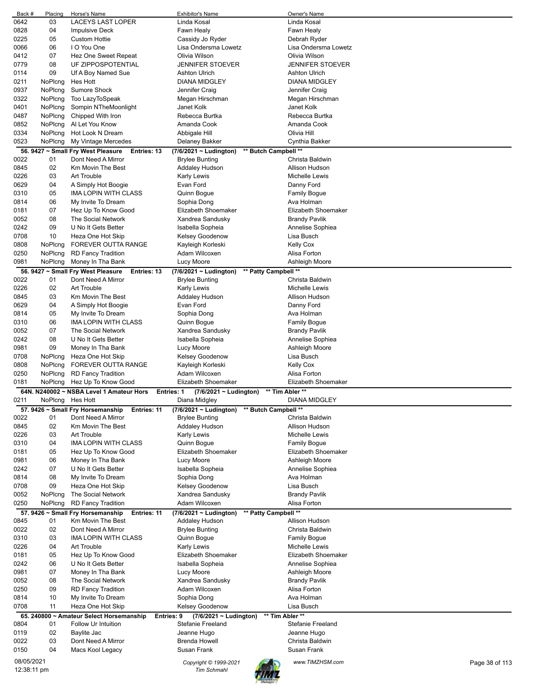| Back #      | Placing          | Horse's Name                                           | <b>Exhibitor's Name</b>                          |                      | Owner's Name            |                |
|-------------|------------------|--------------------------------------------------------|--------------------------------------------------|----------------------|-------------------------|----------------|
| 0642        | 03               | LACEYS LAST LOPER                                      | Linda Kosal                                      |                      | Linda Kosal             |                |
| 0828        | 04               | <b>Impulsive Deck</b>                                  | Fawn Healy                                       |                      | Fawn Healy              |                |
| 0225        | 05               | <b>Custom Hottie</b>                                   | Cassidy Jo Ryder                                 |                      | Debrah Ryder            |                |
| 0066        | 06               | I O You One                                            | Lisa Ondersma Lowetz                             |                      | Lisa Ondersma Lowetz    |                |
| 0412        | 07               | Hez One Sweet Repeat                                   | Olivia Wilson                                    |                      | Olivia Wilson           |                |
| 0779        | 08               | UF ZIPPOSPOTENTIAL                                     | <b>JENNIFER STOEVER</b>                          |                      | <b>JENNIFER STOEVER</b> |                |
| 0114        | 09               | Uf A Boy Named Sue                                     | Ashton Ulrich                                    |                      | <b>Ashton Ulrich</b>    |                |
| 0211        | NoPlcng          | Hes Hott                                               | <b>DIANA MIDGLEY</b>                             |                      | <b>DIANA MIDGLEY</b>    |                |
| 0937        | NoPlcng          | Sumore Shock                                           | Jennifer Craig                                   |                      | Jennifer Craig          |                |
| 0322        | NoPlcng          | Too LazyToSpeak                                        | Megan Hirschman                                  |                      | Megan Hirschman         |                |
| 0401        | NoPlcng          | Sompin NTheMoonlight                                   | Janet Kolk                                       |                      | Janet Kolk              |                |
| 0487        | NoPlcng          | Chipped With Iron                                      | Rebecca Burtka                                   |                      | Rebecca Burtka          |                |
| 0852        | NoPlcng          | Al Let You Know                                        | Amanda Cook                                      |                      | Amanda Cook             |                |
| 0334        | NoPlcng          | Hot Look N Dream                                       | Abbigale Hill                                    |                      | Olivia Hill             |                |
| 0523        | NoPlcng          | My Vintage Mercedes                                    | Delaney Bakker                                   |                      | Cynthia Bakker          |                |
|             |                  | 56. 9427 ~ Small Fry West Pleasure<br>Entries: 13      | (7/6/2021 ~ Ludington)                           | ** Butch Campbell ** |                         |                |
| 0022        | 01               | Dont Need A Mirror                                     | <b>Brylee Bunting</b>                            |                      | Christa Baldwin         |                |
| 0845        | 02               | Km Movin The Best                                      | Addaley Hudson                                   |                      | Allison Hudson          |                |
| 0226        | 03               | Art Trouble                                            | <b>Karly Lewis</b>                               |                      | Michelle Lewis          |                |
| 0629        | 04               | A Simply Hot Boogie                                    | Evan Ford                                        |                      | Danny Ford              |                |
| 0310        | 05               | IMA LOPIN WITH CLASS                                   | Quinn Bogue                                      |                      | <b>Family Bogue</b>     |                |
| 0814        | 06               | My Invite To Dream                                     | Sophia Dong                                      |                      | Ava Holman              |                |
| 0181        | 07               | Hez Up To Know Good                                    | Elizabeth Shoemaker                              |                      | Elizabeth Shoemaker     |                |
| 0052        | 08               | <b>The Social Network</b>                              | Xandrea Sandusky                                 |                      | <b>Brandy Pavlik</b>    |                |
| 0242        | 09               | U No It Gets Better                                    | Isabella Sopheia                                 |                      | Annelise Sophiea        |                |
| 0708        | 10               | Heza One Hot Skip                                      | Kelsey Goodenow                                  |                      | Lisa Busch              |                |
| 0808        | NoPlcng          | FOREVER OUTTA RANGE                                    | Kayleigh Korleski                                |                      | <b>Kelly Cox</b>        |                |
| 0250        | NoPlcng          | <b>RD Fancy Tradition</b>                              | Adam Wilcoxen                                    |                      | Alisa Forton            |                |
| 0981        | NoPlcng          | Money In Tha Bank                                      | Lucy Moore                                       |                      | Ashleigh Moore          |                |
|             |                  | 56. 9427 ~ Small Fry West Pleasure<br>Entries: 13      | (7/6/2021 ~ Ludington)                           | ** Patty Campbell ** |                         |                |
| 0022        | 01               | Dont Need A Mirror                                     | <b>Brylee Bunting</b>                            |                      | Christa Baldwin         |                |
| 0226        | 02               | Art Trouble                                            | <b>Karly Lewis</b>                               |                      | Michelle Lewis          |                |
| 0845        | 03               | Km Movin The Best                                      | Addaley Hudson                                   |                      | Allison Hudson          |                |
| 0629        | 04               | A Simply Hot Boogie                                    | Evan Ford                                        |                      | Danny Ford              |                |
| 0814        | 05               | My Invite To Dream                                     | Sophia Dong                                      |                      | Ava Holman              |                |
| 0310        | 06               | <b>IMA LOPIN WITH CLASS</b>                            | Quinn Bogue                                      |                      | <b>Family Bogue</b>     |                |
| 0052        | 07               | The Social Network                                     | Xandrea Sandusky                                 |                      | <b>Brandy Pavlik</b>    |                |
| 0242        | 08               | U No It Gets Better                                    | Isabella Sopheia                                 |                      | Annelise Sophiea        |                |
| 0981        | 09               | Money In Tha Bank                                      | Lucy Moore                                       |                      | Ashleigh Moore          |                |
| 0708        | NoPlcng          | Heza One Hot Skip                                      | <b>Kelsey Goodenow</b>                           |                      | Lisa Busch              |                |
| 0808        | NoPlcna          | FOREVER OUTTA RANGE                                    | Kayleigh Korleski                                |                      | <b>Kelly Cox</b>        |                |
| 0250        | NoPlcng          | <b>RD Fancy Tradition</b>                              | Adam Wilcoxen                                    |                      | Alisa Forton            |                |
| 0181        | NoPlcng          | Hez Up To Know Good                                    | Elizabeth Shoemaker                              |                      | Elizabeth Shoemaker     |                |
|             |                  | 64N. N240002 ~ NSBA Level 1 Amateur Hors               | <b>Entries: 1</b><br>$(7/6/2021 \sim$ Ludington) | ** Tim Abler **      |                         |                |
| 0211        | NoPlcng Hes Hott |                                                        | Diana Midgley                                    |                      | <b>DIANA MIDGLEY</b>    |                |
|             |                  | 57. 9426 ~ Small Fry Horsemanship<br>Entries: 11       | $(7/6/2021 - Ludington)$                         | ** Butch Campbell ** | Christa Baldwin         |                |
| 0022        | 01               | Dont Need A Mirror                                     | <b>Brylee Bunting</b>                            |                      |                         |                |
| 0845        | 02               | Km Movin The Best                                      | <b>Addaley Hudson</b>                            |                      | Allison Hudson          |                |
| 0226        | 03               | Art Trouble                                            | Karly Lewis                                      |                      | Michelle Lewis          |                |
| 0310        | 04               | IMA LOPIN WITH CLASS                                   | Quinn Bogue                                      |                      | <b>Family Bogue</b>     |                |
| 0181        | 05               | Hez Up To Know Good                                    | Elizabeth Shoemaker                              |                      | Elizabeth Shoemaker     |                |
| 0981        | 06               | Money In Tha Bank                                      | Lucy Moore                                       |                      | Ashleigh Moore          |                |
| 0242        | 07               | U No It Gets Better                                    | Isabella Sopheia                                 |                      | Annelise Sophiea        |                |
| 0814        | 08               | My Invite To Dream                                     | Sophia Dong                                      |                      | Ava Holman              |                |
| 0708        | 09               | Heza One Hot Skip                                      | Kelsey Goodenow                                  |                      | Lisa Busch              |                |
| 0052        | NoPlcng          | The Social Network                                     | Xandrea Sandusky                                 |                      | <b>Brandy Pavlik</b>    |                |
| 0250        | NoPlcng          | <b>RD Fancy Tradition</b>                              | Adam Wilcoxen                                    |                      | Alisa Forton            |                |
|             |                  | 57. 9426 ~ Small Fry Horsemanship<br>Entries: 11       | (7/6/2021 ~ Ludington)                           | ** Patty Campbell ** |                         |                |
| 0845        | 01               | Km Movin The Best                                      | <b>Addaley Hudson</b>                            |                      | Allison Hudson          |                |
| 0022        | 02               | Dont Need A Mirror                                     | <b>Brylee Bunting</b>                            |                      | Christa Baldwin         |                |
| 0310        | 03               | IMA LOPIN WITH CLASS                                   | Quinn Bogue                                      |                      | <b>Family Bogue</b>     |                |
| 0226        | 04               | Art Trouble                                            | Karly Lewis                                      |                      | Michelle Lewis          |                |
| 0181        | 05               | Hez Up To Know Good                                    | Elizabeth Shoemaker                              |                      | Elizabeth Shoemaker     |                |
| 0242        | 06               | U No It Gets Better                                    | Isabella Sopheia                                 |                      | Annelise Sophiea        |                |
| 0981        | 07               | Money In Tha Bank                                      | Lucy Moore                                       |                      | Ashleigh Moore          |                |
| 0052        | 08               | The Social Network                                     | Xandrea Sandusky                                 |                      | <b>Brandy Pavlik</b>    |                |
| 0250        | 09               | <b>RD Fancy Tradition</b>                              | Adam Wilcoxen                                    |                      | Alisa Forton            |                |
| 0814        | 10               | My Invite To Dream                                     | Sophia Dong                                      |                      | Ava Holman              |                |
| 0708        | 11               | Heza One Hot Skip                                      | Kelsey Goodenow                                  |                      | Lisa Busch              |                |
|             |                  | 65. 240800 ~ Amateur Select Horsemanship<br>Entries: 9 | $(7/6/2021 \sim$ Ludington)                      | ** Tim Abler **      |                         |                |
| 0804        | 01               | Follow Ur Intuition                                    | <b>Stefanie Freeland</b>                         |                      | Stefanie Freeland       |                |
| 0119        | 02               | Baylite Jac                                            | Jeanne Hugo                                      |                      | Jeanne Hugo             |                |
| 0022        | 03               | Dont Need A Mirror                                     | <b>Brenda Howell</b>                             |                      | Christa Baldwin         |                |
| 0150        | 04               | Macs Kool Legacy                                       | Susan Frank                                      |                      | Susan Frank             |                |
| 08/05/2021  |                  |                                                        | Copyright © 1999-2021                            |                      | www.TIMZHSM.com         | Page 38 of 113 |
| 12:38:11 pm |                  |                                                        | Tim Schmahl                                      |                      |                         |                |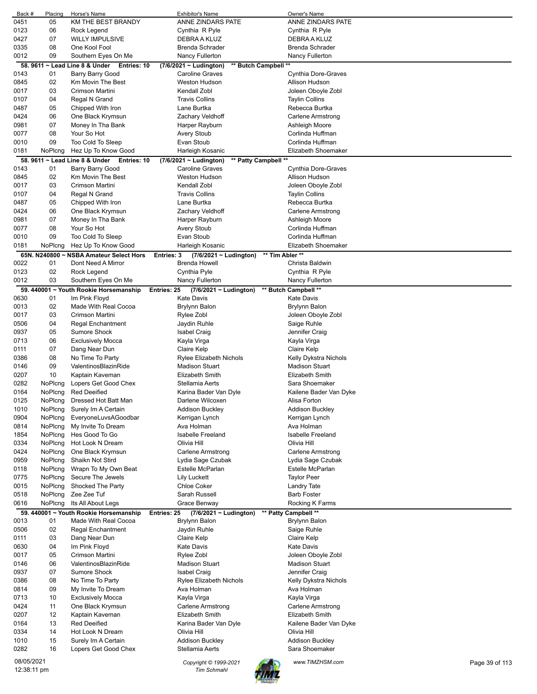| Back #      | Placing | Horse's Name                                  | <b>Exhibitor's Name</b>                                      | Owner's Name             |                |
|-------------|---------|-----------------------------------------------|--------------------------------------------------------------|--------------------------|----------------|
| 0451        | 05      | KM THE BEST BRANDY                            | ANNE ZINDARS PATE                                            | ANNE ZINDARS PATE        |                |
| 0123        | 06      | Rock Legend                                   | Cynthia R Pyle                                               | Cynthia R Pyle           |                |
| 0427        | 07      | <b>WILLY IMPULSIVE</b>                        | DEBRA A KLUZ                                                 | DEBRA A KLUZ             |                |
| 0335        | 08      | One Kool Fool                                 | Brenda Schrader                                              | Brenda Schrader          |                |
| 0012        | 09      | Southern Eyes On Me                           | Nancy Fullerton                                              | Nancy Fullerton          |                |
|             |         | 58. 9611 ~ Lead Line 8 & Under<br>Entries: 10 | ** Butch Campbell **<br>(7/6/2021 ~ Ludington)               |                          |                |
| 0143        | 01      | Barry Barry Good                              | <b>Caroline Graves</b>                                       | Cynthia Dore-Graves      |                |
| 0845        | 02      | Km Movin The Best                             | <b>Weston Hudson</b>                                         | Allison Hudson           |                |
| 0017        | 03      | Crimson Martini                               | Kendall Zobl                                                 | Joleen Oboyle Zobl       |                |
| 0107        | 04      | Regal N Grand                                 | <b>Travis Collins</b>                                        |                          |                |
|             |         |                                               |                                                              | <b>Taylin Collins</b>    |                |
| 0487        | 05      | Chipped With Iron                             | Lane Burtka                                                  | Rebecca Burtka           |                |
| 0424        | 06      | One Black Krymsun                             | Zachary Veldhoff                                             | <b>Carlene Armstrong</b> |                |
| 0981        | 07      | Money In Tha Bank                             | Harper Rayburn                                               | Ashleigh Moore           |                |
| 0077        | 08      | Your So Hot                                   | <b>Avery Stoub</b>                                           | Corlinda Huffman         |                |
| 0010        | 09      | <b>Too Cold To Sleep</b>                      | Evan Stoub                                                   | Corlinda Huffman         |                |
| 0181        | NoPlcng | Hez Up To Know Good                           | Harleigh Kosanic                                             | Elizabeth Shoemaker      |                |
|             |         | 58. 9611 ~ Lead Line 8 & Under Entries: 10    | ** Patty Campbell **<br>(7/6/2021 ~ Ludington)               |                          |                |
| 0143        | 01      | Barry Barry Good                              | <b>Caroline Graves</b>                                       | Cynthia Dore-Graves      |                |
| 0845        | 02      | Km Movin The Best                             | <b>Weston Hudson</b>                                         | Allison Hudson           |                |
| 0017        | 03      | Crimson Martini                               | Kendall Zobl                                                 | Joleen Oboyle Zobl       |                |
| 0107        | 04      | Regal N Grand                                 | <b>Travis Collins</b>                                        | <b>Taylin Collins</b>    |                |
| 0487        | 05      | Chipped With Iron                             | Lane Burtka                                                  | Rebecca Burtka           |                |
| 0424        | 06      | One Black Krymsun                             | Zachary Veldhoff                                             | Carlene Armstrong        |                |
| 0981        | 07      | Money In Tha Bank                             | Harper Rayburn                                               | Ashleigh Moore           |                |
| 0077        | 08      | Your So Hot                                   | <b>Avery Stoub</b>                                           | Corlinda Huffman         |                |
|             | 09      |                                               |                                                              |                          |                |
| 0010        |         | Too Cold To Sleep                             | Evan Stoub                                                   | Corlinda Huffman         |                |
| 0181        | NoPicng | Hez Up To Know Good                           | Harleigh Kosanic                                             | Elizabeth Shoemaker      |                |
|             |         | 65N. N240800 ~ NSBA Amateur Select Hors       | ** Tim Abler **<br>Entries: 3<br>$(7/6/2021 \sim$ Ludington) |                          |                |
| 0022        | 01      | Dont Need A Mirror                            | Brenda Howell                                                | Christa Baldwin          |                |
| 0123        | 02      | Rock Legend                                   | Cynthia Pyle                                                 | Cynthia R Pyle           |                |
| 0012        | 03      | Southern Eyes On Me                           | Nancy Fullerton                                              | Nancy Fullerton          |                |
|             |         | 59. 440001 ~ Youth Rookie Horsemanship        | $(7/6/2021 \sim$ Ludington)<br>Entries: 25                   | ** Butch Campbell **     |                |
| 0630        | 01      | Im Pink Floyd                                 | <b>Kate Davis</b>                                            | Kate Davis               |                |
| 0013        | 02      | Made With Real Cocoa                          | <b>Brylynn Balon</b>                                         | Brylynn Balon            |                |
| 0017        | 03      | Crimson Martini                               | Rylee Zobl                                                   | Joleen Oboyle Zobl       |                |
| 0506        | 04      | Regal Enchantment                             | Jaydin Ruhle                                                 | Saige Ruhle              |                |
| 0937        | 05      | <b>Sumore Shock</b>                           | <b>Isabel Craig</b>                                          | Jennifer Craig           |                |
| 0713        | 06      | <b>Exclusively Mocca</b>                      | Kayla Virga                                                  | Kayla Virga              |                |
| 0111        | 07      | Dang Near Dun                                 | Claire Kelp                                                  | Claire Kelp              |                |
| 0386        | 08      | No Time To Party                              | <b>Rylee Elizabeth Nichols</b>                               | Kelly Dykstra Nichols    |                |
|             |         | ValentinosBlazinRide                          |                                                              |                          |                |
| 0146        | 09      |                                               | <b>Madison Stuart</b>                                        | <b>Madison Stuart</b>    |                |
| 0207        | 10      | Kaptain Kaveman                               | <b>Elizabeth Smith</b>                                       | Elizabeth Smith          |                |
| 0282        | NoPlcng | Lopers Get Good Chex                          | Stellamia Aerts                                              | Sara Shoemaker           |                |
| 0164        | NoPlcng | <b>Red Deeified</b>                           | Karina Bader Van Dyle                                        | Kailene Bader Van Dyke   |                |
| 0125        | NoPlcng | Dressed Hot Batt Man                          | Darlene Wilcoxen                                             | Alisa Forton             |                |
| 1010        | NoPlcng | Surely Im A Certain                           | <b>Addison Buckley</b>                                       | <b>Addison Buckley</b>   |                |
| 0904        | NoPlcng | EveryoneLuvsAGoodbar                          | Kerrigan Lynch                                               | Kerrigan Lynch           |                |
| 0814        | NoPlcng | My Invite To Dream                            | Ava Holman                                                   | Ava Holman               |                |
| 1854        | NoPlcng | Hes Good To Go                                | <b>Isabelle Freeland</b>                                     | <b>Isabelle Freeland</b> |                |
| 0334        | NoPlcng | Hot Look N Dream                              | Olivia Hill                                                  | Olivia Hill              |                |
| 0424        | NoPlcng | One Black Krymsun                             | Carlene Armstrong                                            | Carlene Armstrong        |                |
| 0959        | NoPlcng | Shaikn Not Stird                              | Lydia Sage Czubak                                            | Lydia Sage Czubak        |                |
| 0118        | NoPlcng | Wrapn To My Own Beat                          | Estelle McParlan                                             | Estelle McParlan         |                |
| 0775        | NoPlcng | Secure The Jewels                             | Lily Luckett                                                 | <b>Taylor Peer</b>       |                |
| 0015        | NoPlcng | Shocked The Party                             | <b>Chloe Coker</b>                                           | Landry Tate              |                |
| 0518        | NoPlcng | Zee Zee Tuf                                   | Sarah Russell                                                | <b>Barb Foster</b>       |                |
| 0616        | NoPlcng | Its All About Legs                            | Grace Benway                                                 | Rocking K Farms          |                |
|             |         | 59. 440001 ~ Youth Rookie Horsemanship        | Entries: 25<br>(7/6/2021 ~ Ludington)                        | ** Patty Campbell **     |                |
|             |         | Made With Real Cocoa                          | <b>Brylynn Balon</b>                                         |                          |                |
| 0013        | 01      |                                               |                                                              | Brylynn Balon            |                |
| 0506        | 02      | Regal Enchantment                             | Jaydin Ruhle                                                 | Saige Ruhle              |                |
| 0111        | 03      | Dang Near Dun                                 | Claire Kelp                                                  | Claire Kelp              |                |
| 0630        | 04      | Im Pink Floyd                                 | Kate Davis                                                   | Kate Davis               |                |
| 0017        | 05      | Crimson Martini                               | Rylee Zobl                                                   | Joleen Oboyle Zobl       |                |
| 0146        | 06      | ValentinosBlazinRide                          | <b>Madison Stuart</b>                                        | <b>Madison Stuart</b>    |                |
| 0937        | 07      | Sumore Shock                                  | Isabel Craig                                                 | Jennifer Craig           |                |
| 0386        | 08      | No Time To Party                              | Rylee Elizabeth Nichols                                      | Kelly Dykstra Nichols    |                |
| 0814        | 09      | My Invite To Dream                            | Ava Holman                                                   | Ava Holman               |                |
| 0713        | 10      | <b>Exclusively Mocca</b>                      | Kayla Virga                                                  | Kayla Virga              |                |
| 0424        | 11      | One Black Krymsun                             | Carlene Armstrong                                            | Carlene Armstrong        |                |
| 0207        | 12      | Kaptain Kaveman                               | Elizabeth Smith                                              | Elizabeth Smith          |                |
| 0164        | 13      | <b>Red Deeified</b>                           | Karina Bader Van Dyle                                        | Kailene Bader Van Dyke   |                |
| 0334        | 14      | Hot Look N Dream                              | Olivia Hill                                                  | Olivia Hill              |                |
| 1010        | 15      | Surely Im A Certain                           | <b>Addison Buckley</b>                                       | <b>Addison Buckley</b>   |                |
| 0282        | 16      | Lopers Get Good Chex                          | Stellamia Aerts                                              | Sara Shoemaker           |                |
|             |         |                                               |                                                              |                          |                |
| 08/05/2021  |         |                                               | Copyright © 1999-2021                                        | www.TIMZHSM.com          | Page 39 of 113 |
| 12:38:11 pm |         |                                               | <b>Tim Schmahl</b>                                           |                          |                |

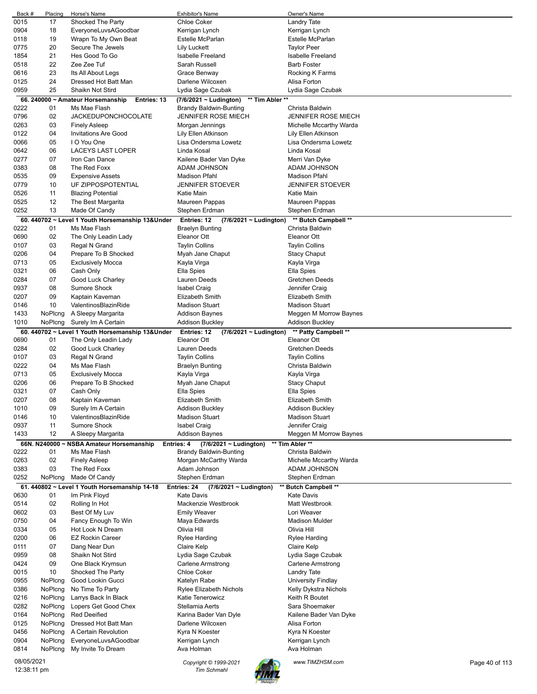| Back #      | Placing      | Horse's Name                                     | <b>Exhibitor's Name</b>                           | Owner's Name               |                |
|-------------|--------------|--------------------------------------------------|---------------------------------------------------|----------------------------|----------------|
| 0015        | 17           | Shocked The Party                                | <b>Chloe Coker</b>                                | Landry Tate                |                |
| 0904        | 18           | EveryoneLuvsAGoodbar                             | Kerrigan Lynch                                    | Kerrigan Lynch             |                |
| 0118        | 19           | Wrapn To My Own Beat                             | Estelle McParlan                                  | Estelle McParlan           |                |
|             |              |                                                  |                                                   |                            |                |
| 0775        | 20           | Secure The Jewels                                | <b>Lily Luckett</b>                               | <b>Taylor Peer</b>         |                |
| 1854        | 21           | Hes Good To Go                                   | <b>Isabelle Freeland</b>                          | <b>Isabelle Freeland</b>   |                |
| 0518        | 22           | Zee Zee Tuf                                      | Sarah Russell                                     | <b>Barb Foster</b>         |                |
| 0616        | 23           | Its All About Legs                               | Grace Benway                                      | Rocking K Farms            |                |
| 0125        | 24           | Dressed Hot Batt Man                             | Darlene Wilcoxen                                  | Alisa Forton               |                |
| 0959        | 25           | Shaikn Not Stird                                 | Lydia Sage Czubak                                 | Lydia Sage Czubak          |                |
|             |              |                                                  |                                                   |                            |                |
|             |              | 66. 240000 ~ Amateur Horsemanship<br>Entries: 13 | ** Tim Abler **<br>(7/6/2021 ~ Ludington)         |                            |                |
| 0222        | 01           | Ms Mae Flash                                     | <b>Brandy Baldwin-Bunting</b>                     | Christa Baldwin            |                |
| 0796        | 02           | <b>JACKEDUPONCHOCOLATE</b>                       | <b>JENNIFER ROSE MIECH</b>                        | <b>JENNIFER ROSE MIECH</b> |                |
| 0263        | 03           | <b>Finely Asleep</b>                             | Morgan Jennings                                   | Michelle Mccarthy Warda    |                |
| 0122        | 04           | <b>Invitations Are Good</b>                      | Lily Ellen Atkinson                               | Lily Ellen Atkinson        |                |
| 0066        | 05           | I O You One                                      | Lisa Ondersma Lowetz                              | Lisa Ondersma Lowetz       |                |
|             |              |                                                  |                                                   |                            |                |
| 0642        | 06           | <b>LACEYS LAST LOPER</b>                         | Linda Kosal                                       | Linda Kosal                |                |
| 0277        | 07           | Iron Can Dance                                   | Kailene Bader Van Dyke                            | Merri Van Dyke             |                |
| 0383        | 08           | The Red Foxx                                     | ADAM JOHNSON                                      | ADAM JOHNSON               |                |
| 0535        | 09           | <b>Expensive Assets</b>                          | <b>Madison Pfahl</b>                              | <b>Madison Pfahl</b>       |                |
| 0779        | 10           | UF ZIPPOSPOTENTIAL                               | <b>JENNIFER STOEVER</b>                           | <b>JENNIFER STOEVER</b>    |                |
| 0526        | 11           | <b>Blazing Potential</b>                         | Katie Main                                        | Katie Main                 |                |
| 0525        | 12           | The Best Margarita                               | Maureen Pappas                                    |                            |                |
|             |              |                                                  |                                                   | Maureen Pappas             |                |
| 0252        | 13           | Made Of Candy                                    | Stephen Erdman                                    | Stephen Erdman             |                |
|             |              | 60. 440702 ~ Level 1 Youth Horsemanship 13&Under | <b>Entries: 12</b><br>$(7/6/2021 \sim$ Ludington) | ** Butch Campbell **       |                |
| 0222        | 01           | Ms Mae Flash                                     | <b>Braelyn Bunting</b>                            | Christa Baldwin            |                |
| 0690        | 02           | The Only Leadin Lady                             | Eleanor Ott                                       | Eleanor Ott                |                |
| 0107        | 03           | Regal N Grand                                    | <b>Taylin Collins</b>                             | <b>Taylin Collins</b>      |                |
|             |              |                                                  |                                                   |                            |                |
| 0206        | 04           | Prepare To B Shocked                             | Myah Jane Chaput                                  | Stacy Chaput               |                |
| 0713        | 05           | <b>Exclusively Mocca</b>                         | Kayla Virga                                       | Kayla Virga                |                |
| 0321        | 06           | Cash Only                                        | Ella Spies                                        | Ella Spies                 |                |
| 0284        | 07           | Good Luck Charley                                | Lauren Deeds                                      | Gretchen Deeds             |                |
| 0937        | 08           | <b>Sumore Shock</b>                              | <b>Isabel Craig</b>                               | Jennifer Craig             |                |
| 0207        | 09           | Kaptain Kaveman                                  | <b>Elizabeth Smith</b>                            | Elizabeth Smith            |                |
|             | 10           | ValentinosBlazinRide                             | <b>Madison Stuart</b>                             | <b>Madison Stuart</b>      |                |
| 0146        |              |                                                  |                                                   |                            |                |
| 1433        | NoPlcng      | A Sleepy Margarita                               | Addison Baynes                                    | Meggen M Morrow Baynes     |                |
| 1010        | NoPlcng      | Surely Im A Certain                              | <b>Addison Buckley</b>                            | Addison Buckley            |                |
|             |              | 60. 440702 ~ Level 1 Youth Horsemanship 13&Under | <b>Entries: 12</b><br>$(7/6/2021 \sim$ Ludington) | ** Patty Campbell **       |                |
| 0690        | 01           | The Only Leadin Lady                             | Eleanor Ott                                       | Eleanor Ott                |                |
| 0284        | 02           | Good Luck Charley                                | Lauren Deeds                                      | Gretchen Deeds             |                |
| 0107        | 03           | Regal N Grand                                    | <b>Taylin Collins</b>                             | <b>Taylin Collins</b>      |                |
|             |              |                                                  |                                                   |                            |                |
| 0222        | 04           | Ms Mae Flash                                     | <b>Braelyn Bunting</b>                            | Christa Baldwin            |                |
| 0713        | 05           | <b>Exclusively Mocca</b>                         | Kayla Virga                                       | Kayla Virga                |                |
| 0206        | 06           | Prepare To B Shocked                             | Myah Jane Chaput                                  | <b>Stacy Chaput</b>        |                |
| 0321        | 07           | Cash Only                                        | Ella Spies                                        | Ella Spies                 |                |
| 0207        | 08           | Kaptain Kaveman                                  | <b>Elizabeth Smith</b>                            | <b>Elizabeth Smith</b>     |                |
| 1010        | 09           | Surely Im A Certain                              | <b>Addison Buckley</b>                            | <b>Addison Buckley</b>     |                |
|             |              |                                                  |                                                   |                            |                |
| 0146        | 10           | ValentinosBlazinRide                             | <b>Madison Stuart</b>                             | <b>Madison Stuart</b>      |                |
| 0937        | 11           | Sumore Shock                                     | <b>Isabel Craig</b>                               | Jennifer Craig             |                |
| 1433        | 12           | A Sleepy Margarita                               | <b>Addison Baynes</b>                             | Meggen M Morrow Baynes     |                |
|             | 66N. N240000 | <b>NSBA Amateur Horsemanship</b>                 | $(7/6/2021 \sim$ Ludington)<br>Entries: 4         | ** Tim Abler **            |                |
| 0222        | 01           | Ms Mae Flash                                     | <b>Brandy Baldwin-Bunting</b>                     | Christa Baldwin            |                |
| 0263        | 02           | <b>Finely Asleep</b>                             | Morgan McCarthy Warda                             | Michelle Mccarthy Warda    |                |
| 0383        | 03           | The Red Foxx                                     | Adam Johnson                                      | ADAM JOHNSON               |                |
|             |              |                                                  |                                                   |                            |                |
| 0252        | NoPlcng      | Made Of Candy                                    | Stephen Erdman                                    | Stephen Erdman             |                |
|             |              | 61.440802 ~ Level 1 Youth Horsemanship 14-18     | (7/6/2021 ~ Ludington)<br>Entries: 24             | <b>Butch Campbell **</b>   |                |
| 0630        | 01           | Im Pink Floyd                                    | <b>Kate Davis</b>                                 | <b>Kate Davis</b>          |                |
| 0514        | 02           | Rolling In Hot                                   | Mackenzie Westbrook                               | Matt Westbrook             |                |
| 0602        | 03           | Best Of My Luv                                   | <b>Emily Weaver</b>                               | Lori Weaver                |                |
| 0750        | 04           | Fancy Enough To Win                              | Maya Edwards                                      | <b>Madison Mulder</b>      |                |
| 0334        | 05           | Hot Look N Dream                                 | Olivia Hill                                       | Olivia Hill                |                |
|             |              |                                                  |                                                   |                            |                |
| 0200        | 06           | <b>EZ Rockin Career</b>                          | <b>Rylee Harding</b>                              | Rylee Harding              |                |
| 0111        | 07           | Dang Near Dun                                    | Claire Kelp                                       | Claire Kelp                |                |
| 0959        | 08           | Shaikn Not Stird                                 | Lydia Sage Czubak                                 | Lydia Sage Czubak          |                |
| 0424        | 09           | One Black Krymsun                                | <b>Carlene Armstrong</b>                          | Carlene Armstrong          |                |
| 0015        | 10           | Shocked The Party                                | Chloe Coker                                       | Landry Tate                |                |
| 0955        | NoPlcng      | Good Lookin Gucci                                | Katelyn Rabe                                      | University Findlay         |                |
| 0386        | NoPlcng      | No Time To Party                                 | <b>Rylee Elizabeth Nichols</b>                    | Kelly Dykstra Nichols      |                |
|             |              |                                                  |                                                   |                            |                |
| 0216        | NoPlcng      | Larrys Back In Black                             | Katie Tenerowicz                                  | Keith R Boutet             |                |
| 0282        | NoPlcng      | Lopers Get Good Chex                             | Stellamia Aerts                                   | Sara Shoemaker             |                |
| 0164        | NoPlcng      | <b>Red Deeified</b>                              | Karina Bader Van Dyle                             | Kailene Bader Van Dyke     |                |
| 0125        | NoPlcng      | Dressed Hot Batt Man                             | Darlene Wilcoxen                                  | Alisa Forton               |                |
| 0456        | NoPlcng      | A Certain Revolution                             | Kyra N Koester                                    | Kyra N Koester             |                |
| 0904        | NoPlcng      | EveryoneLuvsAGoodbar                             | Kerrigan Lynch                                    | Kerrigan Lynch             |                |
|             |              |                                                  |                                                   |                            |                |
| 0814        | NoPlcng      | My Invite To Dream                               | Ava Holman                                        | Ava Holman                 |                |
| 08/05/2021  |              |                                                  | Copyright © 1999-2021                             | www.TIMZHSM.com            | Page 40 of 113 |
| 12:38:11 pm |              |                                                  | <b>Tim Schmahl</b>                                |                            |                |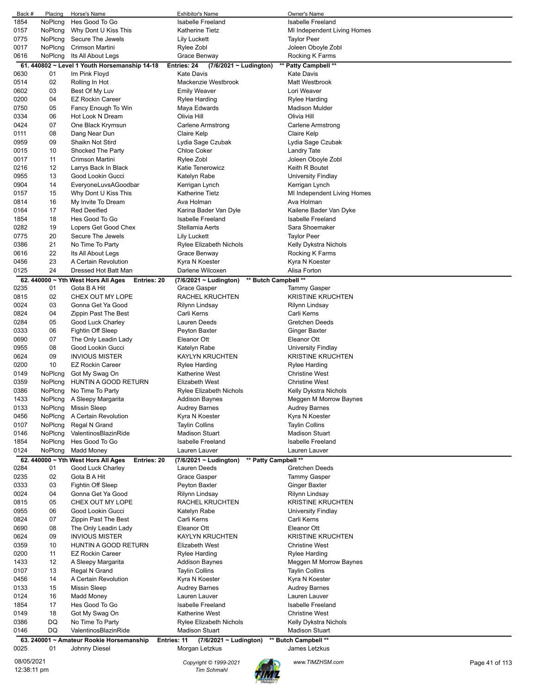| Back #      | Placing | Horse's Name                                            | Exhibitor's Name                               | Owner's Name                |                |
|-------------|---------|---------------------------------------------------------|------------------------------------------------|-----------------------------|----------------|
| 1854        | NoPlcng | Hes Good To Go                                          | <b>Isabelle Freeland</b>                       | Isabelle Freeland           |                |
| 0157        | NoPlcng | Why Dont U Kiss This                                    | Katherine Tietz                                | MI Independent Living Homes |                |
| 0775        | NoPlcng | Secure The Jewels                                       | <b>Lily Luckett</b>                            | <b>Taylor Peer</b>          |                |
| 0017        | NoPlcng | Crimson Martini                                         | Rylee Zobl                                     | Joleen Oboyle Zobl          |                |
| 0616        | NoPlcng | Its All About Legs                                      | Grace Benway                                   | Rocking K Farms             |                |
|             |         | 61. 440802 ~ Level 1 Youth Horsemanship 14-18           | Entries: 24<br>(7/6/2021 ~ Ludington)          | ** Patty Campbell **        |                |
| 0630        | 01      | Im Pink Floyd                                           | <b>Kate Davis</b>                              | <b>Kate Davis</b>           |                |
| 0514        | 02      | Rolling In Hot                                          | Mackenzie Westbrook                            | Matt Westbrook              |                |
| 0602        | 03      | Best Of My Luv                                          | Emily Weaver                                   | Lori Weaver                 |                |
| 0200        | 04      | <b>EZ Rockin Career</b>                                 | Rylee Harding                                  | Rylee Harding               |                |
| 0750        | 05      | Fancy Enough To Win                                     | Maya Edwards                                   | <b>Madison Mulder</b>       |                |
| 0334        | 06      | Hot Look N Dream                                        | Olivia Hill                                    | Olivia Hill                 |                |
| 0424        | 07      | One Black Krymsun                                       | Carlene Armstrong                              | Carlene Armstrong           |                |
| 0111        | 08      | Dang Near Dun                                           | Claire Kelp                                    | Claire Kelp                 |                |
| 0959        | 09      | Shaikn Not Stird                                        | Lydia Sage Czubak                              | Lydia Sage Czubak           |                |
| 0015        | 10      | Shocked The Party                                       | <b>Chloe Coker</b>                             | Landry Tate                 |                |
| 0017        | 11      | Crimson Martini                                         | Rylee Zobl                                     | Joleen Oboyle Zobl          |                |
| 0216        | 12      | Larrys Back In Black                                    | Katie Tenerowicz                               | Keith R Boutet              |                |
| 0955        | 13      | Good Lookin Gucci                                       | Katelyn Rabe                                   | University Findlay          |                |
| 0904        | 14      | EveryoneLuvsAGoodbar                                    | Kerrigan Lynch                                 | Kerrigan Lynch              |                |
| 0157        | 15      | Why Dont U Kiss This                                    | Katherine Tietz                                | MI Independent Living Homes |                |
| 0814        | 16      | My Invite To Dream                                      | Ava Holman                                     | Ava Holman                  |                |
| 0164        | 17      | <b>Red Deeified</b>                                     | Karina Bader Van Dyle                          | Kailene Bader Van Dyke      |                |
| 1854        | 18      | Hes Good To Go                                          | <b>Isabelle Freeland</b>                       | Isabelle Freeland           |                |
| 0282        | 19      | Lopers Get Good Chex                                    | Stellamia Aerts                                | Sara Shoemaker              |                |
| 0775        | 20      | Secure The Jewels                                       | Lily Luckett                                   | <b>Taylor Peer</b>          |                |
| 0386        | 21      | No Time To Party                                        | Rylee Elizabeth Nichols                        | Kelly Dykstra Nichols       |                |
| 0616        | 22      | Its All About Legs                                      | Grace Benway                                   | Rocking K Farms             |                |
| 0456        | 23      | A Certain Revolution                                    | Kyra N Koester                                 | Kyra N Koester              |                |
| 0125        | 24      | Dressed Hot Batt Man                                    | Darlene Wilcoxen                               | Alisa Forton                |                |
|             |         | 62. 440000 $\sim$ Yth West Hors All Ages<br>Entries: 20 | ** Butch Campbell **<br>(7/6/2021 ~ Ludington) |                             |                |
| 0235        | 01      | Gota B A Hit                                            | Grace Gasper                                   | Tammy Gasper                |                |
| 0815        | 02      | CHEX OUT MY LOPE                                        | RACHEL KRUCHTEN                                | <b>KRISTINE KRUCHTEN</b>    |                |
| 0024        | 03      | Gonna Get Ya Good                                       | Rilynn Lindsay                                 | Rilynn Lindsay              |                |
| 0824        | 04      | Zippin Past The Best                                    | Carli Kerns                                    | Carli Kerns                 |                |
| 0284        | 05      | Good Luck Charley                                       | Lauren Deeds                                   | Gretchen Deeds              |                |
| 0333        | 06      | Fightin Off Sleep                                       | Peyton Baxter                                  | <b>Ginger Baxter</b>        |                |
| 0690        | 07      | The Only Leadin Lady                                    | Eleanor Ott                                    | Eleanor Ott                 |                |
| 0955        | 08      | Good Lookin Gucci                                       | Katelyn Rabe                                   | University Findlay          |                |
| 0624        | 09      | <b>INVIOUS MISTER</b>                                   | <b>KAYLYN KRUCHTEN</b>                         | <b>KRISTINE KRUCHTEN</b>    |                |
| 0200        | 10      | <b>EZ Rockin Career</b>                                 | Rylee Harding                                  | Rylee Harding               |                |
| 0149        | NoPlcng | Got My Swag On                                          | Katherine West                                 | <b>Christine West</b>       |                |
| 0359        | NoPicng | HUNTIN A GOOD RETURN                                    | <b>Elizabeth West</b>                          | <b>Christine West</b>       |                |
| 0386        | NoPlcng | No Time To Party                                        | Rylee Elizabeth Nichols                        | Kelly Dykstra Nichols       |                |
| 1433        | NoPlcng | A Sleepy Margarita                                      | <b>Addison Baynes</b>                          | Meggen M Morrow Baynes      |                |
| 0133        | NoPlcng | <b>Missin Sleep</b>                                     | <b>Audrey Barnes</b>                           | Audrey Barnes               |                |
| 0456        | NoPlcng | A Certain Revolution                                    | Kyra N Koester                                 | Kyra N Koester              |                |
| 0107        | NoPlcng | Regal N Grand                                           | <b>Taylin Collins</b>                          | <b>Taylin Collins</b>       |                |
| 0146        | NoPlcng | ValentinosBlazinRide                                    | <b>Madison Stuart</b>                          | <b>Madison Stuart</b>       |                |
| 1854        | NoPlcng | Hes Good To Go                                          | <b>Isabelle Freeland</b>                       | <b>Isabelle Freeland</b>    |                |
| 0124        | NoPlcng | Madd Money                                              | Lauren Lauver                                  | Lauren Lauver               |                |
|             |         | 62. 440000 ~ Yth West Hors All Ages<br>Entries: 20      | ** Patty Campbell **<br>(7/6/2021 ~ Ludington) |                             |                |
| 0284        | 01      | Good Luck Charley                                       | Lauren Deeds                                   | Gretchen Deeds              |                |
| 0235        | 02      | Gota B A Hit                                            | Grace Gasper                                   | <b>Tammy Gasper</b>         |                |
| 0333        | 03      | Fightin Off Sleep                                       | Peyton Baxter                                  | Ginger Baxter               |                |
| 0024        | 04      | Gonna Get Ya Good                                       | Rilynn Lindsay                                 | Rilynn Lindsay              |                |
| 0815        | 05      | CHEX OUT MY LOPE                                        | RACHEL KRUCHTEN                                | <b>KRISTINE KRUCHTEN</b>    |                |
| 0955        | 06      | Good Lookin Gucci                                       | Katelyn Rabe                                   | University Findlay          |                |
| 0824        | 07      | Zippin Past The Best                                    | Carli Kerns                                    | Carli Kerns                 |                |
| 0690        | 08      | The Only Leadin Lady                                    | Eleanor Ott                                    | Eleanor Ott                 |                |
| 0624        | 09      | <b>INVIOUS MISTER</b>                                   | <b>KAYLYN KRUCHTEN</b>                         | <b>KRISTINE KRUCHTEN</b>    |                |
| 0359        | 10      | HUNTIN A GOOD RETURN                                    | Elizabeth West                                 | <b>Christine West</b>       |                |
| 0200        | 11      | <b>EZ Rockin Career</b>                                 | <b>Rylee Harding</b>                           | <b>Rylee Harding</b>        |                |
| 1433        | 12      | A Sleepy Margarita                                      | <b>Addison Baynes</b>                          | Meggen M Morrow Baynes      |                |
| 0107        | 13      |                                                         |                                                |                             |                |
|             | 14      | Regal N Grand                                           | <b>Taylin Collins</b>                          | <b>Taylin Collins</b>       |                |
| 0456        | 15      | A Certain Revolution                                    | Kyra N Koester                                 | Kyra N Koester              |                |
| 0133        |         | <b>Missin Sleep</b>                                     | <b>Audrey Barnes</b>                           | <b>Audrey Barnes</b>        |                |
| 0124        | 16      | <b>Madd Money</b>                                       | Lauren Lauver                                  | Lauren Lauver               |                |
| 1854        | 17      | Hes Good To Go                                          | <b>Isabelle Freeland</b>                       | Isabelle Freeland           |                |
| 0149        | 18      | Got My Swag On                                          | <b>Katherine West</b>                          | <b>Christine West</b>       |                |
| 0386        | DQ      | No Time To Party                                        | <b>Rylee Elizabeth Nichols</b>                 | Kelly Dykstra Nichols       |                |
| 0146        | DQ      | ValentinosBlazinRide                                    | <b>Madison Stuart</b>                          | <b>Madison Stuart</b>       |                |
|             |         | 63. 240001 ~ Amateur Rookie Horsemanship                | Entries: 11<br>(7/6/2021 ~ Ludington)          | ** Butch Campbell **        |                |
| 0025        | 01      | Johnny Diesel                                           | Morgan Letzkus                                 | James Letzkus               |                |
| 08/05/2021  |         |                                                         | Copyright © 1999-2021                          | www.TIMZHSM.com             | Page 41 of 113 |
| 12:38:11 pm |         |                                                         | <b>Tim Schmahl</b>                             |                             |                |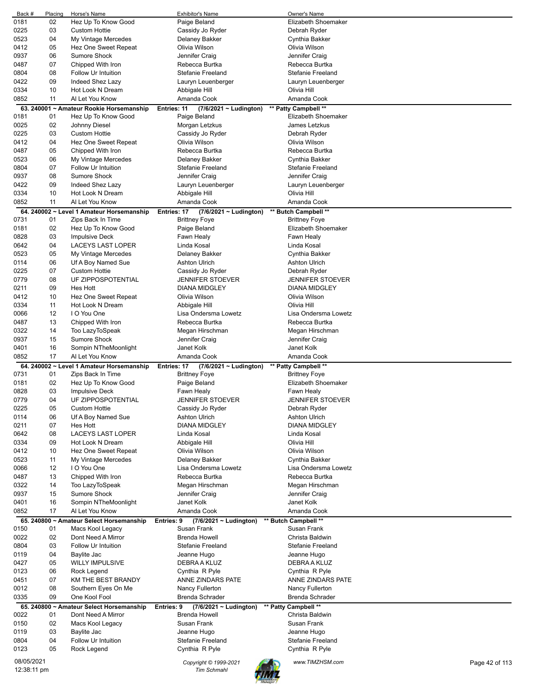| Back #      | Placing | Horse's Name                              | Exhibitor's Name                           | Owner's Name            |                |
|-------------|---------|-------------------------------------------|--------------------------------------------|-------------------------|----------------|
| 0181        | 02      | Hez Up To Know Good                       | Paige Beland                               | Elizabeth Shoemaker     |                |
| 0225        | 03      | <b>Custom Hottie</b>                      | Cassidy Jo Ryder                           | Debrah Ryder            |                |
| 0523        | 04      | My Vintage Mercedes                       | Delaney Bakker                             | Cynthia Bakker          |                |
| 0412        | 05      | Hez One Sweet Repeat                      | Olivia Wilson                              | Olivia Wilson           |                |
|             |         |                                           |                                            |                         |                |
| 0937        | 06      | Sumore Shock                              | Jennifer Craig                             | Jennifer Craig          |                |
| 0487        | 07      | Chipped With Iron                         | Rebecca Burtka                             | Rebecca Burtka          |                |
| 0804        | 08      | Follow Ur Intuition                       | <b>Stefanie Freeland</b>                   | Stefanie Freeland       |                |
| 0422        | 09      | Indeed Shez Lazy                          | Lauryn Leuenberger                         | Lauryn Leuenberger      |                |
| 0334        | 10      | Hot Look N Dream                          | Abbigale Hill                              | Olivia Hill             |                |
| 0852        | 11      | Al Let You Know                           | Amanda Cook                                | Amanda Cook             |                |
|             |         |                                           |                                            |                         |                |
|             |         | 63. 240001 ~ Amateur Rookie Horsemanship  | Entries: 11<br>$(7/6/2021 \sim$ Ludington) | ** Patty Campbell **    |                |
| 0181        | 01      | Hez Up To Know Good                       | Paige Beland                               | Elizabeth Shoemaker     |                |
| 0025        | 02      | Johnny Diesel                             | Morgan Letzkus                             | James Letzkus           |                |
| 0225        | 03      | <b>Custom Hottie</b>                      | Cassidy Jo Ryder                           | Debrah Ryder            |                |
| 0412        | 04      | Hez One Sweet Repeat                      | Olivia Wilson                              | Olivia Wilson           |                |
| 0487        | 05      | Chipped With Iron                         | Rebecca Burtka                             | Rebecca Burtka          |                |
| 0523        | 06      | My Vintage Mercedes                       | Delaney Bakker                             | Cynthia Bakker          |                |
|             | 07      |                                           |                                            |                         |                |
| 0804        |         | Follow Ur Intuition                       | <b>Stefanie Freeland</b>                   | Stefanie Freeland       |                |
| 0937        | 08      | <b>Sumore Shock</b>                       | Jennifer Craig                             | Jennifer Craig          |                |
| 0422        | 09      | Indeed Shez Lazy                          | Lauryn Leuenberger                         | Lauryn Leuenberger      |                |
| 0334        | 10      | Hot Look N Dream                          | Abbigale Hill                              | Olivia Hill             |                |
| 0852        | 11      | Al Let You Know                           | Amanda Cook                                | Amanda Cook             |                |
|             |         | 64. 240002 ~ Level 1 Amateur Horsemanship | Entries: 17<br>(7/6/2021 ~ Ludington)      | ** Butch Campbell **    |                |
| 0731        | 01      | Zips Back In Time                         | <b>Brittney Foye</b>                       | <b>Brittney Foye</b>    |                |
|             |         |                                           |                                            |                         |                |
| 0181        | 02      | Hez Up To Know Good                       | Paige Beland                               | Elizabeth Shoemaker     |                |
| 0828        | 03      | <b>Impulsive Deck</b>                     | Fawn Healy                                 | Fawn Healy              |                |
| 0642        | 04      | LACEYS LAST LOPER                         | Linda Kosal                                | Linda Kosal             |                |
| 0523        | 05      | My Vintage Mercedes                       | Delaney Bakker                             | Cynthia Bakker          |                |
| 0114        | 06      | Uf A Boy Named Sue                        | <b>Ashton Ulrich</b>                       | <b>Ashton Ulrich</b>    |                |
| 0225        | 07      | <b>Custom Hottie</b>                      | Cassidy Jo Ryder                           | Debrah Ryder            |                |
| 0779        | 08      | UF ZIPPOSPOTENTIAL                        | <b>JENNIFER STOEVER</b>                    | <b>JENNIFER STOEVER</b> |                |
|             |         |                                           |                                            |                         |                |
| 0211        | 09      | Hes Hott                                  | <b>DIANA MIDGLEY</b>                       | <b>DIANA MIDGLEY</b>    |                |
| 0412        | 10      | Hez One Sweet Repeat                      | Olivia Wilson                              | Olivia Wilson           |                |
| 0334        | 11      | Hot Look N Dream                          | Abbigale Hill                              | Olivia Hill             |                |
| 0066        | 12      | I O You One                               | Lisa Ondersma Lowetz                       | Lisa Ondersma Lowetz    |                |
| 0487        | 13      | Chipped With Iron                         | Rebecca Burtka                             | Rebecca Burtka          |                |
| 0322        | 14      | Too LazyToSpeak                           | Megan Hirschman                            | Megan Hirschman         |                |
| 0937        | 15      | <b>Sumore Shock</b>                       | Jennifer Craig                             | Jennifer Craig          |                |
| 0401        | 16      | Sompin NTheMoonlight                      | Janet Kolk                                 | Janet Kolk              |                |
|             |         |                                           |                                            |                         |                |
| 0852        | 17      | Al Let You Know                           | Amanda Cook                                | Amanda Cook             |                |
|             |         | 64. 240002 ~ Level 1 Amateur Horsemanship | Entries: 17<br>$(7/6/2021 \sim$ Ludington) | ** Patty Campbell **    |                |
| 0731        | 01      | Zips Back In Time                         | <b>Brittney Foye</b>                       | <b>Brittney Foye</b>    |                |
| 0181        | 02      | Hez Up To Know Good                       | Paige Beland                               | Elizabeth Shoemaker     |                |
| 0828        | 03      | <b>Impulsive Deck</b>                     | Fawn Healy                                 | Fawn Healy              |                |
| 0779        | 04      | UF ZIPPOSPOTENTIAL                        | <b>JENNIFER STOEVER</b>                    | <b>JENNIFER STOEVER</b> |                |
| 0225        | 05      | <b>Custom Hottie</b>                      | Cassidy Jo Ryder                           | Debrah Ryder            |                |
|             |         |                                           |                                            |                         |                |
| 0114        | 06      | Uf A Boy Named Sue                        | <b>Ashton Ulrich</b>                       | <b>Ashton Ulrich</b>    |                |
| 0211        | 07      | Hes Hott                                  | <b>DIANA MIDGLEY</b>                       | <b>DIANA MIDGLEY</b>    |                |
| 0642        | 08      | LACEYS LAST LOPER                         | Linda Kosal                                | Linda Kosal             |                |
| 0334        | 09      | Hot Look N Dream                          | Abbigale Hill                              | Olivia Hill             |                |
| 0412        | 10      | Hez One Sweet Repeat                      | Olivia Wilson                              | Olivia Wilson           |                |
| 0523        | 11      | My Vintage Mercedes                       | Delaney Bakker                             | Cynthia Bakker          |                |
| 0066        | 12      | I O You One                               | Lisa Ondersma Lowetz                       | Lisa Ondersma Lowetz    |                |
| 0487        | 13      | Chipped With Iron                         | Rebecca Burtka                             | Rebecca Burtka          |                |
|             |         |                                           |                                            |                         |                |
| 0322        | 14      | Too LazyToSpeak                           | Megan Hirschman                            | Megan Hirschman         |                |
| 0937        | 15      | Sumore Shock                              | Jennifer Craig                             | Jennifer Craig          |                |
| 0401        | 16      | Sompin NTheMoonlight                      | Janet Kolk                                 | Janet Kolk              |                |
| 0852        | 17      | Al Let You Know                           | Amanda Cook                                | Amanda Cook             |                |
|             |         | 65. 240800 ~ Amateur Select Horsemanship  | Entries: 9<br>$(7/6/2021 \sim$ Ludington)  | ** Butch Campbell **    |                |
| 0150        | 01      | Macs Kool Legacy                          | Susan Frank                                | Susan Frank             |                |
| 0022        | 02      | Dont Need A Mirror                        | <b>Brenda Howell</b>                       | Christa Baldwin         |                |
| 0804        | 03      | Follow Ur Intuition                       | Stefanie Freeland                          | Stefanie Freeland       |                |
| 0119        | 04      | Baylite Jac                               | Jeanne Hugo                                | Jeanne Hugo             |                |
|             | 05      | <b>WILLY IMPULSIVE</b>                    | DEBRA A KLUZ                               | DEBRA A KLUZ            |                |
| 0427        |         |                                           |                                            |                         |                |
| 0123        | 06      | Rock Legend                               | Cynthia R Pyle                             | Cynthia R Pyle          |                |
| 0451        | 07      | KM THE BEST BRANDY                        | ANNE ZINDARS PATE                          | ANNE ZINDARS PATE       |                |
| 0012        | 08      | Southern Eyes On Me                       | Nancy Fullerton                            | Nancy Fullerton         |                |
| 0335        | 09      | One Kool Fool                             | Brenda Schrader                            | Brenda Schrader         |                |
|             |         | 65. 240800 ~ Amateur Select Horsemanship  | $(7/6/2021 \sim$ Ludington)<br>Entries: 9  | ** Patty Campbell **    |                |
| 0022        | 01      | Dont Need A Mirror                        | <b>Brenda Howell</b>                       | Christa Baldwin         |                |
| 0150        | 02      |                                           | Susan Frank                                | Susan Frank             |                |
|             |         | Macs Kool Legacy                          |                                            |                         |                |
| 0119        | 03      | Baylite Jac                               | Jeanne Hugo                                | Jeanne Hugo             |                |
| 0804        | 04      | Follow Ur Intuition                       | Stefanie Freeland                          | Stefanie Freeland       |                |
| 0123        | 05      | Rock Legend                               | Cynthia R Pyle                             | Cynthia R Pyle          |                |
| 08/05/2021  |         |                                           |                                            | www.TIMZHSM.com         |                |
|             |         |                                           | Copyright © 1999-2021                      |                         | Page 42 of 113 |
| 12:38:11 pm |         |                                           | <b>Tim Schmahl</b>                         |                         |                |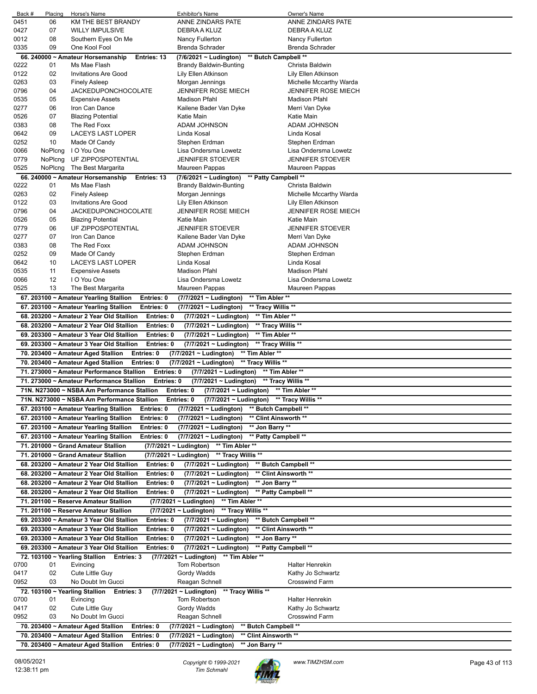| Back #       | Placing  | Horse's Name                                                  | <b>Exhibitor's Name</b>                         | Owner's Name                   |
|--------------|----------|---------------------------------------------------------------|-------------------------------------------------|--------------------------------|
| 0451         | 06       | KM THE BEST BRANDY                                            | ANNE ZINDARS PATE                               | ANNE ZINDARS PATE              |
| 0427         | 07       | <b>WILLY IMPULSIVE</b>                                        | DEBRA A KLUZ                                    | DEBRA A KLUZ                   |
| 0012         | 08       | Southern Eyes On Me                                           | Nancy Fullerton                                 | Nancy Fullerton                |
| 0335         | 09       | One Kool Fool                                                 | Brenda Schrader                                 | Brenda Schrader                |
|              |          | 66, 240000 ~ Amateur Horsemanship<br>Entries: 13              | (7/6/2021 ~ Ludington)                          | ** Butch Campbell **           |
| 0222         | 01       | Ms Mae Flash                                                  | <b>Brandy Baldwin-Bunting</b>                   | Christa Baldwin                |
| 0122         | 02       | <b>Invitations Are Good</b>                                   |                                                 |                                |
|              |          |                                                               | Lily Ellen Atkinson                             | Lily Ellen Atkinson            |
| 0263         | 03       | <b>Finely Asleep</b>                                          | Morgan Jennings                                 | Michelle Mccarthy Warda        |
| 0796         | 04       | <b>JACKEDUPONCHOCOLATE</b>                                    | <b>JENNIFER ROSE MIECH</b>                      | <b>JENNIFER ROSE MIECH</b>     |
| 0535         | 05       | <b>Expensive Assets</b>                                       | <b>Madison Pfahl</b>                            | Madison Pfahl                  |
| 0277         | 06       | Iron Can Dance                                                | Kailene Bader Van Dyke                          | Merri Van Dyke                 |
| 0526         | 07       | <b>Blazing Potential</b>                                      | Katie Main                                      | Katie Main                     |
| 0383         | 08       | The Red Foxx                                                  | ADAM JOHNSON                                    | ADAM JOHNSON                   |
| 0642         | 09       | LACEYS LAST LOPER                                             | Linda Kosal                                     | Linda Kosal                    |
| 0252         | 10       | Made Of Candy                                                 | Stephen Erdman                                  | Stephen Erdman                 |
| 0066         | NoPlcng  | I O You One                                                   | Lisa Ondersma Lowetz                            | Lisa Ondersma Lowetz           |
| 0779         | NoPlcng  | UF ZIPPOSPOTENTIAL                                            | <b>JENNIFER STOEVER</b>                         | <b>JENNIFER STOEVER</b>        |
| 0525         | NoPlcng  | The Best Margarita                                            | Maureen Pappas                                  | Maureen Pappas                 |
|              |          | 66. 240000 ~ Amateur Horsemanship<br>Entries: 13              | (7/6/2021 ~ Ludington)                          | ** Patty Campbell **           |
| 0222         | 01       | Ms Mae Flash                                                  | <b>Brandy Baldwin-Bunting</b>                   | Christa Baldwin                |
| 0263         | 02       | <b>Finely Asleep</b>                                          | Morgan Jennings                                 | Michelle Mccarthy Warda        |
| 0122         | 03       | <b>Invitations Are Good</b>                                   | Lily Ellen Atkinson                             | Lily Ellen Atkinson            |
| 0796         | 04       | <b>JACKEDUPONCHOCOLATE</b>                                    | <b>JENNIFER ROSE MIECH</b>                      | <b>JENNIFER ROSE MIECH</b>     |
|              | 05       |                                                               |                                                 |                                |
| 0526         |          | <b>Blazing Potential</b>                                      | Katie Main                                      | Katie Main                     |
| 0779         | 06       | UF ZIPPOSPOTENTIAL<br>Iron Can Dance                          | <b>JENNIFER STOEVER</b>                         | <b>JENNIFER STOEVER</b>        |
| 0277         | 07       |                                                               | Kailene Bader Van Dyke<br>ADAM JOHNSON          | Merri Van Dyke<br>ADAM JOHNSON |
| 0383         | 08       | The Red Foxx                                                  |                                                 |                                |
| 0252         | 09       | Made Of Candy                                                 | Stephen Erdman                                  | Stephen Erdman                 |
| 0642         | 10       | LACEYS LAST LOPER                                             | Linda Kosal                                     | Linda Kosal                    |
| 0535         | 11<br>12 | <b>Expensive Assets</b><br>I O You One                        | <b>Madison Pfahl</b>                            | Madison Pfahl                  |
| 0066<br>0525 | 13       | The Best Margarita                                            | Lisa Ondersma Lowetz                            | Lisa Ondersma Lowetz           |
|              |          |                                                               | Maureen Pappas                                  | Maureen Pappas                 |
|              |          | 67. 203100 ~ Amateur Yearling Stallion<br>Entries: 0          | ** Tim Abler **<br>(7/7/2021 ~ Ludington)       |                                |
|              |          | Entries: 0<br>67. 203100 ~ Amateur Yearling Stallion          | (7/7/2021 ~ Ludington)                          | ** Tracy Willis **             |
|              |          | 68. 203200 ~ Amateur 2 Year Old Stallion<br>Entries: 0        | ** Tim Abler **<br>(7/7/2021 ~ Ludington)       |                                |
|              |          |                                                               |                                                 |                                |
|              |          | 68. 203200 ~ Amateur 2 Year Old Stallion<br>Entries: 0        | (7/7/2021 ~ Ludington)                          | ** Tracy Willis **             |
|              |          | 69. 203300 ~ Amateur 3 Year Old Stallion<br>Entries: 0        | (7/7/2021 ~ Ludington)                          | ** Tim Abler **                |
|              |          | 69. 203300 ~ Amateur 3 Year Old Stallion<br><b>Entries: 0</b> | (7/7/2021 ~ Ludington)                          | ** Tracy Willis **             |
|              |          | Entries: 0<br>70. 203400 ~ Amateur Aged Stallion              | ** Tim Abler **<br>(7/7/2021 ~ Ludington)       |                                |
|              |          | 70. 203400 ~ Amateur Aged Stallion<br>Entries: 0              | ** Tracy Willis **<br>(7/7/2021 ~ Ludington)    |                                |
|              |          | 71. 273000 ~ Amateur Performance Stallion<br>Entries: 0       |                                                 |                                |
|              |          |                                                               | (7/7/2021 ~ Ludington)                          | ** Tim Abler **                |
|              |          | 71. 273000 ~ Amateur Performance Stallion<br>Entries: 0       | (7/7/2021 ~ Ludington)                          | ** Tracy Willis **             |
|              |          | 71N. N273000 ~ NSBA Am Performance Stallion                   | Entries: 0<br>$(7/7/2021 \sim$ Ludington)       | ** Tim Abler **                |
|              |          | 71N. N273000 ~ NSBA Am Performance Stallion                   | Entries: 0<br>(7/7/2021 ~ Ludington)            | ** Tracy Willis **             |
|              |          | 67. 203100 ~ Amateur Yearling Stallion<br>Entries: 0          | (7/7/2021 ~ Ludington)                          | ** Butch Campbell **           |
|              |          | 67. 203100 ~ Amateur Yearling Stallion<br>Entries: 0          | (7/7/2021 ~ Ludington)                          | ** Clint Ainsworth **          |
|              |          | 67. 203100 ~ Amateur Yearling Stallion<br>Entries: 0          | (7/7/2021 ~ Ludington)<br>** Jon Barry **       |                                |
|              |          | Entries: 0<br>67. 203100 ~ Amateur Yearling Stallion          | (7/7/2021 ~ Ludington)                          | ** Patty Campbell **           |
|              |          | 71. 201000 ~ Grand Amateur Stallion                           | (7/7/2021 ~ Ludington) ** Tim Abler **          |                                |
|              |          | 71. 201000 ~ Grand Amateur Stallion                           | ** Tracy Willis **<br>(7/7/2021 ~ Ludington)    |                                |
|              |          | 68, 203200 ~ Amateur 2 Year Old Stallion<br>Entries: 0        | (7/7/2021 ~ Ludington)                          | ** Butch Campbell **           |
|              |          | 68. 203200 ~ Amateur 2 Year Old Stallion<br>Entries: 0        | (7/7/2021 ~ Ludington)                          | ** Clint Ainsworth **          |
|              |          | 68. 203200 ~ Amateur 2 Year Old Stallion<br>Entries: 0        | (7/7/2021 ~ Ludington)                          | ** Jon Barry **                |
|              |          | Entries: 0                                                    |                                                 |                                |
|              |          | 68. 203200 ~ Amateur 2 Year Old Stallion                      | (7/7/2021 ~ Ludington)                          | ** Patty Campbell **           |
|              |          | 71. 201100 ~ Reserve Amateur Stallion                         | (7/7/2021 ~ Ludington)<br>** Tim Abler **       |                                |
|              |          | 71. 201100 ~ Reserve Amateur Stallion                         | (7/7/2021 ~ Ludington)<br>** Tracy Willis **    |                                |
|              |          | 69. 203300 ~ Amateur 3 Year Old Stallion<br>Entries: 0        | (7/7/2021 ~ Ludington)                          | ** Butch Campbell **           |
|              |          | 69. 203300 ~ Amateur 3 Year Old Stallion<br>Entries: 0        | (7/7/2021 ~ Ludington)                          | ** Clint Ainsworth **          |
|              |          | 69. 203300 ~ Amateur 3 Year Old Stallion<br>Entries: 0        | (7/7/2021 ~ Ludington)                          | ** Jon Barry **                |
|              |          | 69. 203300 ~ Amateur 3 Year Old Stallion<br>Entries: 0        | (7/7/2021 ~ Ludington)                          | ** Patty Campbell **           |
|              |          | 72. 103100 ~ Yearling Stallion Entries: 3                     | ** Tim Abler **<br>(7/7/2021 ~ Ludington)       |                                |
| 0700         | 01       | Evincing                                                      | Tom Robertson                                   | Halter Henrekin                |
| 0417         | 02       | Cute Little Guy                                               | Gordy Wadds                                     | Kathy Jo Schwartz              |
| 0952         | 03       | No Doubt Im Gucci                                             | Reagan Schnell                                  | <b>Crosswind Farm</b>          |
|              |          | 72. 103100 ~ Yearling Stallion Entries: 3                     | (7/7/2021 ~ Ludington)<br>** Tracy Willis **    |                                |
| 0700         | 01       | Evincing                                                      | Tom Robertson                                   | <b>Halter Henrekin</b>         |
| 0417         | 02       | Cute Little Guy                                               | Gordy Wadds                                     | Kathy Jo Schwartz              |
| 0952         | 03       | No Doubt Im Gucci                                             | Reagan Schnell                                  | <b>Crosswind Farm</b>          |
|              |          | Entries: 0<br>70. 203400 ~ Amateur Aged Stallion              | ** Butch Campbell **<br>(7/7/2021 ~ Ludington)  |                                |
|              |          | 70. 203400 ~ Amateur Aged Stallion<br>Entries: 0              | ** Clint Ainsworth **<br>(7/7/2021 ~ Ludington) |                                |

08/05/2021 *Copyright © 1999-2021 Tim Schmahl www.TIMZHSM.com* Page 43 of 113

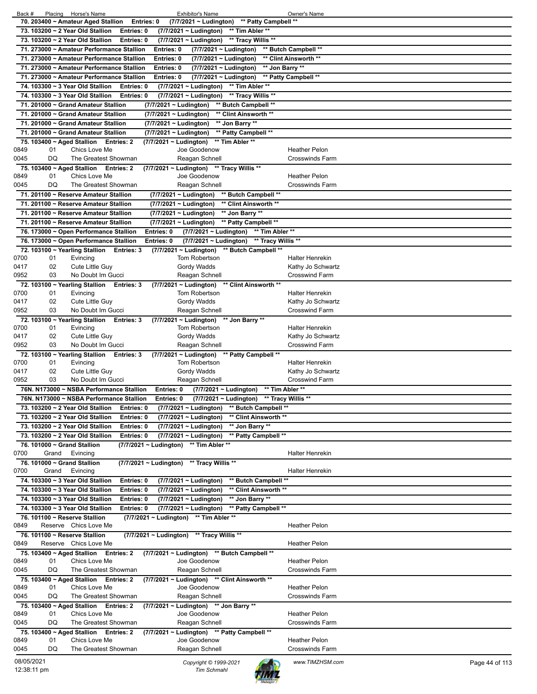| (7/7/2021 ~ Ludington) ** Patty Campbell **<br>70. 203400 ~ Amateur Aged Stallion<br>Entries: 0      |                                   |
|------------------------------------------------------------------------------------------------------|-----------------------------------|
|                                                                                                      |                                   |
|                                                                                                      |                                   |
| 73. 103200 ~ 2 Year Old Stallion<br>** Tim Abler **<br>Entries: 0<br>(7/7/2021 ~ Ludington)          |                                   |
| 73. 103200 ~ 2 Year Old Stallion<br>** Tracy Willis **<br>Entries: 0<br>$(7/7/2021 \sim$ Ludington)  |                                   |
| 71. 273000 ~ Amateur Performance Stallion<br>Entries: 0<br>(7/7/2021 ~ Ludington)                    | ** Butch Campbell **              |
|                                                                                                      |                                   |
| 71. 273000 ~ Amateur Performance Stallion<br>Entries: 0<br>(7/7/2021 ~ Ludington)                    | ** Clint Ainsworth **             |
| 71. 273000 ~ Amateur Performance Stallion<br>Entries: 0<br>(7/7/2021 ~ Ludington)                    | ** Jon Barry **                   |
|                                                                                                      |                                   |
| 71. 273000 ~ Amateur Performance Stallion<br>Entries: 0<br>(7/7/2021 ~ Ludington)                    | ** Patty Campbell **              |
| 74. 103300 ~ 3 Year Old Stallion<br>** Tim Abler **<br>Entries: 0<br>$(7/7/2021 \sim$ Ludington)     |                                   |
| 74. 103300 ~ 3 Year Old Stallion<br>Entries: 0<br>** Tracy Willis **<br>(7/7/2021 ~ Ludington)       |                                   |
|                                                                                                      |                                   |
| 71. 201000 ~ Grand Amateur Stallion<br>(7/7/2021 ~ Ludington)<br>** Butch Campbell **                |                                   |
| 71. 201000 ~ Grand Amateur Stallion<br>(7/7/2021 ~ Ludington)<br>** Clint Ainsworth **               |                                   |
| ** Jon Barry **<br>71. 201000 ~ Grand Amateur Stallion<br>(7/7/2021 ~ Ludington)                     |                                   |
|                                                                                                      |                                   |
| 71. 201000 ~ Grand Amateur Stallion<br>(7/7/2021 ~ Ludington)<br>** Patty Campbell **                |                                   |
| (7/7/2021 ~ Ludington) ** Tim Abler **<br>75. 103400 ~ Aged Stallion Entries: 2                      |                                   |
| 0849<br>01<br>Chics Love Me                                                                          | <b>Heather Pelon</b>              |
| Joe Goodenow                                                                                         |                                   |
| 0045<br>DQ<br>The Greatest Showman<br>Reagan Schnell                                                 | <b>Crosswinds Farm</b>            |
| 75. 103400 ~ Aged Stallion Entries: 2<br>(7/7/2021 ~ Ludington) ** Tracy Willis **                   |                                   |
| 0849<br>01<br>Chics Love Me<br>Joe Goodenow                                                          | <b>Heather Pelon</b>              |
|                                                                                                      |                                   |
| DQ<br>0045<br>The Greatest Showman<br>Reagan Schnell                                                 | <b>Crosswinds Farm</b>            |
| ** Butch Campbell **<br>71. 201100 ~ Reserve Amateur Stallion<br>(7/7/2021 ~ Ludington)              |                                   |
|                                                                                                      |                                   |
| ** Clint Ainsworth **<br>71. 201100 ~ Reserve Amateur Stallion<br>(7/7/2021 ~ Ludington)             |                                   |
| ** Jon Barry **<br>71. 201100 ~ Reserve Amateur Stallion<br>(7/7/2021 ~ Ludington)                   |                                   |
| 71. 201100 ~ Reserve Amateur Stallion<br>(7/7/2021 ~ Ludington)<br>** Patty Campbell **              |                                   |
|                                                                                                      |                                   |
| ** Tim Abler **<br>76. 173000 ~ Open Performance Stallion<br>Entries: 0<br>(7/7/2021 ~ Ludington)    |                                   |
| ** Tracy Willis **<br>76. 173000 ~ Open Performance Stallion<br>Entries: 0<br>(7/7/2021 ~ Ludington) |                                   |
|                                                                                                      |                                   |
| 72. 103100 ~ Yearling Stallion<br>** Butch Campbell **<br>Entries: 3<br>(7/7/2021 ~ Ludington)       |                                   |
| 0700<br>Tom Robertson<br>01<br>Evincing                                                              | <b>Halter Henrekin</b>            |
| 0417<br>02<br>Cute Little Guy<br>Gordy Wadds                                                         | Kathy Jo Schwartz                 |
| 0952<br>03<br>No Doubt Im Gucci<br>Reagan Schnell                                                    | <b>Crosswind Farm</b>             |
|                                                                                                      |                                   |
| ** Clint Ainsworth **<br>72. 103100 ~ Yearling Stallion Entries: 3<br>(7/7/2021 ~ Ludington)         |                                   |
| 0700<br>01<br><b>Tom Robertson</b><br>Evincing                                                       | <b>Halter Henrekin</b>            |
| 0417<br>02<br>Cute Little Guy                                                                        |                                   |
| Gordy Wadds                                                                                          | Kathy Jo Schwartz                 |
| 03<br>0952<br>No Doubt Im Gucci<br>Reagan Schnell                                                    | <b>Crosswind Farm</b>             |
| ** Jon Barry **<br>72. 103100 ~ Yearling Stallion Entries: 3<br>$(7/7/2021 \sim$ Ludington)          |                                   |
|                                                                                                      |                                   |
| 0700<br>Evincing<br>Tom Robertson<br>01                                                              | <b>Halter Henrekin</b>            |
| 02<br>0417<br>Cute Little Guy<br>Gordy Wadds                                                         | Kathy Jo Schwartz                 |
| 0952<br>03<br>No Doubt Im Gucci<br>Reagan Schnell                                                    | <b>Crosswind Farm</b>             |
|                                                                                                      |                                   |
| 72. 103100 ~ Yearling Stallion<br>Entries: 3<br>(7/7/2021 ~ Ludington)<br>** Patty Campbell **       |                                   |
| 0700<br>01<br><b>Tom Robertson</b><br>Evincing                                                       | <b>Halter Henrekin</b>            |
| 02<br>0417<br>Cute Little Guy<br>Gordy Wadds                                                         | Kathy Jo Schwartz                 |
|                                                                                                      |                                   |
| 0952<br>03<br>No Doubt Im Gucci<br>Reagan Schnell                                                    | <b>Crosswind Farm</b>             |
|                                                                                                      |                                   |
| 76N. N173000 ~ NSBA Performance Stallion<br>Entries: 0                                               | ** Tim Abler **                   |
| (7/7/2021 ~ Ludington)                                                                               |                                   |
| 76N. N173000 ~ NSBA Performance Stallion<br>Entries: 0<br>(7/7/2021 ~ Ludington)                     | ** Tracy Willis **                |
| 73. 103200 ~ 2 Year Old Stallion<br>** Butch Campbell **<br>Entries: 0<br>(7/7/2021 ~ Ludington)     |                                   |
|                                                                                                      |                                   |
| 73. 103200 ~ 2 Year Old Stallion<br>Entries: 0<br>(7/7/2021 ~ Ludington)<br>** Clint Ainsworth **    |                                   |
| ** Jon Barry **<br>73. 103200 ~ 2 Year Old Stallion<br>Entries: 0<br>(7/7/2021 ~ Ludington)          |                                   |
| 73. 103200 ~ 2 Year Old Stallion<br>Entries: 0<br>(7/7/2021 ~ Ludington)<br>** Patty Campbell **     |                                   |
|                                                                                                      |                                   |
| ** Tim Abler **<br>76. 101000 ~ Grand Stallion<br>(7/7/2021 ~ Ludington)                             |                                   |
| 0700<br>Evincing<br>Grand                                                                            | <b>Halter Henrekin</b>            |
| 76. 101000 ~ Grand Stallion<br>$(7/7/2021 \sim$ Ludington)<br>** Tracy Willis **                     |                                   |
|                                                                                                      |                                   |
| 0700<br>Grand<br>Evincing                                                                            | <b>Halter Henrekin</b>            |
| 74. 103300 ~ 3 Year Old Stallion<br>(7/7/2021 ~ Ludington)<br>** Butch Campbell **<br>Entries: 0     |                                   |
| 74. 103300 ~ 3 Year Old Stallion                                                                     |                                   |
| Entries: 0<br>(7/7/2021 ~ Ludington)<br>** Clint Ainsworth **                                        |                                   |
| 74. 103300 ~ 3 Year Old Stallion<br>** Jon Barry **<br>Entries: 0<br>(7/7/2021 ~ Ludington)          |                                   |
| 74. 103300 ~ 3 Year Old Stallion<br>** Patty Campbell **<br>Entries: 0<br>(7/7/2021 ~ Ludington)     |                                   |
|                                                                                                      |                                   |
| 76. 101100 ~ Reserve Stallion<br>** Tim Abler **<br>(7/7/2021 ~ Ludington)                           |                                   |
| 0849<br>Reserve Chics Love Me                                                                        | <b>Heather Pelon</b>              |
| 76. 101100 ~ Reserve Stallion                                                                        |                                   |
| (7/7/2021 ~ Ludington) ** Tracy Willis **                                                            |                                   |
| 0849<br>Reserve Chics Love Me                                                                        | <b>Heather Pelon</b>              |
| (7/7/2021 ~ Ludington) ** Butch Campbell **<br>75. 103400 ~ Aged Stallion<br><b>Entries: 2</b>       |                                   |
| 0849<br>01<br>Chics Love Me<br>Joe Goodenow                                                          | <b>Heather Pelon</b>              |
|                                                                                                      |                                   |
| DQ<br>0045<br>The Greatest Showman<br>Reagan Schnell                                                 | <b>Crosswinds Farm</b>            |
| (7/7/2021 ~ Ludington) ** Clint Ainsworth **<br>75. 103400 ~ Aged Stallion Entries: 2                |                                   |
|                                                                                                      |                                   |
| 0849<br>Chics Love Me<br>01<br>Joe Goodenow                                                          | <b>Heather Pelon</b>              |
| 0045<br>DQ<br>The Greatest Showman<br>Reagan Schnell                                                 | <b>Crosswinds Farm</b>            |
| 75. 103400 ~ Aged Stallion Entries: 2<br>(7/7/2021 ~ Ludington) ** Jon Barry **                      |                                   |
| 01                                                                                                   |                                   |
| 0849<br>Chics Love Me<br>Joe Goodenow                                                                | <b>Heather Pelon</b>              |
| DQ<br>0045<br>The Greatest Showman<br>Reagan Schnell                                                 | <b>Crosswinds Farm</b>            |
| (7/7/2021 ~ Ludington) ** Patty Campbell **<br>75. 103400 ~ Aged Stallion Entries: 2                 |                                   |
|                                                                                                      |                                   |
| 0849<br>01<br>Chics Love Me<br>Joe Goodenow                                                          | <b>Heather Pelon</b>              |
| DQ<br>0045<br>The Greatest Showman<br>Reagan Schnell                                                 | <b>Crosswinds Farm</b>            |
|                                                                                                      |                                   |
| 08/05/2021<br>Copyright © 1999-2021<br>12:38:11 pm<br>Tim Schmahl                                    | www.TIMZHSM.com<br>Page 44 of 113 |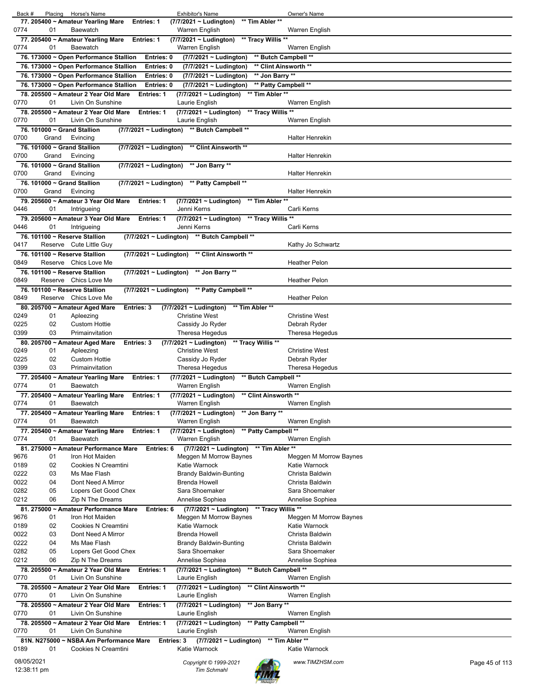| Back #                    |          | Placing Horse's Name                                                             |                          | <b>Exhibitor's Name</b>                                    |                                               | Owner's Name                     |                |
|---------------------------|----------|----------------------------------------------------------------------------------|--------------------------|------------------------------------------------------------|-----------------------------------------------|----------------------------------|----------------|
|                           |          | 77. 205400 ~ Amateur Yearling Mare                                               | <b>Entries: 1</b>        | $(7/7/2021 \sim$ Ludington)                                | ** Tim Abler **                               |                                  |                |
| 0774                      | 01       | Baewatch                                                                         |                          | Warren English                                             |                                               | Warren English                   |                |
|                           |          | 77. 205400 ~ Amateur Yearling Mare                                               | Entries: 1               | (7/7/2021 ~ Ludington)                                     | ** Tracy Willis **                            |                                  |                |
| 0774                      | 01       | Baewatch                                                                         |                          | Warren English                                             |                                               | Warren English                   |                |
|                           |          | 76. 173000 ~ Open Performance Stallion<br>76. 173000 ~ Open Performance Stallion | Entries: 0<br>Entries: 0 | (7/7/2021 ~ Ludington)<br>(7/7/2021 ~ Ludington)           | ** Butch Campbell **<br>** Clint Ainsworth ** |                                  |                |
|                           |          | 76. 173000 ~ Open Performance Stallion                                           | Entries: 0               | (7/7/2021 ~ Ludington)                                     | ** Jon Barry **                               |                                  |                |
|                           |          | 76. 173000 ~ Open Performance Stallion                                           | Entries: 0               | (7/7/2021 ~ Ludington)                                     | ** Patty Campbell **                          |                                  |                |
|                           |          | 78. 205500 ~ Amateur 2 Year Old Mare                                             | <b>Entries: 1</b>        | (7/7/2021 ~ Ludington)                                     | ** Tim Abler **                               |                                  |                |
| 0770                      | 01       | Livin On Sunshine                                                                |                          | Laurie English                                             |                                               | Warren English                   |                |
|                           |          | 78, 205500 ~ Amateur 2 Year Old Mare                                             | Entries: 1               | (7/7/2021 ~ Ludington) ** Tracy Willis **                  |                                               |                                  |                |
| 0770                      | 01       | Livin On Sunshine                                                                |                          | Laurie English                                             |                                               | Warren English                   |                |
|                           |          | 76. 101000 ~ Grand Stallion                                                      |                          | (7/7/2021 ~ Ludington) ** Butch Campbell **                |                                               |                                  |                |
| 0700                      | Grand    | Evincing                                                                         |                          |                                                            |                                               | <b>Halter Henrekin</b>           |                |
| 0700                      | Grand    | 76. 101000 ~ Grand Stallion<br>Evincing                                          |                          | (7/7/2021 ~ Ludington) ** Clint Ainsworth **               |                                               | <b>Halter Henrekin</b>           |                |
|                           |          | 76. 101000 ~ Grand Stallion                                                      |                          | (7/7/2021 ~ Ludington) ** Jon Barry **                     |                                               |                                  |                |
| 0700                      | Grand    | Evincing                                                                         |                          |                                                            |                                               | <b>Halter Henrekin</b>           |                |
|                           |          | 76. 101000 ~ Grand Stallion                                                      |                          | (7/7/2021 ~ Ludington) ** Patty Campbell **                |                                               |                                  |                |
| 0700                      | Grand    | Evincing                                                                         |                          |                                                            |                                               | Halter Henrekin                  |                |
|                           |          | 79. 205600 ~ Amateur 3 Year Old Mare                                             | <b>Entries: 1</b>        | (7/7/2021 ~ Ludington)                                     | ** Tim Abler **                               |                                  |                |
| 0446                      | 01       | Intrigueing                                                                      |                          | Jenni Kerns                                                |                                               | Carli Kerns                      |                |
| 0446                      | 01       | 79. 205600 ~ Amateur 3 Year Old Mare<br>Intrigueing                              | Entries: 1               | (7/7/2021 ~ Ludington) ** Tracy Willis **<br>Jenni Kerns   |                                               | Carli Kerns                      |                |
|                           |          | 76. 101100 ~ Reserve Stallion                                                    |                          | (7/7/2021 ~ Ludington) ** Butch Campbell **                |                                               |                                  |                |
| 0417                      |          | Reserve Cute Little Guy                                                          |                          |                                                            |                                               | Kathy Jo Schwartz                |                |
|                           |          | 76. 101100 ~ Reserve Stallion                                                    |                          | (7/7/2021 ~ Ludington) ** Clint Ainsworth **               |                                               |                                  |                |
| 0849                      |          | Reserve Chics Love Me                                                            |                          |                                                            |                                               | <b>Heather Pelon</b>             |                |
|                           |          | 76. 101100 ~ Reserve Stallion                                                    |                          | (7/7/2021 ~ Ludington) ** Jon Barry **                     |                                               |                                  |                |
| 0849                      |          | Reserve Chics Love Me                                                            |                          |                                                            |                                               | <b>Heather Pelon</b>             |                |
|                           |          | 76. 101100 ~ Reserve Stallion                                                    |                          | (7/7/2021 ~ Ludington) ** Patty Campbell **                |                                               |                                  |                |
| 0849                      |          | Reserve Chics Love Me<br>80. 205700 ~ Amateur Aged Mare                          | <b>Entries: 3</b>        | (7/7/2021 ~ Ludington)                                     | ** Tim Abler **                               | <b>Heather Pelon</b>             |                |
| 0249                      | 01       | Apleezing                                                                        |                          | <b>Christine West</b>                                      |                                               | <b>Christine West</b>            |                |
| 0225                      | 02       | <b>Custom Hottie</b>                                                             |                          | Cassidy Jo Ryder                                           |                                               | Debrah Ryder                     |                |
| 0399                      | 03       | Primainvitation                                                                  |                          | Theresa Hegedus                                            |                                               | Theresa Hegedus                  |                |
|                           |          | 80. 205700 ~ Amateur Aged Mare                                                   | <b>Entries: 3</b>        | (7/7/2021 ~ Ludington)                                     | ** Tracy Willis **                            |                                  |                |
| 0249                      | 01       | Apleezing                                                                        |                          | <b>Christine West</b>                                      |                                               | <b>Christine West</b>            |                |
| 0225<br>0399              | 02<br>03 | <b>Custom Hottie</b><br>Primainvitation                                          |                          | Cassidy Jo Ryder<br>Theresa Hegedus                        |                                               | Debrah Ryder<br>Theresa Hegedus  |                |
|                           |          | 77. 205400 ~ Amateur Yearling Mare                                               | Entries: 1               | $(7/7/2021 \sim$ Ludington)                                | ** Butch Campbell **                          |                                  |                |
| 0774                      | 01       | Baewatch                                                                         |                          | Warren English                                             |                                               | Warren English                   |                |
|                           |          | 77. 205400 ~ Amateur Yearling Mare                                               | <b>Entries: 1</b>        | (7/7/2021 ~ Ludington)                                     | ** Clint Ainsworth **                         |                                  |                |
| 0774                      | 01       | <b>Baewatch</b>                                                                  |                          | Warren English                                             |                                               | Warren English                   |                |
|                           |          | 77. 205400 ~ Amateur Yearling Mare                                               | <b>Entries: 1</b>        | (7/7/2021 ~ Ludington)                                     | ** Jon Barry **                               |                                  |                |
| 0774                      | 01       | Baewatch                                                                         |                          | Warren English                                             |                                               | Warren English                   |                |
| 0774                      | 01       | 77. 205400 ~ Amateur Yearling Mare<br>Baewatch                                   | Entries: 1               | (7/7/2021 ~ Ludington)<br>Warren English                   | ** Patty Campbell **                          | Warren English                   |                |
|                           |          | 81. 275000 ~ Amateur Performance Mare                                            | Entries: 6               | $(7/7/2021 \sim$ Ludington)                                | ** Tim Abler **                               |                                  |                |
| 9676                      | 01       | Iron Hot Maiden                                                                  |                          | Meggen M Morrow Baynes                                     |                                               | Meggen M Morrow Baynes           |                |
| 0189                      | 02       | <b>Cookies N Creamtini</b>                                                       |                          | Katie Warnock                                              |                                               | Katie Warnock                    |                |
| 0222                      | 03       | Ms Mae Flash                                                                     |                          | <b>Brandy Baldwin-Bunting</b>                              |                                               | Christa Baldwin                  |                |
| 0022                      | 04       | Dont Need A Mirror                                                               |                          | <b>Brenda Howell</b>                                       |                                               | Christa Baldwin                  |                |
| 0282                      | 05<br>06 | Lopers Get Good Chex                                                             |                          | Sara Shoemaker<br>Annelise Sophiea                         |                                               | Sara Shoemaker                   |                |
| 0212                      |          | Zip N The Dreams<br>81. 275000 ~ Amateur Performance Mare                        | Entries: 6               | $(7/7/2021 -$ Ludington)                                   | ** Tracy Willis **                            | Annelise Sophiea                 |                |
| 9676                      | 01       | Iron Hot Maiden                                                                  |                          | Meggen M Morrow Baynes                                     |                                               | Meggen M Morrow Baynes           |                |
| 0189                      | 02       | Cookies N Creamtini                                                              |                          | Katie Warnock                                              |                                               | Katie Warnock                    |                |
| 0022                      | 03       | Dont Need A Mirror                                                               |                          | <b>Brenda Howell</b>                                       |                                               | Christa Baldwin                  |                |
| 0222                      | 04       | Ms Mae Flash                                                                     |                          | <b>Brandy Baldwin-Bunting</b>                              |                                               | Christa Baldwin                  |                |
| 0282                      | 05       | Lopers Get Good Chex                                                             |                          | Sara Shoemaker                                             |                                               | Sara Shoemaker                   |                |
| 0212                      | 06       | Zip N The Dreams                                                                 |                          | Annelise Sophiea                                           | ** Butch Campbell **                          | Annelise Sophiea                 |                |
| 0770                      | 01       | 78. 205500 ~ Amateur 2 Year Old Mare<br>Livin On Sunshine                        | <b>Entries: 1</b>        | (7/7/2021 ~ Ludington)<br>Laurie English                   |                                               | Warren English                   |                |
|                           |          | 78. 205500 ~ Amateur 2 Year Old Mare                                             | <b>Entries: 1</b>        | (7/7/2021 ~ Ludington)                                     | ** Clint Ainsworth **                         |                                  |                |
| 0770                      | 01       | Livin On Sunshine                                                                |                          | Laurie English                                             |                                               | Warren English                   |                |
|                           |          | 78. 205500 ~ Amateur 2 Year Old Mare                                             | <b>Entries: 1</b>        | (7/7/2021 ~ Ludington)                                     | ** Jon Barry **                               |                                  |                |
| 0770                      | 01       | Livin On Sunshine                                                                |                          | Laurie English                                             |                                               | Warren English                   |                |
|                           |          | 78. 205500 ~ Amateur 2 Year Old Mare                                             | <b>Entries: 1</b>        | (7/7/2021 ~ Ludington)                                     | ** Patty Campbell **                          |                                  |                |
| 0770                      | 01       | Livin On Sunshine                                                                |                          | Laurie English                                             |                                               | Warren English                   |                |
| 0189                      | 01       | 81N. N275000 ~ NSBA Am Performance Mare<br>Cookies N Creamtini                   |                          | $(7/7/2021 \sim$ Ludington)<br>Entries: 3<br>Katie Warnock |                                               | ** Tim Abler **<br>Katie Warnock |                |
|                           |          |                                                                                  |                          |                                                            |                                               |                                  |                |
| 08/05/2021<br>12:38:11 pm |          |                                                                                  |                          | Copyright © 1999-2021<br><b>Tim Schmahl</b>                |                                               | www.TIMZHSM.com                  | Page 45 of 113 |
|                           |          |                                                                                  |                          |                                                            |                                               |                                  |                |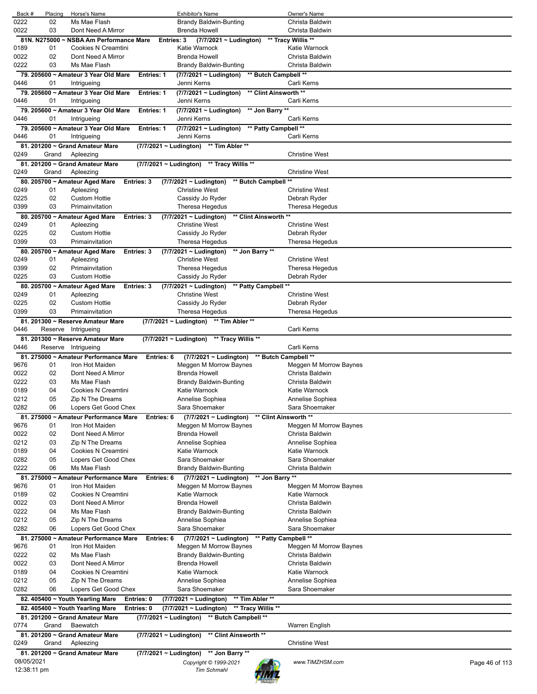| Back #       | Placing            | Horse's Name                                        |                             | Exhibitor's Name                                                         | Owner's Name                              |                |
|--------------|--------------------|-----------------------------------------------------|-----------------------------|--------------------------------------------------------------------------|-------------------------------------------|----------------|
| 0222         | 02                 | Ms Mae Flash                                        |                             | <b>Brandy Baldwin-Bunting</b>                                            | Christa Baldwin                           |                |
| 0022         | 03                 | Dont Need A Mirror                                  |                             | <b>Brenda Howell</b>                                                     | Christa Baldwin                           |                |
|              | 81N. N275000<br>01 | <b>NSBA Am Performance Mare</b>                     | Entries: 3                  | $(7/7/2021 \sim$ Ludington)<br>Katie Warnock                             | ** Tracy Willis **                        |                |
| 0189<br>0022 | 02                 | Cookies N Creamtini<br>Dont Need A Mirror           |                             | <b>Brenda Howell</b>                                                     | Katie Warnock<br>Christa Baldwin          |                |
| 0222         | 03                 | Ms Mae Flash                                        |                             | Brandy Baldwin-Bunting                                                   | Christa Baldwin                           |                |
|              |                    | 79. 205600 ~ Amateur 3 Year Old Mare                | <b>Entries: 1</b>           | ** Butch Campbell **<br>(7/7/2021 ~ Ludington)                           |                                           |                |
| 0446         | 01                 | Intrigueing                                         |                             | Jenni Kerns                                                              | Carli Kerns                               |                |
|              |                    | 79. 205600 ~ Amateur 3 Year Old Mare                | <b>Entries: 1</b>           | ** Clint Ainsworth **<br>(7/7/2021 ~ Ludington)                          |                                           |                |
| 0446         | 01                 | Intrigueing                                         |                             | Jenni Kerns                                                              | Carli Kerns                               |                |
|              |                    | 79. 205600 ~ Amateur 3 Year Old Mare                | <b>Entries: 1</b>           | (7/7/2021 ~ Ludington)<br>** Jon Barry **                                |                                           |                |
| 0446         | 01                 | Intrigueing                                         |                             | Jenni Kerns                                                              | Carli Kerns                               |                |
|              |                    | 79. 205600 ~ Amateur 3 Year Old Mare                | <b>Entries: 1</b>           | ** Patty Campbell **<br>(7/7/2021 ~ Ludington)                           |                                           |                |
| 0446         | 01                 | Intrigueing                                         |                             | Jenni Kerns                                                              | Carli Kerns                               |                |
|              |                    | 81. 201200 ~ Grand Amateur Mare                     |                             | (7/7/2021 ~ Ludington) ** Tim Abler **                                   |                                           |                |
| 0249         | Grand              | Apleezing                                           |                             |                                                                          | <b>Christine West</b>                     |                |
|              |                    | 81. 201200 ~ Grand Amateur Mare                     | (7/7/2021 ~ Ludington)      | ** Tracy Willis **                                                       |                                           |                |
| 0249         | Grand              | Apleezing                                           |                             |                                                                          | <b>Christine West</b>                     |                |
|              |                    | 80. 205700 ~ Amateur Aged Mare<br><b>Entries: 3</b> |                             | (7/7/2021 ~ Ludington)<br>** Butch Campbell                              | $\star\star$                              |                |
| 0249         | 01                 | Apleezing                                           |                             | <b>Christine West</b>                                                    | <b>Christine West</b>                     |                |
| 0225         | 02<br>03           | <b>Custom Hottie</b><br>Primainvitation             |                             | Cassidy Jo Ryder                                                         | Debrah Ryder                              |                |
| 0399         |                    |                                                     |                             | Theresa Hegedus                                                          | Theresa Hegedus                           |                |
| 0249         | 01                 | 80. 205700 ~ Amateur Aged Mare<br>Entries: 3        |                             | ** Clint Ainsworth **<br>(7/7/2021 ~ Ludington)<br><b>Christine West</b> | <b>Christine West</b>                     |                |
| 0225         | 02                 | Apleezing<br><b>Custom Hottie</b>                   |                             | Cassidy Jo Ryder                                                         | Debrah Ryder                              |                |
| 0399         | 03                 | Primainvitation                                     |                             | Theresa Hegedus                                                          | Theresa Hegedus                           |                |
|              |                    | 80. 205700 ~ Amateur Aged Mare<br><b>Entries: 3</b> |                             | $(7/7/2021 \sim$ Ludington)<br>** Jon Barry **                           |                                           |                |
| 0249         | 01                 | Apleezing                                           |                             | <b>Christine West</b>                                                    | <b>Christine West</b>                     |                |
| 0399         | 02                 | Primainvitation                                     |                             | Theresa Hegedus                                                          | Theresa Hegedus                           |                |
| 0225         | 03                 | <b>Custom Hottie</b>                                |                             | Cassidy Jo Ryder                                                         | Debrah Ryder                              |                |
|              |                    | 80. 205700 ~ Amateur Aged Mare<br><b>Entries: 3</b> |                             | $(7/7/2021 \sim$ Ludington)<br>** Patty Campbell                         |                                           |                |
| 0249         | 01                 | Apleezing                                           |                             | <b>Christine West</b>                                                    | <b>Christine West</b>                     |                |
| 0225         | 02                 | <b>Custom Hottie</b>                                |                             | Cassidy Jo Ryder                                                         | Debrah Ryder                              |                |
| 0399         | 03                 | Primainvitation                                     |                             | Theresa Hegedus                                                          | Theresa Hegedus                           |                |
|              |                    | 81. 201300 ~ Reserve Amateur Mare                   | $(7/7/2021 \sim$ Ludington) | ** Tim Abler **                                                          |                                           |                |
| 0446         | Reserve            | Intrigueing                                         |                             |                                                                          | Carli Kerns                               |                |
|              |                    | 81. 201300 ~ Reserve Amateur Mare                   | (7/7/2021 ~ Ludington)      | ** Tracy Willis **                                                       |                                           |                |
| 0446         | Reserve            | Intrigueing                                         |                             |                                                                          | Carli Kerns                               |                |
|              |                    | 81. 275000 ~ Amateur Performance Mare               | Entries: 6                  | $(7/7/2021 \sim$ Ludington)                                              | ** Butch Campbell **                      |                |
| 9676         | 01                 | Iron Hot Maiden                                     |                             | Meggen M Morrow Baynes                                                   | Meggen M Morrow Baynes                    |                |
| 0022         | 02                 | Dont Need A Mirror<br>Ms Mae Flash                  |                             | <b>Brenda Howell</b>                                                     | Christa Baldwin                           |                |
| 0222<br>0189 | 03<br>04           | Cookies N Creamtini                                 |                             | <b>Brandy Baldwin-Bunting</b><br>Katie Warnock                           | Christa Baldwin<br>Katie Warnock          |                |
| 0212         | 05                 | Zip N The Dreams                                    |                             | Annelise Sophiea                                                         | Annelise Sophiea                          |                |
| 0282         | 06                 | Lopers Get Good Chex                                |                             | Sara Shoemaker                                                           | Sara Shoemaker                            |                |
|              |                    | 81. 275000 ~ Amateur Performance Mare               | Entries: 6                  | (7/7/2021 ~ Ludington)                                                   | ** Clint Ainsworth **                     |                |
| 9676         | 01                 | Iron Hot Maiden                                     |                             | Meggen M Morrow Baynes                                                   | Meggen M Morrow Baynes                    |                |
| 0022         | 02                 | Dont Need A Mirror                                  |                             | <b>Brenda Howell</b>                                                     | Christa Baldwin                           |                |
| 0212         | 03                 | Zip N The Dreams                                    |                             | Annelise Sophiea                                                         | Annelise Sophiea                          |                |
| 0189         | 04                 | Cookies N Creamtini                                 |                             | Katie Warnock                                                            | Katie Warnock                             |                |
| 0282         | 05                 | Lopers Get Good Chex                                |                             | Sara Shoemaker                                                           | Sara Shoemaker                            |                |
| 0222         | 06                 | Ms Mae Flash                                        |                             | <b>Brandy Baldwin-Bunting</b>                                            | Christa Baldwin                           |                |
|              |                    | 81. 275000 ~ Amateur Performance Mare               | Entries: 6                  | ** Jon Barry **<br>$(7/7/2021 \sim$ Ludington)                           |                                           |                |
| 9676         | 01                 | Iron Hot Maiden                                     |                             | Meggen M Morrow Baynes                                                   | Meggen M Morrow Baynes                    |                |
| 0189         | 02                 | <b>Cookies N Creamtini</b>                          |                             | Katie Warnock                                                            | Katie Warnock                             |                |
| 0022         | 03                 | Dont Need A Mirror                                  |                             | <b>Brenda Howell</b>                                                     | Christa Baldwin                           |                |
| 0222         | 04                 | Ms Mae Flash                                        |                             | <b>Brandy Baldwin-Bunting</b>                                            | Christa Baldwin                           |                |
| 0212         | 05                 | Zip N The Dreams                                    |                             | Annelise Sophiea                                                         | Annelise Sophiea                          |                |
| 0282         | 06                 | Lopers Get Good Chex                                |                             | Sara Shoemaker                                                           | Sara Shoemaker                            |                |
|              |                    | 81. 275000 ~ Amateur Performance Mare               | Entries: 6                  | ** Patty Campbell **<br>(7/7/2021 ~ Ludington)                           |                                           |                |
| 9676<br>0222 | 01<br>02           | Iron Hot Maiden<br>Ms Mae Flash                     |                             | Meggen M Morrow Baynes<br><b>Brandy Baldwin-Bunting</b>                  | Meggen M Morrow Baynes<br>Christa Baldwin |                |
|              |                    |                                                     |                             |                                                                          |                                           |                |
| 0022<br>0189 | 03<br>04           | Dont Need A Mirror<br>Cookies N Creamtini           |                             | <b>Brenda Howell</b><br>Katie Warnock                                    | Christa Baldwin<br>Katie Warnock          |                |
| 0212         | 05                 | Zip N The Dreams                                    |                             | Annelise Sophiea                                                         | Annelise Sophiea                          |                |
| 0282         | 06                 | Lopers Get Good Chex                                |                             | Sara Shoemaker                                                           | Sara Shoemaker                            |                |
|              |                    | 82. 405400 ~ Youth Yearling Mare<br>Entries: 0      |                             | ** Tim Abler **<br>(7/7/2021 ~ Ludington)                                |                                           |                |
|              |                    | Entries: 0<br>82. 405400 ~ Youth Yearling Mare      |                             | (7/7/2021 ~ Ludington)<br>** Tracy Willis **                             |                                           |                |
|              |                    | 81. 201200 ~ Grand Amateur Mare                     |                             | (7/7/2021 ~ Ludington) ** Butch Campbell **                              |                                           |                |
| 0774         | Grand              | Baewatch                                            |                             |                                                                          | Warren English                            |                |
|              |                    | 81. 201200 ~ Grand Amateur Mare                     |                             | (7/7/2021 ~ Ludington) ** Clint Ainsworth **                             |                                           |                |
| 0249         | Grand              | Apleezing                                           |                             |                                                                          | <b>Christine West</b>                     |                |
|              |                    | 81. 201200 ~ Grand Amateur Mare                     |                             | (7/7/2021 ~ Ludington) ** Jon Barry **                                   |                                           |                |
| 08/05/2021   |                    |                                                     |                             | Copyright © 1999-2021                                                    | www.TIMZHSM.com                           | Page 46 of 113 |
|              | 12:38:11 pm        |                                                     |                             | <b>Tim Schmahl</b>                                                       |                                           |                |
|              |                    |                                                     |                             |                                                                          |                                           |                |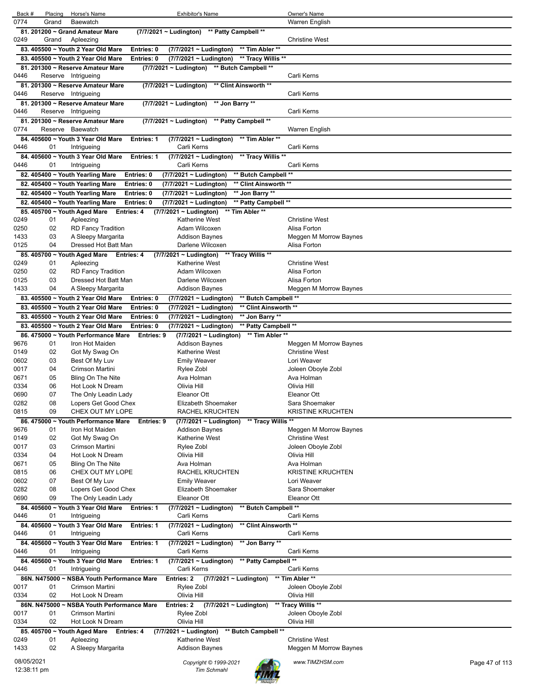| Back #                    | Placing | Horse's Name                               |                   | Exhibitor's Name                               |                       | Owner's Name             |                |
|---------------------------|---------|--------------------------------------------|-------------------|------------------------------------------------|-----------------------|--------------------------|----------------|
| 0774                      | Grand   | <b>Baewatch</b>                            |                   |                                                |                       | Warren English           |                |
|                           |         | 81. 201200 ~ Grand Amateur Mare            |                   | ** Patty Campbell **<br>(7/7/2021 ~ Ludington) |                       |                          |                |
| 0249                      | Grand   | Apleezing                                  |                   |                                                |                       | <b>Christine West</b>    |                |
|                           |         | 83. 405500 ~ Youth 2 Year Old Mare         | Entries: 0        | (7/7/2021 ~ Ludington)                         | ** Tim Abler **       |                          |                |
|                           |         |                                            |                   |                                                | ** Tracy Willis **    |                          |                |
|                           |         | 83. 405500 ~ Youth 2 Year Old Mare         | Entries: 0        | (7/7/2021 ~ Ludington)                         |                       |                          |                |
|                           |         | 81. 201300 ~ Reserve Amateur Mare          |                   | (7/7/2021 ~ Ludington) ** Butch Campbell **    |                       |                          |                |
| 0446                      |         | Reserve Intrigueing                        |                   |                                                |                       | Carli Kerns              |                |
|                           |         | 81. 201300 ~ Reserve Amateur Mare          |                   | $(7/7/2021 \sim$ Ludington)                    | ** Clint Ainsworth ** |                          |                |
| 0446                      |         | Reserve Intrigueing                        |                   |                                                |                       | Carli Kerns              |                |
|                           |         | 81. 201300 ~ Reserve Amateur Mare          |                   | (7/7/2021 ~ Ludington)<br>** Jon Barry **      |                       |                          |                |
| 0446                      |         | Reserve Intrigueing                        |                   |                                                |                       | Carli Kerns              |                |
|                           |         | 81. 201300 ~ Reserve Amateur Mare          |                   | (7/7/2021 ~ Ludington)                         | ** Patty Campbell **  |                          |                |
| 0774                      |         | Reserve Baewatch                           |                   |                                                |                       | Warren English           |                |
|                           |         | 84. 405600 ~ Youth 3 Year Old Mare         | Entries: 1        | $(7/7/2021 \sim$ Ludington)                    | ** Tim Abler **       |                          |                |
| 0446                      | 01      | Intrigueing                                |                   | Carli Kerns                                    |                       | Carli Kerns              |                |
|                           |         | 84. 405600 ~ Youth 3 Year Old Mare         | Entries: 1        | (7/7/2021 ~ Ludington)                         | ** Tracy Willis **    |                          |                |
| 0446                      | 01      | Intrigueing                                |                   | Carli Kerns                                    |                       | Carli Kerns              |                |
|                           |         |                                            |                   |                                                |                       |                          |                |
|                           |         | 82. 405400 ~ Youth Yearling Mare           | Entries: 0        | (7/7/2021 ~ Ludington)                         | ** Butch Campbell **  |                          |                |
|                           |         | 82. 405400 ~ Youth Yearling Mare           | Entries: 0        | (7/7/2021 ~ Ludington)                         | ** Clint Ainsworth ** |                          |                |
|                           |         | 82. 405400 ~ Youth Yearling Mare           | Entries: 0        | (7/7/2021 ~ Ludington)                         | ** Jon Barry **       |                          |                |
|                           |         | 82. 405400 ~ Youth Yearling Mare           | Entries: 0        | (7/7/2021 ~ Ludington)                         | ** Patty Campbell **  |                          |                |
|                           |         | 85. 405700 ~ Youth Aged Mare               | <b>Entries: 4</b> | (7/7/2021 ~ Ludington)                         | ** Tim Abler **       |                          |                |
| 0249                      | 01      | Apleezing                                  |                   | Katherine West                                 |                       | <b>Christine West</b>    |                |
| 0250                      | 02      | <b>RD Fancy Tradition</b>                  |                   | Adam Wilcoxen                                  |                       | Alisa Forton             |                |
| 1433                      | 03      | A Sleepy Margarita                         |                   | Addison Baynes                                 |                       | Meggen M Morrow Baynes   |                |
| 0125                      | 04      | Dressed Hot Batt Man                       |                   | Darlene Wilcoxen                               |                       | Alisa Forton             |                |
|                           |         | 85. 405700 ~ Youth Aged Mare Entries: 4    |                   | $(7/7/2021 \sim$ Ludington)                    | ** Tracy Willis **    |                          |                |
| 0249                      | 01      | Apleezing                                  |                   | Katherine West                                 |                       | <b>Christine West</b>    |                |
| 0250                      | 02      | <b>RD Fancy Tradition</b>                  |                   | Adam Wilcoxen                                  |                       | Alisa Forton             |                |
| 0125                      | 03      | Dressed Hot Batt Man                       |                   | Darlene Wilcoxen                               |                       | Alisa Forton             |                |
| 1433                      | 04      | A Sleepy Margarita                         |                   | Addison Baynes                                 |                       | Meggen M Morrow Baynes   |                |
|                           |         |                                            |                   |                                                |                       |                          |                |
|                           |         | 83. 405500 ~ Youth 2 Year Old Mare         | Entries: 0        | (7/7/2021 ~ Ludington)                         | ** Butch Campbell **  |                          |                |
|                           |         | 83. 405500 ~ Youth 2 Year Old Mare         | Entries: 0        | (7/7/2021 ~ Ludington)                         | ** Clint Ainsworth ** |                          |                |
|                           |         | 83. 405500 ~ Youth 2 Year Old Mare         | Entries: 0        | (7/7/2021 ~ Ludington)                         | ** Jon Barry **       |                          |                |
|                           |         | 83. 405500 ~ Youth 2 Year Old Mare         | Entries: 0        | (7/7/2021 ~ Ludington)                         | ** Patty Campbell **  |                          |                |
|                           |         |                                            |                   |                                                |                       |                          |                |
|                           |         | 86. 475000 ~ Youth Performance Mare        | Entries: 9        | (7/7/2021 ~ Ludington)                         | ** Tim Abler **       |                          |                |
| 9676                      | 01      | Iron Hot Maiden                            |                   | <b>Addison Baynes</b>                          |                       | Meggen M Morrow Baynes   |                |
| 0149                      | 02      | Got My Swag On                             |                   | <b>Katherine West</b>                          |                       | <b>Christine West</b>    |                |
| 0602                      | 03      | Best Of My Luv                             |                   | <b>Emily Weaver</b>                            |                       | Lori Weaver              |                |
| 0017                      | 04      | Crimson Martini                            |                   |                                                |                       |                          |                |
|                           |         |                                            |                   | Rylee Zobl<br>Ava Holman                       |                       | Joleen Oboyle Zobl       |                |
| 0671                      | 05      | Bling On The Nite                          |                   |                                                |                       | Ava Holman               |                |
| 0334                      | 06      | Hot Look N Dream                           |                   | Olivia Hill                                    |                       | Olivia Hill              |                |
| 0690                      | 07      | The Only Leadin Lady                       |                   | Eleanor Ott                                    |                       | Eleanor Ott              |                |
| 0282                      | 08      | Lopers Get Good Chex                       |                   | Elizabeth Shoemaker                            |                       | Sara Shoemaker           |                |
| 0815                      | 09      | CHEX OUT MY LOPE                           |                   | <b>RACHEL KRUCHTEN</b>                         |                       | <b>KRISTINE KRUCHTEN</b> |                |
|                           |         | 86. 475000 ~ Youth Performance Mare        | Entries: 9        | (7/7/2021 ~ Ludington)                         | ** Tracy Willis **    |                          |                |
| 9676                      | 01      | Iron Hot Maiden                            |                   | <b>Addison Baynes</b>                          |                       | Meggen M Morrow Baynes   |                |
| 0149                      | 02      | Got My Swag On                             |                   | Katherine West                                 |                       | <b>Christine West</b>    |                |
| 0017                      | 03      | Crimson Martini                            |                   | Rylee Zobl                                     |                       | Joleen Oboyle Zobl       |                |
| 0334                      | 04      | Hot Look N Dream                           |                   | Olivia Hill                                    |                       | Olivia Hill              |                |
| 0671                      | 05      | Bling On The Nite                          |                   | Ava Holman                                     |                       | Ava Holman               |                |
| 0815                      | 06      | CHEX OUT MY LOPE                           |                   | RACHEL KRUCHTEN                                |                       | <b>KRISTINE KRUCHTEN</b> |                |
| 0602                      | 07      | Best Of My Luv                             |                   | <b>Emily Weaver</b>                            |                       | Lori Weaver              |                |
| 0282                      | 08      | Lopers Get Good Chex                       |                   | Elizabeth Shoemaker                            |                       | Sara Shoemaker           |                |
| 0690                      | 09      | The Only Leadin Lady                       |                   | Eleanor Ott                                    |                       | Eleanor Ott              |                |
|                           |         | 84. 405600 ~ Youth 3 Year Old Mare         | Entries: 1        | (7/7/2021 ~ Ludington)                         | ** Butch Campbell **  |                          |                |
| 0446                      | 01      | Intrigueing                                |                   | Carli Kerns                                    |                       | Carli Kerns              |                |
|                           |         | 84. 405600 ~ Youth 3 Year Old Mare         | Entries: 1        | (7/7/2021 ~ Ludington)                         | ** Clint Ainsworth ** |                          |                |
| 0446                      | 01      | Intrigueing                                |                   | Carli Kerns                                    |                       | Carli Kerns              |                |
|                           |         |                                            |                   |                                                |                       |                          |                |
|                           |         | 84. 405600 ~ Youth 3 Year Old Mare         | Entries: 1        | (7/7/2021 ~ Ludington)                         | ** Jon Barry **       |                          |                |
| 0446                      | 01      | Intrigueing                                |                   | Carli Kerns                                    |                       | Carli Kerns              |                |
|                           |         | 84. 405600 ~ Youth 3 Year Old Mare         | Entries: 1        | (7/7/2021 ~ Ludington)                         | ** Patty Campbell **  |                          |                |
| 0446                      | 01      | Intrigueing                                |                   | Carli Kerns                                    |                       | Carli Kerns              |                |
|                           |         | 86N. N475000 ~ NSBA Youth Performance Mare |                   | Entries: 2<br>$(7/7/2021 \sim$ Ludington)      |                       | ** Tim Abler **          |                |
| 0017                      | 01      | Crimson Martini                            |                   | Rylee Zobl                                     |                       | Joleen Oboyle Zobl       |                |
| 0334                      | 02      | Hot Look N Dream                           |                   | Olivia Hill                                    |                       | Olivia Hill              |                |
|                           |         | 86N. N475000 ~ NSBA Youth Performance Mare |                   | Entries: 2<br>(7/7/2021 ~ Ludington)           |                       | ** Tracy Willis **       |                |
| 0017                      | 01      | Crimson Martini                            |                   | Rylee Zobl                                     |                       | Joleen Oboyle Zobl       |                |
| 0334                      | 02      | Hot Look N Dream                           |                   | Olivia Hill                                    |                       | Olivia Hill              |                |
|                           |         | 85. 405700 ~ Youth Aged Mare               | Entries: 4        | (7/7/2021 ~ Ludington)                         | ** Butch Campbell **  |                          |                |
| 0249                      | 01      | Apleezing                                  |                   | Katherine West                                 |                       | <b>Christine West</b>    |                |
| 1433                      | 02      | A Sleepy Margarita                         |                   | <b>Addison Baynes</b>                          |                       | Meggen M Morrow Baynes   |                |
|                           |         |                                            |                   |                                                |                       |                          |                |
| 08/05/2021<br>12:38:11 pm |         |                                            |                   | Copyright © 1999-2021<br><b>Tim Schmahl</b>    |                       | www.TIMZHSM.com          | Page 47 of 113 |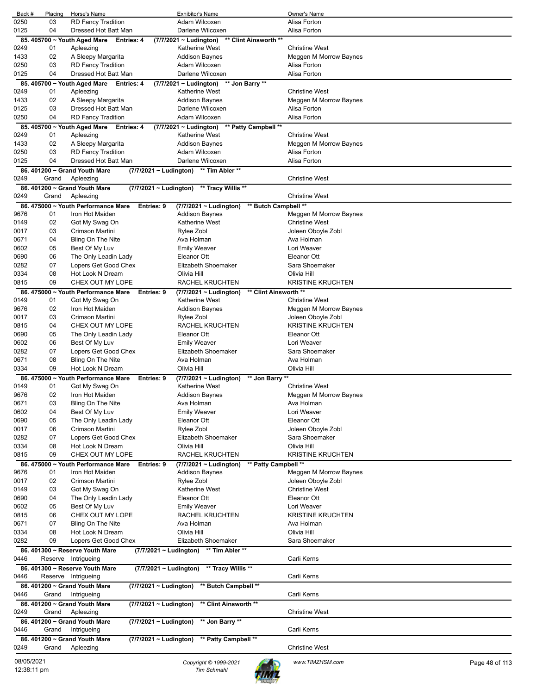| Back # | Placing | Horse's Name                                              | <b>Exhibitor's Name</b>                             | Owner's Name             |
|--------|---------|-----------------------------------------------------------|-----------------------------------------------------|--------------------------|
| 0250   | 03      | <b>RD Fancy Tradition</b>                                 | Adam Wilcoxen                                       | Alisa Forton             |
| 0125   | 04      | Dressed Hot Batt Man                                      | Darlene Wilcoxen                                    | Alisa Forton             |
|        |         | 85. 405700 ~ Youth Aged Mare<br><b>Entries: 4</b>         | ** Clint Ainsworth **<br>(7/7/2021 ~ Ludington)     |                          |
| 0249   | 01      | Apleezing                                                 | <b>Katherine West</b>                               | <b>Christine West</b>    |
| 1433   | 02      | A Sleepy Margarita                                        | <b>Addison Baynes</b>                               | Meggen M Morrow Baynes   |
| 0250   | 03      | <b>RD Fancy Tradition</b>                                 | Adam Wilcoxen                                       | Alisa Forton             |
| 0125   | 04      | Dressed Hot Batt Man                                      | Darlene Wilcoxen                                    | Alisa Forton             |
|        |         | 85. 405700 ~ Youth Aged Mare<br>Entries: 4                | (7/7/2021 ~ Ludington)<br>** Jon Barry **           |                          |
| 0249   | 01      | Apleezing                                                 | Katherine West                                      | <b>Christine West</b>    |
| 1433   | 02      | A Sleepy Margarita                                        | <b>Addison Baynes</b>                               | Meggen M Morrow Baynes   |
| 0125   | 03      | Dressed Hot Batt Man                                      | Darlene Wilcoxen                                    | Alisa Forton             |
| 0250   | 04      | <b>RD Fancy Tradition</b>                                 | Adam Wilcoxen                                       | Alisa Forton             |
|        |         | 85. 405700 ~ Youth Aged Mare<br>Entries: 4                | (7/7/2021 ~ Ludington)<br>** Patty Campbell **      |                          |
| 0249   | 01      | Apleezing                                                 | <b>Katherine West</b>                               | <b>Christine West</b>    |
| 1433   | 02      | A Sleepy Margarita                                        | <b>Addison Baynes</b>                               | Meggen M Morrow Baynes   |
| 0250   | 03      | <b>RD Fancy Tradition</b>                                 | Adam Wilcoxen                                       | Alisa Forton             |
| 0125   | 04      | Dressed Hot Batt Man                                      | Darlene Wilcoxen                                    | Alisa Forton             |
|        |         |                                                           |                                                     |                          |
|        |         | 86. 401200 ~ Grand Youth Mare                             | (7/7/2021 ~ Ludington) ** Tim Abler **              |                          |
| 0249   | Grand   | Apleezing                                                 |                                                     | <b>Christine West</b>    |
|        |         | 86. 401200 ~ Grand Youth Mare                             | (7/7/2021 ~ Ludington) ** Tracy Willis **           |                          |
| 0249   | Grand   | Apleezing                                                 |                                                     | <b>Christine West</b>    |
|        |         | 86, 475000 ~ Youth Performance Mare<br>Entries: 9         | ** Butch Campbell **<br>$(7/7/2021 \sim$ Ludington) |                          |
| 9676   | 01      | Iron Hot Maiden                                           | <b>Addison Baynes</b>                               | Meggen M Morrow Baynes   |
| 0149   | 02      | Got My Swag On                                            | <b>Katherine West</b>                               | <b>Christine West</b>    |
| 0017   | 03      | Crimson Martini                                           | Rylee Zobl                                          | Joleen Oboyle Zobl       |
| 0671   | 04      | Bling On The Nite                                         | Ava Holman                                          | Ava Holman               |
| 0602   | 05      | Best Of My Luv                                            | <b>Emily Weaver</b>                                 | Lori Weaver              |
| 0690   | 06      | The Only Leadin Lady                                      | Eleanor Ott                                         | Eleanor Ott              |
| 0282   | 07      | Lopers Get Good Chex                                      | Elizabeth Shoemaker                                 | Sara Shoemaker           |
| 0334   | 08      | Hot Look N Dream                                          | Olivia Hill                                         | Olivia Hill              |
|        | 09      | CHEX OUT MY LOPE                                          |                                                     | <b>KRISTINE KRUCHTEN</b> |
| 0815   |         |                                                           | RACHEL KRUCHTEN                                     |                          |
|        |         | 86. 475000 ~ Youth Performance Mare<br>Entries: 9         | (7/7/2021 ~ Ludington)<br>** Clint Ainsworth **     |                          |
| 0149   | 01      | Got My Swag On                                            | Katherine West                                      | <b>Christine West</b>    |
| 9676   | 02      | Iron Hot Maiden                                           | <b>Addison Baynes</b>                               | Meggen M Morrow Baynes   |
| 0017   | 03      | Crimson Martini                                           | Rylee Zobl                                          | Joleen Oboyle Zobl       |
| 0815   | 04      | CHEX OUT MY LOPE                                          | RACHEL KRUCHTEN                                     | <b>KRISTINE KRUCHTEN</b> |
| 0690   | 05      | The Only Leadin Lady                                      | Eleanor Ott                                         | Eleanor Ott              |
| 0602   | 06      | Best Of My Luv                                            | <b>Emily Weaver</b>                                 | Lori Weaver              |
| 0282   | 07      | Lopers Get Good Chex                                      | Elizabeth Shoemaker                                 | Sara Shoemaker           |
| 0671   | 08      | Bling On The Nite                                         | Ava Holman                                          | Ava Holman               |
| 0334   | 09      | Hot Look N Dream                                          | Olivia Hill                                         | Olivia Hill              |
|        |         | 86. 475000 ~ Youth Performance Mare<br>Entries: 9         | ** Jon Barry **<br>(7/7/2021 ~ Ludington)           |                          |
| 0149   | 01      | Got My Swag On                                            | Katherine West                                      | <b>Christine West</b>    |
| 9676   | 02      | Iron Hot Maiden                                           | <b>Addison Baynes</b>                               | Meggen M Morrow Baynes   |
| 0671   | 03      | Bling On The Nite                                         |                                                     |                          |
|        |         |                                                           | Ava Holman                                          | Ava Holman               |
| 0602   | 04      | Best Of My Luv                                            | <b>Emily Weaver</b>                                 | Lori Weaver              |
| 0690   | 05      | The Only Leadin Lady                                      | Eleanor Ott                                         | Eleanor Ott              |
| 0017   | 06      | Crimson Martini                                           | Rylee Zobl                                          | Joleen Oboyle Zobl       |
| 0282   | 07      | Lopers Get Good Chex                                      | Elizabeth Shoemaker                                 | Sara Shoemaker           |
| 0334   | 08      | Hot Look N Dream                                          | Olivia Hill                                         | Olivia Hill              |
| 0815   | 09      | CHEX OUT MY LOPE                                          | RACHEL KRUCHTEN                                     | <b>KRISTINE KRUCHTEN</b> |
|        |         | 86. 475000 ~ Youth Performance Mare<br>Entries: 9         | ** Patty Campbell **<br>(7/7/2021 ~ Ludington)      |                          |
| 9676   | 01      | Iron Hot Maiden                                           | <b>Addison Baynes</b>                               | Meggen M Morrow Baynes   |
| 0017   | 02      | Crimson Martini                                           | Rylee Zobl                                          | Joleen Oboyle Zobl       |
| 0149   | 03      | Got My Swag On                                            | Katherine West                                      | <b>Christine West</b>    |
| 0690   | 04      | The Only Leadin Lady                                      | Eleanor Ott                                         | Eleanor Ott              |
| 0602   | 05      | Best Of My Luv                                            | <b>Emily Weaver</b>                                 | Lori Weaver              |
| 0815   | 06      | CHEX OUT MY LOPE                                          | RACHEL KRUCHTEN                                     | <b>KRISTINE KRUCHTEN</b> |
| 0671   | 07      | Bling On The Nite                                         | Ava Holman                                          | Ava Holman               |
| 0334   | 08      | Hot Look N Dream                                          | Olivia Hill                                         | Olivia Hill              |
| 0282   | 09      |                                                           | Elizabeth Shoemaker                                 | Sara Shoemaker           |
|        |         | Lopers Get Good Chex                                      |                                                     |                          |
|        |         | 86. 401300 ~ Reserve Youth Mare                           | (7/7/2021 ~ Ludington) ** Tim Abler **              |                          |
| 0446   |         | Reserve Intrigueing                                       |                                                     | Carli Kerns              |
|        |         | 86. 401300 ~ Reserve Youth Mare<br>(7/7/2021 ~ Ludington) | ** Tracy Willis **                                  |                          |
| 0446   |         | Reserve Intrigueing                                       |                                                     | Carli Kerns              |
|        |         | 86. 401200 ~ Grand Youth Mare<br>(7/7/2021 ~ Ludington)   | ** Butch Campbell **                                |                          |
| 0446   | Grand   | Intrigueing                                               |                                                     | Carli Kerns              |
|        |         | 86. 401200 ~ Grand Youth Mare<br>(7/7/2021 ~ Ludington)   | ** Clint Ainsworth **                               |                          |
| 0249   | Grand   | Apleezing                                                 |                                                     | <b>Christine West</b>    |
|        |         |                                                           |                                                     |                          |
|        |         | 86. 401200 ~ Grand Youth Mare<br>(7/7/2021 ~ Ludington)   | ** Jon Barry **                                     |                          |
| 0446   | Grand   | Intrigueing                                               |                                                     | Carli Kerns              |
|        |         | 86. 401200 ~ Grand Youth Mare<br>(7/7/2021 ~ Ludington)   | ** Patty Campbell **                                |                          |
| 0249   | Grand   | Apleezing                                                 |                                                     | <b>Christine West</b>    |
|        |         |                                                           |                                                     |                          |

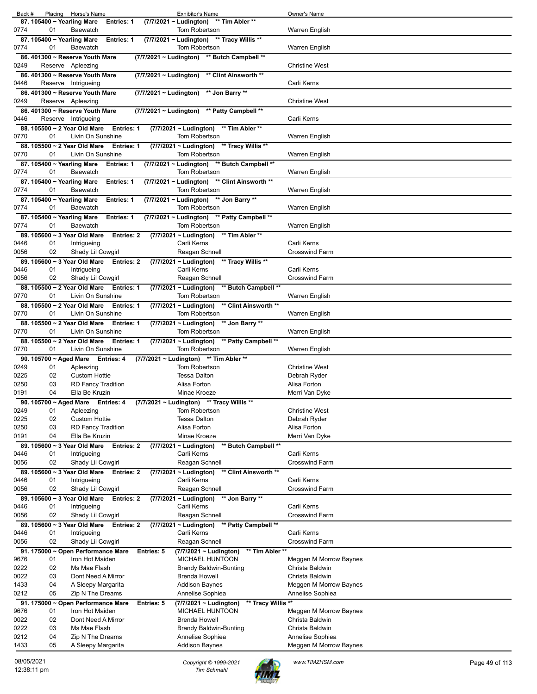| Back #       |                        | Placing Horse's Name                                                   |                             | <b>Exhibitor's Name</b>                                                 | Owner's Name                               |
|--------------|------------------------|------------------------------------------------------------------------|-----------------------------|-------------------------------------------------------------------------|--------------------------------------------|
|              |                        | 87. 105400 ~ Yearling Mare<br>Entries: 1                               |                             | ** Tim Abler **<br>(7/7/2021 ~ Ludington)                               |                                            |
| 0774         | 01                     | Baewatch                                                               |                             | <b>Tom Robertson</b>                                                    | Warren English                             |
| 0774         | 01                     | 87. 105400 ~ Yearling Mare<br><b>Entries: 1</b><br>Baewatch            |                             | (7/7/2021 ~ Ludington) ** Tracy Willis **<br><b>Tom Robertson</b>       | Warren English                             |
|              |                        | 86. 401300 ~ Reserve Youth Mare                                        |                             | (7/7/2021 ~ Ludington) ** Butch Campbell **                             |                                            |
| 0249         |                        | Reserve Apleezing                                                      |                             |                                                                         | <b>Christine West</b>                      |
|              |                        | 86.401300 ~ Reserve Youth Mare                                         | (7/7/2021 ~ Ludington)      | ** Clint Ainsworth **                                                   |                                            |
| 0446         |                        | Reserve Intrigueing                                                    |                             |                                                                         | Carli Kerns                                |
|              |                        | 86. 401300 ~ Reserve Youth Mare                                        | $(7/7/2021 \sim$ Ludington) | ** Jon Barry **                                                         |                                            |
| 0249         |                        | Reserve Apleezing                                                      |                             |                                                                         | <b>Christine West</b>                      |
|              |                        | 86.401300 ~ Reserve Youth Mare                                         | (7/7/2021 ~ Ludington)      | ** Patty Campbell **                                                    |                                            |
| 0446         |                        | Reserve Intrigueing                                                    |                             |                                                                         | Carli Kerns                                |
| 0770         | 01                     | 88. 105500 ~ 2 Year Old Mare<br>Entries: 1<br>Livin On Sunshine        |                             | (7/7/2021 ~ Ludington) ** Tim Abler **<br>Tom Robertson                 | Warren English                             |
|              |                        | 88. 105500 ~ 2 Year Old Mare<br>Entries: 1                             |                             | (7/7/2021 ~ Ludington) ** Tracy Willis **                               |                                            |
| 0770         | 01                     | Livin On Sunshine                                                      |                             | <b>Tom Robertson</b>                                                    | Warren English                             |
|              |                        | 87. 105400 ~ Yearling Mare<br><b>Entries: 1</b>                        |                             | (7/7/2021 ~ Ludington)<br>** Butch Campbell **                          |                                            |
| 0774         | 01                     | <b>Baewatch</b>                                                        |                             | Tom Robertson                                                           | Warren English                             |
|              |                        | 87. 105400 ~ Yearling Mare<br><b>Entries: 1</b>                        |                             | (7/7/2021 ~ Ludington) ** Clint Ainsworth **                            |                                            |
| 0774         | 01                     | Baewatch                                                               |                             | <b>Tom Robertson</b>                                                    | <b>Warren English</b>                      |
|              |                        | 87. 105400 ~ Yearling Mare<br><b>Entries: 1</b>                        |                             | (7/7/2021 ~ Ludington)<br>** Jon Barry **                               |                                            |
| 0774         | 01                     | <b>Baewatch</b>                                                        |                             | <b>Tom Robertson</b>                                                    | Warren English                             |
| 0774         | 01                     | 87. 105400 ~ Yearling Mare<br><b>Entries: 1</b><br>Baewatch            |                             | (7/7/2021 ~ Ludington)<br>** Patty Campbell **<br>Tom Robertson         | Warren English                             |
|              |                        | 89. 105600 ~ 3 Year Old Mare<br><b>Entries: 2</b>                      |                             | $(7/7/2021 \sim$ Ludington)<br>** Tim Abler **                          |                                            |
| 0446         | 01                     | Intrigueing                                                            |                             | Carli Kerns                                                             | Carli Kerns                                |
| 0056         | 02                     | Shady Lil Cowgirl                                                      |                             | Reagan Schnell                                                          | <b>Crosswind Farm</b>                      |
|              |                        | 89. 105600 ~ 3 Year Old Mare<br>Entries: 2                             |                             | (7/7/2021 ~ Ludington) ** Tracy Willis **                               |                                            |
| 0446         | 01                     | Intrigueing                                                            |                             | Carli Kerns                                                             | Carli Kerns                                |
| 0056         | 02                     | Shady Lil Cowgirl                                                      |                             | Reagan Schnell                                                          | <b>Crosswind Farm</b>                      |
|              |                        | 88. 105500 ~ 2 Year Old Mare<br><b>Entries: 1</b>                      |                             | ** Butch Campbell **<br>(7/7/2021 ~ Ludington)                          |                                            |
| 0770         | 01                     | Livin On Sunshine                                                      |                             | Tom Robertson                                                           | Warren English                             |
| 0770         | 01                     | 88. 105500 ~ 2 Year Old Mare<br><b>Entries: 1</b><br>Livin On Sunshine |                             | ** Clint Ainsworth **<br>(7/7/2021 ~ Ludington)<br><b>Tom Robertson</b> | Warren English                             |
|              |                        | 88. 105500 ~ 2 Year Old Mare<br><b>Entries: 1</b>                      |                             | $(7/7/2021 - Ludington)$<br>** Jon Barry **                             |                                            |
|              |                        |                                                                        |                             |                                                                         |                                            |
|              | 01                     |                                                                        |                             |                                                                         |                                            |
| 0770         |                        | Livin On Sunshine<br>88. 105500 ~ 2 Year Old Mare<br>Entries: 1        |                             | <b>Tom Robertson</b>                                                    | Warren English                             |
| 0770         | 01                     | Livin On Sunshine                                                      |                             | (7/7/2021 ~ Ludington) ** Patty Campbell **<br><b>Tom Robertson</b>     | Warren English                             |
|              | 90. 105700 ~ Aged Mare | <b>Entries: 4</b>                                                      |                             | (7/7/2021 ~ Ludington) ** Tim Abler **                                  |                                            |
| 0249         | 01                     | Apleezing                                                              |                             | <b>Tom Robertson</b>                                                    | <b>Christine West</b>                      |
| 0225         | 02                     | <b>Custom Hottie</b>                                                   |                             | <b>Tessa Dalton</b>                                                     | Debrah Ryder                               |
| 0250         | 03                     | <b>RD Fancy Tradition</b>                                              |                             | Alisa Forton                                                            | Alisa Forton                               |
| 0191         | 04                     | Ella Be Kruzin                                                         |                             | Minae Kroeze                                                            | Merri Van Dyke                             |
|              |                        | 90. 105700 ~ Aged Mare Entries: 4                                      |                             | (7/7/2021 ~ Ludington) ** Tracy Willis **                               | <b>Christine West</b>                      |
| 0249<br>0225 | 01<br>02               | Apleezing<br><b>Custom Hottie</b>                                      |                             | Tom Robertson<br><b>Tessa Dalton</b>                                    | Debrah Ryder                               |
| 0250         | 03                     | <b>RD Fancy Tradition</b>                                              |                             | Alisa Forton                                                            | Alisa Forton                               |
| 0191         | 04                     | Ella Be Kruzin                                                         |                             | Minae Kroeze                                                            | Merri Van Dyke                             |
|              |                        | 89. 105600 ~ 3 Year Old Mare<br><b>Entries: 2</b>                      |                             | $(7/7/2021 \sim$ Ludington)<br>** Butch Campbell **                     |                                            |
| 0446         | 01                     | Intrigueing                                                            |                             | Carli Kerns                                                             | Carli Kerns                                |
| 0056         | 02                     | Shady Lil Cowgirl                                                      |                             | Reagan Schnell                                                          | <b>Crosswind Farm</b>                      |
|              |                        | 89. 105600 ~ 3 Year Old Mare<br><b>Entries: 2</b>                      |                             | $(7/7/2021 \sim$ Ludington)<br>** Clint Ainsworth **                    |                                            |
| 0446<br>0056 | 01<br>02               | Intrigueing<br>Shady Lil Cowgirl                                       |                             | Carli Kerns<br>Reagan Schnell                                           | Carli Kerns<br><b>Crosswind Farm</b>       |
|              |                        | 89. 105600 ~ 3 Year Old Mare<br><b>Entries: 2</b>                      |                             | $(7/7/2021 \sim$ Ludington)<br>** Jon Barry **                          |                                            |
| 0446         | 01                     | Intrigueing                                                            |                             | Carli Kerns                                                             | Carli Kerns                                |
| 0056         | 02                     | Shady Lil Cowgirl                                                      |                             | Reagan Schnell                                                          | <b>Crosswind Farm</b>                      |
|              |                        | 89. 105600 ~ 3 Year Old Mare<br>Entries: 2                             |                             | (7/7/2021 ~ Ludington)<br>** Patty Campbell **                          |                                            |
| 0446         | 01                     | Intrigueing                                                            |                             | Carli Kerns                                                             | Carli Kerns                                |
| 0056         | 02                     | Shady Lil Cowgirl                                                      |                             | Reagan Schnell                                                          | <b>Crosswind Farm</b>                      |
|              |                        | 91. 175000 ~ Open Performance Mare                                     | <b>Entries: 5</b>           | (7/7/2021 ~ Ludington)<br>** Tim Abler **                               |                                            |
| 9676<br>0222 | 01<br>02               | Iron Hot Maiden<br>Ms Mae Flash                                        |                             | MICHAEL HUNTOON                                                         | Meggen M Morrow Baynes<br>Christa Baldwin  |
| 0022         | 03                     | Dont Need A Mirror                                                     |                             | <b>Brandy Baldwin-Bunting</b><br><b>Brenda Howell</b>                   | Christa Baldwin                            |
| 1433         | 04                     | A Sleepy Margarita                                                     |                             | <b>Addison Baynes</b>                                                   | Meggen M Morrow Baynes                     |
| 0212         | 05                     | Zip N The Dreams                                                       |                             | Annelise Sophiea                                                        | Annelise Sophiea                           |
|              |                        | 91. 175000 ~ Open Performance Mare                                     | <b>Entries: 5</b>           | ** Tracy Willis **<br>(7/7/2021 ~ Ludington)                            |                                            |
| 9676         | 01                     | Iron Hot Maiden                                                        |                             | MICHAEL HUNTOON                                                         | Meggen M Morrow Baynes                     |
| 0022         | 02                     | Dont Need A Mirror                                                     |                             | <b>Brenda Howell</b>                                                    | Christa Baldwin                            |
| 0222         | 03                     | Ms Mae Flash                                                           |                             | <b>Brandy Baldwin-Bunting</b>                                           | Christa Baldwin                            |
| 0212<br>1433 | 04<br>05               | Zip N The Dreams<br>A Sleepy Margarita                                 |                             | Annelise Sophiea<br><b>Addison Baynes</b>                               | Annelise Sophiea<br>Meggen M Morrow Baynes |

08/05/2021 *Copyright © 1999-2021 Tim Schmahl www.TIMZHSM.com* Page 49 of 113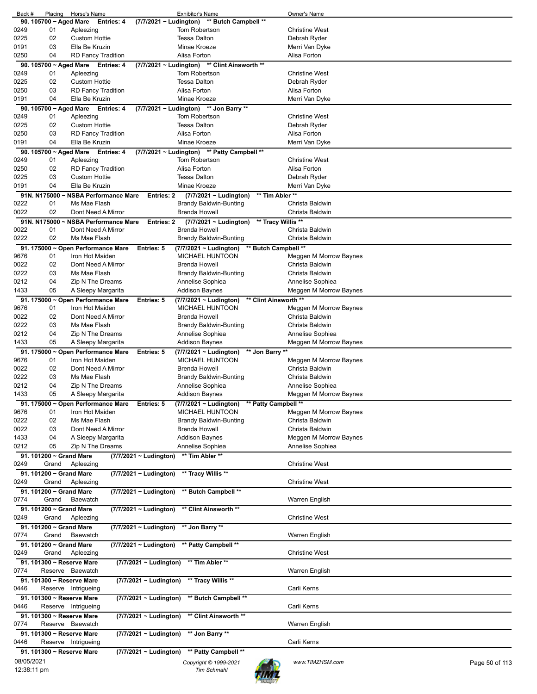| Back #      | Placing                   | Horse's Name                       |                             | <b>Exhibitor's Name</b>                      |                       | Owner's Name           |                |
|-------------|---------------------------|------------------------------------|-----------------------------|----------------------------------------------|-----------------------|------------------------|----------------|
|             | 90. 105700 ~ Aged Mare    | <b>Entries: 4</b>                  | (7/7/2021 ~ Ludington)      | ** Butch Campbell **                         |                       |                        |                |
| 0249        | 01                        | Apleezing                          |                             | Tom Robertson                                |                       | <b>Christine West</b>  |                |
| 0225        | 02                        | <b>Custom Hottie</b>               |                             | <b>Tessa Dalton</b>                          |                       | Debrah Ryder           |                |
| 0191        | 03                        | Ella Be Kruzin                     |                             | Minae Kroeze                                 |                       | Merri Van Dyke         |                |
|             |                           |                                    |                             |                                              |                       |                        |                |
| 0250        | 04                        | <b>RD Fancy Tradition</b>          |                             | Alisa Forton                                 |                       | Alisa Forton           |                |
|             | 90. 105700 ~ Aged Mare    | Entries: 4                         |                             | (7/7/2021 ~ Ludington) ** Clint Ainsworth ** |                       |                        |                |
| 0249        | 01                        | Apleezing                          |                             | Tom Robertson                                |                       | <b>Christine West</b>  |                |
| 0225        | 02                        | <b>Custom Hottie</b>               |                             | <b>Tessa Dalton</b>                          |                       | Debrah Ryder           |                |
| 0250        | 03                        |                                    |                             | Alisa Forton                                 |                       |                        |                |
|             |                           | <b>RD Fancy Tradition</b>          |                             |                                              |                       | Alisa Forton           |                |
| 0191        | 04                        | Ella Be Kruzin                     |                             | Minae Kroeze                                 |                       | Merri Van Dyke         |                |
|             | 90. 105700 ~ Aged Mare    | Entries: 4                         | (7/7/2021 ~ Ludington)      | ** Jon Barry **                              |                       |                        |                |
| 0249        | 01                        | Apleezing                          |                             | Tom Robertson                                |                       | <b>Christine West</b>  |                |
| 0225        | 02                        | <b>Custom Hottie</b>               |                             | <b>Tessa Dalton</b>                          |                       | Debrah Ryder           |                |
|             | 03                        |                                    |                             | Alisa Forton                                 |                       |                        |                |
| 0250        |                           | <b>RD Fancy Tradition</b>          |                             |                                              |                       | Alisa Forton           |                |
| 0191        | 04                        | Ella Be Kruzin                     |                             | Minae Kroeze                                 |                       | Merri Van Dyke         |                |
|             | 90. 105700 ~ Aged Mare    | Entries: 4                         |                             | (7/7/2021 ~ Ludington) ** Patty Campbell **  |                       |                        |                |
| 0249        | 01                        | Apleezing                          |                             | Tom Robertson                                |                       | <b>Christine West</b>  |                |
| 0250        | 02                        | <b>RD Fancy Tradition</b>          |                             | Alisa Forton                                 |                       | Alisa Forton           |                |
|             |                           |                                    |                             |                                              |                       |                        |                |
| 0225        | 03                        | <b>Custom Hottie</b>               |                             | <b>Tessa Dalton</b>                          |                       | Debrah Ryder           |                |
| 0191        | 04                        | Ella Be Kruzin                     |                             | Minae Kroeze                                 |                       | Merri Van Dyke         |                |
|             | 91N. N175000              | ~ NSBA Performance Mare            | Entries: 2                  | $(7/7/2021 \sim$ Ludington)                  | ** Tim Abler **       |                        |                |
| 0222        | 01                        | Ms Mae Flash                       |                             | <b>Brandy Baldwin-Bunting</b>                |                       | Christa Baldwin        |                |
| 0022        | 02                        | Dont Need A Mirror                 |                             | <b>Brenda Howell</b>                         |                       | Christa Baldwin        |                |
|             |                           |                                    |                             |                                              |                       |                        |                |
|             | 91N. N175000              | <b>NSBA Performance Mare</b>       | <b>Entries: 2</b>           | (7/7/2021 ~ Ludington)                       | ** Tracy Willis **    |                        |                |
| 0022        | 01                        | Dont Need A Mirror                 |                             | <b>Brenda Howell</b>                         |                       | Christa Baldwin        |                |
| 0222        | 02                        | Ms Mae Flash                       |                             | <b>Brandy Baldwin-Bunting</b>                |                       | Christa Baldwin        |                |
|             |                           |                                    |                             |                                              |                       |                        |                |
|             |                           | 91. 175000 ~ Open Performance Mare | Entries: 5                  | (7/7/2021 ~ Ludington)                       | ** Butch Campbell **  |                        |                |
| 9676        | 01                        | Iron Hot Maiden                    |                             | <b>MICHAEL HUNTOON</b>                       |                       | Meggen M Morrow Baynes |                |
| 0022        | 02                        | Dont Need A Mirror                 |                             | Brenda Howell                                |                       | Christa Baldwin        |                |
| 0222        | 03                        | Ms Mae Flash                       |                             | <b>Brandy Baldwin-Bunting</b>                |                       | Christa Baldwin        |                |
| 0212        | 04                        | Zip N The Dreams                   |                             | Annelise Sophiea                             |                       | Annelise Sophiea       |                |
|             |                           |                                    |                             |                                              |                       |                        |                |
| 1433        | 05                        | A Sleepy Margarita                 |                             | Addison Baynes                               |                       | Meggen M Morrow Baynes |                |
|             |                           | 91. 175000 ~ Open Performance Mare | Entries: 5                  | (7/7/2021 ~ Ludington)                       | ** Clint Ainsworth ** |                        |                |
| 9676        | 01                        | Iron Hot Maiden                    |                             | <b>MICHAEL HUNTOON</b>                       |                       | Meggen M Morrow Baynes |                |
| 0022        | 02                        | Dont Need A Mirror                 |                             | <b>Brenda Howell</b>                         |                       | Christa Baldwin        |                |
| 0222        | 03                        | Ms Mae Flash                       |                             | Brandy Baldwin-Bunting                       |                       | Christa Baldwin        |                |
|             |                           |                                    |                             |                                              |                       |                        |                |
| 0212        | 04                        | Zip N The Dreams                   |                             | Annelise Sophiea                             |                       | Annelise Sophiea       |                |
| 1433        | 05                        | A Sleepy Margarita                 |                             | Addison Baynes                               |                       | Meggen M Morrow Baynes |                |
|             |                           | 91. 175000 ~ Open Performance Mare | <b>Entries: 5</b>           | (7/7/2021 ~ Ludington)                       | ** Jon Barry **       |                        |                |
| 9676        | 01                        | Iron Hot Maiden                    |                             | <b>MICHAEL HUNTOON</b>                       |                       | Meggen M Morrow Baynes |                |
| 0022        | 02                        | Dont Need A Mirror                 |                             | <b>Brenda Howell</b>                         |                       | Christa Baldwin        |                |
|             |                           |                                    |                             |                                              |                       |                        |                |
| 0222        | 03                        | Ms Mae Flash                       |                             | Brandy Baldwin-Bunting                       |                       | Christa Baldwin        |                |
| 0212        | 04                        | Zip N The Dreams                   |                             | Annelise Sophiea                             |                       | Annelise Sophiea       |                |
| 1433        | 05                        | A Sleepy Margarita                 |                             | <b>Addison Baynes</b>                        |                       | Meggen M Morrow Baynes |                |
|             |                           | 91. 175000 ~ Open Performance Mare | Entries: 5                  | (7/7/2021 ~ Ludington) ** Patty Campbell **  |                       |                        |                |
|             |                           |                                    |                             |                                              |                       |                        |                |
| 9676        | 01                        | Iron Hot Maiden                    |                             | <b>MICHAEL HUNTOON</b>                       |                       | Meggen M Morrow Baynes |                |
| 0222        | 02                        | Ms Mae Flash                       |                             | <b>Brandy Baldwin-Bunting</b>                |                       | Christa Baldwin        |                |
| 0022        | 03                        | Dont Need A Mirror                 |                             | Brenda Howell                                |                       | Christa Baldwin        |                |
| 1433        | 04                        | A Sleepy Margarita                 |                             | Addison Baynes                               |                       | Meggen M Morrow Baynes |                |
| 0212        | 05                        | Zip N The Dreams                   |                             | Annelise Sophiea                             |                       | Annelise Sophiea       |                |
|             |                           |                                    |                             |                                              |                       |                        |                |
|             | 91. 101200 ~ Grand Mare   |                                    | $(7/7/2021 \sim$ Ludington) | ** Tim Abler **                              |                       |                        |                |
| 0249        | Grand                     | Apleezing                          |                             |                                              |                       | <b>Christine West</b>  |                |
|             | 91. 101200 ~ Grand Mare   |                                    | (7/7/2021 ~ Ludington)      | ** Tracy Willis **                           |                       |                        |                |
| 0249        | Grand                     | Apleezing                          |                             |                                              |                       | <b>Christine West</b>  |                |
|             |                           |                                    |                             |                                              |                       |                        |                |
|             | 91. 101200 ~ Grand Mare   |                                    | (7/7/2021 ~ Ludington)      | ** Butch Campbell **                         |                       |                        |                |
| 0774        | Grand                     | Baewatch                           |                             |                                              |                       | Warren English         |                |
|             | 91. 101200 ~ Grand Mare   |                                    | $(7/7/2021 \sim$ Ludington) | ** Clint Ainsworth **                        |                       |                        |                |
| 0249        | Grand                     | Apleezing                          |                             |                                              |                       | <b>Christine West</b>  |                |
|             |                           |                                    |                             |                                              |                       |                        |                |
|             | 91. 101200 ~ Grand Mare   |                                    | (7/7/2021 ~ Ludington)      | ** Jon Barry **                              |                       |                        |                |
| 0774        | Grand                     | Baewatch                           |                             |                                              |                       | Warren English         |                |
|             | 91. 101200 ~ Grand Mare   |                                    | (7/7/2021 ~ Ludington)      | ** Patty Campbell **                         |                       |                        |                |
| 0249        | Grand                     | Apleezing                          |                             |                                              |                       | <b>Christine West</b>  |                |
|             |                           |                                    |                             |                                              |                       |                        |                |
|             | 91. 101300 ~ Reserve Mare |                                    | (7/7/2021 ~ Ludington)      | ** Tim Abler **                              |                       |                        |                |
| 0774        |                           | Reserve Baewatch                   |                             |                                              |                       | Warren English         |                |
|             | 91. 101300 ~ Reserve Mare |                                    | (7/7/2021 ~ Ludington)      | ** Tracy Willis **                           |                       |                        |                |
| 0446        |                           | Reserve Intrigueing                |                             |                                              |                       | Carli Kerns            |                |
|             |                           |                                    |                             |                                              |                       |                        |                |
|             | 91. 101300 ~ Reserve Mare |                                    | $(7/7/2021 \sim$ Ludington) | ** Butch Campbell **                         |                       |                        |                |
| 0446        |                           | Reserve Intrigueing                |                             |                                              |                       | Carli Kerns            |                |
|             | 91. 101300 ~ Reserve Mare |                                    | (7/7/2021 ~ Ludington)      | ** Clint Ainsworth **                        |                       |                        |                |
| 0774        |                           | Reserve Baewatch                   |                             |                                              |                       | Warren English         |                |
|             |                           |                                    |                             |                                              |                       |                        |                |
|             | 91. 101300 ~ Reserve Mare |                                    | (7/7/2021 ~ Ludington)      | ** Jon Barry **                              |                       |                        |                |
| 0446        |                           | Reserve Intrigueing                |                             |                                              |                       | Carli Kerns            |                |
|             | 91. 101300 ~ Reserve Mare |                                    | (7/7/2021 ~ Ludington)      | ** Patty Campbell **                         |                       |                        |                |
| 08/05/2021  |                           |                                    |                             | Copyright © 1999-2021                        |                       | www.TIMZHSM.com        |                |
| 12:38:11 pm |                           |                                    |                             | <b>Tim Schmahl</b>                           |                       |                        | Page 50 of 113 |
|             |                           |                                    |                             |                                              |                       |                        |                |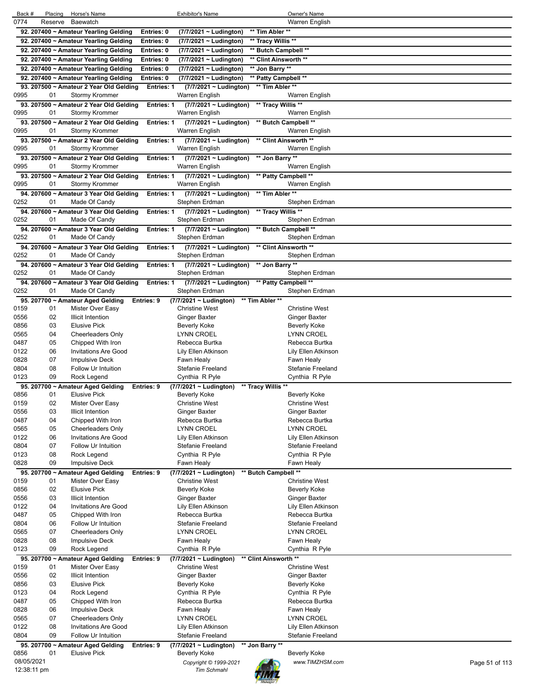| Back #       |             | Placing | Horse's Name                                                     |                   | <b>Exhibitor's Name</b>                       |                       | Owner's Name                         |                |
|--------------|-------------|---------|------------------------------------------------------------------|-------------------|-----------------------------------------------|-----------------------|--------------------------------------|----------------|
| 0774         | Reserve     |         | Baewatch                                                         |                   |                                               |                       | Warren English                       |                |
|              |             |         | 92. 207400 ~ Amateur Yearling Gelding                            | Entries: 0        | (7/7/2021 ~ Ludington)                        | ** Tim Abler **       |                                      |                |
|              |             |         | 92. 207400 ~ Amateur Yearling Gelding                            | Entries: 0        | (7/7/2021 ~ Ludington)                        | ** Tracy Willis **    |                                      |                |
|              |             |         | 92. 207400 ~ Amateur Yearling Gelding                            | Entries: 0        | (7/7/2021 ~ Ludington)                        | ** Butch Campbell **  |                                      |                |
|              |             |         | 92. 207400 ~ Amateur Yearling Gelding                            | Entries: 0        | (7/7/2021 ~ Ludington)                        | ** Clint Ainsworth ** |                                      |                |
|              |             |         | 92. 207400 ~ Amateur Yearling Gelding                            | Entries: 0        | (7/7/2021 ~ Ludington)                        | ** Jon Barry **       |                                      |                |
|              |             |         | 92. 207400 ~ Amateur Yearling Gelding                            | Entries: 0        | (7/7/2021 ~ Ludington)                        | ** Patty Campbell **  |                                      |                |
| 0995         | 01          |         | 93. 207500 ~ Amateur 2 Year Old Gelding<br><b>Stormy Krommer</b> | Entries: 1        | (7/7/2021 ~ Ludington)<br>Warren English      | ** Tim Abler **       | Warren English                       |                |
|              |             |         | 93. 207500 ~ Amateur 2 Year Old Gelding                          | <b>Entries: 1</b> | $(7/7/2021 \sim$ Ludington)                   | ** Tracy Willis **    |                                      |                |
| 0995         | 01          |         | <b>Stormy Krommer</b>                                            |                   | Warren English                                |                       | Warren English                       |                |
|              |             |         | 93. 207500 ~ Amateur 2 Year Old Gelding                          | Entries: 1        | $(7/7/2021 \sim$ Ludington)                   | ** Butch Campbell **  |                                      |                |
| 0995         | 01          |         | Stormy Krommer                                                   |                   | Warren English                                |                       | Warren English                       |                |
|              |             |         | 93. 207500 ~ Amateur 2 Year Old Gelding                          | Entries: 1        | $(7/7/2021 \sim$ Ludington)                   | ** Clint Ainsworth ** |                                      |                |
| 0995         | 01          |         | <b>Stormy Krommer</b>                                            |                   | Warren English                                |                       | Warren English                       |                |
|              |             |         | 93. 207500 ~ Amateur 2 Year Old Gelding                          | <b>Entries: 1</b> | (7/7/2021 ~ Ludington)                        | ** Jon Barry **       |                                      |                |
| 0995         | 01          |         | <b>Stormy Krommer</b>                                            |                   | Warren English                                |                       | Warren English                       |                |
|              |             |         | 93. 207500 ~ Amateur 2 Year Old Gelding                          | Entries: 1        | $(7/7/2021 \sim$ Ludington)                   | ** Patty Campbell **  |                                      |                |
| 0995         | 01          |         | <b>Stormy Krommer</b>                                            |                   | Warren English                                |                       | Warren English                       |                |
|              |             |         | 94. 207600 ~ Amateur 3 Year Old Gelding                          | Entries: 1        | (7/7/2021 ~ Ludington)                        | ** Tim Abler **       |                                      |                |
| 0252         | 01          |         | Made Of Candy                                                    |                   | Stephen Erdman                                |                       | Stephen Erdman                       |                |
|              |             |         | 94. 207600 ~ Amateur 3 Year Old Gelding                          | Entries: 1        | (7/7/2021 ~ Ludington)                        | ** Tracy Willis **    |                                      |                |
| 0252         | 01          |         | Made Of Candy                                                    |                   | Stephen Erdman                                |                       | Stephen Erdman                       |                |
|              |             |         | 94. 207600 ~ Amateur 3 Year Old Gelding                          | Entries: 1        | (7/7/2021 ~ Ludington)                        | ** Butch Campbell **  |                                      |                |
| 0252         | 01          |         | Made Of Candy                                                    |                   | Stephen Erdman                                |                       | Stephen Erdman                       |                |
| 0252         | 01          |         | 94. 207600 ~ Amateur 3 Year Old Gelding<br>Made Of Candy         | <b>Entries: 1</b> | $(7/7/2021 \sim$ Ludington)<br>Stephen Erdman | ** Clint Ainsworth ** | Stephen Erdman                       |                |
|              |             |         | 94. 207600 ~ Amateur 3 Year Old Gelding                          |                   |                                               | ** Jon Barry **       |                                      |                |
| 0252         | 01          |         | Made Of Candy                                                    | Entries: 1        | (7/7/2021 ~ Ludington)<br>Stephen Erdman      |                       | Stephen Erdman                       |                |
|              |             |         | 94. 207600 ~ Amateur 3 Year Old Gelding                          | Entries: 1        | (7/7/2021 ~ Ludington) ** Patty Campbell **   |                       |                                      |                |
| 0252         | 01          |         | Made Of Candy                                                    |                   | Stephen Erdman                                |                       | Stephen Erdman                       |                |
|              |             |         | 95. 207700 ~ Amateur Aged Gelding                                | Entries: 9        | (7/7/2021 ~ Ludington)                        | ** Tim Abler **       |                                      |                |
| 0159         | 01          |         | Mister Over Easy                                                 |                   | <b>Christine West</b>                         |                       | <b>Christine West</b>                |                |
| 0556         | 02          |         | <b>Illicit Intention</b>                                         |                   | <b>Ginger Baxter</b>                          |                       | Ginger Baxter                        |                |
| 0856         | 03          |         | <b>Elusive Pick</b>                                              |                   | <b>Beverly Koke</b>                           |                       | <b>Beverly Koke</b>                  |                |
| 0565         | 04          |         | Cheerleaders Only                                                |                   | <b>LYNN CROEL</b>                             |                       | <b>LYNN CROEL</b>                    |                |
| 0487         | 05          |         | Chipped With Iron                                                |                   | Rebecca Burtka                                |                       | Rebecca Burtka                       |                |
| 0122         | 06          |         | <b>Invitations Are Good</b>                                      |                   | Lily Ellen Atkinson                           |                       | Lily Ellen Atkinson                  |                |
| 0828         | 07          |         | <b>Impulsive Deck</b>                                            |                   | Fawn Healy                                    |                       | Fawn Healy                           |                |
| 0804         | 08<br>09    |         | Follow Ur Intuition                                              |                   | <b>Stefanie Freeland</b>                      |                       | Stefanie Freeland                    |                |
| 0123         |             |         | Rock Legend                                                      |                   | Cynthia R Pyle                                |                       | Cynthia R Pyle                       |                |
| 0856         | 01          |         | 95. 207700 ~ Amateur Aged Gelding<br><b>Elusive Pick</b>         | Entries: 9        | (7/7/2021 ~ Ludington)<br>Beverly Koke        | ** Tracy Willis **    | Beverly Koke                         |                |
| 0159         | 02          |         | Mister Over Easy                                                 |                   | <b>Christine West</b>                         |                       | <b>Christine West</b>                |                |
| 0556         | 03          |         | <b>Illicit Intention</b>                                         |                   | Ginger Baxter                                 |                       | Ginger Baxter                        |                |
| 0487         | 04          |         | Chipped With Iron                                                |                   | Rebecca Burtka                                |                       | Rebecca Burtka                       |                |
| 0565         | 05          |         | <b>Cheerleaders Only</b>                                         |                   | <b>LYNN CROEL</b>                             |                       | <b>LYNN CROEL</b>                    |                |
| 0122         | 06          |         | <b>Invitations Are Good</b>                                      |                   | Lily Ellen Atkinson                           |                       | Lily Ellen Atkinson                  |                |
| 0804         | 07          |         | Follow Ur Intuition                                              |                   | <b>Stefanie Freeland</b>                      |                       | <b>Stefanie Freeland</b>             |                |
| 0123         | 08          |         | Rock Legend                                                      |                   | Cynthia R Pyle                                |                       | Cynthia R Pyle                       |                |
| 0828         | 09          |         | <b>Impulsive Deck</b>                                            |                   | Fawn Healy                                    |                       | Fawn Healy                           |                |
|              |             |         | 95. 207700 ~ Amateur Aged Gelding                                | Entries: 9        | (7/7/2021 ~ Ludington)                        | ** Butch Campbell **  |                                      |                |
| 0159         | 01          |         | Mister Over Easy                                                 |                   | <b>Christine West</b>                         |                       | <b>Christine West</b>                |                |
| 0856         | 02          |         | <b>Elusive Pick</b>                                              |                   | <b>Beverly Koke</b>                           |                       | <b>Beverly Koke</b>                  |                |
| 0556<br>0122 | 03<br>04    |         | <b>Illicit Intention</b><br><b>Invitations Are Good</b>          |                   | <b>Ginger Baxter</b><br>Lily Ellen Atkinson   |                       | Ginger Baxter<br>Lily Ellen Atkinson |                |
| 0487         | 05          |         | Chipped With Iron                                                |                   | Rebecca Burtka                                |                       | Rebecca Burtka                       |                |
| 0804         | 06          |         | Follow Ur Intuition                                              |                   | <b>Stefanie Freeland</b>                      |                       | Stefanie Freeland                    |                |
| 0565         | 07          |         | <b>Cheerleaders Only</b>                                         |                   | LYNN CROEL                                    |                       | <b>LYNN CROEL</b>                    |                |
| 0828         | 08          |         | <b>Impulsive Deck</b>                                            |                   | Fawn Healy                                    |                       | Fawn Healy                           |                |
| 0123         | 09          |         | Rock Legend                                                      |                   | Cynthia R Pyle                                |                       | Cynthia R Pyle                       |                |
|              |             |         | 95. 207700 ~ Amateur Aged Gelding                                | Entries: 9        | (7/7/2021 ~ Ludington)                        | ** Clint Ainsworth ** |                                      |                |
| 0159         | 01          |         | Mister Over Easy                                                 |                   | <b>Christine West</b>                         |                       | <b>Christine West</b>                |                |
| 0556         | 02          |         | <b>Illicit Intention</b>                                         |                   | <b>Ginger Baxter</b>                          |                       | <b>Ginger Baxter</b>                 |                |
| 0856         | 03          |         | <b>Elusive Pick</b>                                              |                   | Beverly Koke                                  |                       | Beverly Koke                         |                |
| 0123         | 04          |         | Rock Legend                                                      |                   | Cynthia R Pyle                                |                       | Cynthia R Pyle                       |                |
| 0487         | 05          |         | Chipped With Iron                                                |                   | Rebecca Burtka                                |                       | Rebecca Burtka                       |                |
| 0828<br>0565 | 06<br>07    |         | <b>Impulsive Deck</b><br><b>Cheerleaders Only</b>                |                   | Fawn Healy<br>LYNN CROEL                      |                       | Fawn Healy<br><b>LYNN CROEL</b>      |                |
| 0122         | 08          |         | <b>Invitations Are Good</b>                                      |                   | Lily Ellen Atkinson                           |                       | Lily Ellen Atkinson                  |                |
| 0804         | 09          |         | Follow Ur Intuition                                              |                   | <b>Stefanie Freeland</b>                      |                       | Stefanie Freeland                    |                |
|              |             |         | 95. 207700 ~ Amateur Aged Gelding                                | Entries: 9        | $(7/7/2021 -$ Ludington)                      | ** Jon Barry **       |                                      |                |
| 0856         | 01          |         | <b>Elusive Pick</b>                                              |                   | Beverly Koke                                  |                       | <b>Beverly Koke</b>                  |                |
|              | 08/05/2021  |         |                                                                  |                   | Copyright © 1999-2021                         |                       | www.TIMZHSM.com                      | Page 51 of 113 |
|              | 12:38:11 pm |         |                                                                  |                   | <b>Tim Schmahl</b>                            |                       |                                      |                |
|              |             |         |                                                                  |                   |                                               |                       |                                      |                |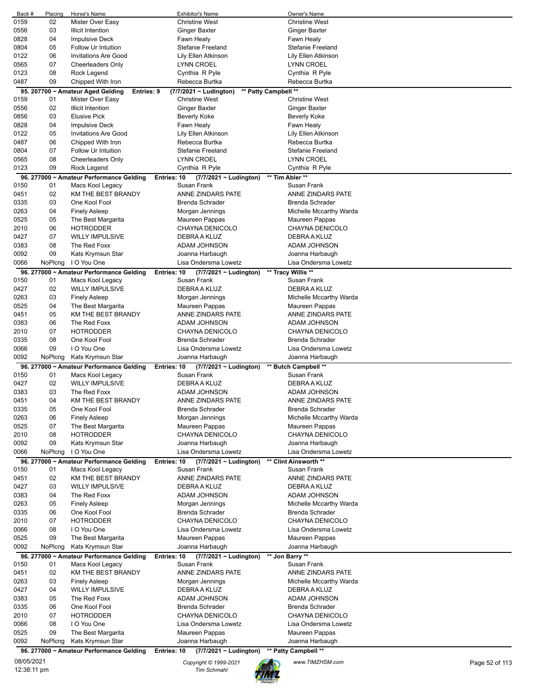| Back #                    | Placing | Horse's Name                             | <b>Exhibitor's Name</b>                    | Owner's Name            |                |
|---------------------------|---------|------------------------------------------|--------------------------------------------|-------------------------|----------------|
| 0159                      | 02      | Mister Over Easy                         | <b>Christine West</b>                      | <b>Christine West</b>   |                |
| 0556                      | 03      | <b>Illicit Intention</b>                 | <b>Ginger Baxter</b>                       | Ginger Baxter           |                |
| 0828                      | 04      | Impulsive Deck                           | Fawn Healy                                 | Fawn Healy              |                |
| 0804                      |         |                                          |                                            |                         |                |
|                           | 05      | Follow Ur Intuition                      | Stefanie Freeland                          | Stefanie Freeland       |                |
| 0122                      | 06      | <b>Invitations Are Good</b>              | Lily Ellen Atkinson                        | Lily Ellen Atkinson     |                |
| 0565                      | 07      | <b>Cheerleaders Only</b>                 | LYNN CROEL                                 | <b>LYNN CROEL</b>       |                |
| 0123                      | 08      | Rock Legend                              | Cynthia R Pyle                             | Cynthia R Pyle          |                |
| 0487                      | 09      | Chipped With Iron                        | Rebecca Burtka                             | Rebecca Burtka          |                |
|                           |         | Entries: 9                               | (7/7/2021 ~ Ludington)                     | ** Patty Campbell **    |                |
|                           |         | 95. 207700 ~ Amateur Aged Gelding        |                                            | <b>Christine West</b>   |                |
| 0159                      | 01      | Mister Over Easy                         | <b>Christine West</b>                      |                         |                |
| 0556                      | 02      | <b>Illicit Intention</b>                 | Ginger Baxter                              | Ginger Baxter           |                |
| 0856                      | 03      | <b>Elusive Pick</b>                      | <b>Beverly Koke</b>                        | Beverly Koke            |                |
| 0828                      | 04      | Impulsive Deck                           | Fawn Healy                                 | Fawn Healy              |                |
| 0122                      | 05      | <b>Invitations Are Good</b>              | Lily Ellen Atkinson                        | Lily Ellen Atkinson     |                |
| 0487                      | 06      | Chipped With Iron                        | Rebecca Burtka                             | Rebecca Burtka          |                |
|                           |         |                                          |                                            |                         |                |
| 0804                      | 07      | Follow Ur Intuition                      | <b>Stefanie Freeland</b>                   | Stefanie Freeland       |                |
| 0565                      | 08      | <b>Cheerleaders Only</b>                 | LYNN CROEL                                 | <b>LYNN CROEL</b>       |                |
| 0123                      | 09      | Rock Legend                              | Cynthia R Pyle                             | Cynthia R Pyle          |                |
|                           |         | 96. 277000 ~ Amateur Performance Gelding | Entries: 10<br>(7/7/2021 ~ Ludington)      | ** Tim Abler **         |                |
| 0150                      | 01      | Macs Kool Legacy                         | Susan Frank                                | Susan Frank             |                |
| 0451                      | 02      | KM THE BEST BRANDY                       | ANNE ZINDARS PATE                          | ANNE ZINDARS PATE       |                |
|                           |         |                                          |                                            |                         |                |
| 0335                      | 03      | One Kool Fool                            | <b>Brenda Schrader</b>                     | <b>Brenda Schrader</b>  |                |
| 0263                      | 04      | <b>Finely Asleep</b>                     | Morgan Jennings                            | Michelle Mccarthy Warda |                |
| 0525                      | 05      | The Best Margarita                       | Maureen Pappas                             | Maureen Pappas          |                |
| 2010                      | 06      | <b>HOTRODDER</b>                         | CHAYNA DENICOLO                            | CHAYNA DENICOLO         |                |
| 0427                      | 07      | <b>WILLY IMPULSIVE</b>                   | DEBRA A KLUZ                               | DEBRA A KLUZ            |                |
|                           | 08      | The Red Foxx                             | ADAM JOHNSON                               |                         |                |
| 0383                      |         |                                          |                                            | ADAM JOHNSON            |                |
| 0092                      | 09      | Kats Krymsun Star                        | Joanna Harbaugh                            | Joanna Harbaugh         |                |
| 0066                      | NoPlcng | I O You One                              | Lisa Ondersma Lowetz                       | Lisa Ondersma Lowetz    |                |
|                           |         | 96. 277000 ~ Amateur Performance Gelding | Entries: 10<br>$(7/7/2021 \sim$ Ludington) | ** Tracy Willis **      |                |
| 0150                      | 01      | Macs Kool Legacy                         | Susan Frank                                | Susan Frank             |                |
| 0427                      | 02      | <b>WILLY IMPULSIVE</b>                   | DEBRA A KLUZ                               | DEBRA A KLUZ            |                |
|                           |         |                                          |                                            |                         |                |
| 0263                      | 03      | <b>Finely Asleep</b>                     | Morgan Jennings                            | Michelle Mccarthy Warda |                |
| 0525                      | 04      | The Best Margarita                       | Maureen Pappas                             | Maureen Pappas          |                |
| 0451                      | 05      | KM THE BEST BRANDY                       | ANNE ZINDARS PATE                          | ANNE ZINDARS PATE       |                |
| 0383                      | 06      | The Red Foxx                             | ADAM JOHNSON                               | ADAM JOHNSON            |                |
| 2010                      | 07      | <b>HOTRODDER</b>                         | CHAYNA DENICOLO                            | CHAYNA DENICOLO         |                |
|                           | 08      | One Kool Fool                            | <b>Brenda Schrader</b>                     | Brenda Schrader         |                |
| 0335                      |         |                                          |                                            |                         |                |
| 0066                      | 09      | I O You One                              | Lisa Ondersma Lowetz                       | Lisa Ondersma Lowetz    |                |
|                           |         |                                          |                                            |                         |                |
| 0092                      | NoPlcng | Kats Krymsun Star                        | Joanna Harbaugh                            | Joanna Harbaugh         |                |
|                           |         | 96. 277000 ~ Amateur Performance Gelding | Entries: 10<br>(7/7/2021 ~ Ludington)      | ** Butch Campbell **    |                |
|                           |         |                                          | Susan Frank                                |                         |                |
| 0150                      | 01      | Macs Kool Legacy                         |                                            | Susan Frank             |                |
| 0427                      | 02      | <b>WILLY IMPULSIVE</b>                   | DEBRA A KLUZ                               | DEBRA A KLUZ            |                |
| 0383                      | 03      | The Red Foxx                             | ADAM JOHNSON                               | ADAM JOHNSON            |                |
| 0451                      | 04      | KM THE BEST BRANDY                       | ANNE ZINDARS PATE                          | ANNE ZINDARS PATE       |                |
| 0335                      | 05      | One Kool Fool                            | <b>Brenda Schrader</b>                     | <b>Brenda Schrader</b>  |                |
| 0263                      | 06      | <b>Finely Asleep</b>                     | Morgan Jennings                            | Michelle Mccarthy Warda |                |
| 0525                      | 07      |                                          |                                            |                         |                |
|                           |         | The Best Margarita                       | Maureen Pappas                             | Maureen Pappas          |                |
| 2010                      | 08      | <b>HOTRODDER</b>                         | CHAYNA DENICOLO                            | CHAYNA DENICOLO         |                |
| 0092                      | 09      | Kats Krymsun Star                        | Joanna Harbaugh                            | Joanna Harbaugh         |                |
| 0066                      | NoPlcng | I O You One                              | Lisa Ondersma Lowetz                       | Lisa Ondersma Lowetz    |                |
|                           |         | 96. 277000 ~ Amateur Performance Gelding | Entries: 10<br>(7/7/2021 ~ Ludington)      | ** Clint Ainsworth **   |                |
| 0150                      | 01      | Macs Kool Legacy                         | Susan Frank                                | Susan Frank             |                |
| 0451                      | 02      | KM THE BEST BRANDY                       | <b>ANNE ZINDARS PATE</b>                   | ANNE ZINDARS PATE       |                |
| 0427                      | 03      | <b>WILLY IMPULSIVE</b>                   | DEBRA A KLUZ                               | DEBRA A KLUZ            |                |
|                           |         |                                          |                                            |                         |                |
| 0383                      | 04      | The Red Foxx                             | ADAM JOHNSON                               | ADAM JOHNSON            |                |
| 0263                      | 05      | <b>Finely Asleep</b>                     | Morgan Jennings                            | Michelle Mccarthy Warda |                |
| 0335                      | 06      | One Kool Fool                            | <b>Brenda Schrader</b>                     | Brenda Schrader         |                |
| 2010                      | 07      | <b>HOTRODDER</b>                         | CHAYNA DENICOLO                            | CHAYNA DENICOLO         |                |
| 0066                      | 08      | I O You One                              | Lisa Ondersma Lowetz                       | Lisa Ondersma Lowetz    |                |
|                           | 09      |                                          |                                            |                         |                |
| 0525                      |         | The Best Margarita                       | Maureen Pappas                             | Maureen Pappas          |                |
| 0092                      | NoPlcng | Kats Krymsun Star                        | Joanna Harbaugh                            | Joanna Harbaugh         |                |
|                           |         | 96. 277000 ~ Amateur Performance Gelding | Entries: 10<br>$(7/7/2021 \sim$ Ludington) | ** Jon Barry **         |                |
| 0150                      | 01      | Macs Kool Legacy                         | Susan Frank                                | Susan Frank             |                |
| 0451                      | 02      | KM THE BEST BRANDY                       | ANNE ZINDARS PATE                          | ANNE ZINDARS PATE       |                |
| 0263                      | 03      | <b>Finely Asleep</b>                     | Morgan Jennings                            | Michelle Mccarthy Warda |                |
| 0427                      | 04      | <b>WILLY IMPULSIVE</b>                   | DEBRA A KLUZ                               | DEBRA A KLUZ            |                |
|                           |         |                                          |                                            |                         |                |
| 0383                      | 05      | The Red Foxx                             | ADAM JOHNSON                               | ADAM JOHNSON            |                |
| 0335                      | 06      | One Kool Fool                            | <b>Brenda Schrader</b>                     | Brenda Schrader         |                |
| 2010                      | 07      | <b>HOTRODDER</b>                         | CHAYNA DENICOLO                            | CHAYNA DENICOLO         |                |
| 0066                      | 08      | I O You One                              | Lisa Ondersma Lowetz                       | Lisa Ondersma Lowetz    |                |
| 0525                      | 09      | The Best Margarita                       | Maureen Pappas                             | Maureen Pappas          |                |
| 0092                      | NoPlcng | Kats Krymsun Star                        | Joanna Harbaugh                            | Joanna Harbaugh         |                |
|                           |         |                                          |                                            |                         |                |
|                           |         | 96. 277000 ~ Amateur Performance Gelding | Entries: 10<br>$(7/7/2021 -$ Ludington)    | ** Patty Campbell **    |                |
| 08/05/2021<br>12:38:11 pm |         |                                          | Copyright © 1999-2021                      | www.TIMZHSM.com         | Page 52 of 113 |

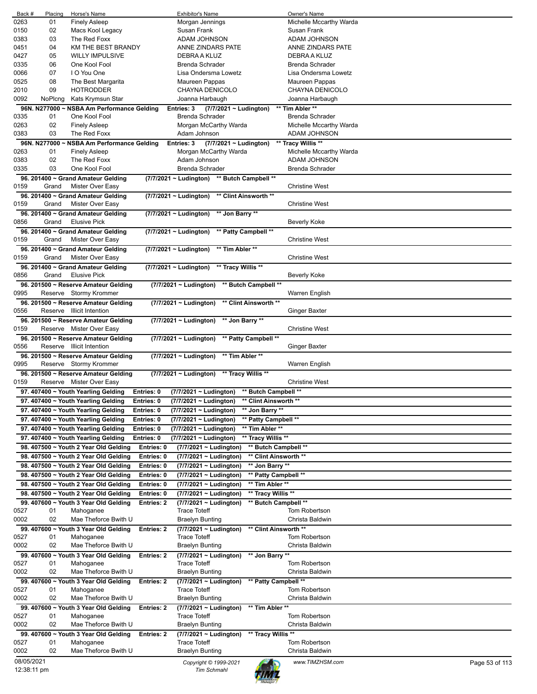| Back #     | Placing       | Horse's Name                               |            | <b>Exhibitor's Name</b>                         |                       | <b>Owner's Name</b>     |                |
|------------|---------------|--------------------------------------------|------------|-------------------------------------------------|-----------------------|-------------------------|----------------|
| 0263       | 01            | <b>Finely Asleep</b>                       |            | Morgan Jennings                                 |                       | Michelle Mccarthy Warda |                |
| 0150       | 02            |                                            |            | Susan Frank                                     |                       | Susan Frank             |                |
|            |               | Macs Kool Legacy                           |            |                                                 |                       |                         |                |
| 0383       | 03            | The Red Foxx                               |            | ADAM JOHNSON                                    |                       | ADAM JOHNSON            |                |
| 0451       | 04            | KM THE BEST BRANDY                         |            | ANNE ZINDARS PATE                               |                       | ANNE ZINDARS PATE       |                |
| 0427       | 05            | <b>WILLY IMPULSIVE</b>                     |            | DEBRA A KLUZ                                    |                       | DEBRA A KLUZ            |                |
| 0335       | 06            | One Kool Fool                              |            | <b>Brenda Schrader</b>                          |                       | <b>Brenda Schrader</b>  |                |
|            |               |                                            |            |                                                 |                       |                         |                |
| 0066       | 07            | I O You One                                |            | Lisa Ondersma Lowetz                            |                       | Lisa Ondersma Lowetz    |                |
| 0525       | 08            | The Best Margarita                         |            | Maureen Pappas                                  |                       | Maureen Pappas          |                |
| 2010       | 09            | <b>HOTRODDER</b>                           |            | CHAYNA DENICOLO                                 |                       | CHAYNA DENICOLO         |                |
|            |               |                                            |            |                                                 |                       |                         |                |
| 0092       | NoPlcng       | Kats Krymsun Star                          |            | Joanna Harbaugh                                 |                       | Joanna Harbaugh         |                |
|            | 96N. N277000~ | <b>NSBA Am Performance Gelding</b>         |            | Entries: 3<br>$(7/7/2021 \sim$ Ludington)       |                       | ** Tim Abler **         |                |
| 0335       | 01            | One Kool Fool                              |            | <b>Brenda Schrader</b>                          |                       | <b>Brenda Schrader</b>  |                |
| 0263       | 02            | <b>Finely Asleep</b>                       |            | Morgan McCarthy Warda                           |                       | Michelle Mccarthy Warda |                |
|            |               |                                            |            |                                                 |                       |                         |                |
| 0383       | 03            | The Red Foxx                               |            | Adam Johnson                                    |                       | ADAM JOHNSON            |                |
|            |               | 96N. N277000 ~ NSBA Am Performance Gelding |            | Entries: 3<br>$(7/7/2021 \sim$ Ludington)       |                       | ** Tracy Willis **      |                |
| 0263       | 01            | <b>Finely Asleep</b>                       |            | Morgan McCarthy Warda                           |                       | Michelle Mccarthy Warda |                |
| 0383       | 02            | The Red Foxx                               |            | Adam Johnson                                    |                       |                         |                |
|            |               |                                            |            |                                                 |                       | ADAM JOHNSON            |                |
| 0335       | 03            | One Kool Fool                              |            | <b>Brenda Schrader</b>                          |                       | Brenda Schrader         |                |
|            |               | 96. 201400 ~ Grand Amateur Gelding         |            | (7/7/2021 ~ Ludington) ** Butch Campbell **     |                       |                         |                |
| 0159       | Grand         | Mister Over Easy                           |            |                                                 |                       | <b>Christine West</b>   |                |
|            |               |                                            |            |                                                 |                       |                         |                |
|            |               | 96. 201400 ~ Grand Amateur Gelding         |            | (7/7/2021 ~ Ludington)<br>** Clint Ainsworth ** |                       |                         |                |
| 0159       | Grand         | Mister Over Easy                           |            |                                                 |                       | <b>Christine West</b>   |                |
|            |               | 96. 201400 ~ Grand Amateur Gelding         |            | (7/7/2021 ~ Ludington)<br>** Jon Barry **       |                       |                         |                |
| 0856       | Grand         | <b>Elusive Pick</b>                        |            |                                                 |                       | <b>Beverly Koke</b>     |                |
|            |               |                                            |            |                                                 |                       |                         |                |
|            |               | 96. 201400 ~ Grand Amateur Gelding         |            | ** Patty Campbell **<br>(7/7/2021 ~ Ludington)  |                       |                         |                |
| 0159       | Grand         | Mister Over Easy                           |            |                                                 |                       | Christine West          |                |
|            |               | 96. 201400 ~ Grand Amateur Gelding         |            | (7/7/2021 ~ Ludington)<br>** Tim Abler **       |                       |                         |                |
|            |               |                                            |            |                                                 |                       |                         |                |
| 0159       | Grand         | Mister Over Easy                           |            |                                                 |                       | <b>Christine West</b>   |                |
|            |               | 96. 201400 ~ Grand Amateur Gelding         |            | (7/7/2021 ~ Ludington)<br>** Tracy Willis **    |                       |                         |                |
| 0856       | Grand         | <b>Elusive Pick</b>                        |            |                                                 |                       | <b>Beverly Koke</b>     |                |
|            |               |                                            |            |                                                 |                       |                         |                |
|            |               | 96. 201500 ~ Reserve Amateur Gelding       |            | $(7/7/2021 \sim$ Ludington)                     | ** Butch Campbell **  |                         |                |
| 0995       |               | Reserve Stormy Krommer                     |            |                                                 |                       | Warren English          |                |
|            |               | 96. 201500 ~ Reserve Amateur Gelding       |            | (7/7/2021 ~ Ludington)                          | ** Clint Ainsworth ** |                         |                |
| 0556       |               | Reserve Illicit Intention                  |            |                                                 |                       | Ginger Baxter           |                |
|            |               |                                            |            |                                                 |                       |                         |                |
|            |               | 96. 201500 ~ Reserve Amateur Gelding       |            | ** Jon Barry **<br>(7/7/2021 ~ Ludington)       |                       |                         |                |
| 0159       |               | Reserve Mister Over Easy                   |            |                                                 |                       | <b>Christine West</b>   |                |
|            |               | 96. 201500 ~ Reserve Amateur Gelding       |            | (7/7/2021 ~ Ludington)                          | ** Patty Campbell **  |                         |                |
|            |               |                                            |            |                                                 |                       |                         |                |
| 0556       |               | Reserve Illicit Intention                  |            |                                                 |                       | <b>Ginger Baxter</b>    |                |
|            |               | 96. 201500 ~ Reserve Amateur Gelding       |            | $(7/7/2021 \sim$ Ludington)<br>** Tim Abler **  |                       |                         |                |
| 0995       |               | Reserve Stormy Krommer                     |            |                                                 |                       | Warren English          |                |
|            |               |                                            |            | (7/7/2021 ~ Ludington) ** Tracy Willis **       |                       |                         |                |
|            |               | 96. 201500 ~ Reserve Amateur Gelding       |            |                                                 |                       |                         |                |
| 0159       |               | Reserve Mister Over Easy                   |            |                                                 |                       | <b>Christine West</b>   |                |
|            |               | 97. 407400 ~ Youth Yearling Gelding        | Entries: 0 | $(7/7/2021 \sim$ Ludington)                     | ** Butch Campbell **  |                         |                |
|            |               | 97. 407400 ~ Youth Yearling Gelding        | Entries: 0 | (7/7/2021 ~ Ludington)                          | ** Clint Ainsworth ** |                         |                |
|            |               |                                            |            |                                                 |                       |                         |                |
|            |               | 97. 407400 ~ Youth Yearling Gelding        | Entries: 0 | (7/7/2021 ~ Ludington)                          | ** Jon Barry **       |                         |                |
|            |               | 97. 407400 ~ Youth Yearling Gelding        | Entries: 0 | (7/7/2021 ~ Ludington)                          | ** Patty Campbell **  |                         |                |
|            |               | 97. 407400 ~ Youth Yearling Gelding        | Entries: 0 | (7/7/2021 ~ Ludington)                          | ** Tim Abler **       |                         |                |
|            |               |                                            |            |                                                 |                       |                         |                |
|            |               | 97. 407400 ~ Youth Yearling Gelding        | Entries: 0 | (7/7/2021 ~ Ludington)                          | ** Tracy Willis **    |                         |                |
|            |               | 98. 407500 ~ Youth 2 Year Old Gelding      | Entries: 0 | (7/7/2021 ~ Ludington)                          | ** Butch Campbell **  |                         |                |
|            |               | 98. 407500 ~ Youth 2 Year Old Gelding      | Entries: 0 | (7/7/2021 ~ Ludington)                          | ** Clint Ainsworth ** |                         |                |
|            |               |                                            |            |                                                 |                       |                         |                |
|            |               | 98. 407500 ~ Youth 2 Year Old Gelding      | Entries: 0 | (7/7/2021 ~ Ludington)                          | ** Jon Barry **       |                         |                |
|            |               | 98. 407500 ~ Youth 2 Year Old Gelding      | Entries: 0 | (7/7/2021 ~ Ludington)                          | ** Patty Campbell **  |                         |                |
|            |               | 98. 407500 ~ Youth 2 Year Old Gelding      | Entries: 0 | (7/7/2021 ~ Ludington)                          | ** Tim Abler **       |                         |                |
|            |               |                                            |            |                                                 |                       |                         |                |
|            |               | 98. 407500 ~ Youth 2 Year Old Gelding      | Entries: 0 | (7/7/2021 ~ Ludington)                          | ** Tracy Willis **    |                         |                |
|            |               | 99. 407600 ~ Youth 3 Year Old Gelding      | Entries: 2 | (7/7/2021 ~ Ludington)                          | ** Butch Campbell **  |                         |                |
| 0527       | 01            | Mahoganee                                  |            | <b>Trace Toteff</b>                             |                       | Tom Robertson           |                |
|            |               |                                            |            |                                                 |                       |                         |                |
| 0002       | 02            | Mae Theforce Bwith U                       |            | <b>Braelyn Bunting</b>                          |                       | Christa Baldwin         |                |
|            |               | 99. 407600 ~ Youth 3 Year Old Gelding      | Entries: 2 | (7/7/2021 ~ Ludington)                          | ** Clint Ainsworth ** |                         |                |
| 0527       | 01            | Mahoganee                                  |            | <b>Trace Toteff</b>                             |                       | Tom Robertson           |                |
| 0002       | 02            | Mae Theforce Bwith U                       |            | <b>Braelyn Bunting</b>                          |                       | Christa Baldwin         |                |
|            |               |                                            |            |                                                 |                       |                         |                |
|            |               | 99. 407600 ~ Youth 3 Year Old Gelding      | Entries: 2 | (7/7/2021 ~ Ludington)                          | ** Jon Barry **       |                         |                |
| 0527       | 01            | Mahoganee                                  |            | <b>Trace Toteff</b>                             |                       | <b>Tom Robertson</b>    |                |
| 0002       | 02            | Mae Theforce Bwith U                       |            | <b>Braelyn Bunting</b>                          |                       | Christa Baldwin         |                |
|            |               |                                            |            |                                                 | ** Patty Campbell **  |                         |                |
|            |               | 99. 407600 ~ Youth 3 Year Old Gelding      | Entries: 2 | (7/7/2021 ~ Ludington)                          |                       |                         |                |
| 0527       | 01            | Mahoganee                                  |            | <b>Trace Toteff</b>                             |                       | Tom Robertson           |                |
| 0002       | 02            | Mae Theforce Bwith U                       |            | <b>Braelyn Bunting</b>                          |                       | Christa Baldwin         |                |
|            |               | 99. 407600 ~ Youth 3 Year Old Gelding      | Entries: 2 | (7/7/2021 ~ Ludington)                          | ** Tim Abler **       |                         |                |
| 0527       | 01            | Mahoganee                                  |            | <b>Trace Toteff</b>                             |                       | Tom Robertson           |                |
|            |               |                                            |            |                                                 |                       |                         |                |
| 0002       | 02            | Mae Theforce Bwith U                       |            | <b>Braelyn Bunting</b>                          |                       | Christa Baldwin         |                |
|            |               | 99. 407600 ~ Youth 3 Year Old Gelding      | Entries: 2 | (7/7/2021 ~ Ludington)                          | ** Tracy Willis **    |                         |                |
|            | 01            | Mahoganee                                  |            | <b>Trace Toteff</b>                             |                       | Tom Robertson           |                |
|            |               |                                            |            |                                                 |                       |                         |                |
| 0527       |               |                                            |            |                                                 |                       |                         |                |
| 0002       | 02            | Mae Theforce Bwith U                       |            | <b>Braelyn Bunting</b>                          |                       | Christa Baldwin         |                |
| 08/05/2021 |               |                                            |            | Copyright © 1999-2021                           |                       | www.TIMZHSM.com         | Page 53 of 113 |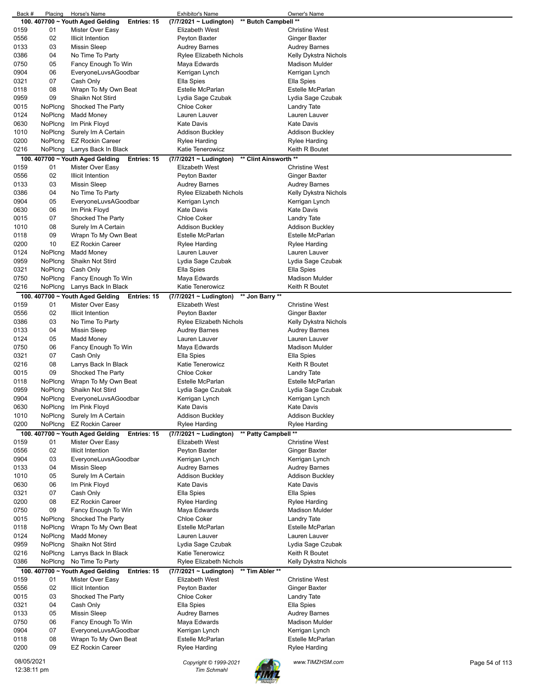| Back #     | Placing | Horse's Name                                    | Exhibitor's Name                                | Owner's Name                      |
|------------|---------|-------------------------------------------------|-------------------------------------------------|-----------------------------------|
|            |         | 100. 407700 ~ Youth Aged Gelding<br>Entries: 15 | ** Butch Campbell **<br>(7/7/2021 ~ Ludington)  |                                   |
| 0159       | 01      | Mister Over Easy                                | Elizabeth West                                  | <b>Christine West</b>             |
| 0556       | 02      | Illicit Intention                               | Peyton Baxter                                   | <b>Ginger Baxter</b>              |
| 0133       | 03      | Missin Sleep                                    | <b>Audrey Barnes</b>                            | Audrey Barnes                     |
| 0386       | 04      | No Time To Party                                | <b>Rylee Elizabeth Nichols</b>                  | Kelly Dykstra Nichols             |
| 0750       | 05      | Fancy Enough To Win                             | Maya Edwards                                    | <b>Madison Mulder</b>             |
| 0904       | 06      | EveryoneLuvsAGoodbar                            | Kerrigan Lynch                                  | Kerrigan Lynch                    |
| 0321       | 07      | Cash Only                                       | Ella Spies                                      | Ella Spies                        |
| 0118       | 08      | Wrapn To My Own Beat                            | Estelle McParlan                                | Estelle McParlan                  |
|            |         |                                                 |                                                 |                                   |
| 0959       | 09      | Shaikn Not Stird                                | Lydia Sage Czubak                               | Lydia Sage Czubak                 |
| 0015       | NoPlcng | Shocked The Party                               | <b>Chloe Coker</b>                              | Landry Tate                       |
| 0124       | NoPlcng | Madd Money                                      | Lauren Lauver                                   | Lauren Lauver                     |
| 0630       | NoPlcng | Im Pink Floyd                                   | <b>Kate Davis</b>                               | <b>Kate Davis</b>                 |
| 1010       | NoPlcng | Surely Im A Certain                             | <b>Addison Buckley</b>                          | Addison Buckley                   |
| 0200       | NoPlcng | <b>EZ Rockin Career</b>                         | Rylee Harding                                   | Rylee Harding                     |
| 0216       | NoPlcng | Larrys Back In Black                            | Katie Tenerowicz                                | Keith R Boutet                    |
|            |         |                                                 |                                                 |                                   |
|            |         | 100. 407700 ~ Youth Aged Gelding<br>Entries: 15 | ** Clint Ainsworth **<br>(7/7/2021 ~ Ludington) |                                   |
| 0159       | 01      | Mister Over Easy                                | Elizabeth West                                  | <b>Christine West</b>             |
| 0556       | 02      | <b>Illicit Intention</b>                        | Peyton Baxter                                   | Ginger Baxter                     |
| 0133       | 03      | <b>Missin Sleep</b>                             | <b>Audrey Barnes</b>                            | <b>Audrey Barnes</b>              |
| 0386       | 04      | No Time To Party                                | <b>Rylee Elizabeth Nichols</b>                  | Kelly Dykstra Nichols             |
| 0904       | 05      | EveryoneLuvsAGoodbar                            | Kerrigan Lynch                                  | Kerrigan Lynch                    |
|            |         | Im Pink Floyd                                   | <b>Kate Davis</b>                               | <b>Kate Davis</b>                 |
| 0630       | 06      |                                                 |                                                 |                                   |
| 0015       | 07      | Shocked The Party                               | <b>Chloe Coker</b>                              | Landry Tate                       |
| 1010       | 08      | Surely Im A Certain                             | <b>Addison Buckley</b>                          | Addison Buckley                   |
| 0118       | 09      | Wrapn To My Own Beat                            | Estelle McParlan                                | Estelle McParlan                  |
| 0200       | 10      | <b>EZ Rockin Career</b>                         | <b>Rylee Harding</b>                            | Rylee Harding                     |
| 0124       | NoPlcng | <b>Madd Money</b>                               | Lauren Lauver                                   | Lauren Lauver                     |
| 0959       | NoPlcng | Shaikn Not Stird                                | Lydia Sage Czubak                               | Lydia Sage Czubak                 |
| 0321       | NoPlcng | Cash Only                                       | Ella Spies                                      | Ella Spies                        |
|            |         |                                                 |                                                 |                                   |
| 0750       | NoPlcng | Fancy Enough To Win                             | Maya Edwards                                    | <b>Madison Mulder</b>             |
| 0216       | NoPlcng | Larrys Back In Black                            | Katie Tenerowicz                                | Keith R Boutet                    |
|            |         | 100. 407700 ~ Youth Aged Gelding<br>Entries: 15 | $(7/7/2021 \sim$ Ludington)<br>** Jon Barry **  |                                   |
| 0159       | 01      | Mister Over Easy                                | Elizabeth West                                  | <b>Christine West</b>             |
| 0556       | 02      | Illicit Intention                               | Peyton Baxter                                   | <b>Ginger Baxter</b>              |
| 0386       | 03      | No Time To Party                                | Rylee Elizabeth Nichols                         | Kelly Dykstra Nichols             |
| 0133       | 04      | Missin Sleep                                    | <b>Audrey Barnes</b>                            | <b>Audrey Barnes</b>              |
|            | 05      |                                                 |                                                 | Lauren Lauver                     |
| 0124       |         | Madd Money                                      | Lauren Lauver                                   |                                   |
| 0750       | 06      | Fancy Enough To Win                             | Maya Edwards                                    | <b>Madison Mulder</b>             |
| 0321       | 07      | Cash Only                                       | Ella Spies                                      | Ella Spies                        |
| 0216       | 08      | Larrys Back In Black                            | Katie Tenerowicz                                | Keith R Boutet                    |
| 0015       | 09      | Shocked The Party                               | <b>Chloe Coker</b>                              | Landry Tate                       |
| 0118       | NoPlcng | Wrapn To My Own Beat                            | Estelle McParlan                                | Estelle McParlan                  |
| 0959       | NoPlcng | Shaikn Not Stird                                | Lydia Sage Czubak                               | Lydia Sage Czubak                 |
| 0904       | NoPlcng | EveryoneLuvsAGoodbar                            | Kerrigan Lynch                                  | Kerrigan Lynch                    |
|            |         |                                                 |                                                 |                                   |
| 0630       | NoPlcng | Im Pink Floyd                                   | Kate Davis                                      | <b>Kate Davis</b>                 |
| 1010       | NoPlcng |                                                 |                                                 | <b>Addison Buckley</b>            |
| 0200       | NoPlcng | Surely Im A Certain                             | <b>Addison Buckley</b>                          |                                   |
|            |         | <b>EZ Rockin Career</b>                         | Rylee Harding                                   | <b>Rylee Harding</b>              |
|            |         | 100. 407700 ~ Youth Aged Gelding<br>Entries: 15 | ** Patty Campbell **<br>(7/7/2021 ~ Ludington)  |                                   |
| 0159       | 01      | Mister Over Easy                                | Elizabeth West                                  | <b>Christine West</b>             |
|            |         |                                                 |                                                 |                                   |
| 0556       | 02      | <b>Illicit Intention</b>                        | Peyton Baxter                                   | Ginger Baxter                     |
| 0904       | 03      | EveryoneLuvsAGoodbar                            | Kerrigan Lynch                                  | Kerrigan Lynch                    |
| 0133       | 04      | <b>Missin Sleep</b>                             | <b>Audrey Barnes</b>                            | <b>Audrey Barnes</b>              |
| 1010       | 05      | Surely Im A Certain                             | <b>Addison Buckley</b>                          | <b>Addison Buckley</b>            |
| 0630       | 06      | Im Pink Floyd                                   | <b>Kate Davis</b>                               | Kate Davis                        |
| 0321       | 07      | Cash Only                                       | Ella Spies                                      | Ella Spies                        |
| 0200       | 08      | <b>EZ Rockin Career</b>                         | <b>Rylee Harding</b>                            | <b>Rylee Harding</b>              |
| 0750       | 09      |                                                 |                                                 | <b>Madison Mulder</b>             |
|            |         | Fancy Enough To Win                             | Maya Edwards                                    |                                   |
| 0015       | NoPlcng | Shocked The Party                               | <b>Chloe Coker</b>                              | Landry Tate                       |
| 0118       | NoPlcng | Wrapn To My Own Beat                            | Estelle McParlan                                | Estelle McParlan                  |
| 0124       | NoPlcng | <b>Madd Money</b>                               | Lauren Lauver                                   | Lauren Lauver                     |
| 0959       | NoPlcng | Shaikn Not Stird                                | Lydia Sage Czubak                               | Lydia Sage Czubak                 |
| 0216       | NoPlcng | Larrys Back In Black                            | Katie Tenerowicz                                | Keith R Boutet                    |
| 0386       | NoPlcng | No Time To Party                                | Rylee Elizabeth Nichols                         | Kelly Dykstra Nichols             |
| 100.       |         | 407700 ~ Youth Aged Gelding<br>Entries: 15      | (7/7/2021 ~ Ludington)<br>** Tim Abler **       |                                   |
| 0159       | 01      | Mister Over Easy                                | Elizabeth West                                  | <b>Christine West</b>             |
|            |         |                                                 |                                                 |                                   |
| 0556       | 02      | <b>Illicit Intention</b>                        | Peyton Baxter                                   | <b>Ginger Baxter</b>              |
| 0015       | 03      | Shocked The Party                               | Chloe Coker                                     | Landry Tate                       |
| 0321       | 04      | Cash Only                                       | Ella Spies                                      | Ella Spies                        |
| 0133       | 05      | <b>Missin Sleep</b>                             | <b>Audrey Barnes</b>                            | <b>Audrey Barnes</b>              |
| 0750       | 06      | Fancy Enough To Win                             | Maya Edwards                                    | Madison Mulder                    |
| 0904       | 07      | EveryoneLuvsAGoodbar                            | Kerrigan Lynch                                  | Kerrigan Lynch                    |
| 0118       | 08      | Wrapn To My Own Beat                            | Estelle McParlan                                | Estelle McParlan                  |
| 0200       | 09      | <b>EZ Rockin Career</b>                         |                                                 | Rylee Harding                     |
|            |         |                                                 | Rylee Harding                                   |                                   |
| 08/05/2021 |         |                                                 | Copyright © 1999-2021                           | www.TIMZHSM.com<br>Page 54 of 113 |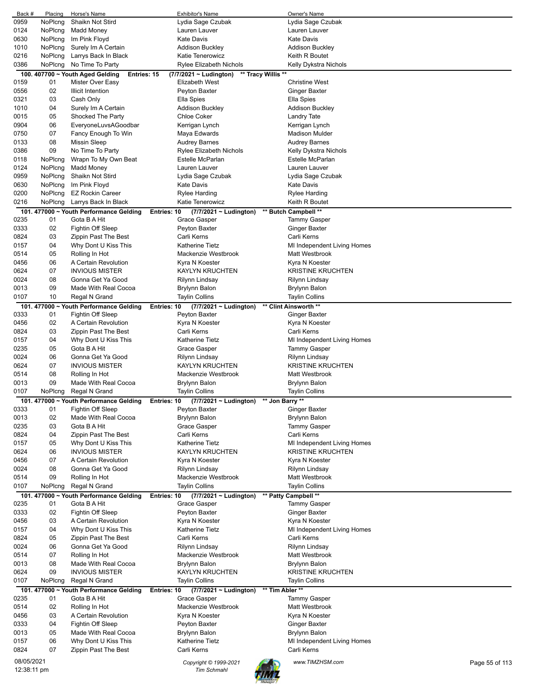| Back #      | Placing | Horse's Name                                    | <b>Exhibitor's Name</b>                    | Owner's Name                     |                |
|-------------|---------|-------------------------------------------------|--------------------------------------------|----------------------------------|----------------|
| 0959        | NoPlcng | Shaikn Not Stird                                | Lydia Sage Czubak                          | Lydia Sage Czubak                |                |
| 0124        | NoPlcng | <b>Madd Money</b>                               | Lauren Lauver                              | Lauren Lauver                    |                |
| 0630        | NoPlcng | Im Pink Floyd                                   | <b>Kate Davis</b>                          | <b>Kate Davis</b>                |                |
| 1010        | NoPlcng | Surely Im A Certain                             | Addison Buckley                            | Addison Buckley                  |                |
| 0216        | NoPlcng | Larrys Back In Black                            | Katie Tenerowicz                           | Keith R Boutet                   |                |
| 0386        | NoPlcng | No Time To Party                                | Rylee Elizabeth Nichols                    | Kelly Dykstra Nichols            |                |
|             |         | 100. 407700 ~ Youth Aged Gelding<br>Entries: 15 | (7/7/2021 ~ Ludington)                     | ** Tracy Willis **               |                |
| 0159        | 01      | Mister Over Easy                                | <b>Elizabeth West</b>                      | <b>Christine West</b>            |                |
| 0556        | 02      | <b>Illicit Intention</b>                        | Peyton Baxter                              | Ginger Baxter                    |                |
| 0321        | 03      | Cash Only                                       | Ella Spies                                 | Ella Spies                       |                |
|             | 04      |                                                 |                                            |                                  |                |
| 1010        |         | Surely Im A Certain                             | Addison Buckley                            | Addison Buckley                  |                |
| 0015        | 05      | Shocked The Party                               | <b>Chloe Coker</b>                         | <b>Landry Tate</b>               |                |
| 0904        | 06      | EveryoneLuvsAGoodbar                            | Kerrigan Lynch                             | Kerrigan Lynch                   |                |
| 0750        | 07      | Fancy Enough To Win                             | Maya Edwards                               | Madison Mulder                   |                |
| 0133        | 08      | <b>Missin Sleep</b>                             | <b>Audrey Barnes</b>                       | <b>Audrey Barnes</b>             |                |
| 0386        | 09      | No Time To Party                                | <b>Rylee Elizabeth Nichols</b>             | Kelly Dykstra Nichols            |                |
| 0118        | NoPlcng | Wrapn To My Own Beat                            | Estelle McParlan                           | <b>Estelle McParlan</b>          |                |
| 0124        | NoPlcng | Madd Money                                      | Lauren Lauver                              | Lauren Lauver                    |                |
| 0959        | NoPlcng | Shaikn Not Stird                                | Lydia Sage Czubak                          | Lydia Sage Czubak                |                |
| 0630        | NoPlcng | Im Pink Floyd                                   | <b>Kate Davis</b>                          | Kate Davis                       |                |
| 0200        | NoPlcng | <b>EZ Rockin Career</b>                         | <b>Rylee Harding</b>                       | Rylee Harding                    |                |
| 0216        | NoPlcng | Larrys Back In Black                            | Katie Tenerowicz                           | Keith R Boutet                   |                |
|             |         | 101. 477000 ~ Youth Performance Gelding         | $(7/7/2021 \sim$ Ludington)<br>Entries: 10 | ** Butch Campbell **             |                |
| 0235        | 01      | Gota B A Hit                                    | Grace Gasper                               | <b>Tammy Gasper</b>              |                |
| 0333        | 02      | Fightin Off Sleep                               | Peyton Baxter                              | <b>Ginger Baxter</b>             |                |
| 0824        | 03      | Zippin Past The Best                            | Carli Kerns                                | Carli Kerns                      |                |
| 0157        | 04      | Why Dont U Kiss This                            | Katherine Tietz                            | MI Independent Living Homes      |                |
| 0514        | 05      | Rolling In Hot                                  | Mackenzie Westbrook                        | Matt Westbrook                   |                |
| 0456        | 06      | A Certain Revolution                            | Kyra N Koester                             | Kyra N Koester                   |                |
| 0624        | 07      | <b>INVIOUS MISTER</b>                           | <b>KAYLYN KRUCHTEN</b>                     | <b>KRISTINE KRUCHTEN</b>         |                |
|             | 08      |                                                 |                                            |                                  |                |
| 0024        |         | Gonna Get Ya Good                               | Rilynn Lindsay                             | Rilynn Lindsay                   |                |
| 0013        | 09      | Made With Real Cocoa                            | Brylynn Balon                              | Brylynn Balon                    |                |
| 0107        | 10      | Regal N Grand                                   | <b>Taylin Collins</b>                      | <b>Taylin Collins</b>            |                |
|             |         | 101. 477000 ~ Youth Performance Gelding         | $(7/7/2021 \sim$ Ludington)<br>Entries: 10 | ** Clint Ainsworth **            |                |
| 0333        | 01      | Fightin Off Sleep                               | Peyton Baxter                              | Ginger Baxter                    |                |
| 0456        | 02      | A Certain Revolution                            | Kyra N Koester                             | Kyra N Koester                   |                |
| 0824        | 03      | Zippin Past The Best                            | Carli Kerns                                | Carli Kerns                      |                |
| 0157        | 04      | Why Dont U Kiss This                            | <b>Katherine Tietz</b>                     | MI Independent Living Homes      |                |
| 0235        | 05      | Gota B A Hit                                    | Grace Gasper                               | <b>Tammy Gasper</b>              |                |
| 0024        | 06      | Gonna Get Ya Good                               | Rilynn Lindsay                             | Rilynn Lindsay                   |                |
| 0624        | 07      | <b>INVIOUS MISTER</b>                           | <b>KAYLYN KRUCHTEN</b>                     | <b>KRISTINE KRUCHTEN</b>         |                |
| 0514        | 08      | Rolling In Hot                                  | Mackenzie Westbrook                        | Matt Westbrook                   |                |
| 0013        | 09      | Made With Real Cocoa                            | <b>Brylynn Balon</b>                       | Brylynn Balon                    |                |
| 0107        | NoPlcng | Regal N Grand                                   | <b>Taylin Collins</b>                      | <b>Taylin Collins</b>            |                |
|             |         | 101. 477000 ~ Youth Performance Gelding         | (7/7/2021 ~ Ludington)<br>Entries: 10      | ** Jon Barry **                  |                |
| 0333        | 01      | Fightin Off Sleep                               | Peyton Baxter                              | <b>Ginger Baxter</b>             |                |
| 0013        | 02      | Made With Real Cocoa                            | Brylynn Balon                              | <b>Brylynn Balon</b>             |                |
| 0235        | 03      | Gota B A Hit                                    | Grace Gasper                               | <b>Tammy Gasper</b>              |                |
| 0824        | 04      | Zippin Past The Best                            | Carli Kerns                                | Carli Kerns                      |                |
| 0157        | 05      | Why Dont U Kiss This                            | <b>Katherine Tietz</b>                     | MI Independent Living Homes      |                |
| 0624        | 06      | <b>INVIOUS MISTER</b>                           | <b>KAYLYN KRUCHTEN</b>                     | <b>KRISTINE KRUCHTEN</b>         |                |
| 0456        | 07      | A Certain Revolution                            | Kyra N Koester                             | Kyra N Koester                   |                |
| 0024        | 08      | Gonna Get Ya Good                               | Rilynn Lindsay                             |                                  |                |
| 0514        | 09      |                                                 | Mackenzie Westbrook                        | Rilynn Lindsay<br>Matt Westbrook |                |
|             |         | Rolling In Hot                                  |                                            |                                  |                |
| 0107        | NoPlcng | Regal N Grand                                   | <b>Taylin Collins</b>                      | <b>Taylin Collins</b>            |                |
|             |         | 101. 477000 ~ Youth Performance Gelding         | Entries: 10<br>(7/7/2021 ~ Ludington)      | ** Patty Campbell **             |                |
| 0235        | 01      | Gota B A Hit                                    | Grace Gasper                               | <b>Tammy Gasper</b>              |                |
| 0333        | 02      | Fightin Off Sleep                               | Peyton Baxter                              | Ginger Baxter                    |                |
| 0456        | 03      | A Certain Revolution                            | Kyra N Koester                             | Kyra N Koester                   |                |
| 0157        | 04      | Why Dont U Kiss This                            | <b>Katherine Tietz</b>                     | MI Independent Living Homes      |                |
| 0824        | 05      | Zippin Past The Best                            | Carli Kerns                                | Carli Kerns                      |                |
| 0024        | 06      | Gonna Get Ya Good                               | Rilynn Lindsay                             | Rilynn Lindsay                   |                |
| 0514        | 07      | Rolling In Hot                                  | Mackenzie Westbrook                        | Matt Westbrook                   |                |
| 0013        | 08      | Made With Real Cocoa                            | <b>Brylynn Balon</b>                       | <b>Brylynn Balon</b>             |                |
| 0624        | 09      | <b>INVIOUS MISTER</b>                           | <b>KAYLYN KRUCHTEN</b>                     | <b>KRISTINE KRUCHTEN</b>         |                |
| 0107        | NoPlcng | Regal N Grand                                   | <b>Taylin Collins</b>                      | Taylin Collins                   |                |
|             |         | 101. 477000 ~ Youth Performance Gelding         | $(7/7/2021 \sim$ Ludington)<br>Entries: 10 | ** Tim Abler **                  |                |
| 0235        | 01      | Gota B A Hit                                    | Grace Gasper                               | <b>Tammy Gasper</b>              |                |
| 0514        | 02      | Rolling In Hot                                  | Mackenzie Westbrook                        | Matt Westbrook                   |                |
| 0456        | 03      | A Certain Revolution                            | Kyra N Koester                             | Kyra N Koester                   |                |
| 0333        | 04      | Fightin Off Sleep                               | Peyton Baxter                              | <b>Ginger Baxter</b>             |                |
| 0013        | 05      | Made With Real Cocoa                            | Brylynn Balon                              | Brylynn Balon                    |                |
| 0157        | 06      | Why Dont U Kiss This                            | <b>Katherine Tietz</b>                     | MI Independent Living Homes      |                |
| 0824        | 07      | Zippin Past The Best                            | Carli Kerns                                | Carli Kerns                      |                |
|             |         |                                                 |                                            |                                  |                |
| 08/05/2021  |         |                                                 | Copyright © 1999-2021                      | www.TIMZHSM.com                  | Page 55 of 113 |
| 12:38:11 pm |         |                                                 | <b>Tim Schmahl</b>                         |                                  |                |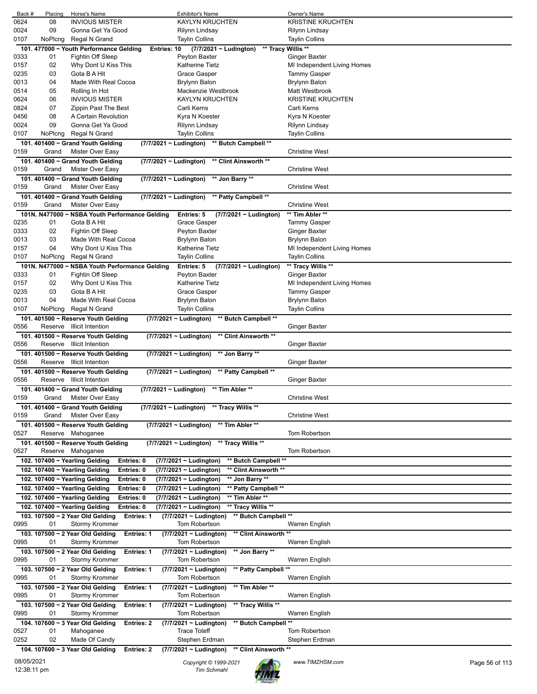|      | Placing | Horse's Name                                                     | <b>Exhibitor's Name</b>                              | Owner's Name                |
|------|---------|------------------------------------------------------------------|------------------------------------------------------|-----------------------------|
| 0624 | 08      | <b>INVIOUS MISTER</b>                                            | <b>KAYLYN KRUCHTEN</b>                               | <b>KRISTINE KRUCHTEN</b>    |
| 0024 | 09      | Gonna Get Ya Good                                                | Rilynn Lindsay                                       | Rilynn Lindsay              |
| 0107 | NoPlcng | Regal N Grand                                                    | <b>Taylin Collins</b>                                | <b>Taylin Collins</b>       |
|      |         | 101. 477000 ~ Youth Performance Gelding<br>Entries: 10           | ** Tracy Willis **<br>$(7/7/2021 \sim$ Ludington)    |                             |
| 0333 | 01      | Fightin Off Sleep                                                | Peyton Baxter                                        | Ginger Baxter               |
| 0157 | 02      | Why Dont U Kiss This                                             | <b>Katherine Tietz</b>                               | MI Independent Living Homes |
|      | 03      | Gota B A Hit                                                     |                                                      |                             |
| 0235 |         |                                                                  | Grace Gasper                                         | <b>Tammy Gasper</b>         |
| 0013 | 04      | Made With Real Cocoa                                             | <b>Brylynn Balon</b>                                 | Brylynn Balon               |
| 0514 | 05      | Rolling In Hot                                                   | Mackenzie Westbrook                                  | Matt Westbrook              |
| 0624 | 06      | <b>INVIOUS MISTER</b>                                            | <b>KAYLYN KRUCHTEN</b>                               | <b>KRISTINE KRUCHTEN</b>    |
| 0824 | 07      | Zippin Past The Best                                             | Carli Kerns                                          | Carli Kerns                 |
| 0456 | 08      | A Certain Revolution                                             | Kyra N Koester                                       | Kyra N Koester              |
| 0024 | 09      | Gonna Get Ya Good                                                | Rilynn Lindsay                                       | Rilynn Lindsay              |
| 0107 | NoPlcng | Regal N Grand                                                    | <b>Taylin Collins</b>                                | <b>Taylin Collins</b>       |
|      |         |                                                                  |                                                      |                             |
|      |         | 101. 401400 ~ Grand Youth Gelding<br>(7/7/2021 ~ Ludington)      | ** Butch Campbell **                                 |                             |
| 0159 | Grand   | Mister Over Easy                                                 |                                                      | <b>Christine West</b>       |
|      |         | 101. 401400 ~ Grand Youth Gelding<br>(7/7/2021 ~ Ludington)      | ** Clint Ainsworth **                                |                             |
| 0159 | Grand   | Mister Over Easy                                                 |                                                      | <b>Christine West</b>       |
|      |         | 101. 401400 ~ Grand Youth Gelding<br>(7/7/2021 ~ Ludington)      | ** Jon Barry **                                      |                             |
| 0159 | Grand   | Mister Over Easy                                                 |                                                      | <b>Christine West</b>       |
|      |         | 101. 401400 ~ Grand Youth Gelding<br>(7/7/2021 ~ Ludington)      | ** Patty Campbell **                                 |                             |
| 0159 | Grand   | Mister Over Easy                                                 |                                                      | <b>Christine West</b>       |
|      |         |                                                                  |                                                      |                             |
|      |         | 101N. N477000 ~ NSBA Youth Performance Gelding                   | (7/7/2021 ~ Ludington)<br>Entries: 5                 | ** Tim Abler **             |
| 0235 | 01      | Gota B A Hit                                                     | Grace Gasper                                         | <b>Tammy Gasper</b>         |
| 0333 | 02      | Fightin Off Sleep                                                | Peyton Baxter                                        | Ginger Baxter               |
| 0013 | 03      | Made With Real Cocoa                                             | Brylynn Balon                                        | Brylynn Balon               |
| 0157 | 04      | Why Dont U Kiss This                                             | <b>Katherine Tietz</b>                               | MI Independent Living Homes |
| 0107 | NoPlcng | Regal N Grand                                                    | <b>Taylin Collins</b>                                | <b>Taylin Collins</b>       |
|      |         |                                                                  |                                                      |                             |
|      |         | 101N. N477000 ~ NSBA Youth Performance Gelding                   | Entries: 5 $(7/7/2021 \sim$ Ludington)               | ** Tracy Willis **          |
| 0333 | 01      | Fightin Off Sleep                                                | Peyton Baxter                                        | Ginger Baxter               |
| 0157 | 02      | Why Dont U Kiss This                                             | <b>Katherine Tietz</b>                               | MI Independent Living Homes |
| 0235 | 03      | Gota B A Hit                                                     | Grace Gasper                                         | <b>Tammy Gasper</b>         |
| 0013 | 04      | Made With Real Cocoa                                             | Brylynn Balon                                        | Brylynn Balon               |
| 0107 | NoPlcng | Regal N Grand                                                    | <b>Taylin Collins</b>                                | <b>Taylin Collins</b>       |
|      |         | 101. 401500 ~ Reserve Youth Gelding                              | $(7/7/2021 \sim$ Ludington)<br>** Butch Campbell **  |                             |
| 0556 |         | Reserve Illicit Intention                                        |                                                      | <b>Ginger Baxter</b>        |
|      |         |                                                                  |                                                      |                             |
|      |         | 101. 401500 ~ Reserve Youth Gelding                              | (7/7/2021 ~ Ludington)<br>** Clint Ainsworth **      |                             |
| 0556 |         | Reserve Illicit Intention                                        |                                                      | Ginger Baxter               |
|      |         |                                                                  |                                                      |                             |
|      |         | 101. 401500 ~ Reserve Youth Gelding                              | ** Jon Barry **<br>$(7/7/2021 \sim$ Ludington)       |                             |
| 0556 |         | Reserve Illicit Intention                                        |                                                      | Ginger Baxter               |
|      |         | 101, 401500 ~ Reserve Youth Gelding                              |                                                      |                             |
|      |         |                                                                  | ** Patty Campbell **<br>(7/7/2021 ~ Ludington)       |                             |
| 0556 |         | Reserve Illicit Intention                                        |                                                      | Ginger Baxter               |
|      |         | 101. 401400 $\sim$ Grand Youth Gelding<br>(7/7/2021 ~ Ludington) | ** Tim Abler **                                      |                             |
| 0159 | Grand   | Mister Over Easy                                                 |                                                      | <b>Christine West</b>       |
|      |         | 101. 401400 ~ Grand Youth Gelding                                | (7/7/2021 ~ Ludington) ** Tracy Willis **            |                             |
| 0159 | Grand   | Mister Over Easy                                                 |                                                      | <b>Christine West</b>       |
|      |         | 101. 401500 ~ Reserve Youth Gelding                              | ** Tim Abler **<br>(7/7/2021 ~ Ludington)            |                             |
| 0527 |         |                                                                  |                                                      | Tom Robertson               |
|      |         | Reserve Mahoganee                                                |                                                      |                             |
|      |         | 101. 401500 ~ Reserve Youth Gelding                              | ** Tracy Willis **<br>(7/7/2021 ~ Ludington)         |                             |
| 0527 |         | Reserve Mahoganee                                                |                                                      | <b>Tom Robertson</b>        |
|      |         | Entries: 0<br>102. 107400 ~ Yearling Gelding                     | ** Butch Campbell **<br>(7/7/2021 ~ Ludington)       |                             |
|      |         | 102. 107400 ~ Yearling Gelding<br>Entries: 0                     | (7/7/2021 ~ Ludington)<br>** Clint Ainsworth **      |                             |
|      |         | 102. 107400 $\sim$ Yearling Gelding<br>Entries: 0                | ** Jon Barry **<br>(7/7/2021 ~ Ludington)            |                             |
|      |         | 102. 107400 ~ Yearling Gelding<br>Entries: 0                     | (7/7/2021 ~ Ludington)<br>** Patty Campbell **       |                             |
|      |         |                                                                  |                                                      |                             |
|      |         | 102. 107400 ~ Yearling Gelding<br>Entries: 0                     | ** Tim Abler **<br>(7/7/2021 ~ Ludington)            |                             |
|      |         | 102. 107400 ~ Yearling Gelding<br>Entries: 0                     | ** Tracy Willis **<br>(7/7/2021 ~ Ludington)         |                             |
|      |         | 103. 107500 ~ 2 Year Old Gelding<br><b>Entries: 1</b>            | ** Butch Campbell **<br>(7/7/2021 ~ Ludington)       |                             |
| 0995 | 01      | Stormy Krommer                                                   | Tom Robertson                                        | Warren English              |
|      |         | 103. 107500 ~ 2 Year Old Gelding<br><b>Entries: 1</b>            | ** Clint Ainsworth **<br>$(7/7/2021 \sim$ Ludington) |                             |
| 0995 | 01      | <b>Stormy Krommer</b>                                            | Tom Robertson                                        | Warren English              |
|      |         |                                                                  |                                                      |                             |
|      |         | 103. 107500 ~ 2 Year Old Gelding<br><b>Entries: 1</b>            | $(7/7/2021 \sim$ Ludington)<br>** Jon Barry **       |                             |
| 0995 | 01      | Stormy Krommer                                                   | Tom Robertson                                        | Warren English              |
|      |         | 103. 107500 ~ 2 Year Old Gelding<br><b>Entries: 1</b>            | ** Patty Campbell **<br>$(7/7/2021 \sim$ Ludington)  |                             |
| 0995 | 01      | Stormy Krommer                                                   | Tom Robertson                                        | Warren English              |
|      |         | 103. 107500 ~ 2 Year Old Gelding<br><b>Entries: 1</b>            | (7/7/2021 ~ Ludington)<br>** Tim Abler **            |                             |
| 0995 | 01      | Stormy Krommer                                                   | Tom Robertson                                        | Warren English              |
|      |         |                                                                  |                                                      |                             |
|      |         | 103. 107500 ~ 2 Year Old Gelding<br><b>Entries: 1</b>            | ** Tracy Willis **<br>$(7/7/2021 \sim$ Ludington)    |                             |
| 0995 | 01      | Stormy Krommer                                                   | Tom Robertson                                        | Warren English              |
|      |         | 104. 107600 ~ 3 Year Old Gelding<br><b>Entries: 2</b>            | ** Butch Campbell **<br>(7/7/2021 ~ Ludington)       |                             |
| 0527 | 01      | Mahoganee                                                        | <b>Trace Toteff</b>                                  | <b>Tom Robertson</b>        |
| 0252 | 02      | Made Of Candy                                                    | Stephen Erdman                                       | Stephen Erdman              |
|      |         | 104. 107600 ~ 3 Year Old Gelding<br><b>Entries: 2</b>            | ** Clint Ainsworth **<br>(7/7/2021 ~ Ludington)      |                             |

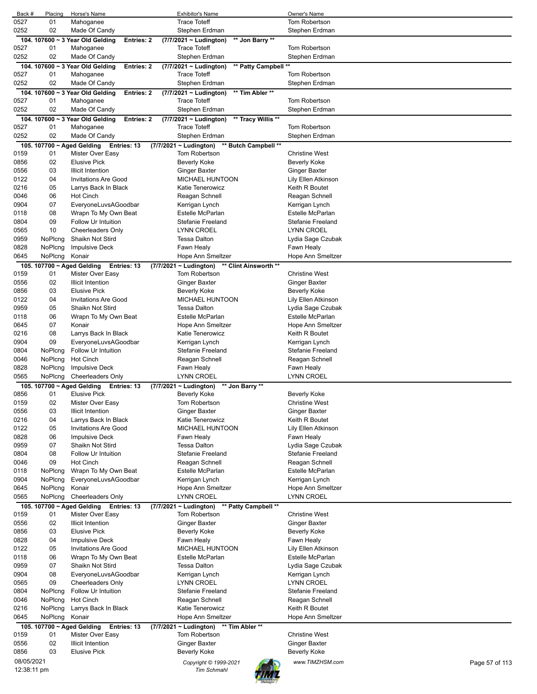| Back #                    | Placing                    | Horse's Name                                                       | <b>Exhibitor's Name</b>                              | Owner's Name                                 |
|---------------------------|----------------------------|--------------------------------------------------------------------|------------------------------------------------------|----------------------------------------------|
| 0527<br>0252              | 01<br>02                   | Mahoganee                                                          | <b>Trace Toteff</b>                                  | Tom Robertson                                |
|                           |                            | Made Of Candy                                                      | Stephen Erdman<br>** Jon Barry **                    | Stephen Erdman                               |
| 0527                      | 01                         | 104. 107600 ~ 3 Year Old Gelding<br><b>Entries: 2</b><br>Mahoganee | (7/7/2021 ~ Ludington)<br><b>Trace Toteff</b>        | <b>Tom Robertson</b>                         |
| 0252                      | 02                         | Made Of Candy                                                      | Stephen Erdman                                       | Stephen Erdman                               |
|                           |                            | 104. 107600 ~ 3 Year Old Gelding<br><b>Entries: 2</b>              | (7/7/2021 ~ Ludington)<br>** Patty Campbell **       |                                              |
| 0527                      | 01                         | Mahoganee                                                          | <b>Trace Toteff</b>                                  | <b>Tom Robertson</b>                         |
| 0252                      | 02                         | Made Of Candy                                                      | Stephen Erdman                                       | Stephen Erdman                               |
|                           |                            | 104. 107600 ~ 3 Year Old Gelding<br><b>Entries: 2</b>              | $(7/7/2021 \sim$ Ludington)<br>** Tim Abler **       |                                              |
| 0527                      | 01                         | Mahoganee                                                          | <b>Trace Toteff</b>                                  | <b>Tom Robertson</b>                         |
| 0252                      | 02                         | Made Of Candy                                                      | Stephen Erdman                                       | Stephen Erdman                               |
|                           |                            | 104. 107600 ~ 3 Year Old Gelding<br><b>Entries: 2</b>              | ** Tracy Willis **<br>$(7/7/2021 \sim$ Ludington)    |                                              |
| 0527<br>0252              | 01<br>02                   | Mahoganee<br>Made Of Candy                                         | <b>Trace Toteff</b><br>Stephen Erdman                | <b>Tom Robertson</b><br>Stephen Erdman       |
|                           | 105. 107700 ~ Aged Gelding | Entries: 13                                                        | $(7/7/2021 \sim$ Ludington)<br>** Butch Campbell **  |                                              |
| 0159                      | 01                         | Mister Over Easy                                                   | Tom Robertson                                        | <b>Christine West</b>                        |
| 0856                      | 02                         | <b>Elusive Pick</b>                                                | <b>Beverly Koke</b>                                  | <b>Beverly Koke</b>                          |
| 0556                      | 03                         | <b>Illicit Intention</b>                                           | Ginger Baxter                                        | Ginger Baxter                                |
| 0122                      | 04                         | <b>Invitations Are Good</b>                                        | <b>MICHAEL HUNTOON</b>                               | Lily Ellen Atkinson                          |
| 0216                      | 05                         | Larrys Back In Black                                               | Katie Tenerowicz                                     | Keith R Boutet                               |
| 0046                      | 06                         | <b>Hot Cinch</b>                                                   | Reagan Schnell                                       | Reagan Schnell                               |
| 0904                      | 07                         | EveryoneLuvsAGoodbar                                               | Kerrigan Lynch                                       | Kerrigan Lynch                               |
| 0118<br>0804              | 08<br>09                   | Wrapn To My Own Beat<br>Follow Ur Intuition                        | Estelle McParlan<br><b>Stefanie Freeland</b>         | Estelle McParlan<br>Stefanie Freeland        |
| 0565                      | 10                         | <b>Cheerleaders Only</b>                                           | <b>LYNN CROEL</b>                                    | LYNN CROEL                                   |
| 0959                      | NoPlcng                    | Shaikn Not Stird                                                   | <b>Tessa Dalton</b>                                  | Lydia Sage Czubak                            |
| 0828                      | NoPlcng                    | <b>Impulsive Deck</b>                                              | Fawn Healy                                           | Fawn Healy                                   |
| 0645                      | NoPlcng                    | Konair                                                             | Hope Ann Smeltzer                                    | Hope Ann Smeltzer                            |
|                           | 105. 107700 ~ Aged Gelding | Entries: 13                                                        | $(7/7/2021 \sim$ Ludington)<br>** Clint Ainsworth ** |                                              |
| 0159                      | 01                         | Mister Over Easy                                                   | Tom Robertson                                        | <b>Christine West</b>                        |
| 0556                      | 02                         | <b>Illicit Intention</b>                                           | <b>Ginger Baxter</b>                                 | Ginger Baxter                                |
| 0856                      | 03                         | <b>Elusive Pick</b>                                                | Beverly Koke                                         | Beverly Koke                                 |
| 0122                      | 04                         | <b>Invitations Are Good</b>                                        | MICHAEL HUNTOON                                      | Lily Ellen Atkinson                          |
| 0959<br>0118              | 05<br>06                   | Shaikn Not Stird<br>Wrapn To My Own Beat                           | <b>Tessa Dalton</b><br>Estelle McParlan              | Lydia Sage Czubak<br><b>Estelle McParlan</b> |
| 0645                      | 07                         | Konair                                                             | Hope Ann Smeltzer                                    | Hope Ann Smeltzer                            |
| 0216                      | 08                         | Larrys Back In Black                                               | <b>Katie Tenerowicz</b>                              | Keith R Boutet                               |
| 0904                      | 09                         | EveryoneLuvsAGoodbar                                               | Kerrigan Lynch                                       | Kerrigan Lynch                               |
| 0804                      | NoPlcng                    | <b>Follow Ur Intuition</b>                                         | Stefanie Freeland                                    | Stefanie Freeland                            |
| 0046                      | NoPlcng                    | <b>Hot Cinch</b>                                                   | Reagan Schnell                                       | Reagan Schnell                               |
| 0828                      | NoPlcng                    | <b>Impulsive Deck</b>                                              | Fawn Healy                                           | Fawn Healy                                   |
| 0565                      | NoPlcng                    | <b>Cheerleaders Only</b>                                           | LYNN CROEL                                           | LYNN CROEL                                   |
|                           | 105. 107700 ~ Aged Gelding | Entries: 13                                                        | ** Jon Barry **<br>$(7/7/2021 \sim$ Ludington)       |                                              |
| 0856<br>0159              | 01<br>02                   | <b>Elusive Pick</b><br>Mister Over Easy                            | Beverly Koke<br>Tom Robertson                        | Beverly Koke<br><b>Christine West</b>        |
| 0556                      | 03                         | Illicit Intention                                                  | Ginger Baxter                                        | Ginger Baxter                                |
| 0216                      | 04                         | Larrys Back In Black                                               | Katie Tenerowicz                                     | Keith R Boutet                               |
| 0122                      | 05                         | <b>Invitations Are Good</b>                                        | <b>MICHAEL HUNTOON</b>                               | Lily Ellen Atkinson                          |
| 0828                      | 06                         | <b>Impulsive Deck</b>                                              | Fawn Healy                                           | Fawn Healy                                   |
| 0959                      | 07                         | Shaikn Not Stird                                                   | <b>Tessa Dalton</b>                                  | Lydia Sage Czubak                            |
| 0804                      | 08                         | Follow Ur Intuition                                                | <b>Stefanie Freeland</b>                             | Stefanie Freeland                            |
| 0046                      | 09                         | <b>Hot Cinch</b>                                                   | Reagan Schnell                                       | Reagan Schnell                               |
| 0118                      | NoPlcng                    | Wrapn To My Own Beat                                               | Estelle McParlan                                     | Estelle McParlan                             |
| 0904<br>0645              | NoPlcng<br>NoPlcng         | EveryoneLuvsAGoodbar<br>Konair                                     | Kerrigan Lynch<br>Hope Ann Smeltzer                  | Kerrigan Lynch                               |
| 0565                      | NoPlcng                    | <b>Cheerleaders Only</b>                                           | LYNN CROEL                                           | Hope Ann Smeltzer<br><b>LYNN CROEL</b>       |
|                           |                            | 105. 107700 ~ Aged Gelding Entries: 13                             | (7/7/2021 ~ Ludington)<br>** Patty Campbell **       |                                              |
| 0159                      | 01                         | Mister Over Easy                                                   | Tom Robertson                                        | Christine West                               |
| 0556                      | 02                         | Illicit Intention                                                  | <b>Ginger Baxter</b>                                 | Ginger Baxter                                |
| 0856                      | 03                         | <b>Elusive Pick</b>                                                | Beverly Koke                                         | Beverly Koke                                 |
| 0828                      | 04                         | <b>Impulsive Deck</b>                                              | Fawn Healy                                           | Fawn Healy                                   |
| 0122                      | 05                         | <b>Invitations Are Good</b>                                        | <b>MICHAEL HUNTOON</b>                               | Lily Ellen Atkinson                          |
| 0118                      | 06                         | Wrapn To My Own Beat                                               | Estelle McParlan                                     | Estelle McParlan                             |
| 0959                      | 07                         | Shaikn Not Stird                                                   | Tessa Dalton                                         | Lydia Sage Czubak                            |
| 0904<br>0565              | 08<br>09                   | EveryoneLuvsAGoodbar<br><b>Cheerleaders Only</b>                   | Kerrigan Lynch<br>LYNN CROEL                         | Kerrigan Lynch<br>LYNN CROEL                 |
| 0804                      | NoPlcng                    | Follow Ur Intuition                                                | <b>Stefanie Freeland</b>                             | Stefanie Freeland                            |
| 0046                      | NoPlcng                    | <b>Hot Cinch</b>                                                   | Reagan Schnell                                       | Reagan Schnell                               |
| 0216                      | NoPlcng                    | Larrys Back In Black                                               | Katie Tenerowicz                                     | Keith R Boutet                               |
| 0645                      | NoPlcng                    | Konair                                                             | Hope Ann Smeltzer                                    | Hope Ann Smeltzer                            |
|                           |                            | 105. 107700 ~ Aged Gelding Entries: 13                             | $(7/7/2021 -$ Ludington)<br>** Tim Abler **          |                                              |
| 0159                      | 01                         | Mister Over Easy                                                   | Tom Robertson                                        | <b>Christine West</b>                        |
| 0556                      | 02                         | <b>Illicit Intention</b>                                           | <b>Ginger Baxter</b>                                 | <b>Ginger Baxter</b>                         |
| 0856                      | 03                         | Elusive Pick                                                       | Beverly Koke                                         | Beverly Koke                                 |
| 08/05/2021<br>12:38:11 pm |                            |                                                                    | Copyright © 1999-2021<br><b>Tim Schmahl</b>          | www.TIMZHSM.com<br>Page 57 of 113            |
|                           |                            |                                                                    |                                                      |                                              |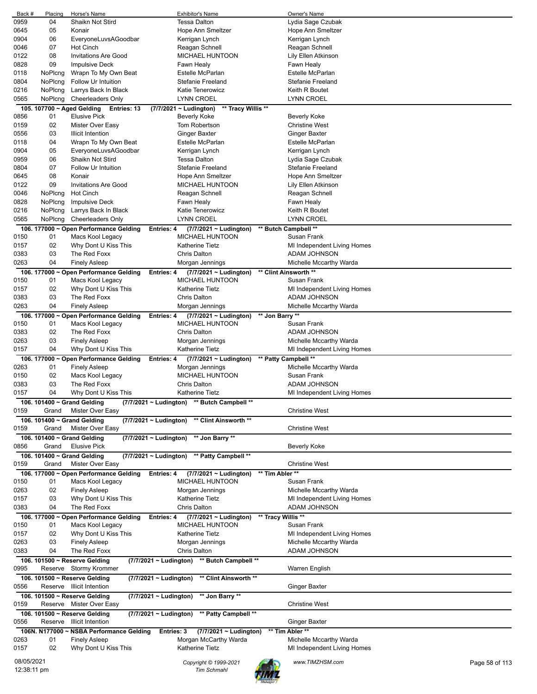| Back #     | Placing | Horse's Name                                               | <b>Exhibitor's Name</b>                             | Owner's Name                |                |
|------------|---------|------------------------------------------------------------|-----------------------------------------------------|-----------------------------|----------------|
| 0959       | 04      | Shaikn Not Stird                                           | <b>Tessa Dalton</b>                                 | Lydia Sage Czubak           |                |
| 0645       | 05      | Konair                                                     | Hope Ann Smeltzer                                   | Hope Ann Smeltzer           |                |
| 0904       | 06      | EveryoneLuvsAGoodbar                                       | Kerrigan Lynch                                      | Kerrigan Lynch              |                |
| 0046       | 07      | Hot Cinch                                                  | Reagan Schnell                                      | Reagan Schnell              |                |
| 0122       | 08      | <b>Invitations Are Good</b>                                | <b>MICHAEL HUNTOON</b>                              | Lily Ellen Atkinson         |                |
| 0828       | 09      | <b>Impulsive Deck</b>                                      | Fawn Healy                                          | Fawn Healy                  |                |
| 0118       | NoPlcng | Wrapn To My Own Beat                                       | Estelle McParlan                                    | <b>Estelle McParlan</b>     |                |
| 0804       | NoPlcng | Follow Ur Intuition                                        | <b>Stefanie Freeland</b>                            | Stefanie Freeland           |                |
| 0216       | NoPlcng | Larrys Back In Black                                       | Katie Tenerowicz                                    | Keith R Boutet              |                |
|            |         |                                                            |                                                     |                             |                |
| 0565       | NoPlcng | Cheerleaders Only                                          | <b>LYNN CROEL</b>                                   | <b>LYNN CROEL</b>           |                |
|            |         | 105. 107700 ~ Aged Gelding<br>Entries: 13                  | (7/7/2021 ~ Ludington)<br>** Tracy Willis **        |                             |                |
| 0856       | 01      | <b>Elusive Pick</b>                                        | <b>Beverly Koke</b>                                 | <b>Beverly Koke</b>         |                |
| 0159       | 02      | Mister Over Easy                                           | Tom Robertson                                       | <b>Christine West</b>       |                |
| 0556       | 03      | <b>Illicit Intention</b>                                   | Ginger Baxter                                       | <b>Ginger Baxter</b>        |                |
| 0118       | 04      | Wrapn To My Own Beat                                       | Estelle McParlan                                    | Estelle McParlan            |                |
| 0904       | 05      | EveryoneLuvsAGoodbar                                       | Kerrigan Lynch                                      | Kerrigan Lynch              |                |
| 0959       | 06      | Shaikn Not Stird                                           | <b>Tessa Dalton</b>                                 | Lydia Sage Czubak           |                |
| 0804       | 07      | Follow Ur Intuition                                        | <b>Stefanie Freeland</b>                            | Stefanie Freeland           |                |
| 0645       | 08      | Konair                                                     | Hope Ann Smeltzer                                   | Hope Ann Smeltzer           |                |
| 0122       | 09      | <b>Invitations Are Good</b>                                | <b>MICHAEL HUNTOON</b>                              | Lily Ellen Atkinson         |                |
|            |         |                                                            |                                                     |                             |                |
| 0046       | NoPlcng | Hot Cinch                                                  | Reagan Schnell                                      | Reagan Schnell              |                |
| 0828       | NoPlcng | <b>Impulsive Deck</b>                                      | Fawn Healy                                          | Fawn Healy                  |                |
| 0216       | NoPlcng | Larrys Back In Black                                       | Katie Tenerowicz                                    | Keith R Boutet              |                |
| 0565       | NoPlcng | <b>Cheerleaders Only</b>                                   | <b>LYNN CROEL</b>                                   | <b>LYNN CROEL</b>           |                |
|            |         | 106. 177000 ~ Open Performance Gelding                     | (7/7/2021 ~ Ludington)<br>Entries: 4                | ** Butch Campbell **        |                |
| 0150       | 01      | Macs Kool Legacy                                           | <b>MICHAEL HUNTOON</b>                              | Susan Frank                 |                |
| 0157       | 02      | Why Dont U Kiss This                                       | <b>Katherine Tietz</b>                              | MI Independent Living Homes |                |
| 0383       | 03      | The Red Foxx                                               | <b>Chris Dalton</b>                                 | ADAM JOHNSON                |                |
|            | 04      |                                                            |                                                     |                             |                |
| 0263       |         | <b>Finely Asleep</b>                                       | Morgan Jennings                                     | Michelle Mccarthy Warda     |                |
|            |         | 106. 177000 ~ Open Performance Gelding                     | <b>Entries: 4</b><br>$(7/7/2021 \sim$ Ludington)    | ** Clint Ainsworth **       |                |
| 0150       | 01      | Macs Kool Legacy                                           | <b>MICHAEL HUNTOON</b>                              | Susan Frank                 |                |
| 0157       | 02      | Why Dont U Kiss This                                       | Katherine Tietz                                     | MI Independent Living Homes |                |
| 0383       | 03      | The Red Foxx                                               | <b>Chris Dalton</b>                                 | ADAM JOHNSON                |                |
| 0263       | 04      | <b>Finely Asleep</b>                                       | Morgan Jennings                                     | Michelle Mccarthy Warda     |                |
|            |         | 106. 177000 ~ Open Performance Gelding                     | Entries: 4<br>$(7/7/2021 \sim$ Ludington)           | ** Jon Barry **             |                |
| 0150       | 01      | Macs Kool Legacy                                           | <b>MICHAEL HUNTOON</b>                              | Susan Frank                 |                |
| 0383       | 02      | The Red Foxx                                               | <b>Chris Dalton</b>                                 | ADAM JOHNSON                |                |
|            |         |                                                            |                                                     |                             |                |
| 0263       | 03      | <b>Finely Asleep</b>                                       | Morgan Jennings                                     | Michelle Mccarthy Warda     |                |
| 0157       | 04      | Why Dont U Kiss This                                       | <b>Katherine Tietz</b>                              | MI Independent Living Homes |                |
|            |         | 106. 177000 ~ Open Performance Gelding                     | $(7/7/2021 \sim$ Ludington)<br>Entries: 4           | ** Patty Campbell **        |                |
| 0263       | 01      | <b>Finely Asleep</b>                                       | Morgan Jennings                                     | Michelle Mccarthy Warda     |                |
| 0150       | 02      | Macs Kool Legacy                                           | <b>MICHAEL HUNTOON</b>                              | Susan Frank                 |                |
| 0383       | 03      | The Red Foxx                                               | <b>Chris Dalton</b>                                 | ADAM JOHNSON                |                |
| 0157       | 04      | Why Dont U Kiss This                                       | <b>Katherine Tietz</b>                              | MI Independent Living Homes |                |
|            |         | 106. 101400 ~ Grand Gelding                                | (7/7/2021 ~ Ludington) ** Butch Campbell **         |                             |                |
| 0159       | Grand   | Mister Over Easy                                           |                                                     | <b>Christine West</b>       |                |
|            |         |                                                            |                                                     |                             |                |
|            |         |                                                            |                                                     |                             |                |
|            |         | 106. 101400 ~ Grand Gelding<br>(7/7/2021 ~ Ludington)      | ** Clint Ainsworth **                               |                             |                |
| 0159       | Grand   | Mister Over Easy                                           |                                                     | <b>Christine West</b>       |                |
|            |         | 106. 101400 ~ Grand Gelding<br>(7/7/2021 ~ Ludington)      | ** Jon Barry **                                     |                             |                |
| 0856       | Grand   | <b>Elusive Pick</b>                                        |                                                     | <b>Beverly Koke</b>         |                |
|            |         | 106. 101400 ~ Grand Gelding<br>$(7/7/2021 \sim$ Ludington) |                                                     |                             |                |
| 0159       | Grand   | Mister Over Easy                                           | ** Patty Campbell **                                | <b>Christine West</b>       |                |
|            |         |                                                            |                                                     |                             |                |
|            |         | 106. 177000 ~ Open Performance Gelding                     | $(7/7/2021 \sim$ Ludington)<br><b>Entries: 4</b>    | ** Tim Abler **             |                |
| 0150       | 01      | Macs Kool Legacy                                           | <b>MICHAEL HUNTOON</b>                              | Susan Frank                 |                |
| 0263       | 02      | <b>Finely Asleep</b>                                       | Morgan Jennings                                     | Michelle Mccarthy Warda     |                |
| 0157       | 03      | Why Dont U Kiss This                                       | Katherine Tietz                                     | MI Independent Living Homes |                |
| 0383       | 04      | The Red Foxx                                               | <b>Chris Dalton</b>                                 | ADAM JOHNSON                |                |
|            |         | 106. 177000 ~ Open Performance Gelding                     | (7/7/2021 ~ Ludington)<br><b>Entries: 4</b>         | ** Tracy Willis **          |                |
| 0150       | 01      | Macs Kool Legacy                                           | MICHAEL HUNTOON                                     | Susan Frank                 |                |
| 0157       | 02      | Why Dont U Kiss This                                       | <b>Katherine Tietz</b>                              | MI Independent Living Homes |                |
| 0263       | 03      | <b>Finely Asleep</b>                                       | Morgan Jennings                                     | Michelle Mccarthy Warda     |                |
| 0383       | 04      | The Red Foxx                                               | <b>Chris Dalton</b>                                 | ADAM JOHNSON                |                |
|            |         |                                                            |                                                     |                             |                |
|            |         | 106. 101500 ~ Reserve Gelding                              | ** Butch Campbell **<br>$(7/7/2021 \sim$ Ludington) |                             |                |
| 0995       |         | Reserve Stormy Krommer                                     |                                                     | Warren English              |                |
|            |         | 106. 101500 ~ Reserve Gelding                              | (7/7/2021 ~ Ludington)<br>** Clint Ainsworth **     |                             |                |
| 0556       |         | Reserve Illicit Intention                                  |                                                     | Ginger Baxter               |                |
|            |         | 106. 101500 ~ Reserve Gelding                              | ** Jon Barry **<br>$(7/7/2021 \sim$ Ludington)      |                             |                |
| 0159       |         | Reserve Mister Over Easy                                   |                                                     | <b>Christine West</b>       |                |
|            |         |                                                            |                                                     |                             |                |
|            |         | 106. 101500 ~ Reserve Gelding                              | (7/7/2021 ~ Ludington)<br>** Patty Campbell **      |                             |                |
| 0556       |         | Reserve Illicit Intention                                  |                                                     | Ginger Baxter               |                |
|            |         | 106N. N177000 ~ NSBA Performance Gelding                   | $(7/7/2021 \sim$ Ludington)<br>Entries: 3           | ** Tim Abler **             |                |
| 0263       | 01      | <b>Finely Asleep</b>                                       | Morgan McCarthy Warda                               | Michelle Mccarthy Warda     |                |
| 0157       | 02      | Why Dont U Kiss This                                       | Katherine Tietz                                     | MI Independent Living Homes |                |
| 08/05/2021 |         |                                                            | Copyright © 1999-2021                               | www.TIMZHSM.com             | Page 58 of 113 |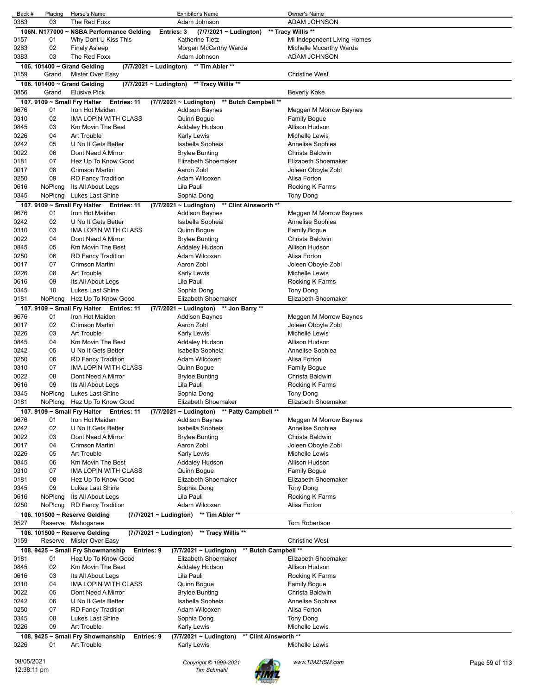| Back #       | Placing  | Horse's Name                                                   | <b>Exhibitor's Name</b>                        | Owner's Name                            |                |
|--------------|----------|----------------------------------------------------------------|------------------------------------------------|-----------------------------------------|----------------|
| 0383         | 03       | The Red Foxx                                                   | Adam Johnson                                   | ADAM JOHNSON                            |                |
|              |          | 106N. N177000 ~ NSBA Performance Gelding                       | Entries: 3<br>$(7/7/2021 \sim$ Ludington)      | ** Tracy Willis **                      |                |
| 0157         | 01       | Why Dont U Kiss This                                           | <b>Katherine Tietz</b>                         | MI Independent Living Homes             |                |
| 0263         | 02       | <b>Finely Asleep</b>                                           | Morgan McCarthy Warda                          | Michelle Mccarthy Warda                 |                |
| 0383         | 03       | The Red Foxx                                                   | Adam Johnson                                   | ADAM JOHNSON                            |                |
|              |          | 106. 101400 $\sim$ Grand Gelding                               | ** Tim Abler **<br>(7/7/2021 ~ Ludington)      |                                         |                |
| 0159         | Grand    | Mister Over Easy                                               |                                                | <b>Christine West</b>                   |                |
|              |          | 106. 101400 ~ Grand Gelding                                    | (7/7/2021 ~ Ludington)<br>** Tracy Willis **   |                                         |                |
| 0856         | Grand    | <b>Elusive Pick</b>                                            |                                                | <b>Beverly Koke</b>                     |                |
|              |          | 107. 9109 ~ Small Fry Halter<br>Entries: 11                    | (7/7/2021 ~ Ludington) ** Butch Campbell **    |                                         |                |
| 9676         | 01       | Iron Hot Maiden                                                | <b>Addison Baynes</b>                          | Meggen M Morrow Baynes                  |                |
| 0310         | 02       | IMA LOPIN WITH CLASS                                           | Quinn Boque                                    | <b>Family Bogue</b>                     |                |
| 0845         | 03       | Km Movin The Best                                              | Addaley Hudson                                 | Allison Hudson                          |                |
| 0226         | 04       | Art Trouble                                                    | <b>Karly Lewis</b>                             | Michelle Lewis                          |                |
| 0242         | 05       | U No It Gets Better                                            | Isabella Sopheia                               | Annelise Sophiea                        |                |
| 0022         | 06       | Dont Need A Mirror                                             | <b>Brylee Bunting</b>                          | Christa Baldwin                         |                |
| 0181         | 07       | Hez Up To Know Good                                            | Elizabeth Shoemaker                            | Elizabeth Shoemaker                     |                |
| 0017         | 08<br>09 | Crimson Martini                                                | Aaron Zobl<br>Adam Wilcoxen                    | Joleen Oboyle Zobl<br>Alisa Forton      |                |
| 0250<br>0616 | NoPlcng  | <b>RD Fancy Tradition</b><br>Its All About Legs                | Lila Pauli                                     | Rocking K Farms                         |                |
| 0345         | NoPlcng  | Lukes Last Shine                                               | Sophia Dong                                    | Tony Dong                               |                |
|              |          | 107. 9109 ~ Small Fry Halter<br><b>Entries: 11</b>             | ** Clint Ainsworth **                          |                                         |                |
| 9676         | 01       | Iron Hot Maiden                                                | $(7/7/2021 \sim$ Ludington)<br>Addison Baynes  | Meggen M Morrow Baynes                  |                |
| 0242         | 02       | U No It Gets Better                                            | Isabella Sopheia                               | Annelise Sophiea                        |                |
| 0310         | 03       | IMA LOPIN WITH CLASS                                           | Quinn Bogue                                    | Family Bogue                            |                |
| 0022         | 04       | Dont Need A Mirror                                             | Brylee Bunting                                 | Christa Baldwin                         |                |
| 0845         | 05       | Km Movin The Best                                              | Addaley Hudson                                 | Allison Hudson                          |                |
| 0250         | 06       | <b>RD Fancy Tradition</b>                                      | Adam Wilcoxen                                  | Alisa Forton                            |                |
| 0017         | 07       | Crimson Martini                                                | Aaron Zobl                                     | Joleen Oboyle Zobl                      |                |
| 0226         | 08       | Art Trouble                                                    | Karly Lewis                                    | Michelle Lewis                          |                |
| 0616         | 09       | Its All About Legs                                             | Lila Pauli                                     | Rocking K Farms                         |                |
| 0345         | 10       | Lukes Last Shine                                               | Sophia Dong                                    | Tony Dong                               |                |
| 0181         | NoPlcng  | Hez Up To Know Good                                            | Elizabeth Shoemaker                            | Elizabeth Shoemaker                     |                |
|              |          | 107. 9109 ~ Small Fry Halter Entries: 11                       | (7/7/2021 ~ Ludington) ** Jon Barry **         |                                         |                |
| 9676         | 01       | Iron Hot Maiden                                                | <b>Addison Baynes</b>                          | Meggen M Morrow Baynes                  |                |
| 0017         | 02       | Crimson Martini                                                | Aaron Zobl                                     | Joleen Oboyle Zobl                      |                |
| 0226         | 03       | Art Trouble                                                    | <b>Karly Lewis</b>                             | Michelle Lewis                          |                |
| 0845         | 04       | Km Movin The Best                                              | Addaley Hudson                                 | Allison Hudson                          |                |
| 0242         | 05       | U No It Gets Better                                            | Isabella Sopheia                               | Annelise Sophiea                        |                |
| 0250         | 06       | <b>RD Fancy Tradition</b>                                      | Adam Wilcoxen                                  | Alisa Forton                            |                |
| 0310         | 07       | IMA LOPIN WITH CLASS                                           | Quinn Bogue                                    | <b>Family Bogue</b>                     |                |
| 0022         | 08       | Dont Need A Mirror                                             | <b>Brylee Bunting</b>                          | Christa Baldwin                         |                |
| 0616         | 09       | Its All About Legs                                             | Lila Pauli                                     | Rocking K Farms                         |                |
| 0345         | NoPlcng  | Lukes Last Shine                                               | Sophia Dong                                    | Tony Dong                               |                |
| 0181         |          | NoPlcng Hez Up To Know Good                                    | Elizabeth Shoemaker                            | Elizabeth Shoemaker                     |                |
|              |          | 107. 9109 ~ Small Fry Halter Entries: 11                       | (7/7/2021 ~ Ludington) ** Patty Campbell **    |                                         |                |
| 9676<br>0242 | 01       | Iron Hot Maiden<br>U No It Gets Better                         | <b>Addison Baynes</b>                          | Meggen M Morrow Baynes                  |                |
| 0022         | 02<br>03 | Dont Need A Mirror                                             | Isabella Sopheia<br><b>Brylee Bunting</b>      | Annelise Sophiea<br>Christa Baldwin     |                |
| 0017         | 04       | Crimson Martini                                                | Aaron Zobl                                     | Joleen Oboyle Zobl                      |                |
| 0226         | 05       | Art Trouble                                                    | Karly Lewis                                    | Michelle Lewis                          |                |
| 0845         | 06       | Km Movin The Best                                              | <b>Addaley Hudson</b>                          | Allison Hudson                          |                |
| 0310         | 07       | IMA LOPIN WITH CLASS                                           | Quinn Bogue                                    | <b>Family Bogue</b>                     |                |
| 0181         | 08       | Hez Up To Know Good                                            | Elizabeth Shoemaker                            | Elizabeth Shoemaker                     |                |
| 0345         | 09       | Lukes Last Shine                                               | Sophia Dong                                    | <b>Tony Dong</b>                        |                |
| 0616         | NoPlcng  | Its All About Legs                                             | Lila Pauli                                     | Rocking K Farms                         |                |
| 0250         | NoPlcng  | <b>RD Fancy Tradition</b>                                      | Adam Wilcoxen                                  | Alisa Forton                            |                |
|              |          | 106. 101500 ~ Reserve Gelding                                  | ** Tim Abler **<br>$(7/7/2021 \sim$ Ludington) |                                         |                |
| 0527         | Reserve  | Mahoganee                                                      |                                                | <b>Tom Robertson</b>                    |                |
|              |          | 106. 101500 ~ Reserve Gelding                                  | (7/7/2021 ~ Ludington)<br>** Tracy Willis **   |                                         |                |
| 0159         |          | Reserve Mister Over Easy                                       |                                                | <b>Christine West</b>                   |                |
|              |          | 108. 9425 ~ Small Fry Showmanship<br>Entries: 9                | $(7/7/2021 \sim$ Ludington)                    | ** Butch Campbell **                    |                |
| 0181         | 01       | Hez Up To Know Good                                            | Elizabeth Shoemaker                            | Elizabeth Shoemaker                     |                |
| 0845         | 02       | Km Movin The Best                                              | <b>Addaley Hudson</b>                          | Allison Hudson                          |                |
| 0616         | 03       | Its All About Legs                                             | Lila Pauli                                     | Rocking K Farms                         |                |
| 0310         | 04       | <b>IMA LOPIN WITH CLASS</b>                                    | Quinn Bogue                                    | <b>Family Bogue</b>                     |                |
| 0022         | 05       | Dont Need A Mirror                                             | <b>Brylee Bunting</b>                          | Christa Baldwin                         |                |
| 0242         | 06       | U No It Gets Better                                            | Isabella Sopheia                               | Annelise Sophiea                        |                |
| 0250         | 07       | <b>RD Fancy Tradition</b>                                      | Adam Wilcoxen                                  | Alisa Forton                            |                |
| 0345         | 08       | Lukes Last Shine<br>Art Trouble                                | Sophia Dong                                    | <b>Tony Dong</b>                        |                |
| 0226         | 09       |                                                                | Karly Lewis                                    | Michelle Lewis<br>** Clint Ainsworth ** |                |
| 0226         | 01       | 108. 9425 ~ Small Fry Showmanship<br>Entries: 9<br>Art Trouble | (7/7/2021 ~ Ludington)<br>Karly Lewis          | Michelle Lewis                          |                |
|              |          |                                                                |                                                |                                         |                |
| 08/05/2021   |          |                                                                | Copyright © 1999-2021                          | www.TIMZHSM.com                         | Page 59 of 113 |
| 12:38:11 pm  |          |                                                                | <b>Tim Schmahl</b>                             |                                         |                |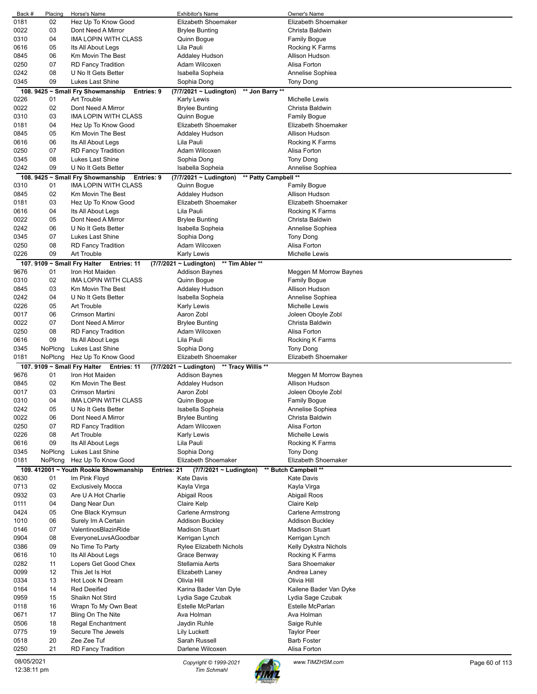| Back #     | Placing | Horse's Name                                          | <b>Exhibitor's Name</b>                        | Owner's Name                      |
|------------|---------|-------------------------------------------------------|------------------------------------------------|-----------------------------------|
| 0181       | 02      | Hez Up To Know Good                                   | Elizabeth Shoemaker                            | Elizabeth Shoemaker               |
| 0022       | 03      | Dont Need A Mirror                                    | <b>Brylee Bunting</b>                          | Christa Baldwin                   |
| 0310       | 04      | <b>IMA LOPIN WITH CLASS</b>                           | Quinn Bogue                                    | <b>Family Bogue</b>               |
| 0616       | 05      | Its All About Legs                                    | Lila Pauli                                     | Rocking K Farms                   |
| 0845       | 06      | Km Movin The Best                                     | Addaley Hudson                                 | Allison Hudson                    |
| 0250       | 07      | <b>RD Fancy Tradition</b>                             | Adam Wilcoxen                                  | Alisa Forton                      |
| 0242       | 08      | U No It Gets Better                                   | Isabella Sopheia                               | Annelise Sophiea                  |
| 0345       | 09      | Lukes Last Shine                                      | Sophia Dong                                    | Tony Dong                         |
|            |         | 108. 9425 ~ Small Fry Showmanship<br>Entries: 9       | ** Jon Barry **<br>(7/7/2021 ~ Ludington)      |                                   |
| 0226       | 01      | <b>Art Trouble</b>                                    | Karly Lewis                                    | Michelle Lewis                    |
| 0022       | 02      | Dont Need A Mirror                                    | <b>Brylee Bunting</b>                          | Christa Baldwin                   |
| 0310       | 03      | <b>IMA LOPIN WITH CLASS</b>                           | Quinn Bogue                                    | <b>Family Bogue</b>               |
| 0181       | 04      | Hez Up To Know Good                                   | Elizabeth Shoemaker                            | Elizabeth Shoemaker               |
| 0845       | 05      | <b>Km Movin The Best</b>                              | <b>Addaley Hudson</b>                          | Allison Hudson                    |
| 0616       | 06      | Its All About Legs                                    | Lila Pauli                                     | Rocking K Farms                   |
| 0250       | 07      | <b>RD Fancy Tradition</b>                             | Adam Wilcoxen                                  | Alisa Forton                      |
| 0345       | 08      | Lukes Last Shine                                      | Sophia Dong                                    | Tony Dong                         |
| 0242       | 09      | U No It Gets Better                                   | Isabella Sopheia                               | Annelise Sophiea                  |
|            |         | 108. 9425 ~ Small Fry Showmanship<br>Entries: 9       | ** Patty Campbell **<br>(7/7/2021 ~ Ludington) |                                   |
| 0310       | 01      | <b>IMA LOPIN WITH CLASS</b>                           | Quinn Bogue                                    | <b>Family Bogue</b>               |
| 0845       | 02      | <b>Km Movin The Best</b>                              | Addaley Hudson                                 | <b>Allison Hudson</b>             |
| 0181       | 03      | Hez Up To Know Good                                   | Elizabeth Shoemaker                            | Elizabeth Shoemaker               |
| 0616       | 04      | Its All About Legs                                    | Lila Pauli                                     | Rocking K Farms                   |
| 0022       | 05      | Dont Need A Mirror                                    | <b>Brylee Bunting</b>                          | Christa Baldwin                   |
| 0242       | 06      | U No It Gets Better                                   | Isabella Sopheia                               | Annelise Sophiea                  |
| 0345       | 07      | Lukes Last Shine                                      | Sophia Dong                                    | Tony Dong                         |
| 0250       | 08      | <b>RD Fancy Tradition</b>                             | Adam Wilcoxen                                  | Alisa Forton                      |
| 0226       | 09      | <b>Art Trouble</b>                                    | <b>Karly Lewis</b>                             | Michelle Lewis                    |
|            |         | 107. 9109 $\sim$ Small Fry Halter<br>Entries: 11      | ** Tim Abler **<br>(7/7/2021 ~ Ludington)      |                                   |
| 9676       | 01      | Iron Hot Maiden                                       | <b>Addison Baynes</b>                          | Meggen M Morrow Baynes            |
| 0310       | 02      | <b>IMA LOPIN WITH CLASS</b>                           | Quinn Bogue                                    | <b>Family Bogue</b>               |
| 0845       | 03      | Km Movin The Best                                     | Addaley Hudson                                 | Allison Hudson                    |
| 0242       | 04      | U No It Gets Better                                   | Isabella Sopheia                               | Annelise Sophiea                  |
| 0226       | 05      | <b>Art Trouble</b>                                    | Karly Lewis                                    | Michelle Lewis                    |
| 0017       | 06      | Crimson Martini                                       | Aaron Zobl                                     | Joleen Oboyle Zobl                |
| 0022       | 07      | Dont Need A Mirror                                    | <b>Brylee Bunting</b>                          | Christa Baldwin                   |
| 0250       | 08      | <b>RD Fancy Tradition</b>                             | Adam Wilcoxen                                  | Alisa Forton                      |
| 0616       | 09      | Its All About Legs                                    | Lila Pauli                                     | Rocking K Farms                   |
|            |         |                                                       |                                                |                                   |
| 0345       | NoPlcng | Lukes Last Shine                                      | Sophia Dong                                    | Tony Dong                         |
| 0181       | NoPlcng | Hez Up To Know Good                                   | Elizabeth Shoemaker                            | Elizabeth Shoemaker               |
|            |         | 107. 9109 ~ Small Fry Halter<br>Entries: 11           | (7/7/2021 ~ Ludington) ** Tracy Willis **      |                                   |
| 9676       | 01      | Iron Hot Maiden                                       | Addison Baynes                                 | Meggen M Morrow Baynes            |
| 0845       | 02      | Km Movin The Best                                     | Addaley Hudson                                 | <b>Allison Hudson</b>             |
| 0017       | 03      | Crimson Martini                                       | Aaron Zobl                                     | Joleen Oboyle Zobl                |
| 0310       | 04      | IMA LOPIN WITH CLASS                                  | Quinn Bogue                                    | <b>Family Bogue</b>               |
| 0242       | 05      | U No It Gets Better                                   | Isabella Sopheia                               | Annelise Sophiea                  |
| 0022       | 06      | Dont Need A Mirror                                    | <b>Brylee Bunting</b>                          | Christa Baldwin                   |
| 0250       | 07      | <b>RD Fancy Tradition</b>                             | Adam Wilcoxen                                  | Alisa Forton                      |
| 0226       | 08      | Art Trouble                                           | Karly Lewis                                    | Michelle Lewis                    |
| 0616       | 09      | Its All About Legs                                    | Lila Pauli                                     | Rocking K Farms                   |
| 0345       | NoPlcng | Lukes Last Shine                                      | Sophia Dong                                    | Tony Dong                         |
| 0181       | NoPlcng | Hez Up To Know Good                                   | Elizabeth Shoemaker                            | Elizabeth Shoemaker               |
|            |         | 109. 412001 ~ Youth Rookie Showmanship<br>Entries: 21 | (7/7/2021 ~ Ludington)                         | ** Butch Campbell **              |
| 0630       | 01      | Im Pink Floyd                                         | <b>Kate Davis</b>                              | <b>Kate Davis</b>                 |
| 0713       | 02      | <b>Exclusively Mocca</b>                              | Kayla Virga                                    | Kayla Virga                       |
| 0932       | 03      | Are U A Hot Charlie                                   | Abigail Roos                                   | Abigail Roos                      |
| 0111       | 04      | Dang Near Dun                                         | Claire Kelp                                    | Claire Kelp                       |
| 0424       | 05      | One Black Krymsun                                     | Carlene Armstrong                              | Carlene Armstrong                 |
| 1010       | 06      | Surely Im A Certain                                   | <b>Addison Buckley</b>                         | Addison Buckley                   |
| 0146       | 07      | ValentinosBlazinRide                                  | <b>Madison Stuart</b>                          | <b>Madison Stuart</b>             |
| 0904       | 08      | EveryoneLuvsAGoodbar                                  | Kerrigan Lynch                                 | Kerrigan Lynch                    |
| 0386       | 09      | No Time To Party                                      | Rylee Elizabeth Nichols                        | Kelly Dykstra Nichols             |
| 0616       | 10      | Its All About Legs                                    | Grace Benway                                   | Rocking K Farms                   |
| 0282       | 11      | Lopers Get Good Chex                                  | Stellamia Aerts                                | Sara Shoemaker                    |
| 0099       | 12      | This Jet Is Hot                                       | Elizabeth Laney                                | Andrea Laney                      |
| 0334       | 13      | Hot Look N Dream                                      | Olivia Hill                                    | Olivia Hill                       |
| 0164       | 14      | <b>Red Deeified</b>                                   | Karina Bader Van Dyle                          | Kailene Bader Van Dyke            |
| 0959       | 15      | Shaikn Not Stird                                      | Lydia Sage Czubak                              | Lydia Sage Czubak                 |
| 0118       | 16      | Wrapn To My Own Beat                                  | Estelle McParlan                               | Estelle McParlan                  |
| 0671       | 17      | Bling On The Nite                                     | Ava Holman                                     | Ava Holman                        |
| 0506       | 18      | Regal Enchantment                                     | Jaydin Ruhle                                   | Saige Ruhle                       |
| 0775       | 19      | Secure The Jewels                                     | Lily Luckett                                   | <b>Taylor Peer</b>                |
| 0518       | 20      | Zee Zee Tuf                                           | Sarah Russell                                  | <b>Barb Foster</b>                |
| 0250       | 21      | <b>RD Fancy Tradition</b>                             | Darlene Wilcoxen                               | Alisa Forton                      |
| 08/05/2021 |         |                                                       | Copyright © 1999-2021                          | www.TIMZHSM.com<br>Page 60 of 113 |

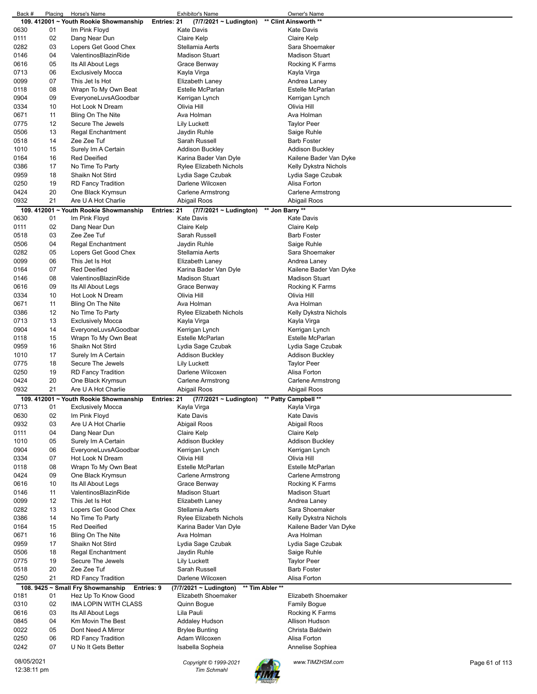| Back #                    | Placing | Horse's Name                                    | <b>Exhibitor's Name</b>                     | Owner's Name           |                |
|---------------------------|---------|-------------------------------------------------|---------------------------------------------|------------------------|----------------|
|                           |         | 109. 412001 ~ Youth Rookie Showmanship          | Entries: 21<br>(7/7/2021 ~ Ludington)       | ** Clint Ainsworth **  |                |
| 0630                      | 01      | Im Pink Floyd                                   | <b>Kate Davis</b>                           | Kate Davis             |                |
| 0111                      | 02      | Dang Near Dun                                   | Claire Kelp                                 | Claire Kelp            |                |
| 0282                      | 03      | Lopers Get Good Chex                            | Stellamia Aerts                             | Sara Shoemaker         |                |
| 0146                      | 04      | ValentinosBlazinRide                            | <b>Madison Stuart</b>                       | Madison Stuart         |                |
| 0616                      | 05      | Its All About Legs                              | Grace Benway                                | Rocking K Farms        |                |
| 0713                      | 06      | <b>Exclusively Mocca</b>                        | Kayla Virga                                 | Kayla Virga            |                |
| 0099                      | 07      | This Jet Is Hot                                 | Elizabeth Laney                             | Andrea Laney           |                |
| 0118                      | 08      |                                                 | Estelle McParlan                            | Estelle McParlan       |                |
|                           |         | Wrapn To My Own Beat                            |                                             |                        |                |
| 0904                      | 09      | EveryoneLuvsAGoodbar                            | Kerrigan Lynch                              | Kerrigan Lynch         |                |
| 0334                      | 10      | Hot Look N Dream                                | Olivia Hill                                 | Olivia Hill            |                |
| 0671                      | 11      | Bling On The Nite                               | Ava Holman                                  | Ava Holman             |                |
| 0775                      | 12      | Secure The Jewels                               | Lily Luckett                                | <b>Taylor Peer</b>     |                |
| 0506                      | 13      | <b>Regal Enchantment</b>                        | Jaydin Ruhle                                | Saige Ruhle            |                |
| 0518                      | 14      | Zee Zee Tuf                                     | Sarah Russell                               | <b>Barb Foster</b>     |                |
| 1010                      | 15      | Surely Im A Certain                             |                                             |                        |                |
|                           |         |                                                 | Addison Buckley                             | Addison Buckley        |                |
| 0164                      | 16      | <b>Red Deeified</b>                             | Karina Bader Van Dyle                       | Kailene Bader Van Dyke |                |
| 0386                      | 17      | No Time To Party                                | Rylee Elizabeth Nichols                     | Kelly Dykstra Nichols  |                |
| 0959                      | 18      | Shaikn Not Stird                                | Lydia Sage Czubak                           | Lydia Sage Czubak      |                |
| 0250                      | 19      | <b>RD Fancy Tradition</b>                       | Darlene Wilcoxen                            | Alisa Forton           |                |
| 0424                      | 20      | One Black Krymsun                               | Carlene Armstrong                           | Carlene Armstrong      |                |
| 0932                      | 21      | Are U A Hot Charlie                             | Abigail Roos                                | Abigail Roos           |                |
|                           |         | 109. 412001 ~ Youth Rookie Showmanship          | Entries: 21<br>$(7/7/2021 \sim$ Ludington)  | ** Jon Barry **        |                |
|                           |         |                                                 |                                             |                        |                |
| 0630                      | 01      | Im Pink Floyd                                   | <b>Kate Davis</b>                           | Kate Davis             |                |
| 0111                      | 02      | Dang Near Dun                                   | Claire Kelp                                 | Claire Kelp            |                |
| 0518                      | 03      | Zee Zee Tuf                                     | Sarah Russell                               | Barb Foster            |                |
| 0506                      | 04      | <b>Regal Enchantment</b>                        | Jaydin Ruhle                                | Saige Ruhle            |                |
| 0282                      | 05      | Lopers Get Good Chex                            | Stellamia Aerts                             | Sara Shoemaker         |                |
| 0099                      | 06      | This Jet Is Hot                                 | Elizabeth Laney                             | Andrea Laney           |                |
| 0164                      | 07      | <b>Red Deeified</b>                             | Karina Bader Van Dyle                       | Kailene Bader Van Dyke |                |
| 0146                      | 08      | ValentinosBlazinRide                            | <b>Madison Stuart</b>                       | Madison Stuart         |                |
|                           |         |                                                 |                                             |                        |                |
| 0616                      | 09      | Its All About Legs                              | Grace Benway                                | Rocking K Farms        |                |
| 0334                      | 10      | Hot Look N Dream                                | Olivia Hill                                 | Olivia Hill            |                |
| 0671                      | 11      | Bling On The Nite                               | Ava Holman                                  | Ava Holman             |                |
| 0386                      | 12      | No Time To Party                                | <b>Rylee Elizabeth Nichols</b>              | Kelly Dykstra Nichols  |                |
| 0713                      | 13      | <b>Exclusively Mocca</b>                        | Kayla Virga                                 | Kayla Virga            |                |
| 0904                      | 14      | EveryoneLuvsAGoodbar                            | Kerrigan Lynch                              | Kerrigan Lynch         |                |
| 0118                      | 15      |                                                 | Estelle McParlan                            | Estelle McParlan       |                |
|                           |         | Wrapn To My Own Beat                            |                                             |                        |                |
| 0959                      | 16      | Shaikn Not Stird                                | Lydia Sage Czubak                           | Lydia Sage Czubak      |                |
| 1010                      | 17      | Surely Im A Certain                             | <b>Addison Buckley</b>                      | <b>Addison Buckley</b> |                |
| 0775                      | 18      | Secure The Jewels                               | <b>Lily Luckett</b>                         | <b>Taylor Peer</b>     |                |
| 0250                      | 19      | <b>RD Fancy Tradition</b>                       | Darlene Wilcoxen                            | Alisa Forton           |                |
| 0424                      | 20      | One Black Krymsun                               | Carlene Armstrong                           | Carlene Armstrong      |                |
| 0932                      | 21      | Are U A Hot Charlie                             | Abigail Roos                                | Abigail Roos           |                |
|                           |         | 109. 412001 ~ Youth Rookie Showmanship          | Entries: 21<br>(7/7/2021 ~ Ludington)       | ** Patty Campbell **   |                |
| 0713                      | 01      | <b>Exclusively Mocca</b>                        | Kayla Virga                                 | Kayla Virga            |                |
|                           |         |                                                 |                                             |                        |                |
| 0630                      | 02      | Im Pink Floyd                                   | <b>Kate Davis</b>                           | Kate Davis             |                |
| 0932                      | 03      | Are U A Hot Charlie                             | Abigail Roos                                | Abigail Roos           |                |
| 0111                      | 04      | Dang Near Dun                                   | Claire Kelp                                 | Claire Kelp            |                |
| 1010                      | 05      | Surely Im A Certain                             | <b>Addison Buckley</b>                      | <b>Addison Buckley</b> |                |
| 0904                      | 06      | EveryoneLuvsAGoodbar                            | Kerrigan Lynch                              | Kerrigan Lynch         |                |
| 0334                      | 07      | Hot Look N Dream                                | Olivia Hill                                 | Olivia Hill            |                |
| 0118                      | 08      | Wrapn To My Own Beat                            | Estelle McParlan                            | Estelle McParlan       |                |
|                           |         | One Black Krymsun                               |                                             |                        |                |
| 0424                      | 09      |                                                 | Carlene Armstrong                           | Carlene Armstrong      |                |
| 0616                      | 10      | Its All About Legs                              | Grace Benway                                | Rocking K Farms        |                |
| 0146                      | 11      | ValentinosBlazinRide                            | <b>Madison Stuart</b>                       | <b>Madison Stuart</b>  |                |
| 0099                      | 12      | This Jet Is Hot                                 | Elizabeth Laney                             | Andrea Laney           |                |
| 0282                      | 13      | Lopers Get Good Chex                            | Stellamia Aerts                             | Sara Shoemaker         |                |
| 0386                      | 14      | No Time To Party                                | <b>Rylee Elizabeth Nichols</b>              | Kelly Dykstra Nichols  |                |
| 0164                      | 15      | <b>Red Deeified</b>                             | Karina Bader Van Dyle                       | Kailene Bader Van Dyke |                |
| 0671                      | 16      | Bling On The Nite                               | Ava Holman                                  | Ava Holman             |                |
| 0959                      | 17      | Shaikn Not Stird                                | Lydia Sage Czubak                           | Lydia Sage Czubak      |                |
|                           |         |                                                 |                                             |                        |                |
| 0506                      | 18      | Regal Enchantment                               | Jaydin Ruhle                                | Saige Ruhle            |                |
| 0775                      | 19      | Secure The Jewels                               | <b>Lily Luckett</b>                         | <b>Taylor Peer</b>     |                |
| 0518                      | 20      | Zee Zee Tuf                                     | Sarah Russell                               | Barb Foster            |                |
| 0250                      |         | <b>RD Fancy Tradition</b>                       | Darlene Wilcoxen                            | Alisa Forton           |                |
|                           | 21      |                                                 |                                             | ** Tim Abler **        |                |
|                           |         | 108. 9425 ~ Small Fry Showmanship<br>Entries: 9 | (7/7/2021 ~ Ludington)                      |                        |                |
|                           |         |                                                 | Elizabeth Shoemaker                         | Elizabeth Shoemaker    |                |
| 0181                      | 01      | Hez Up To Know Good                             |                                             |                        |                |
| 0310                      | 02      | IMA LOPIN WITH CLASS                            | Quinn Bogue                                 | <b>Family Bogue</b>    |                |
| 0616                      | 03      | Its All About Legs                              | Lila Pauli                                  | Rocking K Farms        |                |
| 0845                      | 04      | Km Movin The Best                               | Addaley Hudson                              | Allison Hudson         |                |
| 0022                      | 05      | Dont Need A Mirror                              | <b>Brylee Bunting</b>                       | Christa Baldwin        |                |
| 0250                      | 06      | <b>RD Fancy Tradition</b>                       | Adam Wilcoxen                               | Alisa Forton           |                |
| 0242                      | 07      | U No It Gets Better                             | Isabella Sopheia                            | Annelise Sophiea       |                |
|                           |         |                                                 |                                             |                        |                |
| 08/05/2021<br>12:38:11 pm |         |                                                 | Copyright © 1999-2021<br><b>Tim Schmahl</b> | www.TIMZHSM.com        | Page 61 of 113 |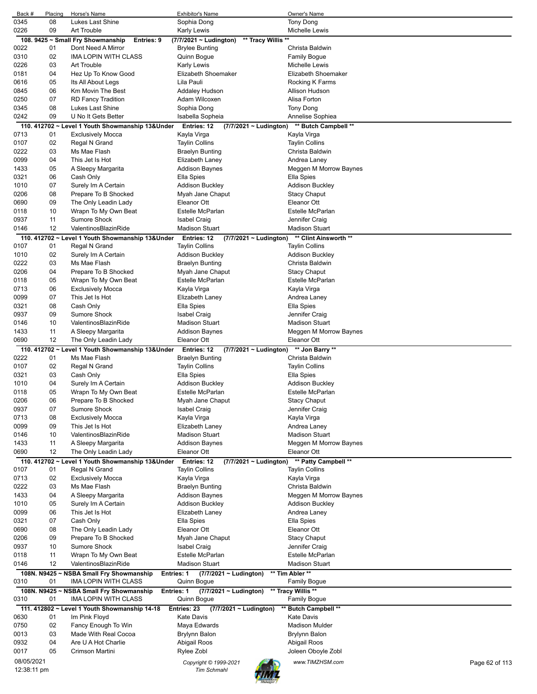| Back #       | Placing  | Horse's Name                                                     | <b>Exhibitor's Name</b>                                    | Owner's Name                           |                |
|--------------|----------|------------------------------------------------------------------|------------------------------------------------------------|----------------------------------------|----------------|
| 0345         | 08       | Lukes Last Shine                                                 | Sophia Dong                                                | <b>Tony Dong</b>                       |                |
| 0226         | 09       | <b>Art Trouble</b>                                               | Karly Lewis                                                | Michelle Lewis                         |                |
|              |          | 108. 9425 ~ Small Fry Showmanship<br>Entries: 9                  | ** Tracy Willis **<br>(7/7/2021 ~ Ludington)               |                                        |                |
| 0022         | 01       | Dont Need A Mirror                                               | <b>Brylee Bunting</b>                                      | Christa Baldwin                        |                |
| 0310         | 02       | <b>IMA LOPIN WITH CLASS</b>                                      | Quinn Bogue                                                | Family Bogue                           |                |
| 0226         | 03       | Art Trouble                                                      | <b>Karly Lewis</b>                                         | Michelle Lewis                         |                |
| 0181         | 04       | Hez Up To Know Good                                              | Elizabeth Shoemaker                                        | Elizabeth Shoemaker                    |                |
| 0616         | 05       | Its All About Legs                                               | Lila Pauli                                                 | Rocking K Farms                        |                |
| 0845         | 06<br>07 | Km Movin The Best                                                | Addaley Hudson                                             | Allison Hudson<br>Alisa Forton         |                |
| 0250<br>0345 | 08       | <b>RD Fancy Tradition</b><br>Lukes Last Shine                    | Adam Wilcoxen                                              |                                        |                |
| 0242         | 09       | U No It Gets Better                                              | Sophia Dong                                                | <b>Tony Dong</b>                       |                |
|              |          |                                                                  | Isabella Sopheia                                           | Annelise Sophiea                       |                |
| 0713         |          | 110. 412702 ~ Level 1 Youth Showmanship 13&Under                 | Entries: 12<br>(7/7/2021 ~ Ludington)                      | ** Butch Campbell **                   |                |
| 0107         | 01<br>02 | <b>Exclusively Mocca</b><br>Regal N Grand                        | Kayla Virga                                                | Kayla Virga<br><b>Taylin Collins</b>   |                |
| 0222         | 03       | Ms Mae Flash                                                     | <b>Taylin Collins</b>                                      | Christa Baldwin                        |                |
| 0099         | 04       | This Jet Is Hot                                                  | <b>Braelyn Bunting</b><br>Elizabeth Laney                  | Andrea Laney                           |                |
| 1433         | 05       | A Sleepy Margarita                                               | Addison Baynes                                             | Meggen M Morrow Baynes                 |                |
| 0321         | 06       | Cash Only                                                        | Ella Spies                                                 | Ella Spies                             |                |
| 1010         | 07       | Surely Im A Certain                                              | <b>Addison Buckley</b>                                     | <b>Addison Buckley</b>                 |                |
| 0206         | 08       | Prepare To B Shocked                                             | Myah Jane Chaput                                           | <b>Stacy Chaput</b>                    |                |
| 0690         | 09       | The Only Leadin Lady                                             | Eleanor Ott                                                | Eleanor Ott                            |                |
| 0118         | 10       | Wrapn To My Own Beat                                             | Estelle McParlan                                           | Estelle McParlan                       |                |
| 0937         | 11       | Sumore Shock                                                     | <b>Isabel Craig</b>                                        | Jennifer Craig                         |                |
| 0146         | 12       | ValentinosBlazinRide                                             | <b>Madison Stuart</b>                                      | <b>Madison Stuart</b>                  |                |
|              |          | 110. 412702 ~ Level 1 Youth Showmanship 13&Under                 | <b>Entries: 12</b><br>(7/7/2021 ~ Ludington)               | ** Clint Ainsworth **                  |                |
| 0107         | 01       | Regal N Grand                                                    | <b>Taylin Collins</b>                                      | <b>Taylin Collins</b>                  |                |
| 1010         | 02       | Surely Im A Certain                                              | <b>Addison Buckley</b>                                     | <b>Addison Buckley</b>                 |                |
| 0222         | 03       | Ms Mae Flash                                                     | <b>Braelyn Bunting</b>                                     | Christa Baldwin                        |                |
| 0206         | 04       | Prepare To B Shocked                                             | Myah Jane Chaput                                           | <b>Stacy Chaput</b>                    |                |
| 0118         | 05       | Wrapn To My Own Beat                                             | Estelle McParlan                                           | Estelle McParlan                       |                |
| 0713         | 06       | <b>Exclusively Mocca</b>                                         | Kayla Virga                                                | Kayla Virga                            |                |
| 0099         | 07       | This Jet Is Hot                                                  | Elizabeth Laney                                            | Andrea Laney                           |                |
| 0321         | 08       | Cash Only                                                        | Ella Spies                                                 | Ella Spies                             |                |
| 0937         | 09       | <b>Sumore Shock</b>                                              | <b>Isabel Craig</b>                                        | Jennifer Craig                         |                |
| 0146         | 10       | ValentinosBlazinRide                                             | <b>Madison Stuart</b>                                      | <b>Madison Stuart</b>                  |                |
| 1433         | 11       | A Sleepy Margarita                                               | <b>Addison Baynes</b>                                      | Meggen M Morrow Baynes                 |                |
| 0690         | 12       | The Only Leadin Lady                                             | <b>Eleanor Ott</b>                                         | Eleanor Ott                            |                |
|              |          | 110. 412702 ~ Level 1 Youth Showmanship 13&Under                 | Entries: 12<br>(7/7/2021 ~ Ludington)                      | ** Jon Barry **                        |                |
| 0222         | 01       | Ms Mae Flash                                                     | <b>Braelyn Bunting</b>                                     | Christa Baldwin                        |                |
| 0107         | 02       | Regal N Grand                                                    | <b>Taylin Collins</b>                                      | <b>Taylin Collins</b>                  |                |
| 0321         | 03       | Cash Only                                                        | Ella Spies                                                 | Ella Spies                             |                |
| 1010         | 04       | Surely Im A Certain                                              | Addison Buckley                                            | <b>Addison Buckley</b>                 |                |
| 0118         | 05       | Wrapn To My Own Beat                                             | <b>Estelle McParlan</b>                                    | Estelle McParlan                       |                |
| 0206         | 06       | Prepare To B Shocked                                             | Myah Jane Chaput                                           | <b>Stacy Chaput</b>                    |                |
| 0937         | 07       | Sumore Shock                                                     | <b>Isabel Craig</b>                                        | Jennifer Craig                         |                |
| 0713         | 08       | <b>Exclusively Mocca</b>                                         | Kayla Virga                                                | Kayla Virga                            |                |
| 0099         | 09       | This Jet Is Hot                                                  | Elizabeth Laney                                            | Andrea Laney                           |                |
| 0146         | 10       | ValentinosBlazinRide                                             | <b>Madison Stuart</b>                                      | <b>Madison Stuart</b>                  |                |
| 1433         | 11       | A Sleepy Margarita                                               | <b>Addison Baynes</b>                                      | Meggen M Morrow Baynes                 |                |
| 0690         | 12       | The Only Leadin Lady                                             | Eleanor Ott                                                | Eleanor Ott                            |                |
|              |          | 110. 412702 ~ Level 1 Youth Showmanship 13&Under                 | Entries: 12<br>(7/7/2021 ~ Ludington)                      | ** Patty Campbell **                   |                |
| 0107         | 01       | Regal N Grand                                                    | <b>Taylin Collins</b>                                      | <b>Taylin Collins</b>                  |                |
| 0713         | 02       | <b>Exclusively Mocca</b>                                         | Kayla Virga                                                | Kayla Virga                            |                |
| 0222         | 03       | Ms Mae Flash                                                     | <b>Braelyn Bunting</b>                                     | Christa Baldwin                        |                |
| 1433         | 04       | A Sleepy Margarita                                               | <b>Addison Baynes</b>                                      | Meggen M Morrow Baynes                 |                |
| 1010         | 05       | Surely Im A Certain                                              | <b>Addison Buckley</b>                                     | <b>Addison Buckley</b>                 |                |
| 0099         | 06       | This Jet Is Hot                                                  | Elizabeth Laney                                            | Andrea Laney                           |                |
| 0321         | 07       | Cash Only                                                        | Ella Spies                                                 | Ella Spies                             |                |
| 0690         | 08       | The Only Leadin Lady                                             | Eleanor Ott                                                | Eleanor Ott                            |                |
| 0206         | 09       | Prepare To B Shocked                                             | Myah Jane Chaput                                           | <b>Stacy Chaput</b>                    |                |
| 0937         | 10       | Sumore Shock                                                     | Isabel Craig                                               | Jennifer Craig                         |                |
| 0118         | 11       | Wrapn To My Own Beat                                             | Estelle McParlan                                           | Estelle McParlan                       |                |
| 0146         | 12       | ValentinosBlazinRide                                             | <b>Madison Stuart</b>                                      | <b>Madison Stuart</b>                  |                |
| 0310         | 01       | 108N. N9425 ~ NSBA Small Fry Showmanship<br>IMA LOPIN WITH CLASS | <b>Entries: 1</b><br>(7/7/2021 ~ Ludington)<br>Quinn Bogue | ** Tim Abler **<br><b>Family Bogue</b> |                |
|              |          | 108N. N9425 ~ NSBA Small Fry Showmanship                         | Entries: 1<br>$(7/7/2021 \sim$ Ludington)                  | ** Tracy Willis **                     |                |
| 0310         | 01       | IMA LOPIN WITH CLASS                                             | Quinn Bogue                                                | Family Bogue                           |                |
| 0630         | 01       | 111. 412802 ~ Level 1 Youth Showmanship 14-18<br>Im Pink Floyd   | Entries: 23<br>(7/7/2021 ~ Ludington)<br><b>Kate Davis</b> | ** Butch Campbell **<br>Kate Davis     |                |
| 0750         | 02       | Fancy Enough To Win                                              | Maya Edwards                                               | <b>Madison Mulder</b>                  |                |
| 0013         | 03       | Made With Real Cocoa                                             | <b>Brylynn Balon</b>                                       | <b>Brylynn Balon</b>                   |                |
| 0932         | 04       | Are U A Hot Charlie                                              | Abigail Roos                                               | Abigail Roos                           |                |
| 0017         | 05       | Crimson Martini                                                  | Rylee Zobl                                                 | Joleen Oboyle Zobl                     |                |
| 08/05/2021   |          |                                                                  |                                                            |                                        |                |
| 12:38:11 pm  |          |                                                                  | Copyright © 1999-2021<br><b>Tim Schmahl</b>                | www.TIMZHSM.com                        | Page 62 of 113 |
|              |          |                                                                  |                                                            |                                        |                |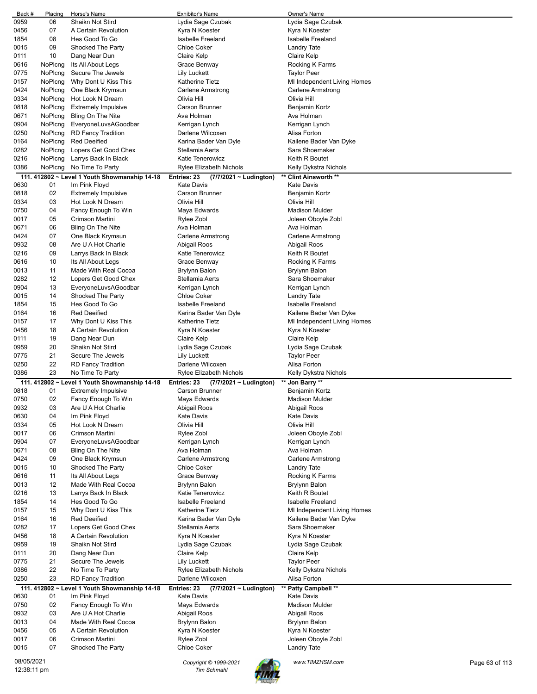| Back #     | Placing     | Horse's Name                                  | <b>Exhibitor's Name</b>               | Owner's Name                |                |
|------------|-------------|-----------------------------------------------|---------------------------------------|-----------------------------|----------------|
| 0959       | 06          | Shaikn Not Stird                              | Lydia Sage Czubak                     | Lydia Sage Czubak           |                |
| 0456       | 07          | A Certain Revolution                          | Kyra N Koester                        | Kyra N Koester              |                |
| 1854       | 08          | Hes Good To Go                                | <b>Isabelle Freeland</b>              | Isabelle Freeland           |                |
| 0015       | 09          | Shocked The Party                             | <b>Chloe Coker</b>                    | Landry Tate                 |                |
| 0111       | 10          | Dang Near Dun                                 | Claire Kelp                           | Claire Kelp                 |                |
| 0616       | NoPlcng     | Its All About Legs                            | Grace Benway                          | Rocking K Farms             |                |
| 0775       | NoPlcng     | Secure The Jewels                             | Lily Luckett                          | <b>Taylor Peer</b>          |                |
| 0157       | NoPlcng     | Why Dont U Kiss This                          | Katherine Tietz                       | MI Independent Living Homes |                |
| 0424       | NoPlcng     | One Black Krymsun                             | Carlene Armstrong                     | Carlene Armstrong           |                |
| 0334       | NoPlcng     | Hot Look N Dream                              | Olivia Hill                           | Olivia Hill                 |                |
|            | NoPlcng     | <b>Extremely Impulsive</b>                    | <b>Carson Brunner</b>                 | Benjamin Kortz              |                |
| 0818       |             |                                               |                                       |                             |                |
| 0671       | NoPlcng     | Bling On The Nite                             | Ava Holman                            | Ava Holman                  |                |
| 0904       | NoPlcng     | EveryoneLuvsAGoodbar                          | Kerrigan Lynch                        | Kerrigan Lynch              |                |
| 0250       | NoPlcng     | <b>RD Fancy Tradition</b>                     | Darlene Wilcoxen                      | Alisa Forton                |                |
| 0164       | NoPlcng     | <b>Red Deeified</b>                           | Karina Bader Van Dyle                 | Kailene Bader Van Dyke      |                |
| 0282       | NoPlcng     | Lopers Get Good Chex                          | Stellamia Aerts                       | Sara Shoemaker              |                |
| 0216       | NoPlcng     | Larrys Back In Black                          | Katie Tenerowicz                      | Keith R Boutet              |                |
| 0386       | NoPlcng     | No Time To Party                              | Rylee Elizabeth Nichols               | Kelly Dykstra Nichols       |                |
|            |             | 111. 412802 ~ Level 1 Youth Showmanship 14-18 | Entries: 23<br>(7/7/2021 ~ Ludington) | ** Clint Ainsworth **       |                |
| 0630       | 01          | Im Pink Floyd                                 | <b>Kate Davis</b>                     | <b>Kate Davis</b>           |                |
| 0818       | 02          | <b>Extremely Impulsive</b>                    | <b>Carson Brunner</b>                 | Benjamin Kortz              |                |
| 0334       | 03          | Hot Look N Dream                              | Olivia Hill                           | Olivia Hill                 |                |
| 0750       | 04          | Fancy Enough To Win                           | Maya Edwards                          | Madison Mulder              |                |
| 0017       | 05          | Crimson Martini                               | Rylee Zobl                            | Joleen Oboyle Zobl          |                |
| 0671       | 06          | Bling On The Nite                             | Ava Holman                            | Ava Holman                  |                |
| 0424       | 07          | One Black Krymsun                             | Carlene Armstrong                     | Carlene Armstrong           |                |
| 0932       |             |                                               |                                       |                             |                |
|            | 08          | Are U A Hot Charlie                           | Abigail Roos                          | Abigail Roos                |                |
| 0216       | 09          | Larrys Back In Black                          | Katie Tenerowicz                      | Keith R Boutet              |                |
| 0616       | 10          | Its All About Legs                            | Grace Benway                          | Rocking K Farms             |                |
| 0013       | 11          | Made With Real Cocoa                          | Brylynn Balon                         | Brylynn Balon               |                |
| 0282       | 12          | Lopers Get Good Chex                          | Stellamia Aerts                       | Sara Shoemaker              |                |
| 0904       | 13          | EveryoneLuvsAGoodbar                          | Kerrigan Lynch                        | Kerrigan Lynch              |                |
| 0015       | 14          | Shocked The Party                             | <b>Chloe Coker</b>                    | Landry Tate                 |                |
| 1854       | 15          | Hes Good To Go                                | <b>Isabelle Freeland</b>              | Isabelle Freeland           |                |
| 0164       | 16          | <b>Red Deeified</b>                           | Karina Bader Van Dyle                 | Kailene Bader Van Dyke      |                |
| 0157       | 17          | Why Dont U Kiss This                          | Katherine Tietz                       | MI Independent Living Homes |                |
| 0456       | 18          | A Certain Revolution                          | Kyra N Koester                        | Kyra N Koester              |                |
| 0111       | 19          | Dang Near Dun                                 | Claire Kelp                           | Claire Kelp                 |                |
| 0959       | 20          | Shaikn Not Stird                              | Lydia Sage Czubak                     | Lydia Sage Czubak           |                |
| 0775       | 21          | Secure The Jewels                             | Lily Luckett                          | <b>Taylor Peer</b>          |                |
| 0250       | 22          | <b>RD Fancy Tradition</b>                     | Darlene Wilcoxen                      | Alisa Forton                |                |
| 0386       | 23          | No Time To Party                              | Rylee Elizabeth Nichols               | Kelly Dykstra Nichols       |                |
|            |             |                                               |                                       |                             |                |
|            |             | 111. 412802 ~ Level 1 Youth Showmanship 14-18 | (7/7/2021 ~ Ludington)<br>Entries: 23 | ** Jon Barry **             |                |
| 0818       | 01          | <b>Extremely Impulsive</b>                    | <b>Carson Brunner</b>                 | Benjamin Kortz              |                |
| 0750       | 02          | Fancy Enough To Win                           | Maya Edwards                          | Madison Mulder              |                |
| 0932       | 03          | Are U A Hot Charlie                           | Abigail Roos                          | Abigail Roos                |                |
| 0630       | 04          | Im Pink Floyd                                 | Kate Davis                            | <b>Kate Davis</b>           |                |
| 0334       | 05          | Hot Look N Dream                              | Olivia Hill                           | Olivia Hill                 |                |
| 0017       | 06          | Crimson Martini                               | Rylee Zobl                            | Joleen Oboyle Zobl          |                |
| 0904       | 07          | EveryoneLuvsAGoodbar                          | Kerrigan Lynch                        | Kerrigan Lynch              |                |
| 0671       | 08          | Bling On The Nite                             | Ava Holman                            | Ava Holman                  |                |
| 0424       | 09          | One Black Krymsun                             | Carlene Armstrong                     | Carlene Armstrong           |                |
| 0015       | 10          | Shocked The Party                             | Chloe Coker                           | Landry Tate                 |                |
| 0616       | 11          | Its All About Legs                            | Grace Benway                          | Rocking K Farms             |                |
| 0013       | 12          | Made With Real Cocoa                          | Brylynn Balon                         | Brylynn Balon               |                |
| 0216       | 13          | Larrys Back In Black                          | <b>Katie Tenerowicz</b>               | Keith R Boutet              |                |
| 1854       | 14          | Hes Good To Go                                | <b>Isabelle Freeland</b>              | Isabelle Freeland           |                |
| 0157       | 15          | Why Dont U Kiss This                          | Katherine Tietz                       | MI Independent Living Homes |                |
| 0164       | 16          | <b>Red Deeified</b>                           | Karina Bader Van Dyle                 | Kailene Bader Van Dyke      |                |
| 0282       | 17          | Lopers Get Good Chex                          | Stellamia Aerts                       | Sara Shoemaker              |                |
| 0456       | 18          | A Certain Revolution                          | Kyra N Koester                        | Kyra N Koester              |                |
| 0959       | 19          | Shaikn Not Stird                              |                                       |                             |                |
|            |             |                                               | Lydia Sage Czubak                     | Lydia Sage Czubak           |                |
| 0111       | 20          | Dang Near Dun                                 | Claire Kelp                           | Claire Kelp                 |                |
| 0775       | 21          | Secure The Jewels                             | Lily Luckett                          | <b>Taylor Peer</b>          |                |
| 0386       | 22          | No Time To Party                              | Rylee Elizabeth Nichols               | Kelly Dykstra Nichols       |                |
| 0250       | 23          | <b>RD Fancy Tradition</b>                     | Darlene Wilcoxen                      | Alisa Forton                |                |
|            |             | 111. 412802 ~ Level 1 Youth Showmanship 14-18 | Entries: 23<br>(7/7/2021 ~ Ludington) | ** Patty Campbell **        |                |
| 0630       | 01          | Im Pink Floyd                                 | Kate Davis                            | Kate Davis                  |                |
| 0750       | 02          | Fancy Enough To Win                           | Maya Edwards                          | <b>Madison Mulder</b>       |                |
| 0932       | 03          | Are U A Hot Charlie                           | Abigail Roos                          | Abigail Roos                |                |
| 0013       | 04          | Made With Real Cocoa                          | Brylynn Balon                         | Brylynn Balon               |                |
| 0456       | 05          | A Certain Revolution                          | Kyra N Koester                        | Kyra N Koester              |                |
| 0017       | 06          | Crimson Martini                               | Rylee Zobl                            | Joleen Oboyle Zobl          |                |
| 0015       | 07          | Shocked The Party                             | Chloe Coker                           | <b>Landry Tate</b>          |                |
|            |             |                                               |                                       |                             |                |
| 08/05/2021 |             |                                               | Copyright © 1999-2021                 | www.TIMZHSM.com             | Page 63 of 113 |
|            | 12:38:11 pm |                                               | <b>Tim Schmahl</b>                    |                             |                |

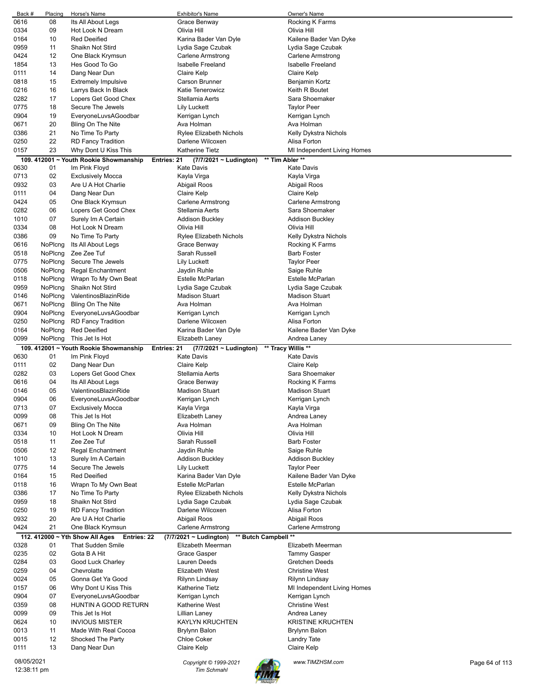| Back #                    | Placing | Horse's Name                                   | <b>Exhibitor's Name</b>                             | Owner's Name                |                |
|---------------------------|---------|------------------------------------------------|-----------------------------------------------------|-----------------------------|----------------|
| 0616                      | 08      | Its All About Legs                             | Grace Benway                                        | Rocking K Farms             |                |
| 0334                      | 09      | Hot Look N Dream                               | Olivia Hill                                         | Olivia Hill                 |                |
| 0164                      | 10      | <b>Red Deeified</b>                            | Karina Bader Van Dyle                               | Kailene Bader Van Dyke      |                |
|                           |         |                                                |                                                     |                             |                |
| 0959                      | 11      | Shaikn Not Stird                               | Lydia Sage Czubak                                   | Lydia Sage Czubak           |                |
| 0424                      | 12      | One Black Krymsun                              | Carlene Armstrong                                   | Carlene Armstrong           |                |
| 1854                      | 13      | Hes Good To Go                                 | <b>Isabelle Freeland</b>                            | <b>Isabelle Freeland</b>    |                |
| 0111                      | 14      | Dang Near Dun                                  | Claire Kelp                                         | Claire Kelp                 |                |
| 0818                      | 15      | <b>Extremely Impulsive</b>                     | Carson Brunner                                      | Benjamin Kortz              |                |
|                           | 16      |                                                | Katie Tenerowicz                                    | Keith R Boutet              |                |
| 0216                      |         | Larrys Back In Black                           |                                                     |                             |                |
| 0282                      | 17      | Lopers Get Good Chex                           | Stellamia Aerts                                     | Sara Shoemaker              |                |
| 0775                      | 18      | Secure The Jewels                              | Lily Luckett                                        | <b>Taylor Peer</b>          |                |
| 0904                      | 19      | EveryoneLuvsAGoodbar                           | Kerrigan Lynch                                      | Kerrigan Lynch              |                |
| 0671                      | 20      | Bling On The Nite                              | Ava Holman                                          | Ava Holman                  |                |
| 0386                      | 21      | No Time To Party                               | <b>Rylee Elizabeth Nichols</b>                      | Kelly Dykstra Nichols       |                |
|                           |         |                                                |                                                     |                             |                |
| 0250                      | 22      | <b>RD Fancy Tradition</b>                      | Darlene Wilcoxen                                    | Alisa Forton                |                |
| 0157                      | 23      | Why Dont U Kiss This                           | <b>Katherine Tietz</b>                              | MI Independent Living Homes |                |
|                           |         | 109. 412001 ~ Youth Rookie Showmanship         | Entries: 21<br>(7/7/2021 ~ Ludington)               | ** Tim Abler **             |                |
| 0630                      | 01      | Im Pink Floyd                                  | <b>Kate Davis</b>                                   | Kate Davis                  |                |
| 0713                      | 02      | <b>Exclusively Mocca</b>                       | Kayla Virga                                         | Kayla Virga                 |                |
| 0932                      | 03      | Are U A Hot Charlie                            |                                                     |                             |                |
|                           |         |                                                | Abigail Roos                                        | Abigail Roos                |                |
| 0111                      | 04      | Dang Near Dun                                  | Claire Kelp                                         | Claire Kelp                 |                |
| 0424                      | 05      | One Black Krymsun                              | Carlene Armstrong                                   | Carlene Armstrong           |                |
| 0282                      | 06      | Lopers Get Good Chex                           | Stellamia Aerts                                     | Sara Shoemaker              |                |
| 1010                      | 07      | Surely Im A Certain                            | <b>Addison Buckley</b>                              | Addison Buckley             |                |
| 0334                      | 08      | Hot Look N Dream                               | Olivia Hill                                         | Olivia Hill                 |                |
|                           |         |                                                |                                                     |                             |                |
| 0386                      | 09      | No Time To Party                               | <b>Rylee Elizabeth Nichols</b>                      | Kelly Dykstra Nichols       |                |
| 0616                      | NoPlcng | Its All About Legs                             | Grace Benway                                        | Rocking K Farms             |                |
| 0518                      | NoPlcng | Zee Zee Tuf                                    | Sarah Russell                                       | <b>Barb Foster</b>          |                |
| 0775                      | NoPlcng | Secure The Jewels                              | <b>Lily Luckett</b>                                 | <b>Taylor Peer</b>          |                |
| 0506                      | NoPlcng | Regal Enchantment                              | Jaydin Ruhle                                        | Saige Ruhle                 |                |
|                           |         |                                                |                                                     |                             |                |
| 0118                      | NoPlcng | Wrapn To My Own Beat                           | Estelle McParlan                                    | Estelle McParlan            |                |
| 0959                      | NoPlcng | Shaikn Not Stird                               | Lydia Sage Czubak                                   | Lydia Sage Czubak           |                |
| 0146                      | NoPlcng | ValentinosBlazinRide                           | <b>Madison Stuart</b>                               | <b>Madison Stuart</b>       |                |
| 0671                      | NoPlcng | Bling On The Nite                              | Ava Holman                                          | Ava Holman                  |                |
| 0904                      | NoPlcng | EveryoneLuvsAGoodbar                           | Kerrigan Lynch                                      | Kerrigan Lynch              |                |
|                           |         |                                                |                                                     |                             |                |
| 0250                      | NoPlcng | <b>RD Fancy Tradition</b>                      | Darlene Wilcoxen                                    | Alisa Forton                |                |
| 0164                      | NoPlcng | <b>Red Deeified</b>                            | Karina Bader Van Dyle                               | Kailene Bader Van Dyke      |                |
| 0099                      | NoPlcng | This Jet Is Hot                                | Elizabeth Laney                                     | Andrea Laney                |                |
|                           |         | 109. 412001 ~ Youth Rookie Showmanship         | Entries: 21<br>(7/7/2021 ~ Ludington)               | ** Tracy Willis **          |                |
| 0630                      | 01      | Im Pink Floyd                                  | Kate Davis                                          | <b>Kate Davis</b>           |                |
| 0111                      | 02      | Dang Near Dun                                  | Claire Kelp                                         | Claire Kelp                 |                |
|                           |         |                                                |                                                     |                             |                |
|                           |         |                                                |                                                     |                             |                |
| 0282                      | 03      | Lopers Get Good Chex                           | Stellamia Aerts                                     | Sara Shoemaker              |                |
| 0616                      | 04      | Its All About Legs                             | Grace Benway                                        | Rocking K Farms             |                |
| 0146                      | 05      | ValentinosBlazinRide                           | <b>Madison Stuart</b>                               | <b>Madison Stuart</b>       |                |
| 0904                      | 06      | EveryoneLuvsAGoodbar                           | Kerrigan Lynch                                      | Kerrigan Lynch              |                |
|                           |         |                                                |                                                     |                             |                |
| 0713                      | 07      | <b>Exclusively Mocca</b>                       | Kayla Virga                                         | Kayla Virga                 |                |
| 0099                      | 08      | This Jet Is Hot                                | Elizabeth Laney                                     | Andrea Laney                |                |
| 0671                      | 09      | Bling On The Nite                              | Ava Holman                                          | Ava Holman                  |                |
| 0334                      | 10      | Hot Look N Dream                               | Olivia Hill                                         | Olivia Hill                 |                |
| 0518                      | 11      | Zee Zee Tuf                                    | Sarah Russell                                       | <b>Barb Foster</b>          |                |
| 0506                      | 12      | <b>Regal Enchantment</b>                       | Jaydin Ruhle                                        | Saige Ruhle                 |                |
|                           |         |                                                |                                                     |                             |                |
| 1010                      | 13      | Surely Im A Certain                            | <b>Addison Buckley</b>                              | <b>Addison Buckley</b>      |                |
| 0775                      | 14      | Secure The Jewels                              | <b>Lily Luckett</b>                                 | <b>Taylor Peer</b>          |                |
| 0164                      | 15      | <b>Red Deeified</b>                            | Karina Bader Van Dyle                               | Kailene Bader Van Dyke      |                |
| 0118                      | 16      | Wrapn To My Own Beat                           | Estelle McParlan                                    | Estelle McParlan            |                |
| 0386                      | 17      | No Time To Party                               | Rylee Elizabeth Nichols                             | Kelly Dykstra Nichols       |                |
| 0959                      | 18      | Shaikn Not Stird                               | Lydia Sage Czubak                                   | Lydia Sage Czubak           |                |
|                           |         |                                                |                                                     |                             |                |
| 0250                      | 19      | <b>RD Fancy Tradition</b>                      | Darlene Wilcoxen                                    | Alisa Forton                |                |
| 0932                      | 20      | Are U A Hot Charlie                            | Abigail Roos                                        | Abigail Roos                |                |
| 0424                      | 21      | One Black Krymsun                              | Carlene Armstrong                                   | <b>Carlene Armstrong</b>    |                |
|                           |         | 112. 412000 ~ Yth Show All Ages<br>Entries: 22 | ** Butch Campbell **<br>$(7/7/2021 \sim$ Ludington) |                             |                |
| 0328                      | 01      | <b>That Sudden Smile</b>                       | Elizabeth Meerman                                   | Elizabeth Meerman           |                |
| 0235                      | 02      | Gota B A Hit                                   | Grace Gasper                                        | <b>Tammy Gasper</b>         |                |
|                           |         |                                                |                                                     |                             |                |
| 0284                      | 03      | Good Luck Charley                              | Lauren Deeds                                        | Gretchen Deeds              |                |
| 0259                      | 04      | Chevrolatte                                    | Elizabeth West                                      | <b>Christine West</b>       |                |
| 0024                      | 05      | Gonna Get Ya Good                              | Rilynn Lindsay                                      | Rilynn Lindsay              |                |
| 0157                      | 06      | Why Dont U Kiss This                           | Katherine Tietz                                     | MI Independent Living Homes |                |
| 0904                      | 07      | EveryoneLuvsAGoodbar                           | Kerrigan Lynch                                      | Kerrigan Lynch              |                |
|                           |         |                                                |                                                     |                             |                |
| 0359                      | 08      | HUNTIN A GOOD RETURN                           | Katherine West                                      | <b>Christine West</b>       |                |
| 0099                      | 09      | This Jet Is Hot                                | Lillian Laney                                       | Andrea Laney                |                |
| 0624                      | 10      | <b>INVIOUS MISTER</b>                          | <b>KAYLYN KRUCHTEN</b>                              | <b>KRISTINE KRUCHTEN</b>    |                |
| 0013                      | 11      | Made With Real Cocoa                           | Brylynn Balon                                       | Brylynn Balon               |                |
| 0015                      | 12      | Shocked The Party                              | Chloe Coker                                         | Landry Tate                 |                |
| 0111                      | 13      | Dang Near Dun                                  | Claire Kelp                                         | Claire Kelp                 |                |
|                           |         |                                                |                                                     |                             |                |
| 08/05/2021<br>12:38:11 pm |         |                                                | Copyright © 1999-2021<br>Tim Schmahl                | www.TIMZHSM.com             | Page 64 of 113 |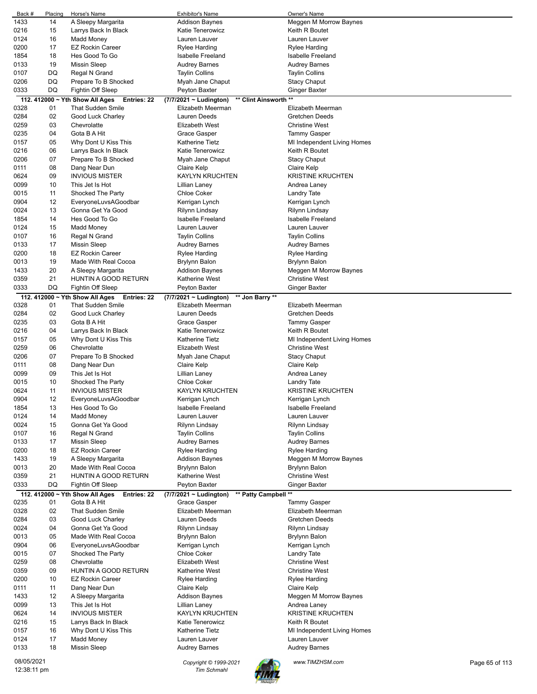| Back #      | Placing | Horse's Name                                   | <b>Exhibitor's Name</b>     |                       | Owner's Name                |                |
|-------------|---------|------------------------------------------------|-----------------------------|-----------------------|-----------------------------|----------------|
| 1433        | 14      | A Sleepy Margarita                             | <b>Addison Baynes</b>       |                       | Meggen M Morrow Baynes      |                |
| 0216        | 15      | Larrys Back In Black                           | Katie Tenerowicz            |                       | Keith R Boutet              |                |
| 0124        | 16      | <b>Madd Money</b>                              | Lauren Lauver               |                       | Lauren Lauver               |                |
| 0200        | 17      | <b>EZ Rockin Career</b>                        | Rylee Harding               |                       | Rylee Harding               |                |
| 1854        | 18      | Hes Good To Go                                 | <b>Isabelle Freeland</b>    |                       | Isabelle Freeland           |                |
| 0133        | 19      | <b>Missin Sleep</b>                            | <b>Audrey Barnes</b>        |                       | <b>Audrey Barnes</b>        |                |
| 0107        | DQ      | Regal N Grand                                  | <b>Taylin Collins</b>       |                       | <b>Taylin Collins</b>       |                |
| 0206        | DQ      | Prepare To B Shocked                           | Myah Jane Chaput            |                       | <b>Stacy Chaput</b>         |                |
| 0333        | DQ      | Fightin Off Sleep                              | Peyton Baxter               |                       | <b>Ginger Baxter</b>        |                |
|             |         | 112. 412000 ~ Yth Show All Ages<br>Entries: 22 | $(7/7/2021 \sim$ Ludington) | ** Clint Ainsworth ** |                             |                |
| 0328        | 01      | That Sudden Smile                              | Elizabeth Meerman           |                       | Elizabeth Meerman           |                |
| 0284        | 02      | Good Luck Charley                              | Lauren Deeds                |                       | <b>Gretchen Deeds</b>       |                |
| 0259        | 03      | Chevrolatte                                    | <b>Elizabeth West</b>       |                       | <b>Christine West</b>       |                |
|             |         |                                                |                             |                       |                             |                |
| 0235        | 04      | Gota B A Hit                                   | Grace Gasper                |                       | <b>Tammy Gasper</b>         |                |
| 0157        | 05      | Why Dont U Kiss This                           | <b>Katherine Tietz</b>      |                       | MI Independent Living Homes |                |
| 0216        | 06      | Larrys Back In Black                           | Katie Tenerowicz            |                       | Keith R Boutet              |                |
| 0206        | 07      | Prepare To B Shocked                           | Myah Jane Chaput            |                       | <b>Stacy Chaput</b>         |                |
| 0111        | 08      | Dang Near Dun                                  | Claire Kelp                 |                       | Claire Kelp                 |                |
| 0624        | 09      | <b>INVIOUS MISTER</b>                          | <b>KAYLYN KRUCHTEN</b>      |                       | <b>KRISTINE KRUCHTEN</b>    |                |
| 0099        | 10      | This Jet Is Hot                                | Lillian Laney               |                       | Andrea Laney                |                |
| 0015        | 11      | Shocked The Party                              | <b>Chloe Coker</b>          |                       | Landry Tate                 |                |
| 0904        | 12      | EveryoneLuvsAGoodbar                           | Kerrigan Lynch              |                       | Kerrigan Lynch              |                |
| 0024        | 13      | Gonna Get Ya Good                              | Rilynn Lindsay              |                       | Rilynn Lindsay              |                |
| 1854        | 14      | Hes Good To Go                                 | <b>Isabelle Freeland</b>    |                       | Isabelle Freeland           |                |
| 0124        | 15      | <b>Madd Money</b>                              | Lauren Lauver               |                       | Lauren Lauver               |                |
| 0107        | 16      | Regal N Grand                                  | <b>Taylin Collins</b>       |                       | <b>Taylin Collins</b>       |                |
| 0133        | 17      | <b>Missin Sleep</b>                            | <b>Audrey Barnes</b>        |                       | <b>Audrey Barnes</b>        |                |
| 0200        | 18      | <b>EZ Rockin Career</b>                        | Rylee Harding               |                       | Rylee Harding               |                |
| 0013        | 19      | Made With Real Cocoa                           | Brylynn Balon               |                       | <b>Brylynn Balon</b>        |                |
| 1433        | 20      | A Sleepy Margarita                             | Addison Baynes              |                       | Meggen M Morrow Baynes      |                |
| 0359        | 21      | HUNTIN A GOOD RETURN                           | Katherine West              |                       | <b>Christine West</b>       |                |
| 0333        | DQ      | Fightin Off Sleep                              | Peyton Baxter               |                       | <b>Ginger Baxter</b>        |                |
|             |         | 112. 412000 ~ Yth Show All Ages<br>Entries: 22 | (7/7/2021 ~ Ludington)      | ** Jon Barry **       |                             |                |
| 0328        | 01      | <b>That Sudden Smile</b>                       | Elizabeth Meerman           |                       | Elizabeth Meerman           |                |
| 0284        | 02      | Good Luck Charley                              | Lauren Deeds                |                       | <b>Gretchen Deeds</b>       |                |
| 0235        | 03      | Gota B A Hit                                   | Grace Gasper                |                       | <b>Tammy Gasper</b>         |                |
| 0216        | 04      | Larrys Back In Black                           | Katie Tenerowicz            |                       | Keith R Boutet              |                |
| 0157        | 05      | Why Dont U Kiss This                           | Katherine Tietz             |                       | MI Independent Living Homes |                |
| 0259        | 06      | Chevrolatte                                    | <b>Elizabeth West</b>       |                       | <b>Christine West</b>       |                |
| 0206        | 07      | Prepare To B Shocked                           | Myah Jane Chaput            |                       | <b>Stacy Chaput</b>         |                |
| 0111        | 08      | Dang Near Dun                                  | Claire Kelp                 |                       | Claire Kelp                 |                |
| 0099        | 09      | This Jet Is Hot                                | Lillian Laney               |                       | Andrea Laney                |                |
| 0015        | 10      | Shocked The Party                              | Chloe Coker                 |                       | Landry Tate                 |                |
| 0624        | 11      | <b>INVIOUS MISTER</b>                          | <b>KAYLYN KRUCHTEN</b>      |                       | <b>KRISTINE KRUCHTEN</b>    |                |
| 0904        | 12      | EveryoneLuvsAGoodbar                           | Kerrigan Lynch              |                       | Kerrigan Lynch              |                |
| 1854        | 13      | Hes Good To Go                                 | <b>Isabelle Freeland</b>    |                       | <b>Isabelle Freeland</b>    |                |
| 0124        |         | <b>Madd Money</b>                              | Lauren Lauver               |                       | Lauren Lauver               |                |
|             | 14      |                                                |                             |                       |                             |                |
| 0024        | 15      | Gonna Get Ya Good                              | Rilynn Lindsay              |                       | Rilynn Lindsay              |                |
| 0107        | 16      | Regal N Grand                                  | <b>Taylin Collins</b>       |                       | <b>Taylin Collins</b>       |                |
| 0133        | 17      | <b>Missin Sleep</b>                            | <b>Audrey Barnes</b>        |                       | <b>Audrey Barnes</b>        |                |
| 0200        | 18      | <b>EZ Rockin Career</b>                        | Rylee Harding               |                       | <b>Rylee Harding</b>        |                |
| 1433        | 19      | A Sleepy Margarita                             | <b>Addison Baynes</b>       |                       | Meggen M Morrow Baynes      |                |
| 0013        | 20      | Made With Real Cocoa                           | Brylynn Balon               |                       | <b>Brylynn Balon</b>        |                |
| 0359        | 21      | HUNTIN A GOOD RETURN                           | Katherine West              |                       | <b>Christine West</b>       |                |
| 0333        | DQ      | Fightin Off Sleep                              | Peyton Baxter               |                       | <b>Ginger Baxter</b>        |                |
|             |         | 112. 412000 ~ Yth Show All Ages<br>Entries: 22 | $(7/7/2021 \sim$ Ludington) | ** Patty Campbell **  |                             |                |
| 0235        | 01      | Gota B A Hit                                   | Grace Gasper                |                       | <b>Tammy Gasper</b>         |                |
| 0328        | 02      | That Sudden Smile                              | Elizabeth Meerman           |                       | Elizabeth Meerman           |                |
| 0284        | 03      | Good Luck Charley                              | Lauren Deeds                |                       | <b>Gretchen Deeds</b>       |                |
| 0024        | 04      | Gonna Get Ya Good                              | Rilynn Lindsay              |                       | Rilynn Lindsay              |                |
| 0013        | 05      | Made With Real Cocoa                           | Brylynn Balon               |                       | <b>Brylynn Balon</b>        |                |
| 0904        | 06      | EveryoneLuvsAGoodbar                           | Kerrigan Lynch              |                       | Kerrigan Lynch              |                |
| 0015        | 07      | Shocked The Party                              | <b>Chloe Coker</b>          |                       | Landry Tate                 |                |
| 0259        | 08      | Chevrolatte                                    | <b>Elizabeth West</b>       |                       | <b>Christine West</b>       |                |
| 0359        | 09      | HUNTIN A GOOD RETURN                           | Katherine West              |                       | <b>Christine West</b>       |                |
| 0200        | 10      | <b>EZ Rockin Career</b>                        | <b>Rylee Harding</b>        |                       | <b>Rylee Harding</b>        |                |
| 0111        | 11      | Dang Near Dun                                  | Claire Kelp                 |                       | Claire Kelp                 |                |
| 1433        | 12      | A Sleepy Margarita                             | Addison Baynes              |                       | Meggen M Morrow Baynes      |                |
| 0099        | 13      | This Jet Is Hot                                | Lillian Laney               |                       | Andrea Laney                |                |
| 0624        | 14      | <b>INVIOUS MISTER</b>                          | KAYLYN KRUCHTEN             |                       | <b>KRISTINE KRUCHTEN</b>    |                |
| 0216        | 15      | Larrys Back In Black                           | <b>Katie Tenerowicz</b>     |                       | Keith R Boutet              |                |
| 0157        | 16      | Why Dont U Kiss This                           | Katherine Tietz             |                       | MI Independent Living Homes |                |
| 0124        | 17      | <b>Madd Money</b>                              | Lauren Lauver               |                       | Lauren Lauver               |                |
| 0133        | 18      | <b>Missin Sleep</b>                            | <b>Audrey Barnes</b>        |                       | <b>Audrey Barnes</b>        |                |
|             |         |                                                |                             |                       |                             |                |
| 08/05/2021  |         |                                                | Copyright © 1999-2021       |                       | www.TIMZHSM.com             | Page 65 of 113 |
| 12:38:11 pm |         |                                                | <b>Tim Schmahl</b>          |                       |                             |                |

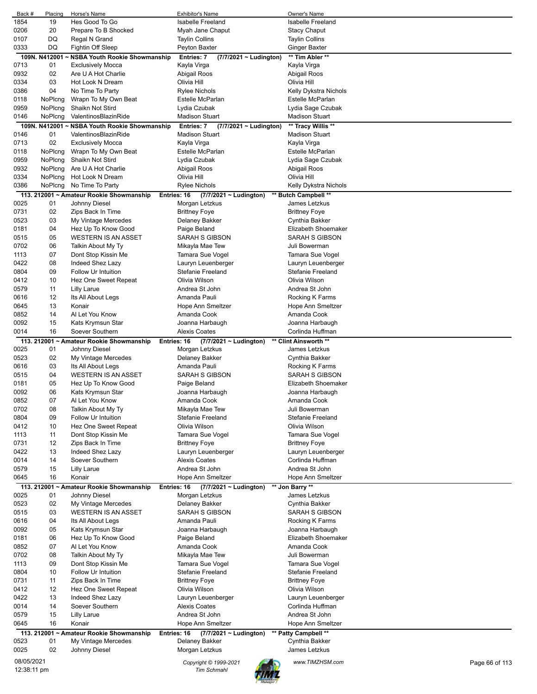| Back #                    | Placing       | Horse's Name                                  | <b>Exhibitor's Name</b>                      | Owner's Name                          |
|---------------------------|---------------|-----------------------------------------------|----------------------------------------------|---------------------------------------|
| 1854                      | 19            | Hes Good To Go                                | <b>Isabelle Freeland</b>                     | <b>Isabelle Freeland</b>              |
| 0206                      | 20            | Prepare To B Shocked                          | Myah Jane Chaput                             | <b>Stacy Chaput</b>                   |
| 0107                      | DQ            | Regal N Grand                                 | Taylin Collins                               | <b>Taylin Collins</b>                 |
| 0333                      | DQ            | Fightin Off Sleep                             | Peyton Baxter                                | Ginger Baxter                         |
|                           | 109N. N412001 | ~ NSBA Youth Rookie Showmanship               | Entries: 7<br>$(7/7/2021 \sim$ Ludington)    | ** Tim Abler **                       |
| 0713                      | 01            | <b>Exclusively Mocca</b>                      | Kayla Virga                                  | Kayla Virga                           |
| 0932                      | 02            | Are U A Hot Charlie                           | Abigail Roos                                 | Abigail Roos                          |
| 0334                      | 03            | Hot Look N Dream                              | Olivia Hill                                  | Olivia Hill                           |
| 0386                      | 04            | No Time To Party                              | <b>Rylee Nichols</b>                         | Kelly Dykstra Nichols                 |
| 0118                      | NoPlcng       | Wrapn To My Own Beat                          | Estelle McParlan                             | Estelle McParlan                      |
| 0959                      | NoPlcng       | Shaikn Not Stird                              | Lydia Czubak                                 | Lydia Sage Czubak                     |
| 0146                      | NoPlcng       | ValentinosBlazinRide                          | Madison Stuart                               | <b>Madison Stuart</b>                 |
|                           |               | 109N. N412001 ~ NSBA Youth Rookie Showmanship | Entries: 7<br>$(7/7/2021 \sim$ Ludington)    | ** Tracy Willis **                    |
| 0146                      | 01            | ValentinosBlazinRide                          | <b>Madison Stuart</b>                        | <b>Madison Stuart</b>                 |
| 0713                      | 02            | <b>Exclusively Mocca</b>                      | Kayla Virga                                  | Kayla Virga                           |
| 0118                      | NoPlcng       | Wrapn To My Own Beat                          | Estelle McParlan                             | Estelle McParlan                      |
| 0959                      | NoPlcng       | Shaikn Not Stird                              | Lydia Czubak                                 | Lydia Sage Czubak                     |
| 0932                      | NoPlcng       | Are U A Hot Charlie                           | Abigail Roos                                 | Abigail Roos                          |
| 0334                      | NoPlcng       | Hot Look N Dream                              | Olivia Hill                                  | Olivia Hill                           |
| 0386                      | NoPlcng       | No Time To Party                              | Rylee Nichols                                | Kelly Dykstra Nichols                 |
|                           |               | 113. 212001 ~ Amateur Rookie Showmanship      | Entries: 16<br>(7/7/2021 ~ Ludington)        | ** Butch Campbell **                  |
| 0025                      | 01            | Johnny Diesel                                 | Morgan Letzkus                               | James Letzkus                         |
| 0731                      | 02            | Zips Back In Time                             | <b>Brittney Foye</b>                         | <b>Brittney Foye</b>                  |
| 0523                      | 03            | My Vintage Mercedes                           | Delaney Bakker                               | Cynthia Bakker                        |
| 0181                      | 04            | Hez Up To Know Good                           | Paige Beland                                 | Elizabeth Shoemaker                   |
| 0515                      | 05            | <b>WESTERN IS AN ASSET</b>                    | SARAH S GIBSON                               | SARAH S GIBSON                        |
| 0702                      | 06            | Talkin About My Ty                            | Mikayla Mae Tew                              | Juli Bowerman                         |
| 1113                      | 07            | Dont Stop Kissin Me                           | Tamara Sue Vogel                             | Tamara Sue Vogel                      |
| 0422                      | 08            | Indeed Shez Lazy                              | Lauryn Leuenberger                           | Lauryn Leuenberger                    |
| 0804                      | 09            | Follow Ur Intuition                           | <b>Stefanie Freeland</b>                     | <b>Stefanie Freeland</b>              |
| 0412                      | 10            | Hez One Sweet Repeat                          | Olivia Wilson                                | Olivia Wilson                         |
| 0579                      | 11            | <b>Lilly Larue</b>                            | Andrea St John                               | Andrea St John                        |
|                           |               |                                               | Amanda Pauli                                 |                                       |
| 0616                      | 12<br>13      | Its All About Legs                            |                                              | Rocking K Farms                       |
| 0645                      |               | Konair                                        | Hope Ann Smeltzer                            | Hope Ann Smeltzer                     |
| 0852                      | 14            | Al Let You Know                               | Amanda Cook                                  | Amanda Cook                           |
| 0092                      | 15            | Kats Krymsun Star                             | Joanna Harbaugh                              | Joanna Harbaugh                       |
| 0014                      | 16            | Soever Southern                               | <b>Alexis Coates</b>                         | Corlinda Huffman                      |
|                           |               | 113. 212001 ~ Amateur Rookie Showmanship      | Entries: 16<br>(7/7/2021 ~ Ludington)        | ** Clint Ainsworth **                 |
| 0025                      | 01            | Johnny Diesel                                 | Morgan Letzkus                               | James Letzkus                         |
| 0523                      | 02            | My Vintage Mercedes                           | Delaney Bakker                               | Cynthia Bakker                        |
| 0616                      | 03            | Its All About Legs                            | Amanda Pauli                                 | Rocking K Farms                       |
| 0515                      | 04            | <b>WESTERN IS AN ASSET</b>                    | <b>SARAH S GIBSON</b>                        | SARAH S GIBSON                        |
| 0181                      | 05            | Hez Up To Know Good                           | Paige Beland                                 | Elizabeth Shoemaker                   |
| 0092                      | 06            | Kats Krymsun Star                             | Joanna Harbaugh                              | Joanna Harbaugh                       |
| 0852                      | 07            |                                               |                                              | Amanda Cook                           |
| 0702                      |               | Al Let You Know                               | Amanda Cook                                  |                                       |
| 0804                      | 08            | Talkin About My Ty                            | Mikayla Mae Tew                              | Juli Bowerman                         |
|                           | 09            | Follow Ur Intuition                           | <b>Stefanie Freeland</b>                     | <b>Stefanie Freeland</b>              |
| 0412                      | 10            | Hez One Sweet Repeat                          | Olivia Wilson                                | Olivia Wilson                         |
| 1113                      | 11            | Dont Stop Kissin Me                           | Tamara Sue Vogel                             | Tamara Sue Vogel                      |
| 0731                      | 12            | Zips Back In Time                             | <b>Brittney Foye</b>                         | <b>Brittney Foye</b>                  |
| 0422                      | 13            | Indeed Shez Lazy                              | Lauryn Leuenberger                           | Lauryn Leuenberger                    |
| 0014                      | 14            | Soever Southern                               | <b>Alexis Coates</b>                         | Corlinda Huffman                      |
| 0579                      | 15            | <b>Lilly Larue</b>                            | Andrea St John                               | Andrea St John                        |
| 0645                      | 16            | Konair                                        | Hope Ann Smeltzer                            | Hope Ann Smeltzer                     |
|                           |               | 113. 212001 ~ Amateur Rookie Showmanship      | Entries: 16<br>(7/7/2021 ~ Ludington)        | ** Jon Barry **                       |
| 0025                      | 01            | Johnny Diesel                                 | Morgan Letzkus                               | James Letzkus                         |
| 0523                      | 02            | My Vintage Mercedes                           | Delaney Bakker                               | Cynthia Bakker                        |
| 0515                      | 03            | <b>WESTERN IS AN ASSET</b>                    | SARAH S GIBSON                               | SARAH S GIBSON                        |
| 0616                      | 04            | Its All About Legs                            | Amanda Pauli                                 | Rocking K Farms                       |
| 0092                      | 05            | Kats Krymsun Star                             | Joanna Harbaugh                              | Joanna Harbaugh                       |
| 0181                      | 06            |                                               | Paige Beland                                 | Elizabeth Shoemaker                   |
| 0852                      | 07            | Hez Up To Know Good<br>Al Let You Know        | Amanda Cook                                  | Amanda Cook                           |
|                           | 08            |                                               |                                              |                                       |
| 0702<br>1113              | 09            | Talkin About My Ty                            | Mikayla Mae Tew                              | Juli Bowerman                         |
|                           | 10            | Dont Stop Kissin Me                           | Tamara Sue Vogel<br><b>Stefanie Freeland</b> | Tamara Sue Vogel<br>Stefanie Freeland |
| 0804                      |               | Follow Ur Intuition                           |                                              |                                       |
| 0731                      | 11            | Zips Back In Time                             | <b>Brittney Foye</b>                         | <b>Brittney Foye</b>                  |
| 0412                      | 12            | Hez One Sweet Repeat                          | Olivia Wilson                                | Olivia Wilson                         |
| 0422                      | 13            | Indeed Shez Lazy                              | Lauryn Leuenberger                           | Lauryn Leuenberger                    |
| 0014                      | 14            | Soever Southern                               | <b>Alexis Coates</b>                         | Corlinda Huffman                      |
| 0579                      | 15            | <b>Lilly Larue</b>                            | Andrea St John                               | Andrea St John                        |
| 0645                      | 16            | Konair                                        | Hope Ann Smeltzer                            | Hope Ann Smeltzer                     |
|                           |               | 113. 212001 ~ Amateur Rookie Showmanship      | (7/7/2021 ~ Ludington)<br>Entries: 16        | ** Patty Campbell **                  |
| 0523                      | 01            | My Vintage Mercedes                           | Delaney Bakker                               | Cynthia Bakker                        |
| 0025                      | 02            | Johnny Diesel                                 | Morgan Letzkus                               | James Letzkus                         |
| 08/05/2021<br>12:38:11 pm |               |                                               | Copyright © 1999-2021<br><b>Tim Schmahl</b>  | www.TIMZHSM.com<br>Page 66 of 113     |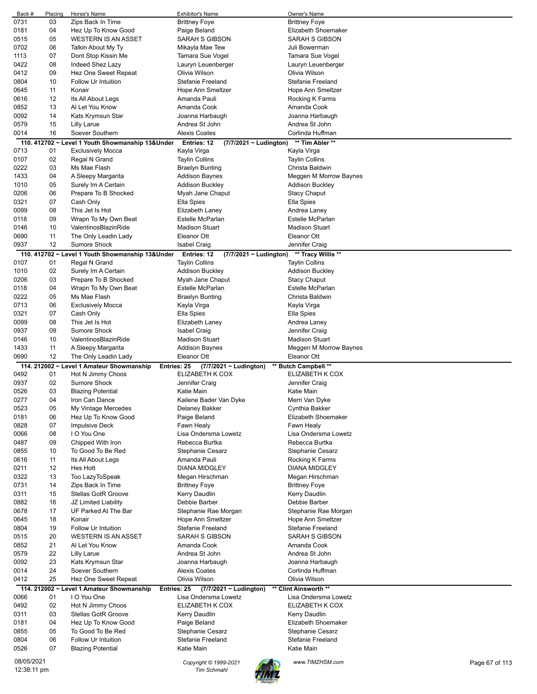| Back #     | Placing  | Horse's Name                                     | Exhibitor's Name                           | Owner's Name                          |                |
|------------|----------|--------------------------------------------------|--------------------------------------------|---------------------------------------|----------------|
| 0731       | 03       | Zips Back In Time                                | <b>Brittney Foye</b>                       | <b>Brittney Foye</b>                  |                |
| 0181       | 04       | Hez Up To Know Good                              | Paige Beland                               | Elizabeth Shoemaker                   |                |
| 0515       | 05       | <b>WESTERN IS AN ASSET</b>                       | <b>SARAH S GIBSON</b>                      | <b>SARAH S GIBSON</b>                 |                |
| 0702       | 06       | Talkin About My Ty                               | Mikayla Mae Tew                            | Juli Bowerman                         |                |
| 1113       | 07       | Dont Stop Kissin Me                              | Tamara Sue Vogel                           | Tamara Sue Vogel                      |                |
| 0422       | 08       | Indeed Shez Lazy                                 | Lauryn Leuenberger                         | Lauryn Leuenberger                    |                |
| 0412       | 09       | Hez One Sweet Repeat                             | Olivia Wilson                              | Olivia Wilson                         |                |
| 0804       | 10       | Follow Ur Intuition                              | <b>Stefanie Freeland</b>                   | Stefanie Freeland                     |                |
| 0645       | 11       | Konair                                           | Hope Ann Smeltzer                          | Hope Ann Smeltzer                     |                |
| 0616       | 12       | Its All About Legs                               | Amanda Pauli                               | Rocking K Farms                       |                |
| 0852       | 13       | Al Let You Know                                  | Amanda Cook                                | Amanda Cook                           |                |
| 0092       | 14       | Kats Krymsun Star                                | Joanna Harbaugh                            | Joanna Harbaugh                       |                |
| 0579       | 15       | Lilly Larue                                      | Andrea St John                             | Andrea St John                        |                |
| 0014       | 16       | Soever Southern                                  | <b>Alexis Coates</b>                       | Corlinda Huffman                      |                |
|            |          | 110. 412702 ~ Level 1 Youth Showmanship 13&Under | Entries: 12<br>(7/7/2021 ~ Ludington)      | ** Tim Abler **                       |                |
| 0713       | 01       | <b>Exclusively Mocca</b>                         | Kayla Virga                                | Kayla Virga                           |                |
| 0107       | 02       | Regal N Grand                                    | <b>Taylin Collins</b>                      | <b>Taylin Collins</b>                 |                |
| 0222       | 03       | Ms Mae Flash                                     | <b>Braelyn Bunting</b>                     | Christa Baldwin                       |                |
|            | 04       |                                                  |                                            |                                       |                |
| 1433       |          | A Sleepy Margarita                               | <b>Addison Baynes</b>                      | Meggen M Morrow Baynes                |                |
| 1010       | 05       | Surely Im A Certain                              | Addison Buckley                            | Addison Buckley                       |                |
| 0206       | 06       | Prepare To B Shocked                             | Myah Jane Chaput                           | <b>Stacy Chaput</b>                   |                |
| 0321       | 07       | Cash Only                                        | Ella Spies                                 | Ella Spies                            |                |
| 0099       | 08       | This Jet Is Hot                                  | Elizabeth Laney                            | Andrea Laney                          |                |
| 0118       | 09       | Wrapn To My Own Beat                             | Estelle McParlan                           | <b>Estelle McParlan</b>               |                |
| 0146       | 10       | ValentinosBlazinRide                             | <b>Madison Stuart</b>                      | <b>Madison Stuart</b>                 |                |
| 0690       | 11       | The Only Leadin Lady                             | Eleanor Ott                                | Eleanor Ott                           |                |
| 0937       | 12       | Sumore Shock                                     | <b>Isabel Craig</b>                        | Jennifer Craig                        |                |
|            |          | 110. 412702 ~ Level 1 Youth Showmanship 13&Under | Entries: 12<br>(7/7/2021 ~ Ludington)      | ** Tracy Willis **                    |                |
| 0107       | 01       | Regal N Grand                                    | <b>Taylin Collins</b>                      | <b>Taylin Collins</b>                 |                |
| 1010       | 02       | Surely Im A Certain                              | <b>Addison Buckley</b>                     | <b>Addison Buckley</b>                |                |
| 0206       | 03       | Prepare To B Shocked                             | Myah Jane Chaput                           | <b>Stacy Chaput</b>                   |                |
| 0118       | 04       | Wrapn To My Own Beat                             | Estelle McParlan                           | Estelle McParlan                      |                |
| 0222       | 05       | Ms Mae Flash                                     | <b>Braelyn Bunting</b>                     | Christa Baldwin                       |                |
| 0713       | 06       | <b>Exclusively Mocca</b>                         | Kayla Virga                                | Kayla Virga                           |                |
| 0321       | 07       | Cash Only                                        | Ella Spies                                 | Ella Spies                            |                |
| 0099       | 08       | This Jet Is Hot                                  | Elizabeth Laney                            | Andrea Laney                          |                |
| 0937       | 09       | <b>Sumore Shock</b>                              | <b>Isabel Craig</b>                        | Jennifer Craig                        |                |
|            |          |                                                  |                                            |                                       |                |
|            |          |                                                  |                                            |                                       |                |
| 0146       | 10       | ValentinosBlazinRide                             | <b>Madison Stuart</b>                      | <b>Madison Stuart</b>                 |                |
| 1433       | 11<br>12 | A Sleepy Margarita                               | <b>Addison Baynes</b><br>Eleanor Ott       | Meggen M Morrow Baynes<br>Eleanor Ott |                |
| 0690       |          | The Only Leadin Lady                             |                                            |                                       |                |
|            |          | 114. 212002 ~ Level 1 Amateur Showmanship        | Entries: 25<br>$(7/7/2021 \sim$ Ludington) | ** Butch Campbell **                  |                |
| 0492       | 01       | Hot N Jimmy Choos                                | ELIZABETH K COX                            | ELIZABETH K COX                       |                |
| 0937       | 02       | <b>Sumore Shock</b>                              | Jennifer Craig                             | Jennifer Craig                        |                |
| 0526       | 03       | <b>Blazing Potential</b>                         | Katie Main                                 | Katie Main                            |                |
| 0277       | 04       | Iron Can Dance                                   | Kailene Bader Van Dyke                     | Merri Van Dyke                        |                |
| 0523       | 05       | My Vintage Mercedes                              | Delaney Bakker                             | Cynthia Bakker                        |                |
| 0181       | 06       | Hez Up To Know Good                              | Paige Beland                               | Elizabeth Shoemaker                   |                |
| 0828       | 07       | <b>Impulsive Deck</b>                            | Fawn Healy                                 | Fawn Healy                            |                |
| 0066       | 08       | I O You One                                      | Lisa Ondersma Lowetz                       | Lisa Ondersma Lowetz                  |                |
| 0487       | 09       | Chipped With Iron                                | Rebecca Burtka                             | Rebecca Burtka                        |                |
| 0855       | 10       | To Good To Be Red                                | <b>Stephanie Cesarz</b>                    | <b>Stephanie Cesarz</b>               |                |
| 0616       | 11       | Its All About Legs                               | Amanda Pauli                               | Rocking K Farms                       |                |
| 0211       | 12       | Hes Hott                                         | <b>DIANA MIDGLEY</b>                       | <b>DIANA MIDGLEY</b>                  |                |
| 0322       | 13       | Too LazyToSpeak                                  | Megan Hirschman                            | Megan Hirschman                       |                |
| 0731       | 14       | Zips Back In Time                                | <b>Brittney Foye</b>                       | <b>Brittney Foye</b>                  |                |
| 0311       | 15       | Stellas GotR Groove                              | Kerry Daudlin                              | Kerry Daudlin                         |                |
| 0882       | 16       | JZ Limited Liability                             | Debbie Barber                              | Debbie Barber                         |                |
| 0678       | 17       | UF Parked At The Bar                             | Stephanie Rae Morgan                       | Stephanie Rae Morgan                  |                |
| 0645       | 18       | Konair                                           | Hope Ann Smeltzer                          | Hope Ann Smeltzer                     |                |
| 0804       | 19       | Follow Ur Intuition                              | Stefanie Freeland                          | Stefanie Freeland                     |                |
| 0515       | 20       | <b>WESTERN IS AN ASSET</b>                       | SARAH S GIBSON                             | SARAH S GIBSON                        |                |
| 0852       | 21       | Al Let You Know                                  | Amanda Cook                                | Amanda Cook                           |                |
| 0579       | 22       | <b>Lilly Larue</b>                               | Andrea St John                             | Andrea St John                        |                |
| 0092       | 23       | Kats Krymsun Star                                | Joanna Harbaugh                            | Joanna Harbaugh                       |                |
| 0014       | 24       | Soever Southern                                  | <b>Alexis Coates</b>                       | Corlinda Huffman                      |                |
| 0412       | 25       | Hez One Sweet Repeat                             | Olivia Wilson                              | Olivia Wilson                         |                |
|            |          | 114. 212002 ~ Level 1 Amateur Showmanship        | (7/7/2021 ~ Ludington)<br>Entries: 25      | ** Clint Ainsworth **                 |                |
| 0066       | 01       | I O You One                                      | Lisa Ondersma Lowetz                       | Lisa Ondersma Lowetz                  |                |
| 0492       | 02       | Hot N Jimmy Choos                                | ELIZABETH K COX                            | ELIZABETH K COX                       |                |
| 0311       | 03       | <b>Stellas GotR Groove</b>                       | Kerry Daudlin                              | Kerry Daudlin                         |                |
| 0181       | 04       | Hez Up To Know Good                              | Paige Beland                               | Elizabeth Shoemaker                   |                |
| 0855       | 05       | To Good To Be Red                                | <b>Stephanie Cesarz</b>                    | Stephanie Cesarz                      |                |
| 0804       | 06       | Follow Ur Intuition                              | <b>Stefanie Freeland</b>                   | Stefanie Freeland                     |                |
| 0526       | 07       | <b>Blazing Potential</b>                         | Katie Main                                 | Katie Main                            |                |
| 08/05/2021 |          |                                                  | Copyright © 1999-2021                      | www.TIMZHSM.com                       | Page 67 of 113 |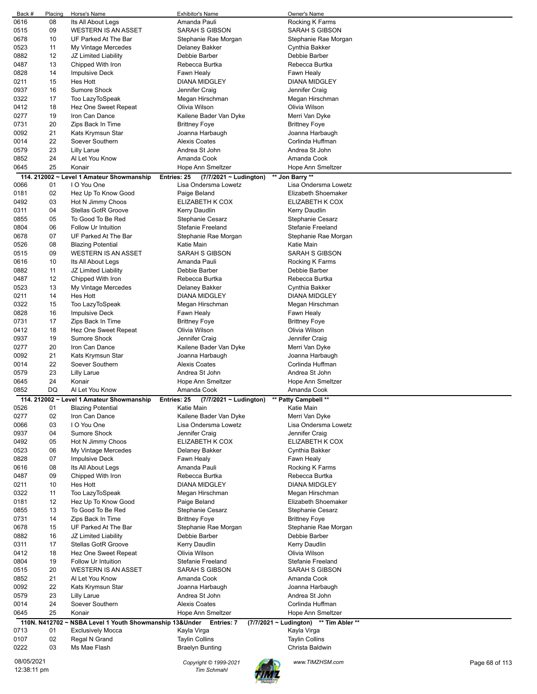| 08<br>Its All About Legs<br>Amanda Pauli<br>Rocking K Farms<br><b>SARAH S GIBSON</b><br>0515<br>09<br><b>WESTERN IS AN ASSET</b><br>SARAH S GIBSON<br>0678<br>10<br>UF Parked At The Bar<br>Stephanie Rae Morgan<br>Stephanie Rae Morgan<br>0523<br>11<br>My Vintage Mercedes<br>Delaney Bakker<br>Cynthia Bakker<br>0882<br>12<br>JZ Limited Liability<br>Debbie Barber<br>Debbie Barber<br>0487<br>13<br>Chipped With Iron<br>Rebecca Burtka<br>Rebecca Burtka<br>0828<br>14<br><b>Impulsive Deck</b><br>Fawn Healy<br>Fawn Healy<br>15<br>0211<br>Hes Hott<br>DIANA MIDGLEY<br><b>DIANA MIDGLEY</b><br>Sumore Shock<br>0937<br>16<br>Jennifer Craig<br>Jennifer Craig<br>0322<br>17<br>Too LazyToSpeak<br>Megan Hirschman<br>Megan Hirschman<br>18<br>0412<br>Hez One Sweet Repeat<br>Olivia Wilson<br>Olivia Wilson<br>0277<br>19<br>Iron Can Dance<br>Kailene Bader Van Dyke<br>Merri Van Dyke<br>20<br>0731<br>Zips Back In Time<br><b>Brittney Foye</b><br>Brittney Foye<br>0092<br>21<br>Kats Krymsun Star<br>Joanna Harbaugh<br>Joanna Harbaugh<br>22<br>Soever Southern<br><b>Alexis Coates</b><br>Corlinda Huffman<br>0014<br>23<br>0579<br>Lilly Larue<br>Andrea St John<br>Andrea St John<br>0852<br>24<br>Al Let You Know<br>Amanda Cook<br>Amanda Cook<br>25<br>0645<br>Konair<br>Hope Ann Smeltzer<br>Hope Ann Smeltzer<br>114. 212002 ~ Level 1 Amateur Showmanship<br>Entries: 25<br>$(7/7/2021 \sim$ Ludington)<br>** Jon Barry **<br>0066<br>I O You One<br>Lisa Ondersma Lowetz<br>Lisa Ondersma Lowetz<br>01<br>0181<br>02<br>Hez Up To Know Good<br>Paige Beland<br>Elizabeth Shoemaker<br>03<br>0492<br>Hot N Jimmy Choos<br>ELIZABETH K COX<br>ELIZABETH K COX<br>0311<br>04<br>Stellas GotR Groove<br>Kerry Daudlin<br>Kerry Daudlin<br>05<br>0855<br>To Good To Be Red<br>Stephanie Cesarz<br>Stephanie Cesarz<br>0804<br>06<br><b>Follow Ur Intuition</b><br><b>Stefanie Freeland</b><br><b>Stefanie Freeland</b><br>07<br>0678<br>UF Parked At The Bar<br>Stephanie Rae Morgan<br>Stephanie Rae Morgan<br>0526<br>08<br>Katie Main<br>Katie Main<br><b>Blazing Potential</b><br>09<br>0515<br><b>WESTERN IS AN ASSET</b><br><b>SARAH S GIBSON</b><br>SARAH S GIBSON<br>0616<br>10<br>Amanda Pauli<br>Its All About Legs<br>Rocking K Farms<br>0882<br>11<br>JZ Limited Liability<br>Debbie Barber<br>Debbie Barber<br>0487<br>12<br>Chipped With Iron<br>Rebecca Burtka<br>Rebecca Burtka<br>0523<br>13<br>My Vintage Mercedes<br>Delaney Bakker<br>Cynthia Bakker<br>0211<br>14<br>Hes Hott<br>DIANA MIDGLEY<br><b>DIANA MIDGLEY</b><br>15<br>0322<br>Too LazyToSpeak<br>Megan Hirschman<br>Megan Hirschman<br>0828<br>16<br><b>Impulsive Deck</b><br>Fawn Healy<br>Fawn Healy<br>0731<br>17<br>Zips Back In Time<br><b>Brittney Foye</b><br>Brittney Foye<br>0412<br>18<br>Hez One Sweet Repeat<br>Olivia Wilson<br>Olivia Wilson<br>19<br>Sumore Shock<br>0937<br>Jennifer Craig<br>Jennifer Craig<br>0277<br>20<br>Iron Can Dance<br>Kailene Bader Van Dyke<br>Merri Van Dyke<br>21<br>0092<br>Kats Krymsun Star<br>Joanna Harbaugh<br>Joanna Harbaugh<br>0014<br>22<br>Soever Southern<br><b>Alexis Coates</b><br>Corlinda Huffman<br>23<br>0579<br><b>Lilly Larue</b><br>Andrea St John<br>Andrea St John<br>24<br>0645<br>Konair<br>Hope Ann Smeltzer<br>Hope Ann Smeltzer<br>Al Let You Know<br>0852<br>DQ<br>Amanda Cook<br>Amanda Cook<br>** Patty Campbell **<br>114. 212002 ~ Level 1 Amateur Showmanship<br><b>Entries: 25</b><br>(7/7/2021 ~ Ludington)<br>Katie Main<br>0526<br>01<br><b>Blazing Potential</b><br>Katie Main<br>0277<br>02<br>Iron Can Dance<br>Kailene Bader Van Dyke<br>Merri Van Dyke<br>03<br>I O You One<br>0066<br>Lisa Ondersma Lowetz<br>Lisa Ondersma Lowetz<br>04<br>0937<br>Sumore Shock<br>Jennifer Craig<br>Jennifer Craig<br>0492<br>05<br>Hot N Jimmy Choos<br>ELIZABETH K COX<br>ELIZABETH K COX<br>06<br>0523<br>My Vintage Mercedes<br>Delaney Bakker<br>Cynthia Bakker<br>07<br>0828<br><b>Impulsive Deck</b><br>Fawn Healy<br>Fawn Healy<br>08<br>Its All About Legs<br>Amanda Pauli<br>Rocking K Farms<br>0616<br>09<br>0487<br>Chipped With Iron<br>Rebecca Burtka<br>Rebecca Burtka<br>0211<br>10<br>Hes Hott<br>DIANA MIDGLEY<br><b>DIANA MIDGLEY</b><br>0322<br>11<br>Too LazyToSpeak<br>Megan Hirschman<br>Megan Hirschman<br>12<br>0181<br>Hez Up To Know Good<br>Elizabeth Shoemaker<br>Paige Beland<br>13<br>0855<br>To Good To Be Red<br>Stephanie Cesarz<br>Stephanie Cesarz<br>0731<br>14<br>Zips Back In Time<br><b>Brittney Foye</b><br><b>Brittney Foye</b><br>0678<br>15<br>UF Parked At The Bar<br>Stephanie Rae Morgan<br>Stephanie Rae Morgan<br>0882<br>16<br>JZ Limited Liability<br>Debbie Barber<br>Debbie Barber<br>0311<br>17<br>Stellas GotR Groove<br>Kerry Daudlin<br>Kerry Daudlin<br>18<br>0412<br>Hez One Sweet Repeat<br>Olivia Wilson<br>Olivia Wilson<br>19<br>0804<br>Follow Ur Intuition<br>Stefanie Freeland<br><b>Stefanie Freeland</b><br>20<br>0515<br><b>WESTERN IS AN ASSET</b><br>SARAH S GIBSON<br>SARAH S GIBSON<br>0852<br>21<br>Al Let You Know<br>Amanda Cook<br>Amanda Cook<br>22<br>0092<br>Kats Krymsun Star<br>Joanna Harbaugh<br>Joanna Harbaugh<br>23<br>0579<br>Lilly Larue<br>Andrea St John<br>Andrea St John<br>24<br>0014<br>Soever Southern<br><b>Alexis Coates</b><br>Corlinda Huffman<br>25<br>0645<br>Konair<br>Hope Ann Smeltzer<br>Hope Ann Smeltzer<br>110N. N412702~<br>NSBA Level 1 Youth Showmanship 13&Under Entries: 7<br>(7/7/2021 ~ Ludington) ** Tim Abler **<br>Kayla Virga<br>Kayla Virga<br>0713<br>01<br><b>Exclusively Mocca</b><br>02<br>0107<br>Regal N Grand<br><b>Taylin Collins</b><br><b>Taylin Collins</b><br>03<br>0222<br>Ms Mae Flash<br><b>Braelyn Bunting</b><br>Christa Baldwin<br>08/05/2021<br>www.TIMZHSM.com<br>Copyright © 1999-2021<br>Page 68 of 113<br>12:38:11 pm<br><b>Tim Schmahl</b> | Back # | Placing | Horse's Name | <b>Exhibitor's Name</b> | Owner's Name |  |
|------------------------------------------------------------------------------------------------------------------------------------------------------------------------------------------------------------------------------------------------------------------------------------------------------------------------------------------------------------------------------------------------------------------------------------------------------------------------------------------------------------------------------------------------------------------------------------------------------------------------------------------------------------------------------------------------------------------------------------------------------------------------------------------------------------------------------------------------------------------------------------------------------------------------------------------------------------------------------------------------------------------------------------------------------------------------------------------------------------------------------------------------------------------------------------------------------------------------------------------------------------------------------------------------------------------------------------------------------------------------------------------------------------------------------------------------------------------------------------------------------------------------------------------------------------------------------------------------------------------------------------------------------------------------------------------------------------------------------------------------------------------------------------------------------------------------------------------------------------------------------------------------------------------------------------------------------------------------------------------------------------------------------------------------------------------------------------------------------------------------------------------------------------------------------------------------------------------------------------------------------------------------------------------------------------------------------------------------------------------------------------------------------------------------------------------------------------------------------------------------------------------------------------------------------------------------------------------------------------------------------------------------------------------------------------------------------------------------------------------------------------------------------------------------------------------------------------------------------------------------------------------------------------------------------------------------------------------------------------------------------------------------------------------------------------------------------------------------------------------------------------------------------------------------------------------------------------------------------------------------------------------------------------------------------------------------------------------------------------------------------------------------------------------------------------------------------------------------------------------------------------------------------------------------------------------------------------------------------------------------------------------------------------------------------------------------------------------------------------------------------------------------------------------------------------------------------------------------------------------------------------------------------------------------------------------------------------------------------------------------------------------------------------------------------------------------------------------------------------------------------------------------------------------------------------------------------------------------------------------------------------------------------------------------------------------------------------------------------------------------------------------------------------------------------------------------------------------------------------------------------------------------------------------------------------------------------------------------------------------------------------------------------------------------------------------------------------------------------------------------------------------------------------------------------------------------------------------------------------------------------------------------------------------------------------------------------------------------------------------------------------------------------------------------------------------------------------------------------------------------------------------------------------------------------------------------------------------------------------------------------------------------------------------------------------------------------------------------------------------------------------------------------------------------------------------------------------------------------------------------------------------------------------------------------------------------------------------------------------------------------------------------------------------------------------------------------------------------------------------------------------------------------------------------------------------------------------------------------------------------------|--------|---------|--------------|-------------------------|--------------|--|
|                                                                                                                                                                                                                                                                                                                                                                                                                                                                                                                                                                                                                                                                                                                                                                                                                                                                                                                                                                                                                                                                                                                                                                                                                                                                                                                                                                                                                                                                                                                                                                                                                                                                                                                                                                                                                                                                                                                                                                                                                                                                                                                                                                                                                                                                                                                                                                                                                                                                                                                                                                                                                                                                                                                                                                                                                                                                                                                                                                                                                                                                                                                                                                                                                                                                                                                                                                                                                                                                                                                                                                                                                                                                                                                                                                                                                                                                                                                                                                                                                                                                                                                                                                                                                                                                                                                                                                                                                                                                                                                                                                                                                                                                                                                                                                                                                                                                                                                                                                                                                                                                                                                                                                                                                                                                                                                                                                                                                                                                                                                                                                                                                                                                                                                                                                                                                                                                              | 0616   |         |              |                         |              |  |
|                                                                                                                                                                                                                                                                                                                                                                                                                                                                                                                                                                                                                                                                                                                                                                                                                                                                                                                                                                                                                                                                                                                                                                                                                                                                                                                                                                                                                                                                                                                                                                                                                                                                                                                                                                                                                                                                                                                                                                                                                                                                                                                                                                                                                                                                                                                                                                                                                                                                                                                                                                                                                                                                                                                                                                                                                                                                                                                                                                                                                                                                                                                                                                                                                                                                                                                                                                                                                                                                                                                                                                                                                                                                                                                                                                                                                                                                                                                                                                                                                                                                                                                                                                                                                                                                                                                                                                                                                                                                                                                                                                                                                                                                                                                                                                                                                                                                                                                                                                                                                                                                                                                                                                                                                                                                                                                                                                                                                                                                                                                                                                                                                                                                                                                                                                                                                                                                              |        |         |              |                         |              |  |
|                                                                                                                                                                                                                                                                                                                                                                                                                                                                                                                                                                                                                                                                                                                                                                                                                                                                                                                                                                                                                                                                                                                                                                                                                                                                                                                                                                                                                                                                                                                                                                                                                                                                                                                                                                                                                                                                                                                                                                                                                                                                                                                                                                                                                                                                                                                                                                                                                                                                                                                                                                                                                                                                                                                                                                                                                                                                                                                                                                                                                                                                                                                                                                                                                                                                                                                                                                                                                                                                                                                                                                                                                                                                                                                                                                                                                                                                                                                                                                                                                                                                                                                                                                                                                                                                                                                                                                                                                                                                                                                                                                                                                                                                                                                                                                                                                                                                                                                                                                                                                                                                                                                                                                                                                                                                                                                                                                                                                                                                                                                                                                                                                                                                                                                                                                                                                                                                              |        |         |              |                         |              |  |
|                                                                                                                                                                                                                                                                                                                                                                                                                                                                                                                                                                                                                                                                                                                                                                                                                                                                                                                                                                                                                                                                                                                                                                                                                                                                                                                                                                                                                                                                                                                                                                                                                                                                                                                                                                                                                                                                                                                                                                                                                                                                                                                                                                                                                                                                                                                                                                                                                                                                                                                                                                                                                                                                                                                                                                                                                                                                                                                                                                                                                                                                                                                                                                                                                                                                                                                                                                                                                                                                                                                                                                                                                                                                                                                                                                                                                                                                                                                                                                                                                                                                                                                                                                                                                                                                                                                                                                                                                                                                                                                                                                                                                                                                                                                                                                                                                                                                                                                                                                                                                                                                                                                                                                                                                                                                                                                                                                                                                                                                                                                                                                                                                                                                                                                                                                                                                                                                              |        |         |              |                         |              |  |
|                                                                                                                                                                                                                                                                                                                                                                                                                                                                                                                                                                                                                                                                                                                                                                                                                                                                                                                                                                                                                                                                                                                                                                                                                                                                                                                                                                                                                                                                                                                                                                                                                                                                                                                                                                                                                                                                                                                                                                                                                                                                                                                                                                                                                                                                                                                                                                                                                                                                                                                                                                                                                                                                                                                                                                                                                                                                                                                                                                                                                                                                                                                                                                                                                                                                                                                                                                                                                                                                                                                                                                                                                                                                                                                                                                                                                                                                                                                                                                                                                                                                                                                                                                                                                                                                                                                                                                                                                                                                                                                                                                                                                                                                                                                                                                                                                                                                                                                                                                                                                                                                                                                                                                                                                                                                                                                                                                                                                                                                                                                                                                                                                                                                                                                                                                                                                                                                              |        |         |              |                         |              |  |
|                                                                                                                                                                                                                                                                                                                                                                                                                                                                                                                                                                                                                                                                                                                                                                                                                                                                                                                                                                                                                                                                                                                                                                                                                                                                                                                                                                                                                                                                                                                                                                                                                                                                                                                                                                                                                                                                                                                                                                                                                                                                                                                                                                                                                                                                                                                                                                                                                                                                                                                                                                                                                                                                                                                                                                                                                                                                                                                                                                                                                                                                                                                                                                                                                                                                                                                                                                                                                                                                                                                                                                                                                                                                                                                                                                                                                                                                                                                                                                                                                                                                                                                                                                                                                                                                                                                                                                                                                                                                                                                                                                                                                                                                                                                                                                                                                                                                                                                                                                                                                                                                                                                                                                                                                                                                                                                                                                                                                                                                                                                                                                                                                                                                                                                                                                                                                                                                              |        |         |              |                         |              |  |
|                                                                                                                                                                                                                                                                                                                                                                                                                                                                                                                                                                                                                                                                                                                                                                                                                                                                                                                                                                                                                                                                                                                                                                                                                                                                                                                                                                                                                                                                                                                                                                                                                                                                                                                                                                                                                                                                                                                                                                                                                                                                                                                                                                                                                                                                                                                                                                                                                                                                                                                                                                                                                                                                                                                                                                                                                                                                                                                                                                                                                                                                                                                                                                                                                                                                                                                                                                                                                                                                                                                                                                                                                                                                                                                                                                                                                                                                                                                                                                                                                                                                                                                                                                                                                                                                                                                                                                                                                                                                                                                                                                                                                                                                                                                                                                                                                                                                                                                                                                                                                                                                                                                                                                                                                                                                                                                                                                                                                                                                                                                                                                                                                                                                                                                                                                                                                                                                              |        |         |              |                         |              |  |
|                                                                                                                                                                                                                                                                                                                                                                                                                                                                                                                                                                                                                                                                                                                                                                                                                                                                                                                                                                                                                                                                                                                                                                                                                                                                                                                                                                                                                                                                                                                                                                                                                                                                                                                                                                                                                                                                                                                                                                                                                                                                                                                                                                                                                                                                                                                                                                                                                                                                                                                                                                                                                                                                                                                                                                                                                                                                                                                                                                                                                                                                                                                                                                                                                                                                                                                                                                                                                                                                                                                                                                                                                                                                                                                                                                                                                                                                                                                                                                                                                                                                                                                                                                                                                                                                                                                                                                                                                                                                                                                                                                                                                                                                                                                                                                                                                                                                                                                                                                                                                                                                                                                                                                                                                                                                                                                                                                                                                                                                                                                                                                                                                                                                                                                                                                                                                                                                              |        |         |              |                         |              |  |
|                                                                                                                                                                                                                                                                                                                                                                                                                                                                                                                                                                                                                                                                                                                                                                                                                                                                                                                                                                                                                                                                                                                                                                                                                                                                                                                                                                                                                                                                                                                                                                                                                                                                                                                                                                                                                                                                                                                                                                                                                                                                                                                                                                                                                                                                                                                                                                                                                                                                                                                                                                                                                                                                                                                                                                                                                                                                                                                                                                                                                                                                                                                                                                                                                                                                                                                                                                                                                                                                                                                                                                                                                                                                                                                                                                                                                                                                                                                                                                                                                                                                                                                                                                                                                                                                                                                                                                                                                                                                                                                                                                                                                                                                                                                                                                                                                                                                                                                                                                                                                                                                                                                                                                                                                                                                                                                                                                                                                                                                                                                                                                                                                                                                                                                                                                                                                                                                              |        |         |              |                         |              |  |
|                                                                                                                                                                                                                                                                                                                                                                                                                                                                                                                                                                                                                                                                                                                                                                                                                                                                                                                                                                                                                                                                                                                                                                                                                                                                                                                                                                                                                                                                                                                                                                                                                                                                                                                                                                                                                                                                                                                                                                                                                                                                                                                                                                                                                                                                                                                                                                                                                                                                                                                                                                                                                                                                                                                                                                                                                                                                                                                                                                                                                                                                                                                                                                                                                                                                                                                                                                                                                                                                                                                                                                                                                                                                                                                                                                                                                                                                                                                                                                                                                                                                                                                                                                                                                                                                                                                                                                                                                                                                                                                                                                                                                                                                                                                                                                                                                                                                                                                                                                                                                                                                                                                                                                                                                                                                                                                                                                                                                                                                                                                                                                                                                                                                                                                                                                                                                                                                              |        |         |              |                         |              |  |
|                                                                                                                                                                                                                                                                                                                                                                                                                                                                                                                                                                                                                                                                                                                                                                                                                                                                                                                                                                                                                                                                                                                                                                                                                                                                                                                                                                                                                                                                                                                                                                                                                                                                                                                                                                                                                                                                                                                                                                                                                                                                                                                                                                                                                                                                                                                                                                                                                                                                                                                                                                                                                                                                                                                                                                                                                                                                                                                                                                                                                                                                                                                                                                                                                                                                                                                                                                                                                                                                                                                                                                                                                                                                                                                                                                                                                                                                                                                                                                                                                                                                                                                                                                                                                                                                                                                                                                                                                                                                                                                                                                                                                                                                                                                                                                                                                                                                                                                                                                                                                                                                                                                                                                                                                                                                                                                                                                                                                                                                                                                                                                                                                                                                                                                                                                                                                                                                              |        |         |              |                         |              |  |
|                                                                                                                                                                                                                                                                                                                                                                                                                                                                                                                                                                                                                                                                                                                                                                                                                                                                                                                                                                                                                                                                                                                                                                                                                                                                                                                                                                                                                                                                                                                                                                                                                                                                                                                                                                                                                                                                                                                                                                                                                                                                                                                                                                                                                                                                                                                                                                                                                                                                                                                                                                                                                                                                                                                                                                                                                                                                                                                                                                                                                                                                                                                                                                                                                                                                                                                                                                                                                                                                                                                                                                                                                                                                                                                                                                                                                                                                                                                                                                                                                                                                                                                                                                                                                                                                                                                                                                                                                                                                                                                                                                                                                                                                                                                                                                                                                                                                                                                                                                                                                                                                                                                                                                                                                                                                                                                                                                                                                                                                                                                                                                                                                                                                                                                                                                                                                                                                              |        |         |              |                         |              |  |
|                                                                                                                                                                                                                                                                                                                                                                                                                                                                                                                                                                                                                                                                                                                                                                                                                                                                                                                                                                                                                                                                                                                                                                                                                                                                                                                                                                                                                                                                                                                                                                                                                                                                                                                                                                                                                                                                                                                                                                                                                                                                                                                                                                                                                                                                                                                                                                                                                                                                                                                                                                                                                                                                                                                                                                                                                                                                                                                                                                                                                                                                                                                                                                                                                                                                                                                                                                                                                                                                                                                                                                                                                                                                                                                                                                                                                                                                                                                                                                                                                                                                                                                                                                                                                                                                                                                                                                                                                                                                                                                                                                                                                                                                                                                                                                                                                                                                                                                                                                                                                                                                                                                                                                                                                                                                                                                                                                                                                                                                                                                                                                                                                                                                                                                                                                                                                                                                              |        |         |              |                         |              |  |
|                                                                                                                                                                                                                                                                                                                                                                                                                                                                                                                                                                                                                                                                                                                                                                                                                                                                                                                                                                                                                                                                                                                                                                                                                                                                                                                                                                                                                                                                                                                                                                                                                                                                                                                                                                                                                                                                                                                                                                                                                                                                                                                                                                                                                                                                                                                                                                                                                                                                                                                                                                                                                                                                                                                                                                                                                                                                                                                                                                                                                                                                                                                                                                                                                                                                                                                                                                                                                                                                                                                                                                                                                                                                                                                                                                                                                                                                                                                                                                                                                                                                                                                                                                                                                                                                                                                                                                                                                                                                                                                                                                                                                                                                                                                                                                                                                                                                                                                                                                                                                                                                                                                                                                                                                                                                                                                                                                                                                                                                                                                                                                                                                                                                                                                                                                                                                                                                              |        |         |              |                         |              |  |
|                                                                                                                                                                                                                                                                                                                                                                                                                                                                                                                                                                                                                                                                                                                                                                                                                                                                                                                                                                                                                                                                                                                                                                                                                                                                                                                                                                                                                                                                                                                                                                                                                                                                                                                                                                                                                                                                                                                                                                                                                                                                                                                                                                                                                                                                                                                                                                                                                                                                                                                                                                                                                                                                                                                                                                                                                                                                                                                                                                                                                                                                                                                                                                                                                                                                                                                                                                                                                                                                                                                                                                                                                                                                                                                                                                                                                                                                                                                                                                                                                                                                                                                                                                                                                                                                                                                                                                                                                                                                                                                                                                                                                                                                                                                                                                                                                                                                                                                                                                                                                                                                                                                                                                                                                                                                                                                                                                                                                                                                                                                                                                                                                                                                                                                                                                                                                                                                              |        |         |              |                         |              |  |
|                                                                                                                                                                                                                                                                                                                                                                                                                                                                                                                                                                                                                                                                                                                                                                                                                                                                                                                                                                                                                                                                                                                                                                                                                                                                                                                                                                                                                                                                                                                                                                                                                                                                                                                                                                                                                                                                                                                                                                                                                                                                                                                                                                                                                                                                                                                                                                                                                                                                                                                                                                                                                                                                                                                                                                                                                                                                                                                                                                                                                                                                                                                                                                                                                                                                                                                                                                                                                                                                                                                                                                                                                                                                                                                                                                                                                                                                                                                                                                                                                                                                                                                                                                                                                                                                                                                                                                                                                                                                                                                                                                                                                                                                                                                                                                                                                                                                                                                                                                                                                                                                                                                                                                                                                                                                                                                                                                                                                                                                                                                                                                                                                                                                                                                                                                                                                                                                              |        |         |              |                         |              |  |
|                                                                                                                                                                                                                                                                                                                                                                                                                                                                                                                                                                                                                                                                                                                                                                                                                                                                                                                                                                                                                                                                                                                                                                                                                                                                                                                                                                                                                                                                                                                                                                                                                                                                                                                                                                                                                                                                                                                                                                                                                                                                                                                                                                                                                                                                                                                                                                                                                                                                                                                                                                                                                                                                                                                                                                                                                                                                                                                                                                                                                                                                                                                                                                                                                                                                                                                                                                                                                                                                                                                                                                                                                                                                                                                                                                                                                                                                                                                                                                                                                                                                                                                                                                                                                                                                                                                                                                                                                                                                                                                                                                                                                                                                                                                                                                                                                                                                                                                                                                                                                                                                                                                                                                                                                                                                                                                                                                                                                                                                                                                                                                                                                                                                                                                                                                                                                                                                              |        |         |              |                         |              |  |
|                                                                                                                                                                                                                                                                                                                                                                                                                                                                                                                                                                                                                                                                                                                                                                                                                                                                                                                                                                                                                                                                                                                                                                                                                                                                                                                                                                                                                                                                                                                                                                                                                                                                                                                                                                                                                                                                                                                                                                                                                                                                                                                                                                                                                                                                                                                                                                                                                                                                                                                                                                                                                                                                                                                                                                                                                                                                                                                                                                                                                                                                                                                                                                                                                                                                                                                                                                                                                                                                                                                                                                                                                                                                                                                                                                                                                                                                                                                                                                                                                                                                                                                                                                                                                                                                                                                                                                                                                                                                                                                                                                                                                                                                                                                                                                                                                                                                                                                                                                                                                                                                                                                                                                                                                                                                                                                                                                                                                                                                                                                                                                                                                                                                                                                                                                                                                                                                              |        |         |              |                         |              |  |
|                                                                                                                                                                                                                                                                                                                                                                                                                                                                                                                                                                                                                                                                                                                                                                                                                                                                                                                                                                                                                                                                                                                                                                                                                                                                                                                                                                                                                                                                                                                                                                                                                                                                                                                                                                                                                                                                                                                                                                                                                                                                                                                                                                                                                                                                                                                                                                                                                                                                                                                                                                                                                                                                                                                                                                                                                                                                                                                                                                                                                                                                                                                                                                                                                                                                                                                                                                                                                                                                                                                                                                                                                                                                                                                                                                                                                                                                                                                                                                                                                                                                                                                                                                                                                                                                                                                                                                                                                                                                                                                                                                                                                                                                                                                                                                                                                                                                                                                                                                                                                                                                                                                                                                                                                                                                                                                                                                                                                                                                                                                                                                                                                                                                                                                                                                                                                                                                              |        |         |              |                         |              |  |
|                                                                                                                                                                                                                                                                                                                                                                                                                                                                                                                                                                                                                                                                                                                                                                                                                                                                                                                                                                                                                                                                                                                                                                                                                                                                                                                                                                                                                                                                                                                                                                                                                                                                                                                                                                                                                                                                                                                                                                                                                                                                                                                                                                                                                                                                                                                                                                                                                                                                                                                                                                                                                                                                                                                                                                                                                                                                                                                                                                                                                                                                                                                                                                                                                                                                                                                                                                                                                                                                                                                                                                                                                                                                                                                                                                                                                                                                                                                                                                                                                                                                                                                                                                                                                                                                                                                                                                                                                                                                                                                                                                                                                                                                                                                                                                                                                                                                                                                                                                                                                                                                                                                                                                                                                                                                                                                                                                                                                                                                                                                                                                                                                                                                                                                                                                                                                                                                              |        |         |              |                         |              |  |
|                                                                                                                                                                                                                                                                                                                                                                                                                                                                                                                                                                                                                                                                                                                                                                                                                                                                                                                                                                                                                                                                                                                                                                                                                                                                                                                                                                                                                                                                                                                                                                                                                                                                                                                                                                                                                                                                                                                                                                                                                                                                                                                                                                                                                                                                                                                                                                                                                                                                                                                                                                                                                                                                                                                                                                                                                                                                                                                                                                                                                                                                                                                                                                                                                                                                                                                                                                                                                                                                                                                                                                                                                                                                                                                                                                                                                                                                                                                                                                                                                                                                                                                                                                                                                                                                                                                                                                                                                                                                                                                                                                                                                                                                                                                                                                                                                                                                                                                                                                                                                                                                                                                                                                                                                                                                                                                                                                                                                                                                                                                                                                                                                                                                                                                                                                                                                                                                              |        |         |              |                         |              |  |
|                                                                                                                                                                                                                                                                                                                                                                                                                                                                                                                                                                                                                                                                                                                                                                                                                                                                                                                                                                                                                                                                                                                                                                                                                                                                                                                                                                                                                                                                                                                                                                                                                                                                                                                                                                                                                                                                                                                                                                                                                                                                                                                                                                                                                                                                                                                                                                                                                                                                                                                                                                                                                                                                                                                                                                                                                                                                                                                                                                                                                                                                                                                                                                                                                                                                                                                                                                                                                                                                                                                                                                                                                                                                                                                                                                                                                                                                                                                                                                                                                                                                                                                                                                                                                                                                                                                                                                                                                                                                                                                                                                                                                                                                                                                                                                                                                                                                                                                                                                                                                                                                                                                                                                                                                                                                                                                                                                                                                                                                                                                                                                                                                                                                                                                                                                                                                                                                              |        |         |              |                         |              |  |
|                                                                                                                                                                                                                                                                                                                                                                                                                                                                                                                                                                                                                                                                                                                                                                                                                                                                                                                                                                                                                                                                                                                                                                                                                                                                                                                                                                                                                                                                                                                                                                                                                                                                                                                                                                                                                                                                                                                                                                                                                                                                                                                                                                                                                                                                                                                                                                                                                                                                                                                                                                                                                                                                                                                                                                                                                                                                                                                                                                                                                                                                                                                                                                                                                                                                                                                                                                                                                                                                                                                                                                                                                                                                                                                                                                                                                                                                                                                                                                                                                                                                                                                                                                                                                                                                                                                                                                                                                                                                                                                                                                                                                                                                                                                                                                                                                                                                                                                                                                                                                                                                                                                                                                                                                                                                                                                                                                                                                                                                                                                                                                                                                                                                                                                                                                                                                                                                              |        |         |              |                         |              |  |
|                                                                                                                                                                                                                                                                                                                                                                                                                                                                                                                                                                                                                                                                                                                                                                                                                                                                                                                                                                                                                                                                                                                                                                                                                                                                                                                                                                                                                                                                                                                                                                                                                                                                                                                                                                                                                                                                                                                                                                                                                                                                                                                                                                                                                                                                                                                                                                                                                                                                                                                                                                                                                                                                                                                                                                                                                                                                                                                                                                                                                                                                                                                                                                                                                                                                                                                                                                                                                                                                                                                                                                                                                                                                                                                                                                                                                                                                                                                                                                                                                                                                                                                                                                                                                                                                                                                                                                                                                                                                                                                                                                                                                                                                                                                                                                                                                                                                                                                                                                                                                                                                                                                                                                                                                                                                                                                                                                                                                                                                                                                                                                                                                                                                                                                                                                                                                                                                              |        |         |              |                         |              |  |
|                                                                                                                                                                                                                                                                                                                                                                                                                                                                                                                                                                                                                                                                                                                                                                                                                                                                                                                                                                                                                                                                                                                                                                                                                                                                                                                                                                                                                                                                                                                                                                                                                                                                                                                                                                                                                                                                                                                                                                                                                                                                                                                                                                                                                                                                                                                                                                                                                                                                                                                                                                                                                                                                                                                                                                                                                                                                                                                                                                                                                                                                                                                                                                                                                                                                                                                                                                                                                                                                                                                                                                                                                                                                                                                                                                                                                                                                                                                                                                                                                                                                                                                                                                                                                                                                                                                                                                                                                                                                                                                                                                                                                                                                                                                                                                                                                                                                                                                                                                                                                                                                                                                                                                                                                                                                                                                                                                                                                                                                                                                                                                                                                                                                                                                                                                                                                                                                              |        |         |              |                         |              |  |
|                                                                                                                                                                                                                                                                                                                                                                                                                                                                                                                                                                                                                                                                                                                                                                                                                                                                                                                                                                                                                                                                                                                                                                                                                                                                                                                                                                                                                                                                                                                                                                                                                                                                                                                                                                                                                                                                                                                                                                                                                                                                                                                                                                                                                                                                                                                                                                                                                                                                                                                                                                                                                                                                                                                                                                                                                                                                                                                                                                                                                                                                                                                                                                                                                                                                                                                                                                                                                                                                                                                                                                                                                                                                                                                                                                                                                                                                                                                                                                                                                                                                                                                                                                                                                                                                                                                                                                                                                                                                                                                                                                                                                                                                                                                                                                                                                                                                                                                                                                                                                                                                                                                                                                                                                                                                                                                                                                                                                                                                                                                                                                                                                                                                                                                                                                                                                                                                              |        |         |              |                         |              |  |
|                                                                                                                                                                                                                                                                                                                                                                                                                                                                                                                                                                                                                                                                                                                                                                                                                                                                                                                                                                                                                                                                                                                                                                                                                                                                                                                                                                                                                                                                                                                                                                                                                                                                                                                                                                                                                                                                                                                                                                                                                                                                                                                                                                                                                                                                                                                                                                                                                                                                                                                                                                                                                                                                                                                                                                                                                                                                                                                                                                                                                                                                                                                                                                                                                                                                                                                                                                                                                                                                                                                                                                                                                                                                                                                                                                                                                                                                                                                                                                                                                                                                                                                                                                                                                                                                                                                                                                                                                                                                                                                                                                                                                                                                                                                                                                                                                                                                                                                                                                                                                                                                                                                                                                                                                                                                                                                                                                                                                                                                                                                                                                                                                                                                                                                                                                                                                                                                              |        |         |              |                         |              |  |
|                                                                                                                                                                                                                                                                                                                                                                                                                                                                                                                                                                                                                                                                                                                                                                                                                                                                                                                                                                                                                                                                                                                                                                                                                                                                                                                                                                                                                                                                                                                                                                                                                                                                                                                                                                                                                                                                                                                                                                                                                                                                                                                                                                                                                                                                                                                                                                                                                                                                                                                                                                                                                                                                                                                                                                                                                                                                                                                                                                                                                                                                                                                                                                                                                                                                                                                                                                                                                                                                                                                                                                                                                                                                                                                                                                                                                                                                                                                                                                                                                                                                                                                                                                                                                                                                                                                                                                                                                                                                                                                                                                                                                                                                                                                                                                                                                                                                                                                                                                                                                                                                                                                                                                                                                                                                                                                                                                                                                                                                                                                                                                                                                                                                                                                                                                                                                                                                              |        |         |              |                         |              |  |
|                                                                                                                                                                                                                                                                                                                                                                                                                                                                                                                                                                                                                                                                                                                                                                                                                                                                                                                                                                                                                                                                                                                                                                                                                                                                                                                                                                                                                                                                                                                                                                                                                                                                                                                                                                                                                                                                                                                                                                                                                                                                                                                                                                                                                                                                                                                                                                                                                                                                                                                                                                                                                                                                                                                                                                                                                                                                                                                                                                                                                                                                                                                                                                                                                                                                                                                                                                                                                                                                                                                                                                                                                                                                                                                                                                                                                                                                                                                                                                                                                                                                                                                                                                                                                                                                                                                                                                                                                                                                                                                                                                                                                                                                                                                                                                                                                                                                                                                                                                                                                                                                                                                                                                                                                                                                                                                                                                                                                                                                                                                                                                                                                                                                                                                                                                                                                                                                              |        |         |              |                         |              |  |
|                                                                                                                                                                                                                                                                                                                                                                                                                                                                                                                                                                                                                                                                                                                                                                                                                                                                                                                                                                                                                                                                                                                                                                                                                                                                                                                                                                                                                                                                                                                                                                                                                                                                                                                                                                                                                                                                                                                                                                                                                                                                                                                                                                                                                                                                                                                                                                                                                                                                                                                                                                                                                                                                                                                                                                                                                                                                                                                                                                                                                                                                                                                                                                                                                                                                                                                                                                                                                                                                                                                                                                                                                                                                                                                                                                                                                                                                                                                                                                                                                                                                                                                                                                                                                                                                                                                                                                                                                                                                                                                                                                                                                                                                                                                                                                                                                                                                                                                                                                                                                                                                                                                                                                                                                                                                                                                                                                                                                                                                                                                                                                                                                                                                                                                                                                                                                                                                              |        |         |              |                         |              |  |
|                                                                                                                                                                                                                                                                                                                                                                                                                                                                                                                                                                                                                                                                                                                                                                                                                                                                                                                                                                                                                                                                                                                                                                                                                                                                                                                                                                                                                                                                                                                                                                                                                                                                                                                                                                                                                                                                                                                                                                                                                                                                                                                                                                                                                                                                                                                                                                                                                                                                                                                                                                                                                                                                                                                                                                                                                                                                                                                                                                                                                                                                                                                                                                                                                                                                                                                                                                                                                                                                                                                                                                                                                                                                                                                                                                                                                                                                                                                                                                                                                                                                                                                                                                                                                                                                                                                                                                                                                                                                                                                                                                                                                                                                                                                                                                                                                                                                                                                                                                                                                                                                                                                                                                                                                                                                                                                                                                                                                                                                                                                                                                                                                                                                                                                                                                                                                                                                              |        |         |              |                         |              |  |
|                                                                                                                                                                                                                                                                                                                                                                                                                                                                                                                                                                                                                                                                                                                                                                                                                                                                                                                                                                                                                                                                                                                                                                                                                                                                                                                                                                                                                                                                                                                                                                                                                                                                                                                                                                                                                                                                                                                                                                                                                                                                                                                                                                                                                                                                                                                                                                                                                                                                                                                                                                                                                                                                                                                                                                                                                                                                                                                                                                                                                                                                                                                                                                                                                                                                                                                                                                                                                                                                                                                                                                                                                                                                                                                                                                                                                                                                                                                                                                                                                                                                                                                                                                                                                                                                                                                                                                                                                                                                                                                                                                                                                                                                                                                                                                                                                                                                                                                                                                                                                                                                                                                                                                                                                                                                                                                                                                                                                                                                                                                                                                                                                                                                                                                                                                                                                                                                              |        |         |              |                         |              |  |
|                                                                                                                                                                                                                                                                                                                                                                                                                                                                                                                                                                                                                                                                                                                                                                                                                                                                                                                                                                                                                                                                                                                                                                                                                                                                                                                                                                                                                                                                                                                                                                                                                                                                                                                                                                                                                                                                                                                                                                                                                                                                                                                                                                                                                                                                                                                                                                                                                                                                                                                                                                                                                                                                                                                                                                                                                                                                                                                                                                                                                                                                                                                                                                                                                                                                                                                                                                                                                                                                                                                                                                                                                                                                                                                                                                                                                                                                                                                                                                                                                                                                                                                                                                                                                                                                                                                                                                                                                                                                                                                                                                                                                                                                                                                                                                                                                                                                                                                                                                                                                                                                                                                                                                                                                                                                                                                                                                                                                                                                                                                                                                                                                                                                                                                                                                                                                                                                              |        |         |              |                         |              |  |
|                                                                                                                                                                                                                                                                                                                                                                                                                                                                                                                                                                                                                                                                                                                                                                                                                                                                                                                                                                                                                                                                                                                                                                                                                                                                                                                                                                                                                                                                                                                                                                                                                                                                                                                                                                                                                                                                                                                                                                                                                                                                                                                                                                                                                                                                                                                                                                                                                                                                                                                                                                                                                                                                                                                                                                                                                                                                                                                                                                                                                                                                                                                                                                                                                                                                                                                                                                                                                                                                                                                                                                                                                                                                                                                                                                                                                                                                                                                                                                                                                                                                                                                                                                                                                                                                                                                                                                                                                                                                                                                                                                                                                                                                                                                                                                                                                                                                                                                                                                                                                                                                                                                                                                                                                                                                                                                                                                                                                                                                                                                                                                                                                                                                                                                                                                                                                                                                              |        |         |              |                         |              |  |
|                                                                                                                                                                                                                                                                                                                                                                                                                                                                                                                                                                                                                                                                                                                                                                                                                                                                                                                                                                                                                                                                                                                                                                                                                                                                                                                                                                                                                                                                                                                                                                                                                                                                                                                                                                                                                                                                                                                                                                                                                                                                                                                                                                                                                                                                                                                                                                                                                                                                                                                                                                                                                                                                                                                                                                                                                                                                                                                                                                                                                                                                                                                                                                                                                                                                                                                                                                                                                                                                                                                                                                                                                                                                                                                                                                                                                                                                                                                                                                                                                                                                                                                                                                                                                                                                                                                                                                                                                                                                                                                                                                                                                                                                                                                                                                                                                                                                                                                                                                                                                                                                                                                                                                                                                                                                                                                                                                                                                                                                                                                                                                                                                                                                                                                                                                                                                                                                              |        |         |              |                         |              |  |
|                                                                                                                                                                                                                                                                                                                                                                                                                                                                                                                                                                                                                                                                                                                                                                                                                                                                                                                                                                                                                                                                                                                                                                                                                                                                                                                                                                                                                                                                                                                                                                                                                                                                                                                                                                                                                                                                                                                                                                                                                                                                                                                                                                                                                                                                                                                                                                                                                                                                                                                                                                                                                                                                                                                                                                                                                                                                                                                                                                                                                                                                                                                                                                                                                                                                                                                                                                                                                                                                                                                                                                                                                                                                                                                                                                                                                                                                                                                                                                                                                                                                                                                                                                                                                                                                                                                                                                                                                                                                                                                                                                                                                                                                                                                                                                                                                                                                                                                                                                                                                                                                                                                                                                                                                                                                                                                                                                                                                                                                                                                                                                                                                                                                                                                                                                                                                                                                              |        |         |              |                         |              |  |
|                                                                                                                                                                                                                                                                                                                                                                                                                                                                                                                                                                                                                                                                                                                                                                                                                                                                                                                                                                                                                                                                                                                                                                                                                                                                                                                                                                                                                                                                                                                                                                                                                                                                                                                                                                                                                                                                                                                                                                                                                                                                                                                                                                                                                                                                                                                                                                                                                                                                                                                                                                                                                                                                                                                                                                                                                                                                                                                                                                                                                                                                                                                                                                                                                                                                                                                                                                                                                                                                                                                                                                                                                                                                                                                                                                                                                                                                                                                                                                                                                                                                                                                                                                                                                                                                                                                                                                                                                                                                                                                                                                                                                                                                                                                                                                                                                                                                                                                                                                                                                                                                                                                                                                                                                                                                                                                                                                                                                                                                                                                                                                                                                                                                                                                                                                                                                                                                              |        |         |              |                         |              |  |
|                                                                                                                                                                                                                                                                                                                                                                                                                                                                                                                                                                                                                                                                                                                                                                                                                                                                                                                                                                                                                                                                                                                                                                                                                                                                                                                                                                                                                                                                                                                                                                                                                                                                                                                                                                                                                                                                                                                                                                                                                                                                                                                                                                                                                                                                                                                                                                                                                                                                                                                                                                                                                                                                                                                                                                                                                                                                                                                                                                                                                                                                                                                                                                                                                                                                                                                                                                                                                                                                                                                                                                                                                                                                                                                                                                                                                                                                                                                                                                                                                                                                                                                                                                                                                                                                                                                                                                                                                                                                                                                                                                                                                                                                                                                                                                                                                                                                                                                                                                                                                                                                                                                                                                                                                                                                                                                                                                                                                                                                                                                                                                                                                                                                                                                                                                                                                                                                              |        |         |              |                         |              |  |
|                                                                                                                                                                                                                                                                                                                                                                                                                                                                                                                                                                                                                                                                                                                                                                                                                                                                                                                                                                                                                                                                                                                                                                                                                                                                                                                                                                                                                                                                                                                                                                                                                                                                                                                                                                                                                                                                                                                                                                                                                                                                                                                                                                                                                                                                                                                                                                                                                                                                                                                                                                                                                                                                                                                                                                                                                                                                                                                                                                                                                                                                                                                                                                                                                                                                                                                                                                                                                                                                                                                                                                                                                                                                                                                                                                                                                                                                                                                                                                                                                                                                                                                                                                                                                                                                                                                                                                                                                                                                                                                                                                                                                                                                                                                                                                                                                                                                                                                                                                                                                                                                                                                                                                                                                                                                                                                                                                                                                                                                                                                                                                                                                                                                                                                                                                                                                                                                              |        |         |              |                         |              |  |
|                                                                                                                                                                                                                                                                                                                                                                                                                                                                                                                                                                                                                                                                                                                                                                                                                                                                                                                                                                                                                                                                                                                                                                                                                                                                                                                                                                                                                                                                                                                                                                                                                                                                                                                                                                                                                                                                                                                                                                                                                                                                                                                                                                                                                                                                                                                                                                                                                                                                                                                                                                                                                                                                                                                                                                                                                                                                                                                                                                                                                                                                                                                                                                                                                                                                                                                                                                                                                                                                                                                                                                                                                                                                                                                                                                                                                                                                                                                                                                                                                                                                                                                                                                                                                                                                                                                                                                                                                                                                                                                                                                                                                                                                                                                                                                                                                                                                                                                                                                                                                                                                                                                                                                                                                                                                                                                                                                                                                                                                                                                                                                                                                                                                                                                                                                                                                                                                              |        |         |              |                         |              |  |
|                                                                                                                                                                                                                                                                                                                                                                                                                                                                                                                                                                                                                                                                                                                                                                                                                                                                                                                                                                                                                                                                                                                                                                                                                                                                                                                                                                                                                                                                                                                                                                                                                                                                                                                                                                                                                                                                                                                                                                                                                                                                                                                                                                                                                                                                                                                                                                                                                                                                                                                                                                                                                                                                                                                                                                                                                                                                                                                                                                                                                                                                                                                                                                                                                                                                                                                                                                                                                                                                                                                                                                                                                                                                                                                                                                                                                                                                                                                                                                                                                                                                                                                                                                                                                                                                                                                                                                                                                                                                                                                                                                                                                                                                                                                                                                                                                                                                                                                                                                                                                                                                                                                                                                                                                                                                                                                                                                                                                                                                                                                                                                                                                                                                                                                                                                                                                                                                              |        |         |              |                         |              |  |
|                                                                                                                                                                                                                                                                                                                                                                                                                                                                                                                                                                                                                                                                                                                                                                                                                                                                                                                                                                                                                                                                                                                                                                                                                                                                                                                                                                                                                                                                                                                                                                                                                                                                                                                                                                                                                                                                                                                                                                                                                                                                                                                                                                                                                                                                                                                                                                                                                                                                                                                                                                                                                                                                                                                                                                                                                                                                                                                                                                                                                                                                                                                                                                                                                                                                                                                                                                                                                                                                                                                                                                                                                                                                                                                                                                                                                                                                                                                                                                                                                                                                                                                                                                                                                                                                                                                                                                                                                                                                                                                                                                                                                                                                                                                                                                                                                                                                                                                                                                                                                                                                                                                                                                                                                                                                                                                                                                                                                                                                                                                                                                                                                                                                                                                                                                                                                                                                              |        |         |              |                         |              |  |
|                                                                                                                                                                                                                                                                                                                                                                                                                                                                                                                                                                                                                                                                                                                                                                                                                                                                                                                                                                                                                                                                                                                                                                                                                                                                                                                                                                                                                                                                                                                                                                                                                                                                                                                                                                                                                                                                                                                                                                                                                                                                                                                                                                                                                                                                                                                                                                                                                                                                                                                                                                                                                                                                                                                                                                                                                                                                                                                                                                                                                                                                                                                                                                                                                                                                                                                                                                                                                                                                                                                                                                                                                                                                                                                                                                                                                                                                                                                                                                                                                                                                                                                                                                                                                                                                                                                                                                                                                                                                                                                                                                                                                                                                                                                                                                                                                                                                                                                                                                                                                                                                                                                                                                                                                                                                                                                                                                                                                                                                                                                                                                                                                                                                                                                                                                                                                                                                              |        |         |              |                         |              |  |
|                                                                                                                                                                                                                                                                                                                                                                                                                                                                                                                                                                                                                                                                                                                                                                                                                                                                                                                                                                                                                                                                                                                                                                                                                                                                                                                                                                                                                                                                                                                                                                                                                                                                                                                                                                                                                                                                                                                                                                                                                                                                                                                                                                                                                                                                                                                                                                                                                                                                                                                                                                                                                                                                                                                                                                                                                                                                                                                                                                                                                                                                                                                                                                                                                                                                                                                                                                                                                                                                                                                                                                                                                                                                                                                                                                                                                                                                                                                                                                                                                                                                                                                                                                                                                                                                                                                                                                                                                                                                                                                                                                                                                                                                                                                                                                                                                                                                                                                                                                                                                                                                                                                                                                                                                                                                                                                                                                                                                                                                                                                                                                                                                                                                                                                                                                                                                                                                              |        |         |              |                         |              |  |
|                                                                                                                                                                                                                                                                                                                                                                                                                                                                                                                                                                                                                                                                                                                                                                                                                                                                                                                                                                                                                                                                                                                                                                                                                                                                                                                                                                                                                                                                                                                                                                                                                                                                                                                                                                                                                                                                                                                                                                                                                                                                                                                                                                                                                                                                                                                                                                                                                                                                                                                                                                                                                                                                                                                                                                                                                                                                                                                                                                                                                                                                                                                                                                                                                                                                                                                                                                                                                                                                                                                                                                                                                                                                                                                                                                                                                                                                                                                                                                                                                                                                                                                                                                                                                                                                                                                                                                                                                                                                                                                                                                                                                                                                                                                                                                                                                                                                                                                                                                                                                                                                                                                                                                                                                                                                                                                                                                                                                                                                                                                                                                                                                                                                                                                                                                                                                                                                              |        |         |              |                         |              |  |
|                                                                                                                                                                                                                                                                                                                                                                                                                                                                                                                                                                                                                                                                                                                                                                                                                                                                                                                                                                                                                                                                                                                                                                                                                                                                                                                                                                                                                                                                                                                                                                                                                                                                                                                                                                                                                                                                                                                                                                                                                                                                                                                                                                                                                                                                                                                                                                                                                                                                                                                                                                                                                                                                                                                                                                                                                                                                                                                                                                                                                                                                                                                                                                                                                                                                                                                                                                                                                                                                                                                                                                                                                                                                                                                                                                                                                                                                                                                                                                                                                                                                                                                                                                                                                                                                                                                                                                                                                                                                                                                                                                                                                                                                                                                                                                                                                                                                                                                                                                                                                                                                                                                                                                                                                                                                                                                                                                                                                                                                                                                                                                                                                                                                                                                                                                                                                                                                              |        |         |              |                         |              |  |
|                                                                                                                                                                                                                                                                                                                                                                                                                                                                                                                                                                                                                                                                                                                                                                                                                                                                                                                                                                                                                                                                                                                                                                                                                                                                                                                                                                                                                                                                                                                                                                                                                                                                                                                                                                                                                                                                                                                                                                                                                                                                                                                                                                                                                                                                                                                                                                                                                                                                                                                                                                                                                                                                                                                                                                                                                                                                                                                                                                                                                                                                                                                                                                                                                                                                                                                                                                                                                                                                                                                                                                                                                                                                                                                                                                                                                                                                                                                                                                                                                                                                                                                                                                                                                                                                                                                                                                                                                                                                                                                                                                                                                                                                                                                                                                                                                                                                                                                                                                                                                                                                                                                                                                                                                                                                                                                                                                                                                                                                                                                                                                                                                                                                                                                                                                                                                                                                              |        |         |              |                         |              |  |
|                                                                                                                                                                                                                                                                                                                                                                                                                                                                                                                                                                                                                                                                                                                                                                                                                                                                                                                                                                                                                                                                                                                                                                                                                                                                                                                                                                                                                                                                                                                                                                                                                                                                                                                                                                                                                                                                                                                                                                                                                                                                                                                                                                                                                                                                                                                                                                                                                                                                                                                                                                                                                                                                                                                                                                                                                                                                                                                                                                                                                                                                                                                                                                                                                                                                                                                                                                                                                                                                                                                                                                                                                                                                                                                                                                                                                                                                                                                                                                                                                                                                                                                                                                                                                                                                                                                                                                                                                                                                                                                                                                                                                                                                                                                                                                                                                                                                                                                                                                                                                                                                                                                                                                                                                                                                                                                                                                                                                                                                                                                                                                                                                                                                                                                                                                                                                                                                              |        |         |              |                         |              |  |
|                                                                                                                                                                                                                                                                                                                                                                                                                                                                                                                                                                                                                                                                                                                                                                                                                                                                                                                                                                                                                                                                                                                                                                                                                                                                                                                                                                                                                                                                                                                                                                                                                                                                                                                                                                                                                                                                                                                                                                                                                                                                                                                                                                                                                                                                                                                                                                                                                                                                                                                                                                                                                                                                                                                                                                                                                                                                                                                                                                                                                                                                                                                                                                                                                                                                                                                                                                                                                                                                                                                                                                                                                                                                                                                                                                                                                                                                                                                                                                                                                                                                                                                                                                                                                                                                                                                                                                                                                                                                                                                                                                                                                                                                                                                                                                                                                                                                                                                                                                                                                                                                                                                                                                                                                                                                                                                                                                                                                                                                                                                                                                                                                                                                                                                                                                                                                                                                              |        |         |              |                         |              |  |
|                                                                                                                                                                                                                                                                                                                                                                                                                                                                                                                                                                                                                                                                                                                                                                                                                                                                                                                                                                                                                                                                                                                                                                                                                                                                                                                                                                                                                                                                                                                                                                                                                                                                                                                                                                                                                                                                                                                                                                                                                                                                                                                                                                                                                                                                                                                                                                                                                                                                                                                                                                                                                                                                                                                                                                                                                                                                                                                                                                                                                                                                                                                                                                                                                                                                                                                                                                                                                                                                                                                                                                                                                                                                                                                                                                                                                                                                                                                                                                                                                                                                                                                                                                                                                                                                                                                                                                                                                                                                                                                                                                                                                                                                                                                                                                                                                                                                                                                                                                                                                                                                                                                                                                                                                                                                                                                                                                                                                                                                                                                                                                                                                                                                                                                                                                                                                                                                              |        |         |              |                         |              |  |
|                                                                                                                                                                                                                                                                                                                                                                                                                                                                                                                                                                                                                                                                                                                                                                                                                                                                                                                                                                                                                                                                                                                                                                                                                                                                                                                                                                                                                                                                                                                                                                                                                                                                                                                                                                                                                                                                                                                                                                                                                                                                                                                                                                                                                                                                                                                                                                                                                                                                                                                                                                                                                                                                                                                                                                                                                                                                                                                                                                                                                                                                                                                                                                                                                                                                                                                                                                                                                                                                                                                                                                                                                                                                                                                                                                                                                                                                                                                                                                                                                                                                                                                                                                                                                                                                                                                                                                                                                                                                                                                                                                                                                                                                                                                                                                                                                                                                                                                                                                                                                                                                                                                                                                                                                                                                                                                                                                                                                                                                                                                                                                                                                                                                                                                                                                                                                                                                              |        |         |              |                         |              |  |
|                                                                                                                                                                                                                                                                                                                                                                                                                                                                                                                                                                                                                                                                                                                                                                                                                                                                                                                                                                                                                                                                                                                                                                                                                                                                                                                                                                                                                                                                                                                                                                                                                                                                                                                                                                                                                                                                                                                                                                                                                                                                                                                                                                                                                                                                                                                                                                                                                                                                                                                                                                                                                                                                                                                                                                                                                                                                                                                                                                                                                                                                                                                                                                                                                                                                                                                                                                                                                                                                                                                                                                                                                                                                                                                                                                                                                                                                                                                                                                                                                                                                                                                                                                                                                                                                                                                                                                                                                                                                                                                                                                                                                                                                                                                                                                                                                                                                                                                                                                                                                                                                                                                                                                                                                                                                                                                                                                                                                                                                                                                                                                                                                                                                                                                                                                                                                                                                              |        |         |              |                         |              |  |
|                                                                                                                                                                                                                                                                                                                                                                                                                                                                                                                                                                                                                                                                                                                                                                                                                                                                                                                                                                                                                                                                                                                                                                                                                                                                                                                                                                                                                                                                                                                                                                                                                                                                                                                                                                                                                                                                                                                                                                                                                                                                                                                                                                                                                                                                                                                                                                                                                                                                                                                                                                                                                                                                                                                                                                                                                                                                                                                                                                                                                                                                                                                                                                                                                                                                                                                                                                                                                                                                                                                                                                                                                                                                                                                                                                                                                                                                                                                                                                                                                                                                                                                                                                                                                                                                                                                                                                                                                                                                                                                                                                                                                                                                                                                                                                                                                                                                                                                                                                                                                                                                                                                                                                                                                                                                                                                                                                                                                                                                                                                                                                                                                                                                                                                                                                                                                                                                              |        |         |              |                         |              |  |
|                                                                                                                                                                                                                                                                                                                                                                                                                                                                                                                                                                                                                                                                                                                                                                                                                                                                                                                                                                                                                                                                                                                                                                                                                                                                                                                                                                                                                                                                                                                                                                                                                                                                                                                                                                                                                                                                                                                                                                                                                                                                                                                                                                                                                                                                                                                                                                                                                                                                                                                                                                                                                                                                                                                                                                                                                                                                                                                                                                                                                                                                                                                                                                                                                                                                                                                                                                                                                                                                                                                                                                                                                                                                                                                                                                                                                                                                                                                                                                                                                                                                                                                                                                                                                                                                                                                                                                                                                                                                                                                                                                                                                                                                                                                                                                                                                                                                                                                                                                                                                                                                                                                                                                                                                                                                                                                                                                                                                                                                                                                                                                                                                                                                                                                                                                                                                                                                              |        |         |              |                         |              |  |
|                                                                                                                                                                                                                                                                                                                                                                                                                                                                                                                                                                                                                                                                                                                                                                                                                                                                                                                                                                                                                                                                                                                                                                                                                                                                                                                                                                                                                                                                                                                                                                                                                                                                                                                                                                                                                                                                                                                                                                                                                                                                                                                                                                                                                                                                                                                                                                                                                                                                                                                                                                                                                                                                                                                                                                                                                                                                                                                                                                                                                                                                                                                                                                                                                                                                                                                                                                                                                                                                                                                                                                                                                                                                                                                                                                                                                                                                                                                                                                                                                                                                                                                                                                                                                                                                                                                                                                                                                                                                                                                                                                                                                                                                                                                                                                                                                                                                                                                                                                                                                                                                                                                                                                                                                                                                                                                                                                                                                                                                                                                                                                                                                                                                                                                                                                                                                                                                              |        |         |              |                         |              |  |
|                                                                                                                                                                                                                                                                                                                                                                                                                                                                                                                                                                                                                                                                                                                                                                                                                                                                                                                                                                                                                                                                                                                                                                                                                                                                                                                                                                                                                                                                                                                                                                                                                                                                                                                                                                                                                                                                                                                                                                                                                                                                                                                                                                                                                                                                                                                                                                                                                                                                                                                                                                                                                                                                                                                                                                                                                                                                                                                                                                                                                                                                                                                                                                                                                                                                                                                                                                                                                                                                                                                                                                                                                                                                                                                                                                                                                                                                                                                                                                                                                                                                                                                                                                                                                                                                                                                                                                                                                                                                                                                                                                                                                                                                                                                                                                                                                                                                                                                                                                                                                                                                                                                                                                                                                                                                                                                                                                                                                                                                                                                                                                                                                                                                                                                                                                                                                                                                              |        |         |              |                         |              |  |
|                                                                                                                                                                                                                                                                                                                                                                                                                                                                                                                                                                                                                                                                                                                                                                                                                                                                                                                                                                                                                                                                                                                                                                                                                                                                                                                                                                                                                                                                                                                                                                                                                                                                                                                                                                                                                                                                                                                                                                                                                                                                                                                                                                                                                                                                                                                                                                                                                                                                                                                                                                                                                                                                                                                                                                                                                                                                                                                                                                                                                                                                                                                                                                                                                                                                                                                                                                                                                                                                                                                                                                                                                                                                                                                                                                                                                                                                                                                                                                                                                                                                                                                                                                                                                                                                                                                                                                                                                                                                                                                                                                                                                                                                                                                                                                                                                                                                                                                                                                                                                                                                                                                                                                                                                                                                                                                                                                                                                                                                                                                                                                                                                                                                                                                                                                                                                                                                              |        |         |              |                         |              |  |
|                                                                                                                                                                                                                                                                                                                                                                                                                                                                                                                                                                                                                                                                                                                                                                                                                                                                                                                                                                                                                                                                                                                                                                                                                                                                                                                                                                                                                                                                                                                                                                                                                                                                                                                                                                                                                                                                                                                                                                                                                                                                                                                                                                                                                                                                                                                                                                                                                                                                                                                                                                                                                                                                                                                                                                                                                                                                                                                                                                                                                                                                                                                                                                                                                                                                                                                                                                                                                                                                                                                                                                                                                                                                                                                                                                                                                                                                                                                                                                                                                                                                                                                                                                                                                                                                                                                                                                                                                                                                                                                                                                                                                                                                                                                                                                                                                                                                                                                                                                                                                                                                                                                                                                                                                                                                                                                                                                                                                                                                                                                                                                                                                                                                                                                                                                                                                                                                              |        |         |              |                         |              |  |
|                                                                                                                                                                                                                                                                                                                                                                                                                                                                                                                                                                                                                                                                                                                                                                                                                                                                                                                                                                                                                                                                                                                                                                                                                                                                                                                                                                                                                                                                                                                                                                                                                                                                                                                                                                                                                                                                                                                                                                                                                                                                                                                                                                                                                                                                                                                                                                                                                                                                                                                                                                                                                                                                                                                                                                                                                                                                                                                                                                                                                                                                                                                                                                                                                                                                                                                                                                                                                                                                                                                                                                                                                                                                                                                                                                                                                                                                                                                                                                                                                                                                                                                                                                                                                                                                                                                                                                                                                                                                                                                                                                                                                                                                                                                                                                                                                                                                                                                                                                                                                                                                                                                                                                                                                                                                                                                                                                                                                                                                                                                                                                                                                                                                                                                                                                                                                                                                              |        |         |              |                         |              |  |
|                                                                                                                                                                                                                                                                                                                                                                                                                                                                                                                                                                                                                                                                                                                                                                                                                                                                                                                                                                                                                                                                                                                                                                                                                                                                                                                                                                                                                                                                                                                                                                                                                                                                                                                                                                                                                                                                                                                                                                                                                                                                                                                                                                                                                                                                                                                                                                                                                                                                                                                                                                                                                                                                                                                                                                                                                                                                                                                                                                                                                                                                                                                                                                                                                                                                                                                                                                                                                                                                                                                                                                                                                                                                                                                                                                                                                                                                                                                                                                                                                                                                                                                                                                                                                                                                                                                                                                                                                                                                                                                                                                                                                                                                                                                                                                                                                                                                                                                                                                                                                                                                                                                                                                                                                                                                                                                                                                                                                                                                                                                                                                                                                                                                                                                                                                                                                                                                              |        |         |              |                         |              |  |
|                                                                                                                                                                                                                                                                                                                                                                                                                                                                                                                                                                                                                                                                                                                                                                                                                                                                                                                                                                                                                                                                                                                                                                                                                                                                                                                                                                                                                                                                                                                                                                                                                                                                                                                                                                                                                                                                                                                                                                                                                                                                                                                                                                                                                                                                                                                                                                                                                                                                                                                                                                                                                                                                                                                                                                                                                                                                                                                                                                                                                                                                                                                                                                                                                                                                                                                                                                                                                                                                                                                                                                                                                                                                                                                                                                                                                                                                                                                                                                                                                                                                                                                                                                                                                                                                                                                                                                                                                                                                                                                                                                                                                                                                                                                                                                                                                                                                                                                                                                                                                                                                                                                                                                                                                                                                                                                                                                                                                                                                                                                                                                                                                                                                                                                                                                                                                                                                              |        |         |              |                         |              |  |
|                                                                                                                                                                                                                                                                                                                                                                                                                                                                                                                                                                                                                                                                                                                                                                                                                                                                                                                                                                                                                                                                                                                                                                                                                                                                                                                                                                                                                                                                                                                                                                                                                                                                                                                                                                                                                                                                                                                                                                                                                                                                                                                                                                                                                                                                                                                                                                                                                                                                                                                                                                                                                                                                                                                                                                                                                                                                                                                                                                                                                                                                                                                                                                                                                                                                                                                                                                                                                                                                                                                                                                                                                                                                                                                                                                                                                                                                                                                                                                                                                                                                                                                                                                                                                                                                                                                                                                                                                                                                                                                                                                                                                                                                                                                                                                                                                                                                                                                                                                                                                                                                                                                                                                                                                                                                                                                                                                                                                                                                                                                                                                                                                                                                                                                                                                                                                                                                              |        |         |              |                         |              |  |
|                                                                                                                                                                                                                                                                                                                                                                                                                                                                                                                                                                                                                                                                                                                                                                                                                                                                                                                                                                                                                                                                                                                                                                                                                                                                                                                                                                                                                                                                                                                                                                                                                                                                                                                                                                                                                                                                                                                                                                                                                                                                                                                                                                                                                                                                                                                                                                                                                                                                                                                                                                                                                                                                                                                                                                                                                                                                                                                                                                                                                                                                                                                                                                                                                                                                                                                                                                                                                                                                                                                                                                                                                                                                                                                                                                                                                                                                                                                                                                                                                                                                                                                                                                                                                                                                                                                                                                                                                                                                                                                                                                                                                                                                                                                                                                                                                                                                                                                                                                                                                                                                                                                                                                                                                                                                                                                                                                                                                                                                                                                                                                                                                                                                                                                                                                                                                                                                              |        |         |              |                         |              |  |
|                                                                                                                                                                                                                                                                                                                                                                                                                                                                                                                                                                                                                                                                                                                                                                                                                                                                                                                                                                                                                                                                                                                                                                                                                                                                                                                                                                                                                                                                                                                                                                                                                                                                                                                                                                                                                                                                                                                                                                                                                                                                                                                                                                                                                                                                                                                                                                                                                                                                                                                                                                                                                                                                                                                                                                                                                                                                                                                                                                                                                                                                                                                                                                                                                                                                                                                                                                                                                                                                                                                                                                                                                                                                                                                                                                                                                                                                                                                                                                                                                                                                                                                                                                                                                                                                                                                                                                                                                                                                                                                                                                                                                                                                                                                                                                                                                                                                                                                                                                                                                                                                                                                                                                                                                                                                                                                                                                                                                                                                                                                                                                                                                                                                                                                                                                                                                                                                              |        |         |              |                         |              |  |
|                                                                                                                                                                                                                                                                                                                                                                                                                                                                                                                                                                                                                                                                                                                                                                                                                                                                                                                                                                                                                                                                                                                                                                                                                                                                                                                                                                                                                                                                                                                                                                                                                                                                                                                                                                                                                                                                                                                                                                                                                                                                                                                                                                                                                                                                                                                                                                                                                                                                                                                                                                                                                                                                                                                                                                                                                                                                                                                                                                                                                                                                                                                                                                                                                                                                                                                                                                                                                                                                                                                                                                                                                                                                                                                                                                                                                                                                                                                                                                                                                                                                                                                                                                                                                                                                                                                                                                                                                                                                                                                                                                                                                                                                                                                                                                                                                                                                                                                                                                                                                                                                                                                                                                                                                                                                                                                                                                                                                                                                                                                                                                                                                                                                                                                                                                                                                                                                              |        |         |              |                         |              |  |
|                                                                                                                                                                                                                                                                                                                                                                                                                                                                                                                                                                                                                                                                                                                                                                                                                                                                                                                                                                                                                                                                                                                                                                                                                                                                                                                                                                                                                                                                                                                                                                                                                                                                                                                                                                                                                                                                                                                                                                                                                                                                                                                                                                                                                                                                                                                                                                                                                                                                                                                                                                                                                                                                                                                                                                                                                                                                                                                                                                                                                                                                                                                                                                                                                                                                                                                                                                                                                                                                                                                                                                                                                                                                                                                                                                                                                                                                                                                                                                                                                                                                                                                                                                                                                                                                                                                                                                                                                                                                                                                                                                                                                                                                                                                                                                                                                                                                                                                                                                                                                                                                                                                                                                                                                                                                                                                                                                                                                                                                                                                                                                                                                                                                                                                                                                                                                                                                              |        |         |              |                         |              |  |
|                                                                                                                                                                                                                                                                                                                                                                                                                                                                                                                                                                                                                                                                                                                                                                                                                                                                                                                                                                                                                                                                                                                                                                                                                                                                                                                                                                                                                                                                                                                                                                                                                                                                                                                                                                                                                                                                                                                                                                                                                                                                                                                                                                                                                                                                                                                                                                                                                                                                                                                                                                                                                                                                                                                                                                                                                                                                                                                                                                                                                                                                                                                                                                                                                                                                                                                                                                                                                                                                                                                                                                                                                                                                                                                                                                                                                                                                                                                                                                                                                                                                                                                                                                                                                                                                                                                                                                                                                                                                                                                                                                                                                                                                                                                                                                                                                                                                                                                                                                                                                                                                                                                                                                                                                                                                                                                                                                                                                                                                                                                                                                                                                                                                                                                                                                                                                                                                              |        |         |              |                         |              |  |
|                                                                                                                                                                                                                                                                                                                                                                                                                                                                                                                                                                                                                                                                                                                                                                                                                                                                                                                                                                                                                                                                                                                                                                                                                                                                                                                                                                                                                                                                                                                                                                                                                                                                                                                                                                                                                                                                                                                                                                                                                                                                                                                                                                                                                                                                                                                                                                                                                                                                                                                                                                                                                                                                                                                                                                                                                                                                                                                                                                                                                                                                                                                                                                                                                                                                                                                                                                                                                                                                                                                                                                                                                                                                                                                                                                                                                                                                                                                                                                                                                                                                                                                                                                                                                                                                                                                                                                                                                                                                                                                                                                                                                                                                                                                                                                                                                                                                                                                                                                                                                                                                                                                                                                                                                                                                                                                                                                                                                                                                                                                                                                                                                                                                                                                                                                                                                                                                              |        |         |              |                         |              |  |
|                                                                                                                                                                                                                                                                                                                                                                                                                                                                                                                                                                                                                                                                                                                                                                                                                                                                                                                                                                                                                                                                                                                                                                                                                                                                                                                                                                                                                                                                                                                                                                                                                                                                                                                                                                                                                                                                                                                                                                                                                                                                                                                                                                                                                                                                                                                                                                                                                                                                                                                                                                                                                                                                                                                                                                                                                                                                                                                                                                                                                                                                                                                                                                                                                                                                                                                                                                                                                                                                                                                                                                                                                                                                                                                                                                                                                                                                                                                                                                                                                                                                                                                                                                                                                                                                                                                                                                                                                                                                                                                                                                                                                                                                                                                                                                                                                                                                                                                                                                                                                                                                                                                                                                                                                                                                                                                                                                                                                                                                                                                                                                                                                                                                                                                                                                                                                                                                              |        |         |              |                         |              |  |
|                                                                                                                                                                                                                                                                                                                                                                                                                                                                                                                                                                                                                                                                                                                                                                                                                                                                                                                                                                                                                                                                                                                                                                                                                                                                                                                                                                                                                                                                                                                                                                                                                                                                                                                                                                                                                                                                                                                                                                                                                                                                                                                                                                                                                                                                                                                                                                                                                                                                                                                                                                                                                                                                                                                                                                                                                                                                                                                                                                                                                                                                                                                                                                                                                                                                                                                                                                                                                                                                                                                                                                                                                                                                                                                                                                                                                                                                                                                                                                                                                                                                                                                                                                                                                                                                                                                                                                                                                                                                                                                                                                                                                                                                                                                                                                                                                                                                                                                                                                                                                                                                                                                                                                                                                                                                                                                                                                                                                                                                                                                                                                                                                                                                                                                                                                                                                                                                              |        |         |              |                         |              |  |
|                                                                                                                                                                                                                                                                                                                                                                                                                                                                                                                                                                                                                                                                                                                                                                                                                                                                                                                                                                                                                                                                                                                                                                                                                                                                                                                                                                                                                                                                                                                                                                                                                                                                                                                                                                                                                                                                                                                                                                                                                                                                                                                                                                                                                                                                                                                                                                                                                                                                                                                                                                                                                                                                                                                                                                                                                                                                                                                                                                                                                                                                                                                                                                                                                                                                                                                                                                                                                                                                                                                                                                                                                                                                                                                                                                                                                                                                                                                                                                                                                                                                                                                                                                                                                                                                                                                                                                                                                                                                                                                                                                                                                                                                                                                                                                                                                                                                                                                                                                                                                                                                                                                                                                                                                                                                                                                                                                                                                                                                                                                                                                                                                                                                                                                                                                                                                                                                              |        |         |              |                         |              |  |
|                                                                                                                                                                                                                                                                                                                                                                                                                                                                                                                                                                                                                                                                                                                                                                                                                                                                                                                                                                                                                                                                                                                                                                                                                                                                                                                                                                                                                                                                                                                                                                                                                                                                                                                                                                                                                                                                                                                                                                                                                                                                                                                                                                                                                                                                                                                                                                                                                                                                                                                                                                                                                                                                                                                                                                                                                                                                                                                                                                                                                                                                                                                                                                                                                                                                                                                                                                                                                                                                                                                                                                                                                                                                                                                                                                                                                                                                                                                                                                                                                                                                                                                                                                                                                                                                                                                                                                                                                                                                                                                                                                                                                                                                                                                                                                                                                                                                                                                                                                                                                                                                                                                                                                                                                                                                                                                                                                                                                                                                                                                                                                                                                                                                                                                                                                                                                                                                              |        |         |              |                         |              |  |
|                                                                                                                                                                                                                                                                                                                                                                                                                                                                                                                                                                                                                                                                                                                                                                                                                                                                                                                                                                                                                                                                                                                                                                                                                                                                                                                                                                                                                                                                                                                                                                                                                                                                                                                                                                                                                                                                                                                                                                                                                                                                                                                                                                                                                                                                                                                                                                                                                                                                                                                                                                                                                                                                                                                                                                                                                                                                                                                                                                                                                                                                                                                                                                                                                                                                                                                                                                                                                                                                                                                                                                                                                                                                                                                                                                                                                                                                                                                                                                                                                                                                                                                                                                                                                                                                                                                                                                                                                                                                                                                                                                                                                                                                                                                                                                                                                                                                                                                                                                                                                                                                                                                                                                                                                                                                                                                                                                                                                                                                                                                                                                                                                                                                                                                                                                                                                                                                              |        |         |              |                         |              |  |
|                                                                                                                                                                                                                                                                                                                                                                                                                                                                                                                                                                                                                                                                                                                                                                                                                                                                                                                                                                                                                                                                                                                                                                                                                                                                                                                                                                                                                                                                                                                                                                                                                                                                                                                                                                                                                                                                                                                                                                                                                                                                                                                                                                                                                                                                                                                                                                                                                                                                                                                                                                                                                                                                                                                                                                                                                                                                                                                                                                                                                                                                                                                                                                                                                                                                                                                                                                                                                                                                                                                                                                                                                                                                                                                                                                                                                                                                                                                                                                                                                                                                                                                                                                                                                                                                                                                                                                                                                                                                                                                                                                                                                                                                                                                                                                                                                                                                                                                                                                                                                                                                                                                                                                                                                                                                                                                                                                                                                                                                                                                                                                                                                                                                                                                                                                                                                                                                              |        |         |              |                         |              |  |
|                                                                                                                                                                                                                                                                                                                                                                                                                                                                                                                                                                                                                                                                                                                                                                                                                                                                                                                                                                                                                                                                                                                                                                                                                                                                                                                                                                                                                                                                                                                                                                                                                                                                                                                                                                                                                                                                                                                                                                                                                                                                                                                                                                                                                                                                                                                                                                                                                                                                                                                                                                                                                                                                                                                                                                                                                                                                                                                                                                                                                                                                                                                                                                                                                                                                                                                                                                                                                                                                                                                                                                                                                                                                                                                                                                                                                                                                                                                                                                                                                                                                                                                                                                                                                                                                                                                                                                                                                                                                                                                                                                                                                                                                                                                                                                                                                                                                                                                                                                                                                                                                                                                                                                                                                                                                                                                                                                                                                                                                                                                                                                                                                                                                                                                                                                                                                                                                              |        |         |              |                         |              |  |
|                                                                                                                                                                                                                                                                                                                                                                                                                                                                                                                                                                                                                                                                                                                                                                                                                                                                                                                                                                                                                                                                                                                                                                                                                                                                                                                                                                                                                                                                                                                                                                                                                                                                                                                                                                                                                                                                                                                                                                                                                                                                                                                                                                                                                                                                                                                                                                                                                                                                                                                                                                                                                                                                                                                                                                                                                                                                                                                                                                                                                                                                                                                                                                                                                                                                                                                                                                                                                                                                                                                                                                                                                                                                                                                                                                                                                                                                                                                                                                                                                                                                                                                                                                                                                                                                                                                                                                                                                                                                                                                                                                                                                                                                                                                                                                                                                                                                                                                                                                                                                                                                                                                                                                                                                                                                                                                                                                                                                                                                                                                                                                                                                                                                                                                                                                                                                                                                              |        |         |              |                         |              |  |
|                                                                                                                                                                                                                                                                                                                                                                                                                                                                                                                                                                                                                                                                                                                                                                                                                                                                                                                                                                                                                                                                                                                                                                                                                                                                                                                                                                                                                                                                                                                                                                                                                                                                                                                                                                                                                                                                                                                                                                                                                                                                                                                                                                                                                                                                                                                                                                                                                                                                                                                                                                                                                                                                                                                                                                                                                                                                                                                                                                                                                                                                                                                                                                                                                                                                                                                                                                                                                                                                                                                                                                                                                                                                                                                                                                                                                                                                                                                                                                                                                                                                                                                                                                                                                                                                                                                                                                                                                                                                                                                                                                                                                                                                                                                                                                                                                                                                                                                                                                                                                                                                                                                                                                                                                                                                                                                                                                                                                                                                                                                                                                                                                                                                                                                                                                                                                                                                              |        |         |              |                         |              |  |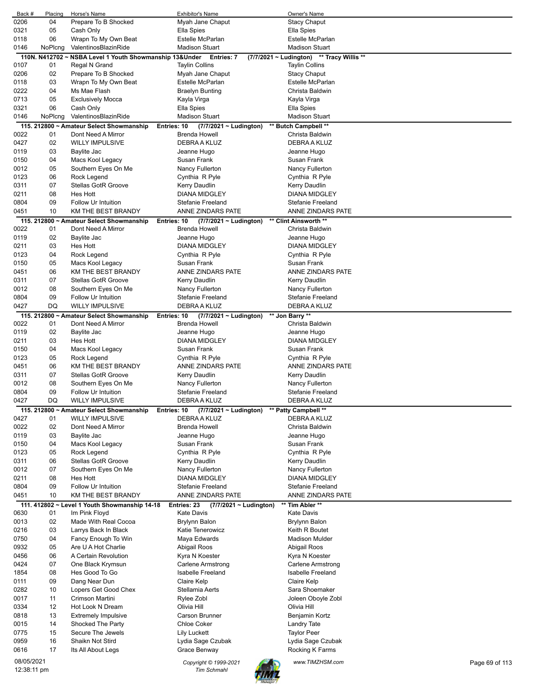| Back #       | Placing  | Horse's Name                                                   | <b>Exhibitor's Name</b>                                            | Owner's Name                              |                |
|--------------|----------|----------------------------------------------------------------|--------------------------------------------------------------------|-------------------------------------------|----------------|
| 0206         | 04       | Prepare To B Shocked                                           | Myah Jane Chaput                                                   | <b>Stacy Chaput</b>                       |                |
| 0321         | 05       | Cash Only                                                      | Ella Spies                                                         | Ella Spies                                |                |
| 0118         | 06       | Wrapn To My Own Beat                                           | Estelle McParlan                                                   | <b>Estelle McParlan</b>                   |                |
| 0146         | NoPlcng  | ValentinosBlazinRide                                           | <b>Madison Stuart</b>                                              | <b>Madison Stuart</b>                     |                |
|              |          | 110N. N412702 ~ NSBA Level 1 Youth Showmanship 13&Under        | Entries: 7                                                         | (7/7/2021 ~ Ludington) ** Tracy Willis ** |                |
| 0107         | 01       | Regal N Grand                                                  | <b>Taylin Collins</b>                                              | <b>Taylin Collins</b>                     |                |
| 0206         | 02       | Prepare To B Shocked                                           | Myah Jane Chaput                                                   | <b>Stacy Chaput</b>                       |                |
| 0118         | 03       | Wrapn To My Own Beat                                           | Estelle McParlan                                                   | Estelle McParlan                          |                |
| 0222         | 04       | Ms Mae Flash                                                   | <b>Braelyn Bunting</b>                                             | Christa Baldwin                           |                |
| 0713         | 05       | <b>Exclusively Mocca</b>                                       | Kayla Virga                                                        | Kayla Virga                               |                |
| 0321         | 06       | Cash Only                                                      | Ella Spies                                                         | Ella Spies                                |                |
| 0146         | NoPlcng  | ValentinosBlazinRide                                           | <b>Madison Stuart</b>                                              | <b>Madison Stuart</b>                     |                |
|              |          | 115. 212800 ~ Amateur Select Showmanship<br>Dont Need A Mirror | Entries: 10<br>$(7/7/2021 \sim$ Ludington)<br><b>Brenda Howell</b> | ** Butch Campbell **                      |                |
| 0022<br>0427 | 01<br>02 | <b>WILLY IMPULSIVE</b>                                         | DEBRA A KLUZ                                                       | Christa Baldwin<br>DEBRA A KLUZ           |                |
| 0119         | 03       | Baylite Jac                                                    |                                                                    | Jeanne Hugo                               |                |
| 0150         | 04       | Macs Kool Legacy                                               | Jeanne Hugo<br>Susan Frank                                         | Susan Frank                               |                |
| 0012         | 05       | Southern Eyes On Me                                            | Nancy Fullerton                                                    | Nancy Fullerton                           |                |
| 0123         | 06       | Rock Legend                                                    | Cynthia R Pyle                                                     | Cynthia R Pyle                            |                |
| 0311         | 07       | <b>Stellas GotR Groove</b>                                     | Kerry Daudlin                                                      | Kerry Daudlin                             |                |
| 0211         | 08       | <b>Hes Hott</b>                                                | <b>DIANA MIDGLEY</b>                                               | <b>DIANA MIDGLEY</b>                      |                |
| 0804         | 09       | Follow Ur Intuition                                            | <b>Stefanie Freeland</b>                                           | <b>Stefanie Freeland</b>                  |                |
| 0451         | 10       | KM THE BEST BRANDY                                             | <b>ANNE ZINDARS PATE</b>                                           | ANNE ZINDARS PATE                         |                |
|              |          | 115. 212800 ~ Amateur Select Showmanship                       | Entries: 10<br>$(7/7/2021 \sim$ Ludington)                         | ** Clint Ainsworth **                     |                |
| 0022         | 01       | Dont Need A Mirror                                             | <b>Brenda Howell</b>                                               | Christa Baldwin                           |                |
| 0119         | 02       | Baylite Jac                                                    | Jeanne Hugo                                                        | Jeanne Hugo                               |                |
| 0211         | 03       | Hes Hott                                                       | <b>DIANA MIDGLEY</b>                                               | DIANA MIDGLEY                             |                |
| 0123         | 04       | Rock Legend                                                    | Cynthia R Pyle                                                     | Cynthia R Pyle                            |                |
| 0150         | 05       | Macs Kool Legacy                                               | Susan Frank                                                        | Susan Frank                               |                |
| 0451         | 06       | KM THE BEST BRANDY                                             | ANNE ZINDARS PATE                                                  | ANNE ZINDARS PATE                         |                |
| 0311         | 07       | <b>Stellas GotR Groove</b>                                     | Kerry Daudlin                                                      | Kerry Daudlin                             |                |
| 0012         | 08       | Southern Eyes On Me                                            | Nancy Fullerton                                                    | Nancy Fullerton                           |                |
| 0804         | 09       | Follow Ur Intuition                                            | Stefanie Freeland                                                  | Stefanie Freeland                         |                |
| 0427         | DQ       | <b>WILLY IMPULSIVE</b>                                         | DEBRA A KLUZ                                                       | DEBRA A KLUZ                              |                |
|              |          | 115. 212800 ~ Amateur Select Showmanship                       | (7/7/2021 ~ Ludington)<br>Entries: 10                              | ** Jon Barry **                           |                |
| 0022         | 01       | Dont Need A Mirror                                             | <b>Brenda Howell</b>                                               | Christa Baldwin                           |                |
| 0119         | 02       | Baylite Jac                                                    | Jeanne Hugo                                                        | Jeanne Hugo                               |                |
| 0211         | 03       | Hes Hott                                                       | <b>DIANA MIDGLEY</b>                                               | <b>DIANA MIDGLEY</b>                      |                |
| 0150         | 04       | Macs Kool Legacy                                               | Susan Frank                                                        | Susan Frank                               |                |
| 0123         | 05       | Rock Legend                                                    | Cynthia R Pyle                                                     | Cynthia R Pyle                            |                |
| 0451         | 06       | KM THE BEST BRANDY                                             | ANNE ZINDARS PATE                                                  | ANNE ZINDARS PATE                         |                |
| 0311         | 07       | <b>Stellas GotR Groove</b>                                     | Kerry Daudlin                                                      | Kerry Daudlin                             |                |
| 0012         | 08       | Southern Eyes On Me                                            | Nancy Fullerton                                                    | Nancy Fullerton                           |                |
| 0804         | 09       | Follow Ur Intuition                                            | Stefanie Freeland                                                  | Stefanie Freeland                         |                |
| 0427         | DQ       | <b>WILLY IMPULSIVE</b>                                         | DEBRA A KLUZ                                                       | DEBRA A KLUZ                              |                |
|              |          | 115. 212800 ~ Amateur Select Showmanship                       | Entries: 10<br>$(7/7/2021 \sim$ Ludington)                         | ** Patty Campbell **                      |                |
| 0427         | 01       | <b>WILLY IMPULSIVE</b>                                         | DEBRA A KLUZ                                                       | DEBRA A KLUZ                              |                |
| 0022         | 02       | Dont Need A Mirror                                             | <b>Brenda Howell</b>                                               | Christa Baldwin                           |                |
| 0119         | 03       | Baylite Jac                                                    | Jeanne Hugo                                                        | Jeanne Hugo                               |                |
| 0150         | 04       | Macs Kool Legacy                                               | Susan Frank                                                        | Susan Frank                               |                |
| 0123         | 05       | Rock Legend                                                    | Cynthia R Pyle                                                     | Cynthia R Pyle                            |                |
| 0311         | 06       | Stellas GotR Groove                                            | Kerry Daudlin                                                      | Kerry Daudlin                             |                |
| 0012         | 07<br>08 | Southern Eyes On Me                                            | Nancy Fullerton<br><b>DIANA MIDGLEY</b>                            | Nancy Fullerton                           |                |
| 0211<br>0804 | 09       | Hes Hott<br>Follow Ur Intuition                                | Stefanie Freeland                                                  | <b>DIANA MIDGLEY</b><br>Stefanie Freeland |                |
| 0451         | 10       | KM THE BEST BRANDY                                             | ANNE ZINDARS PATE                                                  | ANNE ZINDARS PATE                         |                |
|              |          |                                                                |                                                                    |                                           |                |
| 0630         | 01       | 111. 412802 ~ Level 1 Youth Showmanship 14-18<br>Im Pink Floyd | (7/7/2021 ~ Ludington)<br>Entries: 23<br><b>Kate Davis</b>         | ** Tim Abler **<br>Kate Davis             |                |
| 0013         | 02       | Made With Real Cocoa                                           | <b>Brylynn Balon</b>                                               | Brylynn Balon                             |                |
| 0216         | 03       | Larrys Back In Black                                           | Katie Tenerowicz                                                   | Keith R Boutet                            |                |
| 0750         | 04       | Fancy Enough To Win                                            | Maya Edwards                                                       | Madison Mulder                            |                |
| 0932         | 05       | Are U A Hot Charlie                                            | Abigail Roos                                                       | Abigail Roos                              |                |
| 0456         | 06       | A Certain Revolution                                           | Kyra N Koester                                                     | Kyra N Koester                            |                |
| 0424         | 07       | One Black Krymsun                                              | <b>Carlene Armstrong</b>                                           | <b>Carlene Armstrong</b>                  |                |
| 1854         | 08       | Hes Good To Go                                                 | <b>Isabelle Freeland</b>                                           | Isabelle Freeland                         |                |
| 0111         | 09       | Dang Near Dun                                                  | Claire Kelp                                                        | Claire Kelp                               |                |
| 0282         | 10       | Lopers Get Good Chex                                           | Stellamia Aerts                                                    | Sara Shoemaker                            |                |
| 0017         | 11       | Crimson Martini                                                | Rylee Zobl                                                         | Joleen Oboyle Zobl                        |                |
| 0334         | 12       | Hot Look N Dream                                               | Olivia Hill                                                        | Olivia Hill                               |                |
| 0818         | 13       | <b>Extremely Impulsive</b>                                     | Carson Brunner                                                     | Benjamin Kortz                            |                |
| 0015         | 14       | Shocked The Party                                              | <b>Chloe Coker</b>                                                 | Landry Tate                               |                |
| 0775         | 15       | Secure The Jewels                                              | <b>Lily Luckett</b>                                                | <b>Taylor Peer</b>                        |                |
| 0959         | 16       | Shaikn Not Stird                                               | Lydia Sage Czubak                                                  | Lydia Sage Czubak                         |                |
| 0616         | 17       | Its All About Legs                                             | Grace Benway                                                       | Rocking K Farms                           |                |
| 08/05/2021   |          |                                                                | Copyright © 1999-2021                                              | www.TIMZHSM.com                           | Page 69 of 113 |
| 12:38:11 pm  |          |                                                                | <b>Tim Schmahl</b>                                                 |                                           |                |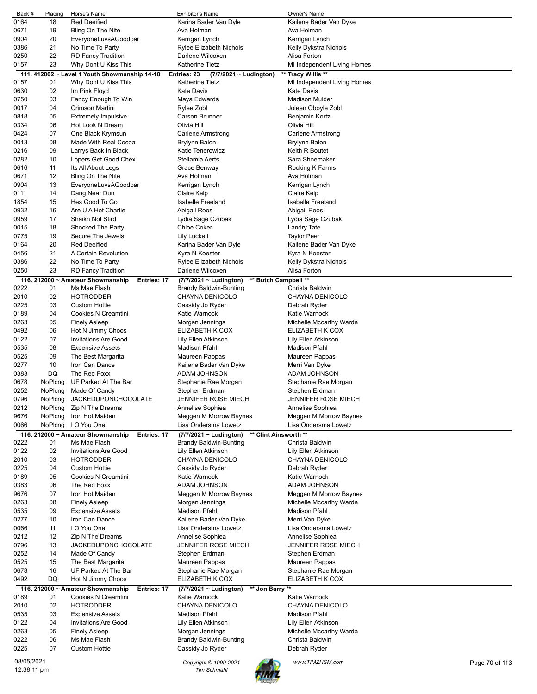| Back #       | Placing  | Horse's Name                                            | <b>Exhibitor's Name</b>                              | Owner's Name                                    |                |
|--------------|----------|---------------------------------------------------------|------------------------------------------------------|-------------------------------------------------|----------------|
| 0164         | 18       | <b>Red Deeified</b>                                     | Karina Bader Van Dyle                                | Kailene Bader Van Dyke                          |                |
| 0671         | 19       | Bling On The Nite                                       | Ava Holman                                           | Ava Holman                                      |                |
| 0904         | 20       | EveryoneLuvsAGoodbar                                    | Kerrigan Lynch                                       | Kerrigan Lynch                                  |                |
| 0386         | 21       | No Time To Party                                        | Rylee Elizabeth Nichols                              | Kelly Dykstra Nichols                           |                |
| 0250         | 22       | <b>RD Fancy Tradition</b>                               | Darlene Wilcoxen                                     | Alisa Forton                                    |                |
| 0157         | 23       | Why Dont U Kiss This                                    | <b>Katherine Tietz</b>                               | MI Independent Living Homes                     |                |
|              |          | 111. 412802 ~ Level 1 Youth Showmanship 14-18           | Entries: 23<br>(7/7/2021 ~ Ludington)                | ** Tracy Willis **                              |                |
| 0157         | 01       | Why Dont U Kiss This                                    | <b>Katherine Tietz</b>                               | MI Independent Living Homes                     |                |
| 0630         | 02<br>03 | Im Pink Floyd<br>Fancy Enough To Win                    | <b>Kate Davis</b><br>Maya Edwards                    | <b>Kate Davis</b><br><b>Madison Mulder</b>      |                |
| 0750<br>0017 | 04       | Crimson Martini                                         | Rylee Zobl                                           | Joleen Oboyle Zobl                              |                |
| 0818         | 05       | <b>Extremely Impulsive</b>                              | Carson Brunner                                       | Benjamin Kortz                                  |                |
| 0334         | 06       | Hot Look N Dream                                        | Olivia Hill                                          | Olivia Hill                                     |                |
| 0424         | 07       | One Black Krymsun                                       | <b>Carlene Armstrong</b>                             | <b>Carlene Armstrong</b>                        |                |
| 0013         | 08       | Made With Real Cocoa                                    | <b>Brylynn Balon</b>                                 | Brylynn Balon                                   |                |
| 0216         | 09       | Larrys Back In Black                                    | Katie Tenerowicz                                     | Keith R Boutet                                  |                |
| 0282         | 10       | Lopers Get Good Chex                                    | Stellamia Aerts                                      | Sara Shoemaker                                  |                |
| 0616         | 11       | Its All About Legs                                      | Grace Benway                                         | Rocking K Farms                                 |                |
| 0671         | 12       | Bling On The Nite                                       | Ava Holman                                           | Ava Holman                                      |                |
| 0904         | 13       | EveryoneLuvsAGoodbar                                    | Kerrigan Lynch                                       | Kerrigan Lynch                                  |                |
| 0111         | 14       | Dang Near Dun                                           | Claire Kelp                                          | Claire Kelp                                     |                |
| 1854         | 15       | Hes Good To Go                                          | Isabelle Freeland                                    | <b>Isabelle Freeland</b>                        |                |
| 0932         | 16       | Are U A Hot Charlie                                     | Abigail Roos                                         | Abigail Roos                                    |                |
| 0959         | 17       | Shaikn Not Stird                                        | Lydia Sage Czubak                                    | Lydia Sage Czubak                               |                |
| 0015         | 18       | Shocked The Party                                       | <b>Chloe Coker</b>                                   | Landry Tate                                     |                |
| 0775         | 19       | Secure The Jewels                                       | Lily Luckett                                         | <b>Taylor Peer</b>                              |                |
| 0164         | 20       | <b>Red Deeified</b>                                     | Karina Bader Van Dyle                                | Kailene Bader Van Dyke                          |                |
| 0456         | 21       | A Certain Revolution                                    | Kyra N Koester                                       | Kyra N Koester                                  |                |
| 0386         | 22       | No Time To Party                                        | Rylee Elizabeth Nichols                              | Kelly Dykstra Nichols                           |                |
| 0250         | 23       | <b>RD Fancy Tradition</b>                               | Darlene Wilcoxen                                     | Alisa Forton                                    |                |
|              |          | 116. 212000 ~ Amateur Showmanship<br><b>Entries: 17</b> | ** Butch Campbell **<br>(7/7/2021 ~ Ludington)       |                                                 |                |
| 0222         | 01       | Ms Mae Flash                                            | Brandy Baldwin-Bunting                               | Christa Baldwin                                 |                |
| 2010         | 02       | <b>HOTRODDER</b>                                        | CHAYNA DENICOLO                                      | CHAYNA DENICOLO                                 |                |
| 0225         | 03       | <b>Custom Hottie</b>                                    | Cassidy Jo Ryder                                     | Debrah Ryder                                    |                |
| 0189         | 04       | Cookies N Creamtini                                     | Katie Warnock                                        | Katie Warnock                                   |                |
| 0263         | 05       | <b>Finely Asleep</b>                                    | Morgan Jennings                                      | Michelle Mccarthy Warda                         |                |
| 0492         | 06<br>07 | Hot N Jimmy Choos                                       | ELIZABETH K COX                                      | ELIZABETH K COX                                 |                |
| 0122<br>0535 | 08       | <b>Invitations Are Good</b><br><b>Expensive Assets</b>  | Lily Ellen Atkinson<br>Madison Pfahl                 | Lily Ellen Atkinson<br>Madison Pfahl            |                |
| 0525         | 09       | The Best Margarita                                      | Maureen Pappas                                       | Maureen Pappas                                  |                |
| 0277         | 10       | Iron Can Dance                                          | Kailene Bader Van Dyke                               | Merri Van Dyke                                  |                |
| 0383         | DQ       | The Red Foxx                                            | ADAM JOHNSON                                         | ADAM JOHNSON                                    |                |
| 0678         | NoPlcng  | UF Parked At The Bar                                    | Stephanie Rae Morgan                                 | Stephanie Rae Morgan                            |                |
| 0252         | NoPlcng  | Made Of Candy                                           | Stephen Erdman                                       | Stephen Erdman                                  |                |
| 0796         | NoPlcng  | <b>JACKEDUPONCHOCOLATE</b>                              | JENNIFER ROSE MIECH                                  | <b>JENNIFER ROSE MIECH</b>                      |                |
| 0212         | NoPlcng  | Zip N The Dreams                                        | Annelise Sophiea                                     | Annelise Sophiea                                |                |
| 9676         | NoPlcng  | Iron Hot Maiden                                         | Meggen M Morrow Baynes                               | Meggen M Morrow Baynes                          |                |
| 0066         | NoPlcng  | I O You One                                             | Lisa Ondersma Lowetz                                 | Lisa Ondersma Lowetz                            |                |
|              |          | 116. 212000 ~ Amateur Showmanship<br>Entries: 17        | ** Clint Ainsworth **<br>$(7/7/2021 \sim$ Ludington) |                                                 |                |
| 0222         | 01       | Ms Mae Flash                                            | <b>Brandy Baldwin-Bunting</b>                        | Christa Baldwin                                 |                |
| 0122         | 02       | <b>Invitations Are Good</b>                             | Lily Ellen Atkinson                                  | Lily Ellen Atkinson                             |                |
| 2010         | 03       | <b>HOTRODDER</b>                                        | CHAYNA DENICOLO                                      | CHAYNA DENICOLO                                 |                |
| 0225         | 04       | <b>Custom Hottie</b>                                    | Cassidy Jo Ryder                                     | Debrah Ryder                                    |                |
| 0189         | 05       | Cookies N Creamtini                                     | Katie Warnock                                        | Katie Warnock                                   |                |
| 0383         | 06       | The Red Foxx                                            | ADAM JOHNSON                                         | ADAM JOHNSON                                    |                |
| 9676         | 07       | Iron Hot Maiden                                         | Meggen M Morrow Baynes                               | Meggen M Morrow Baynes                          |                |
| 0263         | 08       | <b>Finely Asleep</b>                                    | Morgan Jennings                                      | Michelle Mccarthy Warda<br><b>Madison Pfahl</b> |                |
| 0535<br>0277 | 09<br>10 | <b>Expensive Assets</b><br>Iron Can Dance               | Madison Pfahl<br>Kailene Bader Van Dyke              | Merri Van Dyke                                  |                |
| 0066         | 11       | I O You One                                             | Lisa Ondersma Lowetz                                 | Lisa Ondersma Lowetz                            |                |
| 0212         | 12       | Zip N The Dreams                                        | Annelise Sophiea                                     | Annelise Sophiea                                |                |
| 0796         | 13       | <b>JACKEDUPONCHOCOLATE</b>                              | JENNIFER ROSE MIECH                                  | <b>JENNIFER ROSE MIECH</b>                      |                |
| 0252         | 14       | Made Of Candy                                           | Stephen Erdman                                       | Stephen Erdman                                  |                |
| 0525         | 15       | The Best Margarita                                      | Maureen Pappas                                       | Maureen Pappas                                  |                |
| 0678         | 16       | UF Parked At The Bar                                    | Stephanie Rae Morgan                                 | Stephanie Rae Morgan                            |                |
| 0492         | DQ       | Hot N Jimmy Choos                                       | ELIZABETH K COX                                      | ELIZABETH K COX                                 |                |
|              |          | 116. 212000 ~ Amateur Showmanship<br>Entries: 17        | (7/7/2021 ~ Ludington)<br>** Jon Barry **            |                                                 |                |
| 0189         | 01       | Cookies N Creamtini                                     | Katie Warnock                                        | Katie Warnock                                   |                |
| 2010         | 02       | <b>HOTRODDER</b>                                        | CHAYNA DENICOLO                                      | CHAYNA DENICOLO                                 |                |
| 0535         | 03       | <b>Expensive Assets</b>                                 | Madison Pfahl                                        | Madison Pfahl                                   |                |
| 0122         | 04       | <b>Invitations Are Good</b>                             | Lily Ellen Atkinson                                  | Lily Ellen Atkinson                             |                |
| 0263         | 05       | <b>Finely Asleep</b>                                    | Morgan Jennings                                      | Michelle Mccarthy Warda                         |                |
| 0222         | 06       | Ms Mae Flash                                            | <b>Brandy Baldwin-Bunting</b>                        | Christa Baldwin                                 |                |
| 0225         | 07       | <b>Custom Hottie</b>                                    | Cassidy Jo Ryder                                     | Debrah Ryder                                    |                |
| 08/05/2021   |          |                                                         | Copyright © 1999-2021                                | www.TIMZHSM.com                                 | Page 70 of 113 |
| 12:38:11 pm  |          |                                                         | <b>Tim Schmahl</b>                                   |                                                 |                |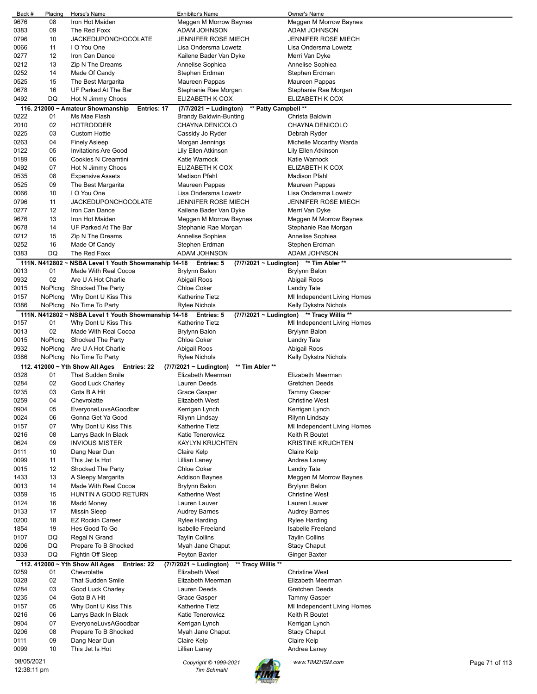| Back #       | Placing            | Horse's Name                                                     | <b>Exhibitor's Name</b>                                      | Owner's Name                                       |                |
|--------------|--------------------|------------------------------------------------------------------|--------------------------------------------------------------|----------------------------------------------------|----------------|
| 9676         | 08                 | Iron Hot Maiden                                                  | Meggen M Morrow Baynes                                       | Meggen M Morrow Baynes                             |                |
| 0383         | 09                 | The Red Foxx                                                     | ADAM JOHNSON                                                 | ADAM JOHNSON                                       |                |
| 0796         | 10                 | <b>JACKEDUPONCHOCOLATE</b>                                       | JENNIFER ROSE MIECH                                          | <b>JENNIFER ROSE MIECH</b>                         |                |
| 0066         | 11                 | I O You One                                                      | Lisa Ondersma Lowetz                                         | Lisa Ondersma Lowetz                               |                |
| 0277         | 12                 | Iron Can Dance                                                   | Kailene Bader Van Dyke                                       | Merri Van Dyke                                     |                |
| 0212         | 13                 | Zip N The Dreams                                                 | Annelise Sophiea                                             | Annelise Sophiea                                   |                |
| 0252         | 14                 | Made Of Candy                                                    | Stephen Erdman                                               | Stephen Erdman                                     |                |
| 0525         | 15                 | The Best Margarita                                               | Maureen Pappas                                               | Maureen Pappas                                     |                |
| 0678<br>0492 | 16<br>DQ           | UF Parked At The Bar<br>Hot N Jimmy Choos                        | Stephanie Rae Morgan<br>ELIZABETH K COX                      | Stephanie Rae Morgan<br>ELIZABETH K COX            |                |
|              |                    |                                                                  | ** Patty Campbell **                                         |                                                    |                |
| 0222         | 01                 | 116. 212000 ~ Amateur Showmanship<br>Entries: 17<br>Ms Mae Flash | $(7/7/2021 \sim$ Ludington)<br><b>Brandy Baldwin-Bunting</b> | Christa Baldwin                                    |                |
| 2010         | 02                 | <b>HOTRODDER</b>                                                 | CHAYNA DENICOLO                                              | CHAYNA DENICOLO                                    |                |
| 0225         | 03                 | <b>Custom Hottie</b>                                             | Cassidy Jo Ryder                                             | Debrah Ryder                                       |                |
| 0263         | 04                 | <b>Finely Asleep</b>                                             | Morgan Jennings                                              | Michelle Mccarthy Warda                            |                |
| 0122         | 05                 | <b>Invitations Are Good</b>                                      | Lily Ellen Atkinson                                          | Lily Ellen Atkinson                                |                |
| 0189         | 06                 | Cookies N Creamtini                                              | Katie Warnock                                                | Katie Warnock                                      |                |
| 0492         | 07                 | Hot N Jimmy Choos                                                | ELIZABETH K COX                                              | ELIZABETH K COX                                    |                |
| 0535         | 08                 | <b>Expensive Assets</b>                                          | <b>Madison Pfahl</b>                                         | <b>Madison Pfahl</b>                               |                |
| 0525         | 09                 | The Best Margarita                                               | Maureen Pappas                                               | Maureen Pappas                                     |                |
| 0066         | 10                 | I O You One                                                      | Lisa Ondersma Lowetz                                         | Lisa Ondersma Lowetz                               |                |
| 0796         | 11                 | <b>JACKEDUPONCHOCOLATE</b>                                       | JENNIFER ROSE MIECH                                          | <b>JENNIFER ROSE MIECH</b>                         |                |
| 0277         | 12                 | Iron Can Dance                                                   | Kailene Bader Van Dyke                                       | Merri Van Dyke                                     |                |
| 9676         | 13                 | Iron Hot Maiden                                                  | Meggen M Morrow Baynes                                       | Meggen M Morrow Baynes                             |                |
| 0678         | 14                 | UF Parked At The Bar                                             | Stephanie Rae Morgan                                         | Stephanie Rae Morgan                               |                |
| 0212         | 15                 | Zip N The Dreams                                                 | Annelise Sophiea                                             | Annelise Sophiea                                   |                |
| 0252         | 16                 | Made Of Candy                                                    | Stephen Erdman                                               | Stephen Erdman                                     |                |
| 0383         | DQ                 | The Red Foxx                                                     | ADAM JOHNSON                                                 | ADAM JOHNSON                                       |                |
|              |                    | 111N. N412802 ~ NSBA Level 1 Youth Showmanship 14-18             | <b>Entries: 5</b><br>(7/7/2021 ~ Ludington)                  | ** Tim Abler **                                    |                |
| 0013         | 01                 | Made With Real Cocoa                                             | <b>Brylynn Balon</b>                                         | <b>Brylynn Balon</b>                               |                |
| 0932         | 02                 | Are U A Hot Charlie                                              | Abigail Roos                                                 | Abigail Roos                                       |                |
| 0015         | NoPlcng            | Shocked The Party                                                | <b>Chloe Coker</b>                                           | <b>Landry Tate</b>                                 |                |
| 0157<br>0386 | NoPlcng<br>NoPlcng | Why Dont U Kiss This<br>No Time To Party                         | <b>Katherine Tietz</b><br>Rylee Nichols                      | MI Independent Living Homes                        |                |
|              |                    | 111N. N412802 ~ NSBA Level 1 Youth Showmanship 14-18             | <b>Entries: 5</b><br>(7/7/2021 ~ Ludington)                  | Kelly Dykstra Nichols<br>** Tracy Willis **        |                |
| 0157         | 01                 | Why Dont U Kiss This                                             | Katherine Tietz                                              | MI Independent Living Homes                        |                |
| 0013         | 02                 | Made With Real Cocoa                                             | Brylynn Balon                                                | <b>Brylynn Balon</b>                               |                |
| 0015         | NoPlcng            | Shocked The Party                                                | Chloe Coker                                                  | <b>Landry Tate</b>                                 |                |
| 0932         | NoPlcng            | Are U A Hot Charlie                                              | Abigail Roos                                                 | Abigail Roos                                       |                |
| 0386         | NoPlcng            | No Time To Party                                                 | Rylee Nichols                                                | Kelly Dykstra Nichols                              |                |
|              |                    | 112. 412000 ~ Yth Show All Ages<br>Entries: 22                   | ** Tim Abler **<br>$(7/7/2021 \sim$ Ludington)               |                                                    |                |
| 0328         | 01                 | <b>That Sudden Smile</b>                                         | Elizabeth Meerman                                            | Elizabeth Meerman                                  |                |
| 0284         | 02                 | Good Luck Charley                                                | Lauren Deeds                                                 | Gretchen Deeds                                     |                |
| 0235         | 03                 | Gota B A Hit                                                     | Grace Gasper                                                 | <b>Tammy Gasper</b>                                |                |
| 0259         | 04                 | Chevrolatte                                                      | Elizabeth West                                               | <b>Christine West</b>                              |                |
| 0904         | 05                 | EveryoneLuvsAGoodbar                                             | Kerrigan Lynch                                               | Kerrigan Lynch                                     |                |
| 0024         | 06                 | Gonna Get Ya Good                                                | Rilynn Lindsay                                               | Rilynn Lindsay                                     |                |
| 0157         | 07                 | Why Dont U Kiss This                                             | Katherine Tietz                                              | MI Independent Living Homes                        |                |
| 0216         | 08                 | Larrys Back In Black                                             | Katie Tenerowicz                                             | Keith R Boutet                                     |                |
| 0624         | 09<br>10           | <b>INVIOUS MISTER</b>                                            | <b>KAYLYN KRUCHTEN</b>                                       | <b>KRISTINE KRUCHTEN</b>                           |                |
| 0111<br>0099 | 11                 | Dang Near Dun<br>This Jet Is Hot                                 | Claire Kelp<br>Lillian Laney                                 | Claire Kelp<br>Andrea Laney                        |                |
| 0015         | 12                 | Shocked The Party                                                | <b>Chloe Coker</b>                                           | <b>Landry Tate</b>                                 |                |
| 1433         | 13                 | A Sleepy Margarita                                               | <b>Addison Baynes</b>                                        | Meggen M Morrow Baynes                             |                |
| 0013         | 14                 | Made With Real Cocoa                                             | Brylynn Balon                                                | Brylynn Balon                                      |                |
| 0359         | 15                 | HUNTIN A GOOD RETURN                                             | Katherine West                                               | <b>Christine West</b>                              |                |
| 0124         | 16                 | Madd Money                                                       | Lauren Lauver                                                | Lauren Lauver                                      |                |
| 0133         | 17                 | <b>Missin Sleep</b>                                              | <b>Audrey Barnes</b>                                         | <b>Audrey Barnes</b>                               |                |
| 0200         | 18                 | <b>EZ Rockin Career</b>                                          | Rylee Harding                                                | Rylee Harding                                      |                |
| 1854         | 19                 | Hes Good To Go                                                   | Isabelle Freeland                                            | Isabelle Freeland                                  |                |
| 0107         | DQ                 | Regal N Grand                                                    | <b>Taylin Collins</b>                                        | <b>Taylin Collins</b>                              |                |
| 0206         | DQ                 | Prepare To B Shocked                                             | Myah Jane Chaput                                             | <b>Stacy Chaput</b>                                |                |
| 0333         | DQ                 | Fightin Off Sleep                                                | Peyton Baxter                                                | <b>Ginger Baxter</b>                               |                |
|              |                    | 112. 412000 ~ Yth Show All Ages<br>Entries: 22                   | (7/7/2021 ~ Ludington)<br>** Tracy Willis **                 |                                                    |                |
| 0259         | 01                 | Chevrolatte                                                      | <b>Elizabeth West</b>                                        | <b>Christine West</b>                              |                |
| 0328         | 02                 | <b>That Sudden Smile</b>                                         | Elizabeth Meerman                                            | Elizabeth Meerman                                  |                |
| 0284         | 03<br>04           | Good Luck Charley                                                | Lauren Deeds                                                 | <b>Gretchen Deeds</b>                              |                |
| 0235<br>0157 | 05                 | Gota B A Hit<br>Why Dont U Kiss This                             | Grace Gasper<br><b>Katherine Tietz</b>                       | <b>Tammy Gasper</b><br>MI Independent Living Homes |                |
| 0216         | 06                 | Larrys Back In Black                                             | Katie Tenerowicz                                             | Keith R Boutet                                     |                |
| 0904         | 07                 | EveryoneLuvsAGoodbar                                             | Kerrigan Lynch                                               | Kerrigan Lynch                                     |                |
| 0206         | 08                 | Prepare To B Shocked                                             | Myah Jane Chaput                                             | <b>Stacy Chaput</b>                                |                |
| 0111         | 09                 | Dang Near Dun                                                    | Claire Kelp                                                  | Claire Kelp                                        |                |
| 0099         | 10                 | This Jet Is Hot                                                  | Lillian Laney                                                | Andrea Laney                                       |                |
| 08/05/2021   |                    |                                                                  |                                                              |                                                    |                |
| 12:38:11 pm  |                    |                                                                  | Copyright © 1999-2021<br><b>Tim Schmahl</b>                  | www.TIMZHSM.com                                    | Page 71 of 113 |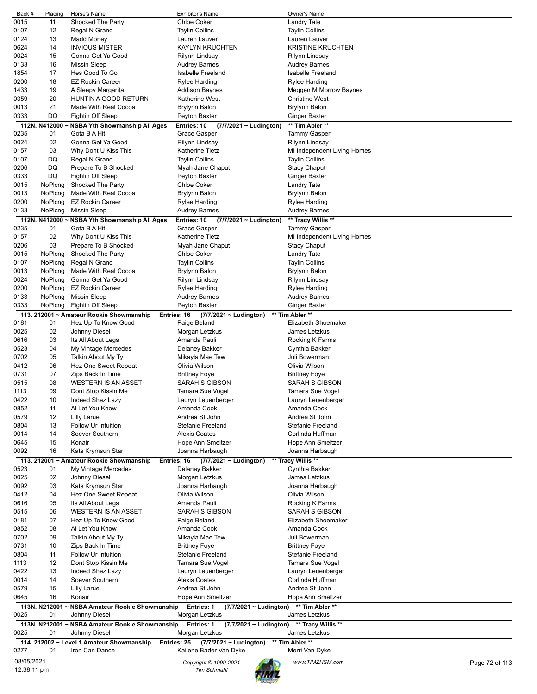| Back #      | Placing       | Horse's Name                                    | <b>Exhibitor's Name</b>                          | Owner's Name                      |  |
|-------------|---------------|-------------------------------------------------|--------------------------------------------------|-----------------------------------|--|
| 0015        | 11            | Shocked The Party                               | <b>Chloe Coker</b>                               | Landry Tate                       |  |
| 0107        | 12            | Regal N Grand                                   | <b>Taylin Collins</b>                            | <b>Taylin Collins</b>             |  |
| 0124        | 13            | Madd Money                                      | Lauren Lauver                                    | Lauren Lauver                     |  |
| 0624        | 14            | <b>INVIOUS MISTER</b>                           | <b>KAYLYN KRUCHTEN</b>                           | <b>KRISTINE KRUCHTEN</b>          |  |
|             |               |                                                 |                                                  |                                   |  |
| 0024        | 15            | Gonna Get Ya Good                               | Rilynn Lindsay                                   | Rilynn Lindsay                    |  |
| 0133        | 16            | <b>Missin Sleep</b>                             | <b>Audrey Barnes</b>                             | Audrey Barnes                     |  |
| 1854        | 17            | Hes Good To Go                                  | <b>Isabelle Freeland</b>                         | Isabelle Freeland                 |  |
| 0200        | 18            | <b>EZ Rockin Career</b>                         | Rylee Harding                                    | Rylee Harding                     |  |
| 1433        | 19            | A Sleepy Margarita                              | <b>Addison Baynes</b>                            | Meggen M Morrow Baynes            |  |
| 0359        | 20            | HUNTIN A GOOD RETURN                            | <b>Katherine West</b>                            | <b>Christine West</b>             |  |
|             |               |                                                 |                                                  |                                   |  |
| 0013        | 21            | Made With Real Cocoa                            | Brylynn Balon                                    | Brylynn Balon                     |  |
| 0333        | DQ            | Fightin Off Sleep                               | Peyton Baxter                                    | Ginger Baxter                     |  |
|             | 112N. N412000 | <b>NSBA Yth Showmanship All Ages</b>            | Entries: 10<br>(7/7/2021 ~ Ludington)            | ** Tim Abler **                   |  |
| 0235        | 01            | Gota B A Hit                                    | Grace Gasper                                     | Tammy Gasper                      |  |
| 0024        | 02            | Gonna Get Ya Good                               | Rilynn Lindsay                                   | Rilynn Lindsay                    |  |
|             |               |                                                 |                                                  |                                   |  |
| 0157        | 03            | Why Dont U Kiss This                            | <b>Katherine Tietz</b>                           | MI Independent Living Homes       |  |
| 0107        | DQ            | Regal N Grand                                   | <b>Taylin Collins</b>                            | <b>Taylin Collins</b>             |  |
| 0206        | DQ            | Prepare To B Shocked                            | Myah Jane Chaput                                 | <b>Stacy Chaput</b>               |  |
| 0333        | DQ            | Fightin Off Sleep                               | Peyton Baxter                                    | Ginger Baxter                     |  |
| 0015        | NoPlcng       | Shocked The Party                               | Chloe Coker                                      | Landry Tate                       |  |
| 0013        | NoPlcng       | Made With Real Cocoa                            | <b>Brylynn Balon</b>                             | <b>Brylynn Balon</b>              |  |
|             |               |                                                 |                                                  |                                   |  |
| 0200        | NoPlcng       | <b>EZ Rockin Career</b>                         | Rylee Harding                                    | Rylee Harding                     |  |
| 0133        | NoPlcng       | Missin Sleep                                    | <b>Audrey Barnes</b>                             | <b>Audrey Barnes</b>              |  |
|             |               | 112N. N412000 ~ NSBA Yth Showmanship All Ages   | Entries: 10<br>(7/7/2021 ~ Ludington)            | ** Tracy Willis **                |  |
| 0235        | 01            | Gota B A Hit                                    | Grace Gasper                                     | Tammy Gasper                      |  |
| 0157        | 02            | Why Dont U Kiss This                            | Katherine Tietz                                  |                                   |  |
|             |               |                                                 |                                                  | MI Independent Living Homes       |  |
| 0206        | 03            | Prepare To B Shocked                            | Myah Jane Chaput                                 | <b>Stacy Chaput</b>               |  |
| 0015        | NoPlcng       | Shocked The Party                               | <b>Chloe Coker</b>                               | Landry Tate                       |  |
| 0107        | NoPlcng       | Regal N Grand                                   | <b>Taylin Collins</b>                            | <b>Taylin Collins</b>             |  |
| 0013        | NoPlcng       | Made With Real Cocoa                            | Brylynn Balon                                    | Brylynn Balon                     |  |
|             |               |                                                 |                                                  |                                   |  |
| 0024        | NoPlcng       | Gonna Get Ya Good                               | Rilynn Lindsay                                   | Rilynn Lindsay                    |  |
| 0200        | NoPlcng       | <b>EZ Rockin Career</b>                         | Rylee Harding                                    | Rylee Harding                     |  |
| 0133        | NoPlcng       | <b>Missin Sleep</b>                             | <b>Audrey Barnes</b>                             | <b>Audrey Barnes</b>              |  |
| 0333        | NoPlcng       | Fightin Off Sleep                               | Peyton Baxter                                    | Ginger Baxter                     |  |
|             |               |                                                 |                                                  |                                   |  |
|             |               | 113. 212001 ~ Amateur Rookie Showmanship        | Entries: 16<br>$(7/7/2021 \sim$ Ludington)       | ** Tim Abler **                   |  |
| 0181        | 01            | Hez Up To Know Good                             | Paige Beland                                     | Elizabeth Shoemaker               |  |
| 0025        | 02            | Johnny Diesel                                   | Morgan Letzkus                                   | James Letzkus                     |  |
| 0616        | 03            | Its All About Legs                              | Amanda Pauli                                     | Rocking K Farms                   |  |
| 0523        | 04            | My Vintage Mercedes                             | Delaney Bakker                                   | Cynthia Bakker                    |  |
|             |               |                                                 |                                                  |                                   |  |
| 0702        | 05            | Talkin About My Ty                              | Mikayla Mae Tew                                  | Juli Bowerman                     |  |
| 0412        | 06            | Hez One Sweet Repeat                            | Olivia Wilson                                    | Olivia Wilson                     |  |
| 0731        | 07            | Zips Back In Time                               | <b>Brittney Foye</b>                             | <b>Brittney Foye</b>              |  |
| 0515        | 08            | <b>WESTERN IS AN ASSET</b>                      | SARAH S GIBSON                                   | <b>SARAH S GIBSON</b>             |  |
|             | 09            | Dont Stop Kissin Me                             |                                                  | Tamara Sue Vogel                  |  |
| 1113        |               |                                                 | Tamara Sue Vogel                                 |                                   |  |
| 0422        | 10            | Indeed Shez Lazy                                | Lauryn Leuenberger                               | Lauryn Leuenberger                |  |
| 0852        | 11            | Al Let You Know                                 | Amanda Cook                                      | Amanda Cook                       |  |
| 0579        | 12            | Lilly Larue                                     | Andrea St John                                   | Andrea St John                    |  |
| 0804        | 13            | Follow Ur Intuition                             | Stefanie Freeland                                | Stefanie Freeland                 |  |
|             |               |                                                 | <b>Alexis Coates</b>                             |                                   |  |
| 0014        | 14            | Soever Southern                                 |                                                  | Corlinda Huffman                  |  |
| 0645        | 15            | Konair                                          | Hope Ann Smeltzer                                | Hope Ann Smeltzer                 |  |
| 0092        | 16            | Kats Krymsun Star                               | Joanna Harbaugh                                  | Joanna Harbaugh                   |  |
|             |               | 113. 212001 ~ Amateur Rookie Showmanship        | (7/7/2021 ~ Ludington)<br>Entries: 16            | ** Tracy Willis **                |  |
| 0523        | 01            | My Vintage Mercedes                             | Delaney Bakker                                   | Cynthia Bakker                    |  |
| 0025        | 02            | Johnny Diesel                                   | Morgan Letzkus                                   | James Letzkus                     |  |
|             |               |                                                 |                                                  |                                   |  |
| 0092        | 03            | Kats Krymsun Star                               | Joanna Harbaugh                                  | Joanna Harbaugh                   |  |
| 0412        | 04            | Hez One Sweet Repeat                            | Olivia Wilson                                    | Olivia Wilson                     |  |
| 0616        | 05            | Its All About Legs                              | Amanda Pauli                                     | Rocking K Farms                   |  |
| 0515        | 06            | <b>WESTERN IS AN ASSET</b>                      | SARAH S GIBSON                                   | <b>SARAH S GIBSON</b>             |  |
| 0181        | 07            | Hez Up To Know Good                             | Paige Beland                                     | Elizabeth Shoemaker               |  |
|             |               |                                                 |                                                  |                                   |  |
| 0852        | 08            | Al Let You Know                                 | Amanda Cook                                      | Amanda Cook                       |  |
| 0702        | 09            | Talkin About My Ty                              | Mikayla Mae Tew                                  | Juli Bowerman                     |  |
| 0731        | 10            | Zips Back In Time                               | <b>Brittney Foye</b>                             | <b>Brittney Foye</b>              |  |
| 0804        | 11            | Follow Ur Intuition                             | Stefanie Freeland                                | Stefanie Freeland                 |  |
| 1113        | 12            | Dont Stop Kissin Me                             | Tamara Sue Vogel                                 | Tamara Sue Vogel                  |  |
|             |               |                                                 |                                                  |                                   |  |
| 0422        | 13            | Indeed Shez Lazy                                | Lauryn Leuenberger                               | Lauryn Leuenberger                |  |
| 0014        | 14            | Soever Southern                                 | <b>Alexis Coates</b>                             | Corlinda Huffman                  |  |
| 0579        | 15            | Lilly Larue                                     | Andrea St John                                   | Andrea St John                    |  |
| 0645        | 16            | Konair                                          | Hope Ann Smeltzer                                | Hope Ann Smeltzer                 |  |
|             | 113N. N212001 | ~ NSBA Amateur Rookie Showmanship               |                                                  | ** Tim Abler **                   |  |
|             |               |                                                 | Entries: 1<br>$(7/7/2021 \sim$ Ludington)        |                                   |  |
| 0025        | 01            | Johnny Diesel                                   | Morgan Letzkus                                   | James Letzkus                     |  |
|             |               | 113N. N212001 ~ NSBA Amateur Rookie Showmanship | <b>Entries: 1</b><br>$(7/7/2021 \sim$ Ludington) | ** Tracy Willis **                |  |
| 0025        | 01            | Johnny Diesel                                   | Morgan Letzkus                                   | James Letzkus                     |  |
|             |               | 114. 212002 ~ Level 1 Amateur Showmanship       | Entries: 25<br>$(7/7/2021 \sim$ Ludington)       | ** Tim Abler **                   |  |
| 0277        | 01            | Iron Can Dance                                  | Kailene Bader Van Dyke                           | Merri Van Dyke                    |  |
|             |               |                                                 |                                                  |                                   |  |
| 08/05/2021  |               |                                                 | Copyright © 1999-2021                            | www.TIMZHSM.com<br>Page 72 of 113 |  |
| 12:38:11 pm |               |                                                 | <b>Tim Schmahl</b>                               |                                   |  |
|             |               |                                                 |                                                  |                                   |  |
|             |               |                                                 |                                                  |                                   |  |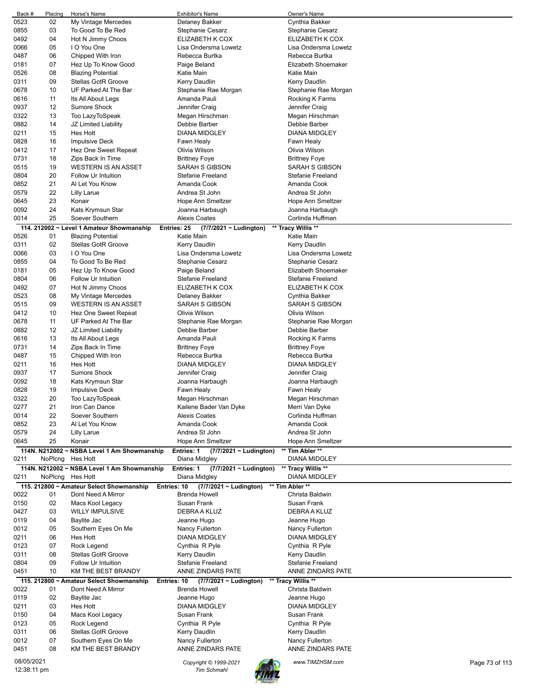| Back #      | Placing | Horse's Name                                            | <b>Exhibitor's Name</b>                   | Owner's Name             |                |
|-------------|---------|---------------------------------------------------------|-------------------------------------------|--------------------------|----------------|
| 0523        | 02      | My Vintage Mercedes                                     | Delaney Bakker                            | Cynthia Bakker           |                |
| 0855        | 03      | To Good To Be Red                                       | Stephanie Cesarz                          | Stephanie Cesarz         |                |
| 0492        | 04      | Hot N Jimmy Choos                                       | ELIZABETH K COX                           | ELIZABETH K COX          |                |
| 0066        | 05      | I O You One                                             | Lisa Ondersma Lowetz                      | Lisa Ondersma Lowetz     |                |
| 0487        | 06      | Chipped With Iron                                       | Rebecca Burtka                            | Rebecca Burtka           |                |
| 0181        | 07      | Hez Up To Know Good                                     | Paige Beland                              | Elizabeth Shoemaker      |                |
| 0526        | 08      | <b>Blazing Potential</b>                                | Katie Main                                | Katie Main               |                |
| 0311        | 09      | <b>Stellas GotR Groove</b>                              | Kerry Daudlin                             | Kerry Daudlin            |                |
| 0678        | 10      | UF Parked At The Bar                                    | Stephanie Rae Morgan                      | Stephanie Rae Morgan     |                |
| 0616        | 11      | Its All About Legs                                      | Amanda Pauli                              | Rocking K Farms          |                |
| 0937        | 12      | Sumore Shock                                            | Jennifer Craig                            | Jennifer Craig           |                |
| 0322        | 13      | Too LazyToSpeak                                         | Megan Hirschman                           | Megan Hirschman          |                |
| 0882        | 14      | JZ Limited Liability                                    | Debbie Barber                             | Debbie Barber            |                |
| 0211        | 15      | Hes Hott                                                | <b>DIANA MIDGLEY</b>                      | <b>DIANA MIDGLEY</b>     |                |
| 0828        | 16      | <b>Impulsive Deck</b>                                   | Fawn Healy                                | Fawn Healy               |                |
| 0412        | 17      | Hez One Sweet Repeat                                    | Olivia Wilson                             | Olivia Wilson            |                |
|             |         |                                                         |                                           |                          |                |
| 0731        | 18      | Zips Back In Time                                       | <b>Brittney Foye</b>                      | <b>Brittney Foye</b>     |                |
| 0515        | 19      | WESTERN IS AN ASSET                                     | SARAH S GIBSON                            | SARAH S GIBSON           |                |
| 0804        | 20      | <b>Follow Ur Intuition</b>                              | <b>Stefanie Freeland</b>                  | Stefanie Freeland        |                |
| 0852        | 21      | Al Let You Know                                         | Amanda Cook                               | Amanda Cook              |                |
| 0579        | 22      | <b>Lilly Larue</b>                                      | Andrea St John                            | Andrea St John           |                |
| 0645        | 23      | Konair                                                  | Hope Ann Smeltzer                         | Hope Ann Smeltzer        |                |
| 0092        | 24      | Kats Krymsun Star                                       | Joanna Harbaugh                           | Joanna Harbaugh          |                |
| 0014        | 25      | Soever Southern                                         | <b>Alexis Coates</b>                      | Corlinda Huffman         |                |
|             |         | 114. 212002 ~ Level 1 Amateur Showmanship               | Entries: 25<br>(7/7/2021 ~ Ludington)     | ** Tracy Willis **       |                |
| 0526        | 01      | <b>Blazing Potential</b>                                | Katie Main                                | Katie Main               |                |
| 0311        | 02      | Stellas GotR Groove                                     | Kerry Daudlin                             | Kerry Daudlin            |                |
| 0066        | 03      | I O You One                                             | Lisa Ondersma Lowetz                      | Lisa Ondersma Lowetz     |                |
| 0855        | 04      | To Good To Be Red                                       | Stephanie Cesarz                          | Stephanie Cesarz         |                |
| 0181        | 05      | Hez Up To Know Good                                     | Paige Beland                              | Elizabeth Shoemaker      |                |
| 0804        | 06      | Follow Ur Intuition                                     | <b>Stefanie Freeland</b>                  | Stefanie Freeland        |                |
| 0492        | 07      | Hot N Jimmy Choos                                       | ELIZABETH K COX                           | ELIZABETH K COX          |                |
| 0523        | 08      | My Vintage Mercedes                                     | Delaney Bakker                            | Cynthia Bakker           |                |
| 0515        | 09      | <b>WESTERN IS AN ASSET</b>                              | SARAH S GIBSON                            | SARAH S GIBSON           |                |
|             | 10      |                                                         |                                           |                          |                |
| 0412        |         | Hez One Sweet Repeat                                    | Olivia Wilson                             | Olivia Wilson            |                |
| 0678        | 11      | UF Parked At The Bar                                    | Stephanie Rae Morgan                      | Stephanie Rae Morgan     |                |
| 0882        | 12      | JZ Limited Liability                                    | Debbie Barber                             | Debbie Barber            |                |
| 0616        | 13      | Its All About Legs                                      | Amanda Pauli                              | Rocking K Farms          |                |
| 0731        | 14      | Zips Back In Time                                       | <b>Brittney Foye</b>                      | Brittney Foye            |                |
| 0487        | 15      | Chipped With Iron                                       | Rebecca Burtka                            | Rebecca Burtka           |                |
| 0211        | 16      | Hes Hott                                                | <b>DIANA MIDGLEY</b>                      | <b>DIANA MIDGLEY</b>     |                |
| 0937        | 17      | Sumore Shock                                            | Jennifer Craig                            | Jennifer Craig           |                |
| 0092        | 18      | Kats Krymsun Star                                       | Joanna Harbaugh                           | Joanna Harbaugh          |                |
| 0828        | 19      | <b>Impulsive Deck</b>                                   | Fawn Healy                                | Fawn Healy               |                |
| 0322        | 20      | Too LazyToSpeak                                         | Megan Hirschman                           | Megan Hirschman          |                |
| 0277        | 21      | Iron Can Dance                                          | Kailene Bader Van Dyke                    | Merri Van Dyke           |                |
| 0014        | 22      | Soever Southern                                         | <b>Alexis Coates</b>                      | Corlinda Huffman         |                |
| 0852        | 23      | Al Let You Know                                         | Amanda Cook                               | Amanda Cook              |                |
| 0579        | 24      | Lilly Larue                                             | Andrea St John                            | Andrea St John           |                |
| 0645        | 25      | Konair                                                  | Hope Ann Smeltzer                         | <b>Hope Ann Smeltzer</b> |                |
|             |         | 114N. N212002 ~ NSBA Level 1 Am Showmanship             | Entries: 1<br>$(7/7/2021 \sim$ Ludington) | ** Tim Abler **          |                |
| 0211        | NoPlcng | Hes Hott                                                | Diana Midgley                             | DIANA MIDGLEY            |                |
|             |         | 114N. N212002 ~ NSBA Level 1 Am Showmanship             | Entries: 1<br>$(7/7/2021 \sim$ Ludington) | ** Tracy Willis **       |                |
| 0211        | NoPlcng | <b>Hes Hott</b>                                         | Diana Midgley                             | <b>DIANA MIDGLEY</b>     |                |
|             |         | 115. 212800 ~ Amateur Select Showmanship<br>Entries: 10 | $(7/7/2021 \sim$ Ludington)               | ** Tim Abler **          |                |
| 0022        | 01      | Dont Need A Mirror                                      | <b>Brenda Howell</b>                      | Christa Baldwin          |                |
| 0150        | 02      |                                                         | Susan Frank                               | Susan Frank              |                |
|             |         | Macs Kool Legacy                                        | DEBRA A KLUZ                              |                          |                |
| 0427        | 03      | <b>WILLY IMPULSIVE</b>                                  |                                           | DEBRA A KLUZ             |                |
| 0119        | 04      | Baylite Jac                                             | Jeanne Hugo                               | Jeanne Hugo              |                |
| 0012        | 05      | Southern Eyes On Me                                     | Nancy Fullerton                           | Nancy Fullerton          |                |
| 0211        | 06      | Hes Hott                                                | <b>DIANA MIDGLEY</b>                      | <b>DIANA MIDGLEY</b>     |                |
| 0123        | 07      | Rock Legend                                             | Cynthia R Pyle                            | Cynthia R Pyle           |                |
| 0311        | 08      | Stellas GotR Groove                                     | Kerry Daudlin                             | Kerry Daudlin            |                |
| 0804        | 09      | Follow Ur Intuition                                     | Stefanie Freeland                         | Stefanie Freeland        |                |
| 0451        | 10      | KM THE BEST BRANDY                                      | ANNE ZINDARS PATE                         | ANNE ZINDARS PATE        |                |
|             |         | 115. 212800 ~ Amateur Select Showmanship<br>Entries: 10 | $(7/7/2021 \sim$ Ludington)               | ** Tracy Willis **       |                |
| 0022        | 01      | Dont Need A Mirror                                      | Brenda Howell                             | Christa Baldwin          |                |
| 0119        | 02      | Baylite Jac                                             | Jeanne Hugo                               | Jeanne Hugo              |                |
| 0211        | 03      | Hes Hott                                                | DIANA MIDGLEY                             | DIANA MIDGLEY            |                |
| 0150        | 04      | Macs Kool Legacy                                        | Susan Frank                               | Susan Frank              |                |
| 0123        | 05      | Rock Legend                                             | Cynthia R Pyle                            | Cynthia R Pyle           |                |
| 0311        | 06      | Stellas GotR Groove                                     | Kerry Daudlin                             | Kerry Daudlin            |                |
| 0012        | 07      | Southern Eyes On Me                                     | Nancy Fullerton                           | Nancy Fullerton          |                |
| 0451        | 08      | KM THE BEST BRANDY                                      | ANNE ZINDARS PATE                         | ANNE ZINDARS PATE        |                |
|             |         |                                                         |                                           |                          |                |
| 08/05/2021  |         |                                                         | Copyright © 1999-2021                     | www.TIMZHSM.com          | Page 73 of 113 |
| 12:38:11 pm |         |                                                         | <b>Tim Schmahl</b>                        |                          |                |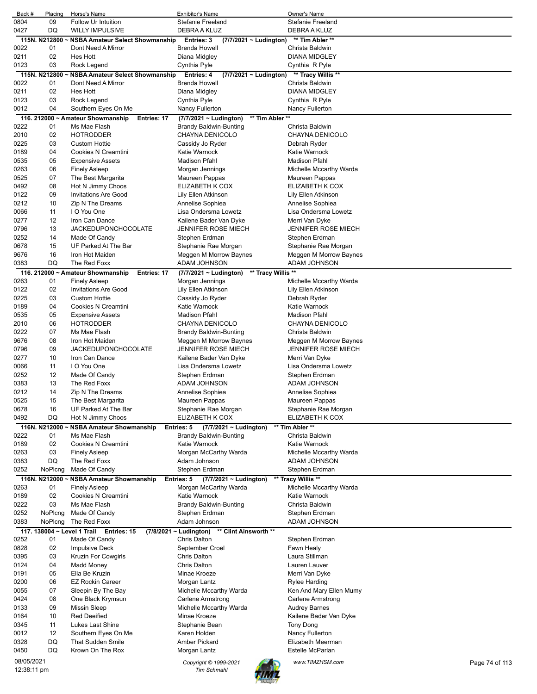| Back #       | Placing              | Horse's Name                                                 | <b>Exhibitor's Name</b>                                                     | Owner's Name                                         |                |
|--------------|----------------------|--------------------------------------------------------------|-----------------------------------------------------------------------------|------------------------------------------------------|----------------|
| 0804         | 09                   | Follow Ur Intuition                                          | Stefanie Freeland                                                           | <b>Stefanie Freeland</b>                             |                |
| 0427         | DQ                   | <b>WILLY IMPULSIVE</b>                                       | DEBRA A KLUZ                                                                | DEBRA A KLUZ                                         |                |
| 0022         | 115N. N212800~<br>01 | <b>NSBA Amateur Select Showmanship</b><br>Dont Need A Mirror | Entries: 3<br>(7/7/2021 ~ Ludington)<br><b>Brenda Howell</b>                | ** Tim Abler **<br>Christa Baldwin                   |                |
| 0211         | 02                   | Hes Hott                                                     | Diana Midgley                                                               | <b>DIANA MIDGLEY</b>                                 |                |
| 0123         | 03                   | Rock Legend                                                  | Cynthia Pyle                                                                | Cynthia R Pyle                                       |                |
|              | 115N. N212800        | <b>NSBA Amateur Select Showmanship</b>                       | Entries: 4<br>(7/7/2021 ~ Ludington)                                        | ** Tracy Willis **                                   |                |
| 0022         | 01                   | Dont Need A Mirror                                           | <b>Brenda Howell</b>                                                        | Christa Baldwin                                      |                |
| 0211         | 02                   | Hes Hott                                                     | Diana Midgley                                                               | <b>DIANA MIDGLEY</b>                                 |                |
| 0123         | 03                   | Rock Legend                                                  | Cynthia Pyle                                                                | Cynthia R Pyle                                       |                |
| 0012         | 04                   | Southern Eyes On Me                                          | Nancy Fullerton                                                             | Nancy Fullerton                                      |                |
|              |                      | 116. 212000 ~ Amateur Showmanship<br>Entries: 17             | (7/7/2021 ~ Ludington)<br>** Tim Abler **                                   |                                                      |                |
| 0222         | 01                   | Ms Mae Flash                                                 | <b>Brandy Baldwin-Bunting</b>                                               | Christa Baldwin                                      |                |
| 2010         | 02                   | <b>HOTRODDER</b>                                             | CHAYNA DENICOLO                                                             | CHAYNA DENICOLO                                      |                |
| 0225<br>0189 | 03<br>04             | <b>Custom Hottie</b><br>Cookies N Creamtini                  | Cassidy Jo Ryder<br>Katie Warnock                                           | Debrah Ryder<br>Katie Warnock                        |                |
| 0535         | 05                   | <b>Expensive Assets</b>                                      | <b>Madison Pfahl</b>                                                        | <b>Madison Pfahl</b>                                 |                |
| 0263         | 06                   | <b>Finely Asleep</b>                                         | Morgan Jennings                                                             | Michelle Mccarthy Warda                              |                |
| 0525         | 07                   | The Best Margarita                                           | Maureen Pappas                                                              | Maureen Pappas                                       |                |
| 0492         | 08                   | Hot N Jimmy Choos                                            | ELIZABETH K COX                                                             | ELIZABETH K COX                                      |                |
| 0122         | 09                   | <b>Invitations Are Good</b>                                  | Lily Ellen Atkinson                                                         | Lily Ellen Atkinson                                  |                |
| 0212         | 10                   | Zip N The Dreams                                             | Annelise Sophiea                                                            | Annelise Sophiea                                     |                |
| 0066         | 11                   | I O You One                                                  | Lisa Ondersma Lowetz                                                        | Lisa Ondersma Lowetz                                 |                |
| 0277         | 12                   | Iron Can Dance                                               | Kailene Bader Van Dyke                                                      | Merri Van Dyke                                       |                |
| 0796         | 13                   | <b>JACKEDUPONCHOCOLATE</b>                                   | <b>JENNIFER ROSE MIECH</b>                                                  | <b>JENNIFER ROSE MIECH</b>                           |                |
| 0252<br>0678 | 14<br>15             | Made Of Candy<br>UF Parked At The Bar                        | Stephen Erdman                                                              | Stephen Erdman<br>Stephanie Rae Morgan               |                |
| 9676         | 16                   | Iron Hot Maiden                                              | Stephanie Rae Morgan<br>Meggen M Morrow Baynes                              | Meggen M Morrow Baynes                               |                |
| 0383         | DQ                   | The Red Foxx                                                 | ADAM JOHNSON                                                                | ADAM JOHNSON                                         |                |
|              |                      | 116. 212000 ~ Amateur Showmanship<br>Entries: 17             | ** Tracy Willis **<br>(7/7/2021 ~ Ludington)                                |                                                      |                |
| 0263         | 01                   | <b>Finely Asleep</b>                                         | Morgan Jennings                                                             | Michelle Mccarthy Warda                              |                |
| 0122         | 02                   | <b>Invitations Are Good</b>                                  | Lily Ellen Atkinson                                                         | Lily Ellen Atkinson                                  |                |
| 0225         | 03                   | <b>Custom Hottie</b>                                         | Cassidy Jo Ryder                                                            | Debrah Ryder                                         |                |
| 0189         | 04                   | Cookies N Creamtini                                          | Katie Warnock                                                               | Katie Warnock                                        |                |
| 0535         | 05                   | <b>Expensive Assets</b>                                      | <b>Madison Pfahl</b>                                                        | <b>Madison Pfahl</b>                                 |                |
| 2010         | 06                   | <b>HOTRODDER</b>                                             | CHAYNA DENICOLO                                                             | CHAYNA DENICOLO                                      |                |
| 0222         | 07<br>08             | Ms Mae Flash                                                 | Brandy Baldwin-Bunting                                                      | Christa Baldwin                                      |                |
| 9676<br>0796 | 09                   | Iron Hot Maiden<br><b>JACKEDUPONCHOCOLATE</b>                | Meggen M Morrow Baynes<br><b>JENNIFER ROSE MIECH</b>                        | Meggen M Morrow Baynes<br><b>JENNIFER ROSE MIECH</b> |                |
| 0277         | 10                   | Iron Can Dance                                               | Kailene Bader Van Dyke                                                      | Merri Van Dyke                                       |                |
| 0066         | 11                   | I O You One                                                  | Lisa Ondersma Lowetz                                                        | Lisa Ondersma Lowetz                                 |                |
| 0252         | 12                   | Made Of Candy                                                | Stephen Erdman                                                              | Stephen Erdman                                       |                |
| 0383         | 13                   | The Red Foxx                                                 | ADAM JOHNSON                                                                | ADAM JOHNSON                                         |                |
| 0212         | 14                   | Zip N The Dreams                                             | Annelise Sophiea                                                            | Annelise Sophiea                                     |                |
| 0525         | 15                   | The Best Margarita                                           | Maureen Pappas                                                              | Maureen Pappas                                       |                |
| 0678         | 16                   | UF Parked At The Bar                                         | Stephanie Rae Morgan                                                        | Stephanie Rae Morgan                                 |                |
| 0492         | DQ                   | Hot N Jimmy Choos                                            | ELIZABETH K COX                                                             | ELIZABETH K COX                                      |                |
| 0222         | 116N. N212000        | <b>NSBA Amateur Showmanship</b><br>Ms Mae Flash              | Entries: 5<br>(7/7/2021 ~ Ludington)<br><b>Brandy Baldwin-Bunting</b>       | ** Tim Abler **                                      |                |
| 0189         | 01<br>02             | Cookies N Creamtini                                          | Katie Warnock                                                               | Christa Baldwin<br>Katie Warnock                     |                |
| 0263         | 03                   | <b>Finely Asleep</b>                                         | Morgan McCarthy Warda                                                       | Michelle Mccarthy Warda                              |                |
| 0383         | DQ                   | The Red Foxx                                                 | Adam Johnson                                                                | ADAM JOHNSON                                         |                |
| 0252         | NoPlcng              | Made Of Candy                                                | Stephen Erdman                                                              | Stephen Erdman                                       |                |
|              | 116N. N212000 ~      | <b>NSBA Amateur Showmanship</b>                              | Entries: 5<br>(7/7/2021 ~ Ludington)                                        | ** Tracy Willis **                                   |                |
| 0263         | 01                   | <b>Finely Asleep</b>                                         | Morgan McCarthy Warda                                                       | Michelle Mccarthy Warda                              |                |
| 0189         | 02                   | Cookies N Creamtini                                          | Katie Warnock                                                               | Katie Warnock                                        |                |
| 0222         | 03                   | Ms Mae Flash                                                 | <b>Brandy Baldwin-Bunting</b>                                               | Christa Baldwin                                      |                |
| 0252         | NoPlcng              | Made Of Candy                                                | Stephen Erdman                                                              | Stephen Erdman                                       |                |
| 0383         | NoPlcng              | The Red Foxx                                                 | Adam Johnson                                                                | ADAM JOHNSON                                         |                |
| 0252         |                      | 117. 138004 ~ Level 1 Trail Entries: 15                      | $(7/8/2021 \sim$ Ludington)<br>** Clint Ainsworth **<br><b>Chris Dalton</b> |                                                      |                |
| 0828         | 01<br>02             | Made Of Candy<br><b>Impulsive Deck</b>                       | September Croel                                                             | Stephen Erdman<br>Fawn Healy                         |                |
| 0395         | 03                   | Kruzin For Cowgirls                                          | <b>Chris Dalton</b>                                                         | Laura Stillman                                       |                |
| 0124         | 04                   | Madd Money                                                   | <b>Chris Dalton</b>                                                         | Lauren Lauver                                        |                |
| 0191         | 05                   | Ella Be Kruzin                                               | Minae Kroeze                                                                | Merri Van Dyke                                       |                |
| 0200         | 06                   | <b>EZ Rockin Career</b>                                      | Morgan Lantz                                                                | Rylee Harding                                        |                |
| 0055         | 07                   | Sleepin By The Bay                                           | Michelle Mccarthy Warda                                                     | Ken And Mary Ellen Mumy                              |                |
| 0424         | 08                   | One Black Krymsun                                            | Carlene Armstrong                                                           | Carlene Armstrong                                    |                |
| 0133         | 09                   | <b>Missin Sleep</b>                                          | Michelle Mccarthy Warda                                                     | <b>Audrey Barnes</b>                                 |                |
| 0164         | 10                   | <b>Red Deeified</b>                                          | Minae Kroeze                                                                | Kailene Bader Van Dyke                               |                |
| 0345<br>0012 | 11<br>12             | Lukes Last Shine<br>Southern Eyes On Me                      | Stephanie Bean<br>Karen Holden                                              | Tony Dong<br>Nancy Fullerton                         |                |
| 0328         | DQ                   | <b>That Sudden Smile</b>                                     | Amber Pickard                                                               | Elizabeth Meerman                                    |                |
| 0450         | DQ                   | Krown On The Rox                                             | Morgan Lantz                                                                | Estelle McParlan                                     |                |
| 08/05/2021   |                      |                                                              |                                                                             |                                                      |                |
| 12:38:11 pm  |                      |                                                              | Copyright © 1999-2021<br><b>Tim Schmahl</b>                                 | www.TIMZHSM.com                                      | Page 74 of 113 |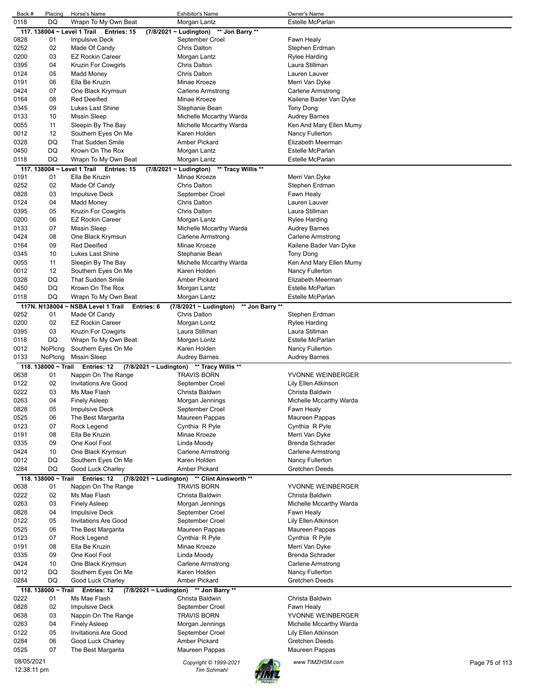| Back #     | Placing                     | Horse's Name                               | <b>Exhibitor's Name</b>                           | Owner's Name            |                |
|------------|-----------------------------|--------------------------------------------|---------------------------------------------------|-------------------------|----------------|
| 0118       | DQ                          | Wrapn To My Own Beat                       | Morgan Lantz                                      | <b>Estelle McParlan</b> |                |
|            | 117. 138004 ~ Level 1 Trail | Entries: 15                                | (7/8/2021 ~ Ludington) ** Jon Barry **            |                         |                |
| 0828       | 01                          | <b>Impulsive Deck</b>                      | September Croel                                   | Fawn Healy              |                |
| 0252       | 02                          | Made Of Candy                              | Chris Dalton                                      | Stephen Erdman          |                |
| 0200       | 03                          | <b>EZ Rockin Career</b>                    | Morgan Lantz                                      | Rylee Harding           |                |
| 0395       | 04                          | Kruzin For Cowgirls                        | <b>Chris Dalton</b>                               | Laura Stillman          |                |
| 0124       | 05                          | Madd Money                                 | <b>Chris Dalton</b>                               | Lauren Lauver           |                |
| 0191       | 06                          | Ella Be Kruzin                             | Minae Kroeze                                      | Merri Van Dyke          |                |
| 0424       | 07                          | One Black Krymsun                          | <b>Carlene Armstrong</b>                          | Carlene Armstrong       |                |
| 0164       | 08                          | <b>Red Deeified</b>                        | Minae Kroeze                                      | Kailene Bader Van Dyke  |                |
| 0345       | 09                          | Lukes Last Shine                           | Stephanie Bean                                    | Tony Dong               |                |
| 0133       | 10                          | <b>Missin Sleep</b>                        | Michelle Mccarthy Warda                           | Audrey Barnes           |                |
| 0055       | 11                          | Sleepin By The Bay                         | Michelle Mccarthy Warda                           | Ken And Mary Ellen Mumy |                |
| 0012       | 12                          | Southern Eyes On Me                        | Karen Holden                                      | Nancy Fullerton         |                |
| 0328       | DQ                          | <b>That Sudden Smile</b>                   | <b>Amber Pickard</b>                              | Elizabeth Meerman       |                |
| 0450       | DQ                          | Krown On The Rox                           | Morgan Lantz                                      | Estelle McParlan        |                |
| 0118       | DQ                          | Wrapn To My Own Beat                       | Morgan Lantz                                      | Estelle McParlan        |                |
|            |                             | 117. 138004 ~ Level 1 Trail Entries: 15    | $(7/8/2021 \sim$ Ludington)<br>** Tracy Willis ** |                         |                |
| 0191       | 01                          | Ella Be Kruzin                             | Minae Kroeze                                      | Merri Van Dyke          |                |
| 0252       | 02                          | Made Of Candy                              | <b>Chris Dalton</b>                               | Stephen Erdman          |                |
| 0828       | 03                          | <b>Impulsive Deck</b>                      | September Croel                                   | Fawn Healy              |                |
| 0124       | 04                          | Madd Money                                 | <b>Chris Dalton</b>                               | Lauren Lauver           |                |
| 0395       | 05                          | Kruzin For Cowgirls                        | <b>Chris Dalton</b>                               | Laura Stillman          |                |
| 0200       | 06                          | <b>EZ Rockin Career</b>                    | Morgan Lantz                                      | Rylee Harding           |                |
| 0133       | 07                          | <b>Missin Sleep</b>                        | Michelle Mccarthy Warda                           | <b>Audrey Barnes</b>    |                |
| 0424       | 08                          | One Black Krymsun                          | Carlene Armstrong                                 | Carlene Armstrong       |                |
| 0164       | 09                          | <b>Red Deeified</b>                        | Minae Kroeze                                      | Kailene Bader Van Dyke  |                |
| 0345       | 10                          | Lukes Last Shine                           | Stephanie Bean                                    | <b>Tony Dong</b>        |                |
| 0055       | 11                          | Sleepin By The Bay                         | Michelle Mccarthy Warda                           | Ken And Mary Ellen Mumy |                |
| 0012       | 12                          | Southern Eyes On Me                        | Karen Holden                                      | Nancy Fullerton         |                |
| 0328       | DQ                          | <b>That Sudden Smile</b>                   | <b>Amber Pickard</b>                              | Elizabeth Meerman       |                |
|            | DQ                          | Krown On The Rox                           |                                                   | Estelle McParlan        |                |
| 0450       |                             |                                            | Morgan Lantz                                      |                         |                |
| 0118       | DQ                          | Wrapn To My Own Beat                       | Morgan Lantz                                      | Estelle McParlan        |                |
|            | 117N. N138004~              | <b>NSBA Level 1 Trail</b><br>Entries: 6    | (7/8/2021 ~ Ludington)<br>** Jon Barry **         |                         |                |
| 0252       | 01                          | Made Of Candy                              | <b>Chris Dalton</b>                               | Stephen Erdman          |                |
| 0200       | 02                          | <b>EZ Rockin Career</b>                    | Morgan Lontz                                      | Rylee Harding           |                |
| 0395       | 03                          | Kruzin For Cowgirls                        | Laura Stillman                                    | Laura Stillman          |                |
| 0118       | DQ                          | Wrapn To My Own Beat                       | Morgan Lontz                                      | Estelle McParlan        |                |
| 0012       | NoPlcng                     | Southern Eyes On Me                        | Karen Holden                                      | Nancy Fullerton         |                |
| 0133       | NoPlcng                     | <b>Missin Sleep</b>                        | Audrey Barnes                                     | Audrey Barnes           |                |
|            | 118, 138000 ~ Trail         | Entries: 12                                | $(7/8/2021 \sim$ Ludington) ** Tracy Willis **    |                         |                |
| 0638       | 01                          | Nappin On The Range                        | <b>TRAVIS BORN</b>                                | YVONNE WEINBERGER       |                |
| 0122       | 02                          | <b>Invitations Are Good</b>                | September Croel                                   | Lily Ellen Atkinson     |                |
| 0222       | 03                          | Ms Mae Flash                               | Christa Baldwin                                   | Christa Baldwin         |                |
| 0263       | 04                          | Finely Asleep                              | Morgan Jennings                                   | Michelle Mccarthy Warda |                |
| 0828       | 05                          | <b>Impulsive Deck</b>                      | September Croel                                   | Fawn Healy              |                |
| 0525       | 06                          | The Best Margarita                         | Maureen Pappas                                    | Maureen Pappas          |                |
| 0123       | 07                          | Rock Legend                                | Cynthia R Pyle                                    | Cynthia R Pyle          |                |
| 0191       | 08                          | Ella Be Kruzin                             | Minae Kroeze                                      | Merri Van Dyke          |                |
| 0335       | 09                          | One Kool Fool                              | Linda Moody                                       | Brenda Schrader         |                |
| 0424       | 10                          | One Black Krymsun                          | Carlene Armstrong                                 | Carlene Armstrong       |                |
| 0012       | DQ                          | Southern Eyes On Me                        | Karen Holden                                      | Nancy Fullerton         |                |
| 0284       | DQ                          | Good Luck Charley                          | Amber Pickard                                     | Gretchen Deeds          |                |
|            | 118. 138000 ~ Trail         | Entries: 12<br>$(7/8/2021 \sim$ Ludington) | ** Clint Ainsworth **                             |                         |                |
| 0638       | 01                          | Nappin On The Range                        | <b>TRAVIS BORN</b>                                | YVONNE WEINBERGER       |                |
| 0222       | 02                          | Ms Mae Flash                               | Christa Baldwin                                   | Christa Baldwin         |                |
| 0263       | 03                          | <b>Finely Asleep</b>                       | Morgan Jennings                                   | Michelle Mccarthy Warda |                |
| 0828       | 04                          | <b>Impulsive Deck</b>                      | September Croel                                   | Fawn Healy              |                |
|            |                             |                                            |                                                   |                         |                |
| 0122       | 05                          | <b>Invitations Are Good</b>                | September Croel                                   | Lily Ellen Atkinson     |                |
| 0525       | 06                          | The Best Margarita                         | Maureen Pappas                                    | Maureen Pappas          |                |
| 0123       | 07                          | Rock Legend                                | Cynthia R Pyle                                    | Cynthia R Pyle          |                |
| 0191       | 08                          | Ella Be Kruzin                             | Minae Kroeze                                      | Merri Van Dyke          |                |
| 0335       | 09                          | One Kool Fool                              | Linda Moody                                       | Brenda Schrader         |                |
| 0424       | 10                          | One Black Krymsun                          | <b>Carlene Armstrong</b>                          | Carlene Armstrong       |                |
| 0012       | DQ                          | Southern Eyes On Me                        | Karen Holden                                      | Nancy Fullerton         |                |
| 0284       | DQ                          | Good Luck Charley                          | Amber Pickard                                     | Gretchen Deeds          |                |
|            | 118. 138000 ~ Trail         | Entries: 12                                | (7/8/2021 ~ Ludington) ** Jon Barry **            |                         |                |
| 0222       |                             | Ms Mae Flash                               | Christa Baldwin                                   | Christa Baldwin         |                |
| 0828       | 01                          |                                            |                                                   |                         |                |
|            | 02                          | <b>Impulsive Deck</b>                      | September Croel                                   | Fawn Healy              |                |
| 0638       | 03                          | Nappin On The Range                        | <b>TRAVIS BORN</b>                                | YVONNE WEINBERGER       |                |
| 0263       | 04                          | <b>Finely Asleep</b>                       | Morgan Jennings                                   | Michelle Mccarthy Warda |                |
| 0122       | 05                          | <b>Invitations Are Good</b>                | September Croel                                   | Lily Ellen Atkinson     |                |
| 0284       | 06                          | Good Luck Charley                          | Amber Pickard                                     | Gretchen Deeds          |                |
| 0525       | 07                          | The Best Margarita                         | Maureen Pappas                                    | Maureen Pappas          |                |
| 08/05/2021 |                             |                                            | Copyright © 1999-2021                             | www.TIMZHSM.com         | Page 75 of 113 |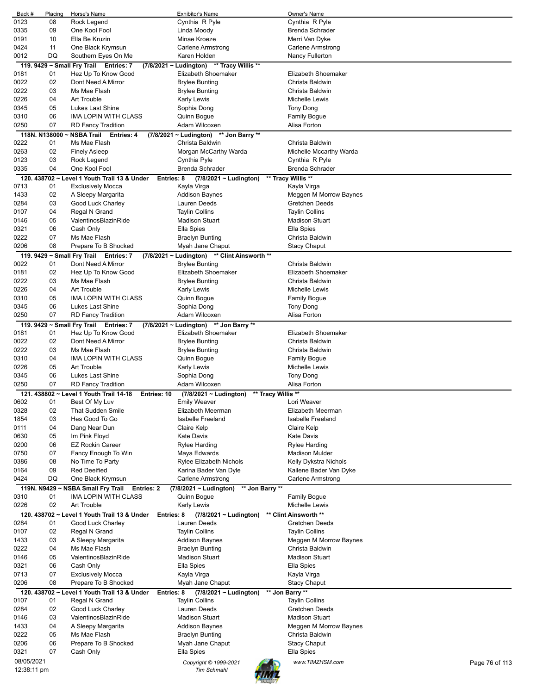| Back #        | Placing  | Horse's Name                                               | <b>Exhibitor's Name</b>                      | Owner's Name             |                |
|---------------|----------|------------------------------------------------------------|----------------------------------------------|--------------------------|----------------|
| 0123          | 08       | Rock Legend                                                | Cynthia R Pyle                               | Cynthia R Pyle           |                |
| 0335          | 09       | One Kool Fool                                              | Linda Moody                                  | <b>Brenda Schrader</b>   |                |
| 0191          | 10       | Ella Be Kruzin                                             | Minae Kroeze                                 | Merri Van Dyke           |                |
| 0424          | 11       | One Black Krymsun                                          | Carlene Armstrong                            | Carlene Armstrong        |                |
| 0012          | DQ       | Southern Eyes On Me                                        | Karen Holden                                 | Nancy Fullerton          |                |
|               |          | 119. 9429 ~ Small Fry Trail Entries: 7                     | (7/8/2021 ~ Ludington) ** Tracy Willis **    |                          |                |
| 0181          | 01       | Hez Up To Know Good                                        | Elizabeth Shoemaker                          | Elizabeth Shoemaker      |                |
| 0022          | 02       | Dont Need A Mirror                                         | <b>Brylee Bunting</b>                        | Christa Baldwin          |                |
| 0222          | 03       | Ms Mae Flash                                               | <b>Brylee Bunting</b>                        | Christa Baldwin          |                |
| 0226          | 04       | Art Trouble                                                | <b>Karly Lewis</b>                           | <b>Michelle Lewis</b>    |                |
| 0345          | 05       | Lukes Last Shine                                           | Sophia Dong                                  | <b>Tony Dong</b>         |                |
| 0310          | 06       | <b>IMA LOPIN WITH CLASS</b>                                | Quinn Bogue                                  | Family Bogue             |                |
| 0250          | 07       | <b>RD Fancy Tradition</b>                                  | Adam Wilcoxen                                | Alisa Forton             |                |
| 118N. N138000 |          | ~ NSBA Trail Entries: 4                                    | (7/8/2021 ~ Ludington)<br>** Jon Barry **    |                          |                |
| 0222          | 01       | Ms Mae Flash                                               | Christa Baldwin                              | Christa Baldwin          |                |
| 0263          | 02       | <b>Finely Asleep</b>                                       | Morgan McCarthy Warda                        | Michelle Mccarthy Warda  |                |
| 0123          | 03       | Rock Legend                                                | Cynthia Pyle                                 | Cynthia R Pyle           |                |
| 0335          | 04       | One Kool Fool                                              | <b>Brenda Schrader</b>                       | <b>Brenda Schrader</b>   |                |
|               |          | 120. 438702 ~ Level 1 Youth Trail 13 & Under<br>Entries: 8 | $(7/8/2021 \sim$ Ludington)                  | ** Tracy Willis **       |                |
| 0713          | 01       | Exclusively Mocca                                          | Kayla Virga                                  | Kayla Virga              |                |
| 1433          | 02       | A Sleepy Margarita                                         | <b>Addison Baynes</b>                        | Meggen M Morrow Baynes   |                |
| 0284          | 03       | Good Luck Charley                                          | Lauren Deeds                                 | Gretchen Deeds           |                |
| 0107          | 04       | Regal N Grand                                              | <b>Taylin Collins</b>                        | <b>Taylin Collins</b>    |                |
| 0146          | 05       | ValentinosBlazinRide                                       | <b>Madison Stuart</b>                        | <b>Madison Stuart</b>    |                |
| 0321          | 06       | Cash Only                                                  | Ella Spies                                   | Ella Spies               |                |
| 0222          | 07       | Ms Mae Flash                                               | <b>Braelyn Bunting</b>                       | Christa Baldwin          |                |
| 0206          | 08       | Prepare To B Shocked                                       | Myah Jane Chaput                             | <b>Stacy Chaput</b>      |                |
|               |          | 119. 9429 ~ Small Fry Trail Entries: 7                     | (7/8/2021 ~ Ludington) ** Clint Ainsworth ** |                          |                |
| 0022          | 01       | Dont Need A Mirror                                         | <b>Brylee Bunting</b>                        | Christa Baldwin          |                |
| 0181          | 02       | Hez Up To Know Good                                        | Elizabeth Shoemaker                          | Elizabeth Shoemaker      |                |
| 0222          | 03       | Ms Mae Flash                                               | <b>Brylee Bunting</b>                        | Christa Baldwin          |                |
| 0226          | 04       | Art Trouble                                                | <b>Karly Lewis</b>                           | Michelle Lewis           |                |
| 0310          | 05       | <b>IMA LOPIN WITH CLASS</b>                                | Quinn Bogue                                  | <b>Family Bogue</b>      |                |
| 0345          | 06       | Lukes Last Shine                                           | Sophia Dong                                  | Tony Dong                |                |
| 0250          | 07       | <b>RD Fancy Tradition</b>                                  | Adam Wilcoxen                                | Alisa Forton             |                |
|               |          | 119. 9429 ~ Small Fry Trail Entries: 7                     | (7/8/2021 ~ Ludington) ** Jon Barry **       |                          |                |
| 0181          | 01       | Hez Up To Know Good                                        | Elizabeth Shoemaker                          | Elizabeth Shoemaker      |                |
| 0022          | 02       | Dont Need A Mirror                                         | <b>Brylee Bunting</b>                        | Christa Baldwin          |                |
| 0222          | 03       | Ms Mae Flash                                               | <b>Brylee Bunting</b>                        | Christa Baldwin          |                |
| 0310          | 04       | <b>IMA LOPIN WITH CLASS</b>                                | Quinn Bogue                                  | <b>Family Bogue</b>      |                |
| 0226          | 05       | Art Trouble                                                | Karly Lewis                                  | Michelle Lewis           |                |
| 0345          | 06       | Lukes Last Shine                                           | Sophia Dong                                  | <b>Tony Dong</b>         |                |
| 0250          | 07       | <b>RD Fancy Tradition</b>                                  | Adam Wilcoxen                                | Alisa Forton             |                |
|               |          | 121. 438802 ~ Level 1 Youth Trail 14-18<br>Entries: 10     | ** Tracy Willis **<br>(7/8/2021 ~ Ludington) |                          |                |
| 0602          | 01       | Best Of My Luv                                             | Emily Weaver                                 | Lori Weaver              |                |
| 0328          | 02       | That Sudden Smile                                          | Elizabeth Meerman                            | Elizabeth Meerman        |                |
| 1854          | 03       | Hes Good To Go                                             | <b>Isabelle Freeland</b>                     | <b>Isabelle Freeland</b> |                |
| 0111          | 04       | Dang Near Dun                                              | Claire Kelp                                  | Claire Kelp              |                |
| 0630          | 05       | Im Pink Floyd                                              | <b>Kate Davis</b>                            | <b>Kate Davis</b>        |                |
| 0200          | 06       | <b>EZ Rockin Career</b>                                    | <b>Rylee Harding</b>                         | Rylee Harding            |                |
| 0750          | 07       | Fancy Enough To Win                                        | Maya Edwards                                 | <b>Madison Mulder</b>    |                |
| 0386          | 08       | No Time To Party                                           | Rylee Elizabeth Nichols                      | Kelly Dykstra Nichols    |                |
| 0164          | 09       | <b>Red Deeified</b>                                        | Karina Bader Van Dyle                        | Kailene Bader Van Dyke   |                |
| 0424          | DQ       | One Black Krymsun                                          | Carlene Armstrong                            | Carlene Armstrong        |                |
|               |          | 119N. N9429 ~ NSBA Small Fry Trail<br><b>Entries: 2</b>    | (7/8/2021 ~ Ludington)<br>** Jon Barry **    |                          |                |
| 0310          | 01       | IMA LOPIN WITH CLASS                                       | Quinn Bogue                                  | <b>Family Bogue</b>      |                |
| 0226          | 02       | Art Trouble                                                | <b>Karly Lewis</b>                           | Michelle Lewis           |                |
|               |          | 120. 438702 ~ Level 1 Youth Trail 13 & Under<br>Entries: 8 | $(7/8/2021 \sim$ Ludington)                  | ** Clint Ainsworth **    |                |
| 0284          | 01       | Good Luck Charley                                          | Lauren Deeds                                 | Gretchen Deeds           |                |
| 0107          | 02       | Regal N Grand                                              | <b>Taylin Collins</b>                        | <b>Taylin Collins</b>    |                |
| 1433          | 03       | A Sleepy Margarita                                         | <b>Addison Baynes</b>                        | Meggen M Morrow Baynes   |                |
| 0222          | 04       | Ms Mae Flash                                               | <b>Braelyn Bunting</b>                       | Christa Baldwin          |                |
| 0146          | 05       | ValentinosBlazinRide                                       | <b>Madison Stuart</b>                        | <b>Madison Stuart</b>    |                |
| 0321          | 06       | Cash Only                                                  | Ella Spies                                   | Ella Spies               |                |
| 0713          | 07       | <b>Exclusively Mocca</b>                                   | Kayla Virga                                  | Kayla Virga              |                |
| 0206          | 08       | Prepare To B Shocked                                       | Myah Jane Chaput                             | <b>Stacy Chaput</b>      |                |
|               |          | 120. 438702 ~ Level 1 Youth Trail 13 & Under<br>Entries: 8 | (7/8/2021 ~ Ludington)                       | ** Jon Barry **          |                |
| 0107          | 01       | Regal N Grand                                              | <b>Taylin Collins</b>                        | <b>Taylin Collins</b>    |                |
| 0284          | 02       | Good Luck Charley                                          | Lauren Deeds                                 | Gretchen Deeds           |                |
| 0146          | 03       | ValentinosBlazinRide                                       | <b>Madison Stuart</b>                        | <b>Madison Stuart</b>    |                |
| 1433          | 04       | A Sleepy Margarita                                         | <b>Addison Baynes</b>                        | Meggen M Morrow Baynes   |                |
| 0222          | 05       | Ms Mae Flash                                               | <b>Braelyn Bunting</b><br>Myah Jane Chaput   | Christa Baldwin          |                |
| 0206<br>0321  | 06<br>07 | Prepare To B Shocked                                       |                                              | <b>Stacy Chaput</b>      |                |
| 08/05/2021    |          | Cash Only                                                  | Ella Spies                                   | Ella Spies               |                |
| 12:38:11 pm   |          |                                                            | Copyright © 1999-2021<br><b>Tim Schmahl</b>  | www.TIMZHSM.com          | Page 76 of 113 |
|               |          |                                                            |                                              |                          |                |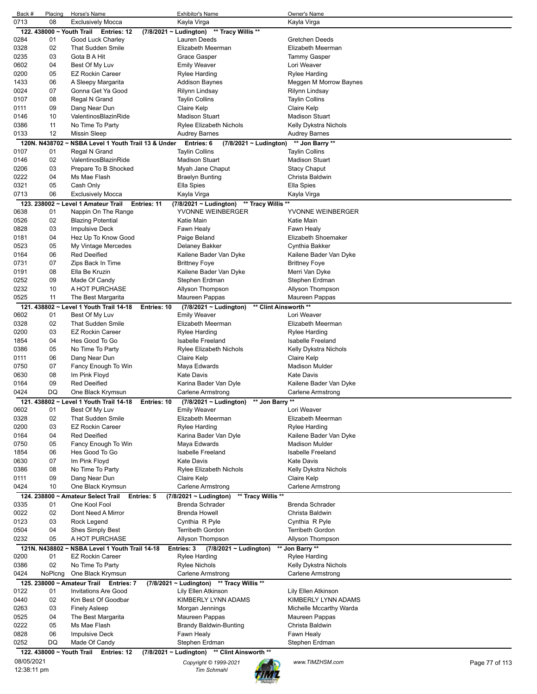| Back #      | Placing       | Horse's Name                                        | <b>Exhibitor's Name</b>                                          | Owner's Name             |                |
|-------------|---------------|-----------------------------------------------------|------------------------------------------------------------------|--------------------------|----------------|
| 0713        | 08            | <b>Exclusively Mocca</b>                            | Kayla Virga                                                      | Kayla Virga              |                |
|             |               | 122. 438000 ~ Youth Trail Entries: 12               | (7/8/2021 ~ Ludington) ** Tracy Willis **                        |                          |                |
| 0284        | 01            | Good Luck Charley                                   | Lauren Deeds                                                     | Gretchen Deeds           |                |
| 0328        | 02            | <b>That Sudden Smile</b>                            | Elizabeth Meerman                                                | Elizabeth Meerman        |                |
| 0235        | 03            | Gota B A Hit                                        | Grace Gasper                                                     | <b>Tammy Gasper</b>      |                |
| 0602        | 04            | Best Of My Luv                                      | <b>Emily Weaver</b>                                              | Lori Weaver              |                |
| 0200        | 05            | <b>EZ Rockin Career</b>                             | <b>Rylee Harding</b>                                             | Rylee Harding            |                |
| 1433        | 06            | A Sleepy Margarita                                  | Addison Baynes                                                   | Meggen M Morrow Baynes   |                |
| 0024        | 07            | Gonna Get Ya Good                                   | Rilynn Lindsay                                                   | Rilynn Lindsay           |                |
| 0107        | 08            | Regal N Grand                                       | <b>Taylin Collins</b>                                            | <b>Taylin Collins</b>    |                |
| 0111        | 09            | Dang Near Dun                                       | Claire Kelp                                                      | Claire Kelp              |                |
| 0146        | 10            | ValentinosBlazinRide                                | Madison Stuart                                                   | <b>Madison Stuart</b>    |                |
| 0386        | 11            | No Time To Party                                    | <b>Rylee Elizabeth Nichols</b>                                   | Kelly Dykstra Nichols    |                |
| 0133        | 12            | <b>Missin Sleep</b>                                 | <b>Audrey Barnes</b>                                             | <b>Audrey Barnes</b>     |                |
|             |               | 120N. N438702 ~ NSBA Level 1 Youth Trail 13 & Under | Entries: 6<br>$(7/8/2021 \sim$ Ludington)                        | ** Jon Barry **          |                |
| 0107        | 01            | Regal N Grand                                       | <b>Taylin Collins</b>                                            | <b>Taylin Collins</b>    |                |
| 0146        | 02            | ValentinosBlazinRide                                | <b>Madison Stuart</b>                                            | <b>Madison Stuart</b>    |                |
| 0206        | 03            | Prepare To B Shocked                                | Myah Jane Chaput                                                 | <b>Stacy Chaput</b>      |                |
| 0222        | 04            | Ms Mae Flash                                        | <b>Braelyn Bunting</b>                                           | Christa Baldwin          |                |
| 0321        | 05            | Cash Only                                           | Ella Spies                                                       | Ella Spies               |                |
| 0713        | 06            | <b>Exclusively Mocca</b>                            | Kayla Virga                                                      | Kayla Virga              |                |
|             |               | 123. 238002 ~ Level 1 Amateur Trail                 | Entries: 11<br>$(7/8/2021 \sim$ Ludington)<br>** Tracy Willis ** |                          |                |
| 0638        | 01            | Nappin On The Range                                 | YVONNE WEINBERGER                                                | YVONNE WEINBERGER        |                |
| 0526        | 02            | <b>Blazing Potential</b>                            | Katie Main                                                       | Katie Main               |                |
| 0828        | 03            | <b>Impulsive Deck</b>                               | Fawn Healy                                                       | Fawn Healy               |                |
|             | 04            |                                                     |                                                                  |                          |                |
| 0181        |               | Hez Up To Know Good                                 | Paige Beland                                                     | Elizabeth Shoemaker      |                |
| 0523        | 05            | My Vintage Mercedes                                 | Delaney Bakker                                                   | Cynthia Bakker           |                |
| 0164        | 06            | <b>Red Deeified</b>                                 | Kailene Bader Van Dyke                                           | Kailene Bader Van Dyke   |                |
| 0731        | 07            | Zips Back In Time                                   | <b>Brittney Foye</b>                                             | <b>Brittney Foye</b>     |                |
| 0191        | 08            | Ella Be Kruzin                                      | Kailene Bader Van Dyke                                           | Merri Van Dyke           |                |
| 0252        | 09            | Made Of Candy                                       | Stephen Erdman                                                   | Stephen Erdman           |                |
| 0232        | 10            | A HOT PURCHASE                                      | Allyson Thompson                                                 | Allyson Thompson         |                |
| 0525        | 11            | The Best Margarita                                  | Maureen Pappas                                                   | Maureen Pappas           |                |
|             |               | 121. 438802 ~ Level 1 Youth Trail 14-18             | ** Clint Ainsworth **<br>Entries: 10<br>(7/8/2021 ~ Ludington)   |                          |                |
| 0602        | 01            | Best Of My Luv                                      | <b>Emily Weaver</b>                                              | Lori Weaver              |                |
| 0328        | 02            | <b>That Sudden Smile</b>                            | Elizabeth Meerman                                                | Elizabeth Meerman        |                |
| 0200        | 03            | <b>EZ Rockin Career</b>                             | Rylee Harding                                                    | Rylee Harding            |                |
| 1854        | 04            | Hes Good To Go                                      | <b>Isabelle Freeland</b>                                         | Isabelle Freeland        |                |
| 0386        | 05            | No Time To Party                                    | <b>Rylee Elizabeth Nichols</b>                                   | Kelly Dykstra Nichols    |                |
| 0111        | 06            | Dang Near Dun                                       | Claire Kelp                                                      | Claire Kelp              |                |
| 0750        | 07            | Fancy Enough To Win                                 | Maya Edwards                                                     | <b>Madison Mulder</b>    |                |
| 0630        | 08            | Im Pink Floyd                                       | <b>Kate Davis</b>                                                | <b>Kate Davis</b>        |                |
| 0164        | 09            | <b>Red Deeified</b>                                 | Karina Bader Van Dyle                                            | Kailene Bader Van Dyke   |                |
| 0424        | DQ            | One Black Krymsun                                   | Carlene Armstrong                                                | Carlene Armstrong        |                |
|             |               |                                                     |                                                                  |                          |                |
|             |               | 121. 438802 ~ Level 1 Youth Trail 14-18             | ** Jon Barry **<br>Entries: 10<br>(7/8/2021 ~ Ludington)         |                          |                |
| 0602        | 01            | Best Of My Luv                                      | <b>Emily Weaver</b>                                              | Lori Weaver              |                |
| 0328        | 02            | That Sudden Smile                                   | Elizabeth Meerman                                                | Elizabeth Meerman        |                |
| 0200        | 03            | <b>EZ Rockin Career</b>                             | Rylee Harding                                                    | Rylee Harding            |                |
| 0164        | 04            | <b>Red Deeified</b>                                 | Karina Bader Van Dyle                                            | Kailene Bader Van Dyke   |                |
| 0750        | 05            | Fancy Enough To Win                                 | Maya Edwards                                                     | <b>Madison Mulder</b>    |                |
| 1854        | 06            | Hes Good To Go                                      | Isabelle Freeland                                                | <b>Isabelle Freeland</b> |                |
| 0630        | 07            | Im Pink Floyd                                       | <b>Kate Davis</b>                                                | <b>Kate Davis</b>        |                |
| 0386        | 08            | No Time To Party                                    | <b>Rylee Elizabeth Nichols</b>                                   | Kelly Dykstra Nichols    |                |
| 0111        | 09            | Dang Near Dun                                       | Claire Kelp                                                      | Claire Kelp              |                |
| 0424        | 10            | One Black Krymsun                                   | Carlene Armstrong                                                | <b>Carlene Armstrong</b> |                |
|             |               | 124. 238800 ~ Amateur Select Trail Entries: 5       | ** Tracy Willis **<br>$(7/8/2021 \sim$ Ludington)                |                          |                |
| 0335        | 01            | One Kool Fool                                       | Brenda Schrader                                                  | Brenda Schrader          |                |
| 0022        | 02            | Dont Need A Mirror                                  | <b>Brenda Howell</b>                                             | Christa Baldwin          |                |
| 0123        | 03            | Rock Legend                                         | Cynthia R Pyle                                                   | Cynthia R Pyle           |                |
| 0504        | 04            | Shes Simply Best                                    | <b>Terribeth Gordon</b>                                          | <b>Terribeth Gordon</b>  |                |
| 0232        | 05            | A HOT PURCHASE                                      | Allyson Thompson                                                 | Allyson Thompson         |                |
|             | 121N. N438802 | NSBA Level 1 Youth Trail 14-18                      | Entries: 3<br>$(7/8/2021 \sim$ Ludington)                        | ** Jon Barry **          |                |
| 0200        | 01            | <b>EZ Rockin Career</b>                             | <b>Rylee Harding</b>                                             | <b>Rylee Harding</b>     |                |
| 0386        | 02            | No Time To Party                                    | <b>Rylee Nichols</b>                                             | Kelly Dykstra Nichols    |                |
| 0424        | NoPlcng       | One Black Krymsun                                   | Carlene Armstrong                                                | Carlene Armstrong        |                |
|             |               |                                                     |                                                                  |                          |                |
|             |               | 125. 238000 ~ Amateur Trail Entries: 7              | (7/8/2021 ~ Ludington) ** Tracy Willis **                        |                          |                |
| 0122        | 01            | <b>Invitations Are Good</b>                         | Lily Ellen Atkinson                                              | Lily Ellen Atkinson      |                |
| 0440        | 02            | Km Best Of Goodbar                                  | KIMBERLY LYNN ADAMS                                              | KIMBERLY LYNN ADAMS      |                |
| 0263        | 03            | <b>Finely Asleep</b>                                | Morgan Jennings                                                  | Michelle Mccarthy Warda  |                |
| 0525        | 04            | The Best Margarita                                  | Maureen Pappas                                                   | Maureen Pappas           |                |
| 0222        | 05            | Ms Mae Flash                                        | <b>Brandy Baldwin-Bunting</b>                                    | Christa Baldwin          |                |
| 0828        | 06            | <b>Impulsive Deck</b>                               | Fawn Healy                                                       | Fawn Healy               |                |
| 0252        | DQ            | Made Of Candy                                       | Stephen Erdman                                                   | Stephen Erdman           |                |
|             |               | 122. 438000 ~ Youth Trail Entries: 12               | (7/8/2021 ~ Ludington) ** Clint Ainsworth **                     |                          |                |
| 08/05/2021  |               |                                                     | Copyright © 1999-2021                                            | www.TIMZHSM.com          | Page 77 of 113 |
| 12:38:11 pm |               |                                                     | <b>Tim Schmahl</b>                                               |                          |                |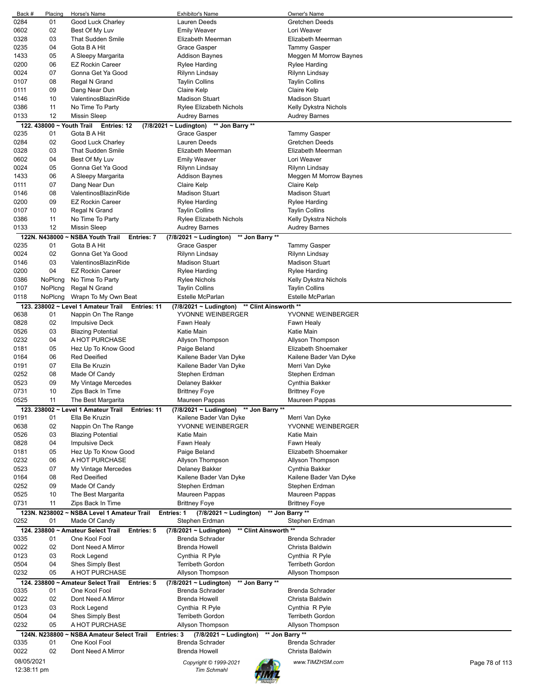| Back #      | Placing                   | Horse's Name                                                    | Exhibitor's Name                                     | Owner's Name                      |
|-------------|---------------------------|-----------------------------------------------------------------|------------------------------------------------------|-----------------------------------|
| 0284        | 01                        | Good Luck Charley                                               | Lauren Deeds                                         | Gretchen Deeds                    |
| 0602        | 02                        | Best Of My Luv                                                  | <b>Emily Weaver</b>                                  | Lori Weaver                       |
| 0328        | 03                        | <b>That Sudden Smile</b>                                        | Elizabeth Meerman                                    | Elizabeth Meerman                 |
| 0235        | 04                        | Gota B A Hit                                                    | Grace Gasper                                         | <b>Tammy Gasper</b>               |
| 1433        | 05                        |                                                                 | <b>Addison Baynes</b>                                |                                   |
|             |                           | A Sleepy Margarita                                              |                                                      | Meggen M Morrow Baynes            |
| 0200        | 06                        | <b>EZ Rockin Career</b>                                         | <b>Rylee Harding</b>                                 | <b>Rylee Harding</b>              |
| 0024        | 07                        | Gonna Get Ya Good                                               | Rilynn Lindsay                                       | Rilynn Lindsay                    |
| 0107        | 08                        | Regal N Grand                                                   | <b>Taylin Collins</b>                                | <b>Taylin Collins</b>             |
| 0111        | 09                        | Dang Near Dun                                                   | Claire Kelp                                          | Claire Kelp                       |
| 0146        | 10                        | ValentinosBlazinRide                                            | <b>Madison Stuart</b>                                | <b>Madison Stuart</b>             |
| 0386        | 11                        | No Time To Party                                                | <b>Rylee Elizabeth Nichols</b>                       | Kelly Dykstra Nichols             |
|             |                           |                                                                 |                                                      |                                   |
| 0133        | 12                        | <b>Missin Sleep</b>                                             | <b>Audrey Barnes</b>                                 | <b>Audrey Barnes</b>              |
|             | 122. 438000 ~ Youth Trail | Entries: 12                                                     | (7/8/2021 ~ Ludington) ** Jon Barry **               |                                   |
| 0235        | 01                        | Gota B A Hit                                                    | Grace Gasper                                         | <b>Tammy Gasper</b>               |
| 0284        | 02                        | Good Luck Charley                                               | Lauren Deeds                                         | Gretchen Deeds                    |
| 0328        | 03                        | <b>That Sudden Smile</b>                                        | Elizabeth Meerman                                    | Elizabeth Meerman                 |
| 0602        | 04                        | Best Of My Luv                                                  | <b>Emily Weaver</b>                                  | Lori Weaver                       |
|             |                           |                                                                 |                                                      |                                   |
| 0024        | 05                        | Gonna Get Ya Good                                               | Rilynn Lindsay                                       | Rilynn Lindsay                    |
| 1433        | 06                        | A Sleepy Margarita                                              | <b>Addison Baynes</b>                                | Meggen M Morrow Baynes            |
| 0111        | 07                        | Dang Near Dun                                                   | Claire Kelp                                          | Claire Kelp                       |
| 0146        | 08                        | ValentinosBlazinRide                                            | <b>Madison Stuart</b>                                | <b>Madison Stuart</b>             |
| 0200        | 09                        | <b>EZ Rockin Career</b>                                         | Rylee Harding                                        | <b>Rylee Harding</b>              |
| 0107        | 10                        | Regal N Grand                                                   | <b>Taylin Collins</b>                                | <b>Taylin Collins</b>             |
|             |                           | No Time To Party                                                |                                                      |                                   |
| 0386        | 11                        |                                                                 | Rylee Elizabeth Nichols                              | Kelly Dykstra Nichols             |
| 0133        | 12                        | <b>Missin Sleep</b>                                             | <b>Audrey Barnes</b>                                 | <b>Audrey Barnes</b>              |
|             | 122N. N438000             | <b>NSBA Youth Trail</b><br>Entries: 7                           | ** Jon Barry **<br>(7/8/2021 ~ Ludington)            |                                   |
| 0235        | 01                        | Gota B A Hit                                                    | Grace Gasper                                         | <b>Tammy Gasper</b>               |
| 0024        | 02                        | Gonna Get Ya Good                                               | Rilynn Lindsay                                       | Rilynn Lindsay                    |
| 0146        | 03                        | ValentinosBlazinRide                                            | <b>Madison Stuart</b>                                | <b>Madison Stuart</b>             |
|             |                           |                                                                 |                                                      |                                   |
| 0200        | 04                        | <b>EZ Rockin Career</b>                                         | Rylee Harding                                        | Rylee Harding                     |
| 0386        | NoPlcng                   | No Time To Party                                                | Rylee Nichols                                        | Kelly Dykstra Nichols             |
| 0107        | NoPlcng                   | Regal N Grand                                                   | <b>Taylin Collins</b>                                | <b>Taylin Collins</b>             |
| 0118        | NoPlcng                   | Wrapn To My Own Beat                                            | Estelle McParlan                                     | Estelle McParlan                  |
|             |                           | 123. 238002 ~ Level 1 Amateur Trail<br>Entries: 11              | ** Clint Ainsworth **<br>(7/8/2021 ~ Ludington)      |                                   |
| 0638        | 01                        | Nappin On The Range                                             | YVONNE WEINBERGER                                    | YVONNE WEINBERGER                 |
|             |                           |                                                                 |                                                      |                                   |
| 0828        | 02                        | <b>Impulsive Deck</b>                                           | Fawn Healy                                           | Fawn Healy                        |
| 0526        | 03                        | <b>Blazing Potential</b>                                        | Katie Main                                           | Katie Main                        |
| 0232        | 04                        | A HOT PURCHASE                                                  | Allyson Thompson                                     | Allyson Thompson                  |
| 0181        | 05                        | Hez Up To Know Good                                             | Paige Beland                                         | Elizabeth Shoemaker               |
| 0164        | 06                        | <b>Red Deeified</b>                                             | Kailene Bader Van Dyke                               | Kailene Bader Van Dyke            |
| 0191        | 07                        | Ella Be Kruzin                                                  | Kailene Bader Van Dyke                               | Merri Van Dyke                    |
|             |                           |                                                                 |                                                      |                                   |
| 0252        | 08                        | Made Of Candy                                                   | Stephen Erdman                                       | Stephen Erdman                    |
| 0523        | 09                        | My Vintage Mercedes                                             | Delaney Bakker                                       | Cynthia Bakker                    |
| 0731        | 10                        | Zips Back In Time                                               | <b>Brittney Foye</b>                                 | <b>Brittney Foye</b>              |
| 0525        | 11                        | The Best Margarita                                              | Maureen Pappas                                       | Maureen Pappas                    |
|             |                           | 123. 238002 ~ Level 1 Amateur Trail<br>Entries: 11              | (7/8/2021 ~ Ludington) ** Jon Barry **               |                                   |
| 0191        | 01                        | Ella Be Kruzin                                                  | Kailene Bader Van Dyke                               | Merri Van Dyke                    |
|             |                           |                                                                 |                                                      |                                   |
| 0638        | 02                        | Nappin On The Range                                             | YVONNE WEINBERGER                                    | YVONNE WEINBERGER                 |
| 0526        | 03                        | <b>Blazing Potential</b>                                        | Katie Main                                           | Katie Main                        |
| 0828        | 04                        | <b>Impulsive Deck</b>                                           | Fawn Healy                                           | Fawn Healy                        |
| 0181        | 05                        | Hez Up To Know Good                                             | Paige Beland                                         | Elizabeth Shoemaker               |
| 0232        | 06                        | A HOT PURCHASE                                                  | Allyson Thompson                                     | Allyson Thompson                  |
| 0523        | 07                        | My Vintage Mercedes                                             | Delaney Bakker                                       | Cynthia Bakker                    |
| 0164        | 08                        | <b>Red Deeified</b>                                             | Kailene Bader Van Dyke                               | Kailene Bader Van Dyke            |
|             |                           |                                                                 |                                                      |                                   |
| 0252        | 09                        | Made Of Candy                                                   | Stephen Erdman                                       | Stephen Erdman                    |
| 0525        | 10                        | The Best Margarita                                              | Maureen Pappas                                       | Maureen Pappas                    |
| 0731        | 11                        | Zips Back In Time                                               | <b>Brittney Foye</b>                                 | <b>Brittney Foye</b>              |
|             |                           | 123N. N238002 ~ NSBA Level 1 Amateur Trail<br><b>Entries: 1</b> | $(7/8/2021 \sim$ Ludington)                          | ** Jon Barry **                   |
| 0252        | 01                        | Made Of Candy                                                   | Stephen Erdman                                       | Stephen Erdman                    |
|             |                           |                                                                 |                                                      |                                   |
|             |                           | 124. 238800 ~ Amateur Select Trail<br>Entries: 5                | ** Clint Ainsworth **<br>$(7/8/2021 \sim$ Ludington) |                                   |
| 0335        | 01                        | One Kool Fool                                                   | <b>Brenda Schrader</b>                               | <b>Brenda Schrader</b>            |
| 0022        | 02                        | Dont Need A Mirror                                              | Brenda Howell                                        | Christa Baldwin                   |
| 0123        | 03                        | Rock Legend                                                     | Cynthia R Pyle                                       | Cynthia R Pyle                    |
| 0504        | 04                        | <b>Shes Simply Best</b>                                         | <b>Terribeth Gordon</b>                              | <b>Terribeth Gordon</b>           |
| 0232        | 05                        | A HOT PURCHASE                                                  | Allyson Thompson                                     | Allyson Thompson                  |
|             |                           | 124. 238800 ~ Amateur Select Trail                              | $(7/8/2021 \sim$ Ludington)<br>** Jon Barry **       |                                   |
|             |                           | Entries: 5                                                      |                                                      |                                   |
| 0335        | 01                        | One Kool Fool                                                   | Brenda Schrader                                      | Brenda Schrader                   |
| 0022        | 02                        | Dont Need A Mirror                                              | Brenda Howell                                        | Christa Baldwin                   |
| 0123        | 03                        | Rock Legend                                                     | Cynthia R Pyle                                       | Cynthia R Pyle                    |
| 0504        | 04                        | <b>Shes Simply Best</b>                                         | <b>Terribeth Gordon</b>                              | <b>Terribeth Gordon</b>           |
| 0232        | 05                        | A HOT PURCHASE                                                  | Allyson Thompson                                     | Allyson Thompson                  |
|             | 124N. N238800             | <b>NSBA Amateur Select Trail</b><br>Entries: 3                  | ** Jon Barry **                                      |                                   |
|             |                           |                                                                 | $(7/8/2021 \sim$ Ludington)                          |                                   |
| 0335        | 01                        | One Kool Fool                                                   | <b>Brenda Schrader</b>                               | <b>Brenda Schrader</b>            |
| 0022        | 02                        | Dont Need A Mirror                                              | <b>Brenda Howell</b>                                 | Christa Baldwin                   |
| 08/05/2021  |                           |                                                                 | Copyright © 1999-2021                                | www.TIMZHSM.com<br>Page 78 of 113 |
| 12:38:11 pm |                           |                                                                 | <b>Tim Schmahl</b>                                   |                                   |
|             |                           |                                                                 |                                                      |                                   |
|             |                           |                                                                 |                                                      |                                   |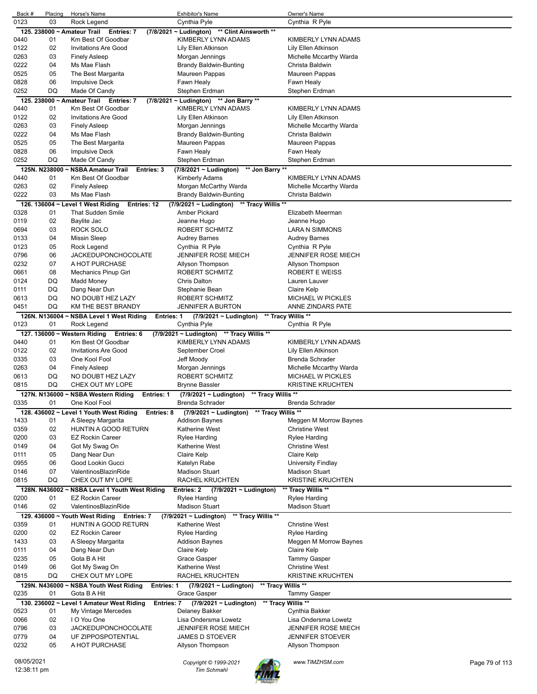| Back #      | Placing       | Horse's Name                                                                | <b>Exhibitor's Name</b>                           | Owner's Name                                      |                |
|-------------|---------------|-----------------------------------------------------------------------------|---------------------------------------------------|---------------------------------------------------|----------------|
| 0123        | 03            | Rock Legend                                                                 | Cynthia Pyle                                      | Cynthia R Pyle                                    |                |
|             |               | 125. 238000 ~ Amateur Trail Entries: 7                                      | (7/8/2021 ~ Ludington) ** Clint Ainsworth **      |                                                   |                |
| 0440        | 01            | Km Best Of Goodbar                                                          | KIMBERLY LYNN ADAMS                               | KIMBERLY LYNN ADAMS                               |                |
| 0122        | 02            | <b>Invitations Are Good</b>                                                 | Lily Ellen Atkinson                               | Lily Ellen Atkinson                               |                |
| 0263        | 03            | <b>Finely Asleep</b>                                                        | Morgan Jennings                                   | Michelle Mccarthy Warda                           |                |
| 0222        | 04            | Ms Mae Flash                                                                | <b>Brandy Baldwin-Bunting</b>                     | Christa Baldwin                                   |                |
| 0525        | 05            | The Best Margarita                                                          | Maureen Pappas                                    | Maureen Pappas                                    |                |
| 0828        | 06            | Impulsive Deck                                                              | Fawn Healy                                        | Fawn Healy                                        |                |
| 0252        | DQ            | Made Of Candy                                                               | Stephen Erdman                                    | Stephen Erdman                                    |                |
|             |               | 125. 238000 ~ Amateur Trail Entries: 7                                      | (7/8/2021 ~ Ludington) ** Jon Barry **            |                                                   |                |
| 0440        | 01            | Km Best Of Goodbar                                                          | KIMBERLY LYNN ADAMS                               | KIMBERLY LYNN ADAMS                               |                |
| 0122        | 02            | <b>Invitations Are Good</b>                                                 | Lily Ellen Atkinson                               | Lily Ellen Atkinson                               |                |
| 0263        | 03            | <b>Finely Asleep</b>                                                        | Morgan Jennings                                   | Michelle Mccarthy Warda                           |                |
| 0222        | 04            | Ms Mae Flash                                                                | Brandy Baldwin-Bunting                            | Christa Baldwin                                   |                |
| 0525        | 05            | The Best Margarita                                                          | Maureen Pappas                                    | Maureen Pappas                                    |                |
| 0828        | 06            | Impulsive Deck                                                              | Fawn Healy                                        | Fawn Healy                                        |                |
| 0252        | DQ            | Made Of Candy                                                               | Stephen Erdman                                    | Stephen Erdman                                    |                |
|             | 125N. N238000 | <b>NSBA Amateur Trail</b><br>Entries: 3                                     | (7/8/2021 ~ Ludington)<br>** Jon Barry **         |                                                   |                |
| 0440        | 01            | Km Best Of Goodbar                                                          | Kimberly Adams                                    | KIMBERLY LYNN ADAMS                               |                |
| 0263        | 02            | <b>Finely Asleep</b>                                                        | Morgan McCarthy Warda                             | Michelle Mccarthy Warda                           |                |
| 0222        | 03            | Ms Mae Flash                                                                | Brandy Baldwin-Bunting                            | Christa Baldwin                                   |                |
|             |               | 126. 136004 ~ Level 1 West Riding<br>Entries: 12                            | ** Tracy Willis **<br>(7/9/2021 ~ Ludington)      |                                                   |                |
| 0328        | 01            | That Sudden Smile                                                           | Amber Pickard                                     | Elizabeth Meerman                                 |                |
| 0119        | 02            | Baylite Jac                                                                 | Jeanne Hugo                                       | Jeanne Hugo                                       |                |
| 0694        | 03            | ROCK SOLO                                                                   | ROBERT SCHMITZ                                    | LARA N SIMMONS                                    |                |
| 0133        | 04            | <b>Missin Sleep</b>                                                         | <b>Audrey Barnes</b>                              | Audrey Barnes                                     |                |
| 0123        | 05            | Rock Legend                                                                 | Cynthia R Pyle                                    | Cynthia R Pyle                                    |                |
| 0796        | 06            | JACKEDUPONCHOCOLATE                                                         | <b>JENNIFER ROSE MIECH</b>                        | <b>JENNIFER ROSE MIECH</b>                        |                |
| 0232        | 07            | A HOT PURCHASE                                                              | Allyson Thompson                                  | Allyson Thompson                                  |                |
| 0661        | 08            | Mechanics Pinup Girl                                                        | ROBERT SCHMITZ                                    | <b>ROBERT E WEISS</b>                             |                |
| 0124        | DQ            | Madd Money                                                                  | <b>Chris Dalton</b>                               | Lauren Lauver                                     |                |
| 0111        | DQ            | Dang Near Dun                                                               | Stephanie Bean                                    | Claire Kelp                                       |                |
| 0613        | DQ            | NO DOUBT HEZ LAZY                                                           | ROBERT SCHMITZ                                    | <b>MICHAEL W PICKLES</b>                          |                |
| 0451        | DQ            | KM THE BEST BRANDY                                                          | <b>JENNIFER A BURTON</b>                          | ANNE ZINDARS PATE                                 |                |
|             |               | 126N. N136004 ~ NSBA Level 1 West Riding<br><b>Entries: 1</b>               | (7/9/2021 ~ Ludington)                            | ** Tracy Willis **                                |                |
| 0123        | 01            | Rock Legend                                                                 | Cynthia Pyle                                      | Cynthia R Pyle                                    |                |
|             |               | 127. 136000 ~ Western Riding<br>Entries: 6                                  | (7/9/2021 ~ Ludington) ** Tracy Willis **         |                                                   |                |
| 0440        | 01            | Km Best Of Goodbar                                                          | KIMBERLY LYNN ADAMS                               | KIMBERLY LYNN ADAMS                               |                |
| 0122        | 02            | <b>Invitations Are Good</b>                                                 | September Croel                                   | Lily Ellen Atkinson                               |                |
| 0335        | 03            | One Kool Fool                                                               | Jeff Moody                                        | Brenda Schrader                                   |                |
| 0263        | 04            | <b>Finely Asleep</b>                                                        | Morgan Jennings                                   | Michelle Mccarthy Warda                           |                |
| 0613        | DQ            | NO DOUBT HEZ LAZY                                                           | <b>ROBERT SCHMITZ</b>                             | <b>MICHAEL W PICKLES</b>                          |                |
| 0815        | DQ            | CHEX OUT MY LOPE                                                            | <b>Brynne Bassler</b>                             | <b>KRISTINE KRUCHTEN</b>                          |                |
|             |               | 127N. N136000 ~ NSBA Western Riding<br><b>Entries: 1</b>                    | ** Tracy Willis **<br>$(7/9/2021 \sim$ Ludington) |                                                   |                |
| 0335        | 01            | One Kool Fool                                                               | Brenda Schrader                                   | Brenda Schrader                                   |                |
|             |               |                                                                             | ** Tracy Willis **                                |                                                   |                |
| 1433        | 01            | 128. 436002 ~ Level 1 Youth West Riding<br>Entries: 8<br>A Sleepy Margarita | $(7/9/2021 \sim$ Ludington)<br>Addison Baynes     | Meggen M Morrow Baynes                            |                |
| 0359        | 02            | HUNTIN A GOOD RETURN                                                        | Katherine West                                    | <b>Christine West</b>                             |                |
|             | 03            |                                                                             |                                                   |                                                   |                |
| 0200        |               | <b>EZ Rockin Career</b>                                                     | <b>Rylee Harding</b><br>Katherine West            | Rylee Harding                                     |                |
| 0149        | 04            | Got My Swag On                                                              |                                                   | <b>Christine West</b>                             |                |
| 0111        | 05            | Dang Near Dun                                                               | Claire Kelp                                       | Claire Kelp                                       |                |
| 0955        | 06<br>07      | Good Lookin Gucci<br>ValentinosBlazinRide                                   | Katelyn Rabe                                      | University Findlay                                |                |
| 0146        | DQ            |                                                                             | <b>Madison Stuart</b>                             | <b>Madison Stuart</b><br><b>KRISTINE KRUCHTEN</b> |                |
| 0815        |               | CHEX OUT MY LOPE                                                            | RACHEL KRUCHTEN                                   |                                                   |                |
|             |               | 128N. N436002 ~ NSBA Level 1 Youth West Riding                              | Entries: 2<br>(7/9/2021 ~ Ludington)              | ** Tracy Willis **                                |                |
| 0200        | 01            | <b>EZ Rockin Career</b>                                                     | <b>Rylee Harding</b>                              | <b>Rylee Harding</b>                              |                |
| 0146        | 02            | ValentinosBlazinRide                                                        | <b>Madison Stuart</b>                             | <b>Madison Stuart</b>                             |                |
|             |               | 129. 436000 ~ Youth West Riding Entries: 7                                  | ** Tracy Willis **<br>(7/9/2021 ~ Ludington)      |                                                   |                |
| 0359        | 01            | HUNTIN A GOOD RETURN                                                        | Katherine West                                    | <b>Christine West</b>                             |                |
| 0200        | 02            | <b>EZ Rockin Career</b>                                                     | <b>Rylee Harding</b>                              | <b>Rylee Harding</b>                              |                |
| 1433        | 03            | A Sleepy Margarita                                                          | <b>Addison Baynes</b>                             | Meggen M Morrow Baynes                            |                |
| 0111        | 04            | Dang Near Dun                                                               | Claire Kelp                                       | Claire Kelp                                       |                |
| 0235        | 05            | Gota B A Hit                                                                | Grace Gasper                                      | <b>Tammy Gasper</b>                               |                |
| 0149        | 06            | Got My Swag On                                                              | <b>Katherine West</b>                             | <b>Christine West</b>                             |                |
| 0815        | DQ            | CHEX OUT MY LOPE                                                            | RACHEL KRUCHTEN                                   | <b>KRISTINE KRUCHTEN</b>                          |                |
|             |               | 129N. N436000 ~ NSBA Youth West Riding<br><b>Entries: 1</b>                 | ** Tracy Willis **<br>(7/9/2021 ~ Ludington)      |                                                   |                |
| 0235        | 01            | Gota B A Hit                                                                | Grace Gasper                                      | Tammy Gasper                                      |                |
|             |               | 130. 236002 ~ Level 1 Amateur West Riding<br>Entries: 7                     | $(7/9/2021 \sim$ Ludington)                       | ** Tracy Willis **                                |                |
| 0523        | 01            | My Vintage Mercedes                                                         | Delaney Bakker                                    | Cynthia Bakker                                    |                |
| 0066        | 02            | I O You One                                                                 | Lisa Ondersma Lowetz                              | Lisa Ondersma Lowetz                              |                |
| 0796        | 03            | <b>JACKEDUPONCHOCOLATE</b>                                                  | <b>JENNIFER ROSE MIECH</b>                        | <b>JENNIFER ROSE MIECH</b>                        |                |
| 0779        | 04            | UF ZIPPOSPOTENTIAL                                                          | <b>JAMES D STOEVER</b>                            | <b>JENNIFER STOEVER</b>                           |                |
| 0232        | 05            | A HOT PURCHASE                                                              | Allyson Thompson                                  | Allyson Thompson                                  |                |
|             |               |                                                                             |                                                   |                                                   |                |
| 08/05/2021  |               |                                                                             | Copyright © 1999-2021                             | www.TIMZHSM.com                                   | Page 79 of 113 |
| 12:38:11 pm |               |                                                                             | <b>Tim Schmahl</b>                                |                                                   |                |

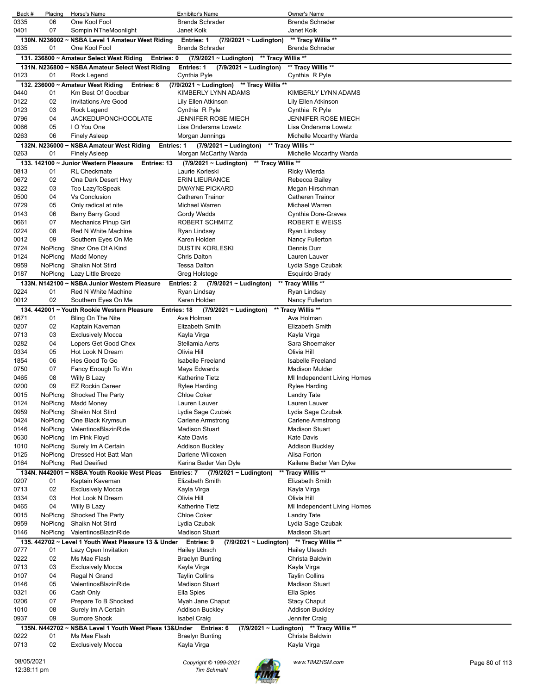| Back #       | Placing            | Horse's Name                                                             | <b>Exhibitor's Name</b>                                                    | Owner's Name                                                 |                |
|--------------|--------------------|--------------------------------------------------------------------------|----------------------------------------------------------------------------|--------------------------------------------------------------|----------------|
| 0335         | 06                 | One Kool Fool                                                            | <b>Brenda Schrader</b>                                                     | <b>Brenda Schrader</b>                                       |                |
| 0401         | 07                 | Sompin NTheMoonlight<br>130N. N236002 ~ NSBA Level 1 Amateur West Riding | Janet Kolk                                                                 | Janet Kolk                                                   |                |
| 0335         | 01                 | One Kool Fool                                                            | <b>Entries: 1</b><br>$(7/9/2021 \sim$ Ludington)<br><b>Brenda Schrader</b> | ** Tracy Willis **<br>Brenda Schrader                        |                |
|              |                    | 131. 236800 ~ Amateur Select West Riding<br>Entries: 0                   | ** Tracy Willis **<br>$(7/9/2021 \sim$ Ludington)                          |                                                              |                |
|              |                    | 131N. N236800 ~ NSBA Amateur Select West Riding                          | Entries: 1<br>$(7/9/2021 \sim$ Ludington)                                  | ** Tracy Willis **                                           |                |
| 0123         | 01                 | Rock Legend                                                              | Cynthia Pyle                                                               | Cynthia R Pyle                                               |                |
|              |                    | 132. 236000 ~ Amateur West Riding<br>Entries: 6                          | (7/9/2021 ~ Ludington) ** Tracy Willis **                                  |                                                              |                |
| 0440         | 01                 | Km Best Of Goodbar                                                       | KIMBERLY LYNN ADAMS                                                        | KIMBERLY LYNN ADAMS                                          |                |
| 0122         | 02                 | <b>Invitations Are Good</b>                                              | Lily Ellen Atkinson                                                        | Lily Ellen Atkinson                                          |                |
| 0123<br>0796 | 03<br>04           | Rock Legend<br><b>JACKEDUPONCHOCOLATE</b>                                | Cynthia R Pyle<br>JENNIFER ROSE MIECH                                      | Cynthia R Pyle<br><b>JENNIFER ROSE MIECH</b>                 |                |
| 0066         | 05                 | I O You One                                                              | Lisa Ondersma Lowetz                                                       | Lisa Ondersma Lowetz                                         |                |
| 0263         | 06                 | <b>Finely Asleep</b>                                                     | Morgan Jennings                                                            | Michelle Mccarthy Warda                                      |                |
|              |                    | 132N. N236000 ~ NSBA Amateur West Riding                                 | Entries: $1$ (7/9/2021 ~ Ludington)                                        | ** Tracy Willis **                                           |                |
| 0263         | 01                 | <b>Finely Asleep</b>                                                     | Morgan McCarthy Warda                                                      | Michelle Mccarthy Warda                                      |                |
|              |                    | 133. 142100 ~ Junior Western Pleasure<br>Entries: 13                     | ** Tracy Willis **<br>(7/9/2021 ~ Ludington)                               |                                                              |                |
| 0813         | 01                 | <b>RL</b> Checkmate                                                      | Laurie Korleski                                                            | <b>Ricky Wierda</b>                                          |                |
| 0672         | 02                 | Ona Dark Desert Hwy                                                      | <b>ERIN LIEURANCE</b>                                                      | Rebecca Bailey                                               |                |
| 0322         | 03                 | Too LazyToSpeak                                                          | <b>DWAYNE PICKARD</b>                                                      | Megan Hirschman                                              |                |
| 0500<br>0729 | 04<br>05           | <b>Vs Conclusion</b><br>Only radical at nite                             | Catheren Trainor<br>Michael Warren                                         | <b>Catheren Trainor</b><br>Michael Warren                    |                |
| 0143         | 06                 | Barry Barry Good                                                         | Gordy Wadds                                                                | Cynthia Dore-Graves                                          |                |
| 0661         | 07                 | <b>Mechanics Pinup Girl</b>                                              | ROBERT SCHMITZ                                                             | <b>ROBERT E WEISS</b>                                        |                |
| 0224         | 08                 | Red N White Machine                                                      | Ryan Lindsay                                                               | Ryan Lindsay                                                 |                |
| 0012         | 09                 | Southern Eyes On Me                                                      | Karen Holden                                                               | Nancy Fullerton                                              |                |
| 0724         | NoPlcng            | Shez One Of A Kind                                                       | <b>DUSTIN KORLESKI</b>                                                     | Dennis Durr                                                  |                |
| 0124         | NoPlcng            | <b>Madd Money</b>                                                        | <b>Chris Dalton</b>                                                        | Lauren Lauver                                                |                |
| 0959         | NoPlcng            | Shaikn Not Stird                                                         | <b>Tessa Dalton</b>                                                        | Lydia Sage Czubak                                            |                |
| 0187         | NoPlcng            | Lazy Little Breeze                                                       | Greg Holstege                                                              | Esquirdo Brady                                               |                |
|              |                    | 133N. N142100 ~ NSBA Junior Western Pleasure                             | Entries: 2<br>(7/9/2021 ~ Ludington)                                       | ** Tracy Willis **                                           |                |
| 0224         | 01                 | Red N White Machine                                                      | Ryan Lindsay                                                               | Ryan Lindsay                                                 |                |
| 0012         | 02                 | Southern Eyes On Me                                                      | Karen Holden                                                               | Nancy Fullerton                                              |                |
|              |                    | 134. 442001 ~ Youth Rookie Western Pleasure                              | Entries: 18<br>$(7/9/2021 \sim$ Ludington)<br>Ava Holman                   | ** Tracy Willis **                                           |                |
| 0671<br>0207 | 01<br>02           | Bling On The Nite<br>Kaptain Kaveman                                     | <b>Elizabeth Smith</b>                                                     | Ava Holman<br>Elizabeth Smith                                |                |
| 0713         | 03                 | <b>Exclusively Mocca</b>                                                 | Kayla Virga                                                                | Kayla Virga                                                  |                |
| 0282         | 04                 | Lopers Get Good Chex                                                     | Stellamia Aerts                                                            | Sara Shoemaker                                               |                |
| 0334         | 05                 | Hot Look N Dream                                                         | Olivia Hill                                                                | Olivia Hill                                                  |                |
| 1854         | 06                 | Hes Good To Go                                                           | <b>Isabelle Freeland</b>                                                   | Isabelle Freeland                                            |                |
| 0750         | 07                 | Fancy Enough To Win                                                      | Maya Edwards                                                               | Madison Mulder                                               |                |
| 0465         | 08                 | Willy B Lazy                                                             | <b>Katherine Tietz</b>                                                     | MI Independent Living Homes                                  |                |
| 0200         | 09                 | <b>EZ Rockin Career</b>                                                  | Rylee Harding                                                              | Rylee Harding                                                |                |
| 0015         | NoPlcng            | Shocked The Party                                                        | Chloe Coker                                                                | Landry Tate                                                  |                |
| 0124         | NoPlcng            | <b>Madd Money</b>                                                        | Lauren Lauver                                                              | Lauren Lauver                                                |                |
| 0959         | NoPlcng            | Shaikn Not Stird                                                         | Lydia Sage Czubak                                                          | Lydia Sage Czubak                                            |                |
| 0424<br>0146 | NoPlcng<br>NoPlcng | One Black Krymsun<br>ValentinosBlazinRide                                | <b>Carlene Armstrong</b><br><b>Madison Stuart</b>                          | <b>Carlene Armstrong</b><br><b>Madison Stuart</b>            |                |
| 0630         | NoPlcng            | Im Pink Floyd                                                            | Kate Davis                                                                 | <b>Kate Davis</b>                                            |                |
| 1010         | NoPlcng            | Surely Im A Certain                                                      | <b>Addison Buckley</b>                                                     | <b>Addison Buckley</b>                                       |                |
| 0125         | NoPlcng            | Dressed Hot Batt Man                                                     | Darlene Wilcoxen                                                           | Alisa Forton                                                 |                |
| 0164         | NoPlcng            | <b>Red Deeified</b>                                                      | Karina Bader Van Dyle                                                      | Kailene Bader Van Dyke                                       |                |
|              |                    | 134N, N442001 ~ NSBA Youth Rookie West Pleas                             | $(7/9/2021 \sim$ Ludington)<br>Entries: 7                                  | Tracy Willis **                                              |                |
| 0207         | 01                 | Kaptain Kaveman                                                          | <b>Elizabeth Smith</b>                                                     | Elizabeth Smith                                              |                |
| 0713         | 02                 | <b>Exclusively Mocca</b>                                                 | Kayla Virga                                                                | Kayla Virga                                                  |                |
| 0334         | 03                 | Hot Look N Dream                                                         | Olivia Hill                                                                | Olivia Hill                                                  |                |
| 0465         | 04                 | Willy B Lazy                                                             | Katherine Tietz                                                            | MI Independent Living Homes                                  |                |
| 0015         | NoPlcng            | Shocked The Party                                                        | <b>Chloe Coker</b>                                                         | Landry Tate                                                  |                |
| 0959<br>0146 | NoPlcng<br>NoPlcng | Shaikn Not Stird<br>ValentinosBlazinRide                                 | Lydia Czubak<br><b>Madison Stuart</b>                                      | Lydia Sage Czubak<br><b>Madison Stuart</b>                   |                |
|              |                    | 135. 442702 ~ Level 1 Youth West Pleasure 13 & Under                     | Entries: 9<br>$(7/9/2021 \sim$ Ludington)                                  | ** Tracy Willis **                                           |                |
| 0777         | 01                 | Lazy Open Invitation                                                     | <b>Hailey Utesch</b>                                                       | <b>Hailey Utesch</b>                                         |                |
| 0222         | 02                 | Ms Mae Flash                                                             | <b>Braelyn Bunting</b>                                                     | Christa Baldwin                                              |                |
| 0713         | 03                 | <b>Exclusively Mocca</b>                                                 | Kayla Virga                                                                | Kayla Virga                                                  |                |
| 0107         | 04                 | Regal N Grand                                                            | <b>Taylin Collins</b>                                                      | <b>Taylin Collins</b>                                        |                |
| 0146         | 05                 | ValentinosBlazinRide                                                     | <b>Madison Stuart</b>                                                      | <b>Madison Stuart</b>                                        |                |
| 0321         | 06                 | Cash Only                                                                | Ella Spies                                                                 | Ella Spies                                                   |                |
| 0206         | 07                 | Prepare To B Shocked                                                     | Myah Jane Chaput                                                           | <b>Stacy Chaput</b>                                          |                |
| 1010         | 08                 | Surely Im A Certain                                                      | <b>Addison Buckley</b>                                                     | <b>Addison Buckley</b>                                       |                |
| 0937         | 09                 | <b>Sumore Shock</b>                                                      | <b>Isabel Craig</b>                                                        | Jennifer Craig                                               |                |
|              | 135N. N442702~     | NSBA Level 1 Youth West Pleas 13& Under Entries: 6                       |                                                                            | (7/9/2021 ~ Ludington) ** Tracy Willis **<br>Christa Baldwin |                |
| 0222<br>0713 | 01<br>02           | Ms Mae Flash<br><b>Exclusively Mocca</b>                                 | <b>Braelyn Bunting</b><br>Kayla Virga                                      | Kayla Virga                                                  |                |
|              |                    |                                                                          |                                                                            |                                                              |                |
| 08/05/2021   |                    |                                                                          | Copyright © 1999-2021                                                      | www.TIMZHSM.com                                              | Page 80 of 113 |
| 12:38:11 pm  |                    |                                                                          | <b>Tim Schmahl</b>                                                         |                                                              |                |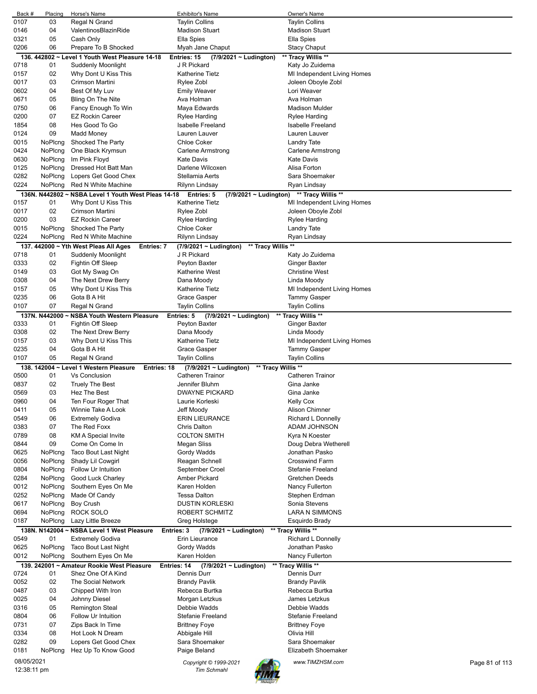| Back #     | Placing       | Horse's Name                                               | Exhibitor's Name                                  | Owner's Name                              |                |
|------------|---------------|------------------------------------------------------------|---------------------------------------------------|-------------------------------------------|----------------|
| 0107       | 03            | Regal N Grand                                              | <b>Taylin Collins</b>                             | <b>Taylin Collins</b>                     |                |
| 0146       | 04            | ValentinosBlazinRide                                       | <b>Madison Stuart</b>                             | <b>Madison Stuart</b>                     |                |
| 0321       | 05            | Cash Only                                                  | Ella Spies                                        | Ella Spies                                |                |
| 0206       | 06            | Prepare To B Shocked                                       | Myah Jane Chaput                                  | <b>Stacy Chaput</b>                       |                |
|            |               | 136. 442802 ~ Level 1 Youth West Pleasure 14-18            | Entries: 15<br>(7/9/2021 ~ Ludington)             | ** Tracy Willis **                        |                |
| 0718       | 01            | Suddenly Moonlight                                         | J R Pickard                                       | Katy Jo Zuidema                           |                |
| 0157       | 02            |                                                            | Katherine Tietz                                   |                                           |                |
|            |               | Why Dont U Kiss This                                       |                                                   | MI Independent Living Homes               |                |
| 0017       | 03            | Crimson Martini                                            | Rylee Zobl                                        | Joleen Oboyle Zobl                        |                |
| 0602       | 04            | Best Of My Luv                                             | <b>Emily Weaver</b>                               | Lori Weaver                               |                |
| 0671       | 05            | Bling On The Nite                                          | Ava Holman                                        | Ava Holman                                |                |
| 0750       | 06            | Fancy Enough To Win                                        | Maya Edwards                                      | <b>Madison Mulder</b>                     |                |
| 0200       | 07            | <b>EZ Rockin Career</b>                                    | Rylee Harding                                     | <b>Rylee Harding</b>                      |                |
| 1854       | 08            | Hes Good To Go                                             | <b>Isabelle Freeland</b>                          | <b>Isabelle Freeland</b>                  |                |
| 0124       | 09            | <b>Madd Money</b>                                          | Lauren Lauver                                     | Lauren Lauver                             |                |
| 0015       | NoPlcng       | Shocked The Party                                          | <b>Chloe Coker</b>                                | Landry Tate                               |                |
| 0424       | NoPlcng       | One Black Krymsun                                          | Carlene Armstrong                                 | Carlene Armstrong                         |                |
| 0630       | NoPlcng       | Im Pink Floyd                                              | <b>Kate Davis</b>                                 | <b>Kate Davis</b>                         |                |
|            |               |                                                            |                                                   |                                           |                |
| 0125       | NoPlcng       | Dressed Hot Batt Man                                       | Darlene Wilcoxen                                  | Alisa Forton                              |                |
| 0282       | NoPlcng       | Lopers Get Good Chex                                       | Stellamia Aerts                                   | Sara Shoemaker                            |                |
| 0224       | NoPlcng       | Red N White Machine                                        | Rilynn Lindsay                                    | Ryan Lindsay                              |                |
|            |               | 136N. N442802 ~ NSBA Level 1 Youth West Pleas 14-18        | Entries: 5                                        | (7/9/2021 ~ Ludington) ** Tracy Willis ** |                |
| 0157       | 01            | Why Dont U Kiss This                                       | <b>Katherine Tietz</b>                            | MI Independent Living Homes               |                |
| 0017       | 02            | Crimson Martini                                            | Rylee Zobl                                        | Joleen Oboyle Zobl                        |                |
| 0200       | 03            | <b>EZ Rockin Career</b>                                    | <b>Rylee Harding</b>                              | <b>Rylee Harding</b>                      |                |
| 0015       | NoPlcng       | Shocked The Party                                          | <b>Chloe Coker</b>                                | <b>Landry Tate</b>                        |                |
|            |               |                                                            |                                                   |                                           |                |
| 0224       | NoPlcng       | Red N White Machine                                        | Rilynn Lindsay                                    | Ryan Lindsay                              |                |
|            |               | 137. 442000 ~ Yth West Pleas All Ages<br><b>Entries: 7</b> | ** Tracy Willis **<br>$(7/9/2021 \sim$ Ludington) |                                           |                |
| 0718       | 01            | Suddenly Moonlight                                         | J R Pickard                                       | Katy Jo Zuidema                           |                |
| 0333       | 02            | Fightin Off Sleep                                          | Peyton Baxter                                     | <b>Ginger Baxter</b>                      |                |
| 0149       | 03            | Got My Swag On                                             | <b>Katherine West</b>                             | <b>Christine West</b>                     |                |
| 0308       | 04            | The Next Drew Berry                                        | Dana Moody                                        | Linda Moody                               |                |
| 0157       | 05            | Why Dont U Kiss This                                       | Katherine Tietz                                   | MI Independent Living Homes               |                |
| 0235       | 06            | Gota B A Hit                                               | Grace Gasper                                      | Tammy Gasper                              |                |
| 0107       | 07            | Regal N Grand                                              | <b>Taylin Collins</b>                             | <b>Taylin Collins</b>                     |                |
|            |               |                                                            |                                                   |                                           |                |
|            | 137N. N442000 | <b>NSBA Youth Western Pleasure</b>                         | Entries: 5<br>(7/9/2021 ~ Ludington)              | ** Tracy Willis **                        |                |
| 0333       | 01            | Fightin Off Sleep                                          | Peyton Baxter                                     | <b>Ginger Baxter</b>                      |                |
| 0308       | 02            | The Next Drew Berry                                        | Dana Moody                                        | Linda Moody                               |                |
| 0157       | 03            | Why Dont U Kiss This                                       | Katherine Tietz                                   | MI Independent Living Homes               |                |
| 0235       | 04            | Gota B A Hit                                               | <b>Grace Gasper</b>                               | Tammy Gasper                              |                |
| 0107       | 05            | Regal N Grand                                              | <b>Taylin Collins</b>                             | <b>Taylin Collins</b>                     |                |
|            |               | 138. 142004 ~ Level 1 Western Pleasure                     | Entries: 18<br>(7/9/2021 ~ Ludington)             | ** Tracy Willis **                        |                |
| 0500       | 01            | Vs Conclusion                                              | <b>Catheren Trainor</b>                           | <b>Catheren Trainor</b>                   |                |
| 0837       | 02            |                                                            | Jennifer Bluhm                                    | Gina Janke                                |                |
| 0569       |               |                                                            |                                                   |                                           |                |
|            |               | <b>Truely The Best</b>                                     |                                                   |                                           |                |
| 0960       | 03            | Hez The Best                                               | <b>DWAYNE PICKARD</b>                             | Gina Janke                                |                |
|            | 04            | Ten Four Roger That                                        | Laurie Korleski                                   | <b>Kelly Cox</b>                          |                |
| 0411       | 05            | Winnie Take A Look                                         | Jeff Moody                                        | Alison Chimner                            |                |
| 0549       | 06            | <b>Extremely Godiva</b>                                    | <b>ERIN LIEURANCE</b>                             | Richard L Donnelly                        |                |
| 0383       | 07            | The Red Foxx                                               | Chris Dalton                                      | ADAM JOHNSON                              |                |
| 0789       | 08            | KM A Special Invite                                        | <b>COLTON SMITH</b>                               | Kyra N Koester                            |                |
| 0844       | 09            | Come On Come In                                            | Megan Sliss                                       | Doug Debra Wetherell                      |                |
| 0625       | NoPlcng       | Taco Bout Last Night                                       | Gordy Wadds                                       | Jonathan Pasko                            |                |
|            |               |                                                            |                                                   |                                           |                |
| 0056       | NoPlcng       | Shady Lil Cowgirl                                          | Reagan Schnell                                    | <b>Crosswind Farm</b>                     |                |
| 0804       | NoPlcng       | Follow Ur Intuition                                        | September Croel                                   | Stefanie Freeland                         |                |
| 0284       | NoPlcng       | Good Luck Charley                                          | Amber Pickard                                     | Gretchen Deeds                            |                |
| 0012       | NoPlcng       | Southern Eyes On Me                                        | Karen Holden                                      | Nancy Fullerton                           |                |
| 0252       | NoPlcng       | Made Of Candy                                              | <b>Tessa Dalton</b>                               | Stephen Erdman                            |                |
| 0617       | NoPlcng       | <b>Boy Crush</b>                                           | <b>DUSTIN KORLESKI</b>                            | Sonia Stevens                             |                |
| 0694       | NoPlcng       | ROCK SOLO                                                  | ROBERT SCHMITZ                                    | <b>LARA N SIMMONS</b>                     |                |
| 0187       | NoPlcng       | Lazy Little Breeze                                         | Greg Holstege                                     | Esquirdo Brady                            |                |
|            |               | 138N. N142004 ~ NSBA Level 1 West Pleasure                 | Entries: 3<br>$(7/9/2021 \sim$ Ludington)         | ** Tracy Willis **                        |                |
| 0549       | 01            | <b>Extremely Godiva</b>                                    | Erin Lieurance                                    |                                           |                |
| 0625       | NoPlcng       |                                                            |                                                   | Richard L Donnelly<br>Jonathan Pasko      |                |
|            |               | Taco Bout Last Night                                       | Gordy Wadds                                       |                                           |                |
| 0012       | NoPlcng       | Southern Eyes On Me                                        | Karen Holden                                      | Nancy Fullerton                           |                |
| 139.       |               | 242001 ~ Amateur Rookie West Pleasure                      | <b>Entries: 14</b><br>$(7/9/2021 \sim$ Ludington) | ** Tracy Willis **                        |                |
| 0724       | 01            | Shez One Of A Kind                                         | Dennis Durr                                       | Dennis Durr                               |                |
| 0052       | 02            | The Social Network                                         | <b>Brandy Pavlik</b>                              | <b>Brandy Pavlik</b>                      |                |
| 0487       | 03            | Chipped With Iron                                          | Rebecca Burtka                                    | Rebecca Burtka                            |                |
| 0025       | 04            | Johnny Diesel                                              | Morgan Letzkus                                    | James Letzkus                             |                |
| 0316       | 05            | Remington Steal                                            | Debbie Wadds                                      | Debbie Wadds                              |                |
| 0804       | 06            | Follow Ur Intuition                                        | <b>Stefanie Freeland</b>                          | Stefanie Freeland                         |                |
|            | 07            |                                                            |                                                   |                                           |                |
| 0731       |               | Zips Back In Time                                          | <b>Brittney Foye</b>                              | <b>Brittney Foye</b>                      |                |
| 0334       | 08            | Hot Look N Dream                                           | Abbigale Hill                                     | Olivia Hill                               |                |
| 0282       | 09            | Lopers Get Good Chex                                       | Sara Shoemaker                                    | Sara Shoemaker                            |                |
| 0181       | NoPlcng       | Hez Up To Know Good                                        | Paige Beland                                      | Elizabeth Shoemaker                       |                |
| 08/05/2021 |               |                                                            | Copyright © 1999-2021                             | www.TIMZHSM.com                           | Page 81 of 113 |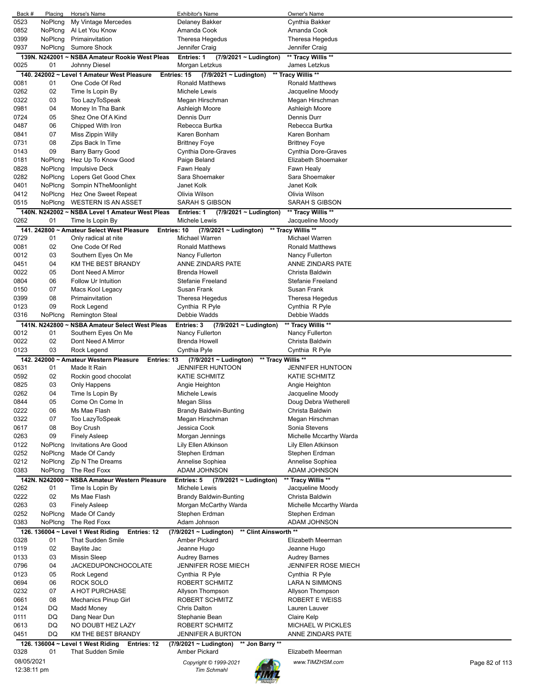| Back #      | Placing | Horse's Name                                              | Exhibitor's Name                                  | Owner's Name                      |
|-------------|---------|-----------------------------------------------------------|---------------------------------------------------|-----------------------------------|
| 0523        | NoPlcng | My Vintage Mercedes                                       | Delaney Bakker                                    | Cynthia Bakker                    |
| 0852        | NoPlcng | Al Let You Know                                           | Amanda Cook                                       | Amanda Cook                       |
| 0399        | NoPlcng | Primainvitation                                           | Theresa Hegedus                                   | Theresa Hegedus                   |
| 0937        | NoPlcng | <b>Sumore Shock</b>                                       | Jennifer Craig                                    | Jennifer Craig                    |
|             |         | 139N. N242001 ~ NSBA Amateur Rookie West Pleas            | Entries: 1<br>(7/9/2021 ~ Ludington)              | ** Tracy Willis **                |
| 0025        | 01      | Johnny Diesel                                             | Morgan Letzkus                                    | James Letzkus                     |
|             |         | 140. 242002 ~ Level 1 Amateur West Pleasure               | Entries: 15                                       | ** Tracy Willis **                |
|             |         |                                                           | $(7/9/2021 \sim$ Ludington)                       |                                   |
| 0081        | 01      | One Code Of Red                                           | <b>Ronald Matthews</b>                            | <b>Ronald Matthews</b>            |
| 0262        | 02      | Time Is Lopin By                                          | Michele Lewis                                     | Jacqueline Moody                  |
| 0322        | 03      | Too LazyToSpeak                                           | Megan Hirschman                                   | Megan Hirschman                   |
| 0981        | 04      | Money In Tha Bank                                         | Ashleigh Moore                                    | Ashleigh Moore                    |
| 0724        | 05      | Shez One Of A Kind                                        | <b>Dennis Durr</b>                                | <b>Dennis Durr</b>                |
| 0487        | 06      | Chipped With Iron                                         | Rebecca Burtka                                    | Rebecca Burtka                    |
| 0841        | 07      | Miss Zippin Willy                                         | Karen Bonham                                      | Karen Bonham                      |
| 0731        | 08      | Zips Back In Time                                         | <b>Brittney Foye</b>                              | <b>Brittney Foye</b>              |
| 0143        | 09      |                                                           |                                                   |                                   |
|             |         | Barry Barry Good                                          | Cynthia Dore-Graves                               | Cynthia Dore-Graves               |
| 0181        | NoPlcng | Hez Up To Know Good                                       | Paige Beland                                      | Elizabeth Shoemaker               |
| 0828        | NoPlcng | Impulsive Deck                                            | Fawn Healy                                        | Fawn Healy                        |
| 0282        | NoPlcng | Lopers Get Good Chex                                      | Sara Shoemaker                                    | Sara Shoemaker                    |
| 0401        | NoPlcng | Sompin NTheMoonlight                                      | Janet Kolk                                        | Janet Kolk                        |
| 0412        | NoPlcng | Hez One Sweet Repeat                                      | Olivia Wilson                                     | Olivia Wilson                     |
| 0515        | NoPlcng | <b>WESTERN IS AN ASSET</b>                                | <b>SARAH S GIBSON</b>                             | <b>SARAH S GIBSON</b>             |
|             |         | 140N, N242002 ~ NSBA Level 1 Amateur West Pleas           | (7/9/2021 ~ Ludington)<br>Entries: 1              | ** Tracy Willis **                |
| 0262        | 01      | Time Is Lopin By                                          | Michele Lewis                                     | Jacqueline Moody                  |
|             |         |                                                           |                                                   |                                   |
|             |         | 141. 242800 ~ Amateur Select West Pleasure<br>Entries: 10 | $(7/9/2021 \sim$ Ludington)                       | ** Tracy Willis **                |
| 0729        | 01      | Only radical at nite                                      | Michael Warren                                    | Michael Warren                    |
| 0081        | 02      | One Code Of Red                                           | <b>Ronald Matthews</b>                            | <b>Ronald Matthews</b>            |
| 0012        | 03      | Southern Eyes On Me                                       | Nancy Fullerton                                   | Nancy Fullerton                   |
| 0451        | 04      | KM THE BEST BRANDY                                        | ANNE ZINDARS PATE                                 | ANNE ZINDARS PATE                 |
| 0022        | 05      | Dont Need A Mirror                                        | Brenda Howell                                     | Christa Baldwin                   |
| 0804        | 06      | Follow Ur Intuition                                       | <b>Stefanie Freeland</b>                          | <b>Stefanie Freeland</b>          |
| 0150        | 07      | Macs Kool Legacy                                          | Susan Frank                                       | Susan Frank                       |
| 0399        | 08      | Primainvitation                                           | Theresa Hegedus                                   | Theresa Hegedus                   |
|             | 09      |                                                           |                                                   |                                   |
| 0123        |         | Rock Legend                                               | Cynthia R Pyle                                    | Cynthia R Pyle                    |
| 0316        | NoPlcng | <b>Remington Steal</b>                                    | Debbie Wadds                                      | Debbie Wadds                      |
|             |         | 141N. N242800 ~ NSBA Amateur Select West Pleas            | Entries: 3<br>(7/9/2021 ~ Ludington)              | ** Tracy Willis **                |
| 0012        | 01      | Southern Eyes On Me                                       | Nancy Fullerton                                   | Nancy Fullerton                   |
| 0022        | 02      | Dont Need A Mirror                                        | Brenda Howell                                     | Christa Baldwin                   |
| 0123        | 03      | Rock Legend                                               | Cynthia Pyle                                      | Cynthia R Pyle                    |
|             |         | 142. 242000 ~ Amateur Western Pleasure<br>Entries: 13     | $(7/9/2021 \sim$ Ludington)<br>** Tracy Willis ** |                                   |
| 0631        | 01      | Made It Rain                                              | <b>JENNIFER HUNTOON</b>                           | <b>JENNIFER HUNTOON</b>           |
| 0592        | 02      | Rockin good chocolat                                      | <b>KATIE SCHMITZ</b>                              | <b>KATIE SCHMITZ</b>              |
| 0825        | 03      | Only Happens                                              | Angie Heighton                                    | Angie Heighton                    |
| 0262        |         | Time Is Lopin By                                          | Michele Lewis                                     | Jacqueline Moody                  |
|             |         |                                                           |                                                   | Doug Debra Wetherell              |
|             | 04      |                                                           |                                                   |                                   |
| 0844        | 05      | Come On Come In                                           | Megan Sliss                                       |                                   |
| 0222        | 06      | Ms Mae Flash                                              | <b>Brandy Baldwin-Bunting</b>                     | Christa Baldwin                   |
| 0322        | 07      | Too LazyToSpeak                                           | Megan Hirschman                                   | Megan Hirschman                   |
| 0617        | 08      | Boy Crush                                                 | Jessica Cook                                      | Sonia Stevens                     |
| 0263        | 09      | <b>Finely Asleep</b>                                      | Morgan Jennings                                   | Michelle Mccarthy Warda           |
| 0122        | NoPlcng | <b>Invitations Are Good</b>                               | Lily Ellen Atkinson                               | Lily Ellen Atkinson               |
| 0252        | NoPlcng | Made Of Candy                                             | Stephen Erdman                                    | Stephen Erdman                    |
|             |         |                                                           |                                                   |                                   |
| 0212        | NoPlcng | Zip N The Dreams                                          | Annelise Sophiea<br>ADAM JOHNSON                  | Annelise Sophiea<br>ADAM JOHNSON  |
| 0383        | NoPlcng | The Red Foxx                                              |                                                   |                                   |
|             |         | 142N. N242000 ~ NSBA Amateur Western Pleasure             | Entries: 5<br>$(7/9/2021 \sim$ Ludington)         | ** Tracy Willis **                |
| 0262        | 01      | Time Is Lopin By                                          | Michele Lewis                                     | Jacqueline Moody                  |
| 0222        | 02      | Ms Mae Flash                                              | <b>Brandy Baldwin-Bunting</b>                     | Christa Baldwin                   |
| 0263        | 03      | <b>Finely Asleep</b>                                      | Morgan McCarthy Warda                             | Michelle Mccarthy Warda           |
| 0252        | NoPlcng | Made Of Candy                                             | Stephen Erdman                                    | Stephen Erdman                    |
| 0383        | NoPlcng | The Red Foxx                                              | Adam Johnson                                      | ADAM JOHNSON                      |
|             |         | 126. 136004 ~ Level 1 West Riding<br>Entries: 12          | ** Clint Ainsworth **<br>(7/9/2021 ~ Ludington)   |                                   |
| 0328        | 01      | <b>That Sudden Smile</b>                                  | Amber Pickard                                     | Elizabeth Meerman                 |
| 0119        | 02      | Baylite Jac                                               | Jeanne Hugo                                       | Jeanne Hugo                       |
| 0133        | 03      | <b>Missin Sleep</b>                                       | <b>Audrey Barnes</b>                              | <b>Audrey Barnes</b>              |
|             |         |                                                           |                                                   |                                   |
| 0796        | 04      | <b>JACKEDUPONCHOCOLATE</b>                                | <b>JENNIFER ROSE MIECH</b>                        | <b>JENNIFER ROSE MIECH</b>        |
| 0123        | 05      | Rock Legend                                               | Cynthia R Pyle                                    | Cynthia R Pyle                    |
| 0694        | 06      | ROCK SOLO                                                 | ROBERT SCHMITZ                                    | LARA N SIMMONS                    |
| 0232        | 07      | A HOT PURCHASE                                            | Allyson Thompson                                  | Allyson Thompson                  |
| 0661        | 08      | <b>Mechanics Pinup Girl</b>                               | ROBERT SCHMITZ                                    | ROBERT E WEISS                    |
| 0124        | DQ      | <b>Madd Money</b>                                         | <b>Chris Dalton</b>                               | Lauren Lauver                     |
| 0111        | DQ      | Dang Near Dun                                             | Stephanie Bean                                    | Claire Kelp                       |
| 0613        | DQ      | NO DOUBT HEZ LAZY                                         | ROBERT SCHMITZ                                    | <b>MICHAEL W PICKLES</b>          |
| 0451        | DQ      | KM THE BEST BRANDY                                        | JENNIFER A BURTON                                 | ANNE ZINDARS PATE                 |
|             |         |                                                           |                                                   |                                   |
|             |         | 126. 136004 ~ Level 1 West Riding<br>Entries: 12          | (7/9/2021 ~ Ludington)<br>** Jon Barry **         |                                   |
| 0328        | 01      | <b>That Sudden Smile</b>                                  | Amber Pickard                                     | Elizabeth Meerman                 |
| 08/05/2021  |         |                                                           | Copyright © 1999-2021                             | www.TIMZHSM.com<br>Page 82 of 113 |
| 12:38:11 pm |         |                                                           | <b>Tim Schmahl</b>                                |                                   |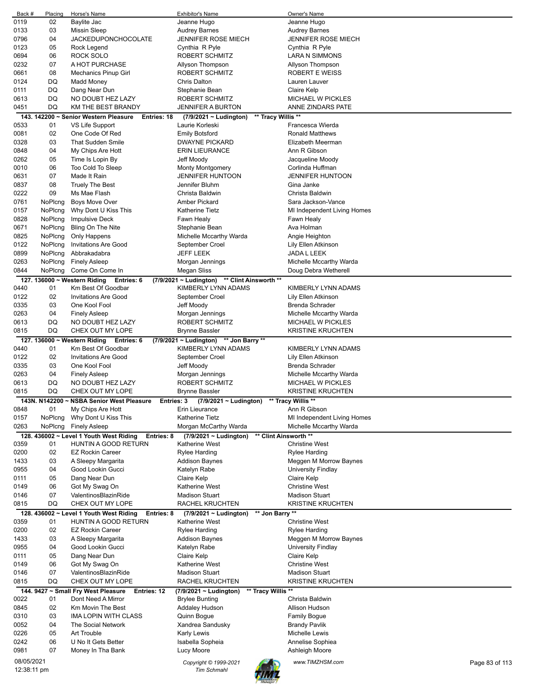| Back #      | Placing | Horse's Name                                                            | <b>Exhibitor's Name</b>                                             | Owner's Name                |                |
|-------------|---------|-------------------------------------------------------------------------|---------------------------------------------------------------------|-----------------------------|----------------|
| 0119        | 02      | Baylite Jac                                                             | Jeanne Hugo                                                         | Jeanne Hugo                 |                |
| 0133        | 03      | <b>Missin Sleep</b>                                                     | <b>Audrey Barnes</b>                                                | <b>Audrey Barnes</b>        |                |
| 0796        | 04      | <b>JACKEDUPONCHOCOLATE</b>                                              | <b>JENNIFER ROSE MIECH</b>                                          | <b>JENNIFER ROSE MIECH</b>  |                |
| 0123        | 05      | Rock Legend                                                             | Cynthia R Pyle                                                      | Cynthia R Pyle              |                |
| 0694        | 06      | ROCK SOLO                                                               | ROBERT SCHMITZ                                                      | LARA N SIMMONS              |                |
| 0232        | 07      | A HOT PURCHASE                                                          | Allyson Thompson                                                    | Allyson Thompson            |                |
| 0661        | 08      | <b>Mechanics Pinup Girl</b>                                             | <b>ROBERT SCHMITZ</b>                                               | <b>ROBERT E WEISS</b>       |                |
| 0124        | DQ      | Madd Money                                                              | <b>Chris Dalton</b>                                                 | Lauren Lauver               |                |
| 0111        | DQ      | Dang Near Dun                                                           | Stephanie Bean                                                      | Claire Kelp                 |                |
| 0613        | DQ      | NO DOUBT HEZ LAZY                                                       | ROBERT SCHMITZ                                                      | <b>MICHAEL W PICKLES</b>    |                |
| 0451        | DQ      | KM THE BEST BRANDY                                                      | <b>JENNIFER A BURTON</b>                                            | ANNE ZINDARS PATE           |                |
| 0533        | 01      | 143. 142200 ~ Senior Western Pleasure<br>Entries: 18<br>VS Life Support | ** Tracy Willis **<br>(7/9/2021 ~ Ludington)<br>Laurie Korleski     | Francesca Wierda            |                |
| 0081        | 02      | One Code Of Red                                                         | <b>Emily Botsford</b>                                               | <b>Ronald Matthews</b>      |                |
| 0328        | 03      | <b>That Sudden Smile</b>                                                | <b>DWAYNE PICKARD</b>                                               | Elizabeth Meerman           |                |
| 0848        | 04      | My Chips Are Hott                                                       | <b>ERIN LIEURANCE</b>                                               | Ann R Gibson                |                |
| 0262        | 05      | Time Is Lopin By                                                        | Jeff Moody                                                          | Jacqueline Moody            |                |
| 0010        | 06      | Too Cold To Sleep                                                       | <b>Monty Montgomery</b>                                             | Corlinda Huffman            |                |
| 0631        | 07      | Made It Rain                                                            | <b>JENNIFER HUNTOON</b>                                             | <b>JENNIFER HUNTOON</b>     |                |
| 0837        | 08      | <b>Truely The Best</b>                                                  | Jennifer Bluhm                                                      | Gina Janke                  |                |
| 0222        | 09      | Ms Mae Flash                                                            | Christa Baldwin                                                     | Christa Baldwin             |                |
| 0761        | NoPlcng | <b>Boys Move Over</b>                                                   | Amber Pickard                                                       | Sara Jackson-Vance          |                |
| 0157        | NoPlcng | Why Dont U Kiss This                                                    | <b>Katherine Tietz</b>                                              | MI Independent Living Homes |                |
| 0828        | NoPlcng | <b>Impulsive Deck</b>                                                   | Fawn Healy                                                          | Fawn Healy                  |                |
| 0671        | NoPlcng | Bling On The Nite                                                       | Stephanie Bean                                                      | Ava Holman                  |                |
| 0825        | NoPlcng | Only Happens                                                            | Michelle Mccarthy Warda                                             | Angie Heighton              |                |
| 0122        | NoPlcng | <b>Invitations Are Good</b>                                             | September Croel                                                     | Lily Ellen Atkinson         |                |
| 0899        | NoPlcng | Abbrakadabra                                                            | <b>JEFF LEEK</b>                                                    | JADA L LEEK                 |                |
| 0263        | NoPlcng | <b>Finely Asleep</b>                                                    | Morgan Jennings                                                     | Michelle Mccarthy Warda     |                |
| 0844        | NoPlcng | Come On Come In                                                         | Megan Sliss                                                         | Doug Debra Wetherell        |                |
|             |         |                                                                         |                                                                     |                             |                |
| 0440        | 01      | 127. 136000 ~ Western Riding<br>Entries: 6<br>Km Best Of Goodbar        | (7/9/2021 ~ Ludington) ** Clint Ainsworth **<br>KIMBERLY LYNN ADAMS | KIMBERLY LYNN ADAMS         |                |
| 0122        | 02      | <b>Invitations Are Good</b>                                             | September Croel                                                     | Lily Ellen Atkinson         |                |
| 0335        | 03      | One Kool Fool                                                           | Jeff Moody                                                          | Brenda Schrader             |                |
| 0263        | 04      | <b>Finely Asleep</b>                                                    | Morgan Jennings                                                     | Michelle Mccarthy Warda     |                |
| 0613        | DQ      | NO DOUBT HEZ LAZY                                                       | ROBERT SCHMITZ                                                      | <b>MICHAEL W PICKLES</b>    |                |
| 0815        | DQ      | CHEX OUT MY LOPE                                                        | <b>Brynne Bassler</b>                                               | <b>KRISTINE KRUCHTEN</b>    |                |
|             |         | 127. 136000 ~ Western Riding Entries: 6                                 | (7/9/2021 ~ Ludington) ** Jon Barry **                              |                             |                |
| 0440        | 01      | Km Best Of Goodbar                                                      | KIMBERLY LYNN ADAMS                                                 | KIMBERLY LYNN ADAMS         |                |
| 0122        | 02      | <b>Invitations Are Good</b>                                             | September Croel                                                     | Lily Ellen Atkinson         |                |
| 0335        | 03      | One Kool Fool                                                           | Jeff Moody                                                          | <b>Brenda Schrader</b>      |                |
| 0263        | 04      | <b>Finely Asleep</b>                                                    | Morgan Jennings                                                     | Michelle Mccarthy Warda     |                |
| 0613        | DQ      | NO DOUBT HEZ LAZY                                                       | ROBERT SCHMITZ                                                      | <b>MICHAEL W PICKLES</b>    |                |
| 0815        | DQ      | CHEX OUT MY LOPE                                                        | <b>Brynne Bassler</b>                                               | <b>KRISTINE KRUCHTEN</b>    |                |
|             |         | 143N. N142200 ~ NSBA Senior West Pleasure<br>Entries: 3                 | (7/9/2021 ~ Ludington)                                              | ** Tracy Willis **          |                |
| 0848        | 01      | My Chips Are Hott                                                       | Erin Lieurance                                                      | Ann R Gibson                |                |
| 0157        | NoPlcng | Why Dont U Kiss This                                                    | <b>Katherine Tietz</b>                                              | MI Independent Living Homes |                |
| 0263        | NoPlcng | <b>Finely Asleep</b>                                                    | Morgan McCarthy Warda                                               | Michelle Mccarthy Warda     |                |
|             |         | 128. 436002 ~ Level 1 Youth West Riding<br>Entries: 8                   | $(7/9/2021 \sim$ Ludington)                                         | ** Clint Ainsworth **       |                |
| 0359        | 01      | HUNTIN A GOOD RETURN                                                    | <b>Katherine West</b>                                               | <b>Christine West</b>       |                |
| 0200        | 02      | <b>EZ Rockin Career</b>                                                 | <b>Rylee Harding</b>                                                | Rylee Harding               |                |
| 1433        | 03      | A Sleepy Margarita                                                      | Addison Baynes                                                      | Meggen M Morrow Baynes      |                |
| 0955        | 04      | Good Lookin Gucci                                                       | Katelyn Rabe                                                        | University Findlay          |                |
| 0111        | 05      | Dang Near Dun                                                           | Claire Kelp                                                         | Claire Kelp                 |                |
| 0149        | 06      | Got My Swag On                                                          | Katherine West                                                      | <b>Christine West</b>       |                |
| 0146        | 07      | ValentinosBlazinRide                                                    | <b>Madison Stuart</b>                                               | <b>Madison Stuart</b>       |                |
| 0815        | DQ      | CHEX OUT MY LOPE                                                        | RACHEL KRUCHTEN                                                     | <b>KRISTINE KRUCHTEN</b>    |                |
|             |         | 128. 436002 ~ Level 1 Youth West Riding<br>Entries: 8                   | ** Jon Barry **<br>$(7/9/2021 \sim$ Ludington)                      |                             |                |
| 0359        | 01      | HUNTIN A GOOD RETURN                                                    | Katherine West                                                      | <b>Christine West</b>       |                |
| 0200        | 02      | <b>EZ Rockin Career</b>                                                 | Rylee Harding                                                       | <b>Rylee Harding</b>        |                |
| 1433        | 03      | A Sleepy Margarita                                                      | <b>Addison Baynes</b>                                               | Meggen M Morrow Baynes      |                |
| 0955        | 04      | Good Lookin Gucci                                                       | Katelyn Rabe                                                        | University Findlay          |                |
| 0111        | 05      | Dang Near Dun                                                           | Claire Kelp                                                         | Claire Kelp                 |                |
| 0149        | 06      | Got My Swag On                                                          | <b>Katherine West</b>                                               | <b>Christine West</b>       |                |
| 0146        | 07      | ValentinosBlazinRide                                                    | <b>Madison Stuart</b>                                               | <b>Madison Stuart</b>       |                |
| 0815        | DQ      | CHEX OUT MY LOPE                                                        | RACHEL KRUCHTEN                                                     | <b>KRISTINE KRUCHTEN</b>    |                |
|             |         | 144. 9427 ~ Small Fry West Pleasure<br>Entries: 12                      | ** Tracy Willis **<br>(7/9/2021 ~ Ludington)                        |                             |                |
| 0022        | 01      | Dont Need A Mirror                                                      | <b>Brylee Bunting</b>                                               | Christa Baldwin             |                |
| 0845        | 02      | Km Movin The Best                                                       | Addaley Hudson                                                      | Allison Hudson              |                |
| 0310        | 03      | IMA LOPIN WITH CLASS                                                    | Quinn Bogue                                                         | <b>Family Bogue</b>         |                |
| 0052        | 04      | The Social Network                                                      | Xandrea Sandusky                                                    | <b>Brandy Pavlik</b>        |                |
| 0226        | 05      | <b>Art Trouble</b>                                                      | <b>Karly Lewis</b>                                                  | Michelle Lewis              |                |
| 0242        | 06      | U No It Gets Better                                                     | Isabella Sopheia                                                    | Annelise Sophiea            |                |
| 0981        | 07      | Money In Tha Bank                                                       | Lucy Moore                                                          | Ashleigh Moore              |                |
| 08/05/2021  |         |                                                                         | Copyright © 1999-2021                                               | www.TIMZHSM.com             | Page 83 of 113 |
| 12:38:11 pm |         |                                                                         | <b>Tim Schmahl</b>                                                  |                             |                |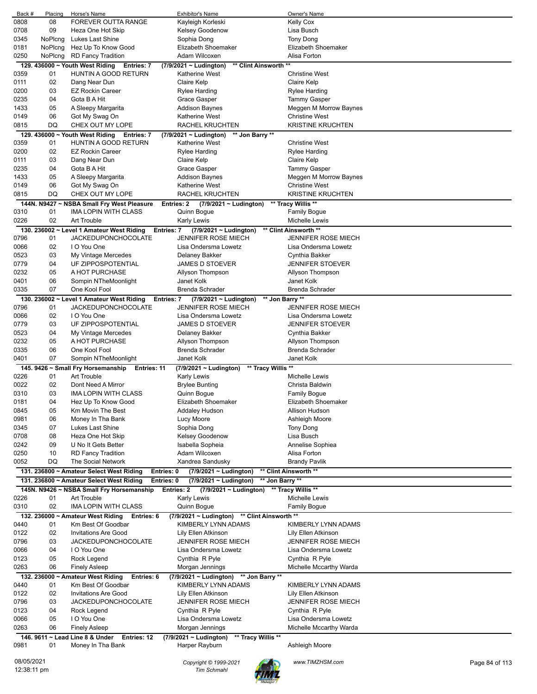| Back #      | Placing | Horse's Name                                             | <b>Exhibitor's Name</b>                                             | Owner's Name               |                |
|-------------|---------|----------------------------------------------------------|---------------------------------------------------------------------|----------------------------|----------------|
| 0808        | 08      | FOREVER OUTTA RANGE                                      | Kayleigh Korleski                                                   | <b>Kelly Cox</b>           |                |
| 0708        | 09      | Heza One Hot Skip                                        | Kelsey Goodenow                                                     | Lisa Busch                 |                |
| 0345        | NoPlcng | Lukes Last Shine                                         | Sophia Dong                                                         | <b>Tony Dong</b>           |                |
| 0181        | NoPlcng | Hez Up To Know Good                                      | Elizabeth Shoemaker                                                 | Elizabeth Shoemaker        |                |
| 0250        | NoPlcng | <b>RD Fancy Tradition</b>                                | Adam Wilcoxen                                                       | Alisa Forton               |                |
|             |         | 129. 436000 ~ Youth West Riding<br>Entries: 7            | ** Clint Ainsworth<br>$(7/9/2021 \sim$ Ludington)                   | $\star\star$               |                |
| 0359        | 01      | <b>HUNTIN A GOOD RETURN</b>                              | Katherine West                                                      | <b>Christine West</b>      |                |
| 0111        | 02      | Dang Near Dun                                            | Claire Kelp                                                         | Claire Kelp                |                |
| 0200        | 03      | <b>EZ Rockin Career</b>                                  | Rylee Harding                                                       | <b>Rylee Harding</b>       |                |
| 0235        | 04      | Gota B A Hit                                             | Grace Gasper                                                        | <b>Tammy Gasper</b>        |                |
| 1433        | 05      | A Sleepy Margarita                                       | <b>Addison Baynes</b>                                               | Meggen M Morrow Baynes     |                |
| 0149        | 06      | Got My Swag On                                           | <b>Katherine West</b>                                               | <b>Christine West</b>      |                |
| 0815        | DQ      | CHEX OUT MY LOPE                                         | RACHEL KRUCHTEN                                                     | <b>KRISTINE KRUCHTEN</b>   |                |
|             |         | 129. 436000 $\sim$ Youth West Riding<br>Entries: 7       | ** Jon Barry **<br>$(7/9/2021 \sim$ Ludington)                      |                            |                |
| 0359        | 01      | HUNTIN A GOOD RETURN                                     | Katherine West                                                      | <b>Christine West</b>      |                |
| 0200        | 02      | <b>EZ Rockin Career</b>                                  | Rylee Harding                                                       | <b>Rylee Harding</b>       |                |
| 0111        | 03      | Dang Near Dun                                            | Claire Kelp                                                         | Claire Kelp                |                |
| 0235        | 04      | Gota B A Hit                                             | Grace Gasper                                                        | Tammy Gasper               |                |
| 1433        | 05      | A Sleepy Margarita                                       | Addison Baynes                                                      | Meggen M Morrow Baynes     |                |
| 0149        | 06      | Got My Swag On                                           | Katherine West                                                      | <b>Christine West</b>      |                |
| 0815        | DQ      | CHEX OUT MY LOPE                                         | RACHEL KRUCHTEN                                                     | <b>KRISTINE KRUCHTEN</b>   |                |
|             |         | 144N. N9427 ~ NSBA Small Fry West Pleasure               | Entries: 2<br>(7/9/2021 ~ Ludington)                                | ** Tracy Willis **         |                |
| 0310        | 01      | <b>IMA LOPIN WITH CLASS</b>                              | Quinn Bogue                                                         | <b>Family Bogue</b>        |                |
| 0226        | 02      | Art Trouble                                              | Karly Lewis                                                         | Michelle Lewis             |                |
|             |         | 130. 236002 ~ Level 1 Amateur West Riding                | (7/9/2021 ~ Ludington)<br>Entries: 7                                | ** Clint Ainsworth **      |                |
| 0796        | 01      | <b>JACKEDUPONCHOCOLATE</b>                               | <b>JENNIFER ROSE MIECH</b>                                          | <b>JENNIFER ROSE MIECH</b> |                |
| 0066        | 02      | I O You One                                              | Lisa Ondersma Lowetz                                                | Lisa Ondersma Lowetz       |                |
| 0523        | 03      |                                                          | Delaney Bakker                                                      | Cynthia Bakker             |                |
| 0779        | 04      | My Vintage Mercedes<br>UF ZIPPOSPOTENTIAL                | <b>JAMES D STOEVER</b>                                              | <b>JENNIFER STOEVER</b>    |                |
| 0232        | 05      | A HOT PURCHASE                                           | Allyson Thompson                                                    | Allyson Thompson           |                |
| 0401        | 06      | Sompin NTheMoonlight                                     | Janet Kolk                                                          | Janet Kolk                 |                |
| 0335        | 07      | One Kool Fool                                            |                                                                     |                            |                |
|             |         |                                                          | Brenda Schrader                                                     | Brenda Schrader            |                |
|             |         | 130. 236002 ~ Level 1 Amateur West Riding                | ** Jon Barry **<br>$(7/9/2021 \sim$ Ludington)<br><b>Entries: 7</b> |                            |                |
| 0796        | 01      | <b>JACKEDUPONCHOCOLATE</b>                               | <b>JENNIFER ROSE MIECH</b>                                          | <b>JENNIFER ROSE MIECH</b> |                |
| 0066        | 02      | I O You One                                              | Lisa Ondersma Lowetz                                                | Lisa Ondersma Lowetz       |                |
| 0779        | 03      | UF ZIPPOSPOTENTIAL                                       | <b>JAMES D STOEVER</b>                                              | <b>JENNIFER STOEVER</b>    |                |
| 0523        | 04      | My Vintage Mercedes                                      | Delaney Bakker                                                      | Cynthia Bakker             |                |
| 0232        | 05      | A HOT PURCHASE                                           | Allyson Thompson                                                    | Allyson Thompson           |                |
| 0335        | 06      | One Kool Fool                                            | <b>Brenda Schrader</b>                                              | <b>Brenda Schrader</b>     |                |
| 0401        | 07      | Sompin NTheMoonlight                                     | Janet Kolk                                                          | Janet Kolk                 |                |
|             |         | 145. 9426 ~ Small Fry Horsemanship<br><b>Entries: 11</b> | ** Tracy Willis **<br>(7/9/2021 ~ Ludington)                        |                            |                |
| 0226        | 01      | Art Trouble                                              | Karly Lewis                                                         | Michelle Lewis             |                |
| 0022        | 02      | Dont Need A Mirror                                       | <b>Brylee Bunting</b>                                               | Christa Baldwin            |                |
| 0310        | 03      | IMA LOPIN WITH CLASS                                     | Quinn Bogue                                                         | <b>Family Bogue</b>        |                |
| 0181        | 04      | Hez Up To Know Good                                      | Elizabeth Shoemaker                                                 | Elizabeth Shoemaker        |                |
| 0845        | 05      | Km Movin The Best                                        | Addaley Hudson                                                      | Allison Hudson             |                |
| 0981        | 06      | Money In Tha Bank                                        | Lucy Moore                                                          | Ashleigh Moore             |                |
| 0345        | 07      | Lukes Last Shine                                         | Sophia Dong                                                         | Tony Dong                  |                |
| 0708        | 08      | Heza One Hot Skip                                        | Kelsey Goodenow                                                     | Lisa Busch                 |                |
| 0242        | 09      | U No It Gets Better                                      | Isabella Sopheia                                                    | Annelise Sophiea           |                |
| 0250        | 10      | <b>RD Fancy Tradition</b>                                | Adam Wilcoxen                                                       | Alisa Forton               |                |
| 0052        | DQ      | The Social Network                                       | Xandrea Sandusky                                                    | <b>Brandy Pavlik</b>       |                |
|             |         | 131. 236800 ~ Amateur Select West Riding                 | Entries: 0<br>(7/9/2021 ~ Ludington)                                | ** Clint Ainsworth **      |                |
|             |         | 131. 236800 ~ Amateur Select West Riding                 | Entries: 0<br>(7/9/2021 ~ Ludington)<br>** Jon Barry **             |                            |                |
|             |         | 145N. N9426 ~ NSBA Small Fry Horsemanship                | Entries: 2<br>$(7/9/2021 \sim$ Ludington) ** Tracy Willis **        |                            |                |
| 0226        | 01      | Art Trouble                                              | Karly Lewis                                                         | Michelle Lewis             |                |
| 0310        | 02      | IMA LOPIN WITH CLASS                                     | Quinn Bogue                                                         | <b>Family Bogue</b>        |                |
|             |         | 132. 236000 ~ Amateur West Riding<br>Entries: 6          | (7/9/2021 ~ Ludington) ** Clint Ainsworth **                        |                            |                |
| 0440        | 01      | Km Best Of Goodbar                                       | KIMBERLY LYNN ADAMS                                                 | KIMBERLY LYNN ADAMS        |                |
| 0122        | 02      | <b>Invitations Are Good</b>                              | Lily Ellen Atkinson                                                 | Lily Ellen Atkinson        |                |
| 0796        | 03      | <b>JACKEDUPONCHOCOLATE</b>                               | JENNIFER ROSE MIECH                                                 | <b>JENNIFER ROSE MIECH</b> |                |
| 0066        | 04      | I O You One                                              | Lisa Ondersma Lowetz                                                | Lisa Ondersma Lowetz       |                |
| 0123        | 05      | Rock Legend                                              | Cynthia R Pyle                                                      | Cynthia R Pyle             |                |
|             | 06      |                                                          |                                                                     |                            |                |
| 0263        |         | <b>Finely Asleep</b>                                     | Morgan Jennings                                                     | Michelle Mccarthy Warda    |                |
|             |         | 132. 236000 ~ Amateur West Riding<br>Entries: 6          | ** Jon Barry **<br>$(7/9/2021 \sim$ Ludington)                      |                            |                |
| 0440        | 01      | Km Best Of Goodbar                                       | KIMBERLY LYNN ADAMS                                                 | KIMBERLY LYNN ADAMS        |                |
| 0122        | 02      | <b>Invitations Are Good</b>                              | Lily Ellen Atkinson                                                 | Lily Ellen Atkinson        |                |
| 0796        | 03      | <b>JACKEDUPONCHOCOLATE</b>                               | <b>JENNIFER ROSE MIECH</b>                                          | <b>JENNIFER ROSE MIECH</b> |                |
| 0123        | 04      | Rock Legend                                              | Cynthia R Pyle                                                      | Cynthia R Pyle             |                |
| 0066        | 05      | I O You One                                              | Lisa Ondersma Lowetz                                                | Lisa Ondersma Lowetz       |                |
| 0263        | 06      | <b>Finely Asleep</b>                                     | Morgan Jennings                                                     | Michelle Mccarthy Warda    |                |
|             |         | 146. 9611 ~ Lead Line 8 & Under<br><b>Entries: 12</b>    | (7/9/2021 ~ Ludington)<br>** Tracy Willis **                        |                            |                |
| 0981        | 01      | Money In Tha Bank                                        | Harper Rayburn                                                      | Ashleigh Moore             |                |
|             |         |                                                          |                                                                     |                            |                |
| 08/05/2021  |         |                                                          | Copyright © 1999-2021<br>Tim Schmahl                                | www.TIMZHSM.com            | Page 84 of 113 |
| 12:38:11 pm |         |                                                          |                                                                     |                            |                |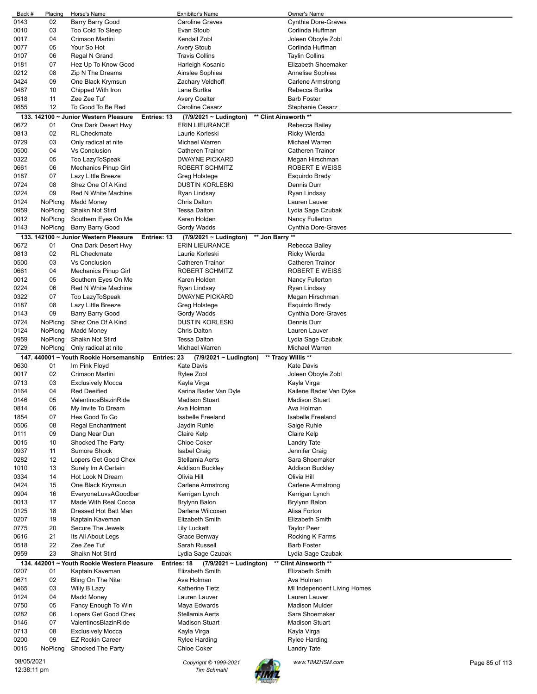| Back #                    | Placing | Horse's Name                                         | Exhibitor's Name                               | Owner's Name                |                |
|---------------------------|---------|------------------------------------------------------|------------------------------------------------|-----------------------------|----------------|
| 0143                      | 02      | Barry Barry Good                                     | <b>Caroline Graves</b>                         | Cynthia Dore-Graves         |                |
| 0010                      | 03      | Too Cold To Sleep                                    | Evan Stoub                                     | Corlinda Huffman            |                |
| 0017                      | 04      | Crimson Martini                                      | Kendall Zobl                                   | Joleen Oboyle Zobl          |                |
| 0077                      | 05      | Your So Hot                                          | <b>Avery Stoub</b>                             | Corlinda Huffman            |                |
| 0107                      | 06      | Regal N Grand                                        | <b>Travis Collins</b>                          | <b>Taylin Collins</b>       |                |
| 0181                      | 07      | Hez Up To Know Good                                  | Harleigh Kosanic                               | Elizabeth Shoemaker         |                |
| 0212                      | 08      | Zip N The Dreams                                     | Ainslee Sophiea                                | Annelise Sophiea            |                |
| 0424                      | 09      | One Black Krymsun                                    | Zachary Veldhoff                               | Carlene Armstrong           |                |
| 0487                      | 10      | Chipped With Iron                                    | Lane Burtka                                    | Rebecca Burtka              |                |
|                           |         |                                                      |                                                |                             |                |
| 0518                      | 11      | Zee Zee Tuf                                          | <b>Avery Coalter</b>                           | <b>Barb Foster</b>          |                |
| 0855                      | 12      | To Good To Be Red                                    | Caroline Cesarz                                | Stephanie Cesarz            |                |
|                           |         | 133. 142100 ~ Junior Western Pleasure<br>Entries: 13 | (7/9/2021 ~ Ludington)                         | ** Clint Ainsworth **       |                |
| 0672                      | 01      | Ona Dark Desert Hwy                                  | <b>ERIN LIEURANCE</b>                          | Rebecca Bailey              |                |
| 0813                      | 02      | <b>RL</b> Checkmate                                  | Laurie Korleski                                | <b>Ricky Wierda</b>         |                |
| 0729                      | 03      | Only radical at nite                                 | Michael Warren                                 | Michael Warren              |                |
| 0500                      | 04      | <b>Vs Conclusion</b>                                 | <b>Catheren Trainor</b>                        | <b>Catheren Trainor</b>     |                |
| 0322                      | 05      | Too LazyToSpeak                                      | <b>DWAYNE PICKARD</b>                          | Megan Hirschman             |                |
| 0661                      | 06      | <b>Mechanics Pinup Girl</b>                          | ROBERT SCHMITZ                                 | ROBERT E WEISS              |                |
| 0187                      | 07      | Lazy Little Breeze                                   | Greg Holstege                                  | Esquirdo Brady              |                |
| 0724                      | 08      | Shez One Of A Kind                                   | <b>DUSTIN KORLESKI</b>                         | Dennis Durr                 |                |
| 0224                      | 09      | Red N White Machine                                  | Ryan Lindsay                                   | Ryan Lindsay                |                |
| 0124                      | NoPlcng | <b>Madd Money</b>                                    | <b>Chris Dalton</b>                            | Lauren Lauver               |                |
| 0959                      | NoPlcng | Shaikn Not Stird                                     | <b>Tessa Dalton</b>                            | Lydia Sage Czubak           |                |
| 0012                      | NoPlcng | Southern Eyes On Me                                  | Karen Holden                                   | Nancy Fullerton             |                |
| 0143                      | NoPlcng |                                                      |                                                | <b>Cynthia Dore-Graves</b>  |                |
|                           |         | <b>Barry Barry Good</b>                              | Gordy Wadds                                    |                             |                |
|                           |         | 133. 142100 ~ Junior Western Pleasure<br>Entries: 13 | ** Jon Barry **<br>$(7/9/2021 \sim$ Ludington) |                             |                |
| 0672                      | 01      | Ona Dark Desert Hwy                                  | <b>ERIN LIEURANCE</b>                          | Rebecca Bailey              |                |
| 0813                      | 02      | <b>RL</b> Checkmate                                  | Laurie Korleski                                | <b>Ricky Wierda</b>         |                |
| 0500                      | 03      | <b>Vs Conclusion</b>                                 | <b>Catheren Trainor</b>                        | <b>Catheren Trainor</b>     |                |
| 0661                      | 04      | <b>Mechanics Pinup Girl</b>                          | ROBERT SCHMITZ                                 | ROBERT E WEISS              |                |
| 0012                      | 05      | Southern Eyes On Me                                  | Karen Holden                                   | Nancy Fullerton             |                |
| 0224                      | 06      | Red N White Machine                                  | Ryan Lindsay                                   | Ryan Lindsay                |                |
| 0322                      | 07      | Too LazyToSpeak                                      | <b>DWAYNE PICKARD</b>                          | Megan Hirschman             |                |
| 0187                      | 08      | Lazy Little Breeze                                   | Greg Holstege                                  | Esquirdo Brady              |                |
| 0143                      | 09      | <b>Barry Barry Good</b>                              | Gordy Wadds                                    | Cynthia Dore-Graves         |                |
| 0724                      | NoPlcng | Shez One Of A Kind                                   | <b>DUSTIN KORLESKI</b>                         | Dennis Durr                 |                |
| 0124                      | NoPlcng | <b>Madd Money</b>                                    | Chris Dalton                                   | Lauren Lauver               |                |
| 0959                      |         |                                                      |                                                |                             |                |
|                           |         |                                                      |                                                |                             |                |
|                           | NoPlcng | Shaikn Not Stird                                     | <b>Tessa Dalton</b>                            | Lydia Sage Czubak           |                |
| 0729                      | NoPlcng | Only radical at nite                                 | Michael Warren                                 | Michael Warren              |                |
|                           |         | 147. 440001 ~ Youth Rookie Horsemanship              | Entries: 23<br>(7/9/2021 ~ Ludington)          | ** Tracy Willis **          |                |
| 0630                      | 01      | Im Pink Floyd                                        | <b>Kate Davis</b>                              | <b>Kate Davis</b>           |                |
| 0017                      | 02      | Crimson Martini                                      | Rylee Zobl                                     | Joleen Oboyle Zobl          |                |
| 0713                      | 03      | <b>Exclusively Mocca</b>                             | Kayla Virga                                    | Kayla Virga                 |                |
| 0164                      | 04      | <b>Red Deeified</b>                                  | Karina Bader Van Dyle                          | Kailene Bader Van Dyke      |                |
| 0146                      | 05      | ValentinosBlazinRide                                 | Madison Stuart                                 | <b>Madison Stuart</b>       |                |
| 0814                      | 06      | My Invite To Dream                                   | Ava Holman                                     | Ava Holman                  |                |
| 1854                      | 07      | Hes Good To Go                                       | <b>Isabelle Freeland</b>                       | <b>Isabelle Freeland</b>    |                |
| 0506                      | 08      | <b>Regal Enchantment</b>                             | Jaydin Ruhle                                   | Saige Ruhle                 |                |
| 0111                      | 09      | Dang Near Dun                                        | Claire Kelp                                    | Claire Kelp                 |                |
| 0015                      | 10      | Shocked The Party                                    | Chloe Coker                                    | <b>Landry Tate</b>          |                |
| 0937                      | 11      | Sumore Shock                                         | <b>Isabel Craig</b>                            | Jennifer Craig              |                |
| 0282                      | 12      | Lopers Get Good Chex                                 | Stellamia Aerts                                | Sara Shoemaker              |                |
| 1010                      | 13      | Surely Im A Certain                                  | <b>Addison Buckley</b>                         | <b>Addison Buckley</b>      |                |
| 0334                      | 14      | Hot Look N Dream                                     | Olivia Hill                                    | Olivia Hill                 |                |
| 0424                      | 15      | One Black Krymsun                                    | <b>Carlene Armstrong</b>                       |                             |                |
|                           |         | EveryoneLuvsAGoodbar                                 |                                                | Carlene Armstrong           |                |
| 0904                      | 16      |                                                      | Kerrigan Lynch                                 | Kerrigan Lynch              |                |
| 0013                      | 17      | Made With Real Cocoa                                 | Brylynn Balon                                  | <b>Brylynn Balon</b>        |                |
| 0125                      | 18      | Dressed Hot Batt Man                                 | Darlene Wilcoxen                               | Alisa Forton                |                |
| 0207                      | 19      | Kaptain Kaveman                                      | <b>Elizabeth Smith</b>                         | Elizabeth Smith             |                |
| 0775                      | 20      | Secure The Jewels                                    | <b>Lily Luckett</b>                            | <b>Taylor Peer</b>          |                |
| 0616                      | 21      | Its All About Legs                                   | Grace Benway                                   | Rocking K Farms             |                |
| 0518                      | 22      | Zee Zee Tuf                                          | Sarah Russell                                  | Barb Foster                 |                |
| 0959                      | 23      | Shaikn Not Stird                                     | Lydia Sage Czubak                              | Lydia Sage Czubak           |                |
|                           |         | 134. 442001 ~ Youth Rookie Western Pleasure          | Entries: 18<br>(7/9/2021 ~ Ludington)          | ** Clint Ainsworth **       |                |
| 0207                      | 01      | Kaptain Kaveman                                      | Elizabeth Smith                                | Elizabeth Smith             |                |
| 0671                      | 02      | Bling On The Nite                                    | Ava Holman                                     | Ava Holman                  |                |
| 0465                      | 03      | Willy B Lazy                                         | <b>Katherine Tietz</b>                         | MI Independent Living Homes |                |
| 0124                      | 04      | <b>Madd Money</b>                                    | Lauren Lauver                                  | Lauren Lauver               |                |
| 0750                      | 05      | Fancy Enough To Win                                  | Maya Edwards                                   | <b>Madison Mulder</b>       |                |
| 0282                      | 06      | Lopers Get Good Chex                                 | Stellamia Aerts                                | Sara Shoemaker              |                |
| 0146                      | 07      | ValentinosBlazinRide                                 | <b>Madison Stuart</b>                          | <b>Madison Stuart</b>       |                |
| 0713                      | 08      | <b>Exclusively Mocca</b>                             |                                                | Kayla Virga                 |                |
|                           |         |                                                      | Kayla Virga                                    |                             |                |
| 0200                      | 09      | <b>EZ Rockin Career</b>                              | <b>Rylee Harding</b>                           | Rylee Harding               |                |
| 0015                      | NoPicng | Shocked The Party                                    | Chloe Coker                                    | Landry Tate                 |                |
| 08/05/2021<br>12:38:11 pm |         |                                                      | Copyright © 1999-2021                          | www.TIMZHSM.com             | Page 85 of 113 |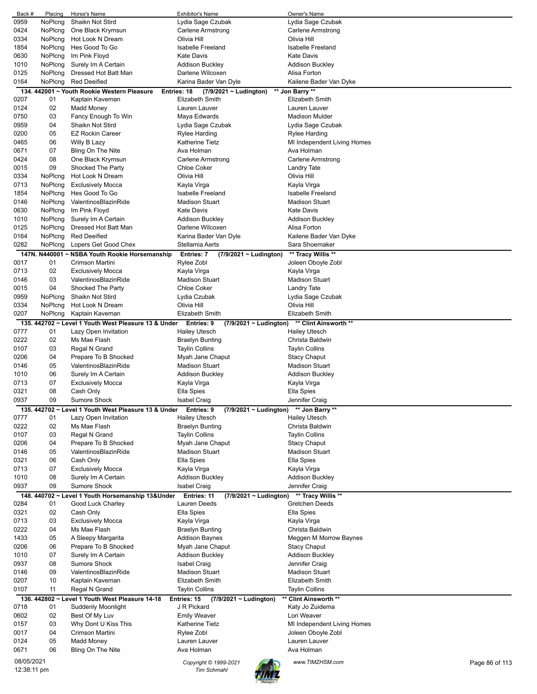| Back #     | Placing | Horse's Name                                                    | <b>Exhibitor's Name</b>                              | Owner's Name                |                |
|------------|---------|-----------------------------------------------------------------|------------------------------------------------------|-----------------------------|----------------|
| 0959       | NoPlcng | Shaikn Not Stird                                                | Lydia Sage Czubak                                    | Lydia Sage Czubak           |                |
| 0424       | NoPlcng | One Black Krymsun                                               | Carlene Armstrong                                    | Carlene Armstrong           |                |
|            |         |                                                                 |                                                      |                             |                |
| 0334       | NoPlcng | Hot Look N Dream                                                | Olivia Hill                                          | Olivia Hill                 |                |
| 1854       | NoPlcng | Hes Good To Go                                                  | <b>Isabelle Freeland</b>                             | <b>Isabelle Freeland</b>    |                |
| 0630       | NoPlcng | Im Pink Floyd                                                   | <b>Kate Davis</b>                                    | <b>Kate Davis</b>           |                |
|            |         |                                                                 |                                                      |                             |                |
| 1010       | NoPlcng | Surely Im A Certain                                             | Addison Buckley                                      | <b>Addison Buckley</b>      |                |
| 0125       | NoPlcng | Dressed Hot Batt Man                                            | Darlene Wilcoxen                                     | Alisa Forton                |                |
| 0164       | NoPlcng | <b>Red Deeified</b>                                             | Karina Bader Van Dyle                                | Kailene Bader Van Dyke      |                |
|            |         |                                                                 |                                                      |                             |                |
|            |         | 134. 442001 ~ Youth Rookie Western Pleasure                     | Entries: 18<br>(7/9/2021 ~ Ludington)                | ** Jon Barry **             |                |
| 0207       | 01      | Kaptain Kaveman                                                 | <b>Elizabeth Smith</b>                               | <b>Elizabeth Smith</b>      |                |
| 0124       | 02      | Madd Money                                                      | Lauren Lauver                                        | Lauren Lauver               |                |
| 0750       | 03      |                                                                 | Maya Edwards                                         | <b>Madison Mulder</b>       |                |
|            |         | Fancy Enough To Win                                             |                                                      |                             |                |
| 0959       | 04      | Shaikn Not Stird                                                | Lydia Sage Czubak                                    | Lydia Sage Czubak           |                |
| 0200       | 05      | <b>EZ Rockin Career</b>                                         | Rylee Harding                                        | Rylee Harding               |                |
| 0465       | 06      | Willy B Lazy                                                    | Katherine Tietz                                      | MI Independent Living Homes |                |
|            |         |                                                                 |                                                      |                             |                |
| 0671       | 07      | Bling On The Nite                                               | Ava Holman                                           | Ava Holman                  |                |
| 0424       | 08      | One Black Krymsun                                               | Carlene Armstrong                                    | Carlene Armstrong           |                |
| 0015       | 09      | Shocked The Party                                               | <b>Chloe Coker</b>                                   | Landry Tate                 |                |
|            |         |                                                                 |                                                      |                             |                |
| 0334       | NoPicng | Hot Look N Dream                                                | Olivia Hill                                          | Olivia Hill                 |                |
| 0713       | NoPlcng | <b>Exclusively Mocca</b>                                        | Kayla Virga                                          | Kayla Virga                 |                |
| 1854       | NoPlcng | Hes Good To Go                                                  | <b>Isabelle Freeland</b>                             | <b>Isabelle Freeland</b>    |                |
| 0146       | NoPlcng | ValentinosBlazinRide                                            | <b>Madison Stuart</b>                                | <b>Madison Stuart</b>       |                |
|            |         |                                                                 |                                                      |                             |                |
| 0630       | NoPlcng | Im Pink Floyd                                                   | <b>Kate Davis</b>                                    | <b>Kate Davis</b>           |                |
| 1010       | NoPlcng | Surely Im A Certain                                             | <b>Addison Buckley</b>                               | <b>Addison Buckley</b>      |                |
| 0125       | NoPlcng | Dressed Hot Batt Man                                            | Darlene Wilcoxen                                     | Alisa Forton                |                |
|            |         |                                                                 |                                                      |                             |                |
| 0164       | NoPlcng | <b>Red Deeified</b>                                             | Karina Bader Van Dyle                                | Kailene Bader Van Dyke      |                |
| 0282       | NoPlcng | Lopers Get Good Chex                                            | Stellamia Aerts                                      | Sara Shoemaker              |                |
|            |         | 147N. N440001 ~ NSBA Youth Rookie Horsemanship                  | <b>Entries: 7</b><br>(7/9/2021 ~ Ludington)          | ** Tracy Willis **          |                |
|            |         |                                                                 |                                                      |                             |                |
| 0017       | 01      | Crimson Martini                                                 | Rylee Zobl                                           | Joleen Oboyle Zobl          |                |
| 0713       | 02      | <b>Exclusively Mocca</b>                                        | Kayla Virga                                          | Kayla Virga                 |                |
| 0146       | 03      | ValentinosBlazinRide                                            | <b>Madison Stuart</b>                                | <b>Madison Stuart</b>       |                |
|            |         |                                                                 |                                                      |                             |                |
| 0015       | 04      | Shocked The Party                                               | <b>Chloe Coker</b>                                   | Landry Tate                 |                |
| 0959       | NoPlcng | Shaikn Not Stird                                                | Lydia Czubak                                         | Lydia Sage Czubak           |                |
| 0334       | NoPlcng | Hot Look N Dream                                                | Olivia Hill                                          | Olivia Hill                 |                |
| 0207       | NoPlcng | Kaptain Kaveman                                                 | <b>Elizabeth Smith</b>                               | <b>Elizabeth Smith</b>      |                |
|            |         |                                                                 |                                                      |                             |                |
|            |         | 135. 442702 ~ Level 1 Youth West Pleasure 13 & Under Entries: 9 | $(7/9/2021 \sim$ Ludington)                          | ** Clint Ainsworth **       |                |
| 0777       | 01      | Lazy Open Invitation                                            | <b>Hailey Utesch</b>                                 | <b>Hailey Utesch</b>        |                |
| 0222       | 02      | Ms Mae Flash                                                    | <b>Braelyn Bunting</b>                               | Christa Baldwin             |                |
|            |         |                                                                 |                                                      |                             |                |
| 0107       | 03      | Regal N Grand                                                   | <b>Taylin Collins</b>                                | <b>Taylin Collins</b>       |                |
| 0206       | 04      | Prepare To B Shocked                                            | Myah Jane Chaput                                     | <b>Stacy Chaput</b>         |                |
| 0146       | 05      | ValentinosBlazinRide                                            | <b>Madison Stuart</b>                                | <b>Madison Stuart</b>       |                |
|            |         |                                                                 |                                                      |                             |                |
| 1010       | 06      | Surely Im A Certain                                             | Addison Buckley                                      | Addison Buckley             |                |
| 0713       | 07      | <b>Exclusively Mocca</b>                                        | Kayla Virga                                          | Kayla Virga                 |                |
| 0321       | 08      | Cash Only                                                       | Ella Spies                                           | Ella Spies                  |                |
| 0937       | 09      | <b>Sumore Shock</b>                                             | Isabel Craig                                         | Jennifer Craig              |                |
|            |         |                                                                 |                                                      |                             |                |
|            |         | 135. 442702 ~ Level 1 Youth West Pleasure 13 & Under            | (7/9/2021 ~ Ludington) ** Jon Barry **<br>Entries: 9 |                             |                |
| 0777       | 01      | Lazy Open Invitation                                            | <b>Hailey Utesch</b>                                 | <b>Hailey Utesch</b>        |                |
| 0222       | 02      | Ms Mae Flash                                                    | <b>Braelyn Bunting</b>                               | Christa Baldwin             |                |
|            |         |                                                                 |                                                      |                             |                |
| 0107       | 03      | Regal N Grand                                                   | <b>Taylin Collins</b>                                | <b>Taylin Collins</b>       |                |
| 0206       | 04      | Prepare To B Shocked                                            | Myah Jane Chaput                                     | <b>Stacy Chaput</b>         |                |
| 0146       | 05      | ValentinosBlazinRide                                            | <b>Madison Stuart</b>                                | <b>Madison Stuart</b>       |                |
|            |         |                                                                 | Ella Spies                                           |                             |                |
| 0321       | 06      | Cash Only                                                       |                                                      |                             |                |
| 0713       |         |                                                                 |                                                      | Ella Spies                  |                |
|            | 07      | <b>Exclusively Mocca</b>                                        | Kayla Virga                                          | Kayla Virga                 |                |
| 1010       | 08      | Surely Im A Certain                                             |                                                      |                             |                |
|            |         |                                                                 | <b>Addison Buckley</b>                               | <b>Addison Buckley</b>      |                |
| 0937       | 09      | <b>Sumore Shock</b>                                             | <b>Isabel Craig</b>                                  | Jennifer Craig              |                |
|            |         | 148. 440702 ~ Level 1 Youth Horsemanship 13&Under               | Entries: 11<br>$(7/9/2021 \sim$ Ludington)           | ** Tracy Willis **          |                |
| 0284       | 01      | Good Luck Charley                                               | Lauren Deeds                                         | Gretchen Deeds              |                |
|            |         |                                                                 |                                                      |                             |                |
| 0321       | 02      | Cash Only                                                       | Ella Spies                                           | Ella Spies                  |                |
| 0713       | 03      | <b>Exclusively Mocca</b>                                        | Kayla Virga                                          | Kayla Virga                 |                |
| 0222       | 04      | Ms Mae Flash                                                    | <b>Braelyn Bunting</b>                               | Christa Baldwin             |                |
|            |         |                                                                 |                                                      |                             |                |
| 1433       | 05      | A Sleepy Margarita                                              | <b>Addison Baynes</b>                                | Meggen M Morrow Baynes      |                |
| 0206       | 06      | Prepare To B Shocked                                            | Myah Jane Chaput                                     | <b>Stacy Chaput</b>         |                |
| 1010       | 07      | Surely Im A Certain                                             | <b>Addison Buckley</b>                               | <b>Addison Buckley</b>      |                |
| 0937       | 08      | <b>Sumore Shock</b>                                             | <b>Isabel Craig</b>                                  | Jennifer Craig              |                |
|            |         |                                                                 |                                                      |                             |                |
| 0146       | 09      | ValentinosBlazinRide                                            | <b>Madison Stuart</b>                                | <b>Madison Stuart</b>       |                |
| 0207       | 10      | Kaptain Kaveman                                                 | <b>Elizabeth Smith</b>                               | Elizabeth Smith             |                |
| 0107       | 11      | Regal N Grand                                                   | <b>Taylin Collins</b>                                | <b>Taylin Collins</b>       |                |
|            |         |                                                                 |                                                      |                             |                |
|            |         | 136. 442802 ~ Level 1 Youth West Pleasure 14-18                 | Entries: 15<br>(7/9/2021 ~ Ludington)                | ** Clint Ainsworth **       |                |
| 0718       | 01      | Suddenly Moonlight                                              | J R Pickard                                          | Katy Jo Zuidema             |                |
| 0602       | 02      | Best Of My Luv                                                  | <b>Emily Weaver</b>                                  | Lori Weaver                 |                |
|            | 03      |                                                                 | Katherine Tietz                                      |                             |                |
| 0157       |         | Why Dont U Kiss This                                            |                                                      | MI Independent Living Homes |                |
| 0017       | 04      | Crimson Martini                                                 | Rylee Zobl                                           | Joleen Oboyle Zobl          |                |
| 0124       | 05      | <b>Madd Money</b>                                               | Lauren Lauver                                        | Lauren Lauver               |                |
| 0671       | 06      | Bling On The Nite                                               | Ava Holman                                           | Ava Holman                  |                |
|            |         |                                                                 |                                                      |                             |                |
| 08/05/2021 |         |                                                                 | Copyright © 1999-2021                                | www.TIMZHSM.com             | Page 86 of 113 |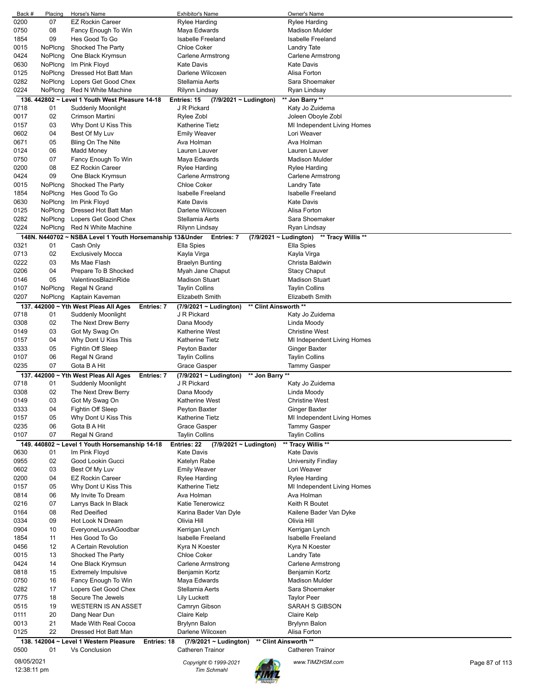| Back #     | Placing | Horse's Name                                               | Exhibitor's Name                             | Owner's Name                              |                |
|------------|---------|------------------------------------------------------------|----------------------------------------------|-------------------------------------------|----------------|
| 0200       | 07      | <b>EZ Rockin Career</b>                                    | <b>Rylee Harding</b>                         | <b>Rylee Harding</b>                      |                |
| 0750       | 08      | Fancy Enough To Win                                        | Maya Edwards                                 | <b>Madison Mulder</b>                     |                |
|            |         |                                                            |                                              |                                           |                |
| 1854       | 09      | Hes Good To Go                                             | <b>Isabelle Freeland</b>                     | <b>Isabelle Freeland</b>                  |                |
| 0015       | NoPlcng | Shocked The Party                                          | <b>Chloe Coker</b>                           | Landry Tate                               |                |
| 0424       | NoPlcng | One Black Krymsun                                          | Carlene Armstrong                            | Carlene Armstrong                         |                |
|            |         |                                                            |                                              |                                           |                |
| 0630       | NoPlcng | Im Pink Floyd                                              | <b>Kate Davis</b>                            | <b>Kate Davis</b>                         |                |
| 0125       | NoPlcng | Dressed Hot Batt Man                                       | Darlene Wilcoxen                             | Alisa Forton                              |                |
| 0282       | NoPlcng | Lopers Get Good Chex                                       | Stellamia Aerts                              | Sara Shoemaker                            |                |
|            |         |                                                            |                                              |                                           |                |
| 0224       | NoPlcng | Red N White Machine                                        | Rilynn Lindsay                               | Ryan Lindsay                              |                |
|            |         | 136. 442802 ~ Level 1 Youth West Pleasure 14-18            | Entries: 15<br>(7/9/2021 ~ Ludington)        | ** Jon Barry **                           |                |
|            |         |                                                            | J R Pickard                                  | Katy Jo Zuidema                           |                |
| 0718       | 01      | Suddenly Moonlight                                         |                                              |                                           |                |
| 0017       | 02      | Crimson Martini                                            | Rylee Zobl                                   | Joleen Oboyle Zobl                        |                |
| 0157       | 03      | Why Dont U Kiss This                                       | Katherine Tietz                              | MI Independent Living Homes               |                |
|            |         |                                                            |                                              |                                           |                |
| 0602       | 04      | Best Of My Luv                                             | <b>Emily Weaver</b>                          | Lori Weaver                               |                |
| 0671       | 05      | Bling On The Nite                                          | Ava Holman                                   | Ava Holman                                |                |
| 0124       | 06      | Madd Money                                                 | Lauren Lauver                                | Lauren Lauver                             |                |
|            |         |                                                            |                                              |                                           |                |
| 0750       | 07      | Fancy Enough To Win                                        | Maya Edwards                                 | <b>Madison Mulder</b>                     |                |
| 0200       | 08      | <b>EZ Rockin Career</b>                                    | Rylee Harding                                | Rylee Harding                             |                |
| 0424       | 09      | One Black Krymsun                                          | <b>Carlene Armstrong</b>                     | Carlene Armstrong                         |                |
|            |         |                                                            |                                              |                                           |                |
| 0015       | NoPlcng | Shocked The Party                                          | <b>Chloe Coker</b>                           | Landry Tate                               |                |
| 1854       | NoPlcng | Hes Good To Go                                             | <b>Isabelle Freeland</b>                     | <b>Isabelle Freeland</b>                  |                |
| 0630       | NoPlcng | Im Pink Floyd                                              | <b>Kate Davis</b>                            | <b>Kate Davis</b>                         |                |
|            |         |                                                            |                                              |                                           |                |
| 0125       | NoPlcng | Dressed Hot Batt Man                                       | Darlene Wilcoxen                             | Alisa Forton                              |                |
| 0282       | NoPlcng | Lopers Get Good Chex                                       | Stellamia Aerts                              | Sara Shoemaker                            |                |
| 0224       | NoPlcng | Red N White Machine                                        | Rilynn Lindsay                               | Ryan Lindsay                              |                |
|            |         |                                                            |                                              |                                           |                |
|            |         | 148N. N440702 ~ NSBA Level 1 Youth Horsemanship 13&Under   | Entries: 7                                   | (7/9/2021 ~ Ludington) ** Tracy Willis ** |                |
| 0321       | 01      | Cash Only                                                  | Ella Spies                                   | Ella Spies                                |                |
|            |         |                                                            |                                              |                                           |                |
| 0713       | 02      | <b>Exclusively Mocca</b>                                   | Kayla Virga                                  | Kayla Virga                               |                |
| 0222       | 03      | Ms Mae Flash                                               | <b>Braelyn Bunting</b>                       | Christa Baldwin                           |                |
| 0206       | 04      | Prepare To B Shocked                                       | Myah Jane Chaput                             | <b>Stacy Chaput</b>                       |                |
|            |         |                                                            |                                              |                                           |                |
| 0146       | 05      | ValentinosBlazinRide                                       | <b>Madison Stuart</b>                        | Madison Stuart                            |                |
| 0107       | NoPlcng | Regal N Grand                                              | <b>Taylin Collins</b>                        | <b>Taylin Collins</b>                     |                |
| 0207       | NoPlcng | Kaptain Kaveman                                            | Elizabeth Smith                              | Elizabeth Smith                           |                |
|            |         |                                                            |                                              |                                           |                |
|            |         | 137. 442000 ~ Yth West Pleas All Ages<br><b>Entries: 7</b> | (7/9/2021 ~ Ludington)                       | ** Clint Ainsworth **                     |                |
| 0718       | 01      | Suddenly Moonlight                                         | J R Pickard                                  | Katy Jo Zuidema                           |                |
| 0308       | 02      | The Next Drew Berry                                        | Dana Moody                                   | Linda Moody                               |                |
|            |         |                                                            |                                              |                                           |                |
| 0149       | 03      | Got My Swag On                                             | Katherine West                               | <b>Christine West</b>                     |                |
| 0157       | 04      | Why Dont U Kiss This                                       | <b>Katherine Tietz</b>                       | MI Independent Living Homes               |                |
| 0333       | 05      | Fightin Off Sleep                                          | Peyton Baxter                                | <b>Ginger Baxter</b>                      |                |
|            |         |                                                            |                                              |                                           |                |
| 0107       | 06      | Regal N Grand                                              | Taylin Collins                               | <b>Taylin Collins</b>                     |                |
| 0235       | 07      | Gota B A Hit                                               | Grace Gasper                                 | Tammy Gasper                              |                |
|            |         |                                                            |                                              |                                           |                |
|            |         | 137. 442000 ~ Yth West Pleas All Ages<br>Entries: 7        | (7/9/2021 ~ Ludington)                       | ** Jon Barry **                           |                |
| 0718       | 01      | Suddenly Moonlight                                         | J R Pickard                                  | Katy Jo Zuidema                           |                |
| 0308       | 02      | The Next Drew Berry                                        | Dana Moody                                   | Linda Moody                               |                |
|            |         |                                                            |                                              |                                           |                |
| 0149       | 03      | Got My Swag On                                             | Katherine West                               | <b>Christine West</b>                     |                |
| 0333       | 04      | Fightin Off Sleep                                          | Peyton Baxter                                | Ginger Baxter                             |                |
| 0157       | 05      | Why Dont U Kiss This                                       | <b>Katherine Tietz</b>                       | MI Independent Living Homes               |                |
|            |         |                                                            |                                              |                                           |                |
| 0235       | 06      | Gota B A Hit                                               | Grace Gasper                                 | <b>Tammy Gasper</b>                       |                |
| 0107       | 07      | Regal N Grand                                              | <b>Taylin Collins</b>                        | <b>Taylin Collins</b>                     |                |
|            |         | 149. 440802 ~ Level 1 Youth Horsemanship 14-18             | (7/9/2021 ~ Ludington)<br>Entries: 22        | ** Tracy Willis **                        |                |
|            |         |                                                            |                                              |                                           |                |
| 0630       | 01      | Im Pink Floyd                                              | <b>Kate Davis</b>                            | <b>Kate Davis</b>                         |                |
| 0955       | 02      | Good Lookin Gucci                                          | Katelyn Rabe                                 | University Findlay                        |                |
| 0602       | 03      | Best Of My Luv                                             | <b>Emily Weaver</b>                          | Lori Weaver                               |                |
|            |         |                                                            | Rylee Harding                                |                                           |                |
| 0200       | 04      | <b>EZ Rockin Career</b>                                    |                                              | <b>Rylee Harding</b>                      |                |
| 0157       | 05      | Why Dont U Kiss This                                       | <b>Katherine Tietz</b>                       | MI Independent Living Homes               |                |
| 0814       | 06      | My Invite To Dream                                         | Ava Holman                                   | Ava Holman                                |                |
|            | 07      |                                                            |                                              | Keith R Boutet                            |                |
| 0216       |         | Larrys Back In Black                                       | Katie Tenerowicz                             |                                           |                |
| 0164       | 08      | <b>Red Deeified</b>                                        | Karina Bader Van Dyle                        | Kailene Bader Van Dyke                    |                |
| 0334       | 09      | Hot Look N Dream                                           | Olivia Hill                                  | Olivia Hill                               |                |
|            |         |                                                            |                                              |                                           |                |
| 0904       | 10      | EveryoneLuvsAGoodbar                                       | Kerrigan Lynch                               | Kerrigan Lynch                            |                |
| 1854       | 11      | Hes Good To Go                                             | Isabelle Freeland                            | Isabelle Freeland                         |                |
| 0456       | 12      | A Certain Revolution                                       | Kyra N Koester                               | Kyra N Koester                            |                |
| 0015       | 13      | Shocked The Party                                          | <b>Chloe Coker</b>                           |                                           |                |
|            |         |                                                            |                                              | <b>Landry Tate</b>                        |                |
| 0424       | 14      | One Black Krymsun                                          | Carlene Armstrong                            | Carlene Armstrong                         |                |
| 0818       | 15      | <b>Extremely Impulsive</b>                                 | Benjamin Kortz                               | Benjamin Kortz                            |                |
| 0750       | 16      | Fancy Enough To Win                                        | Maya Edwards                                 | <b>Madison Mulder</b>                     |                |
|            |         |                                                            |                                              |                                           |                |
| 0282       | 17      | Lopers Get Good Chex                                       | Stellamia Aerts                              | Sara Shoemaker                            |                |
| 0775       | 18      | Secure The Jewels                                          | <b>Lily Luckett</b>                          | <b>Taylor Peer</b>                        |                |
| 0515       | 19      | <b>WESTERN IS AN ASSET</b>                                 | Camryn Gibson                                | SARAH S GIBSON                            |                |
|            |         |                                                            |                                              |                                           |                |
| 0111       | 20      | Dang Near Dun                                              | Claire Kelp                                  | Claire Kelp                               |                |
| 0013       | 21      | Made With Real Cocoa                                       | Brylynn Balon                                | <b>Brylynn Balon</b>                      |                |
| 0125       | 22      | Dressed Hot Batt Man                                       | Darlene Wilcoxen                             | Alisa Forton                              |                |
|            |         |                                                            |                                              |                                           |                |
|            |         | 138. 142004 ~ Level 1 Western Pleasure                     | <b>Entries: 18</b><br>(7/9/2021 ~ Ludington) | ** Clint Ainsworth **                     |                |
|            |         |                                                            |                                              |                                           |                |
|            | 01      |                                                            | Catheren Trainor                             | <b>Catheren Trainor</b>                   |                |
| 0500       |         | Vs Conclusion                                              |                                              |                                           |                |
| 08/05/2021 |         |                                                            | Copyright © 1999-2021                        | www.TIMZHSM.com                           | Page 87 of 113 |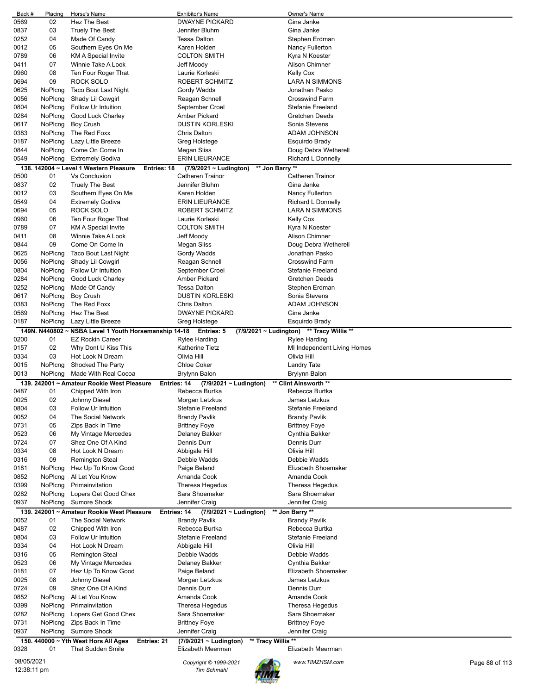| Back #      | Placing | Horse's Name                                          | <b>Exhibitor's Name</b>                           | Owner's Name                      |
|-------------|---------|-------------------------------------------------------|---------------------------------------------------|-----------------------------------|
| 0569        | 02      | Hez The Best                                          | <b>DWAYNE PICKARD</b>                             | Gina Janke                        |
| 0837        | 03      | <b>Truely The Best</b>                                | Jennifer Bluhm                                    | Gina Janke                        |
| 0252        | 04      | Made Of Candy                                         | <b>Tessa Dalton</b>                               | Stephen Erdman                    |
| 0012        | 05      | Southern Eyes On Me                                   | Karen Holden                                      | Nancy Fullerton                   |
| 0789        | 06      | <b>KM A Special Invite</b>                            | <b>COLTON SMITH</b>                               | Kyra N Koester                    |
| 0411        | 07      | Winnie Take A Look                                    | Jeff Moody                                        | <b>Alison Chimner</b>             |
| 0960        | 08      | Ten Four Roger That                                   | Laurie Korleski                                   | <b>Kelly Cox</b>                  |
| 0694        | 09      | ROCK SOLO                                             | ROBERT SCHMITZ                                    | LARA N SIMMONS                    |
| 0625        | NoPlcng | Taco Bout Last Night                                  | Gordy Wadds                                       | Jonathan Pasko                    |
| 0056        | NoPlcng | Shady Lil Cowgirl                                     |                                                   | <b>Crosswind Farm</b>             |
|             |         |                                                       | Reagan Schnell                                    |                                   |
| 0804        | NoPlcng | Follow Ur Intuition                                   | September Croel                                   | <b>Stefanie Freeland</b>          |
| 0284        | NoPlcng | Good Luck Charley                                     | Amber Pickard                                     | Gretchen Deeds                    |
| 0617        | NoPlcng | Boy Crush                                             | <b>DUSTIN KORLESKI</b>                            | Sonia Stevens                     |
| 0383        | NoPlcng | The Red Foxx                                          | Chris Dalton                                      | ADAM JOHNSON                      |
| 0187        | NoPlcng | Lazy Little Breeze                                    | Greg Holstege                                     | Esquirdo Brady                    |
| 0844        | NoPlcng | Come On Come In                                       | Megan Sliss                                       | Doug Debra Wetherell              |
| 0549        | NoPlcng | <b>Extremely Godiva</b>                               | <b>ERIN LIEURANCE</b>                             | Richard L Donnelly                |
|             |         | 138. 142004 ~ Level 1 Western Pleasure<br>Entries: 18 | ** Jon Barry **<br>(7/9/2021 ~ Ludington)         |                                   |
| 0500        | 01      | <b>Vs Conclusion</b>                                  | Catheren Trainor                                  | Catheren Trainor                  |
| 0837        | 02      | <b>Truely The Best</b>                                | Jennifer Bluhm                                    | Gina Janke                        |
| 0012        | 03      | Southern Eyes On Me                                   | Karen Holden                                      | Nancy Fullerton                   |
| 0549        | 04      | <b>Extremely Godiva</b>                               | <b>ERIN LIEURANCE</b>                             | Richard L Donnelly                |
| 0694        | 05      | ROCK SOLO                                             | ROBERT SCHMITZ                                    | LARA N SIMMONS                    |
|             |         |                                                       |                                                   |                                   |
| 0960        | 06      | Ten Four Roger That                                   | Laurie Korleski                                   | Kelly Cox                         |
| 0789        | 07      | KM A Special Invite                                   | <b>COLTON SMITH</b>                               | Kyra N Koester                    |
| 0411        | 08      | Winnie Take A Look                                    | Jeff Moody                                        | Alison Chimner                    |
| 0844        | 09      | Come On Come In                                       | Megan Sliss                                       | Doug Debra Wetherell              |
| 0625        | NoPlcng | Taco Bout Last Night                                  | Gordy Wadds                                       | Jonathan Pasko                    |
| 0056        | NoPlcng | Shady Lil Cowgirl                                     | Reagan Schnell                                    | <b>Crosswind Farm</b>             |
| 0804        | NoPlcng | Follow Ur Intuition                                   | September Croel                                   | Stefanie Freeland                 |
| 0284        | NoPlcng | Good Luck Charley                                     | <b>Amber Pickard</b>                              | Gretchen Deeds                    |
| 0252        | NoPlcng | Made Of Candy                                         | <b>Tessa Dalton</b>                               | Stephen Erdman                    |
| 0617        | NoPlcng | Boy Crush                                             | <b>DUSTIN KORLESKI</b>                            | Sonia Stevens                     |
| 0383        | NoPlcng | The Red Foxx                                          | <b>Chris Dalton</b>                               | ADAM JOHNSON                      |
| 0569        | NoPlcng | Hez The Best                                          | <b>DWAYNE PICKARD</b>                             | Gina Janke                        |
|             |         |                                                       |                                                   |                                   |
| 0187        | NoPlcng | Lazy Little Breeze                                    | Greg Holstege                                     | Esquirdo Brady                    |
|             |         | 149N. N440802 ~ NSBA Level 1 Youth Horsemanship 14-18 | Entries: 5<br>$(7/9/2021 \sim$ Ludington)         | ** Tracy Willis **                |
| 0200        | 01      | <b>EZ Rockin Career</b>                               | <b>Rylee Harding</b>                              | Rylee Harding                     |
| 0157        | 02      | Why Dont U Kiss This                                  | Katherine Tietz                                   | MI Independent Living Homes       |
|             |         |                                                       |                                                   |                                   |
| 0334        | 03      | Hot Look N Dream                                      | Olivia Hill                                       | Olivia Hill                       |
| 0015        | NoPlcng | Shocked The Party                                     | <b>Chloe Coker</b>                                | <b>Landry Tate</b>                |
| 0013        | NoPlcng | Made With Real Cocoa                                  | Brylynn Balon                                     | Brylynn Balon                     |
|             |         | 139. 242001 ~ Amateur Rookie West Pleasure            | Entries: 14<br>$(7/9/2021 \sim$ Ludington)        | ** Clint Ainsworth **             |
| 0487        | 01      | Chipped With Iron                                     | Rebecca Burtka                                    | Rebecca Burtka                    |
|             |         |                                                       |                                                   | James Letzkus                     |
| 0025        | 02      | Johnny Diesel                                         | Morgan Letzkus                                    |                                   |
| 0804        | 03      | Follow Ur Intuition                                   | Stefanie Freeland                                 | Stefanie Freeland                 |
| 0052        | 04      | The Social Network                                    | <b>Brandy Pavlik</b>                              | <b>Brandy Pavlik</b>              |
| 0731        | 05      | Zips Back In Time                                     | <b>Brittney Foye</b>                              | <b>Brittney Foye</b>              |
| 0523        | 06      | My Vintage Mercedes                                   | Delaney Bakker                                    | Cynthia Bakker                    |
| 0724        | 07      | Shez One Of A Kind                                    | Dennis Durr                                       | Dennis Durr                       |
| 0334        | 08      | Hot Look N Dream                                      | Abbigale Hill                                     | Olivia Hill                       |
| 0316        | 09      | <b>Remington Steal</b>                                | Debbie Wadds                                      | Debbie Wadds                      |
| 0181        | NoPlcng | Hez Up To Know Good                                   | Paige Beland                                      | <b>Elizabeth Shoemaker</b>        |
| 0852        | NoPlcng | Al Let You Know                                       | Amanda Cook                                       | Amanda Cook                       |
| 0399        | NoPlcng | Primainvitation                                       | Theresa Hegedus                                   | Theresa Hegedus                   |
| 0282        | NoPlcng | Lopers Get Good Chex                                  | Sara Shoemaker                                    | Sara Shoemaker                    |
| 0937        | NoPlcng | Sumore Shock                                          | Jennifer Craig                                    | Jennifer Craig                    |
|             |         |                                                       |                                                   |                                   |
|             |         | 139, 242001 ~ Amateur Rookie West Pleasure            | Entries: 14<br>$(7/9/2021 \sim$ Ludington)        | ** Jon Barry **                   |
| 0052        | 01      | The Social Network                                    | <b>Brandy Pavlik</b>                              | Brandy Pavlik                     |
| 0487        | 02      | Chipped With Iron                                     | Rebecca Burtka                                    | Rebecca Burtka                    |
| 0804        | 03      | Follow Ur Intuition                                   | <b>Stefanie Freeland</b>                          | Stefanie Freeland                 |
| 0334        | 04      | Hot Look N Dream                                      | Abbigale Hill                                     | Olivia Hill                       |
| 0316        | 05      | <b>Remington Steal</b>                                | Debbie Wadds                                      | Debbie Wadds                      |
| 0523        | 06      | My Vintage Mercedes                                   | Delaney Bakker                                    | Cynthia Bakker                    |
| 0181        | 07      | Hez Up To Know Good                                   | Paige Beland                                      | Elizabeth Shoemaker               |
| 0025        | 08      | Johnny Diesel                                         | Morgan Letzkus                                    | James Letzkus                     |
| 0724        | 09      | Shez One Of A Kind                                    | Dennis Durr                                       | Dennis Durr                       |
| 0852        | NoPlcng | Al Let You Know                                       | Amanda Cook                                       | Amanda Cook                       |
| 0399        | NoPlcng | Primainvitation                                       | Theresa Hegedus                                   | Theresa Hegedus                   |
| 0282        | NoPlcng | Lopers Get Good Chex                                  | Sara Shoemaker                                    | Sara Shoemaker                    |
|             |         |                                                       |                                                   |                                   |
| 0731        | NoPlcng | Zips Back In Time                                     | <b>Brittney Foye</b>                              | <b>Brittney Foye</b>              |
| 0937        | NoPlcng | <b>Sumore Shock</b>                                   | Jennifer Craig                                    | Jennifer Craig                    |
|             |         | 150. 440000 ~ Yth West Hors All Ages<br>Entries: 21   | ** Tracy Willis **<br>$(7/9/2021 \sim$ Ludington) |                                   |
| 0328        | 01      | That Sudden Smile                                     | Elizabeth Meerman                                 | Elizabeth Meerman                 |
| 08/05/2021  |         |                                                       | Copyright © 1999-2021                             | www.TIMZHSM.com<br>Page 88 of 113 |
| 12:38:11 pm |         |                                                       | <b>Tim Schmahl</b>                                |                                   |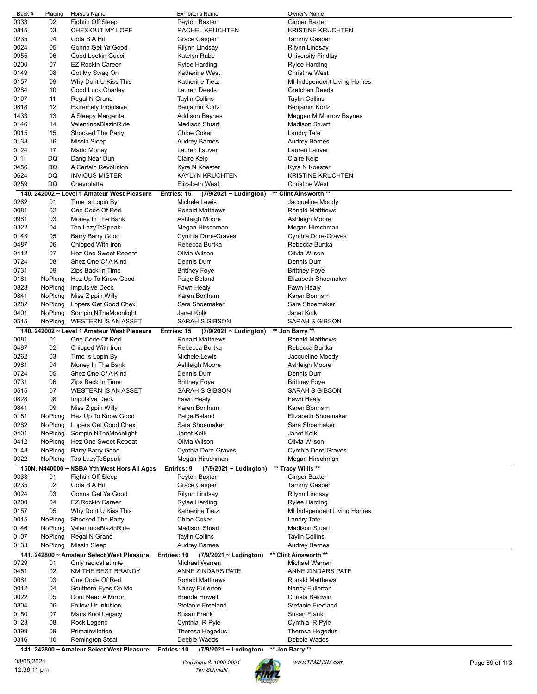| Back # | Placing | Horse's Name                                | <b>Exhibitor's Name</b>                    | Owner's Name                |
|--------|---------|---------------------------------------------|--------------------------------------------|-----------------------------|
| 0333   | 02      | Fightin Off Sleep                           | Peyton Baxter                              | <b>Ginger Baxter</b>        |
| 0815   | 03      | CHEX OUT MY LOPE                            | RACHEL KRUCHTEN                            | <b>KRISTINE KRUCHTEN</b>    |
| 0235   | 04      | Gota B A Hit                                | Grace Gasper                               | <b>Tammy Gasper</b>         |
| 0024   | 05      | Gonna Get Ya Good                           | Rilynn Lindsay                             | Rilynn Lindsay              |
| 0955   | 06      | Good Lookin Gucci                           | Katelyn Rabe                               | University Findlay          |
| 0200   | 07      | <b>EZ Rockin Career</b>                     | Rylee Harding                              | Rylee Harding               |
| 0149   | 08      | Got My Swag On                              | <b>Katherine West</b>                      | <b>Christine West</b>       |
| 0157   | 09      | Why Dont U Kiss This                        | Katherine Tietz                            | MI Independent Living Homes |
| 0284   | 10      | Good Luck Charley                           | Lauren Deeds                               | Gretchen Deeds              |
| 0107   | 11      |                                             | <b>Taylin Collins</b>                      | <b>Taylin Collins</b>       |
|        |         | Regal N Grand                               |                                            |                             |
| 0818   | 12      | <b>Extremely Impulsive</b>                  | Benjamin Kortz                             | Benjamin Kortz              |
| 1433   | 13      | A Sleepy Margarita                          | <b>Addison Baynes</b>                      | Meggen M Morrow Baynes      |
| 0146   | 14      | ValentinosBlazinRide                        | <b>Madison Stuart</b>                      | <b>Madison Stuart</b>       |
| 0015   | 15      | Shocked The Party                           | <b>Chloe Coker</b>                         | <b>Landry Tate</b>          |
| 0133   | 16      | <b>Missin Sleep</b>                         | Audrey Barnes                              | Audrey Barnes               |
| 0124   | 17      | <b>Madd Money</b>                           | Lauren Lauver                              | Lauren Lauver               |
| 0111   | DQ      | Dang Near Dun                               | Claire Kelp                                | Claire Kelp                 |
| 0456   | DQ      | A Certain Revolution                        | Kyra N Koester                             | Kyra N Koester              |
| 0624   | DQ      | <b>INVIOUS MISTER</b>                       | KAYLYN KRUCHTEN                            | <b>KRISTINE KRUCHTEN</b>    |
| 0259   | DQ      | Chevrolatte                                 | <b>Elizabeth West</b>                      | <b>Christine West</b>       |
|        |         | 140. 242002 ~ Level 1 Amateur West Pleasure | Entries: 15<br>$(7/9/2021 \sim$ Ludington) | ** Clint Ainsworth **       |
| 0262   | 01      | Time Is Lopin By                            | Michele Lewis                              | Jacqueline Moody            |
| 0081   | 02      | One Code Of Red                             | <b>Ronald Matthews</b>                     | <b>Ronald Matthews</b>      |
| 0981   | 03      | Money In Tha Bank                           | Ashleigh Moore                             | Ashleigh Moore              |
| 0322   | 04      | Too LazyToSpeak                             | Megan Hirschman                            | Megan Hirschman             |
| 0143   | 05      | <b>Barry Barry Good</b>                     | <b>Cynthia Dore-Graves</b>                 | Cynthia Dore-Graves         |
| 0487   | 06      | Chipped With Iron                           | Rebecca Burtka                             | Rebecca Burtka              |
| 0412   | 07      | Hez One Sweet Repeat                        | Olivia Wilson                              | Olivia Wilson               |
|        |         |                                             |                                            |                             |
| 0724   | 08      | Shez One Of A Kind                          | Dennis Durr                                | Dennis Durr                 |
| 0731   | 09      | Zips Back In Time                           | <b>Brittney Foye</b>                       | <b>Brittney Foye</b>        |
| 0181   | NoPlcng | Hez Up To Know Good                         | Paige Beland                               | Elizabeth Shoemaker         |
| 0828   | NoPlcng | <b>Impulsive Deck</b>                       | Fawn Healy                                 | Fawn Healy                  |
| 0841   | NoPlcng | Miss Zippin Willy                           | Karen Bonham                               | Karen Bonham                |
| 0282   | NoPlcng | Lopers Get Good Chex                        | Sara Shoemaker                             | Sara Shoemaker              |
| 0401   | NoPlcng | Sompin NTheMoonlight                        | Janet Kolk                                 | Janet Kolk                  |
| 0515   | NoPlcng | <b>WESTERN IS AN ASSET</b>                  | SARAH S GIBSON                             | SARAH S GIBSON              |
|        |         | 140. 242002 ~ Level 1 Amateur West Pleasure | Entries: 15<br>(7/9/2021 ~ Ludington)      | ** Jon Barry **             |
| 0081   | 01      | One Code Of Red                             | <b>Ronald Matthews</b>                     | <b>Ronald Matthews</b>      |
| 0487   | 02      | Chipped With Iron                           | Rebecca Burtka                             | Rebecca Burtka              |
| 0262   | 03      | Time Is Lopin By                            | Michele Lewis                              | Jacqueline Moody            |
| 0981   | 04      | Money In Tha Bank                           | Ashleigh Moore                             | Ashleigh Moore              |
| 0724   | 05      | Shez One Of A Kind                          | Dennis Durr                                | Dennis Durr                 |
| 0731   | 06      | Zips Back In Time                           | <b>Brittney Foye</b>                       | <b>Brittney Foye</b>        |
| 0515   | 07      | <b>WESTERN IS AN ASSET</b>                  | SARAH S GIBSON                             | <b>SARAH S GIBSON</b>       |
| 0828   | 08      | <b>Impulsive Deck</b>                       | Fawn Healy                                 | Fawn Healy                  |
| 0841   | 09      | Miss Zippin Willy                           | Karen Bonham                               | Karen Bonham                |
| 0181   | NoPlcng | Hez Up To Know Good                         | Paige Beland                               | Elizabeth Shoemaker         |
| 0282   | NoPlcng | Lopers Get Good Chex                        | Sara Shoemaker                             | Sara Shoemaker              |
|        |         |                                             | Janet Kolk                                 | Janet Kolk                  |
| 0401   | NoPlcng | Sompin NTheMoonlight                        |                                            |                             |
| 0412   | NoPlcng | Hez One Sweet Repeat                        | Olivia Wilson                              | Olivia Wilson               |
| 0143   | NoPlcng | <b>Barry Barry Good</b>                     | <b>Cynthia Dore-Graves</b>                 | Cynthia Dore-Graves         |
| 0322   | NoPlcng | Too LazyToSpeak                             | Megan Hirschman                            | Megan Hirschman             |
|        |         | 150N. N440000 ~ NSBA Yth West Hors All Ages | Entries: 9<br>$(7/9/2021 \sim$ Ludington)  | ** Tracy Willis **          |
| 0333   | 01      | Fightin Off Sleep                           | Peyton Baxter                              | Ginger Baxter               |
| 0235   | 02      | Gota B A Hit                                | Grace Gasper                               | <b>Tammy Gasper</b>         |
| 0024   | 03      | Gonna Get Ya Good                           | Rilynn Lindsay                             | Rilynn Lindsay              |
| 0200   | 04      | <b>EZ Rockin Career</b>                     | Rylee Harding                              | Rylee Harding               |
| 0157   | 05      | Why Dont U Kiss This                        | Katherine Tietz                            | MI Independent Living Homes |
| 0015   | NoPlcng | Shocked The Party                           | <b>Chloe Coker</b>                         | Landry Tate                 |
| 0146   | NoPlcng | ValentinosBlazinRide                        | <b>Madison Stuart</b>                      | <b>Madison Stuart</b>       |
| 0107   | NoPlcng | Regal N Grand                               | <b>Taylin Collins</b>                      | <b>Taylin Collins</b>       |
| 0133   | NoPlcng | <b>Missin Sleep</b>                         | <b>Audrey Barnes</b>                       | <b>Audrey Barnes</b>        |
| 141.   |         | 242800 ~ Amateur Select West Pleasure       | Entries: 10<br>$(7/9/2021 \sim$ Ludington) | ** Clint Ainsworth **       |
| 0729   | 01      | Only radical at nite                        | Michael Warren                             | Michael Warren              |
| 0451   | 02      | KM THE BEST BRANDY                          | ANNE ZINDARS PATE                          | ANNE ZINDARS PATE           |
| 0081   | 03      | One Code Of Red                             | Ronald Matthews                            | <b>Ronald Matthews</b>      |
| 0012   | 04      | Southern Eyes On Me                         | Nancy Fullerton                            | Nancy Fullerton             |
| 0022   | 05      | Dont Need A Mirror                          | <b>Brenda Howell</b>                       | Christa Baldwin             |
| 0804   | 06      | Follow Ur Intuition                         | <b>Stefanie Freeland</b>                   | Stefanie Freeland           |
| 0150   | 07      | Macs Kool Legacy                            | Susan Frank                                | Susan Frank                 |
| 0123   | 08      | Rock Legend                                 | Cynthia R Pyle                             | Cynthia R Pyle              |
| 0399   | 09      | Primainvitation                             | Theresa Hegedus                            | Theresa Hegedus             |
| 0316   | 10      | <b>Remington Steal</b>                      | Debbie Wadds                               | Debbie Wadds                |
|        |         | 141. 242800 ~ Amateur Select West Pleasure  | Entries: 10<br>$(7/9/2021 \sim$ Ludington) | ** Jon Barry **             |
|        |         |                                             |                                            |                             |

08/05/2021 *Copyright © 1999-2021 Tim Schmahl www.TIMZHSM.com* Page 89 of 113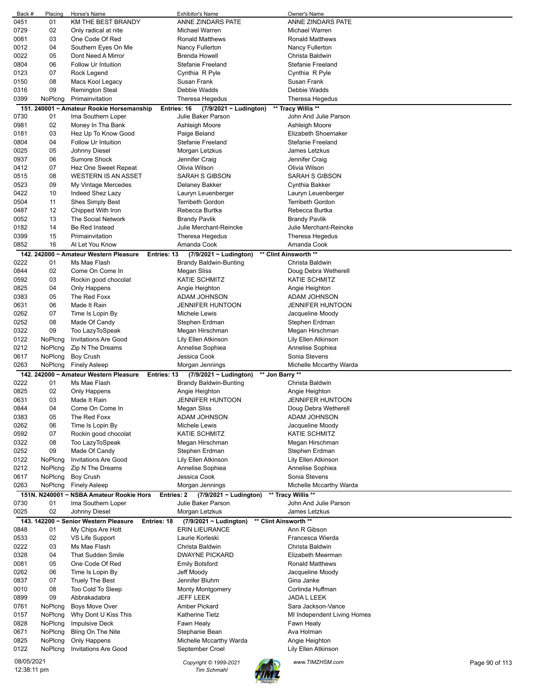| Back #      | Placing | Horse's Name                             | <b>Exhibitor's Name</b>                    | Owner's Name                |                |
|-------------|---------|------------------------------------------|--------------------------------------------|-----------------------------|----------------|
| 0451        | 01      | KM THE BEST BRANDY                       | ANNE ZINDARS PATE                          | ANNE ZINDARS PATE           |                |
| 0729        | 02      | Only radical at nite                     | Michael Warren                             | Michael Warren              |                |
| 0081        | 03      | One Code Of Red                          | <b>Ronald Matthews</b>                     | <b>Ronald Matthews</b>      |                |
| 0012        | 04      | Southern Eyes On Me                      | Nancy Fullerton                            | Nancy Fullerton             |                |
| 0022        | 05      | Dont Need A Mirror                       | <b>Brenda Howell</b>                       | Christa Baldwin             |                |
| 0804        | 06      | Follow Ur Intuition                      | Stefanie Freeland                          | Stefanie Freeland           |                |
| 0123        | 07      | Rock Legend                              | Cynthia R Pyle                             | Cynthia R Pyle              |                |
| 0150        | 08      | Macs Kool Legacy                         | Susan Frank                                | Susan Frank                 |                |
| 0316        | 09      | <b>Remington Steal</b>                   | Debbie Wadds                               | Debbie Wadds                |                |
|             |         | Primainvitation                          | <b>Theresa Hegedus</b>                     |                             |                |
| 0399        | NoPlcng |                                          |                                            | Theresa Hegedus             |                |
| 151         |         | 240001 ~ Amateur Rookie Horsemanship     | Entries: 16<br>(7/9/2021 ~ Ludington)      | ** Tracy Willis **          |                |
| 0730        | 01      | Ima Southern Loper                       | Julie Baker Parson                         | John And Julie Parson       |                |
| 0981        | 02      | Money In Tha Bank                        | Ashleigh Moore                             | Ashleigh Moore              |                |
| 0181        | 03      | Hez Up To Know Good                      | Paige Beland                               | Elizabeth Shoemaker         |                |
| 0804        | 04      | Follow Ur Intuition                      | Stefanie Freeland                          | Stefanie Freeland           |                |
| 0025        | 05      | Johnny Diesel                            | Morgan Letzkus                             | James Letzkus               |                |
| 0937        | 06      | <b>Sumore Shock</b>                      | Jennifer Craig                             | Jennifer Craig              |                |
| 0412        | 07      | Hez One Sweet Repeat                     | Olivia Wilson                              | Olivia Wilson               |                |
| 0515        | 08      | <b>WESTERN IS AN ASSET</b>               | SARAH S GIBSON                             | <b>SARAH S GIBSON</b>       |                |
| 0523        | 09      | My Vintage Mercedes                      | Delaney Bakker                             | Cynthia Bakker              |                |
| 0422        | 10      | Indeed Shez Lazy                         | Lauryn Leuenberger                         | Lauryn Leuenberger          |                |
| 0504        | 11      | <b>Shes Simply Best</b>                  | <b>Terribeth Gordon</b>                    | <b>Terribeth Gordon</b>     |                |
| 0487        | 12      | Chipped With Iron                        | Rebecca Burtka                             | Rebecca Burtka              |                |
|             |         |                                          |                                            |                             |                |
| 0052        | 13      | The Social Network                       | <b>Brandy Pavlik</b>                       | <b>Brandy Pavlik</b>        |                |
| 0182        | 14      | Be Red Instead                           | Julie Merchant-Reincke                     | Julie Merchant-Reincke      |                |
| 0399        | 15      | Primainvitation                          | <b>Theresa Hegedus</b>                     | Theresa Hegedus             |                |
| 0852        | 16      | Al Let You Know                          | Amanda Cook                                | Amanda Cook                 |                |
|             |         | 142. 242000 ~ Amateur Western Pleasure   | Entries: 13<br>(7/9/2021 ~ Ludington)      | ** Clint Ainsworth **       |                |
| 0222        | 01      | Ms Mae Flash                             | <b>Brandy Baldwin-Bunting</b>              | Christa Baldwin             |                |
| 0844        | 02      | Come On Come In                          | Megan Sliss                                | Doug Debra Wetherell        |                |
| 0592        | 03      | Rockin good chocolat                     | <b>KATIE SCHMITZ</b>                       | <b>KATIE SCHMITZ</b>        |                |
| 0825        | 04      | Only Happens                             | Angie Heighton                             | Angie Heighton              |                |
| 0383        | 05      | The Red Foxx                             | ADAM JOHNSON                               | ADAM JOHNSON                |                |
| 0631        | 06      | Made It Rain                             | <b>JENNIFER HUNTOON</b>                    | <b>JENNIFER HUNTOON</b>     |                |
| 0262        | 07      |                                          | Michele Lewis                              |                             |                |
|             |         | Time Is Lopin By                         |                                            | Jacqueline Moody            |                |
| 0252        | 08      | Made Of Candy                            | Stephen Erdman                             | Stephen Erdman              |                |
| 0322        | 09      | Too LazyToSpeak                          | Megan Hirschman                            | Megan Hirschman             |                |
| 0122        | NoPlcng | <b>Invitations Are Good</b>              | Lily Ellen Atkinson                        | Lily Ellen Atkinson         |                |
| 0212        | NoPlcng | Zip N The Dreams                         | Annelise Sophiea                           | Annelise Sophiea            |                |
| 0617        | NoPlcng | Boy Crush                                | Jessica Cook                               | Sonia Stevens               |                |
| 0263        | NoPlcng | <b>Finely Asleep</b>                     | Morgan Jennings                            | Michelle Mccarthy Warda     |                |
|             |         | 142. 242000 ~ Amateur Western Pleasure   | $(7/9/2021 \sim$ Ludington)<br>Entries: 13 | ** Jon Barry **             |                |
| 0222        | 01      | Ms Mae Flash                             | <b>Brandy Baldwin-Bunting</b>              | Christa Baldwin             |                |
| 0825        | 02      | Only Happens                             | Angie Heighton                             | Angie Heighton              |                |
| 0631        | 03      | Made It Rain                             | <b>JENNIFER HUNTOON</b>                    | JENNIFER HUNTOON            |                |
| 0844        | 04      | Come On Come In                          | Megan Sliss                                | Doug Debra Wetherell        |                |
| 0383        | 05      | The Red Foxx                             | ADAM JOHNSON                               | ADAM JOHNSON                |                |
| 0262        | 06      | Time Is Lopin By                         | Michele Lewis                              | Jacqueline Moody            |                |
| 0592        | 07      | Rockin good chocolat                     | <b>KATIE SCHMITZ</b>                       | <b>KATIE SCHMITZ</b>        |                |
|             | 08      |                                          |                                            |                             |                |
| 0322        |         | Too LazyToSpeak                          | Megan Hirschman                            | Megan Hirschman             |                |
| 0252        | 09      | Made Of Candy                            | Stephen Erdman                             | Stephen Erdman              |                |
| 0122        | NoPlcng | Invitations Are Good                     | Lily Ellen Atkinson                        | Lily Ellen Atkinson         |                |
| 0212        | NoPlcng | Zip N The Dreams                         | Annelise Sophiea                           | Annelise Sophiea            |                |
| 0617        | NoPlcng | <b>Boy Crush</b>                         | Jessica Cook                               | Sonia Stevens               |                |
| 0263        | NoPlcng | <b>Finely Asleep</b>                     | Morgan Jennings                            | Michelle Mccarthy Warda     |                |
|             |         | 151N. N240001 ~ NSBA Amateur Rookie Hors | Entries: 2<br>$(7/9/2021 \sim$ Ludington)  | ** Tracy Willis **          |                |
| 0730        | 01      | Ima Southern Loper                       | Julie Baker Parson                         | John And Julie Parson       |                |
| 0025        | 02      | Johnny Diesel                            | Morgan Letzkus                             | James Letzkus               |                |
|             |         | 143. 142200 ~ Senior Western Pleasure    | Entries: 18<br>(7/9/2021 ~ Ludington)      | ** Clint Ainsworth **       |                |
| 0848        | 01      | My Chips Are Hott                        | <b>ERIN LIEURANCE</b>                      | Ann R Gibson                |                |
| 0533        | 02      | VS Life Support                          | Laurie Korleski                            | Francesca Wierda            |                |
| 0222        | 03      | Ms Mae Flash                             | Christa Baldwin                            | Christa Baldwin             |                |
| 0328        | 04      | <b>That Sudden Smile</b>                 | <b>DWAYNE PICKARD</b>                      | Elizabeth Meerman           |                |
|             |         |                                          |                                            |                             |                |
| 0081        | 05      | One Code Of Red                          | <b>Emily Botsford</b>                      | <b>Ronald Matthews</b>      |                |
| 0262        | 06      | Time Is Lopin By                         | Jeff Moody                                 | Jacqueline Moody            |                |
| 0837        | 07      | <b>Truely The Best</b>                   | Jennifer Bluhm                             | Gina Janke                  |                |
| 0010        | 08      | Too Cold To Sleep                        | <b>Monty Montgomery</b>                    | Corlinda Huffman            |                |
| 0899        | 09      | Abbrakadabra                             | <b>JEFF LEEK</b>                           | JADA L LEEK                 |                |
| 0761        | NoPlcng | <b>Boys Move Over</b>                    | Amber Pickard                              | Sara Jackson-Vance          |                |
| 0157        | NoPlcng | Why Dont U Kiss This                     | <b>Katherine Tietz</b>                     | MI Independent Living Homes |                |
| 0828        | NoPlcng | <b>Impulsive Deck</b>                    | Fawn Healy                                 | Fawn Healy                  |                |
| 0671        | NoPlcng | Bling On The Nite                        | Stephanie Bean                             | Ava Holman                  |                |
| 0825        | NoPlcng | Only Happens                             | Michelle Mccarthy Warda                    | Angie Heighton              |                |
| 0122        | NoPlcng | <b>Invitations Are Good</b>              | September Croel                            | Lily Ellen Atkinson         |                |
|             |         |                                          |                                            |                             |                |
| 08/05/2021  |         |                                          | Copyright © 1999-2021                      | www.TIMZHSM.com             | Page 90 of 113 |
| 12:38:11 pm |         |                                          | <b>Tim Schmahl</b>                         |                             |                |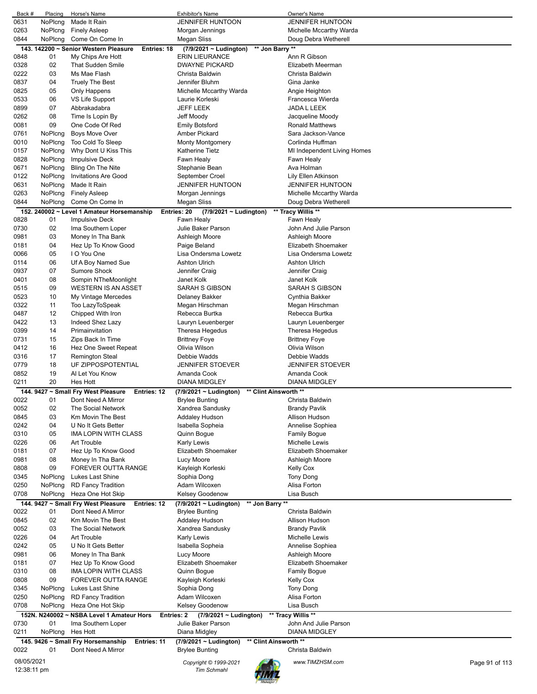| Back #      | Placing          | Horse's Name                                                   | <b>Exhibitor's Name</b>                         | Owner's Name                      |  |
|-------------|------------------|----------------------------------------------------------------|-------------------------------------------------|-----------------------------------|--|
| 0631        | NoPlcng          | Made It Rain                                                   | <b>JENNIFER HUNTOON</b>                         | JENNIFER HUNTOON                  |  |
| 0263        | NoPlcng          | <b>Finely Asleep</b>                                           | Morgan Jennings                                 | Michelle Mccarthy Warda           |  |
| 0844        | NoPlcng          | Come On Come In                                                | <b>Megan Sliss</b>                              | Doug Debra Wetherell              |  |
|             |                  | 143. 142200 ~ Senior Western Pleasure<br>Entries: 18           | ** Jon Barry **<br>(7/9/2021 ~ Ludington)       |                                   |  |
| 0848        | 01               | My Chips Are Hott                                              | <b>ERIN LIEURANCE</b>                           | Ann R Gibson                      |  |
|             |                  |                                                                |                                                 |                                   |  |
| 0328        | 02               | That Sudden Smile                                              | <b>DWAYNE PICKARD</b>                           | Elizabeth Meerman                 |  |
| 0222        | 03               | Ms Mae Flash                                                   | Christa Baldwin                                 | Christa Baldwin                   |  |
| 0837        | 04               | <b>Truely The Best</b>                                         | Jennifer Bluhm                                  | Gina Janke                        |  |
| 0825        | 05               | Only Happens                                                   | Michelle Mccarthy Warda                         | Angie Heighton                    |  |
| 0533        | 06               | VS Life Support                                                | Laurie Korleski                                 | Francesca Wierda                  |  |
| 0899        | 07               | Abbrakadabra                                                   | <b>JEFF LEEK</b>                                | JADA L LEEK                       |  |
|             |                  |                                                                |                                                 |                                   |  |
| 0262        | 08               | Time Is Lopin By                                               | Jeff Moody                                      | Jacqueline Moody                  |  |
| 0081        | 09               | One Code Of Red                                                | Emily Botsford                                  | <b>Ronald Matthews</b>            |  |
| 0761        | NoPlcng          | <b>Boys Move Over</b>                                          | Amber Pickard                                   | Sara Jackson-Vance                |  |
| 0010        | NoPlcng          | Too Cold To Sleep                                              | <b>Monty Montgomery</b>                         | Corlinda Huffman                  |  |
| 0157        | NoPlcng          | Why Dont U Kiss This                                           | Katherine Tietz                                 | MI Independent Living Homes       |  |
| 0828        | NoPlcng          | Impulsive Deck                                                 | Fawn Healy                                      | Fawn Healy                        |  |
| 0671        | NoPlcng          | Bling On The Nite                                              | Stephanie Bean                                  | Ava Holman                        |  |
|             |                  |                                                                |                                                 |                                   |  |
| 0122        | NoPlcng          | <b>Invitations Are Good</b>                                    | September Croel                                 | Lily Ellen Atkinson               |  |
| 0631        | NoPlcng          | Made It Rain                                                   | <b>JENNIFER HUNTOON</b>                         | JENNIFER HUNTOON                  |  |
| 0263        | NoPlcng          | <b>Finely Asleep</b>                                           | Morgan Jennings                                 | Michelle Mccarthy Warda           |  |
| 0844        | NoPlcng          | Come On Come In                                                | Megan Sliss                                     | Doug Debra Wetherell              |  |
|             |                  | 152. 240002 ~ Level 1 Amateur Horsemanship                     | Entries: 20<br>$(7/9/2021 \sim$ Ludington)      | ** Tracy Willis **                |  |
| 0828        | 01               | <b>Impulsive Deck</b>                                          | Fawn Healy                                      | Fawn Healy                        |  |
|             |                  |                                                                |                                                 |                                   |  |
| 0730        | 02               | Ima Southern Loper                                             | Julie Baker Parson                              | John And Julie Parson             |  |
| 0981        | 03               | Money In Tha Bank                                              | Ashleigh Moore                                  | Ashleigh Moore                    |  |
| 0181        | 04               | Hez Up To Know Good                                            | Paige Beland                                    | Elizabeth Shoemaker               |  |
| 0066        | 05               | I O You One                                                    | Lisa Ondersma Lowetz                            | Lisa Ondersma Lowetz              |  |
| 0114        | 06               | Uf A Boy Named Sue                                             | <b>Ashton Ulrich</b>                            | Ashton Ulrich                     |  |
| 0937        | 07               | <b>Sumore Shock</b>                                            |                                                 |                                   |  |
|             |                  |                                                                | Jennifer Craig                                  | Jennifer Craig                    |  |
| 0401        | 08               | Sompin NTheMoonlight                                           | Janet Kolk                                      | Janet Kolk                        |  |
| 0515        | 09               | <b>WESTERN IS AN ASSET</b>                                     | SARAH S GIBSON                                  | <b>SARAH S GIBSON</b>             |  |
| 0523        | 10               | My Vintage Mercedes                                            | Delaney Bakker                                  | Cynthia Bakker                    |  |
| 0322        | 11               | Too LazyToSpeak                                                | Megan Hirschman                                 | Megan Hirschman                   |  |
| 0487        | 12               | Chipped With Iron                                              | Rebecca Burtka                                  | Rebecca Burtka                    |  |
|             |                  |                                                                |                                                 |                                   |  |
| 0422        | 13               | Indeed Shez Lazy                                               | Lauryn Leuenberger                              | Lauryn Leuenberger                |  |
| 0399        | 14               | Primainvitation                                                | Theresa Hegedus                                 | Theresa Hegedus                   |  |
| 0731        | 15               | Zips Back In Time                                              | <b>Brittney Foye</b>                            | Brittney Foye                     |  |
| 0412        | 16               | Hez One Sweet Repeat                                           | Olivia Wilson                                   | Olivia Wilson                     |  |
| 0316        | 17               | <b>Remington Steal</b>                                         | Debbie Wadds                                    | Debbie Wadds                      |  |
| 0779        | 18               | UF ZIPPOSPOTENTIAL                                             | <b>JENNIFER STOEVER</b>                         | <b>JENNIFER STOEVER</b>           |  |
|             |                  |                                                                |                                                 |                                   |  |
| 0852        | 19               | Al Let You Know                                                | Amanda Cook                                     | Amanda Cook                       |  |
| 0211        | 20               | Hes Hott                                                       | <b>DIANA MIDGLEY</b>                            | <b>DIANA MIDGLEY</b>              |  |
|             |                  | 144. 9427 ~ Small Fry West Pleasure<br>Entries: 12             | ** Clint Ainsworth **<br>(7/9/2021 ~ Ludington) |                                   |  |
| 0022        | 01               | Dont Need A Mirror                                             | Brylee Bunting                                  | Christa Baldwin                   |  |
| 0052        | 02               | The Social Network                                             | Xandrea Sandusky                                | <b>Brandy Pavlik</b>              |  |
| 0845        | 03               | Km Movin The Best                                              | Addaley Hudson                                  | Allison Hudson                    |  |
|             |                  | U No It Gets Better                                            |                                                 |                                   |  |
| 0242        | 04               |                                                                | Isabella Sopheia                                | Annelise Sophiea                  |  |
| 0310        | 05               | IMA LOPIN WITH CLASS                                           | Quinn Bogue                                     | Family Bogue                      |  |
| 0226        | 06               | Art Trouble                                                    | Karly Lewis                                     | Michelle Lewis                    |  |
| 0181        | 07               | Hez Up To Know Good                                            | Elizabeth Shoemaker                             | Elizabeth Shoemaker               |  |
| 0981        | 08               | Money In Tha Bank                                              | Lucy Moore                                      | Ashleigh Moore                    |  |
| 0808        | 09               | <b>FOREVER OUTTA RANGE</b>                                     | Kayleigh Korleski                               | Kelly Cox                         |  |
| 0345        | NoPlcng          | Lukes Last Shine                                               | Sophia Dong                                     |                                   |  |
|             |                  |                                                                |                                                 | Tony Dong                         |  |
| 0250        | NoPlcng          | <b>RD Fancy Tradition</b>                                      | Adam Wilcoxen                                   | Alisa Forton                      |  |
| 0708        | NoPlcng          | Heza One Hot Skip                                              | Kelsey Goodenow                                 | Lisa Busch                        |  |
|             |                  | 144. 9427 ~ Small Fry West Pleasure<br>Entries: 12             | ** Jon Barry **<br>(7/9/2021 ~ Ludington)       |                                   |  |
| 0022        | 01               | Dont Need A Mirror                                             | <b>Brylee Bunting</b>                           | Christa Baldwin                   |  |
| 0845        | 02               | Km Movin The Best                                              | Addaley Hudson                                  | Allison Hudson                    |  |
| 0052        | 03               | The Social Network                                             | Xandrea Sandusky                                | Brandy Pavlik                     |  |
|             |                  |                                                                |                                                 |                                   |  |
| 0226        | 04               | Art Trouble                                                    | Karly Lewis                                     | Michelle Lewis                    |  |
| 0242        | 05               | U No It Gets Better                                            | Isabella Sopheia                                | Annelise Sophiea                  |  |
| 0981        | 06               | Money In Tha Bank                                              | Lucy Moore                                      | Ashleigh Moore                    |  |
| 0181        | 07               | Hez Up To Know Good                                            | Elizabeth Shoemaker                             | Elizabeth Shoemaker               |  |
| 0310        | 08               | IMA LOPIN WITH CLASS                                           | Quinn Bogue                                     | <b>Family Bogue</b>               |  |
| 0808        | 09               | <b>FOREVER OUTTA RANGE</b>                                     | Kayleigh Korleski                               | Kelly Cox                         |  |
|             |                  |                                                                |                                                 |                                   |  |
| 0345        | NoPlcng          | Lukes Last Shine                                               | Sophia Dong                                     | Tony Dong                         |  |
| 0250        | NoPlcng          | <b>RD Fancy Tradition</b>                                      | Adam Wilcoxen                                   | Alisa Forton                      |  |
| 0708        | NoPlcng          | Heza One Hot Skip                                              | Kelsey Goodenow                                 | Lisa Busch                        |  |
|             |                  | 152N. N240002 ~ NSBA Level 1 Amateur Hors<br><b>Entries: 2</b> | $(7/9/2021 \sim$ Ludington)                     | ** Tracy Willis **                |  |
| 0730        | 01               | Ima Southern Loper                                             | Julie Baker Parson                              | John And Julie Parson             |  |
|             |                  |                                                                |                                                 |                                   |  |
| 0211        | NoPlcng Hes Hott |                                                                | Diana Midgley                                   | <b>DIANA MIDGLEY</b>              |  |
|             |                  | 145. 9426 ~ Small Fry Horsemanship<br>Entries: 11              | ** Clint Ainsworth **<br>(7/9/2021 ~ Ludington) |                                   |  |
| 0022        | 01               | Dont Need A Mirror                                             | <b>Brylee Bunting</b>                           | Christa Baldwin                   |  |
| 08/05/2021  |                  |                                                                |                                                 |                                   |  |
|             |                  |                                                                | Copyright © 1999-2021                           | www.TIMZHSM.com<br>Page 91 of 113 |  |
| 12:38:11 pm |                  |                                                                | <b>Tim Schmahl</b>                              |                                   |  |
|             |                  |                                                                |                                                 |                                   |  |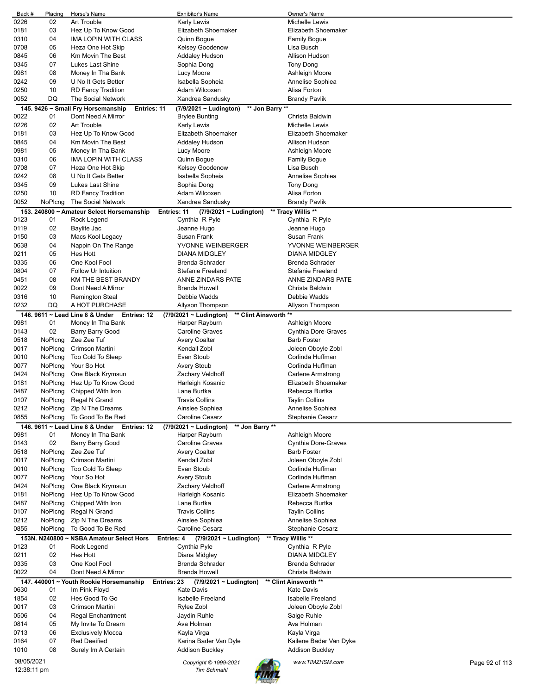| Back #      | Placing        | Horse's Name                                             | Exhibitor's Name                                     | Owner's Name             |                |
|-------------|----------------|----------------------------------------------------------|------------------------------------------------------|--------------------------|----------------|
| 0226        | 02             | Art Trouble                                              | <b>Karly Lewis</b>                                   | Michelle Lewis           |                |
| 0181        | 03             | Hez Up To Know Good                                      | Elizabeth Shoemaker                                  | Elizabeth Shoemaker      |                |
| 0310        | 04             | IMA LOPIN WITH CLASS                                     | Quinn Bogue                                          | <b>Family Bogue</b>      |                |
| 0708        | 05             | Heza One Hot Skip                                        | Kelsey Goodenow                                      | Lisa Busch               |                |
| 0845        | 06             | Km Movin The Best                                        | Addaley Hudson                                       | Allison Hudson           |                |
| 0345        | 07             | Lukes Last Shine                                         | Sophia Dong                                          | <b>Tony Dong</b>         |                |
| 0981        | 08             | Money In Tha Bank                                        |                                                      |                          |                |
|             |                |                                                          | Lucy Moore                                           | Ashleigh Moore           |                |
| 0242        | 09             | U No It Gets Better                                      | Isabella Sopheia                                     | Annelise Sophiea         |                |
| 0250        | 10             | <b>RD Fancy Tradition</b>                                | Adam Wilcoxen                                        | Alisa Forton             |                |
| 0052        | DQ             | The Social Network                                       | Xandrea Sandusky                                     | <b>Brandy Pavlik</b>     |                |
|             |                | 145. 9426 ~ Small Fry Horsemanship<br><b>Entries: 11</b> | (7/9/2021 ~ Ludington)                               | ** Jon Barry **          |                |
| 0022        | 01             | Dont Need A Mirror                                       | <b>Brylee Bunting</b>                                | Christa Baldwin          |                |
| 0226        | 02             | <b>Art Trouble</b>                                       | <b>Karly Lewis</b>                                   | <b>Michelle Lewis</b>    |                |
| 0181        | 03             | Hez Up To Know Good                                      | Elizabeth Shoemaker                                  | Elizabeth Shoemaker      |                |
| 0845        | 04             | Km Movin The Best                                        | <b>Addaley Hudson</b>                                | Allison Hudson           |                |
| 0981        | 05             | Money In Tha Bank                                        | Lucy Moore                                           | Ashleigh Moore           |                |
| 0310        | 06             | IMA LOPIN WITH CLASS                                     | Quinn Bogue                                          | <b>Family Bogue</b>      |                |
| 0708        | 07             | Heza One Hot Skip                                        |                                                      |                          |                |
|             |                |                                                          | Kelsey Goodenow                                      | Lisa Busch               |                |
| 0242        | 08             | U No It Gets Better                                      | Isabella Sopheia                                     | Annelise Sophiea         |                |
| 0345        | 09             | Lukes Last Shine                                         | Sophia Dong                                          | Tony Dong                |                |
| 0250        | 10             | <b>RD Fancy Tradition</b>                                | Adam Wilcoxen                                        | Alisa Forton             |                |
| 0052        | NoPlcng        | The Social Network                                       | Xandrea Sandusky                                     | <b>Brandy Pavlik</b>     |                |
|             |                | 153. 240800 ~ Amateur Select Horsemanship                | Entries: 11<br>$(7/9/2021 \sim$ Ludington)           | ** Tracy Willis **       |                |
| 0123        | 01             | Rock Legend                                              | Cynthia R Pyle                                       | Cynthia R Pyle           |                |
| 0119        | 02             | Baylite Jac                                              | Jeanne Hugo                                          | Jeanne Hugo              |                |
| 0150        | 03             | Macs Kool Legacy                                         | Susan Frank                                          | Susan Frank              |                |
| 0638        | 04             | Nappin On The Range                                      | YVONNE WEINBERGER                                    | YVONNE WEINBERGER        |                |
| 0211        | 05             | <b>Hes Hott</b>                                          | <b>DIANA MIDGLEY</b>                                 | <b>DIANA MIDGLEY</b>     |                |
| 0335        | 06             | One Kool Fool                                            | <b>Brenda Schrader</b>                               | <b>Brenda Schrader</b>   |                |
|             |                |                                                          |                                                      |                          |                |
| 0804        | 07             | Follow Ur Intuition                                      | <b>Stefanie Freeland</b>                             | <b>Stefanie Freeland</b> |                |
| 0451        | 08             | KM THE BEST BRANDY                                       | ANNE ZINDARS PATE                                    | ANNE ZINDARS PATE        |                |
| 0022        | 09             | Dont Need A Mirror                                       | <b>Brenda Howell</b>                                 | Christa Baldwin          |                |
| 0316        | 10             | <b>Remington Steal</b>                                   | Debbie Wadds                                         | Debbie Wadds             |                |
| 0232        | DQ             | A HOT PURCHASE                                           | Allyson Thompson                                     | Allyson Thompson         |                |
|             |                | 146. 9611 ~ Lead Line 8 & Under<br><b>Entries: 12</b>    | ** Clint Ainsworth **<br>$(7/9/2021 \sim$ Ludington) |                          |                |
| 0981        | 01             | Money In Tha Bank                                        | Harper Rayburn                                       | Ashleigh Moore           |                |
| 0143        | 02             | <b>Barry Barry Good</b>                                  | <b>Caroline Graves</b>                               | Cynthia Dore-Graves      |                |
| 0518        | NoPlcng        | Zee Zee Tuf                                              | <b>Avery Coalter</b>                                 | <b>Barb Foster</b>       |                |
| 0017        | NoPlcng        | Crimson Martini                                          | Kendall Zobl                                         | Joleen Oboyle Zobl       |                |
| 0010        | NoPlcng        | Too Cold To Sleep                                        | Evan Stoub                                           | Corlinda Huffman         |                |
| 0077        |                | Your So Hot                                              |                                                      | Corlinda Huffman         |                |
|             | NoPlcng        |                                                          | <b>Avery Stoub</b>                                   |                          |                |
| 0424        | NoPlcng        | One Black Krymsun                                        | Zachary Veldhoff                                     | Carlene Armstrong        |                |
| 0181        | NoPlcng        | Hez Up To Know Good                                      | Harleigh Kosanic                                     | Elizabeth Shoemaker      |                |
| 0487        | NoPlcng        | Chipped With Iron                                        | Lane Burtka                                          | Rebecca Burtka           |                |
| 0107        | NoPlcng        | Regal N Grand                                            | <b>Travis Collins</b>                                | <b>Taylin Collins</b>    |                |
| 0212        | NoPlcng        | Zip N The Dreams                                         | Ainslee Sophiea                                      | Annelise Sophiea         |                |
| 0855        | NoPlcng        | To Good To Be Red                                        | <b>Caroline Cesarz</b>                               | Stephanie Cesarz         |                |
|             |                | 146, 9611 ~ Lead Line 8 & Under<br><b>Entries: 12</b>    | ** Jon Barry **<br>(7/9/2021 ~ Ludington)            |                          |                |
| 0981        | 01             | Money In Tha Bank                                        | Harper Rayburn                                       | Ashleigh Moore           |                |
| 0143        | 02             | Barry Barry Good                                         | <b>Caroline Graves</b>                               | Cynthia Dore-Graves      |                |
| 0518        | NoPlcng        | Zee Zee Tuf                                              | <b>Avery Coalter</b>                                 | <b>Barb Foster</b>       |                |
| 0017        | NoPlcng        | Crimson Martini                                          | <b>Kendall Zobl</b>                                  | Joleen Oboyle Zobl       |                |
|             | NoPlcng        | Too Cold To Sleep                                        | Evan Stoub                                           | Corlinda Huffman         |                |
| 0010        |                |                                                          |                                                      |                          |                |
| 0077        | NoPlcng        | Your So Hot                                              | Avery Stoub                                          | Corlinda Huffman         |                |
| 0424        | NoPlcng        | One Black Krymsun                                        | Zachary Veldhoff                                     | Carlene Armstrong        |                |
| 0181        | NoPlcng        | Hez Up To Know Good                                      | Harleigh Kosanic                                     | Elizabeth Shoemaker      |                |
| 0487        | NoPlcng        | Chipped With Iron                                        | Lane Burtka                                          | Rebecca Burtka           |                |
| 0107        | NoPlcng        | Regal N Grand                                            | <b>Travis Collins</b>                                | <b>Taylin Collins</b>    |                |
| 0212        | NoPlcng        | Zip N The Dreams                                         | Ainslee Sophiea                                      | Annelise Sophiea         |                |
| 0855        | NoPlcng        | To Good To Be Red                                        | <b>Caroline Cesarz</b>                               | Stephanie Cesarz         |                |
|             | 153N. N240800~ | <b>NSBA Amateur Select Hors</b>                          | $(7/9/2021 \sim$ Ludington)<br>Entries: 4            | ** Tracy Willis **       |                |
| 0123        | 01             | Rock Legend                                              | Cynthia Pyle                                         | Cynthia R Pyle           |                |
| 0211        | 02             | <b>Hes Hott</b>                                          | Diana Midgley                                        | <b>DIANA MIDGLEY</b>     |                |
|             |                | One Kool Fool                                            | <b>Brenda Schrader</b>                               | <b>Brenda Schrader</b>   |                |
| 0335        | 03             |                                                          |                                                      |                          |                |
| 0022        | 04             | Dont Need A Mirror                                       | <b>Brenda Howell</b>                                 | Christa Baldwin          |                |
|             |                | 147. 440001 ~ Youth Rookie Horsemanship                  | Entries: 23<br>$(7/9/2021 \sim$ Ludington)           | ** Clint Ainsworth **    |                |
| 0630        | 01             | Im Pink Floyd                                            | <b>Kate Davis</b>                                    | <b>Kate Davis</b>        |                |
| 1854        | 02             | Hes Good To Go                                           | <b>Isabelle Freeland</b>                             | <b>Isabelle Freeland</b> |                |
| 0017        | 03             | Crimson Martini                                          | Rylee Zobl                                           | Joleen Oboyle Zobl       |                |
| 0506        | 04             | Regal Enchantment                                        | Jaydin Ruhle                                         | Saige Ruhle              |                |
| 0814        | 05             | My Invite To Dream                                       | Ava Holman                                           | Ava Holman               |                |
| 0713        | 06             | <b>Exclusively Mocca</b>                                 | Kayla Virga                                          | Kayla Virga              |                |
| 0164        | 07             | <b>Red Deeified</b>                                      | Karina Bader Van Dyle                                | Kailene Bader Van Dyke   |                |
| 1010        | 08             | Surely Im A Certain                                      | <b>Addison Buckley</b>                               | <b>Addison Buckley</b>   |                |
|             |                |                                                          |                                                      |                          |                |
| 08/05/2021  |                |                                                          | Copyright © 1999-2021                                | www.TIMZHSM.com          | Page 92 of 113 |
| 12:38:11 pm |                |                                                          | <b>Tim Schmahl</b>                                   |                          |                |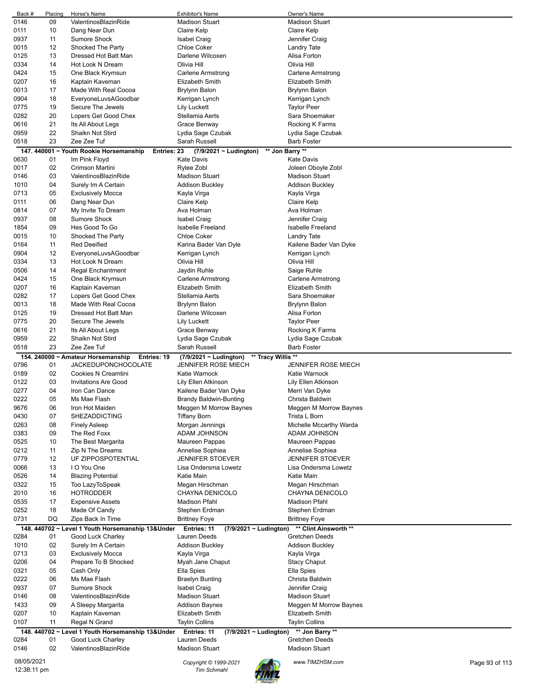| Back #       | Placing  | Horse's Name                                           | <b>Exhibitor's Name</b>                           | Owner's Name                                    |
|--------------|----------|--------------------------------------------------------|---------------------------------------------------|-------------------------------------------------|
| 0146         | 09       | ValentinosBlazinRide                                   | <b>Madison Stuart</b>                             | <b>Madison Stuart</b>                           |
| 0111         | 10       | Dang Near Dun                                          | Claire Kelp                                       | Claire Kelp                                     |
| 0937<br>0015 | 11<br>12 | Sumore Shock<br>Shocked The Party                      | <b>Isabel Craig</b><br><b>Chloe Coker</b>         | Jennifer Craig                                  |
| 0125         | 13       | Dressed Hot Batt Man                                   | Darlene Wilcoxen                                  | Landry Tate<br>Alisa Forton                     |
| 0334         | 14       | Hot Look N Dream                                       | Olivia Hill                                       | Olivia Hill                                     |
| 0424         | 15       | One Black Krymsun                                      | Carlene Armstrong                                 | <b>Carlene Armstrong</b>                        |
| 0207         | 16       | Kaptain Kaveman                                        | <b>Elizabeth Smith</b>                            | Elizabeth Smith                                 |
| 0013         | 17       | Made With Real Cocoa                                   | Brylynn Balon                                     | Brylynn Balon                                   |
| 0904         | 18       | EveryoneLuvsAGoodbar                                   | Kerrigan Lynch                                    | Kerrigan Lynch                                  |
| 0775         | 19       | Secure The Jewels                                      | <b>Lily Luckett</b>                               | <b>Taylor Peer</b>                              |
| 0282         | 20       | Lopers Get Good Chex                                   | Stellamia Aerts                                   | Sara Shoemaker                                  |
| 0616         | 21       | Its All About Legs                                     | Grace Benway                                      | Rocking K Farms                                 |
| 0959         | 22       | Shaikn Not Stird                                       | Lydia Sage Czubak                                 | Lydia Sage Czubak                               |
| 0518         | 23       | Zee Zee Tuf                                            | Sarah Russell                                     | <b>Barb Foster</b>                              |
|              |          | 147. 440001 ~ Youth Rookie Horsemanship<br>Entries: 23 | (7/9/2021 ~ Ludington)                            | ** Jon Barry **                                 |
| 0630<br>0017 | 01<br>02 | Im Pink Floyd<br>Crimson Martini                       | <b>Kate Davis</b><br>Rylee Zobl                   | <b>Kate Davis</b><br>Joleen Oboyle Zobl         |
| 0146         | 03       | ValentinosBlazinRide                                   | <b>Madison Stuart</b>                             | <b>Madison Stuart</b>                           |
| 1010         | 04       | Surely Im A Certain                                    | <b>Addison Buckley</b>                            | <b>Addison Buckley</b>                          |
| 0713         | 05       | <b>Exclusively Mocca</b>                               | Kayla Virga                                       | Kayla Virga                                     |
| 0111         | 06       | Dang Near Dun                                          | Claire Kelp                                       | Claire Kelp                                     |
| 0814         | 07       | My Invite To Dream                                     | Ava Holman                                        | Ava Holman                                      |
| 0937         | 08       | <b>Sumore Shock</b>                                    | <b>Isabel Craig</b>                               | Jennifer Craig                                  |
| 1854         | 09       | Hes Good To Go                                         | <b>Isabelle Freeland</b>                          | Isabelle Freeland                               |
| 0015         | 10       | Shocked The Party                                      | <b>Chloe Coker</b>                                | Landry Tate                                     |
| 0164         | 11       | <b>Red Deeified</b>                                    | Karina Bader Van Dyle                             | Kailene Bader Van Dyke                          |
| 0904         | 12       | EveryoneLuvsAGoodbar                                   | Kerrigan Lynch                                    | Kerrigan Lynch                                  |
| 0334         | 13       | Hot Look N Dream                                       | Olivia Hill                                       | Olivia Hill                                     |
| 0506         | 14       | <b>Regal Enchantment</b>                               | Jaydin Ruhle                                      | Saige Ruhle                                     |
| 0424         | 15       | One Black Krymsun                                      | Carlene Armstrong                                 | Carlene Armstrong                               |
| 0207         | 16       | Kaptain Kaveman                                        | Elizabeth Smith                                   | <b>Elizabeth Smith</b>                          |
| 0282         | 17       | Lopers Get Good Chex                                   | Stellamia Aerts                                   | Sara Shoemaker                                  |
| 0013<br>0125 | 18<br>19 | Made With Real Cocoa<br>Dressed Hot Batt Man           | Brylynn Balon<br>Darlene Wilcoxen                 | Brylynn Balon<br>Alisa Forton                   |
| 0775         | 20       | Secure The Jewels                                      | <b>Lily Luckett</b>                               | <b>Taylor Peer</b>                              |
| 0616         | 21       | Its All About Legs                                     | Grace Benway                                      | Rocking K Farms                                 |
| 0959         | 22       | Shaikn Not Stird                                       | Lydia Sage Czubak                                 | Lydia Sage Czubak                               |
|              |          |                                                        |                                                   |                                                 |
| 0518         | 23       | Zee Zee Tuf                                            | Sarah Russell                                     | <b>Barb Foster</b>                              |
|              |          | 154. 240000 ~ Amateur Horsemanship<br>Entries: 19      | ** Tracy Willis **<br>$(7/9/2021 \sim$ Ludington) |                                                 |
| 0796         | 01       | <b>JACKEDUPONCHOCOLATE</b>                             | JENNIFER ROSE MIECH                               | <b>JENNIFER ROSE MIECH</b>                      |
| 0189         | 02       | Cookies N Creamtini                                    | Katie Warnock                                     | Katie Warnock                                   |
| 0122         | 03       | <b>Invitations Are Good</b>                            | Lily Ellen Atkinson                               | Lily Ellen Atkinson                             |
| 0277         | 04       | Iron Can Dance                                         | Kailene Bader Van Dyke                            | Merri Van Dyke                                  |
| 0222         | 05       | Ms Mae Flash                                           | Brandy Baldwin-Bunting                            | Christa Baldwin                                 |
| 9676         | 06       | Iron Hot Maiden                                        | Meggen M Morrow Baynes                            | Meggen M Morrow Baynes                          |
| 0430         | 07       | <b>SHEZADDICTING</b>                                   | <b>Tiffany Born</b>                               | Trista L Born                                   |
| 0263         | 08       | <b>Finely Asleep</b>                                   | Morgan Jennings                                   | Michelle Mccarthy Warda                         |
| 0383         | 09       | The Red Foxx                                           | ADAM JOHNSON                                      | ADAM JOHNSON                                    |
| 0525         | 10       | The Best Margarita                                     | Maureen Pappas                                    | Maureen Pappas                                  |
| 0212         | 11       | Zip N The Dreams                                       | Annelise Sophiea                                  | Annelise Sophiea                                |
| 0779<br>0066 | 12<br>13 | UF ZIPPOSPOTENTIAL<br>I O You One                      | <b>JENNIFER STOEVER</b><br>Lisa Ondersma Lowetz   | <b>JENNIFER STOEVER</b><br>Lisa Ondersma Lowetz |
| 0526         | 14       | <b>Blazing Potential</b>                               | Katie Main                                        | Katie Main                                      |
| 0322         | 15       | Too LazyToSpeak                                        | Megan Hirschman                                   | Megan Hirschman                                 |
| 2010         | 16       | <b>HOTRODDER</b>                                       | CHAYNA DENICOLO                                   | CHAYNA DENICOLO                                 |
| 0535         | 17       | <b>Expensive Assets</b>                                | <b>Madison Pfahl</b>                              | <b>Madison Pfahl</b>                            |
| 0252         | 18       | Made Of Candy                                          | Stephen Erdman                                    | Stephen Erdman                                  |
| 0731         | DQ       | Zips Back In Time                                      | <b>Brittney Foye</b>                              | <b>Brittney Foye</b>                            |
|              |          | 148. 440702 ~ Level 1 Youth Horsemanship 13&Under      | Entries: 11<br>$(7/9/2021 \sim$ Ludington)        | ** Clint Ainsworth **                           |
| 0284         | 01       | Good Luck Charley                                      | Lauren Deeds                                      | Gretchen Deeds                                  |
| 1010         | 02       | Surely Im A Certain                                    | <b>Addison Buckley</b>                            | <b>Addison Buckley</b>                          |
| 0713         | 03       | <b>Exclusively Mocca</b>                               | Kayla Virga                                       | Kayla Virga                                     |
| 0206         | 04       | Prepare To B Shocked                                   | Myah Jane Chaput                                  | <b>Stacy Chaput</b>                             |
| 0321         | 05       | Cash Only                                              | Ella Spies                                        | Ella Spies                                      |
| 0222         | 06       | Ms Mae Flash                                           | <b>Braelyn Bunting</b>                            | Christa Baldwin                                 |
| 0937         | 07       | <b>Sumore Shock</b>                                    | <b>Isabel Craig</b>                               | Jennifer Craig                                  |
| 0146         | 08       | ValentinosBlazinRide                                   | <b>Madison Stuart</b>                             | <b>Madison Stuart</b>                           |
| 1433         | 09<br>10 | A Sleepy Margarita                                     | Addison Baynes<br>Elizabeth Smith                 | Meggen M Morrow Baynes<br>Elizabeth Smith       |
| 0207<br>0107 | 11       | Kaptain Kaveman<br>Regal N Grand                       | <b>Taylin Collins</b>                             | <b>Taylin Collins</b>                           |
|              |          | 148. 440702 ~ Level 1 Youth Horsemanship 13&Under      | Entries: 11<br>$(7/9/2021 \sim$ Ludington)        | ** Jon Barry **                                 |
| 0284         | 01       | Good Luck Charley                                      | Lauren Deeds                                      | Gretchen Deeds                                  |
| 0146         | 02       | ValentinosBlazinRide                                   | <b>Madison Stuart</b>                             | <b>Madison Stuart</b>                           |
| 08/05/2021   |          |                                                        | Copyright © 1999-2021                             | www.TIMZHSM.com<br>Page 93 of 113               |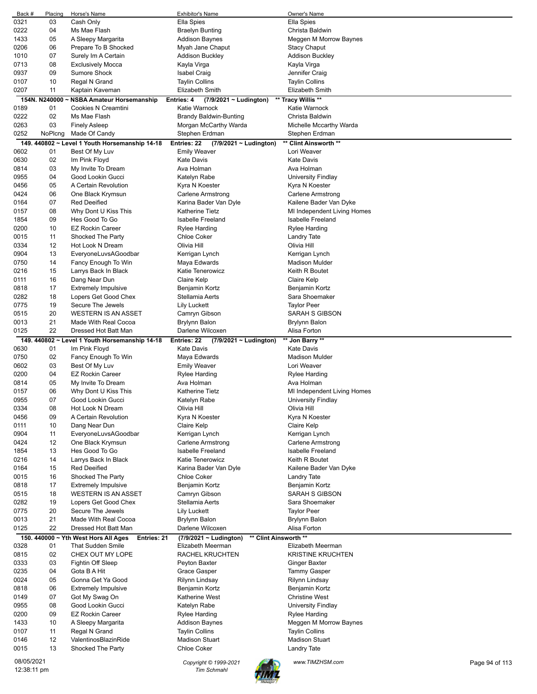| Back #      | Placing        | Horse's Name                                        | <b>Exhibitor's Name</b>                         | Owner's Name                |                |
|-------------|----------------|-----------------------------------------------------|-------------------------------------------------|-----------------------------|----------------|
| 0321        | 03             | Cash Only                                           | Ella Spies                                      | Ella Spies                  |                |
| 0222        | 04             | Ms Mae Flash                                        | <b>Braelyn Bunting</b>                          | Christa Baldwin             |                |
| 1433        | 05             | A Sleepy Margarita                                  | <b>Addison Baynes</b>                           | Meggen M Morrow Baynes      |                |
| 0206        | 06             | Prepare To B Shocked                                | Myah Jane Chaput                                | <b>Stacy Chaput</b>         |                |
| 1010        | 07             | Surely Im A Certain                                 | <b>Addison Buckley</b>                          | <b>Addison Buckley</b>      |                |
| 0713        | 08             | <b>Exclusively Mocca</b>                            | Kayla Virga                                     | Kayla Virga                 |                |
| 0937        | 09             | <b>Sumore Shock</b>                                 | Isabel Craig                                    | Jennifer Craig              |                |
| 0107        | 10             | Regal N Grand                                       | <b>Taylin Collins</b>                           | <b>Taylin Collins</b>       |                |
| 0207        | 11             | Kaptain Kaveman                                     | <b>Elizabeth Smith</b>                          | Elizabeth Smith             |                |
|             | 154N. N240000~ | <b>NSBA Amateur Horsemanship</b>                    | Entries: 4<br>$(7/9/2021 \sim$ Ludington)       | ** Tracy Willis **          |                |
| 0189        | 01             | Cookies N Creamtini                                 | Katie Warnock                                   | Katie Warnock               |                |
| 0222        | 02             | Ms Mae Flash                                        | <b>Brandy Baldwin-Bunting</b>                   | Christa Baldwin             |                |
| 0263        | 03             | <b>Finely Asleep</b>                                | Morgan McCarthy Warda                           | Michelle Mccarthy Warda     |                |
| 0252        | NoPlcng        | Made Of Candy                                       | Stephen Erdman                                  | Stephen Erdman              |                |
|             |                | 149. 440802 ~ Level 1 Youth Horsemanship 14-18      | Entries: 22<br>(7/9/2021 ~ Ludington)           | ** Clint Ainsworth **       |                |
| 0602        | 01             | Best Of My Luv                                      | <b>Emily Weaver</b>                             | Lori Weaver                 |                |
| 0630        | 02             | Im Pink Floyd                                       | <b>Kate Davis</b>                               | <b>Kate Davis</b>           |                |
| 0814        | 03             | My Invite To Dream                                  | Ava Holman                                      | Ava Holman                  |                |
| 0955        | 04             | Good Lookin Gucci                                   | Katelyn Rabe                                    | University Findlay          |                |
| 0456        | 05             | A Certain Revolution                                | Kyra N Koester                                  | Kyra N Koester              |                |
| 0424        | 06             | One Black Krymsun                                   | Carlene Armstrong                               | <b>Carlene Armstrong</b>    |                |
| 0164        | 07             | <b>Red Deeified</b>                                 | Karina Bader Van Dyle                           | Kailene Bader Van Dyke      |                |
| 0157        | 08             | Why Dont U Kiss This                                | <b>Katherine Tietz</b>                          | MI Independent Living Homes |                |
| 1854        | 09             | Hes Good To Go                                      | <b>Isabelle Freeland</b>                        | <b>Isabelle Freeland</b>    |                |
| 0200        | 10             | <b>EZ Rockin Career</b>                             | Rylee Harding                                   | <b>Rylee Harding</b>        |                |
| 0015        | 11             | Shocked The Party                                   | <b>Chloe Coker</b>                              | Landry Tate                 |                |
| 0334        | 12             | Hot Look N Dream                                    | Olivia Hill                                     | Olivia Hill                 |                |
| 0904        | 13             | EveryoneLuvsAGoodbar                                | Kerrigan Lynch                                  | Kerrigan Lynch              |                |
| 0750        | 14             | Fancy Enough To Win                                 | Maya Edwards                                    | <b>Madison Mulder</b>       |                |
| 0216        | 15             | Larrys Back In Black                                | Katie Tenerowicz                                | Keith R Boutet              |                |
| 0111        | 16             | Dang Near Dun                                       | Claire Kelp                                     | Claire Kelp                 |                |
| 0818        | 17             | <b>Extremely Impulsive</b>                          | Benjamin Kortz                                  | Benjamin Kortz              |                |
| 0282        | 18             | Lopers Get Good Chex                                | Stellamia Aerts                                 | Sara Shoemaker              |                |
| 0775        | 19             | Secure The Jewels                                   | Lily Luckett                                    | <b>Taylor Peer</b>          |                |
| 0515        | 20             | <b>WESTERN IS AN ASSET</b>                          | Camryn Gibson                                   | SARAH S GIBSON              |                |
| 0013        | 21             | Made With Real Cocoa                                | <b>Brylynn Balon</b>                            | Brylynn Balon               |                |
| 0125        | 22             | Dressed Hot Batt Man                                | Darlene Wilcoxen                                | Alisa Forton                |                |
|             |                | 149. 440802 ~ Level 1 Youth Horsemanship 14-18      | Entries: 22<br>(7/9/2021 ~ Ludington)           | ** Jon Barry **             |                |
| 0630        | 01             | Im Pink Floyd                                       | <b>Kate Davis</b>                               | <b>Kate Davis</b>           |                |
| 0750        | 02             | Fancy Enough To Win                                 | Maya Edwards                                    | <b>Madison Mulder</b>       |                |
| 0602        | 03             | Best Of My Luv                                      | <b>Emily Weaver</b>                             | Lori Weaver                 |                |
| 0200        | 04             | <b>EZ Rockin Career</b>                             | <b>Rylee Harding</b>                            | <b>Rylee Harding</b>        |                |
| 0814        | 05             | My Invite To Dream                                  | Ava Holman                                      | Ava Holman                  |                |
| 0157        | 06             | Why Dont U Kiss This                                | <b>Katherine Tietz</b>                          | MI Independent Living Homes |                |
| 0955        | 07             | Good Lookin Gucci                                   | Katelyn Rabe                                    | University Findlay          |                |
| 0334        | 08             | Hot Look N Dream                                    | Olivia Hill                                     | Olivia Hill                 |                |
| 0456        | 09             | A Certain Revolution                                | Kyra N Koester                                  | Kyra N Koester              |                |
| 0111        | 10             | Dang Near Dun                                       | Claire Kelp                                     | Claire Kelp                 |                |
| 0904        | 11             | EveryoneLuvsAGoodbar                                | Kerrigan Lynch                                  | Kerrigan Lynch              |                |
| 0424        | 12             | One Black Krymsun                                   | Carlene Armstrong                               | <b>Carlene Armstrong</b>    |                |
| 1854        | 13             | Hes Good To Go                                      | <b>Isabelle Freeland</b>                        | Isabelle Freeland           |                |
| 0216        | 14             | Larrys Back In Black                                | <b>Katie Tenerowicz</b>                         | Keith R Boutet              |                |
| 0164        | 15             | <b>Red Deeified</b>                                 | Karina Bader Van Dyle                           | Kailene Bader Van Dyke      |                |
| 0015        | 16             | Shocked The Party                                   | <b>Chloe Coker</b>                              | Landry Tate                 |                |
| 0818        | 17             | <b>Extremely Impulsive</b>                          | Benjamin Kortz                                  | Benjamin Kortz              |                |
| 0515        | 18             | <b>WESTERN IS AN ASSET</b>                          | Camryn Gibson                                   | SARAH S GIBSON              |                |
| 0282        | 19             | Lopers Get Good Chex                                | Stellamia Aerts                                 | Sara Shoemaker              |                |
| 0775        | 20             | Secure The Jewels                                   | <b>Lily Luckett</b>                             | <b>Taylor Peer</b>          |                |
| 0013        | 21             | Made With Real Cocoa                                | Brylynn Balon                                   | Brylynn Balon               |                |
| 0125        | 22             | Dressed Hot Batt Man                                | Darlene Wilcoxen                                | Alisa Forton                |                |
|             |                | 150. 440000 ~ Yth West Hors All Ages<br>Entries: 21 | ** Clint Ainsworth **<br>(7/9/2021 ~ Ludington) |                             |                |
| 0328        | 01             | <b>That Sudden Smile</b>                            | Elizabeth Meerman                               | Elizabeth Meerman           |                |
| 0815        | 02             | CHEX OUT MY LOPE                                    | <b>RACHEL KRUCHTEN</b>                          | <b>KRISTINE KRUCHTEN</b>    |                |
| 0333        | 03             | Fightin Off Sleep                                   | Peyton Baxter                                   | Ginger Baxter               |                |
| 0235        | 04             | Gota B A Hit                                        | Grace Gasper                                    | <b>Tammy Gasper</b>         |                |
| 0024        | 05             | Gonna Get Ya Good                                   | Rilynn Lindsay                                  | Rilynn Lindsay              |                |
| 0818        | 06             | <b>Extremely Impulsive</b>                          | Benjamin Kortz                                  | Benjamin Kortz              |                |
| 0149        | 07             | Got My Swag On                                      | Katherine West                                  | <b>Christine West</b>       |                |
| 0955        | 08             | Good Lookin Gucci                                   | Katelyn Rabe                                    | University Findlay          |                |
| 0200        | 09             | <b>EZ Rockin Career</b>                             | Rylee Harding                                   | <b>Rylee Harding</b>        |                |
| 1433        | 10             | A Sleepy Margarita                                  | Addison Baynes                                  | Meggen M Morrow Baynes      |                |
| 0107        | 11             | Regal N Grand                                       | <b>Taylin Collins</b>                           | <b>Taylin Collins</b>       |                |
| 0146        | 12             | ValentinosBlazinRide                                | <b>Madison Stuart</b>                           | <b>Madison Stuart</b>       |                |
| 0015        | 13             | Shocked The Party                                   | <b>Chloe Coker</b>                              | <b>Landry Tate</b>          |                |
| 08/05/2021  |                |                                                     |                                                 |                             |                |
| 12:38:11 pm |                |                                                     | Copyright © 1999-2021<br>Tim Schmahl            | www.TIMZHSM.com             | Page 94 of 113 |
|             |                |                                                     |                                                 |                             |                |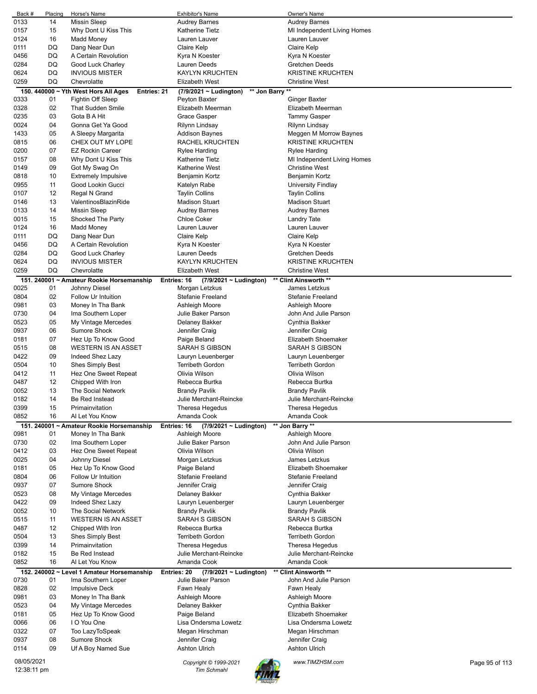| Back #       | Placing  | Horse's Name                                        | <b>Exhibitor's Name</b>                        | Owner's Name                              |                |
|--------------|----------|-----------------------------------------------------|------------------------------------------------|-------------------------------------------|----------------|
| 0133         | 14       | <b>Missin Sleep</b>                                 | <b>Audrey Barnes</b>                           | <b>Audrey Barnes</b>                      |                |
| 0157         | 15       | Why Dont U Kiss This                                | <b>Katherine Tietz</b>                         | MI Independent Living Homes               |                |
| 0124         | 16       | Madd Money                                          | Lauren Lauver                                  | Lauren Lauver                             |                |
| 0111         | DQ       | Dang Near Dun                                       | Claire Kelp                                    | Claire Kelp                               |                |
| 0456         | DQ       | A Certain Revolution                                | Kyra N Koester                                 | Kyra N Koester                            |                |
| 0284         | DQ       | Good Luck Charley                                   | Lauren Deeds                                   | <b>Gretchen Deeds</b>                     |                |
| 0624         | DQ       | <b>INVIOUS MISTER</b>                               | <b>KAYLYN KRUCHTEN</b>                         | <b>KRISTINE KRUCHTEN</b>                  |                |
| 0259         | DQ       | Chevrolatte                                         | Elizabeth West                                 | <b>Christine West</b>                     |                |
| 0333         | 01       | 150. 440000 ~ Yth West Hors All Ages<br>Entries: 21 | ** Jon Barry **<br>$(7/9/2021 \sim$ Ludington) |                                           |                |
| 0328         | 02       | Fightin Off Sleep<br><b>That Sudden Smile</b>       | Peyton Baxter<br>Elizabeth Meerman             | Ginger Baxter<br>Elizabeth Meerman        |                |
| 0235         | 03       | Gota B A Hit                                        | Grace Gasper                                   | <b>Tammy Gasper</b>                       |                |
| 0024         | 04       | Gonna Get Ya Good                                   | Rilynn Lindsay                                 | Rilynn Lindsay                            |                |
| 1433         | 05       | A Sleepy Margarita                                  | <b>Addison Baynes</b>                          | Meggen M Morrow Baynes                    |                |
| 0815         | 06       | CHEX OUT MY LOPE                                    | RACHEL KRUCHTEN                                | <b>KRISTINE KRUCHTEN</b>                  |                |
| 0200         | 07       | <b>EZ Rockin Career</b>                             | Rylee Harding                                  | <b>Rylee Harding</b>                      |                |
| 0157         | 08       | Why Dont U Kiss This                                | <b>Katherine Tietz</b>                         | MI Independent Living Homes               |                |
| 0149         | 09       | Got My Swag On                                      | <b>Katherine West</b>                          | <b>Christine West</b>                     |                |
| 0818         | 10       | <b>Extremely Impulsive</b>                          | Benjamin Kortz                                 | Benjamin Kortz                            |                |
| 0955         | 11       | Good Lookin Gucci                                   | Katelyn Rabe                                   | University Findlay                        |                |
| 0107         | 12       | Regal N Grand                                       | <b>Taylin Collins</b>                          | <b>Taylin Collins</b>                     |                |
| 0146         | 13       | ValentinosBlazinRide                                | <b>Madison Stuart</b>                          | <b>Madison Stuart</b>                     |                |
| 0133         | 14       | Missin Sleep                                        | <b>Audrey Barnes</b>                           | Audrey Barnes                             |                |
| 0015         | 15       | Shocked The Party                                   | <b>Chloe Coker</b>                             | <b>Landry Tate</b>                        |                |
| 0124         | 16       | Madd Money                                          | Lauren Lauver                                  | Lauren Lauver                             |                |
| 0111         | DQ       | Dang Near Dun                                       | Claire Kelp                                    | Claire Kelp                               |                |
| 0456         | DQ       | A Certain Revolution                                | Kyra N Koester                                 | Kyra N Koester                            |                |
| 0284         | DQ       | Good Luck Charley                                   | Lauren Deeds                                   | <b>Gretchen Deeds</b>                     |                |
| 0624         | DQ       | <b>INVIOUS MISTER</b>                               | <b>KAYLYN KRUCHTEN</b>                         | <b>KRISTINE KRUCHTEN</b>                  |                |
| 0259         | DQ       | Chevrolatte                                         | <b>Elizabeth West</b>                          | <b>Christine West</b>                     |                |
|              |          | 151. 240001 ~ Amateur Rookie Horsemanship           | Entries: 16<br>$(7/9/2021 \sim$ Ludington)     | ** Clint Ainsworth **                     |                |
| 0025         | 01       | Johnny Diesel                                       | Morgan Letzkus                                 | James Letzkus                             |                |
| 0804         | 02       | Follow Ur Intuition                                 | <b>Stefanie Freeland</b>                       | <b>Stefanie Freeland</b>                  |                |
| 0981         | 03       | Money In Tha Bank                                   | Ashleigh Moore                                 | Ashleigh Moore                            |                |
| 0730         | 04       | Ima Southern Loper                                  | Julie Baker Parson                             | John And Julie Parson                     |                |
| 0523         | 05       | My Vintage Mercedes                                 | Delaney Bakker                                 | Cynthia Bakker                            |                |
| 0937         | 06<br>07 | Sumore Shock                                        | Jennifer Craig                                 | Jennifer Craig<br>Elizabeth Shoemaker     |                |
| 0181<br>0515 | 08       | Hez Up To Know Good<br><b>WESTERN IS AN ASSET</b>   | Paige Beland<br>SARAH S GIBSON                 | SARAH S GIBSON                            |                |
| 0422         | 09       | Indeed Shez Lazy                                    | Lauryn Leuenberger                             | Lauryn Leuenberger                        |                |
| 0504         | 10       | <b>Shes Simply Best</b>                             | <b>Terribeth Gordon</b>                        | <b>Terribeth Gordon</b>                   |                |
| 0412         | 11       | Hez One Sweet Repeat                                | Olivia Wilson                                  | Olivia Wilson                             |                |
| 0487         | 12       | Chipped With Iron                                   | Rebecca Burtka                                 | Rebecca Burtka                            |                |
| 0052         | 13       | The Social Network                                  | <b>Brandy Pavlik</b>                           | <b>Brandy Pavlik</b>                      |                |
| 0182         | 14       | Be Red Instead                                      | Julie Merchant-Reincke                         | Julie Merchant-Reincke                    |                |
| 0399         | 15       | Primainvitation                                     | Theresa Hegedus                                | Theresa Hegedus                           |                |
| 0852         | 16       | Al Let You Know                                     | Amanda Cook                                    | Amanda Cook                               |                |
|              |          | 151. 240001 ~ Amateur Rookie Horsemanship           | Entries: 16<br>(7/9/2021 ~ Ludington)          | ** Jon Barry **                           |                |
| 0981         | 01       | Money In Tha Bank                                   | Ashleigh Moore                                 | Ashleigh Moore                            |                |
| 0730         | 02       | Ima Southern Loper                                  | Julie Baker Parson                             | John And Julie Parson                     |                |
| 0412         | 03       | Hez One Sweet Repeat                                | Olivia Wilson                                  | Olivia Wilson                             |                |
| 0025         | 04       | Johnny Diesel                                       | Morgan Letzkus                                 | James Letzkus                             |                |
| 0181         | 05       | Hez Up To Know Good                                 | Paige Beland                                   | Elizabeth Shoemaker                       |                |
| 0804         | 06       | Follow Ur Intuition                                 | Stefanie Freeland                              | <b>Stefanie Freeland</b>                  |                |
| 0937         | 07       | <b>Sumore Shock</b>                                 | Jennifer Craig                                 | Jennifer Craig                            |                |
| 0523         | 08       | My Vintage Mercedes                                 | Delaney Bakker                                 | Cynthia Bakker                            |                |
| 0422         | 09       | Indeed Shez Lazy                                    | Lauryn Leuenberger                             | Lauryn Leuenberger                        |                |
| 0052         | 10       | The Social Network                                  | <b>Brandy Pavlik</b>                           | <b>Brandy Pavlik</b>                      |                |
| 0515         | 11<br>12 | <b>WESTERN IS AN ASSET</b>                          | SARAH S GIBSON                                 | SARAH S GIBSON                            |                |
| 0487<br>0504 | 13       | Chipped With Iron                                   | Rebecca Burtka<br><b>Terribeth Gordon</b>      | Rebecca Burtka<br><b>Terribeth Gordon</b> |                |
| 0399         | 14       | Shes Simply Best<br>Primainvitation                 | Theresa Hegedus                                | Theresa Hegedus                           |                |
| 0182         | 15       | Be Red Instead                                      | Julie Merchant-Reincke                         | Julie Merchant-Reincke                    |                |
| 0852         | 16       | Al Let You Know                                     | Amanda Cook                                    | Amanda Cook                               |                |
|              |          | 152. 240002 ~ Level 1 Amateur Horsemanship          | Entries: 20<br>$(7/9/2021 \sim$ Ludington)     | ** Clint Ainsworth **                     |                |
| 0730         | 01       | Ima Southern Loper                                  | Julie Baker Parson                             | John And Julie Parson                     |                |
| 0828         | 02       | <b>Impulsive Deck</b>                               | Fawn Healy                                     | Fawn Healy                                |                |
| 0981         | 03       | Money In Tha Bank                                   | Ashleigh Moore                                 | Ashleigh Moore                            |                |
| 0523         | 04       | My Vintage Mercedes                                 | Delaney Bakker                                 | Cynthia Bakker                            |                |
| 0181         | 05       | Hez Up To Know Good                                 | Paige Beland                                   | Elizabeth Shoemaker                       |                |
| 0066         | 06       | I O You One                                         | Lisa Ondersma Lowetz                           | Lisa Ondersma Lowetz                      |                |
| 0322         | 07       | Too LazyToSpeak                                     | Megan Hirschman                                | Megan Hirschman                           |                |
| 0937         | 08       | Sumore Shock                                        | Jennifer Craig                                 | Jennifer Craig                            |                |
| 0114         | 09       | Uf A Boy Named Sue                                  | <b>Ashton Ulrich</b>                           | <b>Ashton Ulrich</b>                      |                |
| 08/05/2021   |          |                                                     | Copyright © 1999-2021                          | www.TIMZHSM.com                           | Page 95 of 113 |
| 12:38:11 pm  |          |                                                     | <b>Tim Schmahl</b>                             |                                           |                |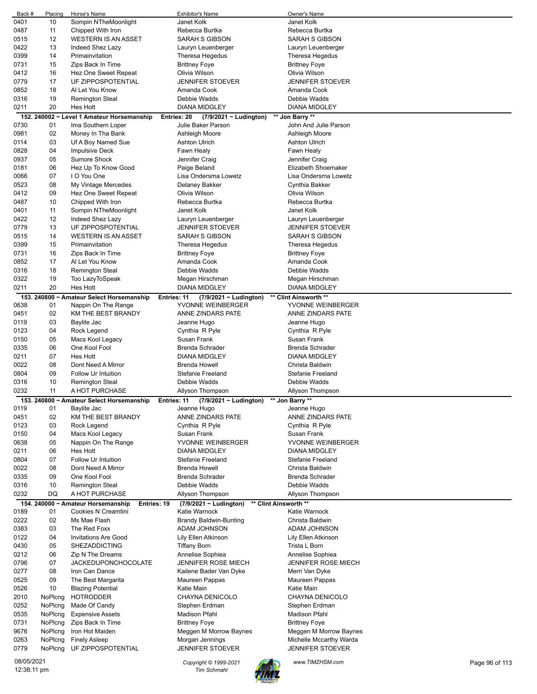| Back #      | Placing | Horse's Name                                             | <b>Exhibitor's Name</b>                              | <b>Owner's Name</b>                     |                |
|-------------|---------|----------------------------------------------------------|------------------------------------------------------|-----------------------------------------|----------------|
| 0401        | 10      | Sompin NTheMoonlight                                     | Janet Kolk                                           | Janet Kolk                              |                |
| 0487        | 11      | Chipped With Iron                                        | Rebecca Burtka                                       | Rebecca Burtka                          |                |
| 0515        | 12      | <b>WESTERN IS AN ASSET</b>                               | SARAH S GIBSON                                       | <b>SARAH S GIBSON</b>                   |                |
| 0422        | 13      | Indeed Shez Lazy                                         | Lauryn Leuenberger                                   | Lauryn Leuenberger                      |                |
| 0399        | 14      | Primainvitation                                          | Theresa Hegedus                                      | Theresa Hegedus                         |                |
| 0731        | 15      | Zips Back In Time                                        | <b>Brittney Foye</b>                                 | <b>Brittney Foye</b>                    |                |
| 0412        | 16      | Hez One Sweet Repeat                                     | Olivia Wilson                                        | Olivia Wilson                           |                |
| 0779        | 17      | UF ZIPPOSPOTENTIAL                                       | JENNIFER STOEVER                                     | JENNIFER STOEVER                        |                |
| 0852        | 18      | Al Let You Know                                          | Amanda Cook                                          | Amanda Cook                             |                |
|             |         |                                                          | Debbie Wadds                                         | Debbie Wadds                            |                |
| 0316        | 19      | <b>Remington Steal</b>                                   |                                                      | <b>DIANA MIDGLEY</b>                    |                |
| 0211        | 20      | <b>Hes Hott</b>                                          | <b>DIANA MIDGLEY</b>                                 |                                         |                |
|             |         | 152. 240002 ~ Level 1 Amateur Horsemanship               | Entries: 20<br>$(7/9/2021 \sim$ Ludington)           | ** Jon Barry **                         |                |
| 0730        | 01      | Ima Southern Loper                                       | Julie Baker Parson                                   | John And Julie Parson                   |                |
| 0981        | 02      | Money In Tha Bank                                        | Ashleigh Moore                                       | Ashleigh Moore                          |                |
| 0114        | 03      | Uf A Boy Named Sue                                       | <b>Ashton Ulrich</b>                                 | <b>Ashton Ulrich</b>                    |                |
| 0828        | 04      | <b>Impulsive Deck</b>                                    | Fawn Healy                                           | Fawn Healy                              |                |
| 0937        | 05      | Sumore Shock                                             | Jennifer Craig                                       | Jennifer Craig                          |                |
| 0181        | 06      | Hez Up To Know Good                                      | Paige Beland                                         | Elizabeth Shoemaker                     |                |
| 0066        | 07      | I O You One                                              | Lisa Ondersma Lowetz                                 | Lisa Ondersma Lowetz                    |                |
| 0523        | 08      | My Vintage Mercedes                                      | Delaney Bakker                                       | Cynthia Bakker                          |                |
| 0412        | 09      | Hez One Sweet Repeat                                     | Olivia Wilson                                        | Olivia Wilson                           |                |
| 0487        | 10      | Chipped With Iron                                        | Rebecca Burtka                                       | Rebecca Burtka                          |                |
| 0401        | 11      | Sompin NTheMoonlight                                     | Janet Kolk                                           | Janet Kolk                              |                |
| 0422        | 12      | Indeed Shez Lazy                                         | Lauryn Leuenberger                                   | Lauryn Leuenberger                      |                |
| 0779        | 13      | UF ZIPPOSPOTENTIAL                                       | JENNIFER STOEVER                                     | <b>JENNIFER STOEVER</b>                 |                |
| 0515        | 14      | <b>WESTERN IS AN ASSET</b>                               | SARAH S GIBSON                                       | <b>SARAH S GIBSON</b>                   |                |
| 0399        | 15      | Primainvitation                                          | Theresa Hegedus                                      | Theresa Hegedus                         |                |
| 0731        | 16      | Zips Back In Time                                        | <b>Brittney Foye</b>                                 | <b>Brittney Foye</b>                    |                |
| 0852        | 17      | Al Let You Know                                          | Amanda Cook                                          | Amanda Cook                             |                |
| 0316        | 18      | Remington Steal                                          | Debbie Wadds                                         | Debbie Wadds                            |                |
| 0322        | 19      |                                                          |                                                      |                                         |                |
| 0211        | 20      | Too LazyToSpeak<br><b>Hes Hott</b>                       | Megan Hirschman<br><b>DIANA MIDGLEY</b>              | Megan Hirschman<br><b>DIANA MIDGLEY</b> |                |
|             |         |                                                          |                                                      |                                         |                |
|             |         | 153. 240800 ~ Amateur Select Horsemanship<br>Entries: 11 | (7/9/2021 ~ Ludington)                               | ** Clint Ainsworth **                   |                |
| 0638        | 01      | Nappin On The Range                                      | YVONNE WEINBERGER                                    | YVONNE WEINBERGER                       |                |
| 0451        | 02      | KM THE BEST BRANDY                                       | ANNE ZINDARS PATE                                    | ANNE ZINDARS PATE                       |                |
| 0119        | 03      | Baylite Jac                                              | Jeanne Hugo                                          | Jeanne Hugo                             |                |
| 0123        | 04      | Rock Legend                                              | Cynthia R Pyle                                       | Cynthia R Pyle                          |                |
| 0150        | 05      | Macs Kool Legacy                                         | Susan Frank                                          | Susan Frank                             |                |
| 0335        | 06      | One Kool Fool                                            | <b>Brenda Schrader</b>                               | <b>Brenda Schrader</b>                  |                |
| 0211        | 07      | Hes Hott                                                 | <b>DIANA MIDGLEY</b>                                 | <b>DIANA MIDGLEY</b>                    |                |
| 0022        | 08      | Dont Need A Mirror                                       | <b>Brenda Howell</b>                                 | Christa Baldwin                         |                |
| 0804        | 09      | Follow Ur Intuition                                      | <b>Stefanie Freeland</b>                             | <b>Stefanie Freeland</b>                |                |
| 0316        | 10      | <b>Remington Steal</b>                                   | Debbie Wadds                                         | Debbie Wadds                            |                |
| 0232        | 11      | A HOT PURCHASE                                           | Allyson Thompson                                     | Allyson Thompson                        |                |
|             |         | 153. 240800 ~ Amateur Select Horsemanship                | $(7/9/2021 - Ludington)$<br>Entries: 11              | ** Jon Barry **                         |                |
| 0119        | 01      | Baylite Jac                                              | Jeanne Hugo                                          | Jeanne Hugo                             |                |
| 0451        | 02      | KM THE BEST BRANDY                                       | ANNE ZINDARS PATE                                    | ANNE ZINDARS PATE                       |                |
| 0123        | 03      | Rock Legend                                              | Cynthia R Pyle                                       | Cynthia R Pyle                          |                |
| 0150        | 04      | Macs Kool Legacy                                         | Susan Frank                                          | Susan Frank                             |                |
| 0638        | 05      | Nappin On The Range                                      | YVONNE WEINBERGER                                    | YVONNE WEINBERGER                       |                |
| 0211        | 06      | <b>Hes Hott</b>                                          | DIANA MIDGLEY                                        | DIANA MIDGLEY                           |                |
| 0804        | 07      | <b>Follow Ur Intuition</b>                               | <b>Stefanie Freeland</b>                             | Stefanie Freeland                       |                |
| 0022        | 08      | Dont Need A Mirror                                       | <b>Brenda Howell</b>                                 | Christa Baldwin                         |                |
| 0335        | 09      | One Kool Fool                                            | <b>Brenda Schrader</b>                               | <b>Brenda Schrader</b>                  |                |
| 0316        | 10      | <b>Remington Steal</b>                                   | Debbie Wadds                                         | Debbie Wadds                            |                |
| 0232        | DQ      | A HOT PURCHASE                                           | Allyson Thompson                                     | Allyson Thompson                        |                |
|             |         |                                                          |                                                      |                                         |                |
|             | 01      | 154. 240000 ~ Amateur Horsemanship<br>Entries: 19        | ** Clint Ainsworth **<br>$(7/9/2021 \sim$ Ludington) |                                         |                |
| 0189        |         | Cookies N Creamtini                                      | Katie Warnock                                        | Katie Warnock                           |                |
| 0222        | 02      | Ms Mae Flash                                             | <b>Brandy Baldwin-Bunting</b>                        | Christa Baldwin                         |                |
| 0383        | 03      | The Red Foxx                                             | ADAM JOHNSON                                         | ADAM JOHNSON                            |                |
| 0122        | 04      | <b>Invitations Are Good</b>                              | Lily Ellen Atkinson                                  | Lily Ellen Atkinson                     |                |
| 0430        | 05      | <b>SHEZADDICTING</b>                                     | Tiffany Born                                         | Trista L Born                           |                |
| 0212        | 06      | Zip N The Dreams                                         | Annelise Sophiea                                     | Annelise Sophiea                        |                |
| 0796        | 07      | <b>JACKEDUPONCHOCOLATE</b>                               | <b>JENNIFER ROSE MIECH</b>                           | <b>JENNIFER ROSE MIECH</b>              |                |
| 0277        | 08      | Iron Can Dance                                           | Kailene Bader Van Dyke                               | Merri Van Dyke                          |                |
| 0525        | 09      | The Best Margarita                                       | Maureen Pappas                                       | Maureen Pappas                          |                |
| 0526        | 10      | <b>Blazing Potential</b>                                 | Katie Main                                           | Katie Main                              |                |
| 2010        | NoPlcng | <b>HOTRODDER</b>                                         | CHAYNA DENICOLO                                      | CHAYNA DENICOLO                         |                |
| 0252        | NoPlcng | Made Of Candy                                            | Stephen Erdman                                       | Stephen Erdman                          |                |
| 0535        | NoPlcng | <b>Expensive Assets</b>                                  | Madison Pfahl                                        | Madison Pfahl                           |                |
| 0731        | NoPlcng | Zips Back In Time                                        | <b>Brittney Foye</b>                                 | <b>Brittney Foye</b>                    |                |
| 9676        | NoPlcng | Iron Hot Maiden                                          | Meggen M Morrow Baynes                               | Meggen M Morrow Baynes                  |                |
| 0263        | NoPlcng | <b>Finely Asleep</b>                                     | Morgan Jennings                                      | Michelle Mccarthy Warda                 |                |
| 0779        | NoPlcng | UF ZIPPOSPOTENTIAL                                       | JENNIFER STOEVER                                     | <b>JENNIFER STOEVER</b>                 |                |
|             |         |                                                          |                                                      |                                         |                |
| 08/05/2021  |         |                                                          | Copyright © 1999-2021                                | www.TIMZHSM.com                         | Page 96 of 113 |
| 12:38:11 pm |         |                                                          | <b>Tim Schmahl</b>                                   |                                         |                |

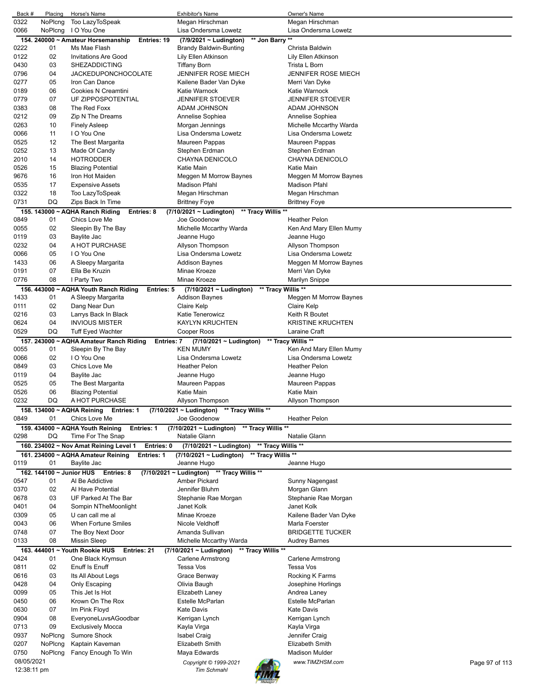| Back #      | Placing   | Horse's Name                                                 | <b>Exhibitor's Name</b>                            | Owner's Name                      |
|-------------|-----------|--------------------------------------------------------------|----------------------------------------------------|-----------------------------------|
| 0322        | NoPlcng   | Too LazyToSpeak                                              | Megan Hirschman                                    | Megan Hirschman                   |
| 0066        | NoPlcng   | I O You One                                                  | Lisa Ondersma Lowetz                               | Lisa Ondersma Lowetz              |
|             |           | 154. 240000 ~ Amateur Horsemanship<br>Entries: 19            | ** Jon Barry **<br>$(7/9/2021 \sim$ Ludington)     |                                   |
| 0222        | 01        | Ms Mae Flash                                                 | Brandy Baldwin-Bunting                             | Christa Baldwin                   |
| 0122        | 02        | <b>Invitations Are Good</b>                                  | Lily Ellen Atkinson                                | Lily Ellen Atkinson               |
| 0430        | 03        | <b>SHEZADDICTING</b>                                         | <b>Tiffany Born</b>                                | Trista L Born                     |
| 0796        | 04        | <b>JACKEDUPONCHOCOLATE</b>                                   | JENNIFER ROSE MIECH                                | <b>JENNIFER ROSE MIECH</b>        |
| 0277        | 05        | Iron Can Dance                                               | Kailene Bader Van Dyke                             | Merri Van Dyke                    |
| 0189        | 06        | Cookies N Creamtini                                          | Katie Warnock                                      | Katie Warnock                     |
| 0779        | 07        | UF ZIPPOSPOTENTIAL                                           | <b>JENNIFER STOEVER</b>                            | <b>JENNIFER STOEVER</b>           |
| 0383        | 08        | The Red Foxx                                                 | ADAM JOHNSON                                       | ADAM JOHNSON                      |
| 0212        | 09        | Zip N The Dreams                                             | Annelise Sophiea                                   | Annelise Sophiea                  |
| 0263        | 10        |                                                              |                                                    |                                   |
|             |           | <b>Finely Asleep</b>                                         | Morgan Jennings                                    | Michelle Mccarthy Warda           |
| 0066        | 11        | I O You One                                                  | Lisa Ondersma Lowetz                               | Lisa Ondersma Lowetz              |
| 0525        | 12        | The Best Margarita                                           | Maureen Pappas                                     | Maureen Pappas                    |
| 0252        | 13        | Made Of Candy                                                | Stephen Erdman                                     | Stephen Erdman                    |
| 2010        | 14        | <b>HOTRODDER</b>                                             | CHAYNA DENICOLO                                    | CHAYNA DENICOLO                   |
| 0526        | 15        | <b>Blazing Potential</b>                                     | Katie Main                                         | Katie Main                        |
| 9676        | 16        | Iron Hot Maiden                                              | Meggen M Morrow Baynes                             | Meggen M Morrow Baynes            |
| 0535        | 17        | <b>Expensive Assets</b>                                      | <b>Madison Pfahl</b>                               | Madison Pfahl                     |
| 0322        | 18        | Too LazyToSpeak                                              | Megan Hirschman                                    | Megan Hirschman                   |
| 0731        | DQ        | Zips Back In Time                                            | <b>Brittney Foye</b>                               | <b>Brittney Foye</b>              |
|             |           | 155. 143000 ~ AQHA Ranch Riding<br>Entries: 8                | $(7/10/2021 \sim$ Ludington)<br>** Tracy Willis ** |                                   |
| 0849        | 01        | Chics Love Me                                                | Joe Goodenow                                       | <b>Heather Pelon</b>              |
| 0055        | 02        | Sleepin By The Bay                                           | Michelle Mccarthy Warda                            | Ken And Mary Ellen Mumy           |
| 0119        | 03        | Baylite Jac                                                  | Jeanne Hugo                                        | Jeanne Hugo                       |
| 0232        | 04        | A HOT PURCHASE                                               | Allyson Thompson                                   | Allyson Thompson                  |
| 0066        | 05        | I O You One                                                  | Lisa Ondersma Lowetz                               | Lisa Ondersma Lowetz              |
|             |           | A Sleepy Margarita                                           | <b>Addison Baynes</b>                              |                                   |
| 1433        | 06        |                                                              |                                                    | Meggen M Morrow Baynes            |
| 0191        | 07        | Ella Be Kruzin                                               | Minae Kroeze                                       | Merri Van Dyke                    |
| 0776        | 08        | I Party Two                                                  | Minae Kroeze                                       | Marilyn Snippe                    |
|             |           | 156. 443000 ~ AQHA Youth Ranch Riding<br>Entries: 5          | ** Tracy Willis **<br>$(7/10/2021 -$ Ludington)    |                                   |
| 1433        | 01        | A Sleepy Margarita                                           | <b>Addison Baynes</b>                              | Meggen M Morrow Baynes            |
| 0111        | 02        | Dang Near Dun                                                | Claire Kelp                                        | Claire Kelp                       |
| 0216        | 03        | Larrys Back In Black                                         | <b>Katie Tenerowicz</b>                            | Keith R Boutet                    |
| 0624        | 04        | <b>INVIOUS MISTER</b>                                        | KAYLYN KRUCHTEN                                    | <b>KRISTINE KRUCHTEN</b>          |
| 0529        | <b>DQ</b> | Tuff Eyed Wachter                                            | Cooper Roos                                        | Laraine Craft                     |
|             |           | 157. 243000 ~ AQHA Amateur Ranch Riding<br><b>Entries: 7</b> | (7/10/2021 ~ Ludington)                            | ** Tracy Willis **                |
| 0055        | 01        | Sleepin By The Bay                                           | <b>KEN MUMY</b>                                    | Ken And Mary Ellen Mumy           |
| 0066        | 02        | I O You One                                                  | Lisa Ondersma Lowetz                               | Lisa Ondersma Lowetz              |
| 0849        | 03        | Chics Love Me                                                | <b>Heather Pelon</b>                               | <b>Heather Pelon</b>              |
| 0119        | 04        | Baylite Jac                                                  | Jeanne Hugo                                        | Jeanne Hugo                       |
|             |           |                                                              |                                                    |                                   |
| 0525        | 05        | The Best Margarita                                           | Maureen Pappas                                     | Maureen Pappas                    |
| 0526        | 06        | <b>Blazing Potential</b>                                     | Katie Main                                         | Katie Main                        |
| 0232        | DQ        | A HOT PURCHASE                                               | Allyson Thompson                                   | Allyson Thompson                  |
|             |           | 158. 134000 ~ AQHA Reining<br>Entries: 1                     | (7/10/2021 ~ Ludington)<br>** Tracy Willis **      |                                   |
| 0849        | 01        | Chics Love Me                                                | Joe Goodenow                                       | <b>Heather Pelon</b>              |
|             |           | 159. 434000 ~ AQHA Youth Reining<br><b>Entries: 1</b>        | ** Tracy Willis **<br>(7/10/2021 ~ Ludington)      |                                   |
| 0298        | DQ        | Time For The Snap                                            | Natalie Glann                                      | Natalie Glann                     |
|             |           | 160. 234002 ~ Nov Amat Reining Level 1<br>Entries: 0         | ** Tracy Willis **<br>(7/10/2021 ~ Ludington)      |                                   |
|             |           | 161. 234000 ~ AQHA Amateur Reining<br>Entries: 1             | (7/10/2021 ~ Ludington) ** Tracy Willis **         |                                   |
| 0119        | 01        | Baylite Jac                                                  | Jeanne Hugo                                        | Jeanne Hugo                       |
|             |           | 162. 144100 ~ Junior HUS Entries: 8                          | (7/10/2021 ~ Ludington) ** Tracy Willis **         |                                   |
| 0547        | 01        | Al Be Addictive                                              | Amber Pickard                                      | Sunny Nagengast                   |
| 0370        | 02        | Al Have Potential                                            | Jennifer Bluhm                                     | Morgan Glann                      |
|             | 03        | UF Parked At The Bar                                         |                                                    |                                   |
| 0678        | 04        |                                                              | Stephanie Rae Morgan                               | Stephanie Rae Morgan              |
| 0401        |           | Sompin NTheMoonlight                                         | Janet Kolk                                         | Janet Kolk                        |
| 0309        | 05        | U can call me al                                             | Minae Kroeze                                       | Kailene Bader Van Dyke            |
| 0043        | 06        | When Fortune Smiles                                          | Nicole Veldhoff                                    | Marla Foerster                    |
| 0748        | 07        | The Boy Next Door                                            | Amanda Sullivan                                    | <b>BRIDGETTE TUCKER</b>           |
| 0133        | 08        | <b>Missin Sleep</b>                                          | Michelle Mccarthy Warda                            | Audrey Barnes                     |
|             |           | 163. 444001 ~ Youth Rookie HUS<br>Entries: 21                | ** Tracy Willis **<br>$(7/10/2021 - Ludington)$    |                                   |
| 0424        | 01        | One Black Krymsun                                            | <b>Carlene Armstrong</b>                           | <b>Carlene Armstrong</b>          |
| 0811        | 02        | Enuff Is Enuff                                               | Tessa Vos                                          | Tessa Vos                         |
| 0616        | 03        | Its All About Legs                                           | Grace Benway                                       | Rocking K Farms                   |
| 0428        | 04        | Only Escaping                                                | Olivia Baugh                                       | Josephine Horlings                |
| 0099        | 05        | This Jet Is Hot                                              | Elizabeth Laney                                    | Andrea Laney                      |
| 0450        | 06        | Krown On The Rox                                             | Estelle McParlan                                   | Estelle McParlan                  |
| 0630        | 07        | Im Pink Floyd                                                | <b>Kate Davis</b>                                  | <b>Kate Davis</b>                 |
| 0904        | 08        | EveryoneLuvsAGoodbar                                         | Kerrigan Lynch                                     | Kerrigan Lynch                    |
| 0713        | 09        | <b>Exclusively Mocca</b>                                     | Kayla Virga                                        | Kayla Virga                       |
| 0937        | NoPlcng   | Sumore Shock                                                 | Isabel Craig                                       | Jennifer Craig                    |
| 0207        | NoPlcng   | Kaptain Kaveman                                              | <b>Elizabeth Smith</b>                             | Elizabeth Smith                   |
|             |           |                                                              |                                                    |                                   |
| 0750        | NoPlcng   | Fancy Enough To Win                                          | Maya Edwards                                       | Madison Mulder                    |
| 08/05/2021  |           |                                                              | Copyright © 1999-2021                              | www.TIMZHSM.com<br>Page 97 of 113 |
| 12:38:11 pm |           |                                                              | <b>Tim Schmahl</b>                                 |                                   |
|             |           |                                                              |                                                    |                                   |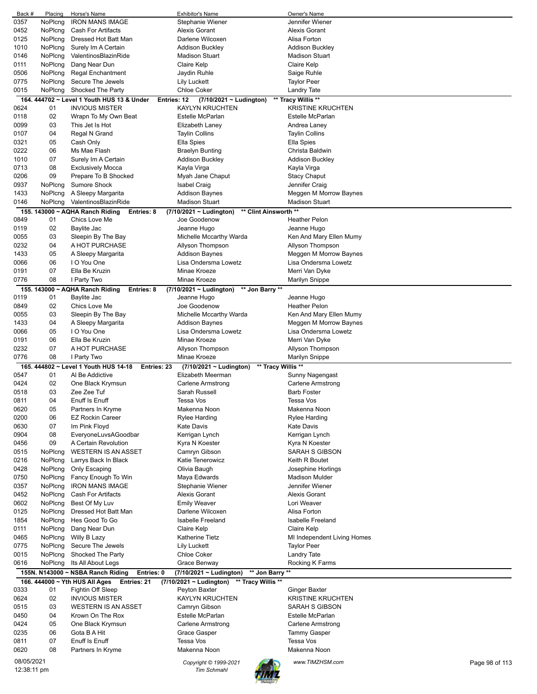| Back #                    | Placing        | Horse's Name                                    | <b>Exhibitor's Name</b>                            | Owner's Name                |                |
|---------------------------|----------------|-------------------------------------------------|----------------------------------------------------|-----------------------------|----------------|
| 0357                      | NoPlcng        | <b>IRON MANS IMAGE</b>                          | Stephanie Wiener                                   | Jennifer Wiener             |                |
| 0452                      | NoPlcng        | Cash For Artifacts                              | <b>Alexis Gorant</b>                               | <b>Alexis Gorant</b>        |                |
|                           |                |                                                 |                                                    |                             |                |
| 0125                      | <b>NoPlcng</b> | Dressed Hot Batt Man                            | Darlene Wilcoxen                                   | Alisa Forton                |                |
| 1010                      | NoPlcng        | Surely Im A Certain                             | <b>Addison Buckley</b>                             | <b>Addison Buckley</b>      |                |
| 0146                      | NoPlcng        | ValentinosBlazinRide                            | <b>Madison Stuart</b>                              | <b>Madison Stuart</b>       |                |
|                           |                |                                                 |                                                    |                             |                |
| 0111                      | NoPlcng        | Dang Near Dun                                   | Claire Kelp                                        | Claire Kelp                 |                |
| 0506                      | NoPlcng        | <b>Regal Enchantment</b>                        | Jaydin Ruhle                                       | Saige Ruhle                 |                |
| 0775                      | NoPlcng        | Secure The Jewels                               | <b>Lily Luckett</b>                                | <b>Taylor Peer</b>          |                |
|                           |                |                                                 | <b>Chloe Coker</b>                                 |                             |                |
| 0015                      | NoPlcng        | Shocked The Party                               |                                                    | Landry Tate                 |                |
| 164.                      |                | 444702 ~ Level 1 Youth HUS 13 & Under           | <b>Entries: 12</b><br>(7/10/2021 ~ Ludington)      | ** Tracy Willis **          |                |
| 0624                      | 01             | <b>INVIOUS MISTER</b>                           | KAYLYN KRUCHTEN                                    | <b>KRISTINE KRUCHTEN</b>    |                |
| 0118                      | 02             |                                                 | Estelle McParlan                                   | Estelle McParlan            |                |
|                           |                | Wrapn To My Own Beat                            |                                                    |                             |                |
| 0099                      | 03             | This Jet Is Hot                                 | Elizabeth Laney                                    | Andrea Laney                |                |
| 0107                      | 04             | Regal N Grand                                   | <b>Taylin Collins</b>                              | <b>Taylin Collins</b>       |                |
| 0321                      | 05             | Cash Only                                       | Ella Spies                                         | Ella Spies                  |                |
|                           |                |                                                 |                                                    |                             |                |
| 0222                      | 06             | Ms Mae Flash                                    | Braelyn Bunting                                    | Christa Baldwin             |                |
| 1010                      | 07             | Surely Im A Certain                             | <b>Addison Buckley</b>                             | <b>Addison Buckley</b>      |                |
| 0713                      | 08             | <b>Exclusively Mocca</b>                        | Kayla Virga                                        | Kayla Virga                 |                |
|                           |                |                                                 |                                                    |                             |                |
| 0206                      | 09             | Prepare To B Shocked                            | Myah Jane Chaput                                   | <b>Stacy Chaput</b>         |                |
| 0937                      | NoPlcng        | Sumore Shock                                    | <b>Isabel Craig</b>                                | Jennifer Craig              |                |
| 1433                      | NoPlcng        | A Sleepy Margarita                              | <b>Addison Baynes</b>                              | Meggen M Morrow Baynes      |                |
| 0146                      |                | ValentinosBlazinRide                            | <b>Madison Stuart</b>                              | <b>Madison Stuart</b>       |                |
|                           | NoPlcng        |                                                 |                                                    |                             |                |
|                           |                | 155. 143000 ~ AQHA Ranch Riding<br>Entries: 8   | ** Clint Ainsworth **<br>(7/10/2021 ~ Ludington)   |                             |                |
| 0849                      | 01             | Chics Love Me                                   | Joe Goodenow                                       | <b>Heather Pelon</b>        |                |
|                           |                |                                                 |                                                    |                             |                |
| 0119                      | 02             | Baylite Jac                                     | Jeanne Hugo                                        | Jeanne Hugo                 |                |
| 0055                      | 03             | Sleepin By The Bay                              | Michelle Mccarthy Warda                            | Ken And Mary Ellen Mumy     |                |
| 0232                      | 04             | A HOT PURCHASE                                  | Allyson Thompson                                   | Allyson Thompson            |                |
| 1433                      | 05             |                                                 | <b>Addison Baynes</b>                              | Meggen M Morrow Baynes      |                |
|                           |                | A Sleepy Margarita                              |                                                    |                             |                |
| 0066                      | 06             | I O You One                                     | Lisa Ondersma Lowetz                               | Lisa Ondersma Lowetz        |                |
| 0191                      | 07             | Ella Be Kruzin                                  | Minae Kroeze                                       | Merri Van Dyke              |                |
| 0776                      | 08             | I Party Two                                     | Minae Kroeze                                       | Marilyn Snippe              |                |
|                           |                |                                                 |                                                    |                             |                |
|                           |                | 155. 143000 ~ AQHA Ranch Riding<br>Entries: 8   | ** Jon Barry **<br>$(7/10/2021 \sim$ Ludington)    |                             |                |
| 0119                      | 01             | Baylite Jac                                     | Jeanne Hugo                                        | Jeanne Hugo                 |                |
| 0849                      | 02             | Chics Love Me                                   | Joe Goodenow                                       | <b>Heather Pelon</b>        |                |
|                           |                |                                                 |                                                    |                             |                |
| 0055                      | 03             | Sleepin By The Bay                              | Michelle Mccarthy Warda                            | Ken And Mary Ellen Mumy     |                |
| 1433                      | 04             | A Sleepy Margarita                              | Addison Baynes                                     | Meggen M Morrow Baynes      |                |
| 0066                      | 05             | I O You One                                     | Lisa Ondersma Lowetz                               | Lisa Ondersma Lowetz        |                |
|                           |                |                                                 |                                                    |                             |                |
| 0191                      | 06             | Ella Be Kruzin                                  | Minae Kroeze                                       | Merri Van Dyke              |                |
| 0232                      | 07             | A HOT PURCHASE                                  | Allyson Thompson                                   | Allyson Thompson            |                |
| 0776                      | 08             | I Party Two                                     | Minae Kroeze                                       | Marilyn Snippe              |                |
|                           |                | 165. 444802 ~ Level 1 Youth HUS 14-18           |                                                    |                             |                |
|                           |                | Entries: 23                                     | ** Tracy Willis **<br>(7/10/2021 ~ Ludington)      |                             |                |
| 0547                      | 01             | Al Be Addictive                                 | Elizabeth Meerman                                  | Sunny Nagengast             |                |
| 0424                      | 02             | One Black Krymsun                               | <b>Carlene Armstrong</b>                           | Carlene Armstrong           |                |
| 0518                      | 03             | Zee Zee Tuf                                     | Sarah Russell                                      | <b>Barb Foster</b>          |                |
|                           |                |                                                 |                                                    |                             |                |
| 0811                      | 04             | Enuff Is Enuff                                  | <b>Tessa Vos</b>                                   | Tessa Vos                   |                |
| 0620                      | 05             | Partners In Kryme                               | Makenna Noon                                       | Makenna Noon                |                |
| 0200                      | 06             | <b>EZ Rockin Career</b>                         | Rylee Harding                                      | Rylee Harding               |                |
|                           |                |                                                 |                                                    |                             |                |
| 0630                      | 07             | Im Pink Floyd                                   | <b>Kate Davis</b>                                  | <b>Kate Davis</b>           |                |
| 0904                      | 08             | EveryoneLuvsAGoodbar                            | Kerrigan Lynch                                     | Kerrigan Lynch              |                |
| 0456                      | 09             | A Certain Revolution                            | Kyra N Koester                                     | Kyra N Koester              |                |
|                           |                |                                                 |                                                    |                             |                |
| 0515                      | NoPlcng        | <b>WESTERN IS AN ASSET</b>                      | Camryn Gibson                                      | <b>SARAH S GIBSON</b>       |                |
| 0216                      | NoPlcng        | Larrys Back In Black                            | Katie Tenerowicz                                   | Keith R Boutet              |                |
| 0428                      | NoPlcng        | Only Escaping                                   | Olivia Baugh                                       | Josephine Horlings          |                |
| 0750                      | NoPlcng        |                                                 |                                                    | <b>Madison Mulder</b>       |                |
|                           |                | Fancy Enough To Win                             | Maya Edwards                                       |                             |                |
| 0357                      | NoPlcng        | <b>IRON MANS IMAGE</b>                          | Stephanie Wiener                                   | Jennifer Wiener             |                |
| 0452                      | NoPlcng        | <b>Cash For Artifacts</b>                       | <b>Alexis Gorant</b>                               | <b>Alexis Gorant</b>        |                |
|                           |                |                                                 |                                                    |                             |                |
| 0602                      | NoPlcng        | Best Of My Luv                                  | <b>Emily Weaver</b>                                | Lori Weaver                 |                |
| 0125                      | NoPlcna        | Dressed Hot Batt Man                            | Darlene Wilcoxen                                   | Alisa Forton                |                |
| 1854                      | NoPlcng        | Hes Good To Go                                  | <b>Isabelle Freeland</b>                           | <b>Isabelle Freeland</b>    |                |
| 0111                      | NoPlcng        | Dang Near Dun                                   | <b>Claire Kelp</b>                                 | Claire Kelp                 |                |
|                           |                |                                                 |                                                    |                             |                |
| 0465                      | NoPlcng        | Willy B Lazy                                    | Katherine Tietz                                    | MI Independent Living Homes |                |
| 0775                      | NoPlcng        | Secure The Jewels                               | <b>Lily Luckett</b>                                | <b>Taylor Peer</b>          |                |
| 0015                      | NoPlcng        | Shocked The Party                               | Chloe Coker                                        | <b>Landry Tate</b>          |                |
|                           |                |                                                 |                                                    |                             |                |
| 0616                      | NoPlcng        | Its All About Legs                              | Grace Benway                                       | Rocking K Farms             |                |
|                           |                | 155N. N143000 ~ NSBA Ranch Riding<br>Entries: 0 | ** Jon Barry **<br>(7/10/2021 ~ Ludington)         |                             |                |
|                           |                | Entries: 21<br>166. 444000 ~ Yth HUS All Ages   | ** Tracy Willis **<br>$(7/10/2021 \sim$ Ludington) |                             |                |
|                           |                |                                                 |                                                    |                             |                |
| 0333                      | 01             | Fightin Off Sleep                               | Peyton Baxter                                      | <b>Ginger Baxter</b>        |                |
| 0624                      |                | <b>INVIOUS MISTER</b>                           | <b>KAYLYN KRUCHTEN</b>                             | <b>KRISTINE KRUCHTEN</b>    |                |
|                           | 02             |                                                 |                                                    |                             |                |
|                           |                | <b>WESTERN IS AN ASSET</b>                      |                                                    | SARAH S GIBSON              |                |
| 0515                      | 03             |                                                 | Camryn Gibson                                      |                             |                |
| 0450                      | 04             | Krown On The Rox                                | Estelle McParlan                                   | Estelle McParlan            |                |
| 0424                      | 05             | One Black Krymsun                               | Carlene Armstrong                                  | Carlene Armstrong           |                |
|                           |                | Gota B A Hit                                    |                                                    |                             |                |
| 0235                      | 06             |                                                 | Grace Gasper                                       | <b>Tammy Gasper</b>         |                |
| 0811                      | 07             | Enuff Is Enuff                                  | <b>Tessa Vos</b>                                   | Tessa Vos                   |                |
| 0620                      | 08             | Partners In Kryme                               | Makenna Noon                                       | Makenna Noon                |                |
|                           |                |                                                 |                                                    |                             |                |
| 08/05/2021<br>12:38:11 pm |                |                                                 | Copyright © 1999-2021<br><b>Tim Schmahl</b>        | www.TIMZHSM.com             | Page 98 of 113 |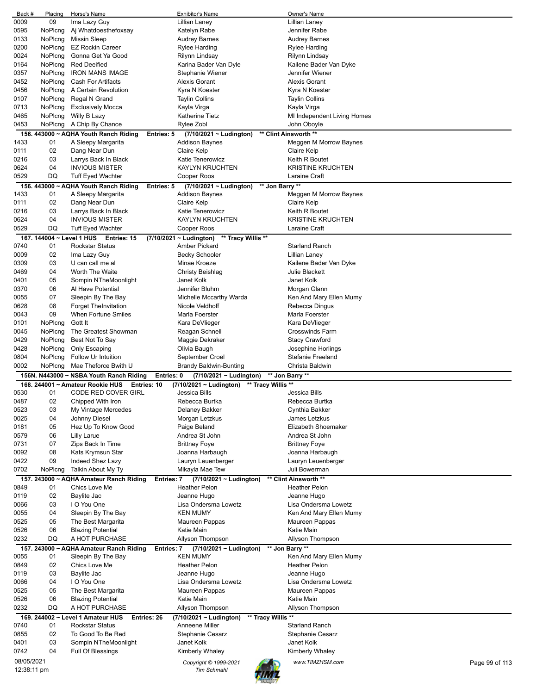| Back #      | Placing | Horse's Name                                                 | <b>Exhibitor's Name</b>                       | Owner's Name                      |
|-------------|---------|--------------------------------------------------------------|-----------------------------------------------|-----------------------------------|
| 0009        | 09      | Ima Lazy Guy                                                 | Lillian Laney                                 | Lillian Laney                     |
| 0595        | NoPlcng | Aj Whatdoesthefoxsay                                         | Katelyn Rabe                                  | Jennifer Rabe                     |
| 0133        | NoPlcng | <b>Missin Sleep</b>                                          | <b>Audrey Barnes</b>                          | <b>Audrey Barnes</b>              |
|             |         |                                                              |                                               |                                   |
| 0200        | NoPlcng | <b>EZ Rockin Career</b>                                      | Rylee Harding                                 | <b>Rylee Harding</b>              |
| 0024        | NoPlcng | Gonna Get Ya Good                                            | Rilynn Lindsay                                | Rilynn Lindsay                    |
| 0164        | NoPlcng | <b>Red Deeified</b>                                          | Karina Bader Van Dyle                         | Kailene Bader Van Dyke            |
| 0357        | NoPlcng | <b>IRON MANS IMAGE</b>                                       | Stephanie Wiener                              | Jennifer Wiener                   |
| 0452        | NoPlcng | <b>Cash For Artifacts</b>                                    | <b>Alexis Gorant</b>                          | <b>Alexis Gorant</b>              |
| 0456        | NoPlcng | A Certain Revolution                                         | Kyra N Koester                                | Kyra N Koester                    |
|             |         |                                                              |                                               |                                   |
| 0107        | NoPlcng | Regal N Grand                                                | <b>Taylin Collins</b>                         | <b>Taylin Collins</b>             |
| 0713        | NoPlcng | <b>Exclusively Mocca</b>                                     | Kayla Virga                                   | Kayla Virga                       |
| 0465        | NoPlcng | Willy B Lazy                                                 | <b>Katherine Tietz</b>                        | MI Independent Living Homes       |
| 0453        | NoPlcng | A Chip By Chance                                             | Rylee Zobl                                    | John Oboyle                       |
|             |         | 156. 443000 ~ AQHA Youth Ranch Riding<br><b>Entries: 5</b>   | $(7/10/2021 - Ludington)$                     | ** Clint Ainsworth **             |
| 1433        | 01      | A Sleepy Margarita                                           | <b>Addison Baynes</b>                         | Meggen M Morrow Baynes            |
|             |         |                                                              |                                               |                                   |
| 0111        | 02      | Dang Near Dun                                                | Claire Kelp                                   | Claire Kelp                       |
| 0216        | 03      | Larrys Back In Black                                         | Katie Tenerowicz                              | Keith R Boutet                    |
| 0624        | 04      | <b>INVIOUS MISTER</b>                                        | <b>KAYLYN KRUCHTEN</b>                        | <b>KRISTINE KRUCHTEN</b>          |
| 0529        | DQ      | <b>Tuff Eyed Wachter</b>                                     | Cooper Roos                                   | Laraine Craft                     |
|             |         | 156. 443000 ~ AQHA Youth Ranch Riding<br><b>Entries: 5</b>   | ** Jon Barry **<br>$(7/10/2021 - Ludington)$  |                                   |
|             |         |                                                              |                                               |                                   |
| 1433        | 01      | A Sleepy Margarita                                           | <b>Addison Baynes</b>                         | Meggen M Morrow Baynes            |
| 0111        | 02      | Dang Near Dun                                                | Claire Kelp                                   | Claire Kelp                       |
| 0216        | 03      | Larrys Back In Black                                         | Katie Tenerowicz                              | Keith R Boutet                    |
| 0624        | 04      | <b>INVIOUS MISTER</b>                                        | <b>KAYLYN KRUCHTEN</b>                        | <b>KRISTINE KRUCHTEN</b>          |
| 0529        | DQ      | Tuff Eyed Wachter                                            | Cooper Roos                                   | Laraine Craft                     |
|             |         |                                                              |                                               |                                   |
|             |         | 167. 144004 ~ Level 1 HUS Entries: 15                        | (7/10/2021 ~ Ludington)<br>** Tracy Willis ** |                                   |
| 0740        | 01      | <b>Rockstar Status</b>                                       | Amber Pickard                                 | <b>Starland Ranch</b>             |
| 0009        | 02      | Ima Lazy Guy                                                 | <b>Becky Schooler</b>                         | Lillian Laney                     |
| 0309        | 03      | U can call me al                                             | Minae Kroeze                                  | Kailene Bader Van Dyke            |
| 0469        | 04      | Worth The Waite                                              | <b>Christy Beishlag</b>                       | Julie Blackett                    |
|             |         |                                                              | Janet Kolk                                    |                                   |
| 0401        | 05      | Sompin NTheMoonlight                                         |                                               | Janet Kolk                        |
| 0370        | 06      | Al Have Potential                                            | Jennifer Bluhm                                | Morgan Glann                      |
| 0055        | 07      | Sleepin By The Bay                                           | Michelle Mccarthy Warda                       | Ken And Mary Ellen Mumy           |
| 0628        | 08      | <b>Forget TheInvitation</b>                                  | Nicole Veldhoff                               | Rebecca Dingus                    |
| 0043        | 09      | When Fortune Smiles                                          | Marla Foerster                                | Marla Foerster                    |
| 0101        | NoPlcng | Gott It                                                      | Kara DeVlieger                                | Kara DeVlieger                    |
|             |         |                                                              |                                               |                                   |
| 0045        | NoPlcng | The Greatest Showman                                         | Reagan Schnell                                | <b>Crosswinds Farm</b>            |
| 0429        | NoPlcng | Best Not To Say                                              | Maggie Dekraker                               | <b>Stacy Crawford</b>             |
| 0428        | NoPlcng | Only Escaping                                                | Olivia Baugh                                  | Josephine Horlings                |
|             |         |                                                              |                                               |                                   |
| 0804        | NoPlcng | Follow Ur Intuition                                          | September Croel                               | <b>Stefanie Freeland</b>          |
|             |         |                                                              |                                               |                                   |
| 0002        | NoPlcng | Mae Theforce Bwith U                                         | <b>Brandy Baldwin-Bunting</b>                 | Christa Baldwin                   |
|             |         | 156N. N443000 ~ NSBA Youth Ranch Riding<br>Entries: 0        | $(7/10/2021 \sim$ Ludington)                  | ** Jon Barry **                   |
|             |         | 168, 244001 ~ Amateur Rookie HUS<br>Entries: 10              | (7/10/2021 ~ Ludington) ** Tracy Willis **    |                                   |
| 0530        | 01      | CODE RED COVER GIRL                                          | Jessica Bills                                 | Jessica Bills                     |
| 0487        | 02      | Chipped With Iron                                            | Rebecca Burtka                                | Rebecca Burtka                    |
|             |         |                                                              |                                               |                                   |
| 0523        | 03      | My Vintage Mercedes                                          | Delaney Bakker                                | Cynthia Bakker                    |
| 0025        | 04      | Johnny Diesel                                                | Morgan Letzkus                                | James Letzkus                     |
| 0181        | 05      | Hez Up To Know Good                                          | Paige Beland                                  | Elizabeth Shoemaker               |
| 0579        | 06      | Lilly Larue                                                  | Andrea St John                                | Andrea St John                    |
| 0731        | 07      | Zips Back In Time                                            | <b>Brittney Foye</b>                          | <b>Brittney Foye</b>              |
| 0092        | 08      | Kats Krymsun Star                                            | Joanna Harbaugh                               | Joanna Harbaugh                   |
| 0422        | 09      |                                                              |                                               |                                   |
|             |         | Indeed Shez Lazy                                             | Lauryn Leuenberger                            | Lauryn Leuenberger                |
| 0702        | NoPlcng | Talkin About My Ty                                           | Mikayla Mae Tew                               | Juli Bowerman                     |
|             |         | 157. 243000 ~ AQHA Amateur Ranch Riding<br>Entries: 7        | $(7/10/2021 \sim$ Ludington)                  | ** Clint Ainsworth **             |
| 0849        | 01      | Chics Love Me                                                | <b>Heather Pelon</b>                          | <b>Heather Pelon</b>              |
| 0119        | 02      | Baylite Jac                                                  | Jeanne Hugo                                   | Jeanne Hugo                       |
| 0066        | 03      | I O You One                                                  | Lisa Ondersma Lowetz                          | Lisa Ondersma Lowetz              |
|             | 04      |                                                              | <b>KEN MUMY</b>                               |                                   |
| 0055        |         | Sleepin By The Bay                                           |                                               | Ken And Mary Ellen Mumy           |
| 0525        | 05      | The Best Margarita                                           | Maureen Pappas                                | Maureen Pappas                    |
| 0526        | 06      | <b>Blazing Potential</b>                                     | Katie Main                                    | Katie Main                        |
| 0232        | DQ      | A HOT PURCHASE                                               | Allyson Thompson                              | Allyson Thompson                  |
|             |         | 157. 243000 ~ AQHA Amateur Ranch Riding<br><b>Entries: 7</b> | $(7/10/2021 - Ludington)$                     |                                   |
| 0055        | 01      | Sleepin By The Bay                                           | <b>KEN MUMY</b>                               | ** Jon Barry **                   |
|             |         |                                                              |                                               | Ken And Mary Ellen Mumy           |
| 0849        | 02      | Chics Love Me                                                | <b>Heather Pelon</b>                          | Heather Pelon                     |
| 0119        | 03      | Baylite Jac                                                  | Jeanne Hugo                                   | Jeanne Hugo                       |
| 0066        | 04      | I O You One                                                  | Lisa Ondersma Lowetz                          | Lisa Ondersma Lowetz              |
| 0525        | 05      | The Best Margarita                                           | Maureen Pappas                                | Maureen Pappas                    |
| 0526        | 06      | <b>Blazing Potential</b>                                     | Katie Main                                    | Katie Main                        |
| 0232        | DQ      | A HOT PURCHASE                                               | Allyson Thompson                              | Allyson Thompson                  |
|             |         |                                                              |                                               |                                   |
|             |         | 169. 244002 ~ Level 1 Amateur HUS<br>Entries: 26             | (7/10/2021 ~ Ludington)<br>** Tracy Willis ** |                                   |
| 0740        | 01      | <b>Rockstar Status</b>                                       | Anneene Miller                                | <b>Starland Ranch</b>             |
| 0855        | 02      | To Good To Be Red                                            | <b>Stephanie Cesarz</b>                       | Stephanie Cesarz                  |
| 0401        | 03      | Sompin NTheMoonlight                                         | Janet Kolk                                    | Janet Kolk                        |
| 0742        | 04      | <b>Full Of Blessings</b>                                     | Kimberly Whaley                               | Kimberly Whaley                   |
|             |         |                                                              |                                               |                                   |
| 08/05/2021  |         |                                                              | Copyright © 1999-2021                         | www.TIMZHSM.com<br>Page 99 of 113 |
| 12:38:11 pm |         |                                                              | <b>Tim Schmahl</b>                            |                                   |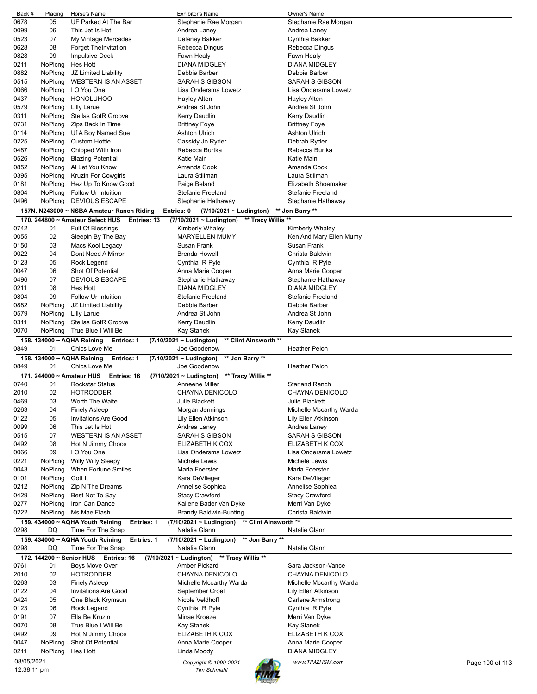| Back #             | Placing                   | Horse's Name                                    | <b>Exhibitor's Name</b>                            | Owner's Name             |                 |
|--------------------|---------------------------|-------------------------------------------------|----------------------------------------------------|--------------------------|-----------------|
| 0678               | 05                        | UF Parked At The Bar                            | Stephanie Rae Morgan                               | Stephanie Rae Morgan     |                 |
| 0099               | 06                        | This Jet Is Hot                                 | Andrea Laney                                       | Andrea Laney             |                 |
| 0523               | 07                        | My Vintage Mercedes                             | Delaney Bakker                                     | Cynthia Bakker           |                 |
| 0628               | 08                        | <b>Forget TheInvitation</b>                     | Rebecca Dingus                                     | Rebecca Dingus           |                 |
|                    |                           |                                                 |                                                    |                          |                 |
| 0828               | 09                        | <b>Impulsive Deck</b>                           | Fawn Healy                                         | Fawn Healy               |                 |
| 0211               | NoPlcng                   | Hes Hott                                        | <b>DIANA MIDGLEY</b>                               | <b>DIANA MIDGLEY</b>     |                 |
| 0882               | NoPlcng                   | JZ Limited Liability                            | Debbie Barber                                      | Debbie Barber            |                 |
| 0515               | NoPlcng                   | <b>WESTERN IS AN ASSET</b>                      | SARAH S GIBSON                                     | <b>SARAH S GIBSON</b>    |                 |
| 0066               | NoPlcng                   | I O You One                                     | Lisa Ondersma Lowetz                               | Lisa Ondersma Lowetz     |                 |
| 0437               | NoPlcng                   | <b>HONOLUHOO</b>                                | Hayley Alten                                       | Hayley Alten             |                 |
| 0579               | NoPlcng                   | <b>Lilly Larue</b>                              | Andrea St John                                     | Andrea St John           |                 |
|                    |                           |                                                 |                                                    |                          |                 |
| 0311               | NoPlcng                   | <b>Stellas GotR Groove</b>                      | Kerry Daudlin                                      | Kerry Daudlin            |                 |
| 0731               | NoPlcng                   | Zips Back In Time                               | <b>Brittney Foye</b>                               | <b>Brittney Foye</b>     |                 |
| 0114               | NoPlcng                   | Uf A Boy Named Sue                              | Ashton Ulrich                                      | Ashton Ulrich            |                 |
| 0225               | NoPlcng                   | <b>Custom Hottie</b>                            | Cassidy Jo Ryder                                   | Debrah Ryder             |                 |
| 0487               | NoPlcng                   | Chipped With Iron                               | Rebecca Burtka                                     | Rebecca Burtka           |                 |
| 0526               | NoPlcng                   | <b>Blazing Potential</b>                        | Katie Main                                         | Katie Main               |                 |
| 0852               | NoPlcng                   | Al Let You Know                                 | Amanda Cook                                        | Amanda Cook              |                 |
|                    |                           |                                                 |                                                    |                          |                 |
| 0395               | NoPlcng                   | Kruzin For Cowgirls                             | Laura Stillman                                     | Laura Stillman           |                 |
| 0181               | NoPlcng                   | Hez Up To Know Good                             | Paige Beland                                       | Elizabeth Shoemaker      |                 |
| 0804               | NoPlcng                   | Follow Ur Intuition                             | <b>Stefanie Freeland</b>                           | <b>Stefanie Freeland</b> |                 |
| 0496               | NoPlcng                   | <b>DEVIOUS ESCAPE</b>                           | Stephanie Hathaway                                 | Stephanie Hathaway       |                 |
|                    |                           | 157N. N243000 ~ NSBA Amateur Ranch Riding       | Entries: 0<br>(7/10/2021 ~ Ludington)              | ** Jon Barry **          |                 |
|                    |                           |                                                 |                                                    |                          |                 |
|                    |                           | 170, 244800 ~ Amateur Select HUS<br>Entries: 13 | ** Tracy Willis **<br>(7/10/2021 ~ Ludington)      |                          |                 |
| 0742               | 01                        | Full Of Blessings                               | Kimberly Whaley                                    | Kimberly Whaley          |                 |
| 0055               | 02                        | Sleepin By The Bay                              | <b>MARYELLEN MUMY</b>                              | Ken And Mary Ellen Mumy  |                 |
| 0150               | 03                        | Macs Kool Legacy                                | Susan Frank                                        | Susan Frank              |                 |
| 0022               | 04                        | Dont Need A Mirror                              | Brenda Howell                                      | Christa Baldwin          |                 |
| 0123               | 05                        | Rock Legend                                     | Cynthia R Pyle                                     | Cynthia R Pyle           |                 |
| 0047               | 06                        | Shot Of Potential                               | Anna Marie Cooper                                  | Anna Marie Cooper        |                 |
|                    |                           |                                                 |                                                    |                          |                 |
| 0496               | 07                        | <b>DEVIOUS ESCAPE</b>                           | Stephanie Hathaway                                 | Stephanie Hathaway       |                 |
| 0211               | 08                        | Hes Hott                                        | <b>DIANA MIDGLEY</b>                               | <b>DIANA MIDGLEY</b>     |                 |
| 0804               | 09                        | Follow Ur Intuition                             | <b>Stefanie Freeland</b>                           | Stefanie Freeland        |                 |
| 0882               | NoPlcng                   | JZ Limited Liability                            | Debbie Barber                                      | Debbie Barber            |                 |
| 0579               | NoPlcng                   | Lilly Larue                                     | Andrea St John                                     | Andrea St John           |                 |
| 0311               | NoPlcng                   | Stellas GotR Groove                             | Kerry Daudlin                                      | Kerry Daudlin            |                 |
| 0070               | NoPlcng                   | True Blue I Will Be                             | Kay Stanek                                         | Kay Stanek               |                 |
|                    |                           |                                                 |                                                    |                          |                 |
|                    |                           | 158. 134000 ~ AQHA Reining<br><b>Entries: 1</b> | $(7/10/2021 - Ludington)$<br>** Clint Ainsworth ** |                          |                 |
| 0849               | 01                        | Chics Love Me                                   | Joe Goodenow                                       | <b>Heather Pelon</b>     |                 |
|                    |                           | 158. 134000 ~ AQHA Reining<br><b>Entries: 1</b> | (7/10/2021 ~ Ludington)<br>** Jon Barry **         |                          |                 |
| 0849               | 01                        | Chics Love Me                                   | Joe Goodenow                                       | <b>Heather Pelon</b>     |                 |
|                    | 171. 244000 ~ Amateur HUS | Entries: 16                                     | $(7/10/2021 \sim$ Ludington)<br>** Tracy Willis ** |                          |                 |
| 0740               | 01                        | <b>Rockstar Status</b>                          | Anneene Miller                                     | <b>Starland Ranch</b>    |                 |
| 2010               | 02                        | <b>HOTRODDER</b>                                | CHAYNA DENICOLO                                    | CHAYNA DENICOLO          |                 |
|                    |                           |                                                 |                                                    |                          |                 |
| 0469               | 03                        | Worth The Waite<br><b>Finely Asleep</b>         | Julie Blackett                                     | Julie Blackett           |                 |
| 0263               | 04                        |                                                 |                                                    |                          |                 |
| 0122               |                           |                                                 | Morgan Jennings                                    | Michelle Mccarthy Warda  |                 |
| 0099               | 05                        | <b>Invitations Are Good</b>                     | Lily Ellen Atkinson                                | Lily Ellen Atkinson      |                 |
| 0515               | 06                        | This Jet Is Hot                                 | Andrea Laney                                       | Andrea Laney             |                 |
|                    | 07                        | <b>WESTERN IS AN ASSET</b>                      | SARAH S GIBSON                                     | <b>SARAH S GIBSON</b>    |                 |
|                    |                           |                                                 |                                                    |                          |                 |
| 0492               | 08                        | Hot N Jimmy Choos                               | ELIZABETH K COX                                    | ELIZABETH K COX          |                 |
| 0066               | 09                        | I O You One                                     | Lisa Ondersma Lowetz                               | Lisa Ondersma Lowetz     |                 |
| 0221               | NoPlcng                   | <b>Willy Willy Sleepy</b>                       | Michele Lewis                                      | Michele Lewis            |                 |
| 0043               | NoPlcng                   | When Fortune Smiles                             | Marla Foerster                                     | Marla Foerster           |                 |
| 0101               | NoPlcng                   | Gott It                                         | Kara DeVlieger                                     | Kara DeVlieger           |                 |
| 0212               | NoPlcng                   | Zip N The Dreams                                | Annelise Sophiea                                   | Annelise Sophiea         |                 |
| 0429               | NoPlcng                   | Best Not To Say                                 | <b>Stacy Crawford</b>                              | <b>Stacy Crawford</b>    |                 |
|                    |                           |                                                 |                                                    |                          |                 |
| 0277               | NoPlcng                   | Iron Can Dance                                  | Kailene Bader Van Dyke                             | Merri Van Dyke           |                 |
| 0222               | NoPlcng                   | Ms Mae Flash                                    | <b>Brandy Baldwin-Bunting</b>                      | Christa Baldwin          |                 |
|                    |                           | 159. 434000 ~ AQHA Youth Reining<br>Entries: 1  | $(7/10/2021 \sim$ Ludington)                       | ** Clint Ainsworth **    |                 |
| 0298               | DQ                        | Time For The Snap                               | Natalie Glann                                      | Natalie Glann            |                 |
|                    |                           | 159. 434000 ~ AQHA Youth Reining<br>Entries: 1  | ** Jon Barry **<br>(7/10/2021 ~ Ludington)         |                          |                 |
| 0298               | DQ                        | Time For The Snap                               | Natalie Glann                                      | Natalie Glann            |                 |
|                    |                           |                                                 |                                                    |                          |                 |
|                    |                           | 172. 144200 ~ Senior HUS Entries: 16            | $(7/10/2021 - Ludington)$<br>** Tracy Willis **    |                          |                 |
| 0761               | 01                        | <b>Boys Move Over</b>                           | Amber Pickard                                      | Sara Jackson-Vance       |                 |
| 2010               | 02                        | <b>HOTRODDER</b>                                | CHAYNA DENICOLO                                    | CHAYNA DENICOLO          |                 |
| 0263               | 03                        | <b>Finely Asleep</b>                            | Michelle Mccarthy Warda                            | Michelle Mccarthy Warda  |                 |
| 0122               | 04                        | <b>Invitations Are Good</b>                     | September Croel                                    | Lily Ellen Atkinson      |                 |
| 0424               | 05                        | One Black Krymsun                               | Nicole Veldhoff                                    | <b>Carlene Armstrong</b> |                 |
| 0123               | 06                        | Rock Legend                                     | Cynthia R Pyle                                     | Cynthia R Pyle           |                 |
|                    | 07                        |                                                 | Minae Kroeze                                       |                          |                 |
| 0191               |                           | Ella Be Kruzin                                  |                                                    | Merri Van Dyke           |                 |
|                    | 08                        | True Blue I Will Be                             | Kay Stanek                                         | Kay Stanek               |                 |
| 0492               | 09                        | Hot N Jimmy Choos                               | ELIZABETH K COX                                    | ELIZABETH K COX          |                 |
|                    | NoPlcng                   | Shot Of Potential                               | Anna Marie Cooper                                  | Anna Marie Cooper        |                 |
| 0047<br>0211       | NoPlcng                   | Hes Hott                                        | Linda Moody                                        | <b>DIANA MIDGLEY</b>     |                 |
| 0070<br>08/05/2021 |                           |                                                 | Copyright © 1999-2021                              | www.TIMZHSM.com          | Page 100 of 113 |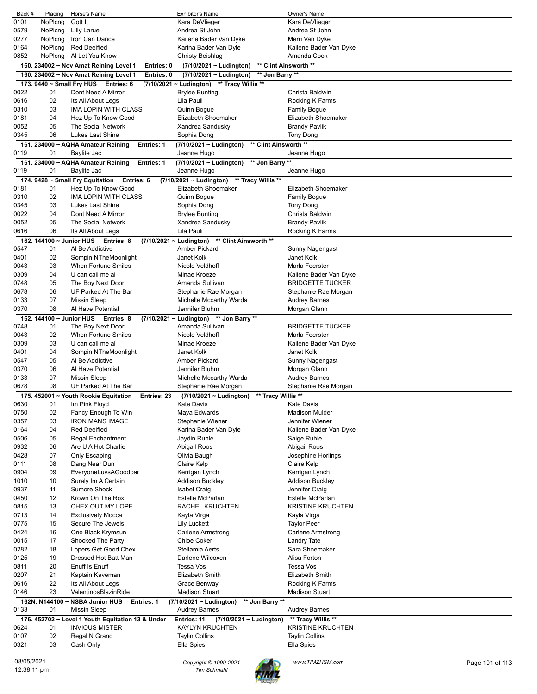| Back #      | Placing                  | Horse's Name                                            | <b>Exhibitor's Name</b>                            | Owner's Name             |                 |
|-------------|--------------------------|---------------------------------------------------------|----------------------------------------------------|--------------------------|-----------------|
| 0101        | NoPlcng                  | Gott It                                                 | Kara DeVlieger                                     | Kara DeVlieger           |                 |
| 0579        | NoPlcng                  | <b>Lilly Larue</b>                                      | Andrea St John                                     | Andrea St John           |                 |
| 0277        | NoPlcng                  | Iron Can Dance                                          | Kailene Bader Van Dyke                             | Merri Van Dyke           |                 |
| 0164        | NoPlcng                  | <b>Red Deeified</b>                                     | Karina Bader Van Dyle                              | Kailene Bader Van Dyke   |                 |
| 0852        | NoPlcng                  | Al Let You Know                                         | Christy Beishlag                                   | Amanda Cook              |                 |
|             |                          | 160. 234002 ~ Nov Amat Reining Level 1<br>Entries: 0    | (7/10/2021 ~ Ludington)                            | ** Clint Ainsworth **    |                 |
|             |                          | Entries: 0<br>160. 234002 ~ Nov Amat Reining Level 1    | (7/10/2021 ~ Ludington)<br>** Jon Barry **         |                          |                 |
|             |                          | 173. 9440 ~ Small Fry HUS Entries: 6                    | (7/10/2021 ~ Ludington)<br>** Tracy Willis **      |                          |                 |
| 0022        | 01                       | Dont Need A Mirror                                      | <b>Brylee Bunting</b>                              | Christa Baldwin          |                 |
| 0616        | 02                       | Its All About Legs                                      | Lila Pauli                                         | Rocking K Farms          |                 |
| 0310        | 03                       | IMA LOPIN WITH CLASS                                    | Quinn Bogue                                        | Family Bogue             |                 |
| 0181        | 04                       | Hez Up To Know Good                                     | Elizabeth Shoemaker                                | Elizabeth Shoemaker      |                 |
| 0052        | 05                       | The Social Network                                      | Xandrea Sandusky                                   | Brandy Pavlik            |                 |
| 0345        | 06                       | Lukes Last Shine                                        | Sophia Dong                                        | Tony Dong                |                 |
|             |                          | 161. 234000 ~ AQHA Amateur Reining<br><b>Entries: 1</b> | ** Clint Ainsworth **<br>$(7/10/2021 -$ Ludington) |                          |                 |
| 0119        | 01                       | Baylite Jac                                             | Jeanne Hugo                                        | Jeanne Hugo              |                 |
|             |                          | 161. 234000 ~ AQHA Amateur Reining<br>Entries: 1        | ** Jon Barry **<br>(7/10/2021 ~ Ludington)         |                          |                 |
| 0119        | 01                       | Baylite Jac                                             | Jeanne Hugo                                        | Jeanne Hugo              |                 |
|             |                          |                                                         |                                                    |                          |                 |
|             |                          | 174. 9428 ~ Small Fry Equitation<br>Entries: 6          | ** Tracy Willis **<br>(7/10/2021 ~ Ludington)      | Elizabeth Shoemaker      |                 |
| 0181        | 01                       | Hez Up To Know Good<br><b>IMA LOPIN WITH CLASS</b>      | Elizabeth Shoemaker                                |                          |                 |
| 0310        | 02                       |                                                         | Quinn Bogue                                        | <b>Family Bogue</b>      |                 |
| 0345        | 03                       | Lukes Last Shine                                        | Sophia Dong                                        | Tony Dong                |                 |
| 0022        | 04                       | Dont Need A Mirror                                      | <b>Brylee Bunting</b>                              | Christa Baldwin          |                 |
| 0052        | 05                       | The Social Network                                      | Xandrea Sandusky                                   | Brandy Pavlik            |                 |
| 0616        | 06                       | Its All About Legs                                      | Lila Pauli                                         | Rocking K Farms          |                 |
|             | 162. 144100 ~ Junior HUS | Entries: 8                                              | $(7/10/2021 - Ludington)$<br>** Clint Ainsworth ** |                          |                 |
| 0547        | 01                       | Al Be Addictive                                         | <b>Amber Pickard</b>                               | Sunny Nagengast          |                 |
| 0401        | 02                       | Sompin NTheMoonlight                                    | Janet Kolk                                         | Janet Kolk               |                 |
| 0043        | 03                       | <b>When Fortune Smiles</b>                              | Nicole Veldhoff                                    | Marla Foerster           |                 |
| 0309        | 04                       | U can call me al                                        | Minae Kroeze                                       | Kailene Bader Van Dyke   |                 |
| 0748        | 05                       | The Boy Next Door                                       | Amanda Sullivan                                    | BRIDGETTE TUCKER         |                 |
| 0678        | 06                       | UF Parked At The Bar                                    | Stephanie Rae Morgan                               | Stephanie Rae Morgan     |                 |
| 0133        | 07                       | <b>Missin Sleep</b>                                     | Michelle Mccarthy Warda                            | <b>Audrey Barnes</b>     |                 |
| 0370        | 08                       | Al Have Potential                                       | Jennifer Bluhm                                     | Morgan Glann             |                 |
|             |                          | 162. 144100 ~ Junior HUS Entries: 8                     | (7/10/2021 ~ Ludington) ** Jon Barry **            |                          |                 |
| 0748        | 01                       | The Boy Next Door                                       | Amanda Sullivan                                    | <b>BRIDGETTE TUCKER</b>  |                 |
| 0043        | 02                       | <b>When Fortune Smiles</b>                              | Nicole Veldhoff                                    | Marla Foerster           |                 |
| 0309        | 03                       | U can call me al                                        | Minae Kroeze                                       | Kailene Bader Van Dyke   |                 |
| 0401        | 04                       | Sompin NTheMoonlight                                    | Janet Kolk                                         | Janet Kolk               |                 |
| 0547        | 05                       | Al Be Addictive                                         | <b>Amber Pickard</b>                               | Sunny Nagengast          |                 |
| 0370        | 06                       | Al Have Potential                                       | Jennifer Bluhm                                     | Morgan Glann             |                 |
| 0133        | 07                       | Missin Sleep                                            | Michelle Mccarthy Warda                            | <b>Audrey Barnes</b>     |                 |
| 0678        | 08                       | UF Parked At The Bar                                    | Stephanie Rae Morgan                               | Stephanie Rae Morgan     |                 |
|             |                          | 175. 452001 ~ Youth Rookie Equitation<br>Entries: 23    | ** Tracy Willis **<br>$(7/10/2021 \sim$ Ludington) |                          |                 |
| 0630        | 01                       | Im Pink Floyd                                           | Kate Davis                                         | Kate Davis               |                 |
| 0750        | 02                       | Fancy Enough To Win                                     | Maya Edwards                                       | <b>Madison Mulder</b>    |                 |
| 0357        | 03                       | <b>IRON MANS IMAGE</b>                                  | Stephanie Wiener                                   | Jennifer Wiener          |                 |
| 0164        | 04                       | <b>Red Deeified</b>                                     | Karina Bader Van Dyle                              | Kailene Bader Van Dyke   |                 |
| 0506        | 05                       | <b>Regal Enchantment</b>                                | Jaydin Ruhle                                       | Saige Ruhle              |                 |
| 0932        | 06                       | Are U A Hot Charlie                                     | Abigail Roos                                       | Abigail Roos             |                 |
| 0428        | 07                       | Only Escaping                                           | Olivia Baugh                                       | Josephine Horlings       |                 |
| 0111        | 08                       | Dang Near Dun                                           | Claire Kelp                                        | Claire Kelp              |                 |
| 0904        | 09                       | EveryoneLuvsAGoodbar                                    | Kerrigan Lynch                                     | Kerrigan Lynch           |                 |
| 1010        | 10                       | Surely Im A Certain                                     | <b>Addison Buckley</b>                             | <b>Addison Buckley</b>   |                 |
| 0937        | 11                       | <b>Sumore Shock</b>                                     | <b>Isabel Craig</b>                                | Jennifer Craig           |                 |
| 0450        | 12                       | Krown On The Rox                                        | Estelle McParlan                                   | Estelle McParlan         |                 |
| 0815        | 13                       | CHEX OUT MY LOPE                                        | RACHEL KRUCHTEN                                    | <b>KRISTINE KRUCHTEN</b> |                 |
| 0713        | 14                       | <b>Exclusively Mocca</b>                                | Kayla Virga                                        | Kayla Virga              |                 |
| 0775        | 15                       | Secure The Jewels                                       | <b>Lily Luckett</b>                                | <b>Taylor Peer</b>       |                 |
| 0424        | 16                       | One Black Krymsun                                       | <b>Carlene Armstrong</b>                           | <b>Carlene Armstrong</b> |                 |
| 0015        | 17                       | Shocked The Party                                       | <b>Chloe Coker</b>                                 | <b>Landry Tate</b>       |                 |
| 0282        | 18                       | Lopers Get Good Chex                                    | Stellamia Aerts                                    | Sara Shoemaker           |                 |
| 0125        | 19                       | Dressed Hot Batt Man                                    | Darlene Wilcoxen                                   | Alisa Forton             |                 |
| 0811        | 20                       | Enuff Is Enuff                                          | Tessa Vos                                          | Tessa Vos                |                 |
| 0207        | 21                       | Kaptain Kaveman                                         | <b>Elizabeth Smith</b>                             | Elizabeth Smith          |                 |
| 0616        | 22                       | Its All About Legs                                      | Grace Benway                                       | Rocking K Farms          |                 |
| 0146        | 23                       | ValentinosBlazinRide                                    | <b>Madison Stuart</b>                              | <b>Madison Stuart</b>    |                 |
|             |                          | 162N. N144100 ~ NSBA Junior HUS<br>Entries: 1           | $(7/10/2021 -$ Ludington)<br>** Jon Barry **       |                          |                 |
| 0133        | 01                       | <b>Missin Sleep</b>                                     | <b>Audrey Barnes</b>                               | <b>Audrey Barnes</b>     |                 |
|             |                          | 176. 452702 ~ Level 1 Youth Equitation 13 & Under       | Entries: 11<br>(7/10/2021 ~ Ludington)             | ** Tracy Willis **       |                 |
| 0624        | 01                       | <b>INVIOUS MISTER</b>                                   | KAYLYN KRUCHTEN                                    | <b>KRISTINE KRUCHTEN</b> |                 |
| 0107        | 02                       | Regal N Grand                                           | <b>Taylin Collins</b>                              | <b>Taylin Collins</b>    |                 |
| 0321        | 03                       | Cash Only                                               | Ella Spies                                         | Ella Spies               |                 |
|             |                          |                                                         |                                                    |                          |                 |
| 08/05/2021  |                          |                                                         | Copyright © 1999-2021                              | www.TIMZHSM.com          | Page 101 of 113 |
| 12:38:11 pm |                          |                                                         | <b>Tim Schmahl</b>                                 |                          |                 |

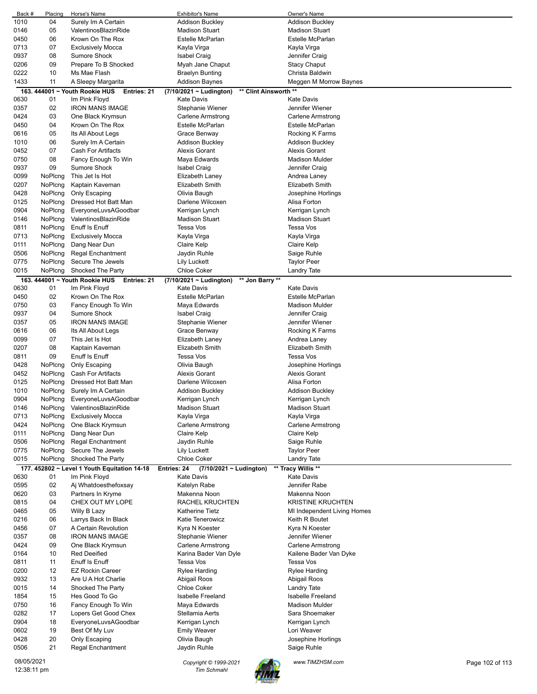| Back #                    | Placing            | Horse's Name                                                   | <b>Exhibitor's Name</b>                                               | Owner's Name                            |                 |
|---------------------------|--------------------|----------------------------------------------------------------|-----------------------------------------------------------------------|-----------------------------------------|-----------------|
| 1010                      | 04                 | Surely Im A Certain                                            | <b>Addison Buckley</b>                                                | <b>Addison Buckley</b>                  |                 |
| 0146                      | 05                 | ValentinosBlazinRide                                           | <b>Madison Stuart</b>                                                 | <b>Madison Stuart</b>                   |                 |
| 0450                      | 06                 | Krown On The Rox                                               | <b>Estelle McParlan</b>                                               | Estelle McParlan                        |                 |
| 0713                      | 07                 | <b>Exclusively Mocca</b>                                       | Kayla Virga                                                           | Kayla Virga                             |                 |
| 0937                      | 08                 | Sumore Shock                                                   | <b>Isabel Craig</b>                                                   | Jennifer Craig                          |                 |
| 0206                      | 09                 | Prepare To B Shocked                                           | Myah Jane Chaput                                                      | <b>Stacy Chaput</b>                     |                 |
| 0222                      | 10                 | Ms Mae Flash                                                   | <b>Braelyn Bunting</b>                                                | Christa Baldwin                         |                 |
| 1433                      | 11                 | A Sleepy Margarita                                             | Addison Baynes                                                        | Meggen M Morrow Baynes                  |                 |
|                           |                    | 163. 444001 ~ Youth Rookie HUS<br>Entries: 21<br>Im Pink Floyd | ** Clint Ainsworth **<br>(7/10/2021 ~ Ludington)<br><b>Kate Davis</b> | <b>Kate Davis</b>                       |                 |
| 0630<br>0357              | 01<br>02           | <b>IRON MANS IMAGE</b>                                         | Stephanie Wiener                                                      | Jennifer Wiener                         |                 |
| 0424                      | 03                 | One Black Krymsun                                              | Carlene Armstrong                                                     | Carlene Armstrong                       |                 |
| 0450                      | 04                 | Krown On The Rox                                               | Estelle McParlan                                                      | <b>Estelle McParlan</b>                 |                 |
| 0616                      | 05                 | Its All About Legs                                             | Grace Benway                                                          | Rocking K Farms                         |                 |
| 1010                      | 06                 | Surely Im A Certain                                            | Addison Buckley                                                       | Addison Buckley                         |                 |
| 0452                      | 07                 | Cash For Artifacts                                             | <b>Alexis Gorant</b>                                                  | <b>Alexis Gorant</b>                    |                 |
| 0750                      | 08                 | Fancy Enough To Win                                            | Maya Edwards                                                          | <b>Madison Mulder</b>                   |                 |
| 0937                      | 09                 | <b>Sumore Shock</b>                                            | <b>Isabel Craig</b>                                                   | Jennifer Craig                          |                 |
| 0099                      | NoPlcng            | This Jet Is Hot                                                | Elizabeth Laney                                                       | Andrea Laney                            |                 |
| 0207                      | NoPlcng            | Kaptain Kaveman                                                | <b>Elizabeth Smith</b>                                                | Elizabeth Smith                         |                 |
| 0428                      | NoPlcng            | Only Escaping                                                  | Olivia Baugh                                                          | Josephine Horlings                      |                 |
| 0125                      | NoPlcng            | Dressed Hot Batt Man                                           | Darlene Wilcoxen                                                      | Alisa Forton                            |                 |
| 0904                      | NoPlcng            | EveryoneLuvsAGoodbar                                           | Kerrigan Lynch                                                        | Kerrigan Lynch                          |                 |
| 0146                      | NoPlcng            | ValentinosBlazinRide                                           | <b>Madison Stuart</b>                                                 | <b>Madison Stuart</b>                   |                 |
| 0811                      | NoPlcng            | Enuff Is Enuff                                                 | Tessa Vos                                                             | Tessa Vos                               |                 |
| 0713                      | NoPlcng            | <b>Exclusively Mocca</b>                                       | Kayla Virga                                                           | Kayla Virga                             |                 |
| 0111                      | NoPlcng            | Dang Near Dun                                                  | <b>Claire Kelp</b>                                                    | Claire Kelp                             |                 |
| 0506                      | NoPlcng            | <b>Regal Enchantment</b>                                       | Jaydin Ruhle                                                          | Saige Ruhle                             |                 |
| 0775                      | NoPlcng            | Secure The Jewels                                              | Lily Luckett                                                          | Taylor Peer                             |                 |
| 0015                      | NoPlcng            | Shocked The Party                                              | <b>Chloe Coker</b>                                                    | Landry Tate                             |                 |
|                           |                    | 163. 444001 ~ Youth Rookie HUS<br>Entries: 21                  | (7/10/2021 ~ Ludington)<br>** Jon Barry **                            |                                         |                 |
| 0630                      | 01                 | Im Pink Floyd                                                  | <b>Kate Davis</b>                                                     | <b>Kate Davis</b>                       |                 |
| 0450                      | 02                 | Krown On The Rox                                               | Estelle McParlan                                                      | Estelle McParlan                        |                 |
| 0750                      | 03                 | Fancy Enough To Win                                            | Maya Edwards                                                          | <b>Madison Mulder</b>                   |                 |
| 0937                      | 04                 | <b>Sumore Shock</b>                                            | <b>Isabel Craig</b>                                                   | Jennifer Craig                          |                 |
| 0357                      | 05                 | <b>IRON MANS IMAGE</b>                                         | Stephanie Wiener                                                      | Jennifer Wiener                         |                 |
| 0616                      | 06                 | Its All About Legs                                             | Grace Benway                                                          | Rocking K Farms                         |                 |
| 0099                      | 07                 | This Jet Is Hot                                                | Elizabeth Laney                                                       | Andrea Laney                            |                 |
| 0207                      | 08                 | Kaptain Kaveman                                                | <b>Elizabeth Smith</b>                                                | Elizabeth Smith                         |                 |
| 0811                      | 09                 | Enuff Is Enuff                                                 | Tessa Vos                                                             | <b>Tessa Vos</b>                        |                 |
| 0428                      | NoPlcng            | Only Escaping                                                  | Olivia Baugh                                                          | Josephine Horlings                      |                 |
| 0452                      | NoPlcng            | Cash For Artifacts                                             | <b>Alexis Gorant</b>                                                  | <b>Alexis Gorant</b>                    |                 |
| 0125                      | NoPlcng            | Dressed Hot Batt Man                                           | Darlene Wilcoxen                                                      | Alisa Forton                            |                 |
| 1010<br>0904              | NoPicng<br>NoPlcng | Surely Im A Certain                                            | <b>Addison Buckley</b>                                                | <b>Addison Buckley</b>                  |                 |
| 0146                      |                    | EveryoneLuvsAGoodbar<br>ValentinosBlazinRide                   | Kerrigan Lynch<br><b>Madison Stuart</b>                               | Kerrigan Lynch<br><b>Madison Stuart</b> |                 |
| 0713                      | NoPlcng<br>NoPlcng | <b>Exclusively Mocca</b>                                       | Kayla Virga                                                           | Kayla Virga                             |                 |
| 0424                      | NoPlcng            | One Black Krymsun                                              | <b>Carlene Armstrong</b>                                              | <b>Carlene Armstrong</b>                |                 |
| 0111                      | NoPlcng            | Dang Near Dun                                                  | Claire Kelp                                                           | Claire Kelp                             |                 |
| 0506                      | NoPlcng            | <b>Regal Enchantment</b>                                       | Jaydin Ruhle                                                          | Saige Ruhle                             |                 |
| 0775                      | NoPlcng            | Secure The Jewels                                              | <b>Lily Luckett</b>                                                   | <b>Taylor Peer</b>                      |                 |
| 0015                      | NoPlcng            | Shocked The Party                                              | <b>Chloe Coker</b>                                                    | Landry Tate                             |                 |
|                           |                    | 177. 452802 ~ Level 1 Youth Equitation 14-18                   | Entries: 24<br>(7/10/2021 ~ Ludington)                                | ** Tracy Willis **                      |                 |
| 0630                      | 01                 | Im Pink Floyd                                                  | <b>Kate Davis</b>                                                     | <b>Kate Davis</b>                       |                 |
| 0595                      | 02                 | Aj Whatdoesthefoxsay                                           | Katelyn Rabe                                                          | Jennifer Rabe                           |                 |
| 0620                      | 03                 | Partners In Kryme                                              | Makenna Noon                                                          | Makenna Noon                            |                 |
| 0815                      | 04                 | CHEX OUT MY LOPE                                               | RACHEL KRUCHTEN                                                       | <b>KRISTINE KRUCHTEN</b>                |                 |
| 0465                      | 05                 | Willy B Lazy                                                   | <b>Katherine Tietz</b>                                                | MI Independent Living Homes             |                 |
| 0216                      | 06                 | Larrys Back In Black                                           | Katie Tenerowicz                                                      | Keith R Boutet                          |                 |
| 0456                      | 07                 | A Certain Revolution                                           | Kyra N Koester                                                        | Kyra N Koester                          |                 |
| 0357                      | 08                 | <b>IRON MANS IMAGE</b>                                         | Stephanie Wiener                                                      | Jennifer Wiener                         |                 |
| 0424                      | 09                 | One Black Krymsun                                              | <b>Carlene Armstrong</b>                                              | <b>Carlene Armstrong</b>                |                 |
| 0164                      | 10                 | <b>Red Deeified</b>                                            | Karina Bader Van Dyle                                                 | Kailene Bader Van Dyke                  |                 |
| 0811                      | 11                 | Enuff Is Enuff                                                 | Tessa Vos                                                             | Tessa Vos                               |                 |
| 0200                      | 12                 | <b>EZ Rockin Career</b>                                        | <b>Rylee Harding</b>                                                  | Rylee Harding                           |                 |
| 0932                      | 13                 | Are U A Hot Charlie                                            | Abigail Roos                                                          | Abigail Roos                            |                 |
| 0015                      | 14                 | Shocked The Party                                              | <b>Chloe Coker</b>                                                    | Landry Tate                             |                 |
| 1854                      | 15                 | Hes Good To Go                                                 | <b>Isabelle Freeland</b>                                              | Isabelle Freeland                       |                 |
| 0750                      | 16                 | Fancy Enough To Win                                            | Maya Edwards                                                          | <b>Madison Mulder</b>                   |                 |
| 0282                      | 17                 | Lopers Get Good Chex                                           | Stellamia Aerts                                                       | Sara Shoemaker                          |                 |
| 0904                      | 18                 | EveryoneLuvsAGoodbar                                           | Kerrigan Lynch                                                        | Kerrigan Lynch                          |                 |
| 0602                      | 19                 | Best Of My Luv                                                 | <b>Emily Weaver</b>                                                   | Lori Weaver                             |                 |
| 0428<br>0506              | 20<br>21           | Only Escaping<br>Regal Enchantment                             | Olivia Baugh<br>Jaydin Ruhle                                          | Josephine Horlings<br>Saige Ruhle       |                 |
|                           |                    |                                                                |                                                                       |                                         |                 |
| 08/05/2021<br>12:38:11 pm |                    |                                                                | Copyright © 1999-2021<br><b>Tim Schmahl</b>                           | www.TIMZHSM.com                         | Page 102 of 113 |

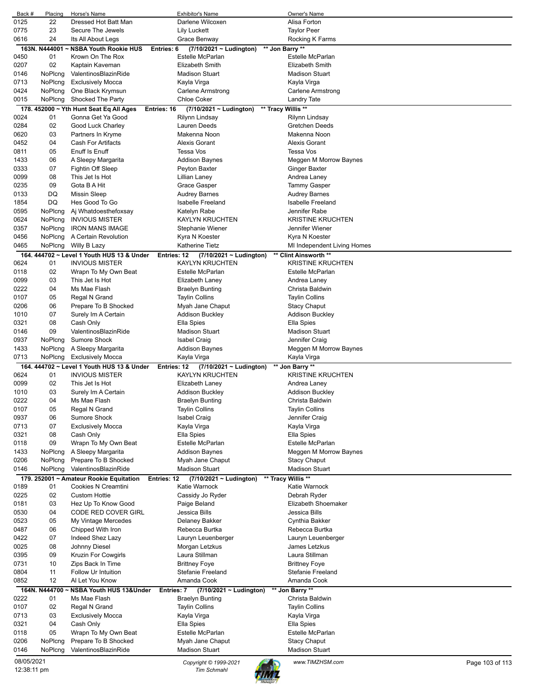| Back #       | Placing        | Horse's Name                                 | <b>Exhibitor's Name</b>                       | Owner's Name                |                 |
|--------------|----------------|----------------------------------------------|-----------------------------------------------|-----------------------------|-----------------|
| 0125         | 22             | Dressed Hot Batt Man                         | Darlene Wilcoxen                              | Alisa Forton                |                 |
| 0775         | 23             | Secure The Jewels                            | Lily Luckett                                  | <b>Taylor Peer</b>          |                 |
| 0616         | 24             | Its All About Legs                           | Grace Benway                                  | Rocking K Farms             |                 |
|              | 163N. N444001  | NSBA Youth Rookie HUS                        | Entries: 6<br>$(7/10/2021 \sim$ Ludington)    | ** Jon Barry **             |                 |
| 0450         | 01             | Krown On The Rox                             | Estelle McParlan                              | Estelle McParlan            |                 |
| 0207         | 02             | Kaptain Kaveman                              | <b>Elizabeth Smith</b>                        | Elizabeth Smith             |                 |
| 0146         | NoPicng        | ValentinosBlazinRide                         | <b>Madison Stuart</b>                         | <b>Madison Stuart</b>       |                 |
| 0713         | NoPlcng        | <b>Exclusively Mocca</b>                     | Kayla Virga                                   | Kayla Virga                 |                 |
| 0424         | NoPlcng        | One Black Krymsun                            | Carlene Armstrong                             | Carlene Armstrong           |                 |
| 0015         | NoPlcng        | Shocked The Party                            | <b>Chloe Coker</b>                            | <b>Landry Tate</b>          |                 |
|              |                | 178. $452000 \sim Yth$ Hunt Seat Eq All Ages | $(7/10/2021 - Ludington)$<br>Entries: 16      | ** Tracy Willis **          |                 |
| 0024         | 01             | Gonna Get Ya Good                            | Rilynn Lindsay                                | Rilynn Lindsay              |                 |
| 0284         | 02             | Good Luck Charley                            | <b>Lauren Deeds</b>                           | <b>Gretchen Deeds</b>       |                 |
|              |                |                                              | Makenna Noon                                  | Makenna Noon                |                 |
| 0620         | 03             | Partners In Kryme                            |                                               |                             |                 |
| 0452         | 04             | Cash For Artifacts                           | <b>Alexis Gorant</b>                          | <b>Alexis Gorant</b>        |                 |
| 0811         | 05             | Enuff Is Enuff                               | Tessa Vos                                     | Tessa Vos                   |                 |
| 1433         | 06             | A Sleepy Margarita                           | Addison Baynes                                | Meggen M Morrow Baynes      |                 |
| 0333         | 07             | Fightin Off Sleep                            | Peyton Baxter                                 | Ginger Baxter               |                 |
| 0099         | 08             | This Jet Is Hot                              | Lillian Laney                                 | Andrea Laney                |                 |
| 0235         | 09             | Gota B A Hit                                 | Grace Gasper                                  | <b>Tammy Gasper</b>         |                 |
| 0133         | DQ             | <b>Missin Sleep</b>                          | <b>Audrey Barnes</b>                          | <b>Audrey Barnes</b>        |                 |
| 1854         | DQ             | Hes Good To Go                               | Isabelle Freeland                             | Isabelle Freeland           |                 |
| 0595         | NoPlcng        | Aj Whatdoesthefoxsay                         | Katelyn Rabe                                  | Jennifer Rabe               |                 |
| 0624         | NoPlcng        | <b>INVIOUS MISTER</b>                        | <b>KAYLYN KRUCHTEN</b>                        | <b>KRISTINE KRUCHTEN</b>    |                 |
| 0357         | NoPlcng        | <b>IRON MANS IMAGE</b>                       | Stephanie Wiener                              | Jennifer Wiener             |                 |
| 0456         | NoPlcng        | A Certain Revolution                         | Kyra N Koester                                | Kyra N Koester              |                 |
| 0465         | NoPlcng        | Willy B Lazy                                 | Katherine Tietz                               | MI Independent Living Homes |                 |
|              |                | 164, 444702 ~ Level 1 Youth HUS 13 & Under   | (7/10/2021 ~ Ludington)<br><b>Entries: 12</b> | ** Clint Ainsworth **       |                 |
| 0624         | 01             | <b>INVIOUS MISTER</b>                        | <b>KAYLYN KRUCHTEN</b>                        | <b>KRISTINE KRUCHTEN</b>    |                 |
| 0118         | 02             | Wrapn To My Own Beat                         | Estelle McParlan                              | Estelle McParlan            |                 |
| 0099         | 03             | This Jet Is Hot                              | Elizabeth Laney                               | Andrea Laney                |                 |
|              | 04             | Ms Mae Flash                                 |                                               | Christa Baldwin             |                 |
| 0222         |                |                                              | <b>Braelyn Bunting</b>                        |                             |                 |
| 0107         | 05             | Regal N Grand                                | <b>Taylin Collins</b>                         | <b>Taylin Collins</b>       |                 |
| 0206         | 06             | Prepare To B Shocked                         | Myah Jane Chaput                              | <b>Stacy Chaput</b>         |                 |
| 1010         | 07             | Surely Im A Certain                          | Addison Buckley                               | <b>Addison Buckley</b>      |                 |
| 0321         | 08             | Cash Only                                    | Ella Spies                                    | Ella Spies                  |                 |
| 0146         | 09             | ValentinosBlazinRide                         | <b>Madison Stuart</b>                         | <b>Madison Stuart</b>       |                 |
| 0937         | NoPlcng        | Sumore Shock                                 | Isabel Craig                                  | Jennifer Craig              |                 |
| 1433         | NoPlcng        | A Sleepy Margarita                           | Addison Baynes                                | Meggen M Morrow Baynes      |                 |
| 0713         | <b>NoPlcng</b> | <b>Exclusively Mocca</b>                     | Kayla Virga                                   | Kayla Virga                 |                 |
|              |                | 164. 444702 ~ Level 1 Youth HUS 13 & Under   | (7/10/2021 ~ Ludington)<br><b>Entries: 12</b> | ** Jon Barry **             |                 |
| 0624         | 01             | <b>INVIOUS MISTER</b>                        | <b>KAYLYN KRUCHTEN</b>                        | <b>KRISTINE KRUCHTEN</b>    |                 |
| 0099         | 02             | This Jet Is Hot                              | Elizabeth Laney                               | Andrea Laney                |                 |
| 1010         | 03             | Surely Im A Certain                          | Addison Buckley                               | Addison Buckley             |                 |
| 0222         | 04             | Ms Mae Flash                                 | Braelyn Bunting                               | Christa Baldwin             |                 |
| 0107         | 05             | Regal N Grand                                | <b>Taylin Collins</b>                         | <b>Taylin Collins</b>       |                 |
| 0937         | 06             | Sumore Shock                                 | <b>Isabel Craig</b>                           | Jennifer Craig              |                 |
| 0713         | 07             | <b>Exclusively Mocca</b>                     | Kayla Virga                                   | Kayla Virga                 |                 |
| 0321         | 08             | Cash Only                                    |                                               |                             |                 |
| 0118         | 09             |                                              |                                               |                             |                 |
|              |                |                                              | Ella Spies                                    | Ella Spies                  |                 |
| 1433         |                | Wrapn To My Own Beat                         | Estelle McParlan                              | Estelle McParlan            |                 |
|              | NoPlcng        | A Sleepy Margarita                           | <b>Addison Baynes</b>                         | Meggen M Morrow Baynes      |                 |
| 0206         | NoPlcng        | Prepare To B Shocked                         | Myah Jane Chaput                              | <b>Stacy Chaput</b>         |                 |
| 0146         | NoPlcng        | ValentinosBlazinRide                         | <b>Madison Stuart</b>                         | <b>Madison Stuart</b>       |                 |
|              |                | 179. 252001 ~ Amateur Rookie Equitation      | (7/10/2021 ~ Ludington)<br>Entries: 12        | ** Tracy Willis **          |                 |
| 0189         | 01             | Cookies N Creamtini                          | Katie Warnock                                 | Katie Warnock               |                 |
| 0225         | 02             | <b>Custom Hottie</b>                         | Cassidy Jo Ryder                              | Debrah Ryder                |                 |
| 0181         | 03             | Hez Up To Know Good                          | Paige Beland                                  | Elizabeth Shoemaker         |                 |
| 0530         | 04             | CODE RED COVER GIRL                          | Jessica Bills                                 | Jessica Bills               |                 |
| 0523         | 05             | My Vintage Mercedes                          | Delaney Bakker                                | Cynthia Bakker              |                 |
| 0487         | 06             | Chipped With Iron                            | Rebecca Burtka                                | Rebecca Burtka              |                 |
| 0422         | 07             | Indeed Shez Lazy                             | Lauryn Leuenberger                            | Lauryn Leuenberger          |                 |
|              | 08             | Johnny Diesel                                | Morgan Letzkus                                | James Letzkus               |                 |
| 0025<br>0395 | 09             | Kruzin For Cowgirls                          | Laura Stillman                                | Laura Stillman              |                 |
| 0731         | 10             | Zips Back In Time                            | <b>Brittney Foye</b>                          |                             |                 |
|              |                |                                              |                                               | <b>Brittney Foye</b>        |                 |
| 0804         | 11             | Follow Ur Intuition                          | Stefanie Freeland                             | Stefanie Freeland           |                 |
| 0852         | 12             | Al Let You Know                              | Amanda Cook                                   | Amanda Cook                 |                 |
|              | 164N. N444700  | NSBA Youth HUS 13&Under                      | (7/10/2021 ~ Ludington)<br>Entries: 7         | ** Jon Barry **             |                 |
| 0222         | 01             | Ms Mae Flash                                 | <b>Braelyn Bunting</b>                        | Christa Baldwin             |                 |
| 0107         | 02             | Regal N Grand                                | <b>Taylin Collins</b>                         | <b>Taylin Collins</b>       |                 |
| 0713         | 03             | <b>Exclusively Mocca</b>                     | Kayla Virga                                   | Kayla Virga                 |                 |
| 0321         | 04             | Cash Only                                    | Ella Spies                                    | Ella Spies                  |                 |
| 0118         | 05             | Wrapn To My Own Beat                         | Estelle McParlan                              | Estelle McParlan            |                 |
| 0206         | NoPlcng        | Prepare To B Shocked                         | Myah Jane Chaput                              | <b>Stacy Chaput</b>         |                 |
| 0146         | NoPlcng        | ValentinosBlazinRide                         | <b>Madison Stuart</b>                         | <b>Madison Stuart</b>       |                 |
| 08/05/2021   |                |                                              | Copyright © 1999-2021                         | www.TIMZHSM.com             | Page 103 of 113 |

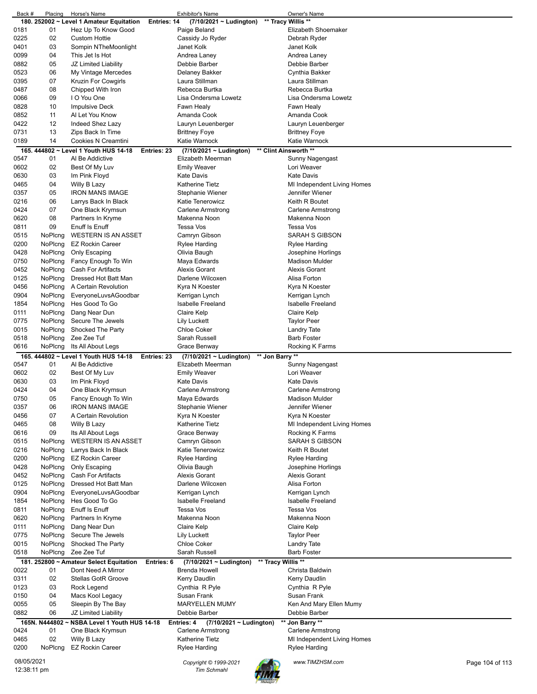| Back #                    | Placing | Horse's Name                                 |             | Exhibitor's Name                            |                    | Owner's Name                |                 |
|---------------------------|---------|----------------------------------------------|-------------|---------------------------------------------|--------------------|-----------------------------|-----------------|
|                           |         | 180. 252002 ~ Level 1 Amateur Equitation     | Entries: 14 | (7/10/2021 ~ Ludington)                     |                    | ** Tracy Willis **          |                 |
| 0181                      | 01      | Hez Up To Know Good                          |             | Paige Beland                                |                    | Elizabeth Shoemaker         |                 |
| 0225                      | 02      | <b>Custom Hottie</b>                         |             | Cassidy Jo Ryder                            |                    | Debrah Ryder                |                 |
| 0401                      | 03      | Sompin NTheMoonlight                         |             | Janet Kolk                                  |                    | Janet Kolk                  |                 |
| 0099                      | 04      | This Jet Is Hot                              |             | Andrea Laney                                |                    | Andrea Laney                |                 |
| 0882                      | 05      | JZ Limited Liability                         |             | Debbie Barber                               |                    | Debbie Barber               |                 |
| 0523                      | 06      | My Vintage Mercedes                          |             | Delaney Bakker                              |                    | Cynthia Bakker              |                 |
| 0395                      | 07      | Kruzin For Cowgirls                          |             | Laura Stillman                              |                    | Laura Stillman              |                 |
| 0487                      | 08      | Chipped With Iron                            |             | Rebecca Burtka                              |                    | Rebecca Burtka              |                 |
| 0066                      | 09      | I O You One                                  |             | Lisa Ondersma Lowetz                        |                    | Lisa Ondersma Lowetz        |                 |
|                           |         |                                              |             |                                             |                    |                             |                 |
| 0828                      | 10      | <b>Impulsive Deck</b>                        |             | Fawn Healy                                  |                    | Fawn Healy                  |                 |
| 0852                      | 11      | Al Let You Know                              |             | Amanda Cook                                 |                    | Amanda Cook                 |                 |
| 0422                      | 12      | Indeed Shez Lazy                             |             | Lauryn Leuenberger                          |                    | Lauryn Leuenberger          |                 |
| 0731                      | 13      | Zips Back In Time                            |             | <b>Brittney Foye</b>                        |                    | Brittney Foye               |                 |
| 0189                      | 14      | Cookies N Creamtini                          |             | Katie Warnock                               |                    | Katie Warnock               |                 |
|                           |         | 165. 444802 ~ Level 1 Youth HUS 14-18        | Entries: 23 | $(7/10/2021 \sim$ Ludington)                |                    | ** Clint Ainsworth **       |                 |
| 0547                      | 01      | Al Be Addictive                              |             | Elizabeth Meerman                           |                    | Sunny Nagengast             |                 |
| 0602                      | 02      | Best Of My Luv                               |             | <b>Emily Weaver</b>                         |                    | Lori Weaver                 |                 |
| 0630                      | 03      | Im Pink Floyd                                |             | <b>Kate Davis</b>                           |                    | Kate Davis                  |                 |
| 0465                      | 04      | Willy B Lazy                                 |             | <b>Katherine Tietz</b>                      |                    | MI Independent Living Homes |                 |
| 0357                      | 05      | <b>IRON MANS IMAGE</b>                       |             | Stephanie Wiener                            |                    | Jennifer Wiener             |                 |
| 0216                      | 06      | Larrys Back In Black                         |             | Katie Tenerowicz                            |                    | Keith R Boutet              |                 |
|                           |         |                                              |             |                                             |                    |                             |                 |
| 0424                      | 07      | One Black Krymsun                            |             | <b>Carlene Armstrong</b><br>Makenna Noon    |                    | <b>Carlene Armstrong</b>    |                 |
| 0620                      | 08      | Partners In Kryme                            |             |                                             |                    | Makenna Noon                |                 |
| 0811                      | 09      | Enuff Is Enuff                               |             | <b>Tessa Vos</b>                            |                    | Tessa Vos                   |                 |
| 0515                      | NoPlcng | <b>WESTERN IS AN ASSET</b>                   |             | Camryn Gibson                               |                    | SARAH S GIBSON              |                 |
| 0200                      | NoPlcng | <b>EZ Rockin Career</b>                      |             | <b>Rylee Harding</b>                        |                    | Rylee Harding               |                 |
| 0428                      | NoPlcng | Only Escaping                                |             | Olivia Baugh                                |                    | Josephine Horlings          |                 |
| 0750                      | NoPlcng | Fancy Enough To Win                          |             | Maya Edwards                                |                    | <b>Madison Mulder</b>       |                 |
| 0452                      | NoPlcng | <b>Cash For Artifacts</b>                    |             | <b>Alexis Gorant</b>                        |                    | <b>Alexis Gorant</b>        |                 |
| 0125                      | NoPlcng | Dressed Hot Batt Man                         |             | Darlene Wilcoxen                            |                    | Alisa Forton                |                 |
| 0456                      | NoPlcng | A Certain Revolution                         |             | Kyra N Koester                              |                    | Kyra N Koester              |                 |
| 0904                      | NoPlcng | EveryoneLuvsAGoodbar                         |             | Kerrigan Lynch                              |                    | Kerrigan Lynch              |                 |
| 1854                      |         | Hes Good To Go                               |             | <b>Isabelle Freeland</b>                    |                    | <b>Isabelle Freeland</b>    |                 |
|                           | NoPlcng |                                              |             |                                             |                    |                             |                 |
| 0111                      | NoPlcng | Dang Near Dun                                |             | Claire Kelp                                 |                    | Claire Kelp                 |                 |
| 0775                      | NoPlcng | Secure The Jewels                            |             | Lily Luckett                                |                    | Taylor Peer                 |                 |
| 0015                      | NoPlcng | Shocked The Party                            |             | <b>Chloe Coker</b>                          |                    | Landry Tate                 |                 |
|                           | NoPlcng | Zee Zee Tuf                                  |             | Sarah Russell                               |                    | <b>Barb Foster</b>          |                 |
| 0518                      |         |                                              |             |                                             |                    |                             |                 |
| 0616                      | NoPlcng | Its All About Legs                           |             | Grace Benway                                |                    | Rocking K Farms             |                 |
|                           |         | 165. 444802 ~ Level 1 Youth HUS 14-18        | Entries: 23 | (7/10/2021 ~ Ludington)                     | ** Jon Barry **    |                             |                 |
| 0547                      | 01      | Al Be Addictive                              |             | Elizabeth Meerman                           |                    |                             |                 |
|                           |         |                                              |             |                                             |                    | Sunny Nagengast             |                 |
| 0602                      | 02      | Best Of My Luv                               |             | <b>Emily Weaver</b>                         |                    | Lori Weaver                 |                 |
| 0630                      | 03      | Im Pink Floyd                                |             | <b>Kate Davis</b>                           |                    | Kate Davis                  |                 |
| 0424                      | 04      | One Black Krymsun                            |             | Carlene Armstrong                           |                    | Carlene Armstrong           |                 |
| 0750                      | 05      | Fancy Enough To Win                          |             | Maya Edwards                                |                    | <b>Madison Mulder</b>       |                 |
| 0357                      | 06      | <b>IRON MANS IMAGE</b>                       |             | Stephanie Wiener                            |                    | Jennifer Wiener             |                 |
| 0456                      | 07      | A Certain Revolution                         |             | Kyra N Koester                              |                    | Kyra N Koester              |                 |
| 0465                      | 08      | Willy B Lazy                                 |             | <b>Katherine Tietz</b>                      |                    | MI Independent Living Homes |                 |
| 0616                      | 09      | Its All About Legs                           |             | Grace Benway                                |                    | Rocking K Farms             |                 |
| 0515                      | NoPlcng | <b>WESTERN IS AN ASSET</b>                   |             | Camryn Gibson                               |                    | SARAH S GIBSON              |                 |
| 0216                      | NoPlcna | Larrys Back In Black                         |             | Katie Tenerowicz                            |                    | Keith R Boutet              |                 |
| 0200                      | NoPlcng | <b>EZ Rockin Career</b>                      |             | <b>Rylee Harding</b>                        |                    | <b>Rylee Harding</b>        |                 |
| 0428                      | NoPlcng | Only Escaping                                |             | Olivia Baugh                                |                    | Josephine Horlings          |                 |
| 0452                      | NoPlcng | Cash For Artifacts                           |             | <b>Alexis Gorant</b>                        |                    | Alexis Gorant               |                 |
| 0125                      | NoPlcng | Dressed Hot Batt Man                         |             | Darlene Wilcoxen                            |                    | Alisa Forton                |                 |
|                           |         |                                              |             |                                             |                    |                             |                 |
| 0904                      | NoPlcng | EveryoneLuvsAGoodbar                         |             | Kerrigan Lynch                              |                    | Kerrigan Lynch              |                 |
| 1854                      | NoPlcng | Hes Good To Go                               |             | <b>Isabelle Freeland</b>                    |                    | <b>Isabelle Freeland</b>    |                 |
| 0811                      | NoPlcng | Enuff Is Enuff                               |             | Tessa Vos                                   |                    | Tessa Vos                   |                 |
| 0620                      | NoPlcng | Partners In Kryme                            |             | Makenna Noon                                |                    | Makenna Noon                |                 |
| 0111                      | NoPlcng | Dang Near Dun                                |             | Claire Kelp                                 |                    | Claire Kelp                 |                 |
| 0775                      | NoPlcng | Secure The Jewels                            |             | Lily Luckett                                |                    | <b>Taylor Peer</b>          |                 |
| 0015                      | NoPlcng | Shocked The Party                            |             | <b>Chloe Coker</b>                          |                    | Landry Tate                 |                 |
| 0518                      | NoPlcng | Zee Zee Tuf                                  |             | Sarah Russell                               |                    | <b>Barb Foster</b>          |                 |
|                           |         | 181. 252800 ~ Amateur Select Equitation      | Entries: 6  | $(7/10/2021 - Ludington)$                   | ** Tracy Willis ** |                             |                 |
| 0022                      | 01      | Dont Need A Mirror                           |             | <b>Brenda Howell</b>                        |                    | Christa Baldwin             |                 |
| 0311                      | 02      | Stellas GotR Groove                          |             | Kerry Daudlin                               |                    | Kerry Daudlin               |                 |
| 0123                      | 03      | Rock Legend                                  |             |                                             |                    | Cynthia R Pyle              |                 |
|                           |         |                                              |             | Cynthia R Pyle                              |                    |                             |                 |
| 0150                      | 04      | Macs Kool Legacy                             |             | Susan Frank                                 |                    | Susan Frank                 |                 |
| 0055                      | 05      | Sleepin By The Bay                           |             | <b>MARYELLEN MUMY</b>                       |                    | Ken And Mary Ellen Mumy     |                 |
| 0882                      | 06      | JZ Limited Liability                         |             | Debbie Barber                               |                    | Debbie Barber               |                 |
|                           |         | 165N. N444802 ~ NSBA Level 1 Youth HUS 14-18 |             | Entries: 4<br>$(7/10/2021 \sim$ Ludington)  |                    | ** Jon Barry **             |                 |
| 0424                      | 01      | One Black Krymsun                            |             | <b>Carlene Armstrong</b>                    |                    | <b>Carlene Armstrong</b>    |                 |
| 0465                      | 02      | Willy B Lazy                                 |             | <b>Katherine Tietz</b>                      |                    | MI Independent Living Homes |                 |
| 0200                      | NoPlcng | <b>EZ Rockin Career</b>                      |             | Rylee Harding                               |                    | Rylee Harding               |                 |
|                           |         |                                              |             |                                             |                    |                             |                 |
| 08/05/2021<br>12:38:11 pm |         |                                              |             | Copyright © 1999-2021<br><b>Tim Schmahl</b> |                    | www.TIMZHSM.com             | Page 104 of 113 |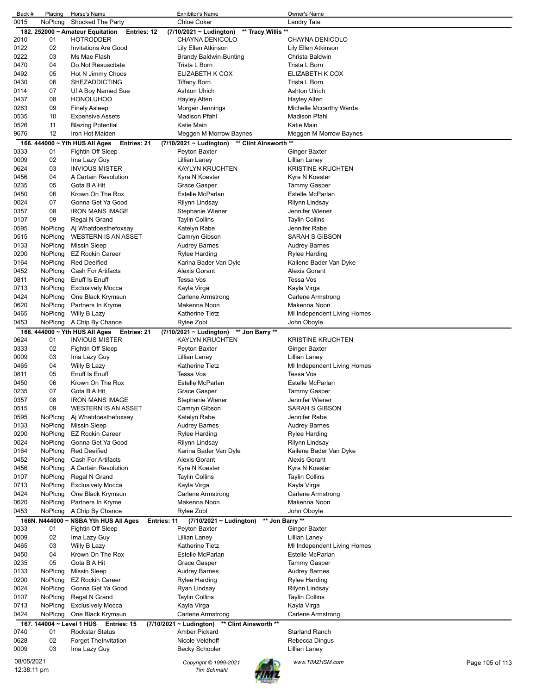| Back #       | Placing                   | Horse's Name                                                       | <b>Exhibitor's Name</b>                                        | Owner's Name                                   |                 |
|--------------|---------------------------|--------------------------------------------------------------------|----------------------------------------------------------------|------------------------------------------------|-----------------|
| 0015         | NoPlcng                   | Shocked The Party                                                  | <b>Chloe Coker</b>                                             | Landry Tate                                    |                 |
|              |                           | 182. 252000 ~ Amateur Equitation<br>Entries: 12                    | ** Tracy Willis **<br>(7/10/2021 ~ Ludington)                  |                                                |                 |
| 2010<br>0122 | 01<br>02                  | <b>HOTRODDER</b><br><b>Invitations Are Good</b>                    | CHAYNA DENICOLO<br>Lily Ellen Atkinson                         | CHAYNA DENICOLO<br>Lily Ellen Atkinson         |                 |
| 0222         | 03                        | Ms Mae Flash                                                       | Brandy Baldwin-Bunting                                         | Christa Baldwin                                |                 |
| 0470         | 04                        | Do Not Resuscitate                                                 | Trista L Born                                                  | Trista L Born                                  |                 |
| 0492         | 05                        | Hot N Jimmy Choos                                                  | ELIZABETH K COX                                                | ELIZABETH K COX                                |                 |
| 0430         | 06                        | <b>SHEZADDICTING</b>                                               | Tiffany Born                                                   | Trista L Born                                  |                 |
| 0114         | 07                        | Uf A Boy Named Sue                                                 | <b>Ashton Ulrich</b>                                           | <b>Ashton Ulrich</b>                           |                 |
| 0437         | 08                        | <b>HONOLUHOO</b>                                                   | Hayley Alten                                                   | Hayley Alten                                   |                 |
| 0263         | 09                        | <b>Finely Asleep</b>                                               | Morgan Jennings                                                | Michelle Mccarthy Warda                        |                 |
| 0535         | 10                        | <b>Expensive Assets</b>                                            | <b>Madison Pfahl</b>                                           | Madison Pfahl                                  |                 |
| 0526         | 11                        | <b>Blazing Potential</b>                                           | Katie Main                                                     | Katie Main                                     |                 |
| 9676         | 12                        | Iron Hot Maiden                                                    | Meggen M Morrow Baynes                                         | Meggen M Morrow Baynes                         |                 |
| 0333         | 01                        | 166. 444000 ~ Yth HUS All Ages<br>Entries: 21<br>Fightin Off Sleep | (7/10/2021 ~ Ludington) ** Clint Ainsworth **<br>Peyton Baxter | Ginger Baxter                                  |                 |
| 0009         | 02                        | Ima Lazy Guy                                                       | Lillian Laney                                                  | Lillian Laney                                  |                 |
| 0624         | 03                        | <b>INVIOUS MISTER</b>                                              | <b>KAYLYN KRUCHTEN</b>                                         | <b>KRISTINE KRUCHTEN</b>                       |                 |
| 0456         | 04                        | A Certain Revolution                                               | Kyra N Koester                                                 | Kyra N Koester                                 |                 |
| 0235         | 05                        | Gota B A Hit                                                       | Grace Gasper                                                   | <b>Tammy Gasper</b>                            |                 |
| 0450         | 06                        | Krown On The Rox                                                   | Estelle McParlan                                               | Estelle McParlan                               |                 |
| 0024         | 07                        | Gonna Get Ya Good                                                  | Rilynn Lindsay                                                 | Rilynn Lindsay                                 |                 |
| 0357         | 08                        | <b>IRON MANS IMAGE</b>                                             | Stephanie Wiener                                               | Jennifer Wiener                                |                 |
| 0107         | 09                        | Regal N Grand                                                      | Taylin Collins                                                 | <b>Taylin Collins</b>                          |                 |
| 0595         | NoPlcng                   | Aj Whatdoesthefoxsay                                               | Katelyn Rabe                                                   | Jennifer Rabe                                  |                 |
| 0515         | NoPlcng                   | <b>WESTERN IS AN ASSET</b>                                         | Camryn Gibson                                                  | SARAH S GIBSON                                 |                 |
| 0133         | NoPlcng                   | <b>Missin Sleep</b>                                                | <b>Audrey Barnes</b>                                           | <b>Audrey Barnes</b>                           |                 |
| 0200<br>0164 | NoPlcng<br>NoPlcng        | <b>EZ Rockin Career</b><br><b>Red Deeified</b>                     | Rylee Harding<br>Karina Bader Van Dyle                         | <b>Rylee Harding</b><br>Kailene Bader Van Dyke |                 |
| 0452         | NoPlcng                   | Cash For Artifacts                                                 | <b>Alexis Gorant</b>                                           | Alexis Gorant                                  |                 |
| 0811         | NoPlcng                   | Enuff Is Enuff                                                     | Tessa Vos                                                      | Tessa Vos                                      |                 |
| 0713         | NoPlcng                   | <b>Exclusively Mocca</b>                                           | Kayla Virga                                                    | Kayla Virga                                    |                 |
| 0424         | NoPlcng                   | One Black Krymsun                                                  | Carlene Armstrong                                              | Carlene Armstrong                              |                 |
| 0620         | NoPlcng                   | Partners In Kryme                                                  | Makenna Noon                                                   | Makenna Noon                                   |                 |
| 0465         | NoPlcng                   | Willy B Lazy                                                       | <b>Katherine Tietz</b>                                         | MI Independent Living Homes                    |                 |
| 0453         |                           | NoPlcng A Chip By Chance                                           | Rylee Zobl                                                     | John Oboyle                                    |                 |
|              |                           | 166. 444000 ~ Yth HUS All Ages<br>Entries: 21                      | (7/10/2021 ~ Ludington) ** Jon Barry **                        |                                                |                 |
| 0624         | 01                        | <b>INVIOUS MISTER</b>                                              | <b>KAYLYN KRUCHTEN</b>                                         | <b>KRISTINE KRUCHTEN</b>                       |                 |
| 0333         | 02                        | Fightin Off Sleep                                                  | Peyton Baxter                                                  | <b>Ginger Baxter</b>                           |                 |
| 0009         | 03                        | Ima Lazy Guy                                                       | Lillian Laney                                                  | Lillian Laney                                  |                 |
| 0465         | 04                        | Willy B Lazy<br><b>Enuff Is Enuff</b>                              | <b>Katherine Tietz</b><br><b>Tessa Vos</b>                     | MI Independent Living Homes                    |                 |
| 0811<br>0450 | 05<br>06                  | Krown On The Rox                                                   | Estelle McParlan                                               | Tessa Vos<br>Estelle McParlan                  |                 |
| 0235         | 07                        | Gota B A Hit                                                       | Grace Gasper                                                   | Tammy Gasper                                   |                 |
| 0357         | 08                        | IRON MANS IMAGE                                                    | Stephanie Wiener                                               | Jennifer Wiener                                |                 |
| 0515         | 09                        | <b>WESTERN IS AN ASSET</b>                                         | Camryn Gibson                                                  | SARAH S GIBSON                                 |                 |
| 0595         | NoPlcng                   | Aj Whatdoesthefoxsay                                               | Katelyn Rabe                                                   | Jennifer Rabe                                  |                 |
| 0133         | NoPlcng                   | <b>Missin Sleep</b>                                                | <b>Audrey Barnes</b>                                           | <b>Audrey Barnes</b>                           |                 |
| 0200         | NoPlcng                   | <b>EZ Rockin Career</b>                                            | <b>Rylee Harding</b>                                           | Rylee Harding                                  |                 |
| 0024         | NoPlcng                   | Gonna Get Ya Good                                                  | Rilynn Lindsay                                                 | Rilynn Lindsay                                 |                 |
| 0164         | NoPlcng                   | <b>Red Deeified</b>                                                | Karina Bader Van Dyle                                          | Kailene Bader Van Dyke                         |                 |
| 0452         | NoPlcng                   | Cash For Artifacts                                                 | <b>Alexis Gorant</b>                                           | Alexis Gorant                                  |                 |
| 0456         | NoPlcng                   | A Certain Revolution                                               | Kyra N Koester                                                 | Kyra N Koester                                 |                 |
| 0107         | NoPlcng                   | Regal N Grand                                                      | <b>Taylin Collins</b>                                          | <b>Taylin Collins</b>                          |                 |
| 0713<br>0424 | NoPlcng<br>NoPlcng        | <b>Exclusively Mocca</b><br>One Black Krymsun                      | Kayla Virga<br><b>Carlene Armstrong</b>                        | Kayla Virga<br><b>Carlene Armstrong</b>        |                 |
| 0620         | NoPlcng                   | Partners In Kryme                                                  | Makenna Noon                                                   | Makenna Noon                                   |                 |
| 0453         | NoPlcng                   | A Chip By Chance                                                   | Rylee Zobl                                                     | John Oboyle                                    |                 |
|              |                           | 166N. N444000 ~ NSBA Yth HUS All Ages                              | (7/10/2021 ~ Ludington)<br>Entries: 11                         | ** Jon Barry **                                |                 |
| 0333         | 01                        | Fightin Off Sleep                                                  | Peyton Baxter                                                  | <b>Ginger Baxter</b>                           |                 |
| 0009         | 02                        | Ima Lazy Guy                                                       | Lillian Laney                                                  | Lillian Laney                                  |                 |
| 0465         | 03                        | Willy B Lazy                                                       | <b>Katherine Tietz</b>                                         | MI Independent Living Homes                    |                 |
| 0450         | 04                        | Krown On The Rox                                                   | Estelle McParlan                                               | Estelle McParlan                               |                 |
| 0235         | 05                        | Gota B A Hit                                                       | Grace Gasper                                                   | <b>Tammy Gasper</b>                            |                 |
| 0133         | NoPlcng                   | <b>Missin Sleep</b>                                                | <b>Audrey Barnes</b>                                           | <b>Audrey Barnes</b>                           |                 |
| 0200         | NoPlcng                   | <b>EZ Rockin Career</b>                                            | <b>Rylee Harding</b>                                           | Rylee Harding                                  |                 |
| 0024         | NoPlcng                   | Gonna Get Ya Good                                                  | Ryan Lindsay                                                   | Rilynn Lindsay                                 |                 |
| 0107         | NoPlcng                   | Regal N Grand                                                      | <b>Taylin Collins</b>                                          | <b>Taylin Collins</b>                          |                 |
| 0713<br>0424 | NoPlcng<br>NoPlcng        | <b>Exclusively Mocca</b><br>One Black Krymsun                      | Kayla Virga<br>Carlene Armstrong                               | Kayla Virga<br>Carlene Armstrong               |                 |
|              | 167. 144004 ~ Level 1 HUS | Entries: 15                                                        | $(7/10/2021 - Ludington)$<br>** Clint Ainsworth **             |                                                |                 |
| 0740         | 01                        | <b>Rockstar Status</b>                                             | Amber Pickard                                                  | <b>Starland Ranch</b>                          |                 |
| 0628         | 02                        | <b>Forget TheInvitation</b>                                        | Nicole Veldhoff                                                | Rebecca Dingus                                 |                 |
| 0009         | 03                        | Ima Lazy Guy                                                       | <b>Becky Schooler</b>                                          | Lillian Laney                                  |                 |
| 08/05/2021   |                           |                                                                    |                                                                |                                                |                 |
| 12:38:11 pm  |                           |                                                                    | Copyright © 1999-2021<br><b>Tim Schmahl</b>                    | www.TIMZHSM.com                                | Page 105 of 113 |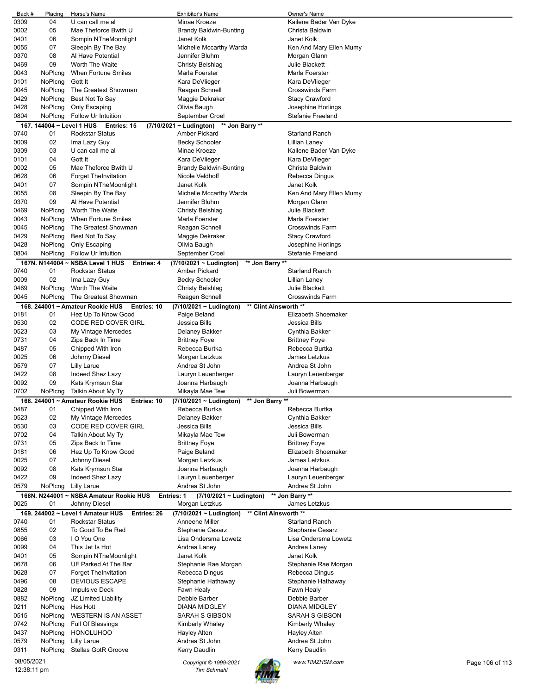| Back #                    | Placing                   | Horse's Name                                          | <b>Exhibitor's Name</b>                          | Owner's Name             |                 |
|---------------------------|---------------------------|-------------------------------------------------------|--------------------------------------------------|--------------------------|-----------------|
| 0309                      | 04                        | U can call me al                                      | Minae Kroeze                                     | Kailene Bader Van Dyke   |                 |
| 0002                      | 05                        | Mae Theforce Bwith U                                  | Brandy Baldwin-Bunting                           | Christa Baldwin          |                 |
| 0401                      | 06                        | Sompin NTheMoonlight                                  | Janet Kolk                                       | Janet Kolk               |                 |
| 0055                      | 07                        | Sleepin By The Bay                                    | Michelle Mccarthy Warda                          | Ken And Mary Ellen Mumy  |                 |
| 0370                      | 08                        | Al Have Potential                                     | Jennifer Bluhm                                   | Morgan Glann             |                 |
| 0469                      | 09                        | Worth The Waite                                       | Christy Beishlag                                 | Julie Blackett           |                 |
| 0043                      | NoPlcng                   | When Fortune Smiles                                   | Marla Foerster                                   | Marla Foerster           |                 |
| 0101                      | NoPlcng                   | Gott It                                               | Kara DeVlieger                                   | Kara DeVlieger           |                 |
|                           |                           |                                                       |                                                  |                          |                 |
| 0045                      | NoPlcng                   | The Greatest Showman                                  | Reagan Schnell                                   | <b>Crosswinds Farm</b>   |                 |
| 0429                      | NoPlcng                   | Best Not To Say                                       | Maggie Dekraker                                  | <b>Stacy Crawford</b>    |                 |
| 0428                      | NoPlcng                   | Only Escaping                                         | Olivia Baugh                                     | Josephine Horlings       |                 |
| 0804                      | NoPlcng                   | Follow Ur Intuition                                   | September Croel                                  | <b>Stefanie Freeland</b> |                 |
|                           | 167. 144004 ~ Level 1 HUS | Entries: 15                                           | $(7/10/2021 - Ludington)$<br>** Jon Barry **     |                          |                 |
| 0740                      | 01                        | <b>Rockstar Status</b>                                | Amber Pickard                                    | <b>Starland Ranch</b>    |                 |
| 0009                      | 02                        | Ima Lazy Guy                                          | <b>Becky Schooler</b>                            | Lillian Laney            |                 |
| 0309                      | 03                        | U can call me al                                      | Minae Kroeze                                     | Kailene Bader Van Dyke   |                 |
| 0101                      | 04                        | Gott It                                               | Kara DeVlieger                                   | Kara DeVlieger           |                 |
| 0002                      | 05                        | Mae Theforce Bwith U                                  | <b>Brandy Baldwin-Bunting</b>                    | Christa Baldwin          |                 |
| 0628                      | 06                        | <b>Forget TheInvitation</b>                           | Nicole Veldhoff                                  | Rebecca Dingus           |                 |
| 0401                      | 07                        | Sompin NTheMoonlight                                  | Janet Kolk                                       | Janet Kolk               |                 |
| 0055                      | 08                        | Sleepin By The Bay                                    | Michelle Mccarthy Warda                          | Ken And Mary Ellen Mumy  |                 |
| 0370                      | 09                        | Al Have Potential                                     | Jennifer Bluhm                                   | Morgan Glann             |                 |
| 0469                      | NoPlcng                   | Worth The Waite                                       |                                                  | <b>Julie Blackett</b>    |                 |
|                           |                           |                                                       | Christy Beishlag                                 | Marla Foerster           |                 |
| 0043                      | NoPlcng                   | When Fortune Smiles                                   | Marla Foerster                                   |                          |                 |
| 0045                      | NoPlcng                   | The Greatest Showman                                  | Reagan Schnell                                   | <b>Crosswinds Farm</b>   |                 |
| 0429                      | NoPlcng                   | Best Not To Say                                       | Maggie Dekraker                                  | <b>Stacy Crawford</b>    |                 |
| 0428                      | NoPlcng                   | Only Escaping                                         | Olivia Baugh                                     | Josephine Horlings       |                 |
| 0804                      | NoPlcng                   | Follow Ur Intuition                                   | September Croel                                  | <b>Stefanie Freeland</b> |                 |
|                           |                           | 167N. N144004 ~ NSBA Level 1 HUS<br><b>Entries: 4</b> | (7/10/2021 ~ Ludington)<br>** Jon Barry **       |                          |                 |
| 0740                      | 01                        | <b>Rockstar Status</b>                                | Amber Pickard                                    | <b>Starland Ranch</b>    |                 |
| 0009                      | 02                        | Ima Lazy Guy                                          | <b>Becky Schooler</b>                            | <b>Lillian Laney</b>     |                 |
| 0469                      | NoPlcng                   | Worth The Waite                                       | Christy Beishlag                                 | <b>Julie Blackett</b>    |                 |
| 0045                      | NoPlcng                   | The Greatest Showman                                  | Reagen Schnell                                   | <b>Crosswinds Farm</b>   |                 |
|                           |                           | 168. 244001 ~ Amateur Rookie HUS<br>Entries: 10       | ** Clint Ainsworth **<br>(7/10/2021 ~ Ludington) |                          |                 |
| 0181                      | 01                        | Hez Up To Know Good                                   | Paige Beland                                     | Elizabeth Shoemaker      |                 |
|                           |                           |                                                       |                                                  |                          |                 |
| 0530                      | 02                        | CODE RED COVER GIRL                                   | Jessica Bills                                    | Jessica Bills            |                 |
| 0523                      | 03                        | My Vintage Mercedes                                   | Delaney Bakker                                   | Cynthia Bakker           |                 |
| 0731                      | 04                        | Zips Back In Time                                     | <b>Brittney Foye</b>                             | <b>Brittney Foye</b>     |                 |
| 0487                      | 05                        | Chipped With Iron                                     | Rebecca Burtka                                   | Rebecca Burtka           |                 |
| 0025                      | 06                        | Johnny Diesel                                         | Morgan Letzkus                                   | James Letzkus            |                 |
| 0579                      | 07                        | Lilly Larue                                           | Andrea St John                                   | Andrea St John           |                 |
| 0422                      | 08                        | Indeed Shez Lazy                                      | Lauryn Leuenberger                               | Lauryn Leuenberger       |                 |
| 0092                      | 09                        | Kats Krymsun Star                                     | Joanna Harbaugh                                  | Joanna Harbaugh          |                 |
| 0702                      | NoPlcng                   | Talkin About My Ty                                    | Mikayla Mae Tew                                  | Juli Bowerman            |                 |
|                           |                           | 168. 244001 ~ Amateur Rookie HUS<br>Entries: 10       | $(7/10/2021 -$ Ludington)<br>** Jon Barry **     |                          |                 |
| 0487                      | 01                        | Chipped With Iron                                     | Rebecca Burtka                                   | Rebecca Burtka           |                 |
| 0523                      | 02                        | My Vintage Mercedes                                   | Delaney Bakker                                   | Cynthia Bakker           |                 |
| 0530                      | 03                        | CODE RED COVER GIRL                                   | Jessica Bills                                    | Jessica Bills            |                 |
| 0702                      | 04                        | Talkin About My Ty                                    | Mikayla Mae Tew                                  | Juli Bowerman            |                 |
| 0731                      | 05                        | Zips Back In Time                                     | <b>Brittney Foye</b>                             | <b>Brittney Foye</b>     |                 |
| 0181                      | 06                        | Hez Up To Know Good                                   | Paige Beland                                     | Elizabeth Shoemaker      |                 |
|                           |                           |                                                       |                                                  |                          |                 |
| 0025                      | 07                        | Johnny Diesel                                         | Morgan Letzkus                                   | James Letzkus            |                 |
| 0092                      | 08                        | Kats Krymsun Star                                     | Joanna Harbaugh                                  | Joanna Harbaugh          |                 |
| 0422                      | 09                        | Indeed Shez Lazy                                      | Lauryn Leuenberger                               | Lauryn Leuenberger       |                 |
| 0579                      | NoPlcng                   | Lilly Larue                                           | Andrea St John                                   | Andrea St John           |                 |
|                           |                           | 168N. N244001 ~ NSBA Amateur Rookie HUS<br>Entries: 1 | (7/10/2021 ~ Ludington)                          | ** Jon Barry **          |                 |
| 0025                      | 01                        | Johnny Diesel                                         | Morgan Letzkus                                   | James Letzkus            |                 |
|                           |                           | 169. 244002 ~ Level 1 Amateur HUS<br>Entries: 26      | ** Clint Ainsworth **<br>(7/10/2021 ~ Ludington) |                          |                 |
| 0740                      | 01                        | <b>Rockstar Status</b>                                | Anneene Miller                                   | <b>Starland Ranch</b>    |                 |
| 0855                      | 02                        | To Good To Be Red                                     | <b>Stephanie Cesarz</b>                          | Stephanie Cesarz         |                 |
| 0066                      | 03                        | I O You One                                           | Lisa Ondersma Lowetz                             | Lisa Ondersma Lowetz     |                 |
| 0099                      | 04                        | This Jet Is Hot                                       | Andrea Laney                                     | Andrea Laney             |                 |
| 0401                      | 05                        | Sompin NTheMoonlight                                  | Janet Kolk                                       | Janet Kolk               |                 |
|                           |                           |                                                       |                                                  |                          |                 |
| 0678                      | 06                        | UF Parked At The Bar                                  | Stephanie Rae Morgan                             | Stephanie Rae Morgan     |                 |
| 0628                      | 07                        | <b>Forget TheInvitation</b>                           | Rebecca Dingus                                   | Rebecca Dingus           |                 |
| 0496                      | 08                        | <b>DEVIOUS ESCAPE</b>                                 | Stephanie Hathaway                               | Stephanie Hathaway       |                 |
| 0828                      | 09                        | <b>Impulsive Deck</b>                                 | Fawn Healy                                       | Fawn Healy               |                 |
| 0882                      | NoPlcng                   | JZ Limited Liability                                  | Debbie Barber                                    | Debbie Barber            |                 |
| 0211                      | NoPlcng                   | Hes Hott                                              | <b>DIANA MIDGLEY</b>                             | <b>DIANA MIDGLEY</b>     |                 |
| 0515                      | NoPlcng                   | <b>WESTERN IS AN ASSET</b>                            | SARAH S GIBSON                                   | SARAH S GIBSON           |                 |
| 0742                      | NoPlcng                   | Full Of Blessings                                     | Kimberly Whaley                                  | Kimberly Whaley          |                 |
| 0437                      | NoPlcng                   | <b>HONOLUHOO</b>                                      | Hayley Alten                                     | <b>Hayley Alten</b>      |                 |
| 0579                      | NoPlcng                   | Lilly Larue                                           | Andrea St John                                   | Andrea St John           |                 |
| 0311                      | NoPlcng                   | Stellas GotR Groove                                   | Kerry Daudlin                                    | Kerry Daudlin            |                 |
|                           |                           |                                                       |                                                  |                          |                 |
| 08/05/2021<br>12:38:11 pm |                           |                                                       | Copyright © 1999-2021<br><b>Tim Schmahl</b>      | www.TIMZHSM.com          | Page 106 of 113 |
|                           |                           |                                                       |                                                  |                          |                 |

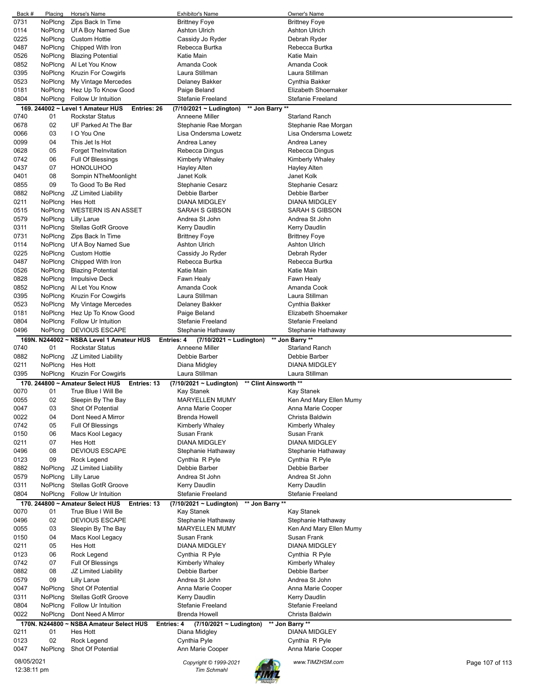| Back #      | Placing        | Horse's Name                                     | <b>Exhibitor's Name</b>                      |                       | Owner's Name             |                 |
|-------------|----------------|--------------------------------------------------|----------------------------------------------|-----------------------|--------------------------|-----------------|
| 0731        | NoPlcng        | Zips Back In Time                                | <b>Brittney Foye</b>                         |                       | <b>Brittney Foye</b>     |                 |
| 0114        | NoPlcng        | Uf A Boy Named Sue                               | <b>Ashton Ulrich</b>                         |                       | <b>Ashton Ulrich</b>     |                 |
| 0225        | NoPlcng        | <b>Custom Hottie</b>                             | Cassidy Jo Ryder                             |                       | Debrah Ryder             |                 |
| 0487        | NoPlcng        | Chipped With Iron                                | Rebecca Burtka                               |                       | Rebecca Burtka           |                 |
| 0526        | NoPlcng        | <b>Blazing Potential</b>                         | Katie Main                                   |                       | Katie Main               |                 |
|             |                |                                                  |                                              |                       |                          |                 |
| 0852        | NoPlcng        | Al Let You Know                                  | Amanda Cook                                  |                       | Amanda Cook              |                 |
| 0395        | NoPlcng        | <b>Kruzin For Cowgirls</b>                       | Laura Stillman                               |                       | Laura Stillman           |                 |
| 0523        | NoPlcng        | My Vintage Mercedes                              | Delaney Bakker                               |                       | Cynthia Bakker           |                 |
| 0181        | NoPlcng        | Hez Up To Know Good                              | Paige Beland                                 |                       | Elizabeth Shoemaker      |                 |
| 0804        | NoPlcng        | Follow Ur Intuition                              | Stefanie Freeland                            |                       | <b>Stefanie Freeland</b> |                 |
|             |                | 169. 244002 ~ Level 1 Amateur HUS<br>Entries: 26 | (7/10/2021 ~ Ludington)                      | ** Jon Barry **       |                          |                 |
| 0740        | 01             | <b>Rockstar Status</b>                           | Anneene Miller                               |                       | <b>Starland Ranch</b>    |                 |
| 0678        | 02             | UF Parked At The Bar                             | Stephanie Rae Morgan                         |                       | Stephanie Rae Morgan     |                 |
|             |                |                                                  |                                              |                       |                          |                 |
| 0066        | 03             | I O You One                                      | Lisa Ondersma Lowetz                         |                       | Lisa Ondersma Lowetz     |                 |
| 0099        | 04             | This Jet Is Hot                                  | Andrea Laney                                 |                       | Andrea Laney             |                 |
| 0628        | 05             | <b>Forget TheInvitation</b>                      | Rebecca Dingus                               |                       | Rebecca Dingus           |                 |
| 0742        | 06             | Full Of Blessings                                | Kimberly Whaley                              |                       | Kimberly Whaley          |                 |
| 0437        | 07             | <b>HONOLUHOO</b>                                 | Hayley Alten                                 |                       | Hayley Alten             |                 |
| 0401        | 08             | Sompin NTheMoonlight                             | Janet Kolk                                   |                       | Janet Kolk               |                 |
| 0855        | 09             | To Good To Be Red                                | Stephanie Cesarz                             |                       | Stephanie Cesarz         |                 |
| 0882        | NoPlcng        | JZ Limited Liability                             | Debbie Barber                                |                       | Debbie Barber            |                 |
|             |                |                                                  |                                              |                       |                          |                 |
| 0211        | NoPlcng        | Hes Hott                                         | <b>DIANA MIDGLEY</b>                         |                       | <b>DIANA MIDGLEY</b>     |                 |
| 0515        | NoPlcng        | <b>WESTERN IS AN ASSET</b>                       | SARAH S GIBSON                               |                       | SARAH S GIBSON           |                 |
| 0579        | NoPlcng        | <b>Lilly Larue</b>                               | Andrea St John                               |                       | Andrea St John           |                 |
| 0311        | NoPlcng        | <b>Stellas GotR Groove</b>                       | Kerry Daudlin                                |                       | Kerry Daudlin            |                 |
| 0731        | NoPlcng        | Zips Back In Time                                | <b>Brittney Foye</b>                         |                       | <b>Brittney Foye</b>     |                 |
| 0114        | NoPlcng        | Uf A Boy Named Sue                               | <b>Ashton Ulrich</b>                         |                       | Ashton Ulrich            |                 |
| 0225        | NoPlcng        | <b>Custom Hottie</b>                             | Cassidy Jo Ryder                             |                       | Debrah Ryder             |                 |
| 0487        | NoPlcng        | Chipped With Iron                                | Rebecca Burtka                               |                       | Rebecca Burtka           |                 |
|             |                |                                                  |                                              |                       |                          |                 |
| 0526        | NoPlcng        | <b>Blazing Potential</b>                         | Katie Main                                   |                       | Katie Main               |                 |
| 0828        | NoPlcng        | <b>Impulsive Deck</b>                            | Fawn Healy                                   |                       | Fawn Healy               |                 |
| 0852        | NoPlcng        | Al Let You Know                                  | Amanda Cook                                  |                       | Amanda Cook              |                 |
| 0395        | NoPlcng        | <b>Kruzin For Cowgirls</b>                       | Laura Stillman                               |                       | Laura Stillman           |                 |
| 0523        | NoPlcng        | My Vintage Mercedes                              | Delaney Bakker                               |                       | Cynthia Bakker           |                 |
| 0181        | NoPlcng        | Hez Up To Know Good                              | Paige Beland                                 |                       | Elizabeth Shoemaker      |                 |
| 0804        | NoPlcng        | Follow Ur Intuition                              | <b>Stefanie Freeland</b>                     |                       | Stefanie Freeland        |                 |
| 0496        | NoPlcng        | <b>DEVIOUS ESCAPE</b>                            | Stephanie Hathaway                           |                       |                          |                 |
|             |                |                                                  |                                              |                       | Stephanie Hathaway       |                 |
|             |                | 169N. N244002 ~ NSBA Level 1 Amateur HUS         | (7/10/2021 ~ Ludington)<br><b>Entries: 4</b> |                       | ** Jon Barry **          |                 |
| 0740        | 01             | <b>Rockstar Status</b>                           | Anneene Miller                               |                       | <b>Starland Ranch</b>    |                 |
| 0882        | NoPlcng        | JZ Limited Liability                             | Debbie Barber                                |                       | Debbie Barber            |                 |
| 0211        | NoPlcng        | Hes Hott                                         | Diana Midgley                                |                       | <b>DIANA MIDGLEY</b>     |                 |
| 0395        | <b>NoPlcng</b> | Kruzin For Cowgirls                              | Laura Stillman                               |                       | Laura Stillman           |                 |
|             |                | 170. 244800 ~ Amateur Select HUS<br>Entries: 13  | $(7/10/2021 - Ludington)$                    | ** Clint Ainsworth ** |                          |                 |
| 0070        | 01             | True Blue I Will Be                              | Kay Stanek                                   |                       | Kay Stanek               |                 |
| 0055        | 02             |                                                  |                                              |                       |                          |                 |
|             |                | Sleepin By The Bay                               | <b>MARYELLEN MUMY</b>                        |                       | Ken And Mary Ellen Mumy  |                 |
| 0047        | 03             | Shot Of Potential                                | Anna Marie Cooper                            |                       | Anna Marie Cooper        |                 |
| 0022        | 04             | Dont Need A Mirror                               | <b>Brenda Howell</b>                         |                       | Christa Baldwin          |                 |
| 0742        | 05             | Full Of Blessings                                | Kimberly Whaley                              |                       | Kimberly Whaley          |                 |
| 0150        | 06             | Macs Kool Legacy                                 | Susan Frank                                  |                       | Susan Frank              |                 |
| 0211        | 07             | Hes Hott                                         | <b>DIANA MIDGLEY</b>                         |                       | DIANA MIDGLEY            |                 |
| 0496        | 08             | <b>DEVIOUS ESCAPE</b>                            | Stephanie Hathaway                           |                       | Stephanie Hathaway       |                 |
| 0123        | 09             | Rock Legend                                      | Cynthia R Pyle                               |                       | Cynthia R Pyle           |                 |
| 0882        | NoPlcng        | JZ Limited Liability                             | Debbie Barber                                |                       | Debbie Barber            |                 |
| 0579        | NoPlcng        | <b>Lilly Larue</b>                               | Andrea St John                               |                       | Andrea St John           |                 |
|             |                |                                                  |                                              |                       |                          |                 |
| 0311        | NoPlcng        | <b>Stellas GotR Groove</b>                       | Kerry Daudlin                                |                       | Kerry Daudlin            |                 |
| 0804        | NoPlcng        | Follow Ur Intuition                              | Stefanie Freeland                            |                       | Stefanie Freeland        |                 |
|             |                | 170. 244800 ~ Amateur Select HUS<br>Entries: 13  | $(7/10/2021 \sim$ Ludington)                 | ** Jon Barry **       |                          |                 |
| 0070        | 01             | True Blue I Will Be                              | Kay Stanek                                   |                       | Kay Stanek               |                 |
| 0496        | 02             | <b>DEVIOUS ESCAPE</b>                            | Stephanie Hathaway                           |                       | Stephanie Hathaway       |                 |
| 0055        | 03             | Sleepin By The Bay                               | <b>MARYELLEN MUMY</b>                        |                       | Ken And Mary Ellen Mumy  |                 |
| 0150        | 04             | Macs Kool Legacy                                 | Susan Frank                                  |                       | Susan Frank              |                 |
| 0211        | 05             | Hes Hott                                         | <b>DIANA MIDGLEY</b>                         |                       | DIANA MIDGLEY            |                 |
|             |                |                                                  |                                              |                       |                          |                 |
| 0123        | 06             | Rock Legend                                      | Cynthia R Pyle                               |                       | Cynthia R Pyle           |                 |
| 0742        | 07             | Full Of Blessings                                | Kimberly Whaley                              |                       | Kimberly Whaley          |                 |
| 0882        | 08             | JZ Limited Liability                             | Debbie Barber                                |                       | Debbie Barber            |                 |
| 0579        | 09             | <b>Lilly Larue</b>                               | Andrea St John                               |                       | Andrea St John           |                 |
| 0047        | NoPlcng        | Shot Of Potential                                | Anna Marie Cooper                            |                       | Anna Marie Cooper        |                 |
| 0311        | NoPlcng        | Stellas GotR Groove                              | Kerry Daudlin                                |                       | Kerry Daudlin            |                 |
| 0804        | NoPlcng        | Follow Ur Intuition                              | <b>Stefanie Freeland</b>                     |                       | Stefanie Freeland        |                 |
| 0022        | NoPlcng        | Dont Need A Mirror                               | <b>Brenda Howell</b>                         |                       | Christa Baldwin          |                 |
|             |                | 170N. N244800 ~ NSBA Amateur Select HUS          | Entries: 4                                   |                       | ** Jon Barry **          |                 |
|             |                |                                                  | (7/10/2021 ~ Ludington)                      |                       |                          |                 |
| 0211        | 01             | Hes Hott                                         | Diana Midgley                                |                       | DIANA MIDGLEY            |                 |
| 0123        | 02             | Rock Legend                                      | Cynthia Pyle                                 |                       | Cynthia R Pyle           |                 |
| 0047        | NoPlcng        | Shot Of Potential                                | Ann Marie Cooper                             |                       | Anna Marie Cooper        |                 |
| 08/05/2021  |                |                                                  |                                              |                       | www.TIMZHSM.com          |                 |
| 12:38:11 pm |                |                                                  | Copyright © 1999-2021<br><b>Tim Schmahl</b>  |                       |                          | Page 107 of 113 |
|             |                |                                                  |                                              |                       |                          |                 |
|             |                |                                                  |                                              |                       |                          |                 |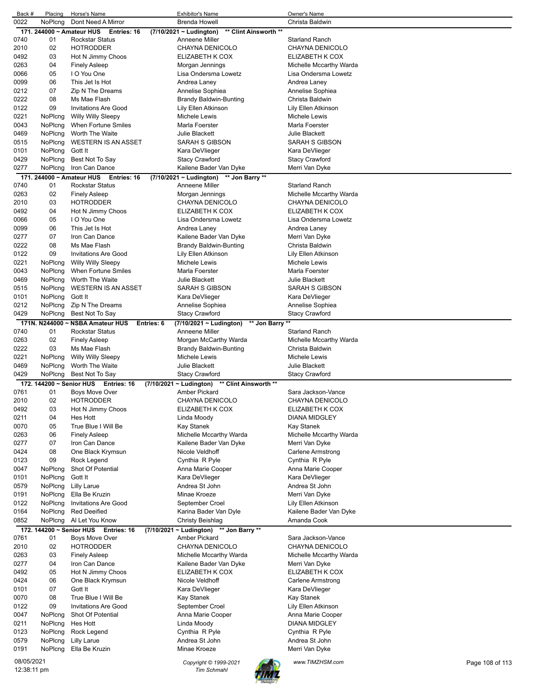| Back #                    | Placing                   | Horse's Name                               | <b>Exhibitor's Name</b>                               | Owner's Name                             |
|---------------------------|---------------------------|--------------------------------------------|-------------------------------------------------------|------------------------------------------|
| 0022                      | NoPlcng                   | Dont Need A Mirror                         | <b>Brenda Howell</b>                                  | Christa Baldwin                          |
|                           | 171. 244000 ~ Amateur HUS | Entries: 16                                | (7/10/2021 ~ Ludington)<br>** Clint Ainsworth **      |                                          |
| 0740<br>2010              | 01<br>02                  | <b>Rockstar Status</b><br><b>HOTRODDER</b> | Anneene Miller<br>CHAYNA DENICOLO                     | <b>Starland Ranch</b><br>CHAYNA DENICOLO |
| 0492                      | 03                        | Hot N Jimmy Choos                          | ELIZABETH K COX                                       | ELIZABETH K COX                          |
| 0263                      | 04                        | <b>Finely Asleep</b>                       | Morgan Jennings                                       | Michelle Mccarthy Warda                  |
| 0066                      | 05                        | I O You One                                | Lisa Ondersma Lowetz                                  | Lisa Ondersma Lowetz                     |
| 0099                      | 06                        | This Jet Is Hot                            | Andrea Laney                                          | Andrea Laney                             |
| 0212                      | 07                        | Zip N The Dreams                           | Annelise Sophiea                                      | Annelise Sophiea                         |
| 0222                      | 08                        | Ms Mae Flash                               | Brandy Baldwin-Bunting                                | Christa Baldwin                          |
| 0122                      | 09                        | <b>Invitations Are Good</b>                | Lily Ellen Atkinson                                   | Lily Ellen Atkinson                      |
| 0221                      | NoPlcng                   | <b>Willy Willy Sleepy</b>                  | Michele Lewis                                         | Michele Lewis                            |
| 0043                      | NoPlcng                   | When Fortune Smiles                        | Marla Foerster                                        | Marla Foerster                           |
| 0469                      | NoPlcna                   | Worth The Waite                            | <b>Julie Blackett</b>                                 | <b>Julie Blackett</b>                    |
| 0515                      | NoPlcng                   | <b>WESTERN IS AN ASSET</b>                 | SARAH S GIBSON                                        | SARAH S GIBSON                           |
| 0101                      | NoPlcng                   | Gott It                                    | Kara DeVlieger                                        | Kara DeVlieger                           |
| 0429                      | NoPlcng                   | Best Not To Say                            | Stacy Crawford                                        | Stacy Crawford                           |
| 0277                      | NoPlcng                   | Iron Can Dance                             | Kailene Bader Van Dyke                                | Merri Van Dyke                           |
|                           | 171. 244000 ~ Amateur HUS | Entries: 16                                | ** Jon Barry **<br>(7/10/2021 ~ Ludington)            |                                          |
| 0740                      | 01                        | <b>Rockstar Status</b>                     | Anneene Miller                                        | <b>Starland Ranch</b>                    |
| 0263                      | 02                        | <b>Finely Asleep</b>                       | Morgan Jennings                                       | Michelle Mccarthy Warda                  |
| 2010                      | 03                        | <b>HOTRODDER</b>                           | CHAYNA DENICOLO                                       | CHAYNA DENICOLO                          |
| 0492                      | 04                        | Hot N Jimmy Choos<br>I O You One           | ELIZABETH K COX                                       | ELIZABETH K COX<br>Lisa Ondersma Lowetz  |
| 0066<br>0099              | 05<br>06                  | This Jet Is Hot                            | Lisa Ondersma Lowetz                                  |                                          |
| 0277                      | 07                        | Iron Can Dance                             | Andrea Laney<br>Kailene Bader Van Dyke                | Andrea Laney                             |
| 0222                      | 08                        | Ms Mae Flash                               | Brandy Baldwin-Bunting                                | Merri Van Dyke<br>Christa Baldwin        |
| 0122                      | 09                        | <b>Invitations Are Good</b>                | Lily Ellen Atkinson                                   | Lily Ellen Atkinson                      |
| 0221                      | NoPlcng                   | <b>Willy Willy Sleepy</b>                  | Michele Lewis                                         | Michele Lewis                            |
| 0043                      | NoPlcng                   | When Fortune Smiles                        | Marla Foerster                                        | Marla Foerster                           |
| 0469                      | NoPicng                   | Worth The Waite                            | Julie Blackett                                        | Julie Blackett                           |
| 0515                      | NoPlcng                   | <b>WESTERN IS AN ASSET</b>                 | SARAH S GIBSON                                        | SARAH S GIBSON                           |
| 0101                      | NoPlcng                   | Gott It                                    | Kara DeVlieger                                        | Kara DeVlieger                           |
| 0212                      | NoPlcng                   | Zip N The Dreams                           | Annelise Sophiea                                      | Annelise Sophiea                         |
| 0429                      | NoPlcng                   | Best Not To Say                            | Stacy Crawford                                        | <b>Stacy Crawford</b>                    |
|                           |                           | 171N. N244000 ~ NSBA Amateur HUS           | ** Jon Barry<br>Entries: 6<br>(7/10/2021 ~ Ludington) | $^{\star\star}$                          |
| 0740                      | 01                        | <b>Rockstar Status</b>                     | Anneene Miller                                        | <b>Starland Ranch</b>                    |
| 0263                      | 02                        | <b>Finely Asleep</b>                       | Morgan McCarthy Warda                                 | Michelle Mccarthy Warda                  |
| 0222                      | 03                        | Ms Mae Flash                               | Brandy Baldwin-Bunting                                | Christa Baldwin                          |
| 0221                      | NoPlcng                   | <b>Willy Willy Sleepy</b>                  | Michele Lewis                                         | Michele Lewis                            |
| 0469                      | NoPlcng                   | Worth The Waite                            | Julie Blackett                                        | Julie Blackett                           |
| 0429                      | NoPlcng                   | Best Not To Say                            | <b>Stacy Crawford</b>                                 | <b>Stacy Crawford</b>                    |
|                           |                           | 172. 144200 ~ Senior HUS Entries: 16       | (7/10/2021 ~ Ludington)<br>** Clint Ainsworth **      |                                          |
| 0761                      | 01                        | <b>Boys Move Over</b>                      | Amber Pickard                                         | Sara Jackson-Vance                       |
| 2010                      | 02                        | <b>HOTRODDER</b>                           | CHAYNA DENICOLO                                       | CHAYNA DENICOLO                          |
| 0492                      | 03                        | Hot N Jimmy Choos                          | ELIZABETH K COX                                       | ELIZABETH K COX                          |
| 0211                      | 04                        | Hes Hott                                   | Linda Moody                                           | <b>DIANA MIDGLEY</b>                     |
| 0070                      | 05                        | True Blue I Will Be                        | Kay Stanek                                            | Kay Stanek                               |
| 0263                      | 06<br>07                  | <b>Finely Asleep</b>                       | Michelle Mccarthy Warda<br>Kailene Bader Van Dyke     | Michelle Mccarthy Warda                  |
| 0277<br>0424              | 08                        | Iron Can Dance<br>One Black Krymsun        |                                                       | Merri Van Dyke                           |
| 0123                      | 09                        | Rock Legend                                | Nicole Veldhoff<br>Cynthia R Pyle                     | Carlene Armstrong<br>Cynthia R Pyle      |
| 0047                      | NoPicng                   | Shot Of Potential                          | Anna Marie Cooper                                     | Anna Marie Cooper                        |
| 0101                      | NoPlcng                   | Gott It                                    | Kara DeVlieger                                        | Kara DeVlieger                           |
| 0579                      | NoPlcng                   | <b>Lilly Larue</b>                         | Andrea St John                                        | Andrea St John                           |
| 0191                      | NoPlcng                   | Ella Be Kruzin                             | Minae Kroeze                                          | Merri Van Dyke                           |
| 0122                      | NoPlcng                   | <b>Invitations Are Good</b>                | September Croel                                       | Lily Ellen Atkinson                      |
| 0164                      | NoPlcng                   | <b>Red Deeified</b>                        | Karina Bader Van Dyle                                 | Kailene Bader Van Dyke                   |
| 0852                      | NoPlcng                   | Al Let You Know                            | Christy Beishlag                                      | Amanda Cook                              |
|                           |                           | 172. 144200 ~ Senior HUS Entries: 16       | (7/10/2021 ~ Ludington) ** Jon Barry **               |                                          |
| 0761                      | 01                        | Boys Move Over                             | Amber Pickard                                         | Sara Jackson-Vance                       |
| 2010                      | 02                        | <b>HOTRODDER</b>                           | CHAYNA DENICOLO                                       | CHAYNA DENICOLO                          |
| 0263                      | 03                        | <b>Finely Asleep</b>                       | Michelle Mccarthy Warda                               | Michelle Mccarthy Warda                  |
| 0277                      | 04                        | Iron Can Dance                             | Kailene Bader Van Dyke                                | Merri Van Dyke                           |
| 0492                      | 05                        | Hot N Jimmy Choos                          | ELIZABETH K COX                                       | ELIZABETH K COX                          |
| 0424                      | 06                        | One Black Krymsun                          | Nicole Veldhoff                                       | Carlene Armstrong                        |
| 0101                      | 07                        | Gott It                                    | Kara DeVlieger                                        | Kara DeVlieger                           |
| 0070                      | 08                        | True Blue I Will Be                        | Kay Stanek                                            | Kay Stanek                               |
| 0122                      | 09                        | <b>Invitations Are Good</b>                | September Croel                                       | Lily Ellen Atkinson                      |
| 0047                      | NoPlcng                   | Shot Of Potential                          | Anna Marie Cooper                                     | Anna Marie Cooper                        |
| 0211                      | NoPlcng                   | Hes Hott                                   | Linda Moody                                           | <b>DIANA MIDGLEY</b>                     |
| 0123                      | NoPlcng                   | Rock Legend                                | Cynthia R Pyle                                        | Cynthia R Pyle                           |
| 0579                      | NoPlcng<br>NoPlcng        | <b>Lilly Larue</b><br>Ella Be Kruzin       | Andrea St John<br>Minae Kroeze                        | Andrea St John                           |
| 0191                      |                           |                                            |                                                       | Merri Van Dyke                           |
| 08/05/2021<br>12:38:11 pm |                           |                                            | Copyright © 1999-2021<br><b>Tim Schmahl</b>           | www.TIMZHSM.com<br>Page 108 of 113       |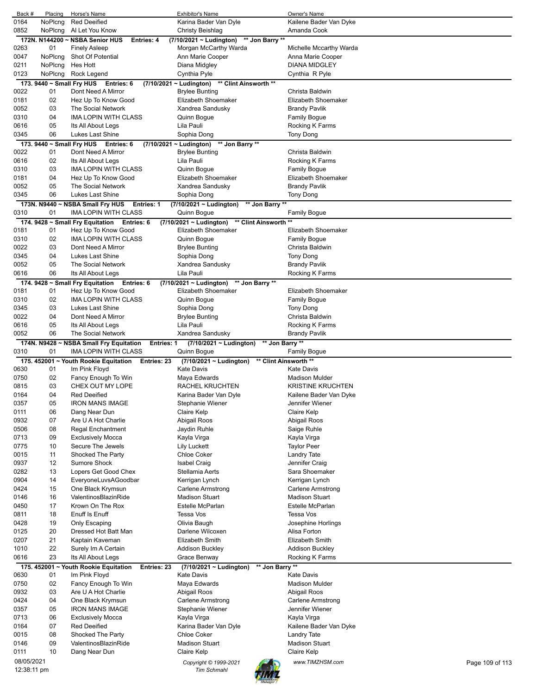| Back #                    | Placing  | Horse's Name                                                 | <b>Exhibitor's Name</b>                          | Owner's Name                        |                 |
|---------------------------|----------|--------------------------------------------------------------|--------------------------------------------------|-------------------------------------|-----------------|
| 0164                      | NoPlcng  | <b>Red Deeified</b>                                          | Karina Bader Van Dyle                            | Kailene Bader Van Dyke              |                 |
| 0852                      | NoPlcng  | Al Let You Know                                              | <b>Christy Beishlag</b>                          | Amanda Cook                         |                 |
|                           |          | 172N. N144200 ~ NSBA Senior HUS<br>Entries: 4                | ** Jon Barry **<br>$(7/10/2021 - Ludington)$     |                                     |                 |
| 0263                      | 01       | <b>Finely Asleep</b>                                         | Morgan McCarthy Warda                            | Michelle Mccarthy Warda             |                 |
| 0047                      | NoPlcng  | Shot Of Potential                                            | Ann Marie Cooper                                 | Anna Marie Cooper                   |                 |
| 0211                      | NoPlcng  | Hes Hott                                                     | Diana Midgley                                    | <b>DIANA MIDGLEY</b>                |                 |
| 0123                      | NoPlcng  | Rock Legend                                                  | Cynthia Pyle                                     | Cynthia R Pyle                      |                 |
|                           |          | 173. 9440 ~ Small Fry HUS Entries: 6                         | (7/10/2021 ~ Ludington) ** Clint Ainsworth **    |                                     |                 |
| 0022                      | 01       | Dont Need A Mirror                                           | <b>Brylee Bunting</b>                            | Christa Baldwin                     |                 |
| 0181                      | 02       | Hez Up To Know Good                                          | Elizabeth Shoemaker                              | Elizabeth Shoemaker                 |                 |
| 0052                      | 03       | The Social Network                                           | Xandrea Sandusky                                 | <b>Brandy Pavlik</b>                |                 |
| 0310                      | 04       | <b>IMA LOPIN WITH CLASS</b>                                  | Quinn Bogue                                      | Family Bogue                        |                 |
| 0616                      | 05       | Its All About Legs                                           | Lila Pauli                                       | Rocking K Farms                     |                 |
| 0345                      | 06       | Lukes Last Shine                                             | Sophia Dong                                      | Tony Dong                           |                 |
|                           |          | 173. 9440 ~ Small Fry HUS Entries: 6                         | (7/10/2021 ~ Ludington) ** Jon Barry **          |                                     |                 |
| 0022                      | 01       | Dont Need A Mirror                                           | <b>Brylee Bunting</b>                            | Christa Baldwin                     |                 |
| 0616                      | 02       | Its All About Legs                                           | Lila Pauli                                       | Rocking K Farms                     |                 |
| 0310                      | 03       | IMA LOPIN WITH CLASS                                         | Quinn Bogue                                      | Family Bogue                        |                 |
| 0181                      | 04       | Hez Up To Know Good                                          | Elizabeth Shoemaker                              | Elizabeth Shoemaker                 |                 |
| 0052                      | 05       | The Social Network                                           | Xandrea Sandusky                                 | <b>Brandy Pavlik</b>                |                 |
| 0345                      | 06       | Lukes Last Shine                                             | Sophia Dong                                      | Tony Dong                           |                 |
|                           |          | 173N. N9440 ~ NSBA Small Fry HUS<br><b>Entries: 1</b>        | ** Jon Barry **<br>(7/10/2021 ~ Ludington)       |                                     |                 |
| 0310                      | 01       | IMA LOPIN WITH CLASS                                         | Quinn Bogue                                      | Family Bogue                        |                 |
|                           |          | 174. 9428 ~ Small Fry Equitation<br>Entries: 6               | ** Clint Ainsworth **<br>(7/10/2021 ~ Ludington) |                                     |                 |
| 0181                      | 01       | Hez Up To Know Good                                          | Elizabeth Shoemaker                              | Elizabeth Shoemaker                 |                 |
| 0310                      | 02       | IMA LOPIN WITH CLASS                                         | Quinn Bogue                                      | <b>Family Bogue</b>                 |                 |
| 0022                      | 03       | Dont Need A Mirror                                           | <b>Brylee Bunting</b>                            | Christa Baldwin                     |                 |
| 0345                      | 04       | Lukes Last Shine                                             | Sophia Dong                                      | Tony Dong                           |                 |
| 0052                      | 05       | The Social Network                                           | Xandrea Sandusky                                 | <b>Brandy Pavlik</b>                |                 |
| 0616                      | 06       | Its All About Legs                                           | Lila Pauli                                       | Rocking K Farms                     |                 |
|                           |          | 174. 9428 ~ Small Fry Equitation Entries: 6                  | $(7/10/2021 - Ludington)$<br>** Jon Barry **     |                                     |                 |
| 0181                      | 01       | Hez Up To Know Good                                          | Elizabeth Shoemaker                              | Elizabeth Shoemaker                 |                 |
| 0310                      | 02       | IMA LOPIN WITH CLASS                                         | Quinn Bogue                                      | <b>Family Bogue</b>                 |                 |
| 0345                      | 03       | Lukes Last Shine                                             | Sophia Dong                                      | Tony Dong                           |                 |
| 0022                      | 04       | Dont Need A Mirror                                           | <b>Brylee Bunting</b>                            | Christa Baldwin                     |                 |
| 0616                      | 05       | Its All About Legs                                           | Lila Pauli                                       | Rocking K Farms                     |                 |
| 0052                      | 06       | The Social Network                                           | Xandrea Sandusky                                 | <b>Brandy Pavlik</b>                |                 |
|                           |          |                                                              |                                                  |                                     |                 |
|                           |          | 174N. N9428 ~ NSBA Small Fry Equitation<br><b>Entries: 1</b> | (7/10/2021 ~ Ludington)<br>** Jon Barry **       |                                     |                 |
| 0310                      | 01       | IMA LOPIN WITH CLASS                                         | Quinn Bogue                                      | Family Bogue                        |                 |
|                           |          | 175. 452001 ~ Youth Rookie Equitation<br>Entries: 23         | $(7/10/2021 \sim$ Ludington)                     | ** Clint Ainsworth **               |                 |
| 0630                      | 01       | Im Pink Floyd                                                | <b>Kate Davis</b>                                | Kate Davis                          |                 |
| 0750                      | 02       | Fancy Enough To Win                                          | Maya Edwards                                     | Madison Mulder                      |                 |
| 0815                      | 03       | CHEX OUT MY LOPE                                             | <b>RACHEL KRUCHTEN</b>                           | <b>KRISTINE KRUCHTEN</b>            |                 |
| 0164                      | 04       | <b>Red Deeified</b>                                          | Karina Bader Van Dyle                            | Kailene Bader Van Dyke              |                 |
| 0357                      | 05       | <b>IRON MANS IMAGE</b>                                       | Stephanie Wiener                                 | Jennifer Wiener                     |                 |
| 0111                      | 06       | Dang Near Dun                                                | Claire Kelp                                      | Claire Kelp                         |                 |
| 0932                      | 07       | Are U A Hot Charlie                                          | Abigail Roos                                     | Abigail Roos                        |                 |
| 0506                      | 08       | Regal Enchantment                                            | Jaydin Ruhle                                     | Saige Ruhle                         |                 |
| 0713                      | 09       | <b>Exclusively Mocca</b>                                     | Kayla Virga                                      | Kayla Virga                         |                 |
| 0775                      | 10       | Secure The Jewels                                            | Lily Luckett                                     | <b>Taylor Peer</b>                  |                 |
| 0015                      | 11       | Shocked The Party                                            | <b>Chloe Coker</b><br><b>Isabel Craig</b>        | Landry Tate                         |                 |
| 0937                      | 12       | Sumore Shock                                                 |                                                  | Jennifer Craig                      |                 |
| 0282<br>0904              | 13<br>14 | Lopers Get Good Chex                                         | Stellamia Aerts                                  | Sara Shoemaker                      |                 |
| 0424                      | 15       | EveryoneLuvsAGoodbar<br>One Black Krymsun                    | Kerrigan Lynch<br><b>Carlene Armstrong</b>       | Kerrigan Lynch<br>Carlene Armstrong |                 |
|                           |          | ValentinosBlazinRide                                         | <b>Madison Stuart</b>                            | <b>Madison Stuart</b>               |                 |
| 0146<br>0450              | 16<br>17 | Krown On The Rox                                             | Estelle McParlan                                 | Estelle McParlan                    |                 |
| 0811                      | 18       | Enuff Is Enuff                                               | Tessa Vos                                        | Tessa Vos                           |                 |
| 0428                      | 19       | Only Escaping                                                | Olivia Baugh                                     | Josephine Horlings                  |                 |
| 0125                      | 20       | Dressed Hot Batt Man                                         | Darlene Wilcoxen                                 | Alisa Forton                        |                 |
| 0207                      | 21       | Kaptain Kaveman                                              | <b>Elizabeth Smith</b>                           | Elizabeth Smith                     |                 |
| 1010                      | 22       | Surely Im A Certain                                          | <b>Addison Buckley</b>                           | <b>Addison Buckley</b>              |                 |
| 0616                      | 23       | Its All About Legs                                           | Grace Benway                                     | Rocking K Farms                     |                 |
|                           |          | 175. 452001 ~ Youth Rookie Equitation<br>Entries: 23         | ** Jon Barry **<br>(7/10/2021 ~ Ludington)       |                                     |                 |
| 0630                      | 01       | Im Pink Floyd                                                | <b>Kate Davis</b>                                | Kate Davis                          |                 |
| 0750                      | 02       | Fancy Enough To Win                                          | Maya Edwards                                     | <b>Madison Mulder</b>               |                 |
| 0932                      | 03       | Are U A Hot Charlie                                          | Abigail Roos                                     | Abigail Roos                        |                 |
| 0424                      | 04       | One Black Krymsun                                            | Carlene Armstrong                                | Carlene Armstrong                   |                 |
| 0357                      | 05       | <b>IRON MANS IMAGE</b>                                       | Stephanie Wiener                                 | Jennifer Wiener                     |                 |
| 0713                      | 06       | <b>Exclusively Mocca</b>                                     | Kayla Virga                                      | Kayla Virga                         |                 |
| 0164                      | 07       | <b>Red Deeified</b>                                          | Karina Bader Van Dyle                            | Kailene Bader Van Dyke              |                 |
| 0015                      | 08       | Shocked The Party                                            | <b>Chloe Coker</b>                               | Landry Tate                         |                 |
| 0146                      | 09       | ValentinosBlazinRide                                         | <b>Madison Stuart</b>                            | Madison Stuart                      |                 |
| 0111                      | 10       | Dang Near Dun                                                | Claire Kelp                                      | Claire Kelp                         |                 |
| 08/05/2021<br>12:38:11 pm |          |                                                              | Copyright © 1999-2021<br><b>Tim Schmahl</b>      | www.TIMZHSM.com                     | Page 109 of 113 |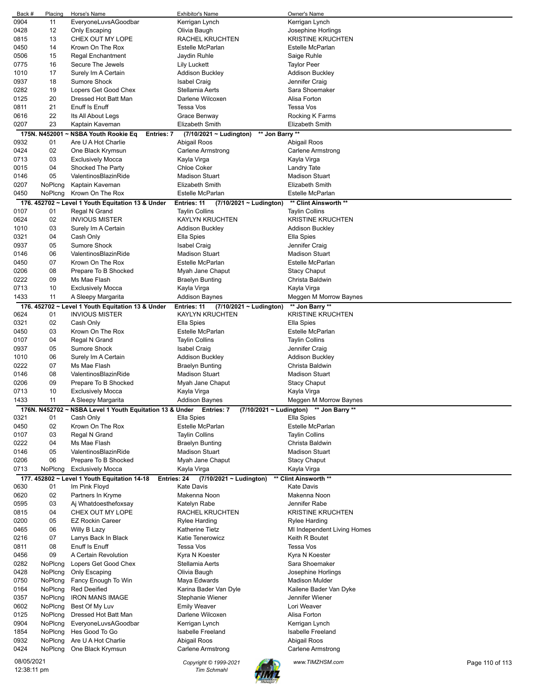| Back #      | Placing       | Horse's Name                                                        | Exhibitor's Name                            | Owner's Name                            |                 |
|-------------|---------------|---------------------------------------------------------------------|---------------------------------------------|-----------------------------------------|-----------------|
| 0904        | 11            | EveryoneLuvsAGoodbar                                                | Kerrigan Lynch                              | Kerrigan Lynch                          |                 |
| 0428        | 12            | Only Escaping                                                       | Olivia Baugh                                | Josephine Horlings                      |                 |
| 0815        | 13            | CHEX OUT MY LOPE                                                    | RACHEL KRUCHTEN                             | <b>KRISTINE KRUCHTEN</b>                |                 |
| 0450        | 14            | Krown On The Rox                                                    | Estelle McParlan                            | Estelle McParlan                        |                 |
|             |               |                                                                     |                                             |                                         |                 |
| 0506        | 15            | <b>Regal Enchantment</b>                                            | Jaydin Ruhle                                | Saige Ruhle                             |                 |
| 0775        | 16            | Secure The Jewels                                                   | Lily Luckett                                | Taylor Peer                             |                 |
| 1010        | 17            | Surely Im A Certain                                                 | <b>Addison Buckley</b>                      | <b>Addison Buckley</b>                  |                 |
| 0937        | 18            | <b>Sumore Shock</b>                                                 | <b>Isabel Craig</b>                         | Jennifer Craig                          |                 |
| 0282        | 19            | Lopers Get Good Chex                                                | Stellamia Aerts                             | Sara Shoemaker                          |                 |
| 0125        | 20            | Dressed Hot Batt Man                                                | Darlene Wilcoxen                            | Alisa Forton                            |                 |
| 0811        | 21            | Enuff Is Enuff                                                      | <b>Tessa Vos</b>                            | Tessa Vos                               |                 |
|             |               |                                                                     |                                             |                                         |                 |
| 0616        | 22            | Its All About Legs                                                  | Grace Benway                                | Rocking K Farms                         |                 |
| 0207        | 23            | Kaptain Kaveman                                                     | <b>Elizabeth Smith</b>                      | <b>Elizabeth Smith</b>                  |                 |
|             | 175N. N452001 | <b>NSBA Youth Rookie Eq</b><br>Entries: 7                           | ** Jon Barry **<br>(7/10/2021 ~ Ludington)  |                                         |                 |
| 0932        | 01            | Are U A Hot Charlie                                                 | Abigail Roos                                | Abigail Roos                            |                 |
| 0424        | 02            | One Black Krymsun                                                   | Carlene Armstrong                           | Carlene Armstrong                       |                 |
| 0713        | 03            | <b>Exclusively Mocca</b>                                            | Kayla Virga                                 | Kayla Virga                             |                 |
|             | 04            |                                                                     | <b>Chloe Coker</b>                          |                                         |                 |
| 0015        |               | Shocked The Party                                                   |                                             | Landry Tate                             |                 |
| 0146        | 05            | ValentinosBlazinRide                                                | <b>Madison Stuart</b>                       | <b>Madison Stuart</b>                   |                 |
| 0207        | NoPlcng       | Kaptain Kaveman                                                     | <b>Elizabeth Smith</b>                      | <b>Elizabeth Smith</b>                  |                 |
| 0450        | NoPlcng       | Krown On The Rox                                                    | Estelle McParlan                            | <b>Estelle McParlan</b>                 |                 |
|             |               | 176. 452702 ~ Level 1 Youth Equitation 13 & Under                   | Entries: 11<br>(7/10/2021 ~ Ludington)      | ** Clint Ainsworth **                   |                 |
| 0107        | 01            | Regal N Grand                                                       | Taylin Collins                              | <b>Taylin Collins</b>                   |                 |
| 0624        | 02            | <b>INVIOUS MISTER</b>                                               | <b>KAYLYN KRUCHTEN</b>                      | <b>KRISTINE KRUCHTEN</b>                |                 |
|             |               |                                                                     |                                             |                                         |                 |
| 1010        | 03            | Surely Im A Certain                                                 | <b>Addison Buckley</b>                      | Addison Buckley                         |                 |
| 0321        | 04            | Cash Only                                                           | Ella Spies                                  | Ella Spies                              |                 |
| 0937        | 05            | <b>Sumore Shock</b>                                                 | Isabel Craig                                | Jennifer Craig                          |                 |
| 0146        | 06            | ValentinosBlazinRide                                                | <b>Madison Stuart</b>                       | <b>Madison Stuart</b>                   |                 |
| 0450        | 07            | Krown On The Rox                                                    | Estelle McParlan                            | <b>Estelle McParlan</b>                 |                 |
| 0206        | 08            | Prepare To B Shocked                                                | Myah Jane Chaput                            | <b>Stacy Chaput</b>                     |                 |
| 0222        | 09            | Ms Mae Flash                                                        |                                             | Christa Baldwin                         |                 |
|             |               |                                                                     | <b>Braelyn Bunting</b>                      |                                         |                 |
| 0713        | 10            | <b>Exclusively Mocca</b>                                            | Kayla Virga                                 | Kayla Virga                             |                 |
| 1433        | 11            | A Sleepy Margarita                                                  | <b>Addison Baynes</b>                       | Meggen M Morrow Baynes                  |                 |
|             |               | 176. 452702 ~ Level 1 Youth Equitation 13 & Under                   | Entries: 11<br>$(7/10/2021 \sim$ Ludington) | ** Jon Barry **                         |                 |
| 0624        | 01            | <b>INVIOUS MISTER</b>                                               | KAYLYN KRUCHTEN                             | <b>KRISTINE KRUCHTEN</b>                |                 |
| 0321        | 02            | Cash Only                                                           | Ella Spies                                  | Ella Spies                              |                 |
| 0450        | 03            | Krown On The Rox                                                    | Estelle McParlan                            | Estelle McParlan                        |                 |
| 0107        | 04            | Regal N Grand                                                       |                                             |                                         |                 |
|             |               |                                                                     | Taylin Collins                              | <b>Taylin Collins</b>                   |                 |
| 0937        | 05            | <b>Sumore Shock</b>                                                 | <b>Isabel Craig</b>                         | Jennifer Craig                          |                 |
| 1010        | 06            | Surely Im A Certain                                                 | Addison Buckley                             | Addison Buckley                         |                 |
| 0222        | 07            | Ms Mae Flash                                                        | <b>Braelyn Bunting</b>                      | Christa Baldwin                         |                 |
| 0146        | 08            | ValentinosBlazinRide                                                | <b>Madison Stuart</b>                       | <b>Madison Stuart</b>                   |                 |
| 0206        | 09            | Prepare To B Shocked                                                | Myah Jane Chaput                            | <b>Stacy Chaput</b>                     |                 |
| 0713        | 10            | <b>Exclusively Mocca</b>                                            | Kayla Virga                                 | Kayla Virga                             |                 |
| 1433        | 11            |                                                                     | <b>Addison Baynes</b>                       |                                         |                 |
|             |               | A Sleepy Margarita                                                  |                                             | Meggen M Morrow Baynes                  |                 |
|             |               | 176N. N452702 ~ NSBA Level 1 Youth Equitation 13 & Under Entries: 7 |                                             | (7/10/2021 ~ Ludington) ** Jon Barry ** |                 |
| 0321        | 01            | Cash Only                                                           | Ella Spies                                  | Ella Spies                              |                 |
| 0450        | 02            | Krown On The Rox                                                    | Estelle McParlan                            | Estelle McParlan                        |                 |
| 0107        | 03            | Regal N Grand                                                       | <b>Taylin Collins</b>                       | <b>Taylin Collins</b>                   |                 |
| 0222        | 04            | Ms Mae Flash                                                        | <b>Braelyn Bunting</b>                      | Christa Baldwin                         |                 |
| 0146        | 05            | ValentinosBlazinRide                                                | <b>Madison Stuart</b>                       | <b>Madison Stuart</b>                   |                 |
|             |               |                                                                     |                                             |                                         |                 |
| 0206        | 06            | Prepare To B Shocked                                                | Myah Jane Chaput                            | <b>Stacy Chaput</b>                     |                 |
| 0713        | NoPlcng       | <b>Exclusively Mocca</b>                                            | Kayla Virga                                 | Kayla Virga                             |                 |
|             |               | 177. 452802 ~ Level 1 Youth Equitation 14-18<br>Entries: 24         | (7/10/2021 ~ Ludington)                     | ** Clint Ainsworth **                   |                 |
| 0630        | 01            | Im Pink Floyd                                                       | <b>Kate Davis</b>                           | <b>Kate Davis</b>                       |                 |
| 0620        | 02            | Partners In Kryme                                                   | Makenna Noon                                | Makenna Noon                            |                 |
| 0595        | 03            | Aj Whatdoesthefoxsay                                                | Katelyn Rabe                                | Jennifer Rabe                           |                 |
| 0815        | 04            | CHEX OUT MY LOPE                                                    | RACHEL KRUCHTEN                             | <b>KRISTINE KRUCHTEN</b>                |                 |
| 0200        | 05            | <b>EZ Rockin Career</b>                                             | Rylee Harding                               | Rylee Harding                           |                 |
|             |               |                                                                     |                                             |                                         |                 |
| 0465        | 06            | Willy B Lazy                                                        | Katherine Tietz                             | MI Independent Living Homes             |                 |
| 0216        | 07            | Larrys Back In Black                                                | Katie Tenerowicz                            | Keith R Boutet                          |                 |
| 0811        | 08            | Enuff Is Enuff                                                      | <b>Tessa Vos</b>                            | Tessa Vos                               |                 |
| 0456        | 09            | A Certain Revolution                                                | Kyra N Koester                              | Kyra N Koester                          |                 |
| 0282        | NoPlcng       | Lopers Get Good Chex                                                | Stellamia Aerts                             | Sara Shoemaker                          |                 |
| 0428        | NoPlcng       | Only Escaping                                                       | Olivia Baugh                                | Josephine Horlings                      |                 |
| 0750        | NoPlcng       | Fancy Enough To Win                                                 | Maya Edwards                                | Madison Mulder                          |                 |
| 0164        | NoPlcng       | <b>Red Deeified</b>                                                 | Karina Bader Van Dyle                       | Kailene Bader Van Dyke                  |                 |
|             |               |                                                                     |                                             |                                         |                 |
| 0357        | NoPlcng       | <b>IRON MANS IMAGE</b>                                              | Stephanie Wiener                            | Jennifer Wiener                         |                 |
| 0602        | NoPlcng       | Best Of My Luv                                                      | <b>Emily Weaver</b>                         | Lori Weaver                             |                 |
| 0125        | NoPlcng       | Dressed Hot Batt Man                                                | Darlene Wilcoxen                            | Alisa Forton                            |                 |
| 0904        | NoPlcng       | EveryoneLuvsAGoodbar                                                | Kerrigan Lynch                              | Kerrigan Lynch                          |                 |
| 1854        | NoPlcng       | Hes Good To Go                                                      | Isabelle Freeland                           | Isabelle Freeland                       |                 |
| 0932        | NoPlcng       | Are U A Hot Charlie                                                 | Abigail Roos                                | Abigail Roos                            |                 |
| 0424        | NoPlcng       | One Black Krymsun                                                   | Carlene Armstrong                           | Carlene Armstrong                       |                 |
|             |               |                                                                     |                                             |                                         |                 |
| 08/05/2021  |               |                                                                     | Copyright © 1999-2021                       | www.TIMZHSM.com                         | Page 110 of 113 |
| 12:38:11 pm |               |                                                                     | <b>Tim Schmahl</b>                          |                                         |                 |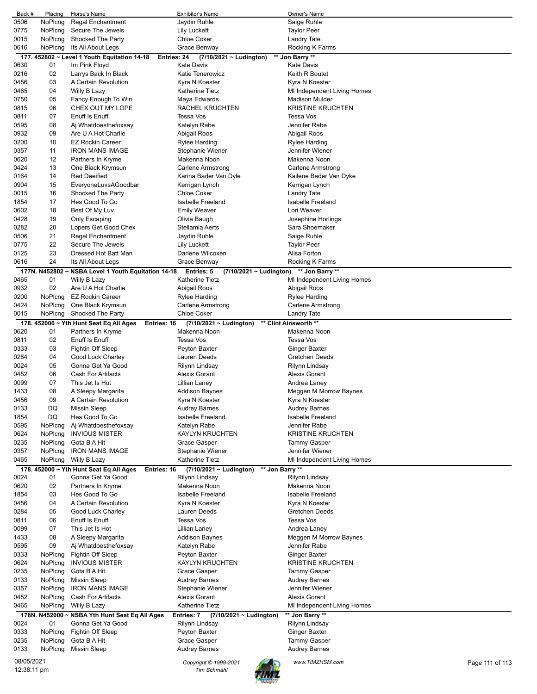| Back #       | Placing  | Horse's Name                                                 | <b>Exhibitor's Name</b>                                       | Owner's Name                      |                 |
|--------------|----------|--------------------------------------------------------------|---------------------------------------------------------------|-----------------------------------|-----------------|
| 0506         | NoPlcng  | <b>Regal Enchantment</b>                                     | Jaydin Ruhle                                                  | Saige Ruhle                       |                 |
| 0775         | NoPlcng  | Secure The Jewels                                            | <b>Lily Luckett</b>                                           | <b>Taylor Peer</b>                |                 |
| 0015         | NoPlcng  | Shocked The Party                                            | <b>Chloe Coker</b>                                            | <b>Landry Tate</b>                |                 |
| 0616         | NoPlcng  | Its All About Legs                                           | Grace Benway                                                  | Rocking K Farms                   |                 |
|              |          | 177. 452802 ~ Level 1 Youth Equitation 14-18                 | Entries: 24<br>(7/10/2021 ~ Ludington)                        | ** Jon Barry **                   |                 |
| 0630         | 01       | Im Pink Floyd                                                | <b>Kate Davis</b>                                             | Kate Davis                        |                 |
| 0216         | 02       | Larrys Back In Black                                         | <b>Katie Tenerowicz</b>                                       | Keith R Boutet                    |                 |
| 0456         | 03       | A Certain Revolution                                         | Kyra N Koester                                                | Kyra N Koester                    |                 |
| 0465         | 04       | Willy B Lazy                                                 | <b>Katherine Tietz</b>                                        | MI Independent Living Homes       |                 |
| 0750         | 05       | Fancy Enough To Win                                          | Maya Edwards                                                  | Madison Mulder                    |                 |
| 0815         | 06       | CHEX OUT MY LOPE                                             | RACHEL KRUCHTEN                                               | <b>KRISTINE KRUCHTEN</b>          |                 |
| 0811         | 07       | Enuff Is Enuff                                               | <b>Tessa Vos</b>                                              | Tessa Vos                         |                 |
| 0595         | 08       | Aj Whatdoesthefoxsay                                         | Katelyn Rabe                                                  | Jennifer Rabe                     |                 |
| 0932         | 09       | Are U A Hot Charlie                                          | Abigail Roos                                                  | Abigail Roos                      |                 |
| 0200         | 10       | <b>EZ Rockin Career</b>                                      | Rylee Harding                                                 | Rylee Harding                     |                 |
| 0357         | 11       | <b>IRON MANS IMAGE</b>                                       | Stephanie Wiener                                              | Jennifer Wiener                   |                 |
| 0620         | 12       | Partners In Kryme                                            | Makenna Noon                                                  | Makenna Noon                      |                 |
| 0424         | 13       | One Black Krymsun                                            | Carlene Armstrong                                             | Carlene Armstrong                 |                 |
| 0164         | 14       | <b>Red Deeified</b>                                          | Karina Bader Van Dyle                                         | Kailene Bader Van Dyke            |                 |
| 0904         | 15       | EveryoneLuvsAGoodbar                                         | Kerrigan Lynch                                                | Kerrigan Lynch                    |                 |
| 0015         | 16       | Shocked The Party                                            | <b>Chloe Coker</b>                                            | Landry Tate                       |                 |
| 1854         | 17       | Hes Good To Go                                               | <b>Isabelle Freeland</b>                                      | <b>Isabelle Freeland</b>          |                 |
| 0602         | 18       | Best Of My Luv                                               | <b>Emily Weaver</b>                                           | Lori Weaver                       |                 |
| 0428         | 19       | Only Escaping                                                | Olivia Baugh                                                  | Josephine Horlings                |                 |
| 0282         | 20       | Lopers Get Good Chex                                         | Stellamia Aerts                                               | Sara Shoemaker                    |                 |
| 0506         | 21       | <b>Regal Enchantment</b>                                     | Jaydin Ruhle                                                  | Saige Ruhle                       |                 |
| 0775         | 22       | Secure The Jewels                                            | Lily Luckett                                                  | <b>Taylor Peer</b>                |                 |
| 0125         | 23       | Dressed Hot Batt Man                                         | Darlene Wilcoxen                                              | Alisa Forton                      |                 |
| 0616         | 24       | Its All About Legs                                           | Grace Benway                                                  | Rocking K Farms                   |                 |
|              |          | 177N. N452802 ~ NSBA Level 1 Youth Equitation 14-18          | <b>Entries: 5</b><br>(7/10/2021 ~ Ludington)                  | ** Jon Barry **                   |                 |
| 0465         | 01       | Willy B Lazy                                                 | <b>Katherine Tietz</b>                                        | MI Independent Living Homes       |                 |
| 0932         | 02       | Are U A Hot Charlie                                          | Abigail Roos                                                  | Abigail Roos                      |                 |
| 0200         | NoPlcng  | <b>EZ Rockin Career</b>                                      | Rylee Harding                                                 | Rylee Harding                     |                 |
| 0424         | NoPlcng  | One Black Krymsun                                            | <b>Carlene Armstrong</b>                                      | Carlene Armstrong                 |                 |
| 0015         | NoPlcng  | Shocked The Party                                            | <b>Chloe Coker</b>                                            | Landry Tate                       |                 |
|              |          | 178. 452000 ~ Yth Hunt Seat Eq All Ages                      | Entries: 16<br>$(7/10/2021 \sim$ Ludington)                   | ** Clint Ainsworth **             |                 |
| 0620         | 01       | Partners In Kryme                                            | Makenna Noon                                                  | Makenna Noon                      |                 |
| 0811         | 02       | Enuff Is Enuff                                               | Tessa Vos                                                     | Tessa Vos                         |                 |
| 0333         | 03       | Fightin Off Sleep                                            | Peyton Baxter                                                 | Ginger Baxter                     |                 |
| 0284         | 04       | Good Luck Charley                                            | Lauren Deeds                                                  | Gretchen Deeds                    |                 |
| 0024         | 05       | Gonna Get Ya Good                                            | Rilynn Lindsay                                                | Rilynn Lindsay                    |                 |
| 0452         | 06       | <b>Cash For Artifacts</b>                                    | Alexis Gorant                                                 | Alexis Gorant                     |                 |
| 0099         | 07       | This Jet Is Hot                                              | Lillian Laney                                                 | Andrea Laney                      |                 |
| 1433         | 08       | A Sleepy Margarita                                           | <b>Addison Baynes</b>                                         | Meggen M Morrow Baynes            |                 |
| 0456         | 09       | A Certain Revolution                                         | Kyra N Koester                                                | Kyra N Koester                    |                 |
| 0133         | DQ       | <b>Missin Sleep</b>                                          | <b>Audrey Barnes</b>                                          | <b>Audrey Barnes</b>              |                 |
| 1854         | DQ       | Hes Good To Go                                               | <b>Isabelle Freeland</b>                                      | <b>Isabelle Freeland</b>          |                 |
| 0595         | NoPlcng  | Aj Whatdoesthefoxsay                                         | Katelyn Rabe                                                  | Jennifer Rabe                     |                 |
| 0624         | NoPlcng  | <b>INVIOUS MISTER</b>                                        | <b>KAYLYN KRUCHTEN</b>                                        | <b>KRISTINE KRUCHTEN</b>          |                 |
| 0235         | NoPlcng  | Gota B A Hit                                                 | Grace Gasper                                                  | Tammy Gasper                      |                 |
| 0357         | NoPlcng  | <b>IRON MANS IMAGE</b>                                       | Stephanie Wiener                                              | Jennifer Wiener                   |                 |
| 0465         | NoPlcng  | Willy B Lazy                                                 | <b>Katherine Tietz</b>                                        | MI Independent Living Homes       |                 |
|              |          |                                                              |                                                               |                                   |                 |
| 0024         | 01       | 178. 452000 ~ Yth Hunt Seat Eq All Ages<br>Gonna Get Ya Good | Entries: 16<br>$(7/10/2021 \sim$ Ludington)<br>Rilynn Lindsay | ** Jon Barry **<br>Rilynn Lindsay |                 |
| 0620         | 02       | Partners In Kryme                                            | Makenna Noon                                                  | Makenna Noon                      |                 |
|              | 03       |                                                              | <b>Isabelle Freeland</b>                                      | <b>Isabelle Freeland</b>          |                 |
| 1854         |          | Hes Good To Go                                               |                                                               | Kyra N Koester                    |                 |
| 0456<br>0284 | 04       | A Certain Revolution                                         | Kyra N Koester                                                |                                   |                 |
|              | 05       | Good Luck Charley                                            | Lauren Deeds                                                  | Gretchen Deeds                    |                 |
| 0811         | 06       | Enuff Is Enuff                                               | Tessa Vos                                                     | Tessa Vos                         |                 |
| 0099         | 07       | This Jet Is Hot                                              | Lillian Laney                                                 | Andrea Laney                      |                 |
| 1433         | 08<br>09 | A Sleepy Margarita                                           | Addison Baynes                                                | Meggen M Morrow Baynes            |                 |
| 0595         |          | Aj Whatdoesthefoxsay                                         | Katelyn Rabe                                                  | Jennifer Rabe                     |                 |
| 0333         | NoPlcng  | Fightin Off Sleep                                            | Peyton Baxter                                                 | Ginger Baxter                     |                 |
| 0624         | NoPlcng  | <b>INVIOUS MISTER</b>                                        | <b>KAYLYN KRUCHTEN</b>                                        | <b>KRISTINE KRUCHTEN</b>          |                 |
| 0235         | NoPlcng  | Gota B A Hit                                                 | Grace Gasper                                                  | Tammy Gasper                      |                 |
| 0133         | NoPlcng  | <b>Missin Sleep</b>                                          | <b>Audrey Barnes</b>                                          | Audrey Barnes                     |                 |
| 0357         | NoPlcng  | <b>IRON MANS IMAGE</b>                                       | Stephanie Wiener                                              | Jennifer Wiener                   |                 |
| 0452         | NoPlcng  | <b>Cash For Artifacts</b>                                    | <b>Alexis Gorant</b>                                          | Alexis Gorant                     |                 |
| 0465         | NoPlcng  | Willy B Lazy                                                 | <b>Katherine Tietz</b>                                        | MI Independent Living Homes       |                 |
|              |          | 178N. N452000 ~ NSBA Yth Hunt Seat Eq All Ages               | Entries: 7<br>$(7/10/2021 -$ Ludington)                       | ** Jon Barry **                   |                 |
| 0024         | 01       | Gonna Get Ya Good                                            | Rilynn Lindsay                                                | <b>Rilynn Lindsay</b>             |                 |
| 0333         | NoPlcng  | Fightin Off Sleep                                            | Peyton Baxter                                                 | Ginger Baxter                     |                 |
| 0235         | NoPlcng  | Gota B A Hit                                                 | Grace Gasper                                                  | <b>Tammy Gasper</b>               |                 |
| 0133         | NoPlcng  | <b>Missin Sleep</b>                                          | <b>Audrey Barnes</b>                                          | Audrey Barnes                     |                 |
| 08/05/2021   |          |                                                              | Copyright © 1999-2021                                         | www.TIMZHSM.com                   | Page 111 of 113 |
| 12:38:11 pm  |          |                                                              | <b>Tim Schmahl</b>                                            |                                   |                 |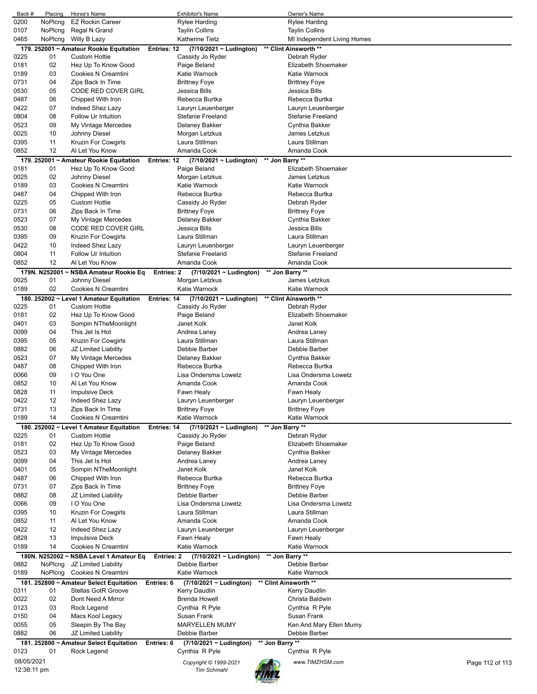| Back #      | Placing       | Horse's Name                             |             | <b>Exhibitor's Name</b>      |                 | Owner's Name                |                 |
|-------------|---------------|------------------------------------------|-------------|------------------------------|-----------------|-----------------------------|-----------------|
| 0200        | NoPlcng       | <b>EZ Rockin Career</b>                  |             | <b>Rylee Harding</b>         |                 | <b>Rylee Harding</b>        |                 |
| 0107        | NoPlcng       | Regal N Grand                            |             | <b>Taylin Collins</b>        |                 | <b>Taylin Collins</b>       |                 |
| 0465        | NoPlcng       | Willy B Lazy                             |             | <b>Katherine Tietz</b>       |                 | MI Independent Living Homes |                 |
|             |               | 179. 252001 ~ Amateur Rookie Equitation  | Entries: 12 | (7/10/2021 ~ Ludington)      |                 | ** Clint Ainsworth **       |                 |
| 0225        | 01            | <b>Custom Hottie</b>                     |             | Cassidy Jo Ryder             |                 | Debrah Ryder                |                 |
| 0181        | 02            | Hez Up To Know Good                      |             | Paige Beland                 |                 | Elizabeth Shoemaker         |                 |
| 0189        | 03            | Cookies N Creamtini                      |             | Katie Warnock                |                 | Katie Warnock               |                 |
| 0731        | 04            | Zips Back In Time                        |             |                              |                 | <b>Brittney Foye</b>        |                 |
|             | 05            |                                          |             | <b>Brittney Foye</b>         |                 |                             |                 |
| 0530        |               | CODE RED COVER GIRL                      |             | Jessica Bills                |                 | Jessica Bills               |                 |
| 0487        | 06            | Chipped With Iron                        |             | Rebecca Burtka               |                 | Rebecca Burtka              |                 |
| 0422        | 07            | Indeed Shez Lazy                         |             | Lauryn Leuenberger           |                 | Lauryn Leuenberger          |                 |
| 0804        | 08            | Follow Ur Intuition                      |             | Stefanie Freeland            |                 | <b>Stefanie Freeland</b>    |                 |
| 0523        | 09            | My Vintage Mercedes                      |             | Delaney Bakker               |                 | Cynthia Bakker              |                 |
| 0025        | 10            | Johnny Diesel                            |             | Morgan Letzkus               |                 | James Letzkus               |                 |
| 0395        | 11            | Kruzin For Cowgirls                      |             | Laura Stillman               |                 | Laura Stillman              |                 |
| 0852        | 12            | Al Let You Know                          |             | Amanda Cook                  |                 | Amanda Cook                 |                 |
|             |               | 179. 252001 ~ Amateur Rookie Equitation  | Entries: 12 | (7/10/2021 ~ Ludington)      |                 | ** Jon Barry **             |                 |
| 0181        | 01            | Hez Up To Know Good                      |             | Paige Beland                 |                 | Elizabeth Shoemaker         |                 |
| 0025        | 02            | Johnny Diesel                            |             | Morgan Letzkus               |                 | James Letzkus               |                 |
| 0189        | 03            | Cookies N Creamtini                      |             | Katie Warnock                |                 | Katie Warnock               |                 |
| 0487        | 04            | Chipped With Iron                        |             | Rebecca Burtka               |                 | Rebecca Burtka              |                 |
|             |               |                                          |             |                              |                 |                             |                 |
| 0225        | 05            | <b>Custom Hottie</b>                     |             | Cassidy Jo Ryder             |                 | Debrah Ryder                |                 |
| 0731        | 06            | Zips Back In Time                        |             | <b>Brittney Foye</b>         |                 | <b>Brittney Foye</b>        |                 |
| 0523        | 07            | My Vintage Mercedes                      |             | Delaney Bakker               |                 | Cynthia Bakker              |                 |
| 0530        | 08            | CODE RED COVER GIRL                      |             | Jessica Bills                |                 | Jessica Bills               |                 |
| 0395        | 09            | Kruzin For Cowgirls                      |             | Laura Stillman               |                 | Laura Stillman              |                 |
| 0422        | 10            | Indeed Shez Lazy                         |             | Lauryn Leuenberger           |                 | Lauryn Leuenberger          |                 |
| 0804        | 11            | Follow Ur Intuition                      |             | Stefanie Freeland            |                 | <b>Stefanie Freeland</b>    |                 |
| 0852        | 12            | Al Let You Know                          |             | Amanda Cook                  |                 | Amanda Cook                 |                 |
|             | 179N. N252001 | ~ NSBA Amateur Rookie Eq                 | Entries: 2  | $(7/10/2021 \sim$ Ludington) |                 | ** Jon Barry **             |                 |
| 0025        | 01            | Johnny Diesel                            |             | Morgan Letzkus               |                 | James Letzkus               |                 |
| 0189        | 02            | Cookies N Creamtini                      |             | Katie Warnock                |                 | Katie Warnock               |                 |
|             |               |                                          |             |                              |                 |                             |                 |
|             |               | 180. 252002 ~ Level 1 Amateur Equitation | Entries: 14 | $(7/10/2021 - Ludington)$    |                 | ** Clint Ainsworth **       |                 |
| 0225        | 01            | <b>Custom Hottie</b>                     |             | Cassidy Jo Ryder             |                 | Debrah Ryder                |                 |
| 0181        | 02            | Hez Up To Know Good                      |             | Paige Beland                 |                 | Elizabeth Shoemaker         |                 |
| 0401        | 03            | Sompin NTheMoonlight                     |             | Janet Kolk                   |                 | Janet Kolk                  |                 |
| 0099        | 04            | This Jet Is Hot                          |             | Andrea Laney                 |                 | Andrea Laney                |                 |
| 0395        | 05            | Kruzin For Cowgirls                      |             | Laura Stillman               |                 | Laura Stillman              |                 |
| 0882        | 06            | JZ Limited Liability                     |             | Debbie Barber                |                 | Debbie Barber               |                 |
| 0523        | 07            | My Vintage Mercedes                      |             | Delaney Bakker               |                 | Cynthia Bakker              |                 |
| 0487        | 08            | Chipped With Iron                        |             | Rebecca Burtka               |                 | Rebecca Burtka              |                 |
| 0066        | 09            | I O You One                              |             | Lisa Ondersma Lowetz         |                 | Lisa Ondersma Lowetz        |                 |
| 0852        | 10            | Al Let You Know                          |             | Amanda Cook                  |                 | Amanda Cook                 |                 |
| 0828        | 11            | <b>Impulsive Deck</b>                    |             | Fawn Healy                   |                 | Fawn Healy                  |                 |
| 0422        | 12            | Indeed Shez Lazy                         |             | Lauryn Leuenberger           |                 |                             |                 |
|             |               |                                          |             |                              |                 | Lauryn Leuenberger          |                 |
| 0731        | 13            | Zips Back In Time                        |             | <b>Brittney Foye</b>         |                 | <b>Brittney Foye</b>        |                 |
| 0189        | 14            | Cookies N Creamtini                      |             | Katie Warnock                |                 | Katie Warnock               |                 |
|             |               | 180. 252002 ~ Level 1 Amateur Equitation | Entries: 14 | (7/10/2021 ~ Ludington)      |                 | ** Jon Barry **             |                 |
| 0225        | 01            | <b>Custom Hottie</b>                     |             | Cassidy Jo Ryder             |                 | Debrah Ryder                |                 |
| 0181        | 02            | Hez Up To Know Good                      |             | Paige Beland                 |                 | Elizabeth Shoemaker         |                 |
| 0523        | 03            | My Vintage Mercedes                      |             | Delaney Bakker               |                 | Cynthia Bakker              |                 |
| 0099        | 04            | This Jet Is Hot                          |             | Andrea Laney                 |                 | Andrea Laney                |                 |
| 0401        | 05            | Sompin NTheMoonlight                     |             | Janet Kolk                   |                 | Janet Kolk                  |                 |
| 0487        | 06            | Chipped With Iron                        |             | Rebecca Burtka               |                 | Rebecca Burtka              |                 |
| 0731        | 07            | Zips Back In Time                        |             | <b>Brittney Foye</b>         |                 | <b>Brittney Foye</b>        |                 |
| 0882        | 08            | JZ Limited Liability                     |             | Debbie Barber                |                 | Debbie Barber               |                 |
| 0066        | 09            | I O You One                              |             | Lisa Ondersma Lowetz         |                 | Lisa Ondersma Lowetz        |                 |
|             |               |                                          |             |                              |                 |                             |                 |
| 0395        | 10            | Kruzin For Cowgirls                      |             | Laura Stillman               |                 | Laura Stillman              |                 |
| 0852        | 11            | Al Let You Know                          |             | Amanda Cook                  |                 | Amanda Cook                 |                 |
| 0422        | 12            | Indeed Shez Lazy                         |             | Lauryn Leuenberger           |                 | Lauryn Leuenberger          |                 |
| 0828        | 13            | <b>Impulsive Deck</b>                    |             | Fawn Healy                   |                 | Fawn Healy                  |                 |
| 0189        | 14            | Cookies N Creamtini                      |             | Katie Warnock                |                 | Katie Warnock               |                 |
|             |               | 180N. N252002 ~ NSBA Level 1 Amateur Eq  | Entries: 2  | $(7/10/2021 \sim$ Ludington) |                 | ** Jon Barry **             |                 |
| 0882        | NoPlcng       | JZ Limited Liability                     |             | Debbie Barber                |                 | Debbie Barber               |                 |
| 0189        | NoPlcng       | Cookies N Creamtini                      |             | Katie Warnock                |                 | Katie Warnock               |                 |
|             |               | 181. 252800 ~ Amateur Select Equitation  | Entries: 6  | $(7/10/2021 - Ludington)$    |                 | ** Clint Ainsworth **       |                 |
| 0311        | 01            | <b>Stellas GotR Groove</b>               |             | Kerry Daudlin                |                 | Kerry Daudlin               |                 |
| 0022        | 02            | Dont Need A Mirror                       |             | <b>Brenda Howell</b>         |                 | Christa Baldwin             |                 |
| 0123        | 03            | Rock Legend                              |             | Cynthia R Pyle               |                 | Cynthia R Pyle              |                 |
|             | 04            |                                          |             | Susan Frank                  |                 | Susan Frank                 |                 |
| 0150        |               | Macs Kool Legacy                         |             |                              |                 |                             |                 |
| 0055        | 05            | Sleepin By The Bay                       |             | <b>MARYELLEN MUMY</b>        |                 | Ken And Mary Ellen Mumy     |                 |
| 0882        | 06            | JZ Limited Liability                     |             | Debbie Barber                |                 | Debbie Barber               |                 |
|             |               | 181. 252800 ~ Amateur Select Equitation  | Entries: 6  | (7/10/2021 ~ Ludington)      | ** Jon Barry ** |                             |                 |
| 0123        | 01            | Rock Legend                              |             | Cynthia R Pyle               |                 | Cynthia R Pyle              |                 |
| 08/05/2021  |               |                                          |             |                              |                 |                             |                 |
|             |               |                                          |             | Copyright © 1999-2021        |                 | www.TIMZHSM.com             | Page 112 of 113 |
| 12:38:11 pm |               |                                          |             | <b>Tim Schmahl</b>           |                 |                             |                 |